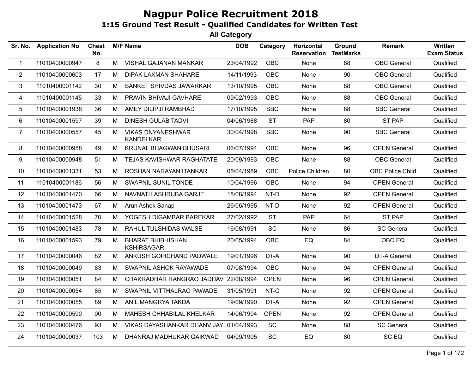| Sr. No.        | <b>Application No</b> | <b>Chest</b><br>No. |   | <b>M/F Name</b>                               | <b>DOB</b> | Category    | Horizontal<br><b>Reservation</b> | Ground<br><b>TestMarks</b> | <b>Remark</b>           | <b>Written</b><br><b>Exam Status</b> |
|----------------|-----------------------|---------------------|---|-----------------------------------------------|------------|-------------|----------------------------------|----------------------------|-------------------------|--------------------------------------|
| $\mathbf{1}$   | 11010400000947        | 8                   | M | VISHAL GAJANAN MANKAR                         | 23/04/1992 | OBC         | None                             | 88                         | <b>OBC</b> General      | Qualified                            |
| $\overline{2}$ | 11010400000603        | 17                  | M | <b>DIPAK LAXMAN SHAHARE</b>                   | 14/11/1993 | OBC         | None                             | 90                         | <b>OBC</b> General      | Qualified                            |
| 3              | 11010400001142        | 30                  | M | SANKET SHIVDAS JAWARKAR                       | 13/10/1995 | <b>OBC</b>  | None                             | 88                         | <b>OBC</b> General      | Qualified                            |
| 4              | 11010400001145        | 33                  | M | PRAVIN BHIVAJI GAVHARE                        | 09/02/1993 | OBC         | None                             | 88                         | <b>OBC</b> General      | Qualified                            |
| 5              | 11010400001938        | 36                  | M | AMEY DILIPJI RAMBHAD                          | 17/10/1995 | <b>SBC</b>  | None                             | 88                         | <b>SBC General</b>      | Qualified                            |
| 6              | 11010400001597        | 39                  | M | <b>DINESH GULAB TADVI</b>                     | 04/06/1988 | <b>ST</b>   | <b>PAP</b>                       | 80                         | ST PAP                  | Qualified                            |
| $\overline{7}$ | 11010400000557        | 45                  | M | <b>VIKAS DNYANESHWAR</b><br><b>KANDELKAR</b>  | 30/04/1998 | <b>SBC</b>  | None                             | 90                         | <b>SBC General</b>      | Qualified                            |
| 8              | 11010400000958        | 49                  | M | <b>KRUNAL BHAGWAN BHUSARI</b>                 | 06/07/1994 | <b>OBC</b>  | None                             | 96                         | <b>OPEN General</b>     | Qualified                            |
| 9              | 11010400000948        | 51                  | M | TEJAS KAVISHWAR RAGHATATE                     | 20/09/1993 | OBC         | None                             | 88                         | <b>OBC</b> General      | Qualified                            |
| 10             | 11010400001331        | 53                  | M | ROSHAN NARAYAN ITANKAR                        | 05/04/1989 | <b>OBC</b>  | Police Children                  | 80                         | <b>OBC Police Child</b> | Qualified                            |
| 11             | 11010400001186        | 56                  | M | SWAPNIL SUNIL TONDE                           | 10/04/1996 | <b>OBC</b>  | None                             | 94                         | <b>OPEN General</b>     | Qualified                            |
| 12             | 11010400001470        | 66                  | M | NAVNATH ASHRUBA GARJE                         | 18/08/1994 | NT-D        | None                             | 92                         | <b>OPEN General</b>     | Qualified                            |
| 13             | 11010400001473        | 67                  | M | Arun Ashok Sanap                              | 26/06/1995 | NT-D        | None                             | 92                         | <b>OPEN General</b>     | Qualified                            |
| 14             | 11010400001528        | 70                  | M | YOGESH DIGAMBAR BAREKAR                       | 27/02/1992 | <b>ST</b>   | PAP                              | 64                         | ST PAP                  | Qualified                            |
| 15             | 11010400001483        | 78                  | M | RAHUL TULSHIDAS WALSE                         | 16/08/1991 | SC          | None                             | 86                         | <b>SC General</b>       | Qualified                            |
| 16             | 11010400001593        | 79                  | M | <b>BHARAT BHIBHISHAN</b><br><b>KSHIRSAGAR</b> | 20/05/1994 | OBC         | EQ                               | 84                         | OBC EQ                  | Qualified                            |
| 17             | 11010400000046        | 82                  | M | ANKUSH GOPICHAND PADWALE                      | 19/01/1996 | DT-A        | <b>None</b>                      | 90                         | DT-A General            | Qualified                            |
| 18             | 11010400000049        | 83                  | M | SWAPNIL ASHOK RAYAWADE                        | 07/08/1994 | OBC         | None                             | 94                         | <b>OPEN General</b>     | Qualified                            |
| 19             | 11010400000051        | 84                  | M | CHAKRADHAR RANGRAO JADHAV 22/08/1994          |            | <b>OPEN</b> | None                             | 96                         | <b>OPEN General</b>     | Qualified                            |
| 20             | 11010400000054        | 85                  | M | SWAPNIL VITTHALRAO PAWADE                     | 31/05/1991 | NT-C        | <b>None</b>                      | 92                         | <b>OPEN General</b>     | Qualified                            |
| 21             | 11010400000055        | 89                  | M | ANIL MANGRYA TAKDA                            | 19/09/1990 | DT-A        | None                             | 92                         | <b>OPEN General</b>     | Qualified                            |
| 22             | 11010400000590        | 90                  | M | MAHESH CHHABILAL KHELKAR                      | 14/06/1994 | <b>OPEN</b> | None                             | 92                         | <b>OPEN General</b>     | Qualified                            |
| 23             | 11010400000476        | 93                  | M | VIKAS DAYASHANKAR DHANVIJAY 01/04/1993        |            | SC          | None                             | 88                         | <b>SC General</b>       | Qualified                            |
| 24             | 11010400000037        | 103                 | M | DHANRAJ MADHUKAR GAIKWAD                      | 04/09/1995 | SC          | ${\sf EQ}$                       | 80                         | SC <sub>EQ</sub>        | Qualified                            |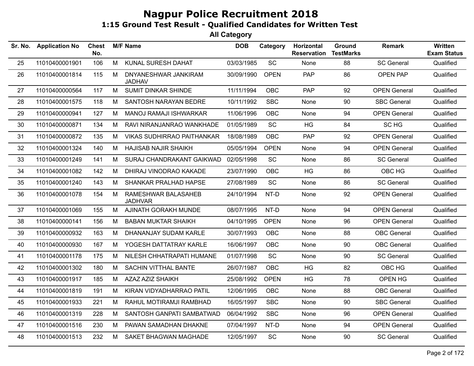| Sr. No. | <b>Application No</b> | <b>Chest</b><br>No. |   | <b>M/F Name</b>                       | <b>DOB</b> | Category    | Horizontal<br><b>Reservation</b> | Ground<br><b>TestMarks</b> | <b>Remark</b>       | Written<br><b>Exam Status</b> |
|---------|-----------------------|---------------------|---|---------------------------------------|------------|-------------|----------------------------------|----------------------------|---------------------|-------------------------------|
| 25      | 11010400001901        | 106                 | M | KUNAL SURESH DAHAT                    | 03/03/1985 | SC          | None                             | 88                         | <b>SC General</b>   | Qualified                     |
| 26      | 11010400001814        | 115                 | M | DNYANESHWAR JANKIRAM<br><b>JADHAV</b> | 30/09/1990 | <b>OPEN</b> | <b>PAP</b>                       | 86                         | <b>OPEN PAP</b>     | Qualified                     |
| 27      | 11010400000564        | 117                 | M | <b>SUMIT DINKAR SHINDE</b>            | 11/11/1994 | <b>OBC</b>  | <b>PAP</b>                       | 92                         | <b>OPEN General</b> | Qualified                     |
| 28      | 11010400001575        | 118                 | M | SANTOSH NARAYAN BEDRE                 | 10/11/1992 | <b>SBC</b>  | None                             | 90                         | <b>SBC General</b>  | Qualified                     |
| 29      | 11010400000941        | 127                 | М | <b>MANOJ RAMAJI ISHWARKAR</b>         | 11/06/1996 | <b>OBC</b>  | None                             | 94                         | <b>OPEN General</b> | Qualified                     |
| 30      | 11010400000871        | 134                 | M | RAVI NIRANJANRAO WANKHADE             | 01/05/1989 | SC          | <b>HG</b>                        | 84                         | SC HG               | Qualified                     |
| 31      | 11010400000872        | 135                 | M | <b>VIKAS SUDHIRRAO PAITHANKAR</b>     | 18/08/1989 | <b>OBC</b>  | PAP                              | 92                         | <b>OPEN General</b> | Qualified                     |
| 32      | 11010400001324        | 140                 | M | <b>HAJISAB NAJIR SHAIKH</b>           | 05/05/1994 | <b>OPEN</b> | None                             | 94                         | <b>OPEN General</b> | Qualified                     |
| 33      | 11010400001249        | 141                 | M | SURAJ CHANDRAKANT GAIKWAD             | 02/05/1998 | SC          | None                             | 86                         | <b>SC General</b>   | Qualified                     |
| 34      | 11010400001082        | 142                 | M | DHIRAJ VINODRAO KAKADE                | 23/07/1990 | <b>OBC</b>  | <b>HG</b>                        | 86                         | OBC HG              | Qualified                     |
| 35      | 11010400001240        | 143                 | M | SHANKAR PRALHAD HAPSE                 | 27/08/1989 | SC          | None                             | 86                         | <b>SC General</b>   | Qualified                     |
| 36      | 11010400001078        | 154                 | М | RAMESHWAR BALASAHEB<br><b>JADHVAR</b> | 24/10/1994 | NT-D        | <b>None</b>                      | 92                         | <b>OPEN General</b> | Qualified                     |
| 37      | 11010400001069        | 155                 | M | AJINATH GORAKH MUNDE                  | 08/07/1995 | NT-D        | None                             | 94                         | <b>OPEN General</b> | Qualified                     |
| 38      | 11010400000141        | 156                 | M | <b>BABAN MUKTAR SHAIKH</b>            | 04/10/1995 | <b>OPEN</b> | None                             | 96                         | <b>OPEN General</b> | Qualified                     |
| 39      | 11010400000932        | 163                 | М | DHANANJAY SUDAM KARLE                 | 30/07/1993 | <b>OBC</b>  | None                             | 88                         | <b>OBC</b> General  | Qualified                     |
| 40      | 11010400000930        | 167                 | M | YOGESH DATTATRAY KARLE                | 16/06/1997 | <b>OBC</b>  | None                             | 90                         | <b>OBC</b> General  | Qualified                     |
| 41      | 11010400001178        | 175                 | M | NILESH CHHATRAPATI HUMANE             | 01/07/1998 | SC          | None                             | 90                         | <b>SC General</b>   | Qualified                     |
| 42      | 11010400001302        | 180                 | M | SACHIN VITTHAL BANTE                  | 26/07/1987 | <b>OBC</b>  | HG                               | 82                         | OBC HG              | Qualified                     |
| 43      | 11010400001917        | 185                 | M | <b>AZAZ AZIZ SHAIKH</b>               | 25/08/1992 | <b>OPEN</b> | HG                               | 78                         | OPEN HG             | Qualified                     |
| 44      | 11010400001819        | 191                 | М | KIRAN VIDYADHARRAO PATIL              | 12/06/1995 | <b>OBC</b>  | None                             | 88                         | <b>OBC</b> General  | Qualified                     |
| 45      | 11010400001933        | 221                 | M | RAHUL MOTIRAMJI RAMBHAD               | 16/05/1997 | <b>SBC</b>  | None                             | 90                         | <b>SBC General</b>  | Qualified                     |
| 46      | 11010400001319        | 228                 | M | SANTOSH GANPATI SAMBATWAD             | 06/04/1992 | <b>SBC</b>  | None                             | 96                         | <b>OPEN General</b> | Qualified                     |
| 47      | 11010400001516        | 230                 | M | PAWAN SAMADHAN DHAKNE                 | 07/04/1997 | NT-D        | None                             | 94                         | <b>OPEN General</b> | Qualified                     |
| 48      | 11010400001513        | 232                 | M | SAKET BHAGWAN MAGHADE                 | 12/05/1997 | SC          | None                             | 90                         | <b>SC General</b>   | Qualified                     |
|         |                       |                     |   |                                       |            |             |                                  |                            |                     |                               |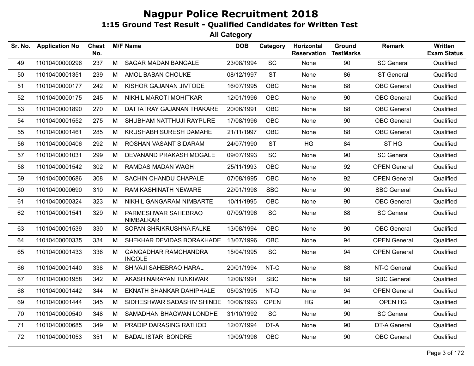| Sr. No. | <b>Application No</b> | Chest<br>No. |   | <b>M/F Name</b>                              | <b>DOB</b> | Category    | Horizontal<br><b>Reservation</b> | Ground<br><b>TestMarks</b> | Remark              | Written<br><b>Exam Status</b> |
|---------|-----------------------|--------------|---|----------------------------------------------|------------|-------------|----------------------------------|----------------------------|---------------------|-------------------------------|
| 49      | 11010400000296        | 237          | M | SAGAR MADAN BANGALE                          | 23/08/1994 | SC          | None                             | 90                         | <b>SC General</b>   | Qualified                     |
| 50      | 11010400001351        | 239          | M | AMOL BABAN CHOUKE                            | 08/12/1997 | <b>ST</b>   | None                             | 86                         | <b>ST General</b>   | Qualified                     |
| 51      | 11010400000177        | 242          | M | KISHOR GAJANAN JIVTODE                       | 16/07/1995 | <b>OBC</b>  | None                             | 88                         | <b>OBC</b> General  | Qualified                     |
| 52      | 11010400000175        | 245          | M | NIKHIL MAROTI MOHITKAR                       | 12/01/1996 | <b>OBC</b>  | None                             | 90                         | <b>OBC</b> General  | Qualified                     |
| 53      | 11010400001890        | 270          | M | DATTATRAY GAJANAN THAKARE                    | 20/06/1991 | <b>OBC</b>  | <b>None</b>                      | 88                         | <b>OBC</b> General  | Qualified                     |
| 54      | 11010400001552        | 275          | M | SHUBHAM NATTHUJI RAYPURE                     | 17/08/1996 | <b>OBC</b>  | None                             | 90                         | <b>OBC</b> General  | Qualified                     |
| 55      | 11010400001461        | 285          | M | KRUSHABH SURESH DAMAHE                       | 21/11/1997 | OBC         | None                             | 88                         | <b>OBC</b> General  | Qualified                     |
| 56      | 11010400000406        | 292          | M | ROSHAN VASANT SIDARAM                        | 24/07/1990 | <b>ST</b>   | HG                               | 84                         | ST <sub>HG</sub>    | Qualified                     |
| 57      | 11010400001031        | 299          | M | DEVANAND PRAKASH MOGALE                      | 09/07/1993 | SC          | None                             | 90                         | <b>SC General</b>   | Qualified                     |
| 58      | 11010400001542        | 302          | M | RAMDAS MADAN WAGH                            | 25/11/1993 | OBC         | None                             | 92                         | <b>OPEN General</b> | Qualified                     |
| 59      | 11010400000686        | 308          | M | SACHIN CHANDU CHAPALE                        | 07/08/1995 | OBC         | None                             | 92                         | <b>OPEN General</b> | Qualified                     |
| 60      | 11010400000690        | 310          | M | <b>RAM KASHINATH NEWARE</b>                  | 22/01/1998 | <b>SBC</b>  | None                             | 90                         | <b>SBC General</b>  | Qualified                     |
| 61      | 11010400000324        | 323          | M | NIKHIL GANGARAM NIMBARTE                     | 10/11/1995 | OBC         | None                             | 90                         | <b>OBC</b> General  | Qualified                     |
| 62      | 11010400001541        | 329          | M | PARMESHWAR SAHEBRAO<br><b>NIMBALKAR</b>      | 07/09/1996 | SC          | None                             | 88                         | <b>SC General</b>   | Qualified                     |
| 63      | 11010400001539        | 330          | M | SOPAN SHRIKRUSHNA FALKE                      | 13/08/1994 | OBC         | None                             | 90                         | <b>OBC</b> General  | Qualified                     |
| 64      | 11010400000335        | 334          | M | SHEKHAR DEVIDAS BORAKHADE                    | 13/07/1996 | OBC         | None                             | 94                         | <b>OPEN General</b> | Qualified                     |
| 65      | 11010400001433        | 336          | M | <b>GANGADHAR RAMCHANDRA</b><br><b>INGOLE</b> | 15/04/1995 | SC          | None                             | 94                         | <b>OPEN General</b> | Qualified                     |
| 66      | 11010400001440        | 338          | M | SHIVAJI SAHEBRAO HARAL                       | 20/01/1994 | NT-C        | None                             | 88                         | NT-C General        | Qualified                     |
| 67      | 11010400001958        | 342          | M | AKASH NARAYAN TUNKIWAR                       | 12/08/1991 | <b>SBC</b>  | None                             | 88                         | <b>SBC General</b>  | Qualified                     |
| 68      | 11010400001442        | 344          | M | <b>EKNATH SHANKAR DAHIPHALE</b>              | 05/03/1995 | NT-D        | None                             | 94                         | <b>OPEN General</b> | Qualified                     |
| 69      | 11010400001444        | 345          | M | SIDHESHWAR SADASHIV SHINDE                   | 10/06/1993 | <b>OPEN</b> | HG                               | 90                         | OPEN HG             | Qualified                     |
| 70      | 11010400000540        | 348          | M | SAMADHAN BHAGWAN LONDHE                      | 31/10/1992 | <b>SC</b>   | None                             | 90                         | <b>SC General</b>   | Qualified                     |
| 71      | 11010400000685        | 349          | M | PRADIP DARASING RATHOD                       | 12/07/1994 | DT-A        | None                             | 90                         | DT-A General        | Qualified                     |
| 72      | 11010400001053        | 351          | M | <b>BADAL ISTARI BONDRE</b>                   | 19/09/1996 | OBC         | None                             | 90                         | <b>OBC</b> General  | Qualified                     |
|         |                       |              |   |                                              |            |             |                                  |                            |                     |                               |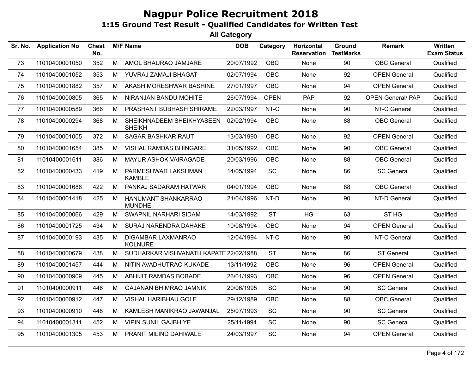| 11010400001050<br>M<br>AMOL BHAURAO JAMJARE<br><b>OBC</b><br>90<br><b>OBC</b> General<br>Qualified<br>352<br>20/07/1992<br>73<br>None<br>11010400001052<br>353<br>M<br>YUVRAJ ZAMAJI BHAGAT<br>02/07/1994<br><b>OBC</b><br>None<br>92<br><b>OPEN General</b><br>Qualified<br>74<br>11010400001882<br>AKASH MORESHWAR BASHINE<br><b>OBC</b><br><b>OPEN General</b><br>Qualified<br>75<br>357<br>M<br>27/01/1997<br>94<br>None<br><b>PAP</b><br>NIRANJAN BANDU MOHITE<br><b>OPEN</b><br><b>OPEN General/ PAP</b><br>76<br>11010400000805<br>365<br>M<br>26/07/1994<br>92<br>Qualified<br>11010400000589<br>366<br>M<br>PRASHANT SUBHASH SHIRAME<br>22/03/1997<br>NT-C<br>None<br>90<br>NT-C General<br>Qualified<br>77<br><b>OBC</b><br>88<br><b>OBC</b> General<br>Qualified<br>78<br>11010400000294<br>368<br>M<br>02/02/1994<br>SHEIKHNADEEM SHEIKHYASEEN<br><b>None</b><br><b>SHEIKH</b><br><b>SAGAR BASHKAR RAUT</b><br>Qualified<br>11010400001005<br>372<br>М<br>13/03/1990<br><b>OBC</b><br>92<br><b>OPEN General</b><br>79<br>None<br>VISHAL RAMDAS BHINGARE<br>OBC<br>90<br><b>OBC</b> General<br>Qualified<br>80<br>11010400001654<br>385<br>M<br>31/05/1992<br>None<br>386<br>88<br><b>OBC</b> General<br>Qualified<br>81<br>11010400001611<br>M<br>MAYUR ASHOK VAIRAGADE<br>20/03/1996<br><b>OBC</b><br>None<br>419<br>SC<br>86<br>82<br>11010400000433<br>M<br>PARMESHWAR LAKSHMAN<br>14/05/1994<br>None<br><b>SC General</b><br>Qualified<br><b>KAMBLE</b><br>11010400001686<br>422<br>PANKAJ SADARAM HATWAR<br>04/01/1994<br><b>OBC</b><br>88<br><b>OBC</b> General<br>Qualified<br>83<br>M<br>None<br>90<br>84<br>11010400001418<br>425<br>HANUMANT SHANKARRAO<br>21/04/1996<br>NT-D<br>None<br>NT-D General<br>Qualified<br>M<br><b>MUNDHE</b><br>SWAPNIL NARHARI SIDAM<br><b>ST</b><br><b>HG</b><br>ST <sub>HG</sub><br>11010400000066<br>429<br>M<br>14/03/1992<br>63<br>Qualified<br>85<br>94<br>11010400001725<br>434<br>SURAJ NARENDRA DAHAKE<br>10/08/1994<br><b>OBC</b><br>None<br><b>OPEN General</b><br>Qualified<br>86<br>M<br>435<br>DIGAMBAR LAXMANRAO<br>NT-C<br>90<br>Qualified<br>87<br>11010400000193<br>M<br>12/04/1994<br>None<br>NT-C General<br><b>KOLNURE</b><br>11010400000679<br>438<br>SUDHARKAR VISHVANATH KAPATE 22/02/1988<br><b>ST</b><br>86<br><b>ST General</b><br>Qualified<br>88<br>М<br>None<br>OBC<br>96<br><b>OPEN General</b><br>Qualified<br>89<br>11010400001457<br>444<br>NITIN AVADHUTRAO KUKADE<br>13/11/1992<br>None<br>M<br>11010400000909<br>ABHIJIT RAMDAS BOBADE<br><b>OBC</b><br>96<br><b>OPEN General</b><br>Qualified<br>90<br>445<br>M<br>26/01/1993<br>None<br>SC<br>11010400000911<br>M<br><b>GAJANAN BHIMRAO JAMNIK</b><br>20/06/1995<br>90<br><b>SC General</b><br>Qualified<br>91<br>446<br>None<br><b>VISHAL HARIBHAU GOLE</b><br>88<br><b>OBC</b> General<br>92<br>11010400000912<br>447<br>M<br>29/12/1989<br><b>OBC</b><br>Qualified<br>None<br>SC<br>25/07/1993<br>90<br><b>SC General</b><br>93<br>11010400000910<br>448<br>M<br>KAMLESH MANIKRAO JAWANJAL<br>None<br>Qualified<br><b>VIPIN SUNIL GAJBHIYE</b><br>SC<br>90<br>94<br>11010400001311<br>452<br>M<br>25/11/1994<br><b>SC General</b><br>Qualified<br>None<br>SC<br>94<br>95<br>11010400001305<br>453<br>PRANIT MILIND DAHIWALE<br>24/03/1997<br><b>OPEN General</b><br>Qualified<br>M<br>None | Sr. No. | <b>Application No</b> | <b>Chest</b><br>No. | <b>M/F Name</b> | <b>DOB</b> | Category | Horizontal<br><b>Reservation</b> | Ground<br><b>TestMarks</b> | <b>Remark</b> | <b>Written</b><br><b>Exam Status</b> |
|-----------------------------------------------------------------------------------------------------------------------------------------------------------------------------------------------------------------------------------------------------------------------------------------------------------------------------------------------------------------------------------------------------------------------------------------------------------------------------------------------------------------------------------------------------------------------------------------------------------------------------------------------------------------------------------------------------------------------------------------------------------------------------------------------------------------------------------------------------------------------------------------------------------------------------------------------------------------------------------------------------------------------------------------------------------------------------------------------------------------------------------------------------------------------------------------------------------------------------------------------------------------------------------------------------------------------------------------------------------------------------------------------------------------------------------------------------------------------------------------------------------------------------------------------------------------------------------------------------------------------------------------------------------------------------------------------------------------------------------------------------------------------------------------------------------------------------------------------------------------------------------------------------------------------------------------------------------------------------------------------------------------------------------------------------------------------------------------------------------------------------------------------------------------------------------------------------------------------------------------------------------------------------------------------------------------------------------------------------------------------------------------------------------------------------------------------------------------------------------------------------------------------------------------------------------------------------------------------------------------------------------------------------------------------------------------------------------------------------------------------------------------------------------------------------------------------------------------------------------------------------------------------------------------------------------------------------------------------------------------------------------------------------------------------------------------------------------------------------------------------------------------------------------------------------------------------------------------------------------------------------------------------------------------------------------------------------------------|---------|-----------------------|---------------------|-----------------|------------|----------|----------------------------------|----------------------------|---------------|--------------------------------------|
|                                                                                                                                                                                                                                                                                                                                                                                                                                                                                                                                                                                                                                                                                                                                                                                                                                                                                                                                                                                                                                                                                                                                                                                                                                                                                                                                                                                                                                                                                                                                                                                                                                                                                                                                                                                                                                                                                                                                                                                                                                                                                                                                                                                                                                                                                                                                                                                                                                                                                                                                                                                                                                                                                                                                                                                                                                                                                                                                                                                                                                                                                                                                                                                                                                                                                                                                         |         |                       |                     |                 |            |          |                                  |                            |               |                                      |
|                                                                                                                                                                                                                                                                                                                                                                                                                                                                                                                                                                                                                                                                                                                                                                                                                                                                                                                                                                                                                                                                                                                                                                                                                                                                                                                                                                                                                                                                                                                                                                                                                                                                                                                                                                                                                                                                                                                                                                                                                                                                                                                                                                                                                                                                                                                                                                                                                                                                                                                                                                                                                                                                                                                                                                                                                                                                                                                                                                                                                                                                                                                                                                                                                                                                                                                                         |         |                       |                     |                 |            |          |                                  |                            |               |                                      |
|                                                                                                                                                                                                                                                                                                                                                                                                                                                                                                                                                                                                                                                                                                                                                                                                                                                                                                                                                                                                                                                                                                                                                                                                                                                                                                                                                                                                                                                                                                                                                                                                                                                                                                                                                                                                                                                                                                                                                                                                                                                                                                                                                                                                                                                                                                                                                                                                                                                                                                                                                                                                                                                                                                                                                                                                                                                                                                                                                                                                                                                                                                                                                                                                                                                                                                                                         |         |                       |                     |                 |            |          |                                  |                            |               |                                      |
|                                                                                                                                                                                                                                                                                                                                                                                                                                                                                                                                                                                                                                                                                                                                                                                                                                                                                                                                                                                                                                                                                                                                                                                                                                                                                                                                                                                                                                                                                                                                                                                                                                                                                                                                                                                                                                                                                                                                                                                                                                                                                                                                                                                                                                                                                                                                                                                                                                                                                                                                                                                                                                                                                                                                                                                                                                                                                                                                                                                                                                                                                                                                                                                                                                                                                                                                         |         |                       |                     |                 |            |          |                                  |                            |               |                                      |
|                                                                                                                                                                                                                                                                                                                                                                                                                                                                                                                                                                                                                                                                                                                                                                                                                                                                                                                                                                                                                                                                                                                                                                                                                                                                                                                                                                                                                                                                                                                                                                                                                                                                                                                                                                                                                                                                                                                                                                                                                                                                                                                                                                                                                                                                                                                                                                                                                                                                                                                                                                                                                                                                                                                                                                                                                                                                                                                                                                                                                                                                                                                                                                                                                                                                                                                                         |         |                       |                     |                 |            |          |                                  |                            |               |                                      |
|                                                                                                                                                                                                                                                                                                                                                                                                                                                                                                                                                                                                                                                                                                                                                                                                                                                                                                                                                                                                                                                                                                                                                                                                                                                                                                                                                                                                                                                                                                                                                                                                                                                                                                                                                                                                                                                                                                                                                                                                                                                                                                                                                                                                                                                                                                                                                                                                                                                                                                                                                                                                                                                                                                                                                                                                                                                                                                                                                                                                                                                                                                                                                                                                                                                                                                                                         |         |                       |                     |                 |            |          |                                  |                            |               |                                      |
|                                                                                                                                                                                                                                                                                                                                                                                                                                                                                                                                                                                                                                                                                                                                                                                                                                                                                                                                                                                                                                                                                                                                                                                                                                                                                                                                                                                                                                                                                                                                                                                                                                                                                                                                                                                                                                                                                                                                                                                                                                                                                                                                                                                                                                                                                                                                                                                                                                                                                                                                                                                                                                                                                                                                                                                                                                                                                                                                                                                                                                                                                                                                                                                                                                                                                                                                         |         |                       |                     |                 |            |          |                                  |                            |               |                                      |
|                                                                                                                                                                                                                                                                                                                                                                                                                                                                                                                                                                                                                                                                                                                                                                                                                                                                                                                                                                                                                                                                                                                                                                                                                                                                                                                                                                                                                                                                                                                                                                                                                                                                                                                                                                                                                                                                                                                                                                                                                                                                                                                                                                                                                                                                                                                                                                                                                                                                                                                                                                                                                                                                                                                                                                                                                                                                                                                                                                                                                                                                                                                                                                                                                                                                                                                                         |         |                       |                     |                 |            |          |                                  |                            |               |                                      |
|                                                                                                                                                                                                                                                                                                                                                                                                                                                                                                                                                                                                                                                                                                                                                                                                                                                                                                                                                                                                                                                                                                                                                                                                                                                                                                                                                                                                                                                                                                                                                                                                                                                                                                                                                                                                                                                                                                                                                                                                                                                                                                                                                                                                                                                                                                                                                                                                                                                                                                                                                                                                                                                                                                                                                                                                                                                                                                                                                                                                                                                                                                                                                                                                                                                                                                                                         |         |                       |                     |                 |            |          |                                  |                            |               |                                      |
|                                                                                                                                                                                                                                                                                                                                                                                                                                                                                                                                                                                                                                                                                                                                                                                                                                                                                                                                                                                                                                                                                                                                                                                                                                                                                                                                                                                                                                                                                                                                                                                                                                                                                                                                                                                                                                                                                                                                                                                                                                                                                                                                                                                                                                                                                                                                                                                                                                                                                                                                                                                                                                                                                                                                                                                                                                                                                                                                                                                                                                                                                                                                                                                                                                                                                                                                         |         |                       |                     |                 |            |          |                                  |                            |               |                                      |
|                                                                                                                                                                                                                                                                                                                                                                                                                                                                                                                                                                                                                                                                                                                                                                                                                                                                                                                                                                                                                                                                                                                                                                                                                                                                                                                                                                                                                                                                                                                                                                                                                                                                                                                                                                                                                                                                                                                                                                                                                                                                                                                                                                                                                                                                                                                                                                                                                                                                                                                                                                                                                                                                                                                                                                                                                                                                                                                                                                                                                                                                                                                                                                                                                                                                                                                                         |         |                       |                     |                 |            |          |                                  |                            |               |                                      |
|                                                                                                                                                                                                                                                                                                                                                                                                                                                                                                                                                                                                                                                                                                                                                                                                                                                                                                                                                                                                                                                                                                                                                                                                                                                                                                                                                                                                                                                                                                                                                                                                                                                                                                                                                                                                                                                                                                                                                                                                                                                                                                                                                                                                                                                                                                                                                                                                                                                                                                                                                                                                                                                                                                                                                                                                                                                                                                                                                                                                                                                                                                                                                                                                                                                                                                                                         |         |                       |                     |                 |            |          |                                  |                            |               |                                      |
|                                                                                                                                                                                                                                                                                                                                                                                                                                                                                                                                                                                                                                                                                                                                                                                                                                                                                                                                                                                                                                                                                                                                                                                                                                                                                                                                                                                                                                                                                                                                                                                                                                                                                                                                                                                                                                                                                                                                                                                                                                                                                                                                                                                                                                                                                                                                                                                                                                                                                                                                                                                                                                                                                                                                                                                                                                                                                                                                                                                                                                                                                                                                                                                                                                                                                                                                         |         |                       |                     |                 |            |          |                                  |                            |               |                                      |
|                                                                                                                                                                                                                                                                                                                                                                                                                                                                                                                                                                                                                                                                                                                                                                                                                                                                                                                                                                                                                                                                                                                                                                                                                                                                                                                                                                                                                                                                                                                                                                                                                                                                                                                                                                                                                                                                                                                                                                                                                                                                                                                                                                                                                                                                                                                                                                                                                                                                                                                                                                                                                                                                                                                                                                                                                                                                                                                                                                                                                                                                                                                                                                                                                                                                                                                                         |         |                       |                     |                 |            |          |                                  |                            |               |                                      |
|                                                                                                                                                                                                                                                                                                                                                                                                                                                                                                                                                                                                                                                                                                                                                                                                                                                                                                                                                                                                                                                                                                                                                                                                                                                                                                                                                                                                                                                                                                                                                                                                                                                                                                                                                                                                                                                                                                                                                                                                                                                                                                                                                                                                                                                                                                                                                                                                                                                                                                                                                                                                                                                                                                                                                                                                                                                                                                                                                                                                                                                                                                                                                                                                                                                                                                                                         |         |                       |                     |                 |            |          |                                  |                            |               |                                      |
|                                                                                                                                                                                                                                                                                                                                                                                                                                                                                                                                                                                                                                                                                                                                                                                                                                                                                                                                                                                                                                                                                                                                                                                                                                                                                                                                                                                                                                                                                                                                                                                                                                                                                                                                                                                                                                                                                                                                                                                                                                                                                                                                                                                                                                                                                                                                                                                                                                                                                                                                                                                                                                                                                                                                                                                                                                                                                                                                                                                                                                                                                                                                                                                                                                                                                                                                         |         |                       |                     |                 |            |          |                                  |                            |               |                                      |
|                                                                                                                                                                                                                                                                                                                                                                                                                                                                                                                                                                                                                                                                                                                                                                                                                                                                                                                                                                                                                                                                                                                                                                                                                                                                                                                                                                                                                                                                                                                                                                                                                                                                                                                                                                                                                                                                                                                                                                                                                                                                                                                                                                                                                                                                                                                                                                                                                                                                                                                                                                                                                                                                                                                                                                                                                                                                                                                                                                                                                                                                                                                                                                                                                                                                                                                                         |         |                       |                     |                 |            |          |                                  |                            |               |                                      |
|                                                                                                                                                                                                                                                                                                                                                                                                                                                                                                                                                                                                                                                                                                                                                                                                                                                                                                                                                                                                                                                                                                                                                                                                                                                                                                                                                                                                                                                                                                                                                                                                                                                                                                                                                                                                                                                                                                                                                                                                                                                                                                                                                                                                                                                                                                                                                                                                                                                                                                                                                                                                                                                                                                                                                                                                                                                                                                                                                                                                                                                                                                                                                                                                                                                                                                                                         |         |                       |                     |                 |            |          |                                  |                            |               |                                      |
|                                                                                                                                                                                                                                                                                                                                                                                                                                                                                                                                                                                                                                                                                                                                                                                                                                                                                                                                                                                                                                                                                                                                                                                                                                                                                                                                                                                                                                                                                                                                                                                                                                                                                                                                                                                                                                                                                                                                                                                                                                                                                                                                                                                                                                                                                                                                                                                                                                                                                                                                                                                                                                                                                                                                                                                                                                                                                                                                                                                                                                                                                                                                                                                                                                                                                                                                         |         |                       |                     |                 |            |          |                                  |                            |               |                                      |
|                                                                                                                                                                                                                                                                                                                                                                                                                                                                                                                                                                                                                                                                                                                                                                                                                                                                                                                                                                                                                                                                                                                                                                                                                                                                                                                                                                                                                                                                                                                                                                                                                                                                                                                                                                                                                                                                                                                                                                                                                                                                                                                                                                                                                                                                                                                                                                                                                                                                                                                                                                                                                                                                                                                                                                                                                                                                                                                                                                                                                                                                                                                                                                                                                                                                                                                                         |         |                       |                     |                 |            |          |                                  |                            |               |                                      |
|                                                                                                                                                                                                                                                                                                                                                                                                                                                                                                                                                                                                                                                                                                                                                                                                                                                                                                                                                                                                                                                                                                                                                                                                                                                                                                                                                                                                                                                                                                                                                                                                                                                                                                                                                                                                                                                                                                                                                                                                                                                                                                                                                                                                                                                                                                                                                                                                                                                                                                                                                                                                                                                                                                                                                                                                                                                                                                                                                                                                                                                                                                                                                                                                                                                                                                                                         |         |                       |                     |                 |            |          |                                  |                            |               |                                      |
|                                                                                                                                                                                                                                                                                                                                                                                                                                                                                                                                                                                                                                                                                                                                                                                                                                                                                                                                                                                                                                                                                                                                                                                                                                                                                                                                                                                                                                                                                                                                                                                                                                                                                                                                                                                                                                                                                                                                                                                                                                                                                                                                                                                                                                                                                                                                                                                                                                                                                                                                                                                                                                                                                                                                                                                                                                                                                                                                                                                                                                                                                                                                                                                                                                                                                                                                         |         |                       |                     |                 |            |          |                                  |                            |               |                                      |
|                                                                                                                                                                                                                                                                                                                                                                                                                                                                                                                                                                                                                                                                                                                                                                                                                                                                                                                                                                                                                                                                                                                                                                                                                                                                                                                                                                                                                                                                                                                                                                                                                                                                                                                                                                                                                                                                                                                                                                                                                                                                                                                                                                                                                                                                                                                                                                                                                                                                                                                                                                                                                                                                                                                                                                                                                                                                                                                                                                                                                                                                                                                                                                                                                                                                                                                                         |         |                       |                     |                 |            |          |                                  |                            |               |                                      |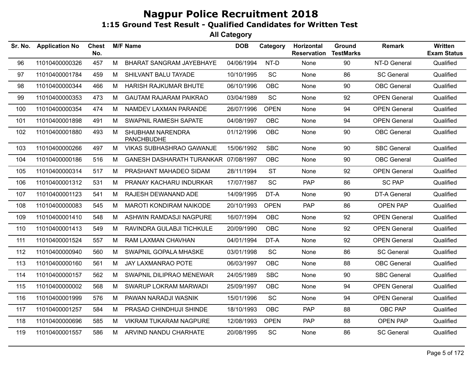| Sr. No. | <b>Application No</b> | <b>Chest</b><br>No. |   | <b>M/F Name</b>                       | <b>DOB</b> | Category    | Horizontal<br><b>Reservation</b> | Ground<br><b>TestMarks</b> | <b>Remark</b>       | <b>Written</b><br><b>Exam Status</b> |
|---------|-----------------------|---------------------|---|---------------------------------------|------------|-------------|----------------------------------|----------------------------|---------------------|--------------------------------------|
| 96      | 11010400000326        | 457                 | M | BHARAT SANGRAM JAYEBHAYE              | 04/06/1994 | NT-D        | None                             | 90                         | NT-D General        | Qualified                            |
| 97      | 11010400001784        | 459                 | M | SHILVANT BALU TAYADE                  | 10/10/1995 | <b>SC</b>   | None                             | 86                         | <b>SC General</b>   | Qualified                            |
| 98      | 11010400000344        | 466                 | M | HARISH RAJKUMAR BHUTE                 | 06/10/1996 | <b>OBC</b>  | None                             | 90                         | <b>OBC</b> General  | Qualified                            |
| 99      | 11010400000353        | 473                 | M | <b>GAUTAM RAJARAM PAIKRAO</b>         | 03/04/1989 | <b>SC</b>   | None                             | 92                         | <b>OPEN General</b> | Qualified                            |
| 100     | 11010400000354        | 474                 | M | NAMDEV LAXMAN PARANDE                 | 26/07/1996 | <b>OPEN</b> | None                             | 94                         | <b>OPEN General</b> | Qualified                            |
| 101     | 11010400001898        | 491                 | М | SWAPNIL RAMESH SAPATE                 | 04/08/1997 | <b>OBC</b>  | None                             | 94                         | <b>OPEN General</b> | Qualified                            |
| 102     | 11010400001880        | 493                 | М | SHUBHAM NARENDRA<br><b>PANCHBUDHE</b> | 01/12/1996 | OBC         | None                             | 90                         | OBC General         | Qualified                            |
| 103     | 11010400000266        | 497                 | M | VIKAS SUBHASHRAO GAWANJE              | 15/06/1992 | <b>SBC</b>  | None                             | 90                         | <b>SBC General</b>  | Qualified                            |
| 104     | 11010400000186        | 516                 | М | GANESH DASHARATH TURANKAR 07/08/1997  |            | <b>OBC</b>  | None                             | 90                         | <b>OBC</b> General  | Qualified                            |
| 105     | 11010400000314        | 517                 | M | PRASHANT MAHADEO SIDAM                | 28/11/1994 | <b>ST</b>   | None                             | 92                         | <b>OPEN General</b> | Qualified                            |
| 106     | 11010400001312        | 531                 | M | PRANAY KACHARU INDURKAR               | 17/07/1987 | SC          | PAP                              | 86                         | <b>SC PAP</b>       | Qualified                            |
| 107     | 11010400001123        | 541                 | M | RAJESH DEWANAND ADE                   | 14/09/1995 | DT-A        | None                             | 90                         | <b>DT-A General</b> | Qualified                            |
| 108     | 11010400000083        | 545                 | M | <b>MAROTI KONDIRAM NAIKODE</b>        | 20/10/1993 | <b>OPEN</b> | <b>PAP</b>                       | 86                         | <b>OPEN PAP</b>     | Qualified                            |
| 109     | 11010400001410        | 548                 | M | ASHWIN RAMDASJI NAGPURE               | 16/07/1994 | <b>OBC</b>  | None                             | 92                         | <b>OPEN General</b> | Qualified                            |
| 110     | 11010400001413        | 549                 | M | RAVINDRA GULABJI TICHKULE             | 20/09/1990 | <b>OBC</b>  | None                             | 92                         | <b>OPEN General</b> | Qualified                            |
| 111     | 11010400001524        | 557                 | M | RAM LAXMAN CHAVHAN                    | 04/01/1994 | DT-A        | None                             | 92                         | <b>OPEN General</b> | Qualified                            |
| 112     | 11010400000940        | 560                 | М | SWAPNIL GOPALA MHASKE                 | 03/01/1998 | SC          | None                             | 86                         | <b>SC General</b>   | Qualified                            |
| 113     | 11010400000160        | 561                 | M | JAY LAXMANRAO POTE                    | 06/03/1997 | <b>OBC</b>  | None                             | 88                         | <b>OBC</b> General  | Qualified                            |
| 114     | 11010400000157        | 562                 | M | SWAPNIL DILIPRAO MENEWAR              | 24/05/1989 | <b>SBC</b>  | None                             | 90                         | <b>SBC General</b>  | Qualified                            |
| 115     | 11010400000002        | 568                 | M | SWARUP LOKRAM MARWADI                 | 25/09/1997 | <b>OBC</b>  | None                             | 94                         | <b>OPEN General</b> | Qualified                            |
| 116     | 11010400001999        | 576                 | M | PAWAN NARADJI WASNIK                  | 15/01/1996 | <b>SC</b>   | None                             | 94                         | <b>OPEN General</b> | Qualified                            |
| 117     | 11010400001257        | 584                 | M | PRASAD CHINDHUJI SHINDE               | 18/10/1993 | <b>OBC</b>  | <b>PAP</b>                       | 88                         | OBC PAP             | Qualified                            |
| 118     | 11010400000696        | 585                 | М | VIKRAM TUKARAM NAGPURE                | 12/08/1993 | <b>OPEN</b> | PAP                              | 88                         | OPEN PAP            | Qualified                            |
| 119     | 11010400001557        | 586                 | M | ARVIND NANDU CHARHATE                 | 20/08/1995 | <b>SC</b>   | None                             | 86                         | <b>SC General</b>   | Qualified                            |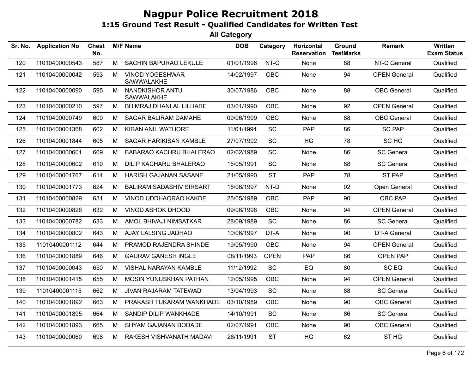| Sr. No. | <b>Application No</b> | <b>Chest</b><br>No. |   | <b>M/F Name</b>                      | <b>DOB</b> | Category    | Horizontal<br><b>Reservation</b> | Ground<br><b>TestMarks</b> | <b>Remark</b>       | Written<br><b>Exam Status</b> |
|---------|-----------------------|---------------------|---|--------------------------------------|------------|-------------|----------------------------------|----------------------------|---------------------|-------------------------------|
| 120     | 11010400000543        | 587                 | M | SACHIN BAPURAO LEKULE                | 01/01/1996 | NT-C        | None                             | 88                         | NT-C General        | Qualified                     |
| 121     | 11010400000042        | 593                 | M | <b>VINOD YOGESHWAR</b><br>SAWWALAKHE | 14/02/1997 | <b>OBC</b>  | None                             | 94                         | <b>OPEN General</b> | Qualified                     |
| 122     | 11010400000090        | 595                 | М | NANDKISHOR ANTU<br>SAWWALAKHE        | 30/07/1986 | OBC         | None                             | 88                         | <b>OBC</b> General  | Qualified                     |
| 123     | 11010400000210        | 597                 | M | <b>BHIMRAJ DHANLAL LILHARE</b>       | 03/01/1990 | <b>OBC</b>  | None                             | 92                         | <b>OPEN General</b> | Qualified                     |
| 124     | 11010400000749        | 600                 | M | SAGAR BALIRAM DAMAHE                 | 09/06/1999 | OBC         | None                             | 88                         | <b>OBC</b> General  | Qualified                     |
| 125     | 11010400001368        | 602                 | M | KIRAN ANIL WATHORE                   | 11/01/1994 | <b>SC</b>   | PAP                              | 86                         | <b>SC PAP</b>       | Qualified                     |
| 126     | 11010400001844        | 605                 | M | <b>SAGAR HARIKISAN KAMBLE</b>        | 27/07/1992 | SC          | HG                               | 78                         | SC HG               | Qualified                     |
| 127     | 11010400000601        | 609                 | M | BABARAO KACHRU BHALERAO              | 02/02/1989 | SC          | None                             | 86                         | <b>SC General</b>   | Qualified                     |
| 128     | 11010400000602        | 610                 | M | <b>DILIP KACHARU BHALERAO</b>        | 15/05/1991 | <b>SC</b>   | None                             | 88                         | <b>SC General</b>   | Qualified                     |
| 129     | 11010400001767        | 614                 | M | HARISH GAJANAN SASANE                | 21/05/1990 | <b>ST</b>   | <b>PAP</b>                       | 78                         | ST PAP              | Qualified                     |
| 130     | 11010400001773        | 624                 | M | <b>BALIRAM SADASHIV SIRSART</b>      | 15/06/1997 | NT-D        | None                             | 92                         | Open General        | Qualified                     |
| 131     | 11010400000829        | 631                 | M | VINOD UDDHAORAO KAKDE                | 25/05/1989 | <b>OBC</b>  | PAP                              | 90                         | <b>OBC PAP</b>      | Qualified                     |
| 132     | 11010400000828        | 632                 | M | <b>VINOD ASHOK DHOOD</b>             | 09/06/1998 | <b>OBC</b>  | None                             | 94                         | <b>OPEN General</b> | Qualified                     |
| 133     | 11010400000782        | 633                 | M | AMOL BHIVAJI NIMSATKAR               | 28/09/1989 | SC          | None                             | 86                         | <b>SC General</b>   | Qualified                     |
| 134     | 11010400000802        | 643                 | M | AJAY LALSING JADHAO                  | 10/06/1997 | DT-A        | None                             | 90                         | <b>DT-A General</b> | Qualified                     |
| 135     | 11010400001112        | 644                 | M | PRAMOD RAJENDRA SHINDE               | 19/05/1990 | <b>OBC</b>  | None                             | 94                         | <b>OPEN General</b> | Qualified                     |
| 136     | 11010400001889        | 646                 | M | <b>GAURAV GANESH INGLE</b>           | 08/11/1993 | <b>OPEN</b> | <b>PAP</b>                       | 86                         | <b>OPEN PAP</b>     | Qualified                     |
| 137     | 11010400000043        | 650                 | M | VISHAL NARAYAN KAMBLE                | 11/12/1992 | SC          | EQ                               | 80                         | SC EQ               | Qualified                     |
| 138     | 11010400001415        | 655                 | M | MOSIN YUNUSKHAN PATHAN               | 12/05/1995 | OBC         | None                             | 94                         | <b>OPEN General</b> | Qualified                     |
| 139     | 11010400001115        | 662                 | M | JIVAN RAJARAM TATEWAD                | 13/04/1993 | SC          | None                             | 88                         | <b>SC General</b>   | Qualified                     |
| 140     | 11010400001892        | 663                 | M | PRAKASH TUKARAM WANKHADE             | 03/10/1989 | OBC         | None                             | 90                         | <b>OBC</b> General  | Qualified                     |
| 141     | 11010400001895        | 664                 | M | SANDIP DILIP WANKHADE                | 14/10/1991 | SC          | None                             | 86                         | <b>SC General</b>   | Qualified                     |
| 142     | 11010400001893        | 665                 | M | SHYAM GAJANAN BODADE                 | 02/07/1991 | OBC         | None                             | 90                         | <b>OBC</b> General  | Qualified                     |
| 143     | 11010400000060        | 698                 | M | RAKESH VISHVANATH MADAVI             | 26/11/1991 | <b>ST</b>   | HG                               | 62                         | ST <sub>HG</sub>    | Qualified                     |
|         |                       |                     |   |                                      |            |             |                                  |                            |                     |                               |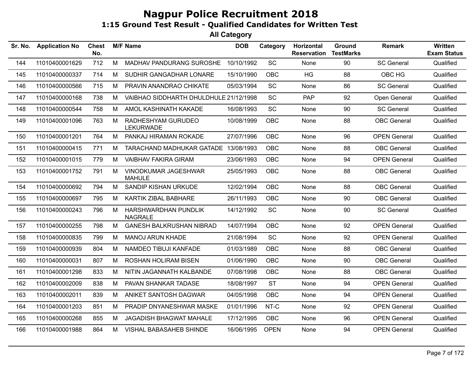| Sr. No. | <b>Application No</b> | <b>Chest</b><br>No. |   | <b>M/F Name</b>                        | <b>DOB</b> | Category    | Horizontal<br><b>Reservation</b> | Ground<br><b>TestMarks</b> | Remark              | Written<br><b>Exam Status</b> |
|---------|-----------------------|---------------------|---|----------------------------------------|------------|-------------|----------------------------------|----------------------------|---------------------|-------------------------------|
| 144     | 11010400001629        | 712                 | M | MADHAV PANDURANG SUROSHE               | 10/10/1992 | SC          | None                             | 90                         | <b>SC General</b>   | Qualified                     |
| 145     | 11010400000337        | 714                 | M | SUDHIR GANGADHAR LONARE                | 15/10/1990 | <b>OBC</b>  | HG                               | 88                         | OBC HG              | Qualified                     |
| 146     | 11010400000566        | 715                 | M | PRAVIN ANANDRAO CHIKATE                | 05/03/1994 | SC          | None                             | 86                         | <b>SC General</b>   | Qualified                     |
| 147     | 11010400000168        | 738                 | M | VAIBHAO SIDDHARTH DHULDHULE 21/12/1998 |            | <b>SC</b>   | PAP                              | 92                         | Open General        | Qualified                     |
| 148     | 11010400000544        | 758                 | M | AMOL KASHINATH KAKADE                  | 16/08/1993 | <b>SC</b>   | None                             | 90                         | <b>SC General</b>   | Qualified                     |
| 149     | 11010400001096        | 763                 | M | RADHESHYAM GURUDEO<br><b>LEKURWADE</b> | 10/08/1999 | OBC         | None                             | 88                         | <b>OBC</b> General  | Qualified                     |
| 150     | 11010400001201        | 764                 | M | PANKAJ HIRAMAN ROKADE                  | 27/07/1996 | <b>OBC</b>  | None                             | 96                         | <b>OPEN General</b> | Qualified                     |
| 151     | 11010400000415        | 771                 | м | TARACHAND MADHUKAR GATADE 13/08/1993   |            | <b>OBC</b>  | None                             | 88                         | <b>OBC</b> General  | Qualified                     |
| 152     | 11010400001015        | 779                 | M | <b>VAIBHAV FAKIRA GIRAM</b>            | 23/06/1993 | <b>OBC</b>  | None                             | 94                         | <b>OPEN General</b> | Qualified                     |
| 153     | 11010400001752        | 791                 | М | VINODKUMAR JAGESHWAR<br><b>MAHULE</b>  | 25/05/1993 | <b>OBC</b>  | None                             | 88                         | <b>OBC</b> General  | Qualified                     |
| 154     | 11010400000692        | 794                 | M | SANDIP KISHAN URKUDE                   | 12/02/1994 | <b>OBC</b>  | None                             | 88                         | <b>OBC</b> General  | Qualified                     |
| 155     | 11010400000697        | 795                 | M | KARTIK ZIBAL BABHARE                   | 26/11/1993 | <b>OBC</b>  | None                             | 90                         | <b>OBC</b> General  | Qualified                     |
| 156     | 11010400000243        | 796                 | M | HARSHWARDHAN PUNDLIK<br><b>NAGRALE</b> | 14/12/1992 | SC          | None                             | 90                         | <b>SC General</b>   | Qualified                     |
| 157     | 11010400000255        | 798                 | M | <b>GANESH BALKRUSHAN NIBRAD</b>        | 14/07/1994 | <b>OBC</b>  | None                             | 92                         | <b>OPEN General</b> | Qualified                     |
| 158     | 11010400000835        | 799                 | М | <b>MANOJ ARUN KHADE</b>                | 21/08/1994 | <b>SC</b>   | None                             | 92                         | <b>OPEN General</b> | Qualified                     |
| 159     | 11010400000939        | 804                 | M | NAMDEO TIBUJI KANFADE                  | 01/03/1989 | <b>OBC</b>  | None                             | 88                         | <b>OBC</b> General  | Qualified                     |
| 160     | 11010400000031        | 807                 | М | ROSHAN HOLIRAM BISEN                   | 01/06/1990 | <b>OBC</b>  | None                             | 90                         | <b>OBC</b> General  | Qualified                     |
| 161     | 11010400001298        | 833                 | M | NITIN JAGANNATH KALBANDE               | 07/08/1998 | <b>OBC</b>  | None                             | 88                         | <b>OBC</b> General  | Qualified                     |
| 162     | 11010400002009        | 838                 | M | PAVAN SHANKAR TADASE                   | 18/08/1997 | <b>ST</b>   | None                             | 94                         | <b>OPEN General</b> | Qualified                     |
| 163     | 11010400002011        | 839                 | M | ANIKET SANTOSH DAGWAR                  | 04/05/1998 | <b>OBC</b>  | None                             | 94                         | <b>OPEN General</b> | Qualified                     |
| 164     | 11010400001203        | 851                 | M | PRADIP DNYANESHWAR MASKE               | 01/01/1996 | NT-C        | None                             | 92                         | <b>OPEN General</b> | Qualified                     |
| 165     | 11010400000268        | 855                 | M | <b>JAGADISH BHAGWAT MAHALE</b>         | 17/12/1995 | <b>OBC</b>  | None                             | 96                         | <b>OPEN General</b> | Qualified                     |
| 166     | 11010400001988        | 864                 | M | VISHAL BABASAHEB SHINDE                | 16/06/1995 | <b>OPEN</b> | None                             | 94                         | <b>OPEN General</b> | Qualified                     |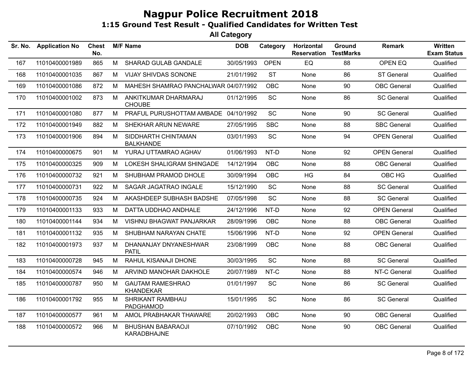| Sr. No. | <b>Application No</b> | <b>Chest</b><br>No. |   | <b>M/F Name</b>                             | <b>DOB</b> | Category    | <b>Horizontal</b><br><b>Reservation</b> | <b>Ground</b><br><b>TestMarks</b> | <b>Remark</b>       | <b>Written</b><br><b>Exam Status</b> |
|---------|-----------------------|---------------------|---|---------------------------------------------|------------|-------------|-----------------------------------------|-----------------------------------|---------------------|--------------------------------------|
| 167     | 11010400001989        | 865                 | M | <b>SHARAD GULAB GANDALE</b>                 | 30/05/1993 | <b>OPEN</b> | EQ                                      | 88                                | OPEN EQ             | Qualified                            |
| 168     | 11010400001035        | 867                 | M | <b>VIJAY SHIVDAS SONONE</b>                 | 21/01/1992 | <b>ST</b>   | None                                    | 86                                | <b>ST General</b>   | Qualified                            |
| 169     | 11010400001086        | 872                 | М | MAHESH SHAMRAO PANCHALWAR 04/07/1992        |            | <b>OBC</b>  | None                                    | 90                                | <b>OBC</b> General  | Qualified                            |
| 170     | 11010400001002        | 873                 | M | ANKITKUMAR DHARMARAJ<br><b>CHOUBE</b>       | 01/12/1995 | SC          | None                                    | 86                                | <b>SC General</b>   | Qualified                            |
| 171     | 11010400001080        | 877                 | М | PRAFUL PURUSHOTTAM AMBADE 04/10/1992        |            | SC          | None                                    | 90                                | <b>SC General</b>   | Qualified                            |
| 172     | 11010400001949        | 882                 | M | SHEKHAR ARUN NEWARE                         | 27/05/1995 | <b>SBC</b>  | None                                    | 88                                | <b>SBC General</b>  | Qualified                            |
| 173     | 11010400001906        | 894                 | M | SIDDHARTH CHINTAMAN<br><b>BALKHANDE</b>     | 03/01/1993 | SC          | None                                    | 94                                | <b>OPEN General</b> | Qualified                            |
| 174     | 11010400000675        | 901                 | M | YURAJ UTTAMRAO AGHAV                        | 01/06/1993 | NT-D        | None                                    | 92                                | <b>OPEN General</b> | Qualified                            |
| 175     | 11010400000325        | 909                 | М | LOKESH SHALIGRAM SHINGADE                   | 14/12/1994 | OBC         | None                                    | 88                                | <b>OBC</b> General  | Qualified                            |
| 176     | 11010400000732        | 921                 | M | SHUBHAM PRAMOD DHOLE                        | 30/09/1994 | <b>OBC</b>  | <b>HG</b>                               | 84                                | OBC HG              | Qualified                            |
| 177     | 11010400000731        | 922                 | M | SAGAR JAGATRAO INGALE                       | 15/12/1990 | <b>SC</b>   | None                                    | 88                                | <b>SC General</b>   | Qualified                            |
| 178     | 11010400000735        | 924                 | M | AKASHDEEP SUBHASH BADSHE                    | 07/05/1998 | SC          | None                                    | 88                                | <b>SC General</b>   | Qualified                            |
| 179     | 11010400001133        | 933                 | M | DATTA UDDHAO ANDHALE                        | 24/12/1996 | NT-D        | None                                    | 92                                | <b>OPEN General</b> | Qualified                            |
| 180     | 11010400001144        | 934                 | M | VISHNU BHAGWAT PANJARKAR                    | 28/09/1996 | <b>OBC</b>  | None                                    | 88                                | <b>OBC General</b>  | Qualified                            |
| 181     | 11010400001132        | 935                 | M | SHUBHAM NARAYAN CHATE                       | 15/06/1996 | NT-D        | None                                    | 92                                | <b>OPEN General</b> | Qualified                            |
| 182     | 11010400001973        | 937                 | M | DHANANJAY DNYANESHWAR<br><b>PATIL</b>       | 23/08/1999 | <b>OBC</b>  | None                                    | 88                                | <b>OBC</b> General  | Qualified                            |
| 183     | 11010400000728        | 945                 | M | RAHUL KISANAJI DHONE                        | 30/03/1995 | SC          | None                                    | 88                                | <b>SC General</b>   | Qualified                            |
| 184     | 11010400000574        | 946                 | M | ARVIND MANOHAR DAKHOLE                      | 20/07/1989 | NT-C        | None                                    | 88                                | NT-C General        | Qualified                            |
| 185     | 11010400000787        | 950                 | М | <b>GAUTAM RAMESHRAO</b><br><b>KHANDEKAR</b> | 01/01/1997 | <b>SC</b>   | None                                    | 86                                | <b>SC General</b>   | Qualified                            |
| 186     | 11010400001792        | 955                 | M | <b>SHRIKANT RAMBHAU</b><br>PADGHAMOD        | 15/01/1995 | SC          | None                                    | 86                                | <b>SC General</b>   | Qualified                            |
| 187     | 11010400000577        | 961                 | M | AMOL PRABHAKAR THAWARE                      | 20/02/1993 | <b>OBC</b>  | None                                    | 90                                | <b>OBC</b> General  | Qualified                            |
| 188     | 11010400000572        | 966                 | м | <b>BHUSHAN BABARAOJI</b><br>KARADBHAJNE     | 07/10/1992 | <b>OBC</b>  | None                                    | 90                                | <b>OBC</b> General  | Qualified                            |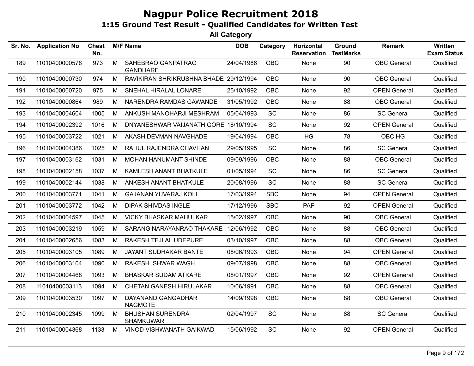| Sr. No. | <b>Application No</b> | <b>Chest</b><br>No. |   | <b>M/F Name</b>                             | <b>DOB</b> | Category   | Horizontal<br><b>Reservation</b> | Ground<br><b>TestMarks</b> | <b>Remark</b>       | <b>Written</b><br><b>Exam Status</b> |
|---------|-----------------------|---------------------|---|---------------------------------------------|------------|------------|----------------------------------|----------------------------|---------------------|--------------------------------------|
| 189     | 11010400000578        | 973                 | M | SAHEBRAO GANPATRAO<br><b>GANDHARE</b>       | 24/04/1986 | <b>OBC</b> | None                             | 90                         | <b>OBC</b> General  | Qualified                            |
| 190     | 11010400000730        | 974                 | M | RAVIKIRAN SHRIKRUSHNA BHADE 29/12/1994      |            | <b>OBC</b> | None                             | 90                         | <b>OBC</b> General  | Qualified                            |
| 191     | 11010400000720        | 975                 | M | SNEHAL HIRALAL LONARE                       | 25/10/1992 | OBC        | None                             | 92                         | <b>OPEN General</b> | Qualified                            |
| 192     | 11010400000864        | 989                 | M | NARENDRA RAMDAS GAWANDE                     | 31/05/1992 | OBC        | None                             | 88                         | <b>OBC</b> General  | Qualified                            |
| 193     | 11010400004604        | 1005                | M | ANKUSH MANOHARJI MESHRAM                    | 05/04/1993 | <b>SC</b>  | None                             | 86                         | <b>SC General</b>   | Qualified                            |
| 194     | 11010400002392        | 1016                | M | DNYANESHWAR VAIJANATH GORE 18/10/1994       |            | <b>SC</b>  | None                             | 92                         | <b>OPEN General</b> | Qualified                            |
| 195     | 11010400003722        | 1021                | M | AKASH DEVMAN NAVGHADE                       | 19/04/1994 | <b>OBC</b> | HG                               | 78                         | OBC HG              | Qualified                            |
| 196     | 11010400004386        | 1025                | M | RAHUL RAJENDRA CHAVHAN                      | 29/05/1995 | SC         | None                             | 86                         | <b>SC General</b>   | Qualified                            |
| 197     | 11010400003162        | 1031                | M | MOHAN HANUMANT SHINDE                       | 09/09/1996 | <b>OBC</b> | None                             | 88                         | <b>OBC</b> General  | Qualified                            |
| 198     | 11010400002158        | 1037                | M | KAMLESH ANANT BHATKULE                      | 01/05/1994 | <b>SC</b>  | None                             | 86                         | <b>SC General</b>   | Qualified                            |
| 199     | 11010400002144        | 1038                | M | ANKESH ANANT BHATKULE                       | 20/08/1996 | <b>SC</b>  | None                             | 88                         | <b>SC General</b>   | Qualified                            |
| 200     | 11010400003771        | 1041                | M | <b>GAJANAN YUVARAJ KOLI</b>                 | 17/03/1994 | <b>SBC</b> | None                             | 94                         | <b>OPEN General</b> | Qualified                            |
| 201     | 11010400003772        | 1042                | M | <b>DIPAK SHIVDAS INGLE</b>                  | 17/12/1996 | <b>SBC</b> | <b>PAP</b>                       | 92                         | <b>OPEN General</b> | Qualified                            |
| 202     | 11010400004597        | 1045                | M | <b>VICKY BHASKAR MAHULKAR</b>               | 15/02/1997 | <b>OBC</b> | None                             | 90                         | <b>OBC</b> General  | Qualified                            |
| 203     | 11010400003219        | 1059                | M | SARANG NARAYANRAO THAKARE 12/06/1992        |            | OBC        | None                             | 88                         | <b>OBC</b> General  | Qualified                            |
| 204     | 11010400002656        | 1083                | M | RAKESH TEJLAL UDEPURE                       | 03/10/1997 | <b>OBC</b> | None                             | 88                         | <b>OBC</b> General  | Qualified                            |
| 205     | 11010400003105        | 1089                | M | JAYANT SUDHAKAR BANTE                       | 08/06/1993 | OBC        | None                             | 94                         | <b>OPEN General</b> | Qualified                            |
| 206     | 11010400003104        | 1090                | M | <b>RAKESH ISHWAR WAGH</b>                   | 09/07/1998 | OBC        | None                             | 88                         | <b>OBC</b> General  | Qualified                            |
| 207     | 11010400004468        | 1093                | M | <b>BHASKAR SUDAM ATKARE</b>                 | 08/01/1997 | <b>OBC</b> | None                             | 92                         | <b>OPEN General</b> | Qualified                            |
| 208     | 11010400003113        | 1094                | M | CHETAN GANESH HIRULAKAR                     | 10/06/1991 | <b>OBC</b> | None                             | 88                         | <b>OBC</b> General  | Qualified                            |
| 209     | 11010400003530        | 1097                | M | DAYANAND GANGADHAR<br><b>NAGMOTE</b>        | 14/09/1998 | OBC        | None                             | 88                         | <b>OBC</b> General  | Qualified                            |
| 210     | 11010400002345        | 1099                | M | <b>BHUSHAN SURENDRA</b><br><b>SHAMKUWAR</b> | 02/04/1997 | SC         | None                             | 88                         | <b>SC General</b>   | Qualified                            |
| 211     | 11010400004368        | 1133                | M | VINOD VISHWANATH GAIKWAD                    | 15/06/1992 | SC         | None                             | 92                         | <b>OPEN General</b> | Qualified                            |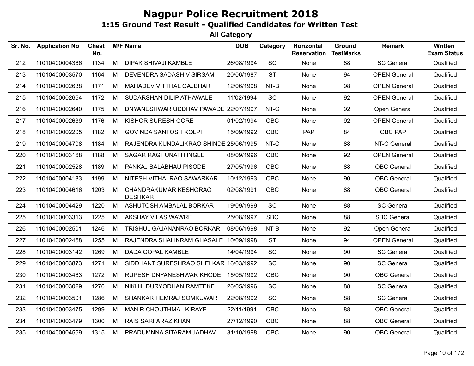| Sr. No. | <b>Application No</b> | <b>Chest</b><br>No. |   | <b>M/F Name</b>                         | <b>DOB</b> | Category                     | Horizontal<br><b>Reservation</b> | Ground<br><b>TestMarks</b> | <b>Remark</b>       | Written<br><b>Exam Status</b> |
|---------|-----------------------|---------------------|---|-----------------------------------------|------------|------------------------------|----------------------------------|----------------------------|---------------------|-------------------------------|
| 212     | 11010400004366        | 1134                | M | DIPAK SHIVAJI KAMBLE                    | 26/08/1994 | $\operatorname{\textsf{SC}}$ | None                             | 88                         | <b>SC General</b>   | Qualified                     |
| 213     | 11010400003570        | 1164                | М | DEVENDRA SADASHIV SIRSAM                | 20/06/1987 | <b>ST</b>                    | None                             | 94                         | <b>OPEN General</b> | Qualified                     |
| 214     | 11010400002638        | 1171                | M | MAHADEV VITTHAL GAJBHAR                 | 12/06/1998 | NT-B                         | None                             | 98                         | <b>OPEN General</b> | Qualified                     |
| 215     | 11010400002654        | 1172                | М | SUDARSHAN DILIP ATHAWALE                | 11/02/1994 | <b>SC</b>                    | None                             | 92                         | <b>OPEN General</b> | Qualified                     |
| 216     | 11010400002640        | 1175                | M | DNYANESHWAR UDDHAV PAWADE 22/07/1997    |            | NT-C                         | None                             | 92                         | Open General        | Qualified                     |
| 217     | 11010400002639        | 1176                | M | KISHOR SURESH GORE                      | 01/02/1994 | <b>OBC</b>                   | None                             | 92                         | <b>OPEN General</b> | Qualified                     |
| 218     | 11010400002205        | 1182                | М | <b>GOVINDA SANTOSH KOLPI</b>            | 15/09/1992 | <b>OBC</b>                   | PAP                              | 84                         | OBC PAP             | Qualified                     |
| 219     | 11010400004708        | 1184                | М | RAJENDRA KUNDALIKRAO SHINDE 25/06/1995  |            | NT-C                         | None                             | 88                         | NT-C General        | Qualified                     |
| 220     | 11010400003168        | 1188                | M | SAGAR RAGHUNATH INGLE                   | 08/09/1996 | <b>OBC</b>                   | None                             | 92                         | <b>OPEN General</b> | Qualified                     |
| 221     | 11010400002528        | 1189                | M | PANKAJ BALABHAU PISODE                  | 27/05/1996 | OBC                          | None                             | 88                         | <b>OBC</b> General  | Qualified                     |
| 222     | 11010400004183        | 1199                | М | NITESH VITHALRAO SAWARKAR               | 10/12/1993 | <b>OBC</b>                   | None                             | 90                         | <b>OBC</b> General  | Qualified                     |
| 223     | 11010400004616        | 1203                | M | CHANDRAKUMAR KESHORAO<br><b>DESHKAR</b> | 02/08/1991 | <b>OBC</b>                   | None                             | 88                         | <b>OBC</b> General  | Qualified                     |
| 224     | 11010400004429        | 1220                | M | ASHUTOSH AMBALAL BORKAR                 | 19/09/1999 | SC                           | None                             | 88                         | <b>SC General</b>   | Qualified                     |
| 225     | 11010400003313        | 1225                | M | <b>AKSHAY VILAS WAWRE</b>               | 25/08/1997 | <b>SBC</b>                   | None                             | 88                         | <b>SBC General</b>  | Qualified                     |
| 226     | 11010400002501        | 1246                | M | TRISHUL GAJANANRAO BORKAR               | 08/06/1998 | $NT-B$                       | None                             | 92                         | Open General        | Qualified                     |
| 227     | 11010400002468        | 1255                | M | RAJENDRA SHALIKRAM GHASALE 10/09/1998   |            | <b>ST</b>                    | None                             | 94                         | <b>OPEN General</b> | Qualified                     |
| 228     | 11010400003142        | 1269                | M | DADA GOPAL KAMBLE                       | 14/04/1994 | SC                           | None                             | 90                         | <b>SC General</b>   | Qualified                     |
| 229     | 11010400003873        | 1271                | М | SIDDHANT SURESHRAO SHELKAR 16/03/1992   |            | SC                           | None                             | 90                         | <b>SC General</b>   | Qualified                     |
| 230     | 11010400003463        | 1272                | М | RUPESH DNYANESHWAR KHODE 15/05/1992     |            | <b>OBC</b>                   | None                             | 90                         | <b>OBC</b> General  | Qualified                     |
| 231     | 11010400003029        | 1276                | М | NIKHIL DURYODHAN RAMTEKE                | 26/05/1996 | SC                           | None                             | 88                         | <b>SC General</b>   | Qualified                     |
| 232     | 11010400003501        | 1286                | М | SHANKAR HEMRAJ SOMKUWAR                 | 22/08/1992 | <b>SC</b>                    | None                             | 88                         | <b>SC General</b>   | Qualified                     |
| 233     | 11010400003475        | 1299                | M | MANIR CHOUTHMAL KIRAYE                  | 22/11/1991 | <b>OBC</b>                   | None                             | 88                         | <b>OBC</b> General  | Qualified                     |
| 234     | 11010400003479        | 1300                | M | RAIS SARFARAZ KHAN                      | 27/12/1990 | <b>OBC</b>                   | None                             | 88                         | <b>OBC</b> General  | Qualified                     |
| 235     | 11010400004559        | 1315                | M | PRADUMNNA SITARAM JADHAV                | 31/10/1998 | <b>OBC</b>                   | None                             | 90                         | <b>OBC</b> General  | Qualified                     |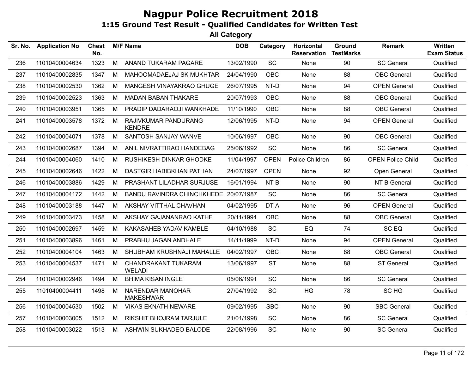| Sr. No. | <b>Application No</b> | <b>Chest</b><br>No. |   | <b>M/F Name</b>                       | <b>DOB</b> | Category    | Horizontal<br><b>Reservation</b> | Ground<br><b>TestMarks</b> | <b>Remark</b>            | Written<br><b>Exam Status</b> |
|---------|-----------------------|---------------------|---|---------------------------------------|------------|-------------|----------------------------------|----------------------------|--------------------------|-------------------------------|
| 236     | 11010400004634        | 1323                | M | ANAND TUKARAM PAGARE                  | 13/02/1990 | SC          | None                             | 90                         | <b>SC General</b>        | Qualified                     |
| 237     | 11010400002835        | 1347                | M | MAHOOMADAEJAJ SK MUKHTAR              | 24/04/1990 | <b>OBC</b>  | None                             | 88                         | <b>OBC</b> General       | Qualified                     |
| 238     | 11010400002530        | 1362                | M | MANGESH VINAYAKRAO GHUGE              | 26/07/1995 | NT-D        | None                             | 94                         | <b>OPEN General</b>      | Qualified                     |
| 239     | 11010400002523        | 1363                | M | <b>MADAN BABAN THAKARE</b>            | 20/07/1993 | <b>OBC</b>  | None                             | 88                         | <b>OBC</b> General       | Qualified                     |
| 240     | 11010400003951        | 1365                | M | PRADIP DADARAOJI WANKHADE             | 11/10/1990 | <b>OBC</b>  | None                             | 88                         | <b>OBC</b> General       | Qualified                     |
| 241     | 11010400003578        | 1372                | M | RAJIVKUMAR PANDURANG<br><b>KENDRE</b> | 12/06/1995 | NT-D        | None                             | 94                         | <b>OPEN General</b>      | Qualified                     |
| 242     | 11010400004071        | 1378                | M | SANTOSH SANJAY WANVE                  | 10/06/1997 | <b>OBC</b>  | None                             | 90                         | <b>OBC</b> General       | Qualified                     |
| 243     | 11010400002687        | 1394                | M | ANIL NIVRATTIRAO HANDEBAG             | 25/06/1992 | SC          | None                             | 86                         | <b>SC General</b>        | Qualified                     |
| 244     | 11010400004060        | 1410                | M | RUSHIKESH DINKAR GHODKE               | 11/04/1997 | <b>OPEN</b> | Police Children                  | 86                         | <b>OPEN Police Child</b> | Qualified                     |
| 245     | 11010400002646        | 1422                | М | DASTGIR HABIBKHAN PATHAN              | 24/07/1997 | <b>OPEN</b> | None                             | 92                         | Open General             | Qualified                     |
| 246     | 11010400003886        | 1429                | М | PRASHANT LILADHAR SURJUSE             | 16/01/1994 | $NT-B$      | None                             | 90                         | NT-B General             | Qualified                     |
| 247     | 11010400004172        | 1442                | M | BANDU RAVINDRA CHINCHKHEDE 20/07/1987 |            | <b>SC</b>   | None                             | 86                         | <b>SC General</b>        | Qualified                     |
| 248     | 11010400003188        | 1447                | M | AKSHAY VITTHAL CHAVHAN                | 04/02/1995 | DT-A        | None                             | 96                         | <b>OPEN General</b>      | Qualified                     |
| 249     | 11010400003473        | 1458                | M | AKSHAY GAJANANRAO KATHE               | 20/11/1994 | <b>OBC</b>  | None                             | 88                         | <b>OBC</b> General       | Qualified                     |
| 250     | 11010400002697        | 1459                | М | KAKASAHEB YADAV KAMBLE                | 04/10/1988 | SC          | EQ                               | 74                         | SC EQ                    | Qualified                     |
| 251     | 11010400003896        | 1461                | M | PRABHU JAGAN ANDHALE                  | 14/11/1999 | NT-D        | None                             | 94                         | <b>OPEN General</b>      | Qualified                     |
| 252     | 11010400004104        | 1463                | М | SHUBHAM KRUSHNAJI MAHALLE             | 04/02/1997 | OBC         | None                             | 88                         | <b>OBC</b> General       | Qualified                     |
| 253     | 11010400004537        | 1471                | M | CHANDRAKANT TUKARAM<br>WELADI         | 13/06/1997 | <b>ST</b>   | None                             | 88                         | <b>ST General</b>        | Qualified                     |
| 254     | 11010400002946        | 1494                | M | <b>BHIMA KISAN INGLE</b>              | 05/06/1991 | SC          | None                             | 86                         | <b>SC General</b>        | Qualified                     |
| 255     | 11010400004411        | 1498                | M | NARENDAR MANOHAR<br><b>MAKESHWAR</b>  | 27/04/1992 | <b>SC</b>   | HG                               | 78                         | SC <sub>HG</sub>         | Qualified                     |
| 256     | 11010400004530        | 1502                | M | <b>VIKAS EKNATH NEWARE</b>            | 09/02/1995 | <b>SBC</b>  | None                             | 90                         | <b>SBC General</b>       | Qualified                     |
| 257     | 11010400003005        | 1512                | M | RIKSHIT BHOJRAM TARJULE               | 21/01/1998 | <b>SC</b>   | None                             | 86                         | <b>SC General</b>        | Qualified                     |
| 258     | 11010400003022        | 1513                | M | ASHWIN SUKHADEO BALODE                | 22/08/1996 | SC          | None                             | 90                         | <b>SC General</b>        | Qualified                     |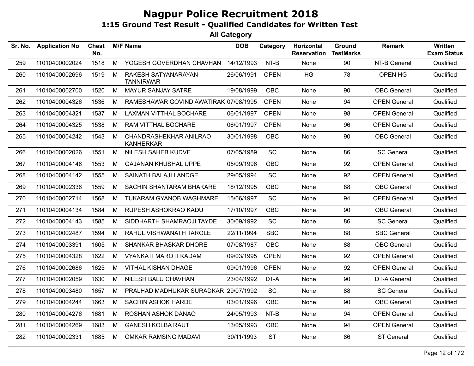| Sr. No. | <b>Application No</b> | <b>Chest</b><br>No. |   | <b>M/F Name</b>                            | <b>DOB</b> | Category    | Horizontal<br><b>Reservation</b> | Ground<br><b>TestMarks</b> | <b>Remark</b>       | Written<br><b>Exam Status</b> |
|---------|-----------------------|---------------------|---|--------------------------------------------|------------|-------------|----------------------------------|----------------------------|---------------------|-------------------------------|
| 259     | 11010400002024        | 1518                | M | YOGESH GOVERDHAN CHAVHAN                   | 14/12/1993 | NT-B        | None                             | 90                         | NT-B General        | Qualified                     |
| 260     | 11010400002696        | 1519                | м | RAKESH SATYANARAYAN<br><b>TANNIRWAR</b>    | 26/06/1991 | <b>OPEN</b> | HG                               | 78                         | OPEN HG             | Qualified                     |
| 261     | 11010400002700        | 1520                | M | MAYUR SANJAY SATRE                         | 19/08/1999 | <b>OBC</b>  | None                             | 90                         | <b>OBC</b> General  | Qualified                     |
| 262     | 11010400004326        | 1536                | M | RAMESHAWAR GOVIND AWATIRAK 07/08/1995      |            | <b>OPEN</b> | None                             | 94                         | <b>OPEN General</b> | Qualified                     |
| 263     | 11010400004321        | 1537                | M | <b>LAXMAN VITTHAL BOCHARE</b>              | 06/01/1997 | <b>OPEN</b> | None                             | 98                         | <b>OPEN General</b> | Qualified                     |
| 264     | 11010400004325        | 1538                | М | RAM VITTHAL BOCHARE                        | 06/01/1997 | <b>OPEN</b> | None                             | 96                         | <b>OPEN General</b> | Qualified                     |
| 265     | 11010400004242        | 1543                | M | CHANDRASHEKHAR ANILRAO<br><b>KANHERKAR</b> | 30/01/1998 | <b>OBC</b>  | None                             | 90                         | <b>OBC</b> General  | Qualified                     |
| 266     | 11010400002026        | 1551                | M | NILESH SAHEB KUDVE                         | 07/05/1989 | SC          | None                             | 86                         | <b>SC General</b>   | Qualified                     |
| 267     | 11010400004146        | 1553                | M | <b>GAJANAN KHUSHAL UPPE</b>                | 05/09/1996 | <b>OBC</b>  | None                             | 92                         | <b>OPEN General</b> | Qualified                     |
| 268     | 11010400004142        | 1555                | M | SAINATH BALAJI LANDGE                      | 29/05/1994 | SC          | None                             | 92                         | <b>OPEN General</b> | Qualified                     |
| 269     | 11010400002336        | 1559                | M | SACHIN SHANTARAM BHAKARE                   | 18/12/1995 | <b>OBC</b>  | None                             | 88                         | <b>OBC</b> General  | Qualified                     |
| 270     | 11010400002714        | 1568                | M | TUKARAM GYANOB WAGHMARE                    | 15/06/1997 | <b>SC</b>   | None                             | 94                         | <b>OPEN General</b> | Qualified                     |
| 271     | 11010400004134        | 1584                | м | RUPESH ASHOKRAO KADU                       | 17/10/1997 | <b>OBC</b>  | None                             | 90                         | <b>OBC</b> General  | Qualified                     |
| 272     | 11010400004143        | 1585                | М | SIDDHARTH SHAMRAOJI TAYDE                  | 30/09/1992 | <b>SC</b>   | None                             | 86                         | <b>SC General</b>   | Qualified                     |
| 273     | 11010400002487        | 1594                | М | RAHUL VISHWANATH TAROLE                    | 22/11/1994 | <b>SBC</b>  | None                             | 88                         | <b>SBC General</b>  | Qualified                     |
| 274     | 11010400003391        | 1605                | М | SHANKAR BHASKAR DHORE                      | 07/08/1987 | <b>OBC</b>  | None                             | 88                         | <b>OBC</b> General  | Qualified                     |
| 275     | 11010400004328        | 1622                | M | <b>VYANKATI MAROTI KADAM</b>               | 09/03/1995 | <b>OPEN</b> | None                             | 92                         | <b>OPEN General</b> | Qualified                     |
| 276     | 11010400002686        | 1625                | M | <b>VITHAL KISHAN DHAGE</b>                 | 09/01/1996 | <b>OPEN</b> | None                             | 92                         | <b>OPEN General</b> | Qualified                     |
| 277     | 11010400002059        | 1630                | М | NILESH BALU CHAVHAN                        | 23/04/1992 | DT-A        | None                             | 90                         | <b>DT-A General</b> | Qualified                     |
| 278     | 11010400003480        | 1657                | М | PRALHAD MADHUKAR SURADKAR 29/07/1992       |            | SC          | None                             | 88                         | <b>SC General</b>   | Qualified                     |
| 279     | 11010400004244        | 1663                | М | <b>SACHIN ASHOK HARDE</b>                  | 03/01/1996 | <b>OBC</b>  | None                             | 90                         | <b>OBC</b> General  | Qualified                     |
| 280     | 11010400004276        | 1681                | M | ROSHAN ASHOK DANAO                         | 24/05/1993 | NT-B        | None                             | 94                         | <b>OPEN General</b> | Qualified                     |
| 281     | 11010400004269        | 1683                | М | <b>GANESH KOLBA RAUT</b>                   | 13/05/1993 | <b>OBC</b>  | None                             | 94                         | <b>OPEN General</b> | Qualified                     |
| 282     | 11010400002331        | 1685                | М | <b>OMKAR RAMSING MADAVI</b>                | 30/11/1993 | <b>ST</b>   | None                             | 86                         | <b>ST General</b>   | Qualified                     |
|         |                       |                     |   |                                            |            |             |                                  |                            |                     |                               |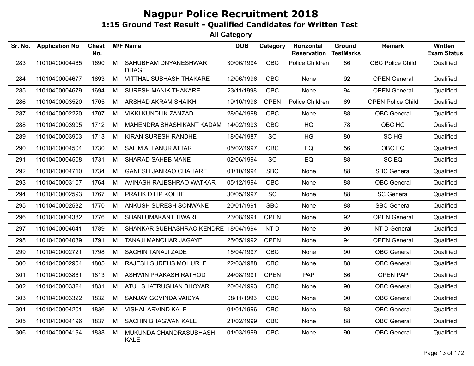| Sr. No. | <b>Application No</b> | <b>Chest</b><br>No. |   | <b>M/F Name</b>                       | <b>DOB</b> | Category    | Horizontal<br><b>Reservation</b> | Ground<br><b>TestMarks</b> | <b>Remark</b>            | Written<br><b>Exam Status</b> |
|---------|-----------------------|---------------------|---|---------------------------------------|------------|-------------|----------------------------------|----------------------------|--------------------------|-------------------------------|
| 283     | 11010400004465        | 1690                | M | SAHUBHAM DNYANESHWAR<br><b>DHAGE</b>  | 30/06/1994 | OBC         | Police Children                  | 86                         | <b>OBC Police Child</b>  | Qualified                     |
| 284     | 11010400004677        | 1693                | M | <b>VITTHAL SUBHASH THAKARE</b>        | 12/06/1996 | <b>OBC</b>  | None                             | 92                         | <b>OPEN General</b>      | Qualified                     |
| 285     | 11010400004679        | 1694                | М | <b>SURESH MANIK THAKARE</b>           | 23/11/1998 | OBC         | None                             | 94                         | <b>OPEN General</b>      | Qualified                     |
| 286     | 11010400003520        | 1705                | M | ARSHAD AKRAM SHAIKH                   | 19/10/1998 | <b>OPEN</b> | Police Children                  | 69                         | <b>OPEN Police Child</b> | Qualified                     |
| 287     | 11010400002220        | 1707                | M | <b>VIKKI KUNDLIK ZANZAD</b>           | 28/04/1998 | <b>OBC</b>  | None                             | 88                         | <b>OBC</b> General       | Qualified                     |
| 288     | 11010400003905        | 1712                | M | MAHENDRA SHASHIKANT KADAM             | 14/02/1993 | <b>OBC</b>  | HG                               | 78                         | OBC HG                   | Qualified                     |
| 289     | 11010400003903        | 1713                | M | <b>KIRAN SURESH RANDHE</b>            | 18/04/1987 | <b>SC</b>   | <b>HG</b>                        | 80                         | SC HG                    | Qualified                     |
| 290     | 11010400004504        | 1730                | M | <b>SALIM ALLANUR ATTAR</b>            | 05/02/1997 | <b>OBC</b>  | EQ                               | 56                         | OBC EQ                   | Qualified                     |
| 291     | 11010400004508        | 1731                | M | SHARAD SAHEB MANE                     | 02/06/1994 | SC          | EQ                               | 88                         | SC EQ                    | Qualified                     |
| 292     | 11010400004710        | 1734                | M | <b>GANESH JANRAO CHAHARE</b>          | 01/10/1994 | <b>SBC</b>  | None                             | 88                         | <b>SBC General</b>       | Qualified                     |
| 293     | 11010400003107        | 1764                | M | AVINASH RAJESHRAO WATKAR              | 05/12/1994 | <b>OBC</b>  | None                             | 88                         | <b>OBC General</b>       | Qualified                     |
| 294     | 11010400002593        | 1767                | М | PRATIK DILIP KOLHE                    | 30/05/1997 | <b>SC</b>   | None                             | 88                         | <b>SC General</b>        | Qualified                     |
| 295     | 11010400002532        | 1770                | M | ANKUSH SURESH SONWANE                 | 20/01/1991 | <b>SBC</b>  | None                             | 88                         | <b>SBC General</b>       | Qualified                     |
| 296     | 11010400004382        | 1776                | M | <b>SHANI UMAKANT TIWARI</b>           | 23/08/1991 | <b>OPEN</b> | None                             | 92                         | <b>OPEN General</b>      | Qualified                     |
| 297     | 11010400004041        | 1789                | M | SHANKAR SUBHASHRAO KENDRE 18/04/1994  |            | NT-D        | None                             | 90                         | NT-D General             | Qualified                     |
| 298     | 11010400004039        | 1791                | M | TANAJI MANOHAR JAGAYE                 | 25/05/1992 | <b>OPEN</b> | None                             | 94                         | <b>OPEN General</b>      | Qualified                     |
| 299     | 11010400002721        | 1798                | M | SACHIN TANAJI ZADE                    | 15/04/1997 | <b>OBC</b>  | None                             | 90                         | <b>OBC</b> General       | Qualified                     |
| 300     | 11010400002904        | 1805                | M | <b>RAJESH SUREHS MOHURLE</b>          | 22/03/1988 | <b>OBC</b>  | None                             | 88                         | <b>OBC</b> General       | Qualified                     |
| 301     | 11010400003861        | 1813                | M | ASHWIN PRAKASH RATHOD                 | 24/08/1991 | <b>OPEN</b> | <b>PAP</b>                       | 86                         | OPEN PAP                 | Qualified                     |
| 302     | 11010400003324        | 1831                | M | ATUL SHATRUGHAN BHOYAR                | 20/04/1993 | <b>OBC</b>  | None                             | 90                         | <b>OBC</b> General       | Qualified                     |
| 303     | 11010400003322        | 1832                | M | SANJAY GOVINDA VAIDYA                 | 08/11/1993 | OBC         | None                             | 90                         | <b>OBC</b> General       | Qualified                     |
| 304     | 11010400004201        | 1836                | M | VISHAL ARVIND KALE                    | 04/01/1996 | <b>OBC</b>  | None                             | 88                         | <b>OBC</b> General       | Qualified                     |
| 305     | 11010400004196        | 1837                | M | <b>SACHIN BHAGWAN KALE</b>            | 21/02/1999 | <b>OBC</b>  | None                             | 88                         | <b>OBC</b> General       | Qualified                     |
| 306     | 11010400004194        | 1838                | м | MUKUNDA CHANDRASUBHASH<br><b>KALE</b> | 01/03/1999 | OBC         | None                             | 90                         | <b>OBC</b> General       | Qualified                     |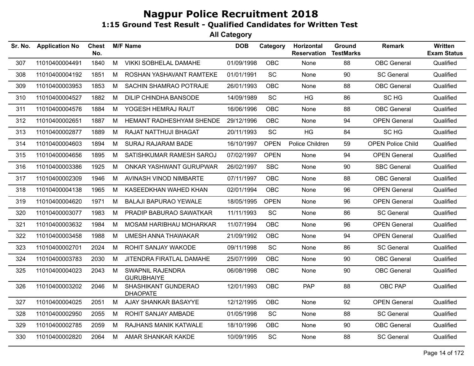| Sr. No. | <b>Application No</b> | <b>Chest</b><br>No. |   | <b>M/F Name</b>                        | <b>DOB</b> | Category    | Horizontal<br><b>Reservation</b> | Ground<br><b>TestMarks</b> | Remark                   | Written<br><b>Exam Status</b> |
|---------|-----------------------|---------------------|---|----------------------------------------|------------|-------------|----------------------------------|----------------------------|--------------------------|-------------------------------|
| 307     | 11010400004491        | 1840                | M | <b>VIKKI SOBHELAL DAMAHE</b>           | 01/09/1998 | <b>OBC</b>  | None                             | 88                         | <b>OBC</b> General       | Qualified                     |
| 308     | 11010400004192        | 1851                | M | ROSHAN YASHAVANT RAMTEKE               | 01/01/1991 | SC          | None                             | 90                         | <b>SC General</b>        | Qualified                     |
| 309     | 11010400003953        | 1853                | M | SACHIN SHAMRAO POTRAJE                 | 26/01/1993 | <b>OBC</b>  | None                             | 88                         | <b>OBC</b> General       | Qualified                     |
| 310     | 11010400004527        | 1882                | М | <b>DILIP CHINDHA BANSODE</b>           | 14/09/1989 | SC          | <b>HG</b>                        | 86                         | SC HG                    | Qualified                     |
| 311     | 11010400004576        | 1884                | M | YOGESH HEMRAJ RAUT                     | 16/06/1996 | <b>OBC</b>  | None                             | 88                         | <b>OBC</b> General       | Qualified                     |
| 312     | 11010400002651        | 1887                | M | HEMANT RADHESHYAM SHENDE               | 29/12/1996 | <b>OBC</b>  | None                             | 94                         | <b>OPEN General</b>      | Qualified                     |
| 313     | 11010400002877        | 1889                | M | RAJAT NATTHUJI BHAGAT                  | 20/11/1993 | SC          | HG                               | 84                         | SC HG                    | Qualified                     |
| 314     | 11010400004603        | 1894                | M | <b>SURAJ RAJARAM BADE</b>              | 16/10/1997 | <b>OPEN</b> | Police Children                  | 59                         | <b>OPEN Police Child</b> | Qualified                     |
| 315     | 11010400004656        | 1895                | M | SATISHKUMAR RAMESH SAROJ               | 07/02/1997 | <b>OPEN</b> | None                             | 94                         | <b>OPEN General</b>      | Qualified                     |
| 316     | 11010400003386        | 1925                | M | ONKAR YASHWANT GURUPWAR                | 26/02/1997 | <b>SBC</b>  | None                             | 90                         | <b>SBC General</b>       | Qualified                     |
| 317     | 11010400002309        | 1946                | М | AVINASH VINOD NIMBARTE                 | 07/11/1997 | <b>OBC</b>  | <b>None</b>                      | 88                         | <b>OBC</b> General       | Qualified                     |
| 318     | 11010400004138        | 1965                | М | KASEEDKHAN WAHED KHAN                  | 02/01/1994 | OBC.        | None                             | 96                         | <b>OPEN General</b>      | Qualified                     |
| 319     | 11010400004620        | 1971                | M | <b>BALAJI BAPURAO YEWALE</b>           | 18/05/1995 | <b>OPEN</b> | None                             | 96                         | <b>OPEN General</b>      | Qualified                     |
| 320     | 11010400003077        | 1983                | M | PRADIP BABURAO SAWATKAR                | 11/11/1993 | SC          | None                             | 86                         | <b>SC General</b>        | Qualified                     |
| 321     | 11010400003632        | 1984                | М | MOSAM HARIBHAU MOHARKAR                | 11/07/1994 | <b>OBC</b>  | None                             | 96                         | <b>OPEN General</b>      | Qualified                     |
| 322     | 11010400003458        | 1988                | M | UMESH ANNA THAWAKAR                    | 21/09/1992 | OBC         | None                             | 94                         | <b>OPEN General</b>      | Qualified                     |
| 323     | 11010400002701        | 2024                | М | ROHIT SANJAY WAKODE                    | 09/11/1998 | SC          | None                             | 86                         | <b>SC General</b>        | Qualified                     |
| 324     | 11010400003783        | 2030                | M | JITENDRA FIRATLAL DAMAHE               | 25/07/1999 | OBC         | None                             | 90                         | <b>OBC</b> General       | Qualified                     |
| 325     | 11010400004023        | 2043                | M | SWAPNIL RAJENDRA<br><b>GURUBHAIYE</b>  | 06/08/1998 | OBC         | None                             | 90                         | <b>OBC</b> General       | Qualified                     |
| 326     | 11010400003202        | 2046                | M | SHASHIKANT GUNDERAO<br><b>DHAOPATE</b> | 12/01/1993 | <b>OBC</b>  | <b>PAP</b>                       | 88                         | OBC PAP                  | Qualified                     |
| 327     | 11010400004025        | 2051                | M | AJAY SHANKAR BASAYYE                   | 12/12/1995 | OBC         | None                             | 92                         | <b>OPEN General</b>      | Qualified                     |
| 328     | 11010400002950        | 2055                | M | ROHIT SANJAY AMBADE                    | 01/05/1998 | SC          | None                             | 88                         | <b>SC General</b>        | Qualified                     |
| 329     | 11010400002785        | 2059                | М | RAJHANS MANIK KATWALE                  | 18/10/1996 | <b>OBC</b>  | None                             | 90                         | <b>OBC</b> General       | Qualified                     |
| 330     | 11010400002820        | 2064                | M | AMAR SHANKAR KAKDE                     | 10/09/1995 | SC          | None                             | 88                         | <b>SC General</b>        | Qualified                     |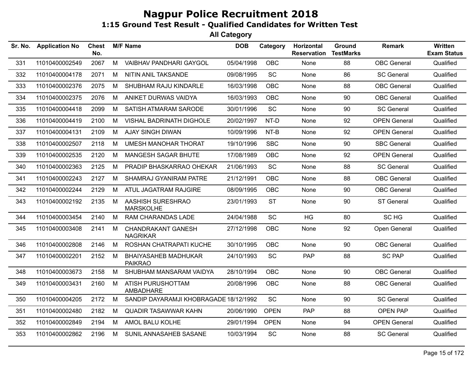| Sr. No. | <b>Application No</b> | <b>Chest</b><br>No. |   | <b>M/F Name</b>                               | <b>DOB</b> | Category    | Horizontal<br><b>Reservation</b> | <b>Ground</b><br><b>TestMarks</b> | <b>Remark</b>       | Written<br><b>Exam Status</b> |
|---------|-----------------------|---------------------|---|-----------------------------------------------|------------|-------------|----------------------------------|-----------------------------------|---------------------|-------------------------------|
| 331     | 11010400002549        | 2067                | M | VAIBHAV PANDHARI GAYGOL                       | 05/04/1998 | <b>OBC</b>  | None                             | 88                                | <b>OBC</b> General  | Qualified                     |
| 332     | 11010400004178        | 2071                | M | NITIN ANIL TAKSANDE                           | 09/08/1995 | SC          | None                             | 86                                | <b>SC General</b>   | Qualified                     |
| 333     | 11010400002376        | 2075                | M | SHUBHAM RAJU KINDARLE                         | 16/03/1998 | <b>OBC</b>  | None                             | 88                                | <b>OBC</b> General  | Qualified                     |
| 334     | 11010400002375        | 2076                | М | ANIKET DURWAS VAIDYA                          | 16/03/1993 | <b>OBC</b>  | None                             | 90                                | <b>OBC</b> General  | Qualified                     |
| 335     | 11010400004418        | 2099                | M | SATISH ATMARAM SARODE                         | 30/01/1996 | SC          | None                             | 90                                | <b>SC General</b>   | Qualified                     |
| 336     | 11010400004419        | 2100                | M | <b>VISHAL BADRINATH DIGHOLE</b>               | 20/02/1997 | NT-D        | None                             | 92                                | <b>OPEN General</b> | Qualified                     |
| 337     | 11010400004131        | 2109                | M | <b>AJAY SINGH DIWAN</b>                       | 10/09/1996 | NT-B        | None                             | 92                                | <b>OPEN General</b> | Qualified                     |
| 338     | 11010400002507        | 2118                | м | <b>UMESH MANOHAR THORAT</b>                   | 19/10/1996 | <b>SBC</b>  | None                             | 90                                | <b>SBC General</b>  | Qualified                     |
| 339     | 11010400002535        | 2120                | М | MANGESH SAGAR BHUTE                           | 17/08/1989 | <b>OBC</b>  | None                             | 92                                | <b>OPEN General</b> | Qualified                     |
| 340     | 11010400002363        | 2125                | M | PRADIP BHASKARRAO OHEKAR                      | 21/06/1993 | <b>SC</b>   | None                             | 88                                | <b>SC General</b>   | Qualified                     |
| 341     | 11010400002243        | 2127                | M | SHAMRAJ GYANIRAM PATRE                        | 21/12/1991 | <b>OBC</b>  | None                             | 88                                | <b>OBC</b> General  | Qualified                     |
| 342     | 11010400002244        | 2129                | М | ATUL JAGATRAM RAJGIRE                         | 08/09/1995 | <b>OBC</b>  | None                             | 90                                | <b>OBC</b> General  | Qualified                     |
| 343     | 11010400002192        | 2135                | M | AASHISH SURESHRAO<br><b>MARSKOLHE</b>         | 23/01/1993 | <b>ST</b>   | None                             | 90                                | <b>ST General</b>   | Qualified                     |
| 344     | 11010400003454        | 2140                | м | RAM CHARANDAS LADE                            | 24/04/1988 | SC          | <b>HG</b>                        | 80                                | SC HG               | Qualified                     |
| 345     | 11010400003408        | 2141                | М | <b>CHANDRAKANT GANESH</b><br><b>NAGRIKAR</b>  | 27/12/1998 | <b>OBC</b>  | None                             | 92                                | Open General        | Qualified                     |
| 346     | 11010400002808        | 2146                | м | ROSHAN CHATRAPATI KUCHE                       | 30/10/1995 | OBC         | None                             | 90                                | <b>OBC</b> General  | Qualified                     |
| 347     | 11010400002201        | 2152                | M | <b>BHAIYASAHEB MADHUKAR</b><br><b>PAIKRAO</b> | 24/10/1993 | SC          | <b>PAP</b>                       | 88                                | <b>SC PAP</b>       | Qualified                     |
| 348     | 11010400003673        | 2158                | М | SHUBHAM MANSARAM VAIDYA                       | 28/10/1994 | OBC         | None                             | 90                                | <b>OBC</b> General  | Qualified                     |
| 349     | 11010400003431        | 2160                | M | ATISH PURUSHOTTAM<br>AMBADHARE                | 20/08/1996 | <b>OBC</b>  | None                             | 88                                | <b>OBC</b> General  | Qualified                     |
| 350     | 11010400004205        | 2172                | М | SANDIP DAYARAMJI KHOBRAGADE 18/12/1992        |            | <b>SC</b>   | None                             | 90                                | <b>SC General</b>   | Qualified                     |
| 351     | 11010400002480        | 2182                | М | <b>QUADIR TASAWWAR KAHN</b>                   | 20/06/1990 | <b>OPEN</b> | <b>PAP</b>                       | 88                                | <b>OPEN PAP</b>     | Qualified                     |
| 352     | 11010400002849        | 2194                | M | AMOL BALU KOLHE                               | 29/01/1994 | <b>OPEN</b> | None                             | 94                                | <b>OPEN General</b> | Qualified                     |
| 353     | 11010400002862        | 2196                | M | SUNIL ANNASAHEB SASANE                        | 10/03/1994 | <b>SC</b>   | None                             | 88                                | <b>SC General</b>   | Qualified                     |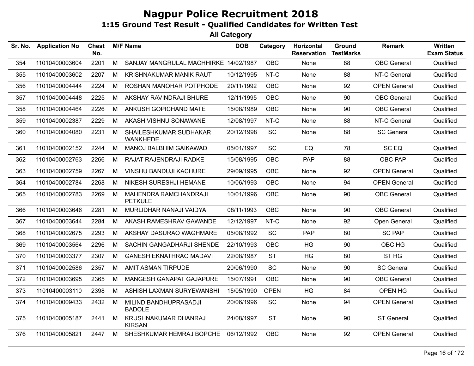| Sr. No. | <b>Application No</b> | <b>Chest</b><br>No. |   | <b>M/F Name</b>                           | <b>DOB</b> | Category    | Horizontal<br><b>Reservation</b> | Ground<br><b>TestMarks</b> | <b>Remark</b>       | Written<br><b>Exam Status</b> |
|---------|-----------------------|---------------------|---|-------------------------------------------|------------|-------------|----------------------------------|----------------------------|---------------------|-------------------------------|
| 354     | 11010400003604        | 2201                | M | SANJAY MANGRULAL MACHHIRKE 14/02/1987     |            | <b>OBC</b>  | None                             | 88                         | <b>OBC</b> General  | Qualified                     |
| 355     | 11010400003602        | 2207                | M | <b>KRISHNAKUMAR MANIK RAUT</b>            | 10/12/1995 | NT-C        | None                             | 88                         | NT-C General        | Qualified                     |
| 356     | 11010400004444        | 2224                | M | ROSHAN MANOHAR POTPHODE                   | 20/11/1992 | <b>OBC</b>  | None                             | 92                         | <b>OPEN General</b> | Qualified                     |
| 357     | 11010400004448        | 2225                | М | AKSHAY RAVINDRAJI BHURE                   | 12/11/1995 | <b>OBC</b>  | None                             | 90                         | <b>OBC</b> General  | Qualified                     |
| 358     | 11010400004464        | 2226                | M | ANKUSH GOPICHAND MATE                     | 15/08/1989 | <b>OBC</b>  | None                             | 90                         | <b>OBC</b> General  | Qualified                     |
| 359     | 11010400002387        | 2229                | M | AKASH VISHNU SONAWANE                     | 12/08/1997 | NT-C        | None                             | 88                         | NT-C General        | Qualified                     |
| 360     | 11010400004080        | 2231                | M | SHAILESHKUMAR SUDHAKAR<br><b>WANKHEDE</b> | 20/12/1998 | <b>SC</b>   | None                             | 88                         | <b>SC General</b>   | Qualified                     |
| 361     | 11010400002152        | 2244                | M | <b>MANOJ BALBHIM GAIKAWAD</b>             | 05/01/1997 | <b>SC</b>   | EQ                               | 78                         | SC <sub>EQ</sub>    | Qualified                     |
| 362     | 11010400002763        | 2266                | M | RAJAT RAJENDRAJI RADKE                    | 15/08/1995 | <b>OBC</b>  | PAP                              | 88                         | OBC PAP             | Qualified                     |
| 363     | 11010400002759        | 2267                | M | <b>VINSHU BANDUJI KACHURE</b>             | 29/09/1995 | <b>OBC</b>  | None                             | 92                         | <b>OPEN General</b> | Qualified                     |
| 364     | 11010400002784        | 2268                | M | NIKESH SURESHJI HEMANE                    | 10/06/1993 | <b>OBC</b>  | None                             | 94                         | <b>OPEN General</b> | Qualified                     |
| 365     | 11010400002783        | 2269                | М | MAHENDRA RAMCHANDRAJI<br><b>PETKULE</b>   | 10/01/1996 | <b>OBC</b>  | None                             | 90                         | <b>OBC</b> General  | Qualified                     |
| 366     | 11010400003646        | 2281                | M | MURLIDHAR NANAJI VAIDYA                   | 08/11/1993 | <b>OBC</b>  | None                             | 90                         | <b>OBC</b> General  | Qualified                     |
| 367     | 11010400003644        | 2284                | M | AKASH RAMESHRAV GAWANDE                   | 12/12/1997 | NT-C        | None                             | 92                         | Open General        | Qualified                     |
| 368     | 11010400002675        | 2293                | M | AKSHAY DASURAO WAGHMARE                   | 05/08/1992 | SC          | PAP                              | 80                         | <b>SC PAP</b>       | Qualified                     |
| 369     | 11010400003564        | 2296                | M | SACHIN GANGADHARJI SHENDE                 | 22/10/1993 | <b>OBC</b>  | HG                               | 90                         | OBC HG              | Qualified                     |
| 370     | 11010400003377        | 2307                | M | <b>GANESH EKNATHRAO MADAVI</b>            | 22/08/1987 | <b>ST</b>   | <b>HG</b>                        | 80                         | ST <sub>HG</sub>    | Qualified                     |
| 371     | 11010400002586        | 2357                | M | <b>AMIT ASMAN TIRPUDE</b>                 | 20/06/1990 | SC          | None                             | 90                         | <b>SC General</b>   | Qualified                     |
| 372     | 11010400003695        | 2365                | М | <b>MANGESH GANAPAT GAJAPURE</b>           | 15/07/1991 | <b>OBC</b>  | None                             | 90                         | <b>OBC</b> General  | Qualified                     |
| 373     | 11010400003110        | 2398                | M | ASHISH LAXMAN SURYEWANSHI                 | 15/05/1990 | <b>OPEN</b> | HG                               | 84                         | OPEN HG             | Qualified                     |
| 374     | 11010400009433        | 2432                | M | MILIND BANDHUPRASADJI<br><b>BADOLE</b>    | 20/06/1996 | <b>SC</b>   | None                             | 94                         | <b>OPEN General</b> | Qualified                     |
| 375     | 11010400005187        | 2441                | M | KRUSHNAKUMAR DHANRAJ<br><b>KIRSAN</b>     | 24/08/1997 | <b>ST</b>   | None                             | 90                         | <b>ST General</b>   | Qualified                     |
| 376     | 11010400005821        | 2447                | M | SHESHKUMAR HEMRAJ BOPCHE                  | 06/12/1992 | <b>OBC</b>  | None                             | 92                         | <b>OPEN General</b> | Qualified                     |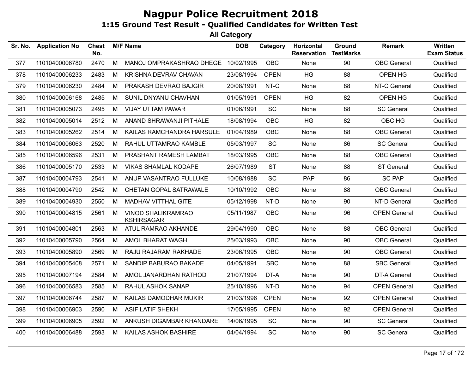| Sr. No. | <b>Application No</b> | <b>Chest</b><br>No. |   | <b>M/F Name</b>                                | <b>DOB</b> | Category    | Horizontal<br><b>Reservation</b> | Ground<br><b>TestMarks</b> | <b>Remark</b>       | Written<br><b>Exam Status</b> |
|---------|-----------------------|---------------------|---|------------------------------------------------|------------|-------------|----------------------------------|----------------------------|---------------------|-------------------------------|
| 377     | 11010400006780        | 2470                | M | MANOJ OMPRAKASHRAO DHEGE                       | 10/02/1995 | OBC         | None                             | 90                         | <b>OBC</b> General  | Qualified                     |
| 378     | 11010400006233        | 2483                | M | KRISHNA DEVRAV CHAVAN                          | 23/08/1994 | <b>OPEN</b> | HG                               | 88                         | OPEN HG             | Qualified                     |
| 379     | 11010400006230        | 2484                | M | PRAKASH DEVRAO BAJGIR                          | 20/08/1991 | NT-C        | None                             | 88                         | NT-C General        | Qualified                     |
| 380     | 11010400006168        | 2485                | M | SUNIL DNYANU CHAVHAN                           | 01/05/1991 | <b>OPEN</b> | <b>HG</b>                        | 82                         | OPEN HG             | Qualified                     |
| 381     | 11010400005073        | 2495                | M | <b>VIJAY UTTAM PAWAR</b>                       | 01/06/1991 | SC          | None                             | 88                         | <b>SC General</b>   | Qualified                     |
| 382     | 11010400005014        | 2512                | М | ANAND SHRAWANJI PITHALE                        | 18/08/1994 | <b>OBC</b>  | HG                               | 82                         | OBC HG              | Qualified                     |
| 383     | 11010400005262        | 2514                | м | KAILAS RAMCHANDRA HARSULE                      | 01/04/1989 | <b>OBC</b>  | None                             | 88                         | <b>OBC</b> General  | Qualified                     |
| 384     | 11010400006063        | 2520                | M | RAHUL UTTAMRAO KAMBLE                          | 05/03/1997 | <b>SC</b>   | None                             | 86                         | <b>SC General</b>   | Qualified                     |
| 385     | 11010400006596        | 2531                | М | PRASHANT RAMESH LAMBAT                         | 18/03/1995 | <b>OBC</b>  | None                             | 88                         | <b>OBC</b> General  | Qualified                     |
| 386     | 11010400005170        | 2533                | M | <b>VIKAS SHAMLAL KODAPE</b>                    | 26/07/1989 | <b>ST</b>   | None                             | 88                         | ST General          | Qualified                     |
| 387     | 11010400004793        | 2541                | M | ANUP VASANTRAO FULLUKE                         | 10/08/1988 | SC          | <b>PAP</b>                       | 86                         | <b>SC PAP</b>       | Qualified                     |
| 388     | 11010400004790        | 2542                | M | CHETAN GOPAL SATRAWALE                         | 10/10/1992 | <b>OBC</b>  | None                             | 88                         | <b>OBC</b> General  | Qualified                     |
| 389     | 11010400004930        | 2550                | М | MADHAV VITTHAL GITE                            | 05/12/1998 | NT-D        | None                             | 90                         | NT-D General        | Qualified                     |
| 390     | 11010400004815        | 2561                | M | <b>VINOD SHALIKRAMRAO</b><br><b>KSHIRSAGAR</b> | 05/11/1987 | <b>OBC</b>  | None                             | 96                         | <b>OPEN General</b> | Qualified                     |
| 391     | 11010400004801        | 2563                | M | ATUL RAMRAO AKHANDE                            | 29/04/1990 | <b>OBC</b>  | None                             | 88                         | <b>OBC</b> General  | Qualified                     |
| 392     | 11010400005790        | 2564                | M | AMOL BHARAT WAGH                               | 25/03/1993 | OBC         | None                             | 90                         | <b>OBC</b> General  | Qualified                     |
| 393     | 11010400005890        | 2569                | М | RAJU RAJARAM RAKHADE                           | 23/06/1995 | <b>OBC</b>  | None                             | 90                         | <b>OBC</b> General  | Qualified                     |
| 394     | 11010400005408        | 2571                | М | SANDIP BABURAO BAKADE                          | 04/05/1991 | <b>SBC</b>  | None                             | 88                         | <b>SBC General</b>  | Qualified                     |
| 395     | 11010400007194        | 2584                | М | AMOL JANARDHAN RATHOD                          | 21/07/1994 | DT-A        | None                             | 90                         | <b>DT-A General</b> | Qualified                     |
| 396     | 11010400006583        | 2585                | M | RAHUL ASHOK SANAP                              | 25/10/1996 | NT-D        | None                             | 94                         | <b>OPEN General</b> | Qualified                     |
| 397     | 11010400006744        | 2587                | M | KAILAS DAMODHAR MUKIR                          | 21/03/1996 | <b>OPEN</b> | None                             | 92                         | <b>OPEN General</b> | Qualified                     |
| 398     | 11010400006903        | 2590                | M | ASIF LATIF SHEKH                               | 17/05/1995 | <b>OPEN</b> | None                             | 92                         | <b>OPEN General</b> | Qualified                     |
| 399     | 11010400006905        | 2592                | М | ANKUSH DIGAMBAR KHANDARE                       | 14/06/1995 | SC          | None                             | 90                         | <b>SC General</b>   | Qualified                     |
| 400     | 11010400006488        | 2593                | М | KAILAS ASHOK BASHIRE                           | 04/04/1994 | <b>SC</b>   | None                             | 90                         | <b>SC General</b>   | Qualified                     |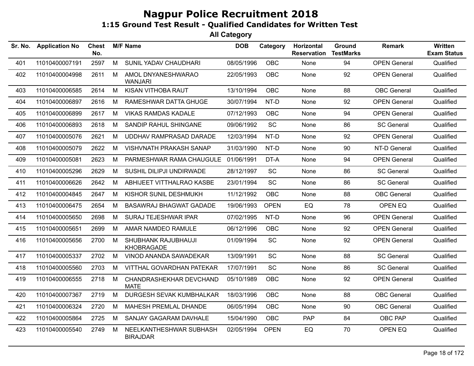| Sr. No. | <b>Application No</b> | <b>Chest</b><br>No. |   | <b>M/F Name</b>                            | <b>DOB</b> | Category    | Horizontal<br><b>Reservation</b> | <b>Ground</b><br><b>TestMarks</b> | <b>Remark</b>       | Written<br><b>Exam Status</b> |
|---------|-----------------------|---------------------|---|--------------------------------------------|------------|-------------|----------------------------------|-----------------------------------|---------------------|-------------------------------|
| 401     | 11010400007191        | 2597                | M | SUNIL YADAV CHAUDHARI                      | 08/05/1996 | OBC         | None                             | 94                                | <b>OPEN General</b> | Qualified                     |
| 402     | 11010400004998        | 2611                | M | AMOL DNYANESHWARAO<br><b>WANJARI</b>       | 22/05/1993 | <b>OBC</b>  | None                             | 92                                | <b>OPEN General</b> | Qualified                     |
| 403     | 11010400006585        | 2614                | M | KISAN VITHOBA RAUT                         | 13/10/1994 | <b>OBC</b>  | None                             | 88                                | <b>OBC</b> General  | Qualified                     |
| 404     | 11010400006897        | 2616                | М | RAMESHWAR DATTA GHUGE                      | 30/07/1994 | NT-D        | None                             | 92                                | <b>OPEN General</b> | Qualified                     |
| 405     | 11010400006899        | 2617                | М | <b>VIKAS RAMDAS KADALE</b>                 | 07/12/1993 | <b>OBC</b>  | None                             | 94                                | <b>OPEN General</b> | Qualified                     |
| 406     | 11010400006893        | 2618                | M | SANDIP RAHUL SHINGANE                      | 09/06/1992 | SC          | None                             | 86                                | <b>SC General</b>   | Qualified                     |
| 407     | 11010400005076        | 2621                | М | UDDHAV RAMPRASAD DARADE                    | 12/03/1994 | NT-D        | None                             | 92                                | <b>OPEN General</b> | Qualified                     |
| 408     | 11010400005079        | 2622                | М | <b>VISHVNATH PRAKASH SANAP</b>             | 31/03/1990 | NT-D        | None                             | 90                                | NT-D General        | Qualified                     |
| 409     | 11010400005081        | 2623                | М | PARMESHWAR RAMA CHAUGULE                   | 01/06/1991 | DT-A        | None                             | 94                                | <b>OPEN General</b> | Qualified                     |
| 410     | 11010400005296        | 2629                | M | SUSHIL DILIPJI UNDIRWADE                   | 28/12/1997 | <b>SC</b>   | None                             | 86                                | <b>SC General</b>   | Qualified                     |
| 411     | 11010400006626        | 2642                | M | ABHIJEET VITTHALRAO KASBE                  | 23/01/1994 | <b>SC</b>   | None                             | 86                                | <b>SC General</b>   | Qualified                     |
| 412     | 11010400004845        | 2647                | м | KISHOR SUNIL DESHMUKH                      | 11/12/1992 | <b>OBC</b>  | None                             | 88                                | <b>OBC</b> General  | Qualified                     |
| 413     | 11010400006475        | 2654                | М | <b>BASAWRAJ BHAGWAT GADADE</b>             | 19/06/1993 | <b>OPEN</b> | EQ                               | 78                                | OPEN EQ             | Qualified                     |
| 414     | 11010400005650        | 2698                | M | SURAJ TEJESHWAR IPAR                       | 07/02/1995 | NT-D        | None                             | 96                                | <b>OPEN General</b> | Qualified                     |
| 415     | 11010400005651        | 2699                | М | AMAR NAMDEO RAMULE                         | 06/12/1996 | <b>OBC</b>  | None                             | 92                                | <b>OPEN General</b> | Qualified                     |
| 416     | 11010400005656        | 2700                | M | SHUBHANK RAJUBHAUJI<br>KHOBRAGADE          | 01/09/1994 | SC          | None                             | 92                                | <b>OPEN General</b> | Qualified                     |
| 417     | 11010400005337        | 2702                | M | VINOD ANANDA SAWADEKAR                     | 13/09/1991 | SC          | None                             | 88                                | <b>SC General</b>   | Qualified                     |
| 418     | 11010400005560        | 2703                | M | VITTHAL GOVARDHAN PATEKAR                  | 17/07/1991 | <b>SC</b>   | None                             | 86                                | <b>SC General</b>   | Qualified                     |
| 419     | 11010400006555        | 2718                | M | CHANDRASHEKHAR DEVCHAND<br><b>MATE</b>     | 05/10/1989 | <b>OBC</b>  | None                             | 92                                | <b>OPEN General</b> | Qualified                     |
| 420     | 11010400007367        | 2719                | M | DURGESH SEVAK KUMBHALKAR                   | 18/03/1996 | <b>OBC</b>  | None                             | 88                                | <b>OBC</b> General  | Qualified                     |
| 421     | 11010400006324        | 2720                | М | MAHESH PREMLAL DHANDE                      | 06/05/1994 | OBC         | None                             | 90                                | <b>OBC</b> General  | Qualified                     |
| 422     | 11010400005864        | 2725                | M | SANJAY GAGARAM DAVHALE                     | 15/04/1990 | <b>OBC</b>  | PAP                              | 84                                | OBC PAP             | Qualified                     |
| 423     | 11010400005540        | 2749                | м | NEELKANTHESHWAR SUBHASH<br><b>BIRAJDAR</b> | 02/05/1994 | <b>OPEN</b> | EQ                               | 70                                | OPEN EQ             | Qualified                     |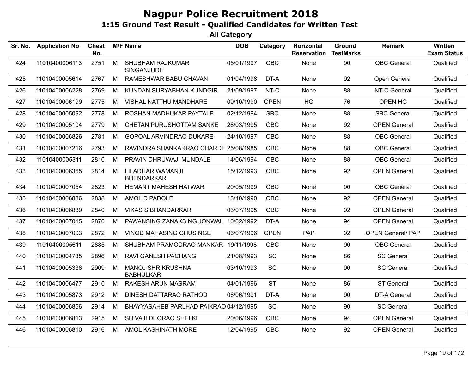| Sr. No. | <b>Application No</b> | <b>Chest</b><br>No. |   | <b>M/F Name</b>                              | <b>DOB</b> | Category    | Horizontal<br><b>Reservation</b> | Ground<br><b>TestMarks</b> | Remark                   | Written<br><b>Exam Status</b> |
|---------|-----------------------|---------------------|---|----------------------------------------------|------------|-------------|----------------------------------|----------------------------|--------------------------|-------------------------------|
| 424     | 11010400006113        | 2751                | M | <b>SHUBHAM RAJKUMAR</b><br>SINGANJUDE        | 05/01/1997 | <b>OBC</b>  | None                             | 90                         | <b>OBC</b> General       | Qualified                     |
| 425     | 11010400005614        | 2767                | M | RAMESHWAR BABU CHAVAN                        | 01/04/1998 | DT-A        | None                             | 92                         | Open General             | Qualified                     |
| 426     | 11010400006228        | 2769                | M | KUNDAN SURYABHAN KUNDGIR                     | 21/09/1997 | NT-C        | None                             | 88                         | NT-C General             | Qualified                     |
| 427     | 11010400006199        | 2775                | M | VISHAL NATTHU MANDHARE                       | 09/10/1990 | <b>OPEN</b> | HG                               | 76                         | OPEN HG                  | Qualified                     |
| 428     | 11010400005092        | 2778                | M | ROSHAN MADHUKAR PAYTALE                      | 02/12/1994 | <b>SBC</b>  | None                             | 88                         | <b>SBC General</b>       | Qualified                     |
| 429     | 11010400005104        | 2779                | M | CHETAN PURUSHOTTAM SANKE                     | 28/03/1995 | <b>OBC</b>  | None                             | 92                         | <b>OPEN General</b>      | Qualified                     |
| 430     | 11010400006826        | 2781                | M | GOPOAL ARVINDRAO DUKARE                      | 24/10/1997 | <b>OBC</b>  | None                             | 88                         | <b>OBC</b> General       | Qualified                     |
| 431     | 11010400007216        | 2793                | M | RAVINDRA SHANKARRAO CHARDE 25/08/1985        |            | <b>OBC</b>  | None                             | 88                         | <b>OBC</b> General       | Qualified                     |
| 432     | 11010400005311        | 2810                | M | PRAVIN DHRUWAJI MUNDALE                      | 14/06/1994 | <b>OBC</b>  | <b>None</b>                      | 88                         | <b>OBC</b> General       | Qualified                     |
| 433     | 11010400006365        | 2814                | M | LILADHAR WAMANJI<br><b>BHENDARKAR</b>        | 15/12/1993 | <b>OBC</b>  | None                             | 92                         | <b>OPEN General</b>      | Qualified                     |
| 434     | 11010400007054        | 2823                | M | <b>HEMANT MAHESH HATWAR</b>                  | 20/05/1999 | <b>OBC</b>  | None                             | 90                         | <b>OBC</b> General       | Qualified                     |
| 435     | 11010400006886        | 2838                | M | AMOL D PADOLE                                | 13/10/1990 | <b>OBC</b>  | None                             | 92                         | <b>OPEN General</b>      | Qualified                     |
| 436     | 11010400006889        | 2840                | M | <b>VIKAS S BHANDARKAR</b>                    | 03/07/1995 | <b>OBC</b>  | None                             | 92                         | <b>OPEN General</b>      | Qualified                     |
| 437     | 11010400007015        | 2870                | м | PAWANSING ZANAKSING JONWAL                   | 10/02/1992 | DT-A        | None                             | 94                         | <b>OPEN General</b>      | Qualified                     |
| 438     | 11010400007003        | 2872                | M | <b>VINOD MAHASING GHUSINGE</b>               | 03/07/1996 | <b>OPEN</b> | <b>PAP</b>                       | 92                         | <b>OPEN General/ PAP</b> | Qualified                     |
| 439     | 11010400005611        | 2885                | M | SHUBHAM PRAMODRAO MANKAR 19/11/1998          |            | <b>OBC</b>  | None                             | 90                         | <b>OBC</b> General       | Qualified                     |
| 440     | 11010400004735        | 2896                | M | RAVI GANESH PACHANG                          | 21/08/1993 | SC          | None                             | 86                         | <b>SC General</b>        | Qualified                     |
| 441     | 11010400005336        | 2909                | M | <b>MANOJ SHRIKRUSHNA</b><br><b>BABHULKAR</b> | 03/10/1993 | SC          | None                             | 90                         | <b>SC General</b>        | Qualified                     |
| 442     | 11010400006477        | 2910                | M | RAKESH ARUN MASRAM                           | 04/01/1996 | <b>ST</b>   | None                             | 86                         | <b>ST General</b>        | Qualified                     |
| 443     | 11010400005873        | 2912                | M | DINESH DATTARAO RATHOD                       | 06/06/1991 | DT-A        | None                             | 90                         | <b>DT-A General</b>      | Qualified                     |
| 444     | 11010400006856        | 2914                | M | BHAYYASAHEB PARLHAD PAIKRAO 04/12/1995       |            | SC          | None                             | 90                         | <b>SC General</b>        | Qualified                     |
| 445     | 11010400006813        | 2915                | M | SHIVAJI DEORAO SHELKE                        | 20/06/1996 | <b>OBC</b>  | None                             | 94                         | <b>OPEN General</b>      | Qualified                     |
| 446     | 11010400006810        | 2916                | M | AMOL KASHINATH MORE                          | 12/04/1995 | <b>OBC</b>  | None                             | 92                         | <b>OPEN General</b>      | Qualified                     |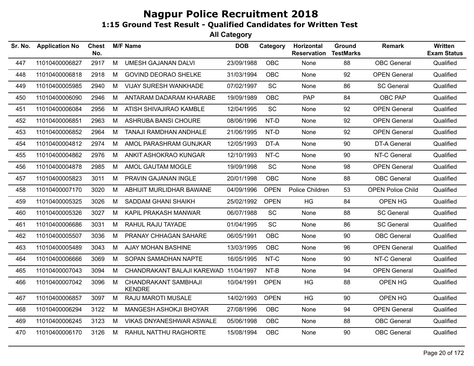| Sr. No. | <b>Application No</b> | <b>Chest</b><br>No. |   | <b>M/F Name</b>                       | <b>DOB</b> | Category    | Horizontal<br><b>Reservation</b> | Ground<br><b>TestMarks</b> | <b>Remark</b>            | Written<br><b>Exam Status</b> |
|---------|-----------------------|---------------------|---|---------------------------------------|------------|-------------|----------------------------------|----------------------------|--------------------------|-------------------------------|
| 447     | 11010400006827        | 2917                | M | <b>UMESH GAJANAN DALVI</b>            | 23/09/1988 | <b>OBC</b>  | None                             | 88                         | <b>OBC</b> General       | Qualified                     |
| 448     | 11010400006818        | 2918                | М | <b>GOVIND DEORAO SHELKE</b>           | 31/03/1994 | <b>OBC</b>  | None                             | 92                         | <b>OPEN General</b>      | Qualified                     |
| 449     | 11010400005985        | 2940                | M | <b>VIJAY SURESH WANKHADE</b>          | 07/02/1997 | <b>SC</b>   | None                             | 86                         | <b>SC General</b>        | Qualified                     |
| 450     | 11010400006090        | 2946                | М | ANTARAM DADARAM KHARABE               | 19/09/1989 | <b>OBC</b>  | <b>PAP</b>                       | 84                         | OBC PAP                  | Qualified                     |
| 451     | 11010400006084        | 2956                | M | ATISH SHIVAJIRAO KAMBLE               | 12/04/1995 | SC          | None                             | 92                         | <b>OPEN General</b>      | Qualified                     |
| 452     | 11010400006851        | 2963                | M | ASHRUBA BANSI CHOURE                  | 08/06/1996 | NT-D        | None                             | 92                         | <b>OPEN General</b>      | Qualified                     |
| 453     | 11010400006852        | 2964                | М | TANAJI RAMDHAN ANDHALE                | 21/06/1995 | NT-D        | None                             | 92                         | <b>OPEN General</b>      | Qualified                     |
| 454     | 11010400004812        | 2974                | М | AMOL PARASHRAM GUNJKAR                | 12/05/1993 | DT-A        | <b>None</b>                      | 90                         | DT-A General             | Qualified                     |
| 455     | 11010400004862        | 2976                | M | ANKIT ASHOKRAO KUNGAR                 | 12/10/1993 | NT-C        | None                             | 90                         | NT-C General             | Qualified                     |
| 456     | 11010400004878        | 2985                | M | AMOL GAUTAM MOGLE                     | 19/09/1998 | SC          | None                             | 98                         | <b>OPEN General</b>      | Qualified                     |
| 457     | 11010400005823        | 3011                | M | PRAVIN GAJANAN INGLE                  | 20/01/1998 | OBC         | None                             | 88                         | <b>OBC</b> General       | Qualified                     |
| 458     | 11010400007170        | 3020                | М | ABHIJIT MURLIDHAR BAWANE              | 04/09/1996 | <b>OPEN</b> | Police Children                  | 53                         | <b>OPEN Police Child</b> | Qualified                     |
| 459     | 11010400005325        | 3026                | M | <b>SADDAM GHANI SHAIKH</b>            | 25/02/1992 | <b>OPEN</b> | HG                               | 84                         | OPEN HG                  | Qualified                     |
| 460     | 11010400005326        | 3027                | M | KAPIL PRAKASH MANWAR                  | 06/07/1988 | SC          | None                             | 88                         | <b>SC General</b>        | Qualified                     |
| 461     | 11010400006686        | 3031                | M | <b>RAHUL RAJU TAYADE</b>              | 01/04/1995 | <b>SC</b>   | None                             | 86                         | <b>SC General</b>        | Qualified                     |
| 462     | 11010400005507        | 3036                | M | PRANAY CHHAGAN SAHARE                 | 06/05/1991 | <b>OBC</b>  | None                             | 90                         | <b>OBC</b> General       | Qualified                     |
| 463     | 11010400005489        | 3043                | M | AJAY MOHAN BASHINE                    | 13/03/1995 | <b>OBC</b>  | None                             | 96                         | <b>OPEN General</b>      | Qualified                     |
| 464     | 11010400006666        | 3069                | M | SOPAN SAMADHAN NAPTE                  | 16/05/1995 | NT-C        | None                             | 90                         | NT-C General             | Qualified                     |
| 465     | 11010400007043        | 3094                | M | CHANDRAKANT BALAJI KAREWAD 11/04/1997 |            | NT-B        | None                             | 94                         | <b>OPEN General</b>      | Qualified                     |
| 466     | 11010400007042        | 3096                | M | CHANDRAKANT SAMBHAJI<br><b>KENDRE</b> | 10/04/1991 | <b>OPEN</b> | <b>HG</b>                        | 88                         | OPEN HG                  | Qualified                     |
| 467     | 11010400006857        | 3097                | М | <b>RAJU MAROTI MUSALE</b>             | 14/02/1993 | <b>OPEN</b> | HG                               | 90                         | OPEN HG                  | Qualified                     |
| 468     | 11010400006294        | 3122                | M | MANGESH ASHOKJI BHOYAR                | 27/08/1996 | OBC         | None                             | 94                         | <b>OPEN General</b>      | Qualified                     |
| 469     | 11010400006245        | 3123                | М | VIKAS DNYANESHWAR ASWALE              | 05/06/1998 | OBC         | None                             | 88                         | <b>OBC</b> General       | Qualified                     |
| 470     | 11010400006170        | 3126                | M | RAHUL NATTHU RAGHORTE                 | 15/08/1994 | <b>OBC</b>  | None                             | 90                         | <b>OBC</b> General       | Qualified                     |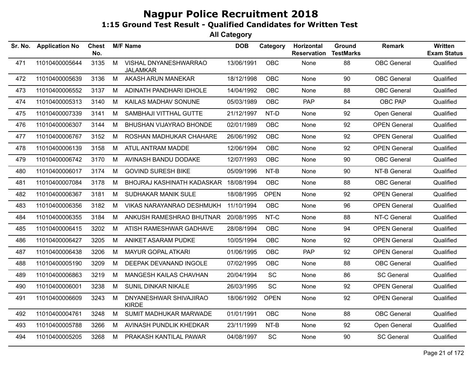| Sr. No. | <b>Application No</b> | <b>Chest</b><br>No. |   | <b>M/F Name</b>                          | <b>DOB</b> | Category    | Horizontal<br><b>Reservation</b> | Ground<br><b>TestMarks</b> | <b>Remark</b>       | Written<br><b>Exam Status</b> |
|---------|-----------------------|---------------------|---|------------------------------------------|------------|-------------|----------------------------------|----------------------------|---------------------|-------------------------------|
| 471     | 11010400005644        | 3135                | M | VISHAL DNYANESHWARRAO<br><b>JALAMKAR</b> | 13/06/1991 | OBC         | None                             | 88                         | <b>OBC</b> General  | Qualified                     |
| 472     | 11010400005639        | 3136                | M | AKASH ARUN MANEKAR                       | 18/12/1998 | OBC         | None                             | 90                         | <b>OBC</b> General  | Qualified                     |
| 473     | 11010400006552        | 3137                | M | ADINATH PANDHARI IDHOLE                  | 14/04/1992 | OBC         | None                             | 88                         | <b>OBC</b> General  | Qualified                     |
| 474     | 11010400005313        | 3140                | М | KAILAS MADHAV SONUNE                     | 05/03/1989 | OBC         | PAP                              | 84                         | OBC PAP             | Qualified                     |
| 475     | 11010400007339        | 3141                | М | SAMBHAJI VITTHAL GUTTE                   | 21/12/1997 | NT-D        | None                             | 92                         | Open General        | Qualified                     |
| 476     | 11010400006307        | 3144                | М | BHUSHAN VIJAYRAO BHONDE                  | 02/01/1989 | <b>OBC</b>  | None                             | 92                         | <b>OPEN General</b> | Qualified                     |
| 477     | 11010400006767        | 3152                | M | ROSHAN MADHUKAR CHAHARE                  | 26/06/1992 | OBC         | None                             | 92                         | <b>OPEN General</b> | Qualified                     |
| 478     | 11010400006139        | 3158                | M | ATUL ANTRAM MADDE                        | 12/06/1994 | OBC         | None                             | 92                         | <b>OPEN General</b> | Qualified                     |
| 479     | 11010400006742        | 3170                | М | AVINASH BANDU DODAKE                     | 12/07/1993 | OBC         | None                             | 90                         | <b>OBC</b> General  | Qualified                     |
| 480     | 11010400006017        | 3174                | M | <b>GOVIND SURESH BIKE</b>                | 05/09/1996 | NT-B        | None                             | 90                         | NT-B General        | Qualified                     |
| 481     | 11010400007084        | 3178                | М | BHOJRAJ KASHINATH KADASKAR 18/08/1994    |            | OBC         | None                             | 88                         | <b>OBC</b> General  | Qualified                     |
| 482     | 11010400006367        | 3181                | М | SUDHAKAR MANIK SULE                      | 18/08/1995 | <b>OPEN</b> | None                             | 92                         | <b>OPEN General</b> | Qualified                     |
| 483     | 11010400006356        | 3182                | M | VIKAS NARAYANRAO DESHMUKH                | 11/10/1994 | OBC         | None                             | 96                         | <b>OPEN General</b> | Qualified                     |
| 484     | 11010400006355        | 3184                | М | ANKUSH RAMESHRAO BHUTNAR                 | 20/08/1995 | NT-C        | None                             | 88                         | NT-C General        | Qualified                     |
| 485     | 11010400006415        | 3202                | M | ATISH RAMESHWAR GADHAVE                  | 28/08/1994 | OBC         | None                             | 94                         | <b>OPEN General</b> | Qualified                     |
| 486     | 11010400006427        | 3205                | M | ANIKET ASARAM PUDKE                      | 10/05/1994 | OBC         | None                             | 92                         | <b>OPEN General</b> | Qualified                     |
| 487     | 11010400006438        | 3206                | М | MAYUR GOPAL ATKARI                       | 01/06/1995 | <b>OBC</b>  | PAP                              | 92                         | <b>OPEN General</b> | Qualified                     |
| 488     | 11010400005190        | 3209                | М | DEEPAK DEVANAND INGOLE                   | 07/02/1995 | OBC         | None                             | 88                         | <b>OBC</b> General  | Qualified                     |
| 489     | 11010400006863        | 3219                | M | MANGESH KAILAS CHAVHAN                   | 20/04/1994 | SC          | None                             | 86                         | <b>SC General</b>   | Qualified                     |
| 490     | 11010400006001        | 3238                | M | SUNIL DINKAR NIKALE                      | 26/03/1995 | SC          | None                             | 92                         | <b>OPEN General</b> | Qualified                     |
| 491     | 11010400006609        | 3243                | M | DNYANESHWAR SHIVAJIRAO<br><b>KIRDE</b>   | 18/06/1992 | <b>OPEN</b> | None                             | 92                         | <b>OPEN General</b> | Qualified                     |
| 492     | 11010400004761        | 3248                | M | SUMIT MADHUKAR MARWADE                   | 01/01/1991 | OBC         | None                             | 88                         | <b>OBC</b> General  | Qualified                     |
| 493     | 11010400005788        | 3266                | M | AVINASH PUNDLIK KHEDKAR                  | 23/11/1999 | $NT-B$      | None                             | 92                         | Open General        | Qualified                     |
| 494     | 11010400005205        | 3268                | M | PRAKASH KANTILAL PAWAR                   | 04/08/1997 | SC          | None                             | 90                         | <b>SC General</b>   | Qualified                     |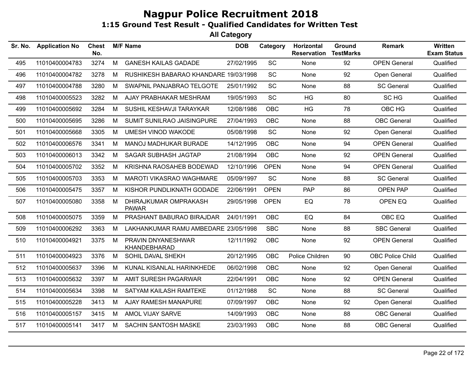| Sr. No. | <b>Application No</b> | <b>Chest</b><br>No. |   | <b>M/F Name</b>                       | <b>DOB</b> | Category    | Horizontal<br><b>Reservation</b> | Ground<br><b>TestMarks</b> | <b>Remark</b>           | <b>Written</b><br><b>Exam Status</b> |
|---------|-----------------------|---------------------|---|---------------------------------------|------------|-------------|----------------------------------|----------------------------|-------------------------|--------------------------------------|
| 495     | 11010400004783        | 3274                | M | <b>GANESH KAILAS GADADE</b>           | 27/02/1995 | SC          | None                             | 92                         | <b>OPEN General</b>     | Qualified                            |
| 496     | 11010400004782        | 3278                | М | RUSHIKESH BABARAO KHANDARE 19/03/1998 |            | SC          | None                             | 92                         | Open General            | Qualified                            |
| 497     | 11010400004788        | 3280                | M | SWAPNIL PANJABRAO TELGOTE             | 25/01/1992 | SC          | None                             | 88                         | <b>SC General</b>       | Qualified                            |
| 498     | 11010400005523        | 3282                | M | AJAY PRABHAKAR MESHRAM                | 19/05/1993 | SC          | HG                               | 80                         | SC HG                   | Qualified                            |
| 499     | 11010400005692        | 3284                | M | SUSHIL KESHAVJI TARAYKAR              | 12/08/1986 | <b>OBC</b>  | HG                               | 78                         | OBC HG                  | Qualified                            |
| 500     | 11010400005695        | 3286                | M | SUMIT SUNILRAO JAISINGPURE            | 27/04/1993 | <b>OBC</b>  | None                             | 88                         | <b>OBC</b> General      | Qualified                            |
| 501     | 11010400005668        | 3305                | М | <b>UMESH VINOD WAKODE</b>             | 05/08/1998 | <b>SC</b>   | None                             | 92                         | Open General            | Qualified                            |
| 502     | 11010400006576        | 3341                | М | MANOJ MADHUKAR BURADE                 | 14/12/1995 | <b>OBC</b>  | None                             | 94                         | <b>OPEN General</b>     | Qualified                            |
| 503     | 11010400006013        | 3342                | М | <b>SAGAR SUBHASH JAGTAP</b>           | 21/08/1994 | <b>OBC</b>  | None                             | 92                         | <b>OPEN General</b>     | Qualified                            |
| 504     | 11010400005702        | 3352                | M | KRISHNA RAOSAHEB BODEWAD              | 12/10/1996 | <b>OPEN</b> | None                             | 94                         | <b>OPEN General</b>     | Qualified                            |
| 505     | 11010400005703        | 3353                | M | MAROTI VIKASRAO WAGHMARE              | 05/09/1997 | <b>SC</b>   | None                             | 88                         | <b>SC General</b>       | Qualified                            |
| 506     | 11010400005475        | 3357                | M | KISHOR PUNDLIKNATH GODADE             | 22/06/1991 | <b>OPEN</b> | PAP                              | 86                         | <b>OPEN PAP</b>         | Qualified                            |
| 507     | 11010400005080        | 3358                | М | DHIRAJKUMAR OMPRAKASH<br><b>PAWAR</b> | 29/05/1998 | <b>OPEN</b> | EQ                               | 78                         | OPEN EQ                 | Qualified                            |
| 508     | 11010400005075        | 3359                | М | PRASHANT BABURAO BIRAJDAR             | 24/01/1991 | <b>OBC</b>  | EQ                               | 84                         | OBC EQ                  | Qualified                            |
| 509     | 11010400006292        | 3363                | M | LAKHANKUMAR RAMU AMBEDARE 23/05/1998  |            | <b>SBC</b>  | None                             | 88                         | <b>SBC General</b>      | Qualified                            |
| 510     | 11010400004921        | 3375                | M | PRAVIN DNYANESHWAR<br>KHANDEBHARAD    | 12/11/1992 | OBC         | None                             | 92                         | <b>OPEN General</b>     | Qualified                            |
| 511     | 11010400004923        | 3376                | М | SOHIL DAVAL SHEKH                     | 20/12/1995 | <b>OBC</b>  | Police Children                  | 90                         | <b>OBC Police Child</b> | Qualified                            |
| 512     | 11010400005637        | 3396                | M | KUNAL KISANLAL HARINKHEDE             | 06/02/1998 | <b>OBC</b>  | None                             | 92                         | Open General            | Qualified                            |
| 513     | 11010400005632        | 3397                | M | AMIT SURESH PAGARWAR                  | 22/04/1991 | <b>OBC</b>  | None                             | 92                         | <b>OPEN General</b>     | Qualified                            |
| 514     | 11010400005634        | 3398                | M | SATYAM KAILASH RAMTEKE                | 01/12/1988 | <b>SC</b>   | None                             | 88                         | <b>SC General</b>       | Qualified                            |
| 515     | 11010400005228        | 3413                | М | AJAY RAMESH MANAPURE                  | 07/09/1997 | <b>OBC</b>  | None                             | 92                         | Open General            | Qualified                            |
| 516     | 11010400005157        | 3415                | М | AMOL VIJAY SARVE                      | 14/09/1993 | <b>OBC</b>  | None                             | 88                         | <b>OBC</b> General      | Qualified                            |
| 517     | 11010400005141        | 3417                | M | <b>SACHIN SANTOSH MASKE</b>           | 23/03/1993 | OBC         | None                             | 88                         | <b>OBC</b> General      | Qualified                            |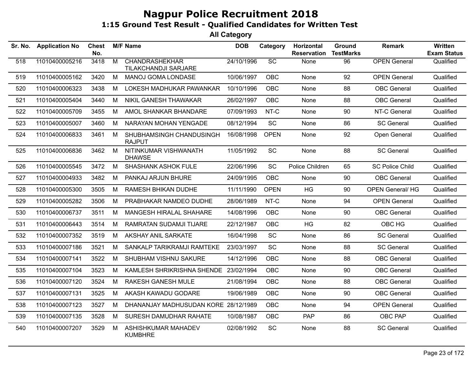| Sr. No. | <b>Application No</b> | Chest<br>No. |   | <b>M/F Name</b>                               | <b>DOB</b> | Category    | Horizontal<br><b>Reservation</b> | Ground<br><b>TestMarks</b> | <b>Remark</b>           | Written<br><b>Exam Status</b> |
|---------|-----------------------|--------------|---|-----------------------------------------------|------------|-------------|----------------------------------|----------------------------|-------------------------|-------------------------------|
| 518     | 11010400005216        | 3418         | M | <b>CHANDRASHEKHAR</b><br>TILAKCHANDJI SARJARE | 24/10/1996 | SC          | None                             | 96                         | <b>OPEN General</b>     | Qualified                     |
| 519     | 11010400005162        | 3420         | М | MANOJ GOMA LONDASE                            | 10/06/1997 | <b>OBC</b>  | None                             | 92                         | <b>OPEN General</b>     | Qualified                     |
| 520     | 11010400006323        | 3438         | M | LOKESH MADHUKAR PAWANKAR                      | 10/10/1996 | <b>OBC</b>  | None                             | 88                         | <b>OBC</b> General      | Qualified                     |
| 521     | 11010400005404        | 3440         | M | NIKIL GANESH THAWAKAR                         | 26/02/1997 | <b>OBC</b>  | None                             | 88                         | <b>OBC</b> General      | Qualified                     |
| 522     | 11010400005709        | 3455         | М | AMOL SHANKAR BHANDARE                         | 07/09/1993 | NT-C        | None                             | 90                         | NT-C General            | Qualified                     |
| 523     | 11010400005007        | 3460         | М | NARAYAN MOHAN YENGADE                         | 08/12/1994 | SC          | None                             | 86                         | <b>SC General</b>       | Qualified                     |
| 524     | 11010400006833        | 3461         | M | SHUBHAMSINGH CHANDUSINGH<br><b>RAJPUT</b>     | 16/08/1998 | <b>OPEN</b> | None                             | 92                         | Open General            | Qualified                     |
| 525     | 11010400006836        | 3462         | M | NITINKUMAR VISHWANATH<br><b>DHAWSE</b>        | 11/05/1992 | <b>SC</b>   | None                             | 88                         | <b>SC General</b>       | Qualified                     |
| 526     | 11010400005545        | 3472         | M | <b>SHASHANK ASHOK FULE</b>                    | 22/06/1996 | SC          | Police Children                  | 65                         | <b>SC Police Child</b>  | Qualified                     |
| 527     | 11010400004933        | 3482         | M | PANKAJ ARJUN BHURE                            | 24/09/1995 | <b>OBC</b>  | None                             | 90                         | <b>OBC</b> General      | Qualified                     |
| 528     | 11010400005300        | 3505         | M | RAMESH BHIKAN DUDHE                           | 11/11/1990 | <b>OPEN</b> | <b>HG</b>                        | 90                         | <b>OPEN General/ HG</b> | Qualified                     |
| 529     | 11010400005282        | 3506         | M | PRABHAKAR NAMDEO DUDHE                        | 28/06/1989 | NT-C        | None                             | 94                         | <b>OPEN General</b>     | Qualified                     |
| 530     | 11010400006737        | 3511         | M | MANGESH HIRALAL SHAHARE                       | 14/08/1996 | <b>OBC</b>  | None                             | 90                         | <b>OBC</b> General      | Qualified                     |
| 531     | 11010400006443        | 3514         | М | RAMRATAN SUDAMJI TIJARE                       | 22/12/1987 | <b>OBC</b>  | HG                               | 82                         | OBC HG                  | Qualified                     |
| 532     | 11010400007352        | 3519         | M | AKSHAY ANIL SARKATE                           | 16/04/1998 | <b>SC</b>   | None                             | 86                         | <b>SC General</b>       | Qualified                     |
| 533     | 11010400007186        | 3521         | M | SANKALP TARIKRAMJI RAMTEKE                    | 23/03/1997 | <b>SC</b>   | None                             | 88                         | <b>SC General</b>       | Qualified                     |
| 534     | 11010400007141        | 3522         | M | SHUBHAM VISHNU SAKURE                         | 14/12/1996 | <b>OBC</b>  | None                             | 88                         | <b>OBC</b> General      | Qualified                     |
| 535     | 11010400007104        | 3523         | M | KAMLESH SHRIKRISHNA SHENDE 23/02/1994         |            | <b>OBC</b>  | None                             | 90                         | <b>OBC</b> General      | Qualified                     |
| 536     | 11010400007120        | 3524         | M | <b>RAKESH GANESH MULE</b>                     | 21/08/1994 | <b>OBC</b>  | None                             | 88                         | <b>OBC</b> General      | Qualified                     |
| 537     | 11010400007131        | 3525         | M | AKASH KAWADU GODARE                           | 19/06/1989 | <b>OBC</b>  | None                             | 90                         | <b>OBC</b> General      | Qualified                     |
| 538     | 11010400007123        | 3527         | м | DHANANJAY MADHUSUDAN KORE 28/12/1989          |            | <b>OBC</b>  | None                             | 94                         | <b>OPEN General</b>     | Qualified                     |
| 539     | 11010400007135        | 3528         | м | SURESH DAMUDHAR RAHATE                        | 10/08/1987 | <b>OBC</b>  | <b>PAP</b>                       | 86                         | OBC PAP                 | Qualified                     |
| 540     | 11010400007207        | 3529         | M | ASHISHKUMAR MAHADEV<br><b>KUMBHRE</b>         | 02/08/1992 | SC          | None                             | 88                         | <b>SC General</b>       | Qualified                     |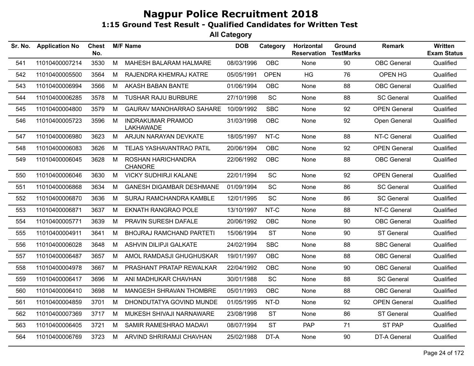| Sr. No. | <b>Application No</b> | <b>Chest</b><br>No. |   | <b>M/F Name</b>                              | <b>DOB</b> | Category    | Horizontal<br><b>Reservation</b> | Ground<br><b>TestMarks</b> | <b>Remark</b>       | Written<br><b>Exam Status</b> |
|---------|-----------------------|---------------------|---|----------------------------------------------|------------|-------------|----------------------------------|----------------------------|---------------------|-------------------------------|
| 541     | 11010400007214        | 3530                | M | MAHESH BALARAM HALMARE                       | 08/03/1996 | OBC         | None                             | 90                         | <b>OBC</b> General  | Qualified                     |
| 542     | 11010400005500        | 3564                | M | RAJENDRA KHEMRAJ KATRE                       | 05/05/1991 | <b>OPEN</b> | <b>HG</b>                        | 76                         | OPEN HG             | Qualified                     |
| 543     | 11010400006994        | 3566                | M | AKASH BABAN BANTE                            | 01/06/1994 | <b>OBC</b>  | None                             | 88                         | <b>OBC</b> General  | Qualified                     |
| 544     | 11010400006285        | 3578                | M | <b>TUSHAR RAJU BURBURE</b>                   | 27/10/1998 | SC          | None                             | 88                         | <b>SC General</b>   | Qualified                     |
| 545     | 11010400004800        | 3579                | M | <b>GAURAV MANOHARRAO SAHARE</b>              | 10/09/1992 | <b>SBC</b>  | None                             | 92                         | <b>OPEN General</b> | Qualified                     |
| 546     | 11010400005723        | 3596                | М | <b>INDRAKUMAR PRAMOD</b><br><b>LAKHAWADE</b> | 31/03/1998 | <b>OBC</b>  | None                             | 92                         | Open General        | Qualified                     |
| 547     | 11010400006980        | 3623                | M | ARJUN NARAYAN DEVKATE                        | 18/05/1997 | NT-C        | None                             | 88                         | NT-C General        | Qualified                     |
| 548     | 11010400006083        | 3626                | М | TEJAS YASHAVANTRAO PATIL                     | 20/06/1994 | <b>OBC</b>  | None                             | 92                         | <b>OPEN General</b> | Qualified                     |
| 549     | 11010400006045        | 3628                | М | ROSHAN HARICHANDRA<br><b>CHANORE</b>         | 22/06/1992 | OBC         | None                             | 88                         | <b>OBC</b> General  | Qualified                     |
| 550     | 11010400006046        | 3630                | M | <b>VICKY SUDHIRJI KALANE</b>                 | 22/01/1994 | SC          | None                             | 92                         | <b>OPEN General</b> | Qualified                     |
| 551     | 11010400006868        | 3634                | M | <b>GANESH DIGAMBAR DESHMANE</b>              | 01/09/1994 | SC          | None                             | 86                         | <b>SC General</b>   | Qualified                     |
| 552     | 11010400006870        | 3636                | M | SURAJ RAMCHANDRA KAMBLE                      | 12/01/1995 | SC          | None                             | 86                         | <b>SC General</b>   | Qualified                     |
| 553     | 11010400006871        | 3637                | М | <b>EKNATH RANGRAO POLE</b>                   | 13/10/1997 | NT-C        | None                             | 88                         | NT-C General        | Qualified                     |
| 554     | 11010400005771        | 3639                | М | PRAVIN SURESH DAFALE                         | 20/06/1992 | OBC         | None                             | 90                         | <b>OBC</b> General  | Qualified                     |
| 555     | 11010400004911        | 3641                | M | <b>BHOJRAJ RAMCHAND PARTETI</b>              | 15/06/1994 | <b>ST</b>   | None                             | 90                         | <b>ST General</b>   | Qualified                     |
| 556     | 11010400006028        | 3648                | M | <b>ASHVIN DILIPJI GALKATE</b>                | 24/02/1994 | <b>SBC</b>  | None                             | 88                         | <b>SBC General</b>  | Qualified                     |
| 557     | 11010400006487        | 3657                | M | AMOL RAMDASJI GHUGHUSKAR                     | 19/01/1997 | <b>OBC</b>  | None                             | 88                         | <b>OBC</b> General  | Qualified                     |
| 558     | 11010400004978        | 3667                | М | PRASHANT PRATAP REWALKAR                     | 22/04/1992 | <b>OBC</b>  | None                             | 90                         | <b>OBC</b> General  | Qualified                     |
| 559     | 11010400006417        | 3696                | М | ANI MADHUKAR CHAVHAN                         | 30/01/1988 | <b>SC</b>   | None                             | 88                         | <b>SC General</b>   | Qualified                     |
| 560     | 11010400006410        | 3698                | М | MANGESH SHRAVAN THOMBRE                      | 05/01/1993 | <b>OBC</b>  | None                             | 88                         | <b>OBC</b> General  | Qualified                     |
| 561     | 11010400004859        | 3701                | М | DHONDUTATYA GOVIND MUNDE                     | 01/05/1995 | NT-D        | None                             | 92                         | <b>OPEN General</b> | Qualified                     |
| 562     | 11010400007369        | 3717                | М | MUKESH SHIVAJI NARNAWARE                     | 23/08/1998 | <b>ST</b>   | None                             | 86                         | <b>ST General</b>   | Qualified                     |
| 563     | 11010400006405        | 3721                | М | SAMIR RAMESHRAO MADAVI                       | 08/07/1994 | <b>ST</b>   | <b>PAP</b>                       | 71                         | ST PAP              | Qualified                     |
| 564     | 11010400006769        | 3723                | M | ARVIND SHRIRAMJI CHAVHAN                     | 25/02/1988 | DT-A        | None                             | 90                         | <b>DT-A General</b> | Qualified                     |
|         |                       |                     |   |                                              |            |             |                                  |                            |                     |                               |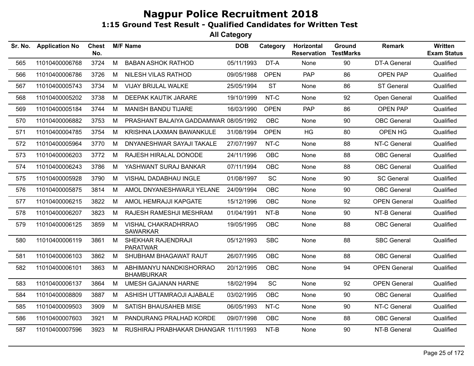| Sr. No. | <b>Application No</b> | <b>Chest</b><br>No. |   | <b>M/F Name</b>                              | <b>DOB</b> | Category    | Horizontal<br><b>Reservation</b> | <b>Ground</b><br><b>TestMarks</b> | Remark              | <b>Written</b><br><b>Exam Status</b> |
|---------|-----------------------|---------------------|---|----------------------------------------------|------------|-------------|----------------------------------|-----------------------------------|---------------------|--------------------------------------|
| 565     | 11010400006768        | 3724                | M | <b>BABAN ASHOK RATHOD</b>                    | 05/11/1993 | DT-A        | None                             | 90                                | DT-A General        | Qualified                            |
| 566     | 11010400006786        | 3726                | M | NILESH VILAS RATHOD                          | 09/05/1988 | <b>OPEN</b> | PAP                              | 86                                | <b>OPEN PAP</b>     | Qualified                            |
| 567     | 11010400005743        | 3734                | M | VIJAY BRIJLAL WALKE                          | 25/05/1994 | <b>ST</b>   | None                             | 86                                | <b>ST General</b>   | Qualified                            |
| 568     | 11010400005202        | 3738                | м | <b>DEEPAK KAUTIK JARARE</b>                  | 19/10/1999 | NT-C        | None                             | 92                                | Open General        | Qualified                            |
| 569     | 11010400005184        | 3744                | M | <b>MANISH BANDU TIJARE</b>                   | 16/03/1990 | <b>OPEN</b> | PAP                              | 86                                | <b>OPEN PAP</b>     | Qualified                            |
| 570     | 11010400006882        | 3753                | М | PRASHANT BALAIYA GADDAMWAR 08/05/1992        |            | <b>OBC</b>  | None                             | 90                                | <b>OBC</b> General  | Qualified                            |
| 571     | 11010400004785        | 3754                | M | KRISHNA LAXMAN BAWANKULE                     | 31/08/1994 | <b>OPEN</b> | <b>HG</b>                        | 80                                | OPEN HG             | Qualified                            |
| 572     | 11010400005964        | 3770                | М | DNYANESHWAR SAYAJI TAKALE                    | 27/07/1997 | NT-C        | None                             | 88                                | NT-C General        | Qualified                            |
| 573     | 11010400006203        | 3772                | М | RAJESH HIRALAL DONODE                        | 24/11/1996 | OBC         | None                             | 88                                | <b>OBC</b> General  | Qualified                            |
| 574     | 11010400006243        | 3786                | М | YASHWANT SURAJ BANKAR                        | 07/11/1994 | OBC         | None                             | 88                                | <b>OBC</b> General  | Qualified                            |
| 575     | 11010400005928        | 3790                | M | VISHAL DADABHAU INGLE                        | 01/08/1997 | SC          | None                             | 90                                | <b>SC General</b>   | Qualified                            |
| 576     | 11010400005875        | 3814                | М | AMOL DNYANESHWARJI YELANE                    | 24/09/1994 | <b>OBC</b>  | None                             | 90                                | <b>OBC</b> General  | Qualified                            |
| 577     | 11010400006215        | 3822                | М | AMOL HEMRAJJI KAPGATE                        | 15/12/1996 | <b>OBC</b>  | None                             | 92                                | <b>OPEN General</b> | Qualified                            |
| 578     | 11010400006207        | 3823                | М | RAJESH RAMESHJI MESHRAM                      | 01/04/1991 | NT-B        | None                             | 90                                | NT-B General        | Qualified                            |
| 579     | 11010400006125        | 3859                | М | VISHAL CHAKRADHRRAO<br><b>SAWARKAR</b>       | 19/05/1995 | <b>OBC</b>  | None                             | 88                                | <b>OBC</b> General  | Qualified                            |
| 580     | 11010400006119        | 3861                | М | SHEKHAR RAJENDRAJI<br><b>PARATWAR</b>        | 05/12/1993 | <b>SBC</b>  | None                             | 88                                | <b>SBC General</b>  | Qualified                            |
| 581     | 11010400006103        | 3862                | М | SHUBHAM BHAGAWAT RAUT                        | 26/07/1995 | <b>OBC</b>  | None                             | 88                                | <b>OBC</b> General  | Qualified                            |
| 582     | 11010400006101        | 3863                | М | ABHIMANYU NANDKISHORRAO<br><b>BHAMBURKAR</b> | 20/12/1995 | <b>OBC</b>  | None                             | 94                                | <b>OPEN General</b> | Qualified                            |
| 583     | 11010400006137        | 3864                | М | <b>UMESH GAJANAN HARNE</b>                   | 18/02/1994 | SC          | None                             | 92                                | <b>OPEN General</b> | Qualified                            |
| 584     | 11010400008809        | 3887                | M | ASHISH UTTAMRAOJI AJABALE                    | 03/02/1995 | <b>OBC</b>  | None                             | 90                                | <b>OBC</b> General  | Qualified                            |
| 585     | 11010400009503        | 3909                | M | SATISH BHAUSAHEB MISE                        | 06/05/1993 | NT-C        | None                             | 90                                | NT-C General        | Qualified                            |
| 586     | 11010400007603        | 3921                | М | PANDURANG PRALHAD KORDE                      | 09/07/1998 | <b>OBC</b>  | None                             | 88                                | <b>OBC</b> General  | Qualified                            |
| 587     | 11010400007596        | 3923                | M | RUSHIRAJ PRABHAKAR DHANGAR 11/11/1993        |            | NT-B        | None                             | 90                                | NT-B General        | Qualified                            |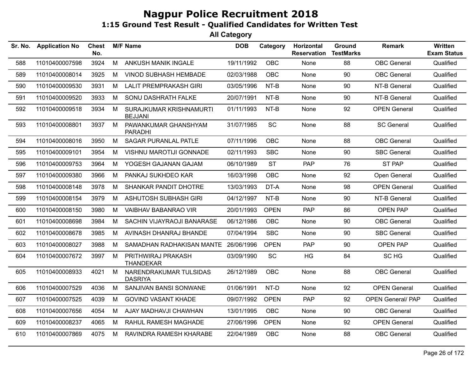| Sr. No. | <b>Application No</b> | <b>Chest</b><br>No. |   | <b>M/F Name</b>                           | <b>DOB</b> | Category    | Horizontal<br><b>Reservation</b> | Ground<br><b>TestMarks</b> | Remark                   | <b>Written</b><br><b>Exam Status</b> |
|---------|-----------------------|---------------------|---|-------------------------------------------|------------|-------------|----------------------------------|----------------------------|--------------------------|--------------------------------------|
| 588     | 11010400007598        | 3924                | M | ANKUSH MANIK INGALE                       | 19/11/1992 | <b>OBC</b>  | None                             | 88                         | <b>OBC</b> General       | Qualified                            |
| 589     | 11010400008014        | 3925                | М | <b>VINOD SUBHASH HEMBADE</b>              | 02/03/1988 | <b>OBC</b>  | None                             | 90                         | <b>OBC</b> General       | Qualified                            |
| 590     | 11010400009530        | 3931                | M | <b>LALIT PREMPRAKASH GIRI</b>             | 03/05/1996 | NT-B        | None                             | 90                         | NT-B General             | Qualified                            |
| 591     | 11010400009520        | 3933                | M | SONU DASHRATH FALKE                       | 20/07/1991 | NT-B        | None                             | 90                         | NT-B General             | Qualified                            |
| 592     | 11010400009518        | 3934                | M | SURAJKUMAR KRISHNAMURTI<br><b>BEJJANI</b> | 01/11/1993 | NT-B        | None                             | 92                         | <b>OPEN General</b>      | Qualified                            |
| 593     | 11010400008801        | 3937                | M | PAWANKUMAR GHANSHYAM<br><b>PARADHI</b>    | 31/07/1985 | SC          | None                             | 88                         | <b>SC General</b>        | Qualified                            |
| 594     | 11010400008016        | 3950                | М | <b>SAGAR PURANLAL PATLE</b>               | 07/11/1996 | <b>OBC</b>  | None                             | 88                         | <b>OBC</b> General       | Qualified                            |
| 595     | 11010400009101        | 3954                | M | <b>VISHNU MAROTIJI GONNADE</b>            | 02/11/1993 | <b>SBC</b>  | None                             | 90                         | <b>SBC General</b>       | Qualified                            |
| 596     | 11010400009753        | 3964                | M | YOGESH GAJANAN GAJAM                      | 06/10/1989 | <b>ST</b>   | <b>PAP</b>                       | 76                         | <b>ST PAP</b>            | Qualified                            |
| 597     | 11010400009380        | 3966                | M | PANKAJ SUKHDEO KAR                        | 16/03/1998 | <b>OBC</b>  | None                             | 92                         | Open General             | Qualified                            |
| 598     | 11010400008148        | 3978                | М | SHANKAR PANDIT DHOTRE                     | 13/03/1993 | DT-A        | None                             | 98                         | <b>OPEN General</b>      | Qualified                            |
| 599     | 11010400008154        | 3979                | M | <b>ASHUTOSH SUBHASH GIRI</b>              | 04/12/1997 | NT-B        | None                             | 90                         | NT-B General             | Qualified                            |
| 600     | 11010400008150        | 3980                | M | <b>VAIBHAV BABANRAO VIR</b>               | 20/01/1993 | <b>OPEN</b> | <b>PAP</b>                       | 86                         | <b>OPEN PAP</b>          | Qualified                            |
| 601     | 11010400008698        | 3984                | M | SACHIN VIJAYRAOJI BANARASE                | 06/12/1986 | <b>OBC</b>  | None                             | 90                         | <b>OBC</b> General       | Qualified                            |
| 602     | 11010400008678        | 3985                | М | AVINASH DHANRAJ BHANDE                    | 07/04/1994 | <b>SBC</b>  | None                             | 90                         | <b>SBC General</b>       | Qualified                            |
| 603     | 11010400008027        | 3988                | M | SAMADHAN RADHAKISAN MANTE 26/06/1996      |            | <b>OPEN</b> | <b>PAP</b>                       | 90                         | <b>OPEN PAP</b>          | Qualified                            |
| 604     | 11010400007672        | 3997                | M | PRITHWIRAJ PRAKASH<br><b>THANDEKAR</b>    | 03/09/1990 | SC          | HG                               | 84                         | SC HG                    | Qualified                            |
| 605     | 11010400008933        | 4021                | M | NARENDRAKUMAR TULSIDAS<br><b>DASRIYA</b>  | 26/12/1989 | OBC         | None                             | 88                         | <b>OBC</b> General       | Qualified                            |
| 606     | 11010400007529        | 4036                | M | SANJIVAN BANSI SONWANE                    | 01/06/1991 | NT-D        | None                             | 92                         | <b>OPEN General</b>      | Qualified                            |
| 607     | 11010400007525        | 4039                | M | <b>GOVIND VASANT KHADE</b>                | 09/07/1992 | <b>OPEN</b> | <b>PAP</b>                       | 92                         | <b>OPEN General/ PAP</b> | Qualified                            |
| 608     | 11010400007656        | 4054                | M | AJAY MADHAVJI CHAWHAN                     | 13/01/1995 | <b>OBC</b>  | None                             | 90                         | <b>OBC</b> General       | Qualified                            |
| 609     | 11010400008237        | 4065                | M | RAHUL RAMESH MAGHADE                      | 27/06/1996 | <b>OPEN</b> | None                             | 92                         | <b>OPEN General</b>      | Qualified                            |
| 610     | 11010400007869        | 4075                | M | RAVINDRA RAMESH KHARABE                   | 22/04/1989 | OBC         | None                             | 88                         | <b>OBC</b> General       | Qualified                            |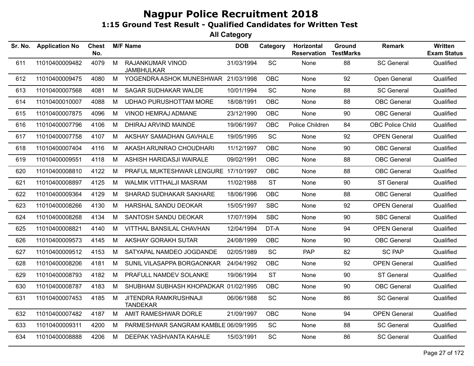| Sr. No. | <b>Application No</b> | <b>Chest</b><br>No. |   | <b>M/F Name</b>                          | <b>DOB</b> | Category   | Horizontal<br><b>Reservation</b> | Ground<br><b>TestMarks</b> | <b>Remark</b>           | Written<br><b>Exam Status</b> |
|---------|-----------------------|---------------------|---|------------------------------------------|------------|------------|----------------------------------|----------------------------|-------------------------|-------------------------------|
| 611     | 11010400009482        | 4079                | M | RAJANKUMAR VINOD<br><b>JAMBHULKAR</b>    | 31/03/1994 | SC         | None                             | 88                         | <b>SC General</b>       | Qualified                     |
| 612     | 11010400009475        | 4080                | M | YOGENDRA ASHOK MUNESHWAR 21/03/1998      |            | OBC        | None                             | 92                         | Open General            | Qualified                     |
| 613     | 11010400007568        | 4081                | M | SAGAR SUDHAKAR WALDE                     | 10/01/1994 | SC         | None                             | 88                         | <b>SC General</b>       | Qualified                     |
| 614     | 11010400010007        | 4088                | M | <b>UDHAO PURUSHOTTAM MORE</b>            | 18/08/1991 | OBC        | None                             | 88                         | <b>OBC</b> General      | Qualified                     |
| 615     | 11010400007875        | 4096                | M | VINOD HEMRAJ ADMANE                      | 23/12/1990 | OBC        | None                             | 90                         | <b>OBC</b> General      | Qualified                     |
| 616     | 11010400007796        | 4106                | M | DHIRAJ ARVIND MAINDE                     | 19/06/1997 | OBC        | Police Children                  | 84                         | <b>OBC Police Child</b> | Qualified                     |
| 617     | 11010400007758        | 4107                | M | AKSHAY SAMADHAN GAVHALE                  | 19/05/1995 | SC         | None                             | 92                         | <b>OPEN General</b>     | Qualified                     |
| 618     | 11010400007404        | 4116                | M | AKASH ARUNRAO CHOUDHARI                  | 11/12/1997 | <b>OBC</b> | None                             | 90                         | <b>OBC</b> General      | Qualified                     |
| 619     | 11010400009551        | 4118                | M | ASHISH HARIDASJI WAIRALE                 | 09/02/1991 | <b>OBC</b> | None                             | 88                         | <b>OBC</b> General      | Qualified                     |
| 620     | 11010400008810        | 4122                | M | PRAFUL MUKTESHWAR LENGURE 17/10/1997     |            | <b>OBC</b> | None                             | 88                         | <b>OBC</b> General      | Qualified                     |
| 621     | 11010400008897        | 4125                | M | WALMIK VITTHALJI MASRAM                  | 11/02/1988 | <b>ST</b>  | None                             | 90                         | <b>ST General</b>       | Qualified                     |
| 622     | 11010400009364        | 4129                | M | SHARAD SUDHAKAR SAKHARE                  | 18/06/1996 | <b>OBC</b> | None                             | 88                         | <b>OBC</b> General      | Qualified                     |
| 623     | 11010400008266        | 4130                | M | HARSHAL SANDU DEOKAR                     | 15/05/1997 | <b>SBC</b> | None                             | 92                         | <b>OPEN General</b>     | Qualified                     |
| 624     | 11010400008268        | 4134                | M | SANTOSH SANDU DEOKAR                     | 17/07/1994 | <b>SBC</b> | None                             | 90                         | <b>SBC General</b>      | Qualified                     |
| 625     | 11010400008821        | 4140                | M | VITTHAL BANSILAL CHAVHAN                 | 12/04/1994 | DT-A       | None                             | 94                         | <b>OPEN General</b>     | Qualified                     |
| 626     | 11010400009573        | 4145                | M | AKSHAY GORAKH SUTAR                      | 24/08/1999 | <b>OBC</b> | None                             | 90                         | <b>OBC</b> General      | Qualified                     |
| 627     | 11010400009512        | 4153                | M | SATYAPAL NAMDEO JOGDANDE                 | 02/05/1989 | <b>SC</b>  | <b>PAP</b>                       | 82                         | <b>SC PAP</b>           | Qualified                     |
| 628     | 11010400008206        | 4181                | M | SUNIL VILASAPPA BORGAONKAR               | 24/04/1992 | OBC        | None                             | 92                         | <b>OPEN General</b>     | Qualified                     |
| 629     | 11010400008793        | 4182                | M | PRAFULL NAMDEV SOLANKE                   | 19/06/1994 | <b>ST</b>  | None                             | 90                         | <b>ST General</b>       | Qualified                     |
| 630     | 11010400008787        | 4183                | M | SHUBHAM SUBHASH KHOPADKAR 01/02/1995     |            | OBC        | None                             | 90                         | <b>OBC</b> General      | Qualified                     |
| 631     | 11010400007453        | 4185                | M | JITENDRA RAMKRUSHNAJI<br><b>TANDEKAR</b> | 06/06/1988 | SC         | None                             | 86                         | <b>SC General</b>       | Qualified                     |
| 632     | 11010400007482        | 4187                | M | AMIT RAMESHWAR DORLE                     | 21/09/1997 | OBC        | None                             | 94                         | <b>OPEN General</b>     | Qualified                     |
| 633     | 11010400009311        | 4200                | M | PARMESHWAR SANGRAM KAMBLE 06/09/1995     |            | <b>SC</b>  | None                             | 88                         | <b>SC General</b>       | Qualified                     |
| 634     | 11010400008888        | 4206                | M | DEEPAK YASHVANTA KAHALE                  | 15/03/1991 | SC         | None                             | 86                         | <b>SC General</b>       | Qualified                     |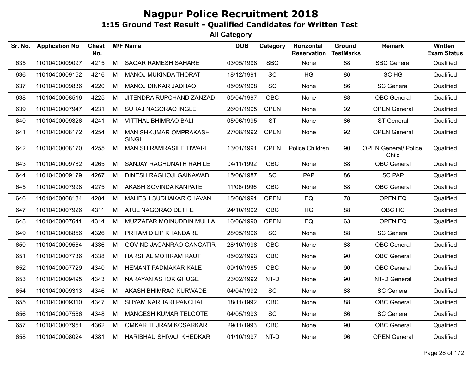| Sr. No. | <b>Application No</b> | Chest<br>No. |   | <b>M/F Name</b>                       | <b>DOB</b> | Category    | Horizontal<br><b>Reservation</b> | Ground<br><b>TestMarks</b> | <b>Remark</b>                        | <b>Written</b><br><b>Exam Status</b> |
|---------|-----------------------|--------------|---|---------------------------------------|------------|-------------|----------------------------------|----------------------------|--------------------------------------|--------------------------------------|
| 635     | 11010400009097        | 4215         | M | SAGAR RAMESH SAHARE                   | 03/05/1998 | <b>SBC</b>  | None                             | 88                         | <b>SBC General</b>                   | Qualified                            |
| 636     | 11010400009152        | 4216         | M | MANOJ MUKINDA THORAT                  | 18/12/1991 | <b>SC</b>   | HG                               | 86                         | SC HG                                | Qualified                            |
| 637     | 11010400009836        | 4220         | М | MANOJ DINKAR JADHAO                   | 05/09/1998 | SC          | None                             | 86                         | <b>SC General</b>                    | Qualified                            |
| 638     | 11010400008516        | 4225         | М | JITENDRA RUPCHAND ZANZAD              | 05/04/1997 | OBC         | None                             | 88                         | <b>OBC</b> General                   | Qualified                            |
| 639     | 11010400007947        | 4231         | M | SURAJ NAGORAO INGLE                   | 26/01/1995 | <b>OPEN</b> | None                             | 92                         | <b>OPEN General</b>                  | Qualified                            |
| 640     | 11010400009326        | 4241         | М | <b>VITTHAL BHIMRAO BALI</b>           | 05/06/1995 | <b>ST</b>   | None                             | 86                         | <b>ST General</b>                    | Qualified                            |
| 641     | 11010400008172        | 4254         | M | MANISHKUMAR OMPRAKASH<br><b>SINGH</b> | 27/08/1992 | <b>OPEN</b> | None                             | 92                         | <b>OPEN General</b>                  | Qualified                            |
| 642     | 11010400008170        | 4255         | M | <b>MANISH RAMRASILE TIWARI</b>        | 13/01/1991 | <b>OPEN</b> | Police Children                  | 90                         | <b>OPEN General/ Police</b><br>Child | Qualified                            |
| 643     | 11010400009782        | 4265         | M | <b>SANJAY RAGHUNATH RAHILE</b>        | 04/11/1992 | <b>OBC</b>  | None                             | 88                         | <b>OBC</b> General                   | Qualified                            |
| 644     | 11010400009179        | 4267         | M | <b>DINESH RAGHOJI GAIKAWAD</b>        | 15/06/1987 | <b>SC</b>   | <b>PAP</b>                       | 86                         | <b>SC PAP</b>                        | Qualified                            |
| 645     | 11010400007998        | 4275         | М | AKASH SOVINDA KANPATE                 | 11/06/1996 | <b>OBC</b>  | None                             | 88                         | <b>OBC</b> General                   | Qualified                            |
| 646     | 11010400008184        | 4284         | M | MAHESH SUDHAKAR CHAVAN                | 15/08/1991 | <b>OPEN</b> | EQ                               | 78                         | OPEN EQ                              | Qualified                            |
| 647     | 11010400007926        | 4311         | M | ATUL NAGORAO DETHE                    | 24/10/1992 | <b>OBC</b>  | HG                               | 88                         | OBC HG                               | Qualified                            |
| 648     | 11010400007641        | 4314         | M | MUZZAFAR MOINUDDIN MULLA              | 16/06/1990 | <b>OPEN</b> | ${\sf EQ}$                       | 63                         | OPEN EQ                              | Qualified                            |
| 649     | 11010400008856        | 4326         | М | PRITAM DILIP KHANDARE                 | 28/05/1996 | SC          | None                             | 88                         | <b>SC General</b>                    | Qualified                            |
| 650     | 11010400009564        | 4336         | M | <b>GOVIND JAGANRAO GANGATIR</b>       | 28/10/1998 | <b>OBC</b>  | None                             | 88                         | <b>OBC</b> General                   | Qualified                            |
| 651     | 11010400007736        | 4338         | M | <b>HARSHAL MOTIRAM RAUT</b>           | 05/02/1993 | OBC         | None                             | 90                         | <b>OBC</b> General                   | Qualified                            |
| 652     | 11010400007729        | 4340         | M | HEMANT PADMAKAR KALE                  | 09/10/1985 | <b>OBC</b>  | None                             | 90                         | <b>OBC</b> General                   | Qualified                            |
| 653     | 11010400009495        | 4343         | M | NARAYAN ASHOK GHUGE                   | 23/02/1992 | NT-D        | None                             | 90                         | NT-D General                         | Qualified                            |
| 654     | 11010400009313        | 4346         | M | AKASH BHIMRAO KURWADE                 | 04/04/1992 | SC          | None                             | 88                         | <b>SC General</b>                    | Qualified                            |
| 655     | 11010400009310        | 4347         | М | <b>SHYAM NARHARI PANCHAL</b>          | 18/11/1992 | OBC         | None                             | 88                         | <b>OBC</b> General                   | Qualified                            |
| 656     | 11010400007566        | 4348         | М | MANGESH KUMAR TELGOTE                 | 04/05/1993 | SC          | None                             | 86                         | <b>SC General</b>                    | Qualified                            |
| 657     | 11010400007951        | 4362         | M | OMKAR TEJRAM KOSARKAR                 | 29/11/1993 | OBC         | None                             | 90                         | <b>OBC</b> General                   | Qualified                            |
| 658     | 11010400008024        | 4381         | M | HARIBHAU SHIVAJI KHEDKAR              | 01/10/1997 | NT-D        | None                             | 96                         | <b>OPEN General</b>                  | Qualified                            |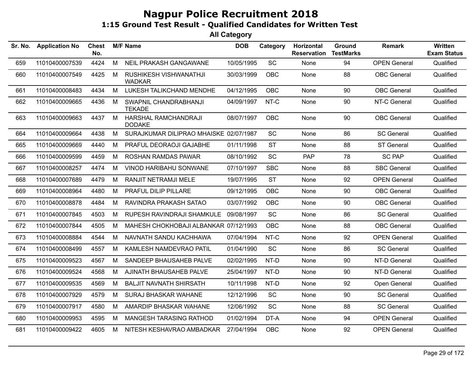| Sr. No. | <b>Application No</b> | <b>Chest</b><br>No. |   | <b>M/F Name</b>                         | <b>DOB</b> | Category   | Horizontal<br><b>Reservation</b> | Ground<br><b>TestMarks</b> | <b>Remark</b>       | Written<br><b>Exam Status</b> |
|---------|-----------------------|---------------------|---|-----------------------------------------|------------|------------|----------------------------------|----------------------------|---------------------|-------------------------------|
| 659     | 11010400007539        | 4424                | M | NEIL PRAKASH GANGAWANE                  | 10/05/1995 | SC         | None                             | 94                         | <b>OPEN General</b> | Qualified                     |
| 660     | 11010400007549        | 4425                | м | RUSHIKESH VISHWANATHJI<br><b>WADKAR</b> | 30/03/1999 | <b>OBC</b> | None                             | 88                         | <b>OBC</b> General  | Qualified                     |
| 661     | 11010400008483        | 4434                | M | LUKESH TALIKCHAND MENDHE                | 04/12/1995 | <b>OBC</b> | None                             | 90                         | <b>OBC</b> General  | Qualified                     |
| 662     | 11010400009665        | 4436                | м | SWAPNIL CHANDRABHANJI<br><b>TEKADE</b>  | 04/09/1997 | NT-C       | None                             | 90                         | NT-C General        | Qualified                     |
| 663     | 11010400009663        | 4437                | M | HARSHAL RAMCHANDRAJI<br><b>DODAKE</b>   | 08/07/1997 | OBC        | None                             | 90                         | <b>OBC</b> General  | Qualified                     |
| 664     | 11010400009664        | 4438                | M | SURAJKUMAR DILIPRAO MHAISKE 02/07/1987  |            | SC         | None                             | 86                         | <b>SC General</b>   | Qualified                     |
| 665     | 11010400009669        | 4440                | М | PRAFUL DEORAOJI GAJABHE                 | 01/11/1998 | <b>ST</b>  | None                             | 88                         | <b>ST General</b>   | Qualified                     |
| 666     | 11010400009599        | 4459                | М | ROSHAN RAMDAS PAWAR                     | 08/10/1992 | SC         | PAP                              | 78                         | <b>SC PAP</b>       | Qualified                     |
| 667     | 11010400008257        | 4474                | М | <b>VINOD HARIBAHU SONWANE</b>           | 07/10/1997 | <b>SBC</b> | None                             | 88                         | <b>SBC General</b>  | Qualified                     |
| 668     | 11010400007689        | 4479                | M | RANJIT NETRAMJI MELE                    | 19/07/1995 | <b>ST</b>  | None                             | 92                         | <b>OPEN General</b> | Qualified                     |
| 669     | 11010400008964        | 4480                | M | PRAFUL DILIP PILLARE                    | 09/12/1995 | <b>OBC</b> | None                             | 90                         | <b>OBC</b> General  | Qualified                     |
| 670     | 11010400008878        | 4484                | M | RAVINDRA PRAKASH SATAO                  | 03/07/1992 | <b>OBC</b> | None                             | 90                         | <b>OBC</b> General  | Qualified                     |
| 671     | 11010400007845        | 4503                | М | RUPESH RAVINDRAJI SHAMKULE              | 09/08/1997 | <b>SC</b>  | None                             | 86                         | <b>SC General</b>   | Qualified                     |
| 672     | 11010400007844        | 4505                | M | MAHESH CHOKHOBAJI ALBANKAR 07/12/1993   |            | <b>OBC</b> | None                             | 88                         | <b>OBC</b> General  | Qualified                     |
| 673     | 11010400008884        | 4544                | M | NAVNATH SANDU KACHHAWA                  | 07/04/1994 | NT-C       | None                             | 92                         | <b>OPEN General</b> | Qualified                     |
| 674     | 11010400008499        | 4557                | М | KAMLESH NAMDEVRAO PATIL                 | 01/04/1990 | SC         | None                             | 86                         | <b>SC General</b>   | Qualified                     |
| 675     | 11010400009523        | 4567                | М | SANDEEP BHAUSAHEB PALVE                 | 02/02/1995 | NT-D       | None                             | 90                         | NT-D General        | Qualified                     |
| 676     | 11010400009524        | 4568                | M | AJINATH BHAUSAHEB PALVE                 | 25/04/1997 | NT-D       | None                             | 90                         | NT-D General        | Qualified                     |
| 677     | 11010400009535        | 4569                | M | <b>BALJIT NAVNATH SHIRSATH</b>          | 10/11/1998 | NT-D       | None                             | 92                         | Open General        | Qualified                     |
| 678     | 11010400007929        | 4579                | М | SURAJ BHASKAR WAHANE                    | 12/12/1996 | SC         | None                             | 90                         | <b>SC General</b>   | Qualified                     |
| 679     | 11010400007917        | 4580                | М | AMARDIP BHASKAR WAHANE                  | 12/06/1992 | SC         | None                             | 88                         | <b>SC General</b>   | Qualified                     |
| 680     | 11010400009953        | 4595                | M | MANGESH TARASING RATHOD                 | 01/02/1994 | DT-A       | None                             | 94                         | <b>OPEN General</b> | Qualified                     |
| 681     | 11010400009422        | 4605                | м | NITESH KESHAVRAO AMBADKAR               | 27/04/1994 | <b>OBC</b> | None                             | 92                         | <b>OPEN General</b> | Qualified                     |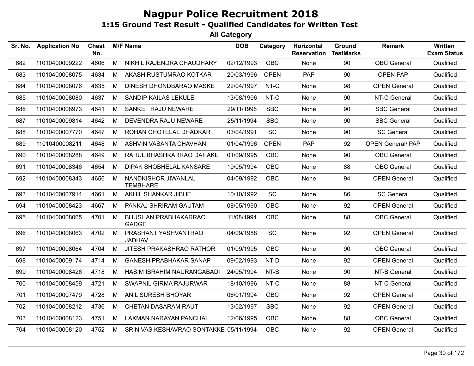| Sr. No. | <b>Application No</b> | <b>Chest</b><br>No. |   | <b>M/F Name</b>                             | <b>DOB</b> | Category                     | Horizontal<br><b>Reservation</b> | Ground<br><b>TestMarks</b> | Remark                   | Written<br><b>Exam Status</b> |
|---------|-----------------------|---------------------|---|---------------------------------------------|------------|------------------------------|----------------------------------|----------------------------|--------------------------|-------------------------------|
| 682     | 11010400009222        | 4606                | M | NIKHIL RAJENDRA CHAUDHARY                   | 02/12/1993 | <b>OBC</b>                   | None                             | 90                         | <b>OBC</b> General       | Qualified                     |
| 683     | 11010400008075        | 4634                | M | AKASH RUSTUMRAO KOTKAR                      | 20/03/1996 | <b>OPEN</b>                  | PAP                              | 90                         | <b>OPEN PAP</b>          | Qualified                     |
| 684     | 11010400008076        | 4635                | M | DINESH DHONDBARAO MASKE                     | 22/04/1997 | NT-C                         | None                             | 98                         | <b>OPEN General</b>      | Qualified                     |
| 685     | 11010400008080        | 4637                | M | SANDIP KAILAS LEKULE                        | 13/08/1996 | NT-C                         | None                             | 90                         | NT-C General             | Qualified                     |
| 686     | 11010400008973        | 4641                | M | <b>SANKET RAJU NEWARE</b>                   | 29/11/1996 | <b>SBC</b>                   | None                             | 90                         | <b>SBC General</b>       | Qualified                     |
| 687     | 11010400009814        | 4642                | М | DEVENDRA RAJU NEWARE                        | 25/11/1994 | <b>SBC</b>                   | None                             | 90                         | <b>SBC General</b>       | Qualified                     |
| 688     | 11010400007770        | 4647                | M | ROHAN CHOTELAL DHADKAR                      | 03/04/1991 | <b>SC</b>                    | None                             | 90                         | <b>SC General</b>        | Qualified                     |
| 689     | 11010400008211        | 4648                | M | ASHVIN VASANTA CHAVHAN                      | 01/04/1996 | <b>OPEN</b>                  | <b>PAP</b>                       | 92                         | <b>OPEN General/ PAP</b> | Qualified                     |
| 690     | 11010400008288        | 4649                | M | RAHUL BHASHKARRAO DAHAKE                    | 01/09/1995 | <b>OBC</b>                   | None                             | 90                         | <b>OBC</b> General       | Qualified                     |
| 691     | 11010400008346        | 4654                | M | DIPAK SHOBHELAL KANSARE                     | 19/05/1994 | <b>OBC</b>                   | None                             | 88                         | <b>OBC</b> General       | Qualified                     |
| 692     | 11010400008343        | 4656                | M | NANDKISHOR JIWANLAL<br><b>TEMBHARE</b>      | 04/09/1992 | <b>OBC</b>                   | None                             | 94                         | <b>OPEN General</b>      | Qualified                     |
| 693     | 11010400007914        | 4661                | M | AKHIL SHANKAR JIBHE                         | 10/10/1992 | $\operatorname{\textsf{SC}}$ | None                             | 86                         | <b>SC General</b>        | Qualified                     |
| 694     | 11010400008423        | 4667                | М | PANKAJ SHRIRAM GAUTAM                       | 08/05/1990 | <b>OBC</b>                   | None                             | 92                         | <b>OPEN General</b>      | Qualified                     |
| 695     | 11010400008065        | 4701                | M | <b>BHUSHAN PRABHAKARRAO</b><br><b>GADGE</b> | 11/08/1994 | OBC                          | None                             | 88                         | <b>OBC</b> General       | Qualified                     |
| 696     | 11010400008063        | 4702                | M | PRASHANT YASHVANTRAO<br><b>JADHAV</b>       | 04/09/1988 | SC                           | None                             | 92                         | <b>OPEN General</b>      | Qualified                     |
| 697     | 11010400008064        | 4704                | M | JITESH PRAKASHRAO RATHOR                    | 01/09/1995 | <b>OBC</b>                   | None                             | 90                         | <b>OBC</b> General       | Qualified                     |
| 698     | 11010400009174        | 4714                | M | <b>GANESH PRABHAKAR SANAP</b>               | 09/02/1993 | NT-D                         | None                             | 92                         | <b>OPEN General</b>      | Qualified                     |
| 699     | 11010400008426        | 4718                | М | HASIM IBRAHIM NAURANGABADI                  | 24/05/1994 | NT-B                         | None                             | 90                         | NT-B General             | Qualified                     |
| 700     | 11010400008459        | 4721                | M | <b>SWAPNIL GIRMA RAJURWAR</b>               | 18/10/1996 | NT-C                         | None                             | 88                         | NT-C General             | Qualified                     |
| 701     | 11010400007479        | 4728                | M | ANIL SURESH BHOYAR                          | 06/01/1994 | <b>OBC</b>                   | None                             | 92                         | <b>OPEN General</b>      | Qualified                     |
| 702     | 11010400008212        | 4736                | M | CHETAN DASARAM RAUT                         | 13/02/1997 | <b>SBC</b>                   | None                             | 92                         | <b>OPEN General</b>      | Qualified                     |
| 703     | 11010400008123        | 4751                | M | <b>LAXMAN NARAYAN PANCHAL</b>               | 12/06/1995 | <b>OBC</b>                   | None                             | 88                         | <b>OBC</b> General       | Qualified                     |
| 704     | 11010400008120        | 4752                | M | SRINIVAS KESHAVRAO SONTAKKE 05/11/1994      |            | <b>OBC</b>                   | None                             | 92                         | <b>OPEN General</b>      | Qualified                     |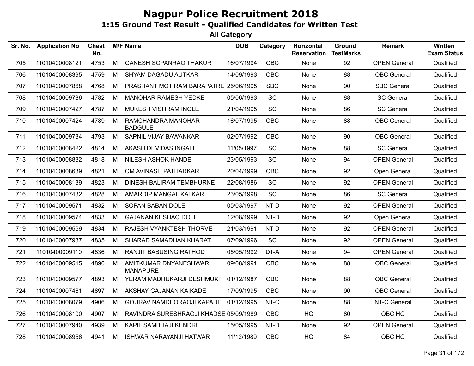| Sr. No. | <b>Application No</b> | <b>Chest</b><br>No. |   | <b>M/F Name</b>                          | <b>DOB</b> | Category   | Horizontal<br><b>Reservation</b> | <b>Ground</b><br><b>TestMarks</b> | Remark              | Written<br><b>Exam Status</b> |
|---------|-----------------------|---------------------|---|------------------------------------------|------------|------------|----------------------------------|-----------------------------------|---------------------|-------------------------------|
| 705     | 11010400008121        | 4753                | M | <b>GANESH SOPANRAO THAKUR</b>            | 16/07/1994 | <b>OBC</b> | None                             | 92                                | <b>OPEN General</b> | Qualified                     |
| 706     | 11010400008395        | 4759                | M | SHYAM DAGADU AUTKAR                      | 14/09/1993 | <b>OBC</b> | None                             | 88                                | <b>OBC</b> General  | Qualified                     |
| 707     | 11010400007868        | 4768                | М | PRASHANT MOTIRAM BARAPATRE 25/06/1995    |            | <b>SBC</b> | None                             | 90                                | <b>SBC General</b>  | Qualified                     |
| 708     | 11010400009786        | 4782                | M | MANOHAR RAMESH YEDKE                     | 05/06/1993 | SC         | None                             | 88                                | <b>SC General</b>   | Qualified                     |
| 709     | 11010400007427        | 4787                | M | MUKESH VISHRAM INGLE                     | 21/04/1995 | SC         | None                             | 86                                | <b>SC General</b>   | Qualified                     |
| 710     | 11010400007424        | 4789                | M | RAMCHANDRA MANOHAR<br><b>BADGULE</b>     | 16/07/1995 | <b>OBC</b> | None                             | 88                                | <b>OBC</b> General  | Qualified                     |
| 711     | 11010400009734        | 4793                | M | SAPNIL VIJAY BAWANKAR                    | 02/07/1992 | <b>OBC</b> | None                             | 90                                | <b>OBC</b> General  | Qualified                     |
| 712     | 11010400008422        | 4814                | M | AKASH DEVIDAS INGALE                     | 11/05/1997 | SC         | None                             | 88                                | <b>SC General</b>   | Qualified                     |
| 713     | 11010400008832        | 4818                | M | NILESH ASHOK HANDE                       | 23/05/1993 | <b>SC</b>  | None                             | 94                                | <b>OPEN General</b> | Qualified                     |
| 714     | 11010400008639        | 4821                | M | OM AVINASH PATHARKAR                     | 20/04/1999 | <b>OBC</b> | None                             | 92                                | Open General        | Qualified                     |
| 715     | 11010400008139        | 4823                | M | DINESH BALIRAM TEMBHURNE                 | 22/08/1986 | SC         | None                             | 92                                | <b>OPEN General</b> | Qualified                     |
| 716     | 11010400007432        | 4828                | M | AMARDIP MANGAL KATKAR                    | 23/05/1998 | <b>SC</b>  | None                             | 86                                | <b>SC General</b>   | Qualified                     |
| 717     | 11010400009571        | 4832                | M | SOPAN BABAN DOLE                         | 05/03/1997 | NT-D       | None                             | 92                                | <b>OPEN General</b> | Qualified                     |
| 718     | 11010400009574        | 4833                | М | <b>GAJANAN KESHAO DOLE</b>               | 12/08/1999 | NT-D       | None                             | 92                                | Open General        | Qualified                     |
| 719     | 11010400009569        | 4834                | M | RAJESH VYANKTESH THORVE                  | 21/03/1991 | NT-D       | None                             | 92                                | <b>OPEN General</b> | Qualified                     |
| 720     | 11010400007937        | 4835                | M | SHARAD SAMADHAN KHARAT                   | 07/09/1996 | <b>SC</b>  | None                             | 92                                | <b>OPEN General</b> | Qualified                     |
| 721     | 11010400009110        | 4836                | M | <b>RANJIT BABUSING RATHOD</b>            | 05/05/1992 | DT-A       | None                             | 94                                | <b>OPEN General</b> | Qualified                     |
| 722     | 11010400009515        | 4890                | M | AMITKUMAR DNYANESHWAR<br><b>MANAPURE</b> | 09/08/1991 | <b>OBC</b> | None                             | 88                                | <b>OBC</b> General  | Qualified                     |
| 723     | 11010400009577        | 4893                | M | YERAM MADHUKARJI DESHMUKH 01/12/1987     |            | <b>OBC</b> | None                             | 88                                | <b>OBC</b> General  | Qualified                     |
| 724     | 11010400007461        | 4897                | M | AKSHAY GAJANAN KAIKADE                   | 17/09/1995 | <b>OBC</b> | None                             | 90                                | <b>OBC</b> General  | Qualified                     |
| 725     | 11010400008079        | 4906                | M | GOURAV NAMDEORAOJI KAPADE 01/12/1995     |            | NT-C       | None                             | 88                                | NT-C General        | Qualified                     |
| 726     | 11010400008100        | 4907                | M | RAVINDRA SURESHRAOJI KHADSE 05/09/1989   |            | <b>OBC</b> | HG                               | 80                                | OBC HG              | Qualified                     |
| 727     | 11010400007940        | 4939                | M | KAPIL SAMBHAJI KENDRE                    | 15/05/1995 | NT-D       | None                             | 92                                | <b>OPEN General</b> | Qualified                     |
| 728     | 11010400008956        | 4941                | M | <b>ISHWAR NARAYANJI HATWAR</b>           | 11/12/1989 | OBC        | HG                               | 84                                | OBC HG              | Qualified                     |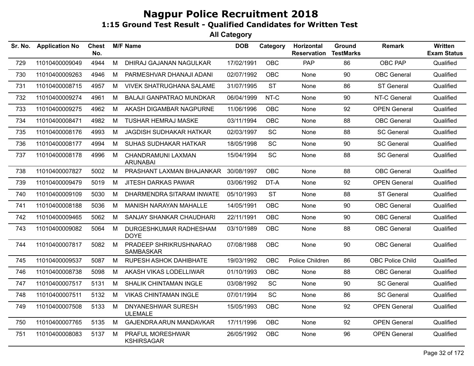| Sr. No. | <b>Application No</b> | Chest<br>No. |   | <b>M/F Name</b>                            | <b>DOB</b> | Category   | Horizontal<br><b>Reservation</b> | Ground<br><b>TestMarks</b> | <b>Remark</b>       | Written<br><b>Exam Status</b> |
|---------|-----------------------|--------------|---|--------------------------------------------|------------|------------|----------------------------------|----------------------------|---------------------|-------------------------------|
| 729     | 11010400009049        | 4944         | М | DHIRAJ GAJANAN NAGULKAR                    | 17/02/1991 | <b>OBC</b> | <b>PAP</b>                       | 86                         | OBC PAP             | Qualified                     |
| 730     | 11010400009263        | 4946         | М | PARMESHVAR DHANAJI ADANI                   | 02/07/1992 | OBC        | None                             | 90                         | <b>OBC</b> General  | Qualified                     |
| 731     | 11010400008715        | 4957         | M | <b>VIVEK SHATRUGHANA SALAME</b>            | 31/07/1995 | <b>ST</b>  | None                             | 86                         | <b>ST General</b>   | Qualified                     |
| 732     | 11010400009274        | 4961         | М | <b>BALAJI GANPATRAO MUNDKAR</b>            | 06/04/1999 | NT-C       | <b>None</b>                      | 90                         | NT-C General        | Qualified                     |
| 733     | 11010400009275        | 4962         | М | AKASH DIGAMBAR NAGPURNE                    | 11/06/1996 | <b>OBC</b> | None                             | 92                         | <b>OPEN General</b> | Qualified                     |
| 734     | 11010400008471        | 4982         | M | <b>TUSHAR HEMRAJ MASKE</b>                 | 03/11/1994 | OBC        | None                             | 88                         | <b>OBC</b> General  | Qualified                     |
| 735     | 11010400008176        | 4993         | М | <b>JAGDISH SUDHAKAR HATKAR</b>             | 02/03/1997 | <b>SC</b>  | None                             | 88                         | <b>SC General</b>   | Qualified                     |
| 736     | 11010400008177        | 4994         | М | SUHAS SUDHAKAR HATKAR                      | 18/05/1998 | <b>SC</b>  | None                             | 90                         | <b>SC General</b>   | Qualified                     |
| 737     | 11010400008178        | 4996         | M | CHANDRAMUNI LAXMAN<br><b>ARUNABAI</b>      | 15/04/1994 | SC         | None                             | 88                         | <b>SC General</b>   | Qualified                     |
| 738     | 11010400007827        | 5002         | M | PRASHANT LAXMAN BHAJANKAR                  | 30/08/1997 | <b>OBC</b> | None                             | 88                         | <b>OBC</b> General  | Qualified                     |
| 739     | 11010400009479        | 5019         | М | <b>JITESH DARKAS PAWAR</b>                 | 03/06/1992 | DT-A       | None                             | 92                         | <b>OPEN General</b> | Qualified                     |
| 740     | 11010400009109        | 5030         | М | DHARMENDRA SITARAM INWATE                  | 05/10/1993 | <b>ST</b>  | None                             | 88                         | <b>ST General</b>   | Qualified                     |
| 741     | 11010400008188        | 5036         | M | MANISH NARAYAN MAHALLE                     | 14/05/1991 | <b>OBC</b> | None                             | 90                         | <b>OBC</b> General  | Qualified                     |
| 742     | 11010400009465        | 5062         | М | SANJAY SHANKAR CHAUDHARI                   | 22/11/1991 | OBC.       | None                             | 90                         | <b>OBC</b> General  | Qualified                     |
| 743     | 11010400009082        | 5064         | M | DURGESHKUMAR RADHESHAM<br><b>DOYE</b>      | 03/10/1989 | <b>OBC</b> | None                             | 88                         | <b>OBC</b> General  | Qualified                     |
| 744     | 11010400007817        | 5082         | M | PRADEEP SHRIKRUSHNARAO<br><b>SAMBASKAR</b> | 07/08/1988 | OBC        | None                             | 90                         | <b>OBC</b> General  | Qualified                     |
| 745     | 11010400009537        | 5087         | М | RUPESH ASHOK DAHIBHATE                     | 19/03/1992 | OBC        | Police Children                  | 86                         | OBC Police Child    | Qualified                     |
| 746     | 11010400008738        | 5098         | М | AKASH VIKAS LODELLIWAR                     | 01/10/1993 | OBC        | None                             | 88                         | <b>OBC</b> General  | Qualified                     |
| 747     | 11010400007517        | 5131         | М | SHALIK CHINTAMAN INGLE                     | 03/08/1992 | <b>SC</b>  | None                             | 90                         | <b>SC General</b>   | Qualified                     |
| 748     | 11010400007511        | 5132         | М | <b>VIKAS CHINTAMAN INGLE</b>               | 07/01/1994 | <b>SC</b>  | None                             | 86                         | <b>SC General</b>   | Qualified                     |
| 749     | 11010400007508        | 5133         | М | DNYANESHWAR SURESH<br><b>ULEMALE</b>       | 15/05/1993 | OBC        | None                             | 92                         | <b>OPEN General</b> | Qualified                     |
| 750     | 11010400007765        | 5135         | М | GAJENDRA ARUN MANDAVKAR                    | 17/11/1996 | OBC        | None                             | 92                         | <b>OPEN General</b> | Qualified                     |
| 751     | 11010400008083        | 5137         | м | PRAFUL MORESHWAR<br><b>KSHIRSAGAR</b>      | 26/05/1992 | <b>OBC</b> | None                             | 96                         | <b>OPEN General</b> | Qualified                     |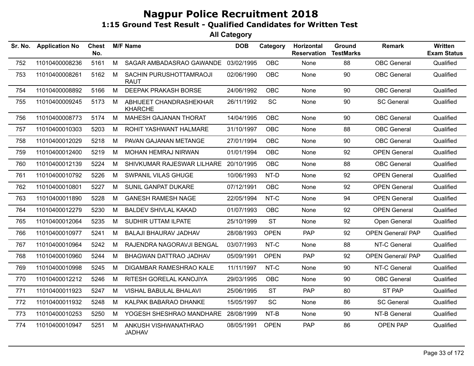| Sr. No. | <b>Application No</b> | <b>Chest</b><br>No. |   | <b>M/F Name</b>                           | <b>DOB</b> | Category    | Horizontal<br><b>Reservation</b> | Ground<br><b>TestMarks</b> | Remark                   | <b>Written</b><br><b>Exam Status</b> |
|---------|-----------------------|---------------------|---|-------------------------------------------|------------|-------------|----------------------------------|----------------------------|--------------------------|--------------------------------------|
| 752     | 11010400008236        | 5161                | M | SAGAR AMBADASRAO GAWANDE                  | 03/02/1995 | <b>OBC</b>  | None                             | 88                         | <b>OBC</b> General       | Qualified                            |
| 753     | 11010400008261        | 5162                | M | SACHIN PURUSHOTTAMRAOJI<br><b>RAUT</b>    | 02/06/1990 | <b>OBC</b>  | None                             | 90                         | <b>OBC</b> General       | Qualified                            |
| 754     | 11010400008892        | 5166                | M | <b>DEEPAK PRAKASH BORSE</b>               | 24/06/1992 | OBC         | None                             | 90                         | <b>OBC</b> General       | Qualified                            |
| 755     | 11010400009245        | 5173                | M | ABHIJEET CHANDRASHEKHAR<br><b>KHARCHE</b> | 26/11/1992 | SC          | None                             | 90                         | <b>SC General</b>        | Qualified                            |
| 756     | 11010400008773        | 5174                | M | MAHESH GAJANAN THORAT                     | 14/04/1995 | <b>OBC</b>  | None                             | 90                         | <b>OBC</b> General       | Qualified                            |
| 757     | 11010400010303        | 5203                | M | ROHIT YASHWANT HALMARE                    | 31/10/1997 | <b>OBC</b>  | None                             | 88                         | <b>OBC</b> General       | Qualified                            |
| 758     | 11010400012029        | 5218                | M | PAVAN GAJANAN METANGE                     | 27/01/1994 | <b>OBC</b>  | None                             | 90                         | <b>OBC</b> General       | Qualified                            |
| 759     | 11010400012400        | 5219                | M | MOHAN HEMRAJ NIRWAN                       | 01/01/1994 | <b>OBC</b>  | None                             | 92                         | <b>OPEN General</b>      | Qualified                            |
| 760     | 11010400012139        | 5224                | М | SHIVKUMAR RAJESWAR LILHARE 20/10/1995     |            | <b>OBC</b>  | None                             | 88                         | <b>OBC</b> General       | Qualified                            |
| 761     | 11010400010792        | 5226                | M | SWPANIL VILAS GHUGE                       | 10/06/1993 | NT-D        | None                             | 92                         | <b>OPEN General</b>      | Qualified                            |
| 762     | 11010400010801        | 5227                | M | SUNIL GANPAT DUKARE                       | 07/12/1991 | <b>OBC</b>  | None                             | 92                         | <b>OPEN General</b>      | Qualified                            |
| 763     | 11010400011890        | 5228                | M | <b>GANESH RAMESH NAGE</b>                 | 22/05/1994 | NT-C        | None                             | 94                         | <b>OPEN General</b>      | Qualified                            |
| 764     | 11010400012279        | 5230                | М | <b>BALDEV SHIVLAL KAKAD</b>               | 01/07/1993 | <b>OBC</b>  | None                             | 92                         | <b>OPEN General</b>      | Qualified                            |
| 765     | 11010400012064        | 5235                | M | SUDHIR UTTAM ILPATE                       | 25/10/1999 | <b>ST</b>   | None                             | 92                         | Open General             | Qualified                            |
| 766     | 11010400010977        | 5241                | M | <b>BALAJI BHAURAV JADHAV</b>              | 28/08/1993 | <b>OPEN</b> | <b>PAP</b>                       | 92                         | <b>OPEN General/ PAP</b> | Qualified                            |
| 767     | 11010400010964        | 5242                | M | RAJENDRA NAGORAVJI BENGAL                 | 03/07/1993 | NT-C        | None                             | 88                         | NT-C General             | Qualified                            |
| 768     | 11010400010960        | 5244                | M | BHAGWAN DATTRAO JADHAV                    | 05/09/1991 | <b>OPEN</b> | <b>PAP</b>                       | 92                         | <b>OPEN General/ PAP</b> | Qualified                            |
| 769     | 11010400010998        | 5245                | M | DIGAMBAR RAMESHRAO KALE                   | 11/11/1997 | NT-C        | None                             | 90                         | NT-C General             | Qualified                            |
| 770     | 11010400012212        | 5246                | М | RITESH GORELAL KANOJIYA                   | 29/03/1995 | <b>OBC</b>  | None                             | 90                         | <b>OBC</b> General       | Qualified                            |
| 771     | 11010400011923        | 5247                | M | VISHAL BABULAL BHALAVI                    | 25/06/1995 | <b>ST</b>   | <b>PAP</b>                       | 80                         | ST PAP                   | Qualified                            |
| 772     | 11010400011932        | 5248                | М | KALPAK BABARAO DHANKE                     | 15/05/1997 | SC          | None                             | 86                         | <b>SC General</b>        | Qualified                            |
| 773     | 11010400010253        | 5250                | M | YOGESH SHESHRAO MANDHARE                  | 28/08/1999 | NT-B        | None                             | 90                         | NT-B General             | Qualified                            |
| 774     | 11010400010947        | 5251                | M | ANKUSH VISHWANATHRAO<br><b>JADHAV</b>     | 08/05/1991 | <b>OPEN</b> | <b>PAP</b>                       | 86                         | OPEN PAP                 | Qualified                            |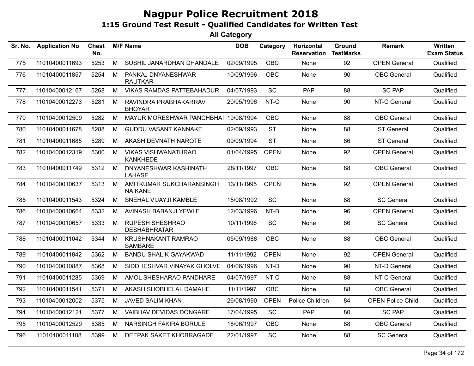| Sr. No. | <b>Application No</b> | <b>Chest</b><br>No. |   | <b>M/F Name</b>                               | <b>DOB</b> | Category    | Horizontal<br><b>Reservation</b> | Ground<br><b>TestMarks</b> | Remark                   | <b>Written</b><br><b>Exam Status</b> |
|---------|-----------------------|---------------------|---|-----------------------------------------------|------------|-------------|----------------------------------|----------------------------|--------------------------|--------------------------------------|
| 775     | 11010400011693        | 5253                | M | SUSHIL JANARDHAN DHANDALE                     | 02/09/1995 | OBC         | None                             | 92                         | <b>OPEN General</b>      | Qualified                            |
| 776     | 11010400011857        | 5254                | M | PANKAJ DNYANESHWAR<br><b>RAUTKAR</b>          | 10/09/1996 | OBC         | None                             | 90                         | <b>OBC</b> General       | Qualified                            |
| 777     | 11010400012167        | 5268                | М | <b>VIKAS RAMDAS PATTEBAHADUR</b>              | 04/07/1993 | <b>SC</b>   | <b>PAP</b>                       | 88                         | <b>SC PAP</b>            | Qualified                            |
| 778     | 11010400012273        | 5281                | M | RAVINDRA PRABHAKARRAV<br><b>BHOYAR</b>        | 20/05/1996 | NT-C        | None                             | 90                         | NT-C General             | Qualified                            |
| 779     | 11010400012509        | 5282                | M | MAYUR MORESHWAR PANCHBHAI 19/08/1994          |            | OBC         | None                             | 88                         | <b>OBC</b> General       | Qualified                            |
| 780     | 11010400011678        | 5288                | M | <b>GUDDU VASANT KANNAKE</b>                   | 02/09/1993 | <b>ST</b>   | None                             | 88                         | <b>ST General</b>        | Qualified                            |
| 781     | 11010400011685        | 5289                | M | AKASH DEVNATH NAROTE                          | 09/09/1994 | <b>ST</b>   | None                             | 86                         | ST General               | Qualified                            |
| 782     | 11010400012319        | 5300                | M | <b>VIKAS VISHWANATHRAO</b><br><b>KANKHEDE</b> | 01/04/1995 | <b>OPEN</b> | None                             | 92                         | <b>OPEN General</b>      | Qualified                            |
| 783     | 11010400011749        | 5312                | M | DNYANESHWAR KASHINATH<br><b>LAHASE</b>        | 28/11/1997 | OBC         | <b>None</b>                      | 88                         | <b>OBC</b> General       | Qualified                            |
| 784     | 11010400010637        | 5313                | M | AMITKUMAR SUKCHARANSINGH<br><b>NAIKANE</b>    | 13/11/1995 | <b>OPEN</b> | <b>None</b>                      | 92                         | <b>OPEN General</b>      | Qualified                            |
| 785     | 11010400011543        | 5324                | M | SNEHAL VIJAYJI KAMBLE                         | 15/08/1992 | SC          | None                             | 88                         | <b>SC General</b>        | Qualified                            |
| 786     | 11010400010664        | 5332                | M | AVINASH BABANJI YEWLE                         | 12/03/1996 | NT-B        | None                             | 96                         | <b>OPEN General</b>      | Qualified                            |
| 787     | 11010400010657        | 5333                | M | <b>RUPESH SHESHRAO</b><br><b>DESHABHRATAR</b> | 10/11/1996 | SC          | None                             | 86                         | <b>SC General</b>        | Qualified                            |
| 788     | 11010400011042        | 5344                | М | KRUSHNAKANT RAMRAO<br><b>SAMBARE</b>          | 05/09/1988 | OBC         | None                             | 88                         | <b>OBC</b> General       | Qualified                            |
| 789     | 11010400011842        | 5362                | M | <b>BANDU SHALIK GAYAKWAD</b>                  | 11/11/1992 | <b>OPEN</b> | None                             | 92                         | <b>OPEN General</b>      | Qualified                            |
| 790     | 11010400010887        | 5368                | M | SIDDHESHVAR VINAYAK GHOLVE                    | 04/06/1996 | NT-D        | None                             | 90                         | NT-D General             | Qualified                            |
| 791     | 11010400011285        | 5369                | M | AMOL SHESHARAO PANDHARE                       | 04/07/1997 | NT-C        | None                             | 88                         | NT-C General             | Qualified                            |
| 792     | 11010400011541        | 5371                | M | AKASH SHOBHELAL DAMAHE                        | 11/11/1997 | <b>OBC</b>  | None                             | 88                         | <b>OBC</b> General       | Qualified                            |
| 793     | 11010400012002        | 5375                | M | JAVED SALIM KHAN                              | 26/08/1990 | <b>OPEN</b> | Police Children                  | 84                         | <b>OPEN Police Child</b> | Qualified                            |
| 794     | 11010400012121        | 5377                | M | VAIBHAV DEVIDAS DONGARE                       | 17/04/1995 | SC          | <b>PAP</b>                       | 80                         | <b>SC PAP</b>            | Qualified                            |
| 795     | 11010400012529        | 5385                | M | <b>NARSINGH FAKIRA BORULE</b>                 | 18/06/1997 | OBC         | None                             | 88                         | <b>OBC</b> General       | Qualified                            |
| 796     | 11010400011108        | 5399                | М | DEEPAK SAKET KHOBRAGADE                       | 22/01/1997 | SC          | None                             | 88                         | <b>SC General</b>        | Qualified                            |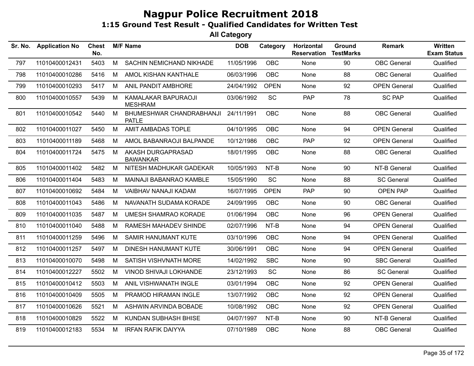| Sr. No. | <b>Application No</b> | <b>Chest</b><br>No. |   | <b>M/F Name</b>                          | <b>DOB</b> | Category    | Horizontal<br><b>Reservation</b> | Ground<br><b>TestMarks</b> | <b>Remark</b>       | <b>Written</b><br><b>Exam Status</b> |
|---------|-----------------------|---------------------|---|------------------------------------------|------------|-------------|----------------------------------|----------------------------|---------------------|--------------------------------------|
| 797     | 11010400012431        | 5403                | M | SACHIN NEMICHAND NIKHADE                 | 11/05/1996 | <b>OBC</b>  | None                             | 90                         | <b>OBC</b> General  | Qualified                            |
| 798     | 11010400010286        | 5416                | M | AMOL KISHAN KANTHALE                     | 06/03/1996 | <b>OBC</b>  | None                             | 88                         | <b>OBC</b> General  | Qualified                            |
| 799     | 11010400010293        | 5417                | M | ANIL PANDIT AMBHORE                      | 24/04/1992 | <b>OPEN</b> | None                             | 92                         | <b>OPEN General</b> | Qualified                            |
| 800     | 11010400010557        | 5439                | M | KAMALAKAR BAPURAOJI<br><b>MESHRAM</b>    | 03/06/1992 | SC          | PAP                              | 78                         | <b>SC PAP</b>       | Qualified                            |
| 801     | 11010400010542        | 5440                | M | BHUMESHWAR CHANDRABHANJI<br><b>PATLE</b> | 24/11/1991 | <b>OBC</b>  | None                             | 88                         | <b>OBC</b> General  | Qualified                            |
| 802     | 11010400011027        | 5450                | M | AMIT AMBADAS TOPLE                       | 04/10/1995 | <b>OBC</b>  | None                             | 94                         | <b>OPEN General</b> | Qualified                            |
| 803     | 11010400011189        | 5468                | M | AMOL BABANRAOJI BALPANDE                 | 10/12/1986 | <b>OBC</b>  | <b>PAP</b>                       | 92                         | <b>OPEN General</b> | Qualified                            |
| 804     | 11010400011724        | 5475                | M | AKASH DURGAPRASAD<br><b>BAWANKAR</b>     | 18/01/1995 | <b>OBC</b>  | None                             | 88                         | <b>OBC</b> General  | Qualified                            |
| 805     | 11010400011402        | 5482                | M | NITESH MADHUKAR GADEKAR                  | 10/05/1993 | NT-B        | None                             | 90                         | NT-B General        | Qualified                            |
| 806     | 11010400011404        | 5483                | M | MAINAJI BABANRAO KAMBLE                  | 15/05/1990 | SC          | None                             | 88                         | <b>SC General</b>   | Qualified                            |
| 807     | 11010400010692        | 5484                | M | VAIBHAV NANAJI KADAM                     | 16/07/1995 | <b>OPEN</b> | <b>PAP</b>                       | 90                         | <b>OPEN PAP</b>     | Qualified                            |
| 808     | 11010400011043        | 5486                | M | NAVANATH SUDAMA KORADE                   | 24/09/1995 | <b>OBC</b>  | None                             | 90                         | <b>OBC</b> General  | Qualified                            |
| 809     | 11010400011035        | 5487                | М | <b>UMESH SHAMRAO KORADE</b>              | 01/06/1994 | <b>OBC</b>  | None                             | 96                         | <b>OPEN General</b> | Qualified                            |
| 810     | 11010400011040        | 5488                | М | RAMESH MAHADEV SHINDE                    | 02/07/1996 | NT-B        | None                             | 94                         | <b>OPEN General</b> | Qualified                            |
| 811     | 11010400011259        | 5496                | М | <b>SAMIR HANUMANT KUTE</b>               | 03/10/1996 | <b>OBC</b>  | None                             | 94                         | <b>OPEN General</b> | Qualified                            |
| 812     | 11010400011257        | 5497                | M | DINESH HANUMANT KUTE                     | 30/06/1991 | <b>OBC</b>  | None                             | 94                         | <b>OPEN General</b> | Qualified                            |
| 813     | 11010400010070        | 5498                | M | SATISH VISHVNATH MORE                    | 14/02/1992 | <b>SBC</b>  | None                             | 90                         | <b>SBC General</b>  | Qualified                            |
| 814     | 11010400012227        | 5502                | M | <b>VINOD SHIVAJI LOKHANDE</b>            | 23/12/1993 | SC          | None                             | 86                         | <b>SC General</b>   | Qualified                            |
| 815     | 11010400010412        | 5503                | M | ANIL VISHWANATH INGLE                    | 03/01/1994 | <b>OBC</b>  | None                             | 92                         | <b>OPEN General</b> | Qualified                            |
| 816     | 11010400010409        | 5505                | M | PRAMOD HIRAMAN INGLE                     | 13/07/1992 | <b>OBC</b>  | None                             | 92                         | <b>OPEN General</b> | Qualified                            |
| 817     | 11010400010626        | 5521                | M | ASHWIN ARVINDA BOBADE                    | 10/08/1992 | <b>OBC</b>  | None                             | 92                         | <b>OPEN General</b> | Qualified                            |
| 818     | 11010400010829        | 5522                | М | KUNDAN SUBHASH BHISE                     | 04/07/1997 | NT-B        | None                             | 90                         | NT-B General        | Qualified                            |
| 819     | 11010400012183        | 5534                | M | <b>IRFAN RAFIK DAIYYA</b>                | 07/10/1989 | <b>OBC</b>  | None                             | 88                         | <b>OBC</b> General  | Qualified                            |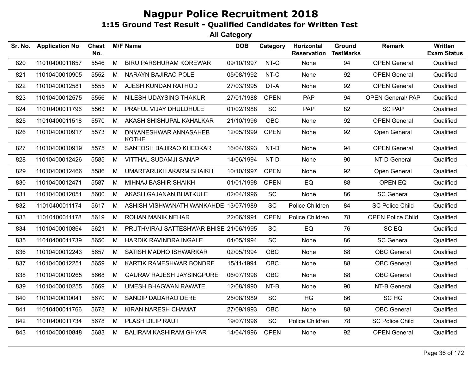| Sr. No. | <b>Application No</b> | <b>Chest</b><br>No. |   | <b>M/F Name</b>                        | <b>DOB</b> | Category    | Horizontal<br><b>Reservation</b> | Ground<br><b>TestMarks</b> | Remark                   | Written<br><b>Exam Status</b> |
|---------|-----------------------|---------------------|---|----------------------------------------|------------|-------------|----------------------------------|----------------------------|--------------------------|-------------------------------|
| 820     | 11010400011657        | 5546                | M | <b>BIRU PARSHURAM KOREWAR</b>          | 09/10/1997 | NT-C        | None                             | 94                         | <b>OPEN General</b>      | Qualified                     |
| 821     | 11010400010905        | 5552                | M | NARAYN BAJIRAO POLE                    | 05/08/1992 | NT-C        | None                             | 92                         | <b>OPEN General</b>      | Qualified                     |
| 822     | 11010400012581        | 5555                | M | AJESH KUNDAN RATHOD                    | 27/03/1995 | DT-A        | None                             | 92                         | <b>OPEN General</b>      | Qualified                     |
| 823     | 11010400012575        | 5556                | М | NILESH UDAYSING THAKUR                 | 27/01/1988 | <b>OPEN</b> | <b>PAP</b>                       | 94                         | <b>OPEN General/ PAP</b> | Qualified                     |
| 824     | 11010400011796        | 5563                | M | PRAFUL VIJAY DHULDHULE                 | 01/02/1988 | <b>SC</b>   | <b>PAP</b>                       | 82                         | <b>SC PAP</b>            | Qualified                     |
| 825     | 11010400011518        | 5570                | М | AKASH SHISHUPAL KAHALKAR               | 21/10/1996 | <b>OBC</b>  | None                             | 92                         | <b>OPEN General</b>      | Qualified                     |
| 826     | 11010400010917        | 5573                | M | DNYANESHWAR ANNASAHEB<br><b>KOTHE</b>  | 12/05/1999 | <b>OPEN</b> | None                             | 92                         | Open General             | Qualified                     |
| 827     | 11010400010919        | 5575                | M | SANTOSH BAJIRAO KHEDKAR                | 16/04/1993 | NT-D        | None                             | 94                         | <b>OPEN General</b>      | Qualified                     |
| 828     | 11010400012426        | 5585                | M | <b>VITTHAL SUDAMJI SANAP</b>           | 14/06/1994 | NT-D        | None                             | 90                         | NT-D General             | Qualified                     |
| 829     | 11010400012466        | 5586                | М | UMARFARUKH AKARM SHAIKH                | 10/10/1997 | <b>OPEN</b> | None                             | 92                         | Open General             | Qualified                     |
| 830     | 11010400012471        | 5587                | М | MIHNAJ BASHIR SHAIKH                   | 01/01/1998 | <b>OPEN</b> | EQ                               | 88                         | OPEN EQ                  | Qualified                     |
| 831     | 11010400012051        | 5600                | M | AKASH GAJANAN BHATKULE                 | 02/04/1996 | SC          | None                             | 86                         | <b>SC General</b>        | Qualified                     |
| 832     | 11010400011174        | 5617                | M | ASHISH VISHWANATH WANKAHDE 13/07/1989  |            | SC          | Police Children                  | 84                         | <b>SC Police Child</b>   | Qualified                     |
| 833     | 11010400011178        | 5619                | M | ROHAN MANIK NEHAR                      | 22/06/1991 | <b>OPEN</b> | Police Children                  | 78                         | <b>OPEN Police Child</b> | Qualified                     |
| 834     | 11010400010864        | 5621                | М | PRUTHVIRAJ SATTESHWAR BHISE 21/06/1995 |            | <b>SC</b>   | EQ                               | 76                         | SC <sub>EQ</sub>         | Qualified                     |
| 835     | 11010400011739        | 5650                | М | <b>HARDIK RAVINDRA INGALE</b>          | 04/05/1994 | SC          | None                             | 86                         | <b>SC General</b>        | Qualified                     |
| 836     | 11010400012243        | 5657                | M | SATISH MADHO ISHWARKAR                 | 02/05/1994 | OBC         | None                             | 88                         | <b>OBC</b> General       | Qualified                     |
| 837     | 11010400012251        | 5659                | М | KARTIK RAMESHWAR BONDRE                | 15/11/1994 | <b>OBC</b>  | None                             | 88                         | <b>OBC</b> General       | Qualified                     |
| 838     | 11010400010265        | 5668                | М | <b>GAURAV RAJESH JAYSINGPURE</b>       | 06/07/1998 | <b>OBC</b>  | None                             | 88                         | <b>OBC</b> General       | Qualified                     |
| 839     | 11010400010255        | 5669                | М | <b>UMESH BHAGWAN RAWATE</b>            | 12/08/1990 | NT-B        | None                             | 90                         | NT-B General             | Qualified                     |
| 840     | 11010400010041        | 5670                | М | SANDIP DADARAO DERE                    | 25/08/1989 | SC          | HG                               | 86                         | SC HG                    | Qualified                     |
| 841     | 11010400011766        | 5673                | M | KIRAN NARESH CHAMAT                    | 27/09/1993 | OBC         | None                             | 88                         | <b>OBC</b> General       | Qualified                     |
| 842     | 11010400011734        | 5678                | М | PLASH DILIP RAUT                       | 19/07/1996 | SC          | Police Children                  | 78                         | <b>SC Police Child</b>   | Qualified                     |
| 843     | 11010400010848        | 5683                | M | <b>BALIRAM KASHIRAM GHYAR</b>          | 14/04/1996 | <b>OPEN</b> | None                             | 92                         | <b>OPEN General</b>      | Qualified                     |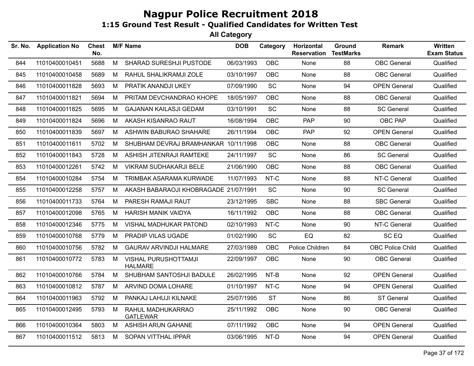| Sr. No. | <b>Application No</b> | Chest<br>No. |   | <b>M/F Name</b>                        | <b>DOB</b> | Category   | Horizontal<br><b>Reservation</b> | Ground<br><b>TestMarks</b> | <b>Remark</b>           | Written<br><b>Exam Status</b> |
|---------|-----------------------|--------------|---|----------------------------------------|------------|------------|----------------------------------|----------------------------|-------------------------|-------------------------------|
| 844     | 11010400010451        | 5688         | M | SHARAD SURESHJI PUSTODE                | 06/03/1993 | OBC        | None                             | 88                         | <b>OBC</b> General      | Qualified                     |
| 845     | 11010400010458        | 5689         | M | RAHUL SHALIKRAMJI ZOLE                 | 03/10/1997 | OBC        | None                             | 88                         | <b>OBC</b> General      | Qualified                     |
| 846     | 11010400011828        | 5693         | M | PRATIK ANANDJI UKEY                    | 07/09/1990 | <b>SC</b>  | None                             | 94                         | <b>OPEN General</b>     | Qualified                     |
| 847     | 11010400011821        | 5694         | M | PRITAM DEVCHANDRAO KHOPE               | 18/05/1997 | <b>OBC</b> | None                             | 88                         | <b>OBC</b> General      | Qualified                     |
| 848     | 11010400011825        | 5695         | M | <b>GAJANAN KAILASJI GEDAM</b>          | 03/10/1991 | <b>SC</b>  | <b>None</b>                      | 88                         | <b>SC General</b>       | Qualified                     |
| 849     | 11010400011824        | 5696         | M | AKASH KISANRAO RAUT                    | 16/08/1994 | <b>OBC</b> | <b>PAP</b>                       | 90                         | OBC PAP                 | Qualified                     |
| 850     | 11010400011839        | 5697         | M | ASHWIN BABURAO SHAHARE                 | 26/11/1994 | OBC        | <b>PAP</b>                       | 92                         | <b>OPEN General</b>     | Qualified                     |
| 851     | 11010400011611        | 5702         | M | SHUBHAM DEVRAJ BRAMHANKAR 10/11/1998   |            | OBC        | None                             | 88                         | <b>OBC</b> General      | Qualified                     |
| 852     | 11010400011843        | 5728         | M | ASHISH JITENRAJI RAMTEKE               | 24/11/1997 | SC         | None                             | 86                         | <b>SC General</b>       | Qualified                     |
| 853     | 11010400012261        | 5742         | M | VIKRAM SUDHAKARJI BELE                 | 21/06/1990 | OBC        | None                             | 88                         | <b>OBC</b> General      | Qualified                     |
| 854     | 11010400010284        | 5754         | M | TRIMBAK ASARAMA KURWADE                | 11/07/1993 | NT-C       | None                             | 88                         | NT-C General            | Qualified                     |
| 855     | 11010400012258        | 5757         | M | AKASH BABARAOJI KHOBRAGADE 21/07/1991  |            | SC         | None                             | 90                         | <b>SC General</b>       | Qualified                     |
| 856     | 11010400011733        | 5764         | M | PARESH RAMAJI RAUT                     | 23/12/1995 | <b>SBC</b> | None                             | 88                         | <b>SBC General</b>      | Qualified                     |
| 857     | 11010400012098        | 5765         | M | <b>HARISH MANIK VAIDYA</b>             | 16/11/1992 | <b>OBC</b> | None                             | 88                         | <b>OBC</b> General      | Qualified                     |
| 858     | 11010400012346        | 5775         | M | VISHAL MADHUKAR PATOND                 | 02/10/1993 | NT-C       | None                             | 90                         | NT-C General            | Qualified                     |
| 859     | 11010400010768        | 5779         | M | PRADIP VILAS UGADE                     | 01/02/1990 | SC         | EQ                               | 82                         | SC EQ                   | Qualified                     |
| 860     | 11010400010756        | 5782         | M | <b>GAURAV ARVINDJI HALMARE</b>         | 27/03/1989 | <b>OBC</b> | Police Children                  | 84                         | <b>OBC Police Child</b> | Qualified                     |
| 861     | 11010400010772        | 5783         | M | VISHAL PURUSHOTTAMJI<br><b>HALMARE</b> | 22/09/1997 | <b>OBC</b> | <b>None</b>                      | 90                         | <b>OBC</b> General      | Qualified                     |
| 862     | 11010400010766        | 5784         | M | SHUBHAM SANTOSHJI BADULE               | 26/02/1995 | NT-B       | None                             | 92                         | <b>OPEN General</b>     | Qualified                     |
| 863     | 11010400010812        | 5787         | M | ARVIND DOMA LOHARE                     | 01/10/1997 | NT-C       | None                             | 94                         | <b>OPEN General</b>     | Qualified                     |
| 864     | 11010400011963        | 5792         | M | PANKAJ LAHUJI KILNAKE                  | 25/07/1995 | <b>ST</b>  | None                             | 86                         | <b>ST General</b>       | Qualified                     |
| 865     | 11010400012495        | 5793         | M | RAHUL MADHUKARRAO<br><b>GATLEWAR</b>   | 25/11/1992 | OBC        | None                             | 90                         | <b>OBC</b> General      | Qualified                     |
| 866     | 11010400010364        | 5803         | M | ASHISH ARUN GAHANE                     | 07/11/1992 | OBC        | None                             | 94                         | <b>OPEN General</b>     | Qualified                     |
| 867     | 11010400011512        | 5813         | M | SOPAN VITTHAL IPPAR                    | 03/06/1995 | NT-D       | None                             | 94                         | <b>OPEN General</b>     | Qualified                     |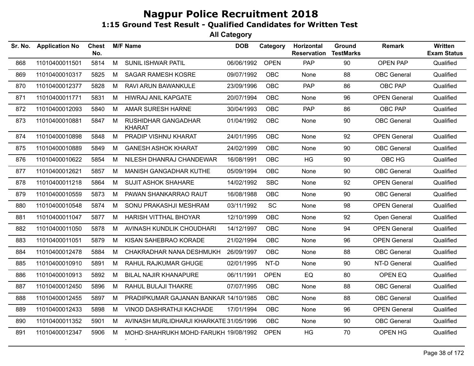| Sr. No. | <b>Application No</b> | <b>Chest</b><br>No. |   | <b>M/F Name</b>                         | <b>DOB</b> | Category    | Horizontal<br><b>Reservation</b> | Ground<br><b>TestMarks</b> | <b>Remark</b>       | Written<br><b>Exam Status</b> |
|---------|-----------------------|---------------------|---|-----------------------------------------|------------|-------------|----------------------------------|----------------------------|---------------------|-------------------------------|
| 868     | 11010400011501        | 5814                | M | SUNIL ISHWAR PATIL                      | 06/06/1992 | <b>OPEN</b> | PAP                              | 90                         | OPEN PAP            | Qualified                     |
| 869     | 11010400010317        | 5825                | M | <b>SAGAR RAMESH KOSRE</b>               | 09/07/1992 | <b>OBC</b>  | None                             | 88                         | <b>OBC</b> General  | Qualified                     |
| 870     | 11010400012377        | 5828                | M | RAVI ARUN BAWANKULE                     | 23/09/1996 | <b>OBC</b>  | <b>PAP</b>                       | 86                         | OBC PAP             | Qualified                     |
| 871     | 11010400011771        | 5831                | M | <b>HIWRAJ ANIL KAPGATE</b>              | 20/07/1994 | <b>OBC</b>  | None                             | 96                         | <b>OPEN General</b> | Qualified                     |
| 872     | 11010400012093        | 5840                | М | AMAR SURESH HARNE                       | 30/04/1993 | <b>OBC</b>  | <b>PAP</b>                       | 86                         | OBC PAP             | Qualified                     |
| 873     | 11010400010881        | 5847                | M | RUSHIDHAR GANGADHAR<br><b>KHARAT</b>    | 01/04/1992 | <b>OBC</b>  | None                             | 90                         | <b>OBC</b> General  | Qualified                     |
| 874     | 11010400010898        | 5848                | M | PRADIP VISHNU KHARAT                    | 24/01/1995 | <b>OBC</b>  | None                             | 92                         | <b>OPEN General</b> | Qualified                     |
| 875     | 11010400010889        | 5849                | M | <b>GANESH ASHOK KHARAT</b>              | 24/02/1999 | <b>OBC</b>  | None                             | 90                         | <b>OBC</b> General  | Qualified                     |
| 876     | 11010400010622        | 5854                | М | NILESH DHANRAJ CHANDEWAR                | 16/08/1991 | <b>OBC</b>  | HG                               | 90                         | OBC HG              | Qualified                     |
| 877     | 11010400012621        | 5857                | M | MANISH GANGADHAR KUTHE                  | 05/09/1994 | <b>OBC</b>  | None                             | 90                         | <b>OBC</b> General  | Qualified                     |
| 878     | 11010400011218        | 5864                | M | <b>SUJIT ASHOK SHAHARE</b>              | 14/02/1992 | <b>SBC</b>  | None                             | 92                         | <b>OPEN General</b> | Qualified                     |
| 879     | 11010400010559        | 5873                | М | PAWAN SHANKARRAO RAUT                   | 16/08/1988 | <b>OBC</b>  | None                             | 90                         | <b>OBC</b> General  | Qualified                     |
| 880     | 11010400010548        | 5874                | M | SONU PRAKASHJI MESHRAM                  | 03/11/1992 | SC          | <b>None</b>                      | 98                         | <b>OPEN General</b> | Qualified                     |
| 881     | 11010400011047        | 5877                | M | HARISH VITTHAL BHOYAR                   | 12/10/1999 | <b>OBC</b>  | None                             | 92                         | Open General        | Qualified                     |
| 882     | 11010400011050        | 5878                | M | AVINASH KUNDLIK CHOUDHARI               | 14/12/1997 | <b>OBC</b>  | None                             | 94                         | <b>OPEN General</b> | Qualified                     |
| 883     | 11010400011051        | 5879                | M | KISAN SAHEBRAO KORADE                   | 21/02/1994 | <b>OBC</b>  | None                             | 96                         | <b>OPEN General</b> | Qualified                     |
| 884     | 11010400012478        | 5884                | M | CHAKRADHAR NANA DESHMUKH                | 26/09/1997 | <b>OBC</b>  | None                             | 88                         | <b>OBC General</b>  | Qualified                     |
| 885     | 11010400010910        | 5891                | M | RAHUL RAJKUMAR GHUGE                    | 02/01/1995 | NT-D        | <b>None</b>                      | 90                         | NT-D General        | Qualified                     |
| 886     | 11010400010913        | 5892                | М | <b>BILAL NAJIR KHANAPURE</b>            | 06/11/1991 | <b>OPEN</b> | EQ                               | 80                         | OPEN EQ             | Qualified                     |
| 887     | 11010400012450        | 5896                | M | RAHUL BULAJI THAKRE                     | 07/07/1995 | <b>OBC</b>  | None                             | 88                         | <b>OBC</b> General  | Qualified                     |
| 888     | 11010400012455        | 5897                | М | PRADIPKUMAR GAJANAN BANKAR 14/10/1985   |            | <b>OBC</b>  | None                             | 88                         | <b>OBC</b> General  | Qualified                     |
| 889     | 11010400012433        | 5898                | M | VINOD DASHRATHJI KACHADE                | 17/01/1994 | <b>OBC</b>  | None                             | 96                         | <b>OPEN General</b> | Qualified                     |
| 890     | 11010400011352        | 5901                | M | AVINASH MURLIDHARJI KHARKATE 31/05/1996 |            | OBC         | None                             | 90                         | OBC General         | Qualified                     |
| 891     | 11010400012347        | 5906                | М | MOHD SHAHRUKH MOHD FARUKH 19/08/1992    |            | <b>OPEN</b> | HG                               | 70                         | OPEN HG             | Qualified                     |
|         |                       |                     |   |                                         |            |             |                                  |                            |                     |                               |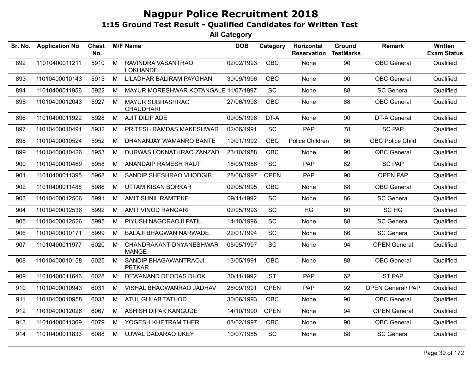| Sr. No. | <b>Application No</b> | <b>Chest</b><br>No. |   | <b>M/F Name</b>                             | <b>DOB</b> | Category    | Horizontal<br><b>Reservation</b> | Ground<br><b>TestMarks</b> | <b>Remark</b>            | <b>Written</b><br><b>Exam Status</b> |
|---------|-----------------------|---------------------|---|---------------------------------------------|------------|-------------|----------------------------------|----------------------------|--------------------------|--------------------------------------|
| 892     | 11010400011211        | 5910                | M | RAVINDRA VASANTRAO<br><b>LOKHANDE</b>       | 02/02/1993 | <b>OBC</b>  | None                             | 90                         | <b>OBC</b> General       | Qualified                            |
| 893     | 11010400010143        | 5915                | M | LILADHAR BALIRAM PAYGHAN                    | 30/09/1996 | OBC         | None                             | 90                         | <b>OBC</b> General       | Qualified                            |
| 894     | 11010400011956        | 5922                | M | MAYUR MORESHWAR KOTANGALE 11/07/1997        |            | <b>SC</b>   | None                             | 88                         | <b>SC General</b>        | Qualified                            |
| 895     | 11010400012043        | 5927                | M | <b>MAYUR SUBHASHRAO</b><br><b>CHAUDHARI</b> | 27/06/1998 | OBC         | None                             | 88                         | <b>OBC General</b>       | Qualified                            |
| 896     | 11010400011922        | 5928                | M | AJIT DILIP ADE                              | 09/05/1996 | DT-A        | None                             | 90                         | DT-A General             | Qualified                            |
| 897     | 11010400010491        | 5932                | M | PRITESH RAMDAS MAKESHWAR                    | 02/06/1991 | <b>SC</b>   | <b>PAP</b>                       | 78                         | <b>SC PAP</b>            | Qualified                            |
| 898     | 11010400010524        | 5952                | M | DHANANJAY WAMANRO BANTE                     | 19/01/1992 | OBC         | Police Children                  | 86                         | <b>OBC Police Child</b>  | Qualified                            |
| 899     | 11010400010426        | 5953                | M | DURWAS LOKNATHRAO ZANZAD                    | 23/10/1988 | <b>OBC</b>  | None                             | 90                         | <b>OBC</b> General       | Qualified                            |
| 900     | 11010400010469        | 5958                | M | ANANDAIP RAMESH RAUT                        | 18/09/1988 | <b>SC</b>   | PAP                              | 82                         | <b>SC PAP</b>            | Qualified                            |
| 901     | 11010400011395        | 5968                | M | SANDIP SHESHRAO VHODGIR                     | 28/08/1997 | <b>OPEN</b> | <b>PAP</b>                       | 90                         | <b>OPEN PAP</b>          | Qualified                            |
| 902     | 11010400011488        | 5986                | M | UTTAM KISAN BORKAR                          | 02/05/1995 | <b>OBC</b>  | None                             | 88                         | <b>OBC</b> General       | Qualified                            |
| 903     | 11010400012506        | 5991                | M | AMIT SUNIL RAMTEKE                          | 09/11/1992 | <b>SC</b>   | None                             | 86                         | <b>SC General</b>        | Qualified                            |
| 904     | 11010400012536        | 5992                | M | <b>AMIT VINOD RANGARI</b>                   | 02/05/1993 | SC          | <b>HG</b>                        | 80                         | SC HG                    | Qualified                            |
| 905     | 11010400012526        | 5995                | M | PIYUSH NAGORAOJI PATIL                      | 14/10/1996 | <b>SC</b>   | None                             | 88                         | <b>SC General</b>        | Qualified                            |
| 906     | 11010400010171        | 5999                | M | <b>BALAJI BHAGWAN NARWADE</b>               | 22/01/1994 | SC          | None                             | 86                         | <b>SC General</b>        | Qualified                            |
| 907     | 11010400011977        | 6020                | M | CHANDRAKANT DNYANESHWAR<br><b>MANGE</b>     | 05/05/1997 | <b>SC</b>   | None                             | 94                         | <b>OPEN General</b>      | Qualified                            |
| 908     | 11010400010158        | 6025                | M | SANDIP BHAGAWANTRAOJI<br><b>PETKAR</b>      | 13/05/1991 | <b>OBC</b>  | None                             | 88                         | <b>OBC</b> General       | Qualified                            |
| 909     | 11010400011646        | 6028                | M | DEWANAND DEODAS DHOK                        | 30/11/1992 | <b>ST</b>   | <b>PAP</b>                       | 62                         | <b>ST PAP</b>            | Qualified                            |
| 910     | 11010400010943        | 6031                | M | VISHAL BHAGWANRAO JADHAV                    | 28/09/1991 | <b>OPEN</b> | PAP                              | 92                         | <b>OPEN General/ PAP</b> | Qualified                            |
| 911     | 11010400010958        | 6033                | M | ATUL GULAB TATHOD                           | 30/06/1993 | <b>OBC</b>  | None                             | 90                         | <b>OBC</b> General       | Qualified                            |
| 912     | 11010400012026        | 6067                | M | ASHISH DIPAK KANGUDE                        | 14/10/1990 | <b>OPEN</b> | None                             | 94                         | <b>OPEN General</b>      | Qualified                            |
| 913     | 11010400011369        | 6079                | M | YOGESH KHETRAM THER                         | 03/02/1997 | OBC         | None                             | 90                         | <b>OBC</b> General       | Qualified                            |
| 914     | 11010400011833        | 6088                | M | UJWAL DADARAO UKEY                          | 10/07/1985 | SC          | None                             | 88                         | <b>SC General</b>        | Qualified                            |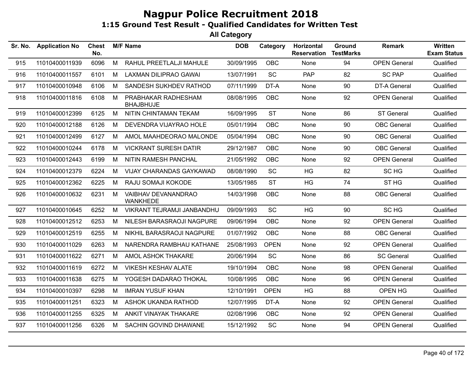| Sr. No. | <b>Application No</b> | <b>Chest</b><br>No. |   | <b>M/F Name</b>                         | <b>DOB</b> | Category    | Horizontal<br><b>Reservation</b> | Ground<br><b>TestMarks</b> | <b>Remark</b>       | <b>Written</b><br><b>Exam Status</b> |
|---------|-----------------------|---------------------|---|-----------------------------------------|------------|-------------|----------------------------------|----------------------------|---------------------|--------------------------------------|
| 915     | 11010400011939        | 6096                | M | RAHUL PREETLALJI MAHULE                 | 30/09/1995 | OBC         | None                             | 94                         | <b>OPEN General</b> | Qualified                            |
| 916     | 11010400011557        | 6101                | M | <b>LAXMAN DILIPRAO GAWAI</b>            | 13/07/1991 | SC          | PAP                              | 82                         | <b>SC PAP</b>       | Qualified                            |
| 917     | 11010400010948        | 6106                | M | SANDESH SUKHDEV RATHOD                  | 07/11/1999 | DT-A        | None                             | 90                         | <b>DT-A General</b> | Qualified                            |
| 918     | 11010400011816        | 6108                | M | PRABHAKAR RADHESHAM<br><b>BHAJBHUJE</b> | 08/08/1995 | <b>OBC</b>  | None                             | 92                         | <b>OPEN General</b> | Qualified                            |
| 919     | 11010400012399        | 6125                | M | NITIN CHINTAMAN TEKAM                   | 16/09/1995 | <b>ST</b>   | None                             | 86                         | <b>ST General</b>   | Qualified                            |
| 920     | 11010400012188        | 6126                | M | DEVENDRA VIJAYRAO HOLE                  | 05/01/1994 | <b>OBC</b>  | None                             | 90                         | <b>OBC</b> General  | Qualified                            |
| 921     | 11010400012499        | 6127                | M | AMOL MAAHDEORAO MALONDE                 | 05/04/1994 | <b>OBC</b>  | None                             | 90                         | <b>OBC</b> General  | Qualified                            |
| 922     | 11010400010244        | 6178                | M | <b>VICKRANT SURESH DATIR</b>            | 29/12/1987 | <b>OBC</b>  | None                             | 90                         | <b>OBC</b> General  | Qualified                            |
| 923     | 11010400012443        | 6199                | M | NITIN RAMESH PANCHAL                    | 21/05/1992 | <b>OBC</b>  | None                             | 92                         | <b>OPEN General</b> | Qualified                            |
| 924     | 11010400012379        | 6224                | M | VIJAY CHARANDAS GAYKAWAD                | 08/08/1990 | SC          | <b>HG</b>                        | 82                         | SC HG               | Qualified                            |
| 925     | 11010400012362        | 6225                | M | RAJU SOMAJI KOKODE                      | 13/05/1985 | <b>ST</b>   | HG                               | 74                         | ST <sub>HG</sub>    | Qualified                            |
| 926     | 11010400010632        | 6231                | M | VAIBHAV DEVANANDRAO<br><b>WANKHEDE</b>  | 14/03/1998 | OBC         | None                             | 88                         | <b>OBC</b> General  | Qualified                            |
| 927     | 11010400010645        | 6252                | M | <b>VIKRANT TEJRAMJI JANBANDHU</b>       | 09/09/1993 | SC          | <b>HG</b>                        | 90                         | SC HG               | Qualified                            |
| 928     | 11010400012512        | 6253                | M | NILESH BARASRAOJI NAGPURE               | 09/06/1994 | OBC         | None                             | 92                         | <b>OPEN General</b> | Qualified                            |
| 929     | 11010400012519        | 6255                | M | NIKHIL BARASRAOJI NAGPURE               | 01/07/1992 | OBC         | None                             | 88                         | <b>OBC</b> General  | Qualified                            |
| 930     | 11010400011029        | 6263                | M | NARENDRA RAMBHAU KATHANE                | 25/08/1993 | <b>OPEN</b> | None                             | 92                         | <b>OPEN General</b> | Qualified                            |
| 931     | 11010400011622        | 6271                | M | AMOL ASHOK THAKARE                      | 20/06/1994 | SC          | None                             | 86                         | <b>SC General</b>   | Qualified                            |
| 932     | 11010400011619        | 6272                | M | <b>VIKESH KESHAV ALATE</b>              | 19/10/1994 | <b>OBC</b>  | None                             | 98                         | <b>OPEN General</b> | Qualified                            |
| 933     | 11010400011638        | 6275                | M | YOGESH DADARAO THOKAL                   | 10/08/1995 | <b>OBC</b>  | None                             | 96                         | <b>OPEN General</b> | Qualified                            |
| 934     | 11010400010397        | 6298                | M | <b>IMRAN YUSUF KHAN</b>                 | 12/10/1991 | <b>OPEN</b> | <b>HG</b>                        | 88                         | OPEN HG             | Qualified                            |
| 935     | 11010400011251        | 6323                | M | ASHOK UKANDA RATHOD                     | 12/07/1995 | DT-A        | None                             | 92                         | <b>OPEN General</b> | Qualified                            |
| 936     | 11010400011255        | 6325                | M | ANKIT VINAYAK THAKARE                   | 02/08/1996 | OBC         | None                             | 92                         | <b>OPEN General</b> | Qualified                            |
| 937     | 11010400011256        | 6326                | M | SACHIN GOVIND DHAWANE                   | 15/12/1992 | SC          | None                             | 94                         | <b>OPEN General</b> | Qualified                            |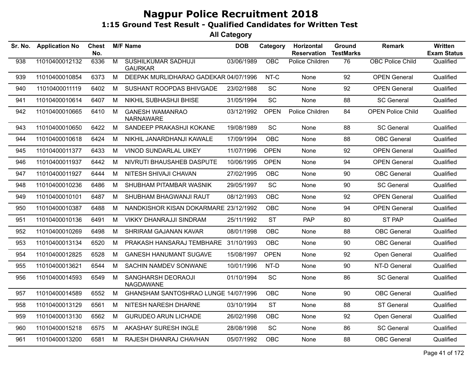| Sr. No. | <b>Application No</b> | <b>Chest</b><br>No. |                | <b>M/F Name</b>                              | <b>DOB</b> | Category    | <b>Horizontal</b><br><b>Reservation</b> | Ground<br><b>TestMarks</b> | <b>Remark</b>            | Written<br><b>Exam Status</b> |
|---------|-----------------------|---------------------|----------------|----------------------------------------------|------------|-------------|-----------------------------------------|----------------------------|--------------------------|-------------------------------|
| 938     | 11010400012132        | 6336                | $\overline{M}$ | <b>SUSHILKUMAR SADHUJI</b><br><b>GAURKAR</b> | 03/06/1989 | OBC         | Police Children                         | 76                         | <b>OBC Police Child</b>  | Qualified                     |
| 939     | 11010400010854        | 6373                | M              | DEEPAK MURLIDHARAO GADEKAR 04/07/1996        |            | NT-C        | None                                    | 92                         | <b>OPEN General</b>      | Qualified                     |
| 940     | 11010400011119        | 6402                | М              | SUSHANT ROOPDAS BHIVGADE                     | 23/02/1988 | <b>SC</b>   | None                                    | 92                         | <b>OPEN General</b>      | Qualified                     |
| 941     | 11010400010614        | 6407                | М              | NIKHIL SUBHASHJI BHISE                       | 31/05/1994 | SC          | None                                    | 88                         | <b>SC General</b>        | Qualified                     |
| 942     | 11010400010665        | 6410                | M              | <b>GANESH WAMANRAO</b><br><b>NARNAWARE</b>   | 03/12/1992 | <b>OPEN</b> | Police Children                         | 84                         | <b>OPEN Police Child</b> | Qualified                     |
| 943     | 11010400010650        | 6422                | M              | SANDEEP PRAKASHJI KOKANE                     | 19/08/1989 | SC          | None                                    | 88                         | <b>SC General</b>        | Qualified                     |
| 944     | 11010400010618        | 6424                | М              | NIKHIL JANARDHANJI KAWALE                    | 17/09/1994 | <b>OBC</b>  | None                                    | 88                         | <b>OBC</b> General       | Qualified                     |
| 945     | 11010400011377        | 6433                | M              | <b>VINOD SUNDARLAL UIKEY</b>                 | 11/07/1996 | <b>OPEN</b> | <b>None</b>                             | 92                         | <b>OPEN General</b>      | Qualified                     |
| 946     | 11010400011937        | 6442                | М              | NIVRUTI BHAUSAHEB DASPUTE                    | 10/06/1995 | <b>OPEN</b> | None                                    | 94                         | <b>OPEN General</b>      | Qualified                     |
| 947     | 11010400011927        | 6444                | M              | NITESH SHIVAJI CHAVAN                        | 27/02/1995 | OBC         | None                                    | 90                         | OBC General              | Qualified                     |
| 948     | 11010400010236        | 6486                | M              | SHUBHAM PITAMBAR WASNIK                      | 29/05/1997 | <b>SC</b>   | None                                    | 90                         | <b>SC General</b>        | Qualified                     |
| 949     | 11010400010101        | 6487                | М              | SHUBHAM BHAGWANJI RAUT                       | 08/12/1993 | <b>OBC</b>  | None                                    | 92                         | <b>OPEN General</b>      | Qualified                     |
| 950     | 11010400010387        | 6488                | M              | NANDKISHOR KISAN DOKARMARE 23/12/1992        |            | <b>OBC</b>  | None                                    | 94                         | <b>OPEN General</b>      | Qualified                     |
| 951     | 11010400010136        | 6491                | M              | <b>VIKKY DHANRAJJI SINDRAM</b>               | 25/11/1992 | <b>ST</b>   | <b>PAP</b>                              | 80                         | ST PAP                   | Qualified                     |
| 952     | 11010400010269        | 6498                | M              | SHRIRAM GAJANAN KAVAR                        | 08/01/1998 | <b>OBC</b>  | None                                    | 88                         | <b>OBC</b> General       | Qualified                     |
| 953     | 11010400013134        | 6520                | М              | PRAKASH HANSARAJ TEMBHARE                    | 31/10/1993 | <b>OBC</b>  | None                                    | 90                         | <b>OBC</b> General       | Qualified                     |
| 954     | 11010400012825        | 6528                | M              | <b>GANESH HANUMANT SUGAVE</b>                | 15/08/1997 | <b>OPEN</b> | None                                    | 92                         | Open General             | Qualified                     |
| 955     | 11010400013621        | 6544                | M              | SACHIN NAMDEV SONWANE                        | 10/01/1996 | NT-D        | None                                    | 90                         | NT-D General             | Qualified                     |
| 956     | 11010400014593        | 6549                | M              | SANGHARSH DEORAOJI<br>NAGDAWANE              | 01/10/1994 | SC          | None                                    | 86                         | <b>SC General</b>        | Qualified                     |
| 957     | 11010400014589        | 6552                | M              | GHANSHAM SANTOSHRAO LUNGE 14/07/1996         |            | <b>OBC</b>  | None                                    | 90                         | <b>OBC</b> General       | Qualified                     |
| 958     | 11010400013129        | 6561                | М              | NITESH NARESH DHARNE                         | 03/10/1994 | <b>ST</b>   | None                                    | 88                         | <b>ST General</b>        | Qualified                     |
| 959     | 11010400013130        | 6562                | M              | <b>GURUDEO ARUN LICHADE</b>                  | 26/02/1998 | OBC         | None                                    | 92                         | Open General             | Qualified                     |
| 960     | 11010400015218        | 6575                | M              | AKASHAY SURESH INGLE                         | 28/08/1998 | SC          | None                                    | 86                         | <b>SC General</b>        | Qualified                     |
| 961     | 11010400013200        | 6581                | M              | RAJESH DHANRAJ CHAVHAN                       | 05/07/1992 | <b>OBC</b>  | None                                    | 88                         | <b>OBC</b> General       | Qualified                     |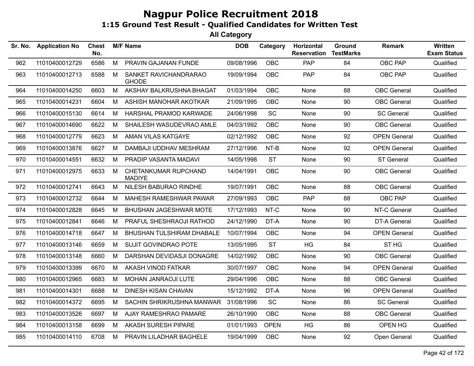| Sr. No. | <b>Application No</b> | <b>Chest</b><br>No. |   | <b>M/F Name</b>                       | <b>DOB</b> | Category    | Horizontal<br><b>Reservation</b> | Ground<br><b>TestMarks</b> | <b>Remark</b>       | Written<br><b>Exam Status</b> |
|---------|-----------------------|---------------------|---|---------------------------------------|------------|-------------|----------------------------------|----------------------------|---------------------|-------------------------------|
| 962     | 11010400012729        | 6586                | M | PRAVIN GAJANAN FUNDE                  | 09/08/1996 | <b>OBC</b>  | PAP                              | 84                         | OBC PAP             | Qualified                     |
| 963     | 11010400012713        | 6588                | М | SANKET RAVICHANDRARAO<br><b>GHODE</b> | 19/09/1994 | OBC         | <b>PAP</b>                       | 84                         | OBC PAP             | Qualified                     |
| 964     | 11010400014250        | 6603                | М | AKSHAY BALKRUSHNA BHAGAT              | 01/03/1994 | <b>OBC</b>  | None                             | 88                         | <b>OBC</b> General  | Qualified                     |
| 965     | 11010400014231        | 6604                | M | ASHISH MANOHAR AKOTKAR                | 21/09/1995 | <b>OBC</b>  | None                             | 90                         | <b>OBC</b> General  | Qualified                     |
| 966     | 11010400015130        | 6614                | М | HARSHAL PRAMOD KARWADE                | 24/06/1998 | SC          | None                             | 90                         | <b>SC General</b>   | Qualified                     |
| 967     | 11010400014690        | 6622                | M | SHAILESH WASUDEVRAO AMLE              | 04/03/1992 | <b>OBC</b>  | None                             | 90                         | <b>OBC</b> General  | Qualified                     |
| 968     | 11010400012779        | 6623                | M | AMAN VILAS KATGAYE                    | 02/12/1992 | <b>OBC</b>  | None                             | 92                         | <b>OPEN General</b> | Qualified                     |
| 969     | 11010400013876        | 6627                | М | DAMBAJI UDDHAV MESHRAM                | 27/12/1996 | NT-B        | None                             | 92                         | <b>OPEN General</b> | Qualified                     |
| 970     | 11010400014551        | 6632                | М | PRADIP VASANTA MADAVI                 | 14/05/1998 | <b>ST</b>   | None                             | 90                         | <b>ST General</b>   | Qualified                     |
| 971     | 11010400012975        | 6633                | M | CHETANKUMAR RUPCHAND<br><b>MADIYE</b> | 14/04/1991 | <b>OBC</b>  | None                             | 90                         | <b>OBC</b> General  | Qualified                     |
| 972     | 11010400012741        | 6643                | M | NILESH BABURAO RINDHE                 | 19/07/1991 | <b>OBC</b>  | None                             | 88                         | <b>OBC</b> General  | Qualified                     |
| 973     | 11010400012732        | 6644                | M | MAHESH RAMESHWAR PAWAR                | 27/09/1993 | <b>OBC</b>  | PAP                              | 88                         | OBC PAP             | Qualified                     |
| 974     | 11010400012828        | 6645                | М | <b>BHUSHAN JAGESHWAR MOTE</b>         | 17/12/1993 | NT-C        | None                             | 90                         | NT-C General        | Qualified                     |
| 975     | 11010400012841        | 6646                | M | PRAFUL SHESHRAOJI RATHOD              | 24/12/1990 | DT-A        | None                             | 90                         | DT-A General        | Qualified                     |
| 976     | 11010400014718        | 6647                | M | <b>BHUSHAN TULSHIRAM DHABALE</b>      | 10/07/1994 | <b>OBC</b>  | None                             | 94                         | <b>OPEN General</b> | Qualified                     |
| 977     | 11010400013146        | 6659                | M | SUJIT GOVINDRAO POTE                  | 13/05/1995 | <b>ST</b>   | HG                               | 84                         | ST <sub>HG</sub>    | Qualified                     |
| 978     | 11010400013148        | 6660                | M | DARSHAN DEVIDASJI DONAGRE             | 14/02/1992 | <b>OBC</b>  | None                             | 90                         | <b>OBC</b> General  | Qualified                     |
| 979     | 11010400013399        | 6670                | М | AKASH VINOD FATKAR                    | 30/07/1997 | <b>OBC</b>  | None                             | 94                         | <b>OPEN General</b> | Qualified                     |
| 980     | 11010400012965        | 6683                | М | MOHAN JANRAOJI LUTE                   | 29/04/1996 | <b>OBC</b>  | None                             | 88                         | <b>OBC</b> General  | Qualified                     |
| 981     | 11010400014301        | 6688                | M | <b>DINESH KISAN CHAVAN</b>            | 15/12/1992 | DT-A        | None                             | 96                         | <b>OPEN General</b> | Qualified                     |
| 982     | 11010400014372        | 6695                | M | SACHIN SHRIKRUSHNA MANWAR             | 31/08/1996 | SC          | None                             | 86                         | <b>SC General</b>   | Qualified                     |
| 983     | 11010400013526        | 6697                | M | AJAY RAMESHRAO PAMARE                 | 26/10/1990 | <b>OBC</b>  | None                             | 88                         | <b>OBC</b> General  | Qualified                     |
| 984     | 11010400013158        | 6699                | M | AKASH SURESH PIPARE                   | 01/01/1993 | <b>OPEN</b> | HG                               | 86                         | OPEN HG             | Qualified                     |
| 985     | 11010400014110        | 6708                | M | PRAVIN LILADHAR BAGHELE               | 19/04/1999 | <b>OBC</b>  | None                             | 92                         | Open General        | Qualified                     |
|         |                       |                     |   |                                       |            |             |                                  |                            |                     |                               |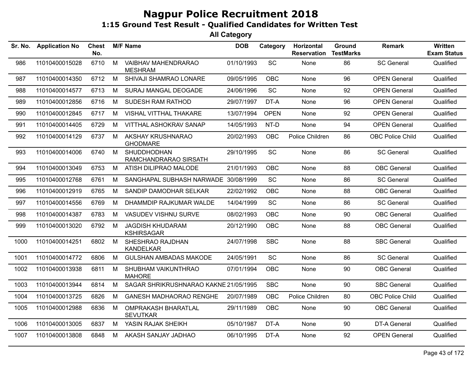| Sr. No. | <b>Application No</b> | <b>Chest</b><br>No. |   | <b>M/F Name</b>                               | <b>DOB</b> | Category    | Horizontal<br><b>Reservation</b> | Ground<br><b>TestMarks</b> | Remark                  | <b>Written</b><br><b>Exam Status</b> |
|---------|-----------------------|---------------------|---|-----------------------------------------------|------------|-------------|----------------------------------|----------------------------|-------------------------|--------------------------------------|
| 986     | 11010400015028        | 6710                | M | VAIBHAV MAHENDRARAO<br><b>MESHRAM</b>         | 01/10/1993 | SC          | None                             | 86                         | <b>SC General</b>       | Qualified                            |
| 987     | 11010400014350        | 6712                | M | SHIVAJI SHAMRAO LONARE                        | 09/05/1995 | <b>OBC</b>  | None                             | 96                         | <b>OPEN General</b>     | Qualified                            |
| 988     | 11010400014577        | 6713                | M | SURAJ MANGAL DEOGADE                          | 24/06/1996 | SC          | None                             | 92                         | <b>OPEN General</b>     | Qualified                            |
| 989     | 11010400012856        | 6716                | M | <b>SUDESH RAM RATHOD</b>                      | 29/07/1997 | DT-A        | <b>None</b>                      | 96                         | <b>OPEN General</b>     | Qualified                            |
| 990     | 11010400012845        | 6717                | M | <b>VISHAL VITTHAL THAKARE</b>                 | 13/07/1994 | <b>OPEN</b> | None                             | 92                         | <b>OPEN General</b>     | Qualified                            |
| 991     | 11010400014405        | 6729                | M | VITTHAL ASHOKRAV SANAP                        | 14/05/1993 | NT-D        | None                             | 94                         | <b>OPEN General</b>     | Qualified                            |
| 992     | 11010400014129        | 6737                | M | AKSHAY KRUSHNARAO<br><b>GHODMARE</b>          | 20/02/1993 | <b>OBC</b>  | Police Children                  | 86                         | <b>OBC Police Child</b> | Qualified                            |
| 993     | 11010400014006        | 6740                | M | <b>SHUDDHODHAN</b><br>RAMCHANDRARAO SIRSATH   | 29/10/1995 | <b>SC</b>   | None                             | 86                         | <b>SC General</b>       | Qualified                            |
| 994     | 11010400013049        | 6753                | M | ATISH DILIPRAO MALODE                         | 21/01/1993 | <b>OBC</b>  | None                             | 88                         | <b>OBC</b> General      | Qualified                            |
| 995     | 11010400012768        | 6761                | М | SANGHAPAL SUBHASH NARWADE                     | 30/08/1999 | SC          | None                             | 86                         | <b>SC General</b>       | Qualified                            |
| 996     | 11010400012919        | 6765                | M | SANDIP DAMODHAR SELKAR                        | 22/02/1992 | <b>OBC</b>  | None                             | 88                         | <b>OBC</b> General      | Qualified                            |
| 997     | 11010400014556        | 6769                | М | DHAMMDIP RAJKUMAR WALDE                       | 14/04/1999 | SC          | None                             | 86                         | <b>SC General</b>       | Qualified                            |
| 998     | 11010400014387        | 6783                | M | VASUDEV VISHNU SURVE                          | 08/02/1993 | <b>OBC</b>  | None                             | 90                         | <b>OBC</b> General      | Qualified                            |
| 999     | 11010400013020        | 6792                | M | <b>JAGDISH KHUDARAM</b><br><b>KSHIRSAGAR</b>  | 20/12/1990 | <b>OBC</b>  | None                             | 88                         | <b>OBC</b> General      | Qualified                            |
| 1000    | 11010400014251        | 6802                | M | SHESHRAO RAJDHAN<br><b>KANDELKAR</b>          | 24/07/1998 | <b>SBC</b>  | None                             | 88                         | <b>SBC General</b>      | Qualified                            |
| 1001    | 11010400014772        | 6806                | М | <b>GULSHAN AMBADAS MAKODE</b>                 | 24/05/1991 | SC          | None                             | 86                         | <b>SC General</b>       | Qualified                            |
| 1002    | 11010400013938        | 6811                | M | SHUBHAM VAIKUNTHRAO<br><b>MAHORE</b>          | 07/01/1994 | <b>OBC</b>  | None                             | 90                         | <b>OBC</b> General      | Qualified                            |
| 1003    | 11010400013944        | 6814                | М | SAGAR SHRIKRUSHNARAO KAKNE 21/05/1995         |            | <b>SBC</b>  | None                             | 90                         | <b>SBC General</b>      | Qualified                            |
| 1004    | 11010400013725        | 6826                | M | <b>GANESH MADHAORAO RENGHE</b>                | 20/07/1989 | OBC         | Police Children                  | 80                         | <b>OBC Police Child</b> | Qualified                            |
| 1005    | 11010400012988        | 6836                | М | <b>OMPRAKASH BHARATLAL</b><br><b>SEVUTKAR</b> | 29/11/1989 | <b>OBC</b>  | None                             | 90                         | <b>OBC</b> General      | Qualified                            |
| 1006    | 11010400013005        | 6837                | M | YASIN RAJAK SHEIKH                            | 05/10/1987 | DT-A        | None                             | 90                         | DT-A General            | Qualified                            |
| 1007    | 11010400013808        | 6848                | M | AKASH SANJAY JADHAO                           | 06/10/1995 | DT-A        | None                             | 92                         | <b>OPEN General</b>     | Qualified                            |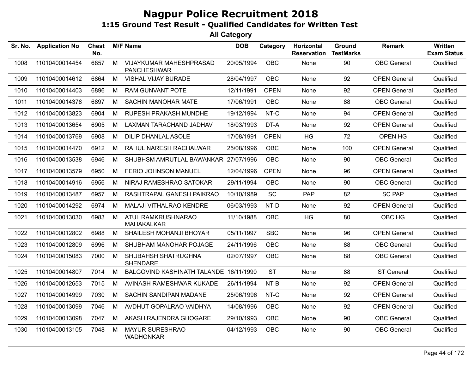| Sr. No. | <b>Application No</b> | <b>Chest</b><br>No. |   | <b>M/F Name</b>                               | <b>DOB</b> | Category    | Horizontal<br><b>Reservation</b> | Ground<br><b>TestMarks</b> | <b>Remark</b>       | Written<br><b>Exam Status</b> |
|---------|-----------------------|---------------------|---|-----------------------------------------------|------------|-------------|----------------------------------|----------------------------|---------------------|-------------------------------|
| 1008    | 11010400014454        | 6857                | M | VIJAYKUMAR MAHESHPRASAD<br><b>PANCHESHWAR</b> | 20/05/1994 | <b>OBC</b>  | <b>None</b>                      | 90                         | <b>OBC</b> General  | Qualified                     |
| 1009    | 11010400014612        | 6864                | M | VISHAL VIJAY BURADE                           | 28/04/1997 | <b>OBC</b>  | None                             | 92                         | <b>OPEN General</b> | Qualified                     |
| 1010    | 11010400014403        | 6896                | M | <b>RAM GUNVANT POTE</b>                       | 12/11/1991 | <b>OPEN</b> | None                             | 92                         | <b>OPEN General</b> | Qualified                     |
| 1011    | 11010400014378        | 6897                | M | <b>SACHIN MANOHAR MATE</b>                    | 17/06/1991 | <b>OBC</b>  | None                             | 88                         | <b>OBC</b> General  | Qualified                     |
| 1012    | 11010400013823        | 6904                | M | RUPESH PRAKASH MUNDHE                         | 19/12/1994 | NT-C        | None                             | 94                         | <b>OPEN General</b> | Qualified                     |
| 1013    | 11010400013654        | 6905                | М | LAXMAN TARACHAND JADHAV                       | 18/03/1993 | DT-A        | None                             | 92                         | <b>OPEN General</b> | Qualified                     |
| 1014    | 11010400013769        | 6908                | М | DILIP DHANLAL ASOLE                           | 17/08/1991 | <b>OPEN</b> | <b>HG</b>                        | 72                         | OPEN HG             | Qualified                     |
| 1015    | 11010400014470        | 6912                | M | RAHUL NARESH RACHALWAR                        | 25/08/1996 | OBC         | None                             | 100                        | <b>OPEN General</b> | Qualified                     |
| 1016    | 11010400013538        | 6946                | M | SHUBHSM AMRUTLAL BAWANKAR 27/07/1996          |            | <b>OBC</b>  | None                             | 90                         | <b>OBC</b> General  | Qualified                     |
| 1017    | 11010400013579        | 6950                | M | FERIO JOHNSON MANUEL                          | 12/04/1996 | <b>OPEN</b> | <b>None</b>                      | 96                         | <b>OPEN General</b> | Qualified                     |
| 1018    | 11010400014916        | 6956                | M | NIRAJ RAMESHRAO SATOKAR                       | 29/11/1994 | OBC         | None                             | 90                         | <b>OBC</b> General  | Qualified                     |
| 1019    | 11010400013487        | 6957                | M | RASHTRAPAL GANESH PAIKRAO                     | 10/10/1989 | <b>SC</b>   | <b>PAP</b>                       | 82                         | <b>SC PAP</b>       | Qualified                     |
| 1020    | 11010400014292        | 6974                | М | MALAJI VITHALRAO KENDRE                       | 06/03/1993 | NT-D        | None                             | 92                         | <b>OPEN General</b> | Qualified                     |
| 1021    | 11010400013030        | 6983                | M | ATUL RAMKRUSHNARAO<br><b>MAHAKALKAR</b>       | 11/10/1988 | <b>OBC</b>  | HG                               | 80                         | OBC HG              | Qualified                     |
| 1022    | 11010400012802        | 6988                | М | SHAILESH MOHANJI BHOYAR                       | 05/11/1997 | <b>SBC</b>  | None                             | 96                         | <b>OPEN General</b> | Qualified                     |
| 1023    | 11010400012809        | 6996                | M | SHUBHAM MANOHAR POJAGE                        | 24/11/1996 | <b>OBC</b>  | None                             | 88                         | <b>OBC</b> General  | Qualified                     |
| 1024    | 11010400015083        | 7000                | M | SHUBAHSH SHATRUGHNA<br><b>SHENDARE</b>        | 02/07/1997 | OBC         | None                             | 88                         | <b>OBC</b> General  | Qualified                     |
| 1025    | 11010400014807        | 7014                | M | BALGOVIND KASHINATH TALANDE 16/11/1990        |            | <b>ST</b>   | None                             | 88                         | <b>ST General</b>   | Qualified                     |
| 1026    | 11010400012653        | 7015                | M | AVINASH RAMESHWAR KUKADE                      | 26/11/1994 | NT-B        | None                             | 92                         | <b>OPEN General</b> | Qualified                     |
| 1027    | 11010400014999        | 7030                | M | SACHIN SANDIPAN MADANE                        | 25/06/1996 | NT-C        | None                             | 92                         | <b>OPEN General</b> | Qualified                     |
| 1028    | 11010400013099        | 7046                | M | AVDHUT GOPALRAO VAIDHYA                       | 14/08/1996 | <b>OBC</b>  | None                             | 92                         | <b>OPEN General</b> | Qualified                     |
| 1029    | 11010400013098        | 7047                | M | AKASH RAJENDRA GHOGARE                        | 29/10/1993 | <b>OBC</b>  | None                             | 90                         | <b>OBC</b> General  | Qualified                     |
| 1030    | 11010400013105        | 7048                | м | MAYUR SURESHRAO<br><b>WADHONKAR</b>           | 04/12/1993 | OBC         | None                             | 90                         | <b>OBC</b> General  | Qualified                     |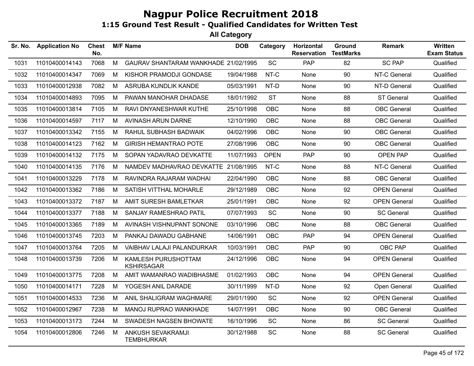| Sr. No. | <b>Application No</b> | <b>Chest</b><br>No. |   | <b>M/F Name</b>                          | <b>DOB</b> | Category    | Horizontal<br><b>Reservation</b> | Ground<br><b>TestMarks</b> | <b>Remark</b>       | Written<br><b>Exam Status</b> |
|---------|-----------------------|---------------------|---|------------------------------------------|------------|-------------|----------------------------------|----------------------------|---------------------|-------------------------------|
| 1031    | 11010400014143        | 7068                | M | GAURAV SHANTARAM WANKHADE 21/02/1995     |            | <b>SC</b>   | PAP                              | 82                         | <b>SC PAP</b>       | Qualified                     |
| 1032    | 11010400014347        | 7069                | M | KISHOR PRAMODJI GONDASE                  | 19/04/1988 | NT-C        | None                             | 90                         | NT-C General        | Qualified                     |
| 1033    | 11010400012938        | 7082                | M | ASRUBA KUNDLIK KANDE                     | 05/03/1991 | NT-D        | None                             | 90                         | NT-D General        | Qualified                     |
| 1034    | 11010400014893        | 7095                | M | PAWAN MANOHAR DHADASE                    | 18/01/1992 | <b>ST</b>   | None                             | 88                         | <b>ST General</b>   | Qualified                     |
| 1035    | 11010400013814        | 7105                | M | RAVI DNYANESHWAR KUTHE                   | 25/10/1998 | <b>OBC</b>  | None                             | 88                         | <b>OBC</b> General  | Qualified                     |
| 1036    | 11010400014597        | 7117                | M | AVINASH ARUN DARNE                       | 12/10/1990 | OBC         | None                             | 88                         | <b>OBC</b> General  | Qualified                     |
| 1037    | 11010400013342        | 7155                | M | RAHUL SUBHASH BADWAIK                    | 04/02/1996 | OBC         | None                             | 90                         | <b>OBC</b> General  | Qualified                     |
| 1038    | 11010400014123        | 7162                | М | <b>GIRISH HEMANTRAO POTE</b>             | 27/08/1996 | OBC         | None                             | 90                         | <b>OBC</b> General  | Qualified                     |
| 1039    | 11010400014132        | 7175                | M | SOPAN YADAVRAO DEVKATTE                  | 11/07/1993 | <b>OPEN</b> | <b>PAP</b>                       | 90                         | OPEN PAP            | Qualified                     |
| 1040    | 11010400014135        | 7176                | M | NAMDEV MADHAVRAO DEVKATTE 21/08/1995     |            | NT-C        | None                             | 88                         | NT-C General        | Qualified                     |
| 1041    | 11010400013229        | 7178                | M | RAVINDRA RAJARAM WADHAI                  | 22/04/1990 | OBC         | None                             | 88                         | <b>OBC</b> General  | Qualified                     |
| 1042    | 11010400013362        | 7186                | M | SATISH VITTHAL MOHARLE                   | 29/12/1989 | <b>OBC</b>  | <b>None</b>                      | 92                         | <b>OPEN General</b> | Qualified                     |
| 1043    | 11010400013372        | 7187                | M | AMIT SURESH BAMLETKAR                    | 25/01/1991 | <b>OBC</b>  | None                             | 92                         | <b>OPEN General</b> | Qualified                     |
| 1044    | 11010400013377        | 7188                | M | SANJAY RAMESHRAO PATIL                   | 07/07/1993 | SC          | None                             | 90                         | <b>SC General</b>   | Qualified                     |
| 1045    | 11010400013365        | 7189                | M | AVINASH VISHNUPANT SONONE                | 03/10/1996 | OBC         | None                             | 88                         | <b>OBC</b> General  | Qualified                     |
| 1046    | 11010400013745        | 7203                | M | PANKAJ DAWADU GABHANE                    | 14/06/1991 | OBC         | PAP                              | 94                         | <b>OPEN General</b> | Qualified                     |
| 1047    | 11010400013764        | 7205                | M | VAIBHAV LALAJI PALANDURKAR               | 10/03/1991 | <b>OBC</b>  | <b>PAP</b>                       | 90                         | OBC PAP             | Qualified                     |
| 1048    | 11010400013739        | 7206                | M | KAMLESH PURUSHOTTAM<br><b>KSHIRSAGAR</b> | 24/12/1996 | <b>OBC</b>  | <b>None</b>                      | 94                         | <b>OPEN General</b> | Qualified                     |
| 1049    | 11010400013775        | 7208                | M | AMIT WAMANRAO WADIBHASME                 | 01/02/1993 | <b>OBC</b>  | None                             | 94                         | <b>OPEN General</b> | Qualified                     |
| 1050    | 11010400014171        | 7228                | M | YOGESH ANIL DARADE                       | 30/11/1999 | NT-D        | None                             | 92                         | Open General        | Qualified                     |
| 1051    | 11010400014533        | 7236                | M | ANIL SHALIGRAM WAGHMARE                  | 29/01/1990 | SC          | None                             | 92                         | <b>OPEN General</b> | Qualified                     |
| 1052    | 11010400012967        | 7238                | M | MANOJ RUPRAO WANKHADE                    | 14/07/1991 | OBC         | None                             | 90                         | <b>OBC</b> General  | Qualified                     |
| 1053    | 11010400013173        | 7244                | M | SWADESH NAGSEN BHOWATE                   | 16/10/1996 | SC          | None                             | 86                         | <b>SC General</b>   | Qualified                     |
| 1054    | 11010400012806        | 7246                | M | ANKUSH SEVAKRAMJI<br><b>TEMBHURKAR</b>   | 30/12/1988 | <b>SC</b>   | None                             | 88                         | <b>SC General</b>   | Qualified                     |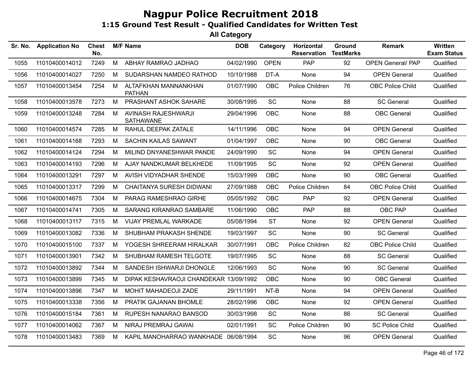| Sr. No. | <b>Application No</b> | <b>Chest</b><br>No. |   | <b>M/F Name</b>                         | <b>DOB</b> | Category    | <b>Horizontal</b><br><b>Reservation</b> | Ground<br><b>TestMarks</b> | <b>Remark</b>            | <b>Written</b><br><b>Exam Status</b> |
|---------|-----------------------|---------------------|---|-----------------------------------------|------------|-------------|-----------------------------------------|----------------------------|--------------------------|--------------------------------------|
| 1055    | 11010400014012        | 7249                | M | ABHAY RAMRAO JADHAO                     | 04/02/1990 | <b>OPEN</b> | PAP                                     | 92                         | <b>OPEN General/ PAP</b> | Qualified                            |
| 1056    | 11010400014027        | 7250                | М | SUDARSHAN NAMDEO RATHOD                 | 10/10/1988 | DT-A        | None                                    | 94                         | <b>OPEN General</b>      | Qualified                            |
| 1057    | 11010400013454        | 7254                | M | ALTAFKHAN MANNANKHAN<br><b>PATHAN</b>   | 01/07/1990 | OBC         | Police Children                         | 76                         | <b>OBC Police Child</b>  | Qualified                            |
| 1058    | 11010400013578        | 7273                | M | PRASHANT ASHOK SAHARE                   | 30/08/1995 | SC          | None                                    | 88                         | <b>SC General</b>        | Qualified                            |
| 1059    | 11010400013248        | 7284                | M | AVINASH RAJESHWARJI<br><b>SATHAWANE</b> | 29/04/1996 | OBC         | None                                    | 88                         | <b>OBC</b> General       | Qualified                            |
| 1060    | 11010400014574        | 7285                | M | RAHUL DEEPAK ZATALE                     | 14/11/1996 | OBC         | None                                    | 94                         | <b>OPEN General</b>      | Qualified                            |
| 1061    | 11010400014168        | 7293                | M | SACHIN KAILAS SAWANT                    | 01/04/1997 | OBC         | None                                    | 90                         | <b>OBC</b> General       | Qualified                            |
| 1062    | 11010400014124        | 7294                | M | MILIND DNYANESHWAR PANDE                | 24/09/1990 | SC          | None                                    | 94                         | <b>OPEN General</b>      | Qualified                            |
| 1063    | 11010400014193        | 7296                | M | AJAY NANDKUMAR BELKHEDE                 | 11/09/1995 | SC          | None                                    | 92                         | <b>OPEN General</b>      | Qualified                            |
| 1064    | 11010400013291        | 7297                | M | AVISH VIDYADHAR SHENDE                  | 15/03/1999 | OBC         | None                                    | 90                         | <b>OBC</b> General       | Qualified                            |
| 1065    | 11010400013317        | 7299                | M | CHAITANYA SURESH DIDWANI                | 27/09/1988 | <b>OBC</b>  | Police Children                         | 84                         | <b>OBC Police Child</b>  | Qualified                            |
| 1066    | 11010400014675        | 7304                | М | PARAG RAMESHRAO GIRHE                   | 05/05/1992 | <b>OBC</b>  | <b>PAP</b>                              | 92                         | <b>OPEN General</b>      | Qualified                            |
| 1067    | 11010400014741        | 7305                | M | SARANG KIRANRAO SAMBARE                 | 11/06/1990 | OBC         | <b>PAP</b>                              | 88                         | OBC PAP                  | Qualified                            |
| 1068    | 11010400013117        | 7315                | M | VIJAY PREMLAL WARKADE                   | 05/08/1994 | <b>ST</b>   | None                                    | 92                         | <b>OPEN General</b>      | Qualified                            |
| 1069    | 11010400013082        | 7336                | M | SHUBHAM PRAKASH SHENDE                  | 19/03/1997 | SC          | None                                    | 90                         | <b>SC General</b>        | Qualified                            |
| 1070    | 11010400015100        | 7337                | M | YOGESH SHREERAM HIRALKAR                | 30/07/1991 | OBC         | Police Children                         | 82                         | OBC Police Child         | Qualified                            |
| 1071    | 11010400013901        | 7342                | M | SHUBHAM RAMESH TELGOTE                  | 19/07/1995 | SC          | None                                    | 88                         | <b>SC General</b>        | Qualified                            |
| 1072    | 11010400013892        | 7344                | М | SANDESH ISHWARJI DHONGLE                | 12/06/1993 | SC          | None                                    | 90                         | <b>SC General</b>        | Qualified                            |
| 1073    | 11010400013899        | 7345                | М | DIPAK KESHAVRAOJI CHANDEKAR 13/09/1992  |            | <b>OBC</b>  | None                                    | 90                         | <b>OBC</b> General       | Qualified                            |
| 1074    | 11010400013896        | 7347                | M | MOHIT MAHADEOJI ZADE                    | 29/11/1991 | NT-B        | None                                    | 94                         | <b>OPEN General</b>      | Qualified                            |
| 1075    | 11010400013338        | 7356                | M | PRATIK GAJANAN BHOMLE                   | 28/02/1996 | OBC         | None                                    | 92                         | <b>OPEN General</b>      | Qualified                            |
| 1076    | 11010400015184        | 7361                | М | RUPESH NANARAO BANSOD                   | 30/03/1998 | SC          | None                                    | 86                         | <b>SC General</b>        | Qualified                            |
| 1077    | 11010400014062        | 7367                | M | NIRAJ PREMRAJ GAWAI                     | 02/01/1991 | SC          | Police Children                         | 90                         | <b>SC Police Child</b>   | Qualified                            |
| 1078    | 11010400013483        | 7369                | М | KAPIL MANOHARRAO WANKHADE 06/08/1994    |            | SC          | None                                    | 96                         | <b>OPEN General</b>      | Qualified                            |
|         |                       |                     |   |                                         |            |             |                                         |                            |                          |                                      |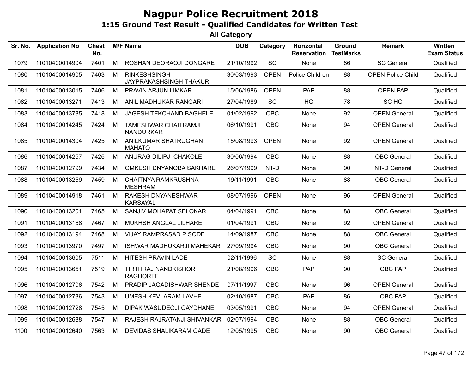| Sr. No. | <b>Application No</b> | <b>Chest</b><br>No. |   | <b>M/F Name</b>                                 | <b>DOB</b> | Category    | Horizontal<br><b>Reservation</b> | Ground<br><b>TestMarks</b> | <b>Remark</b>            | Written<br><b>Exam Status</b> |
|---------|-----------------------|---------------------|---|-------------------------------------------------|------------|-------------|----------------------------------|----------------------------|--------------------------|-------------------------------|
| 1079    | 11010400014904        | 7401                | M | ROSHAN DEORAOJI DONGARE                         | 21/10/1992 | SC          | None                             | 86                         | <b>SC General</b>        | Qualified                     |
| 1080    | 11010400014905        | 7403                | М | <b>RINKESHSINGH</b><br>JAYPRAKASHSINGH THAKUR   | 30/03/1993 | <b>OPEN</b> | Police Children                  | 88                         | <b>OPEN Police Child</b> | Qualified                     |
| 1081    | 11010400013015        | 7406                | M | PRAVIN ARJUN LIMKAR                             | 15/06/1986 | <b>OPEN</b> | PAP                              | 88                         | <b>OPEN PAP</b>          | Qualified                     |
| 1082    | 11010400013271        | 7413                | М | ANIL MADHUKAR RANGARI                           | 27/04/1989 | <b>SC</b>   | HG                               | 78                         | SC HG                    | Qualified                     |
| 1083    | 11010400013785        | 7418                | М | JAGESH TEKCHAND BAGHELE                         | 01/02/1992 | <b>OBC</b>  | None                             | 92                         | <b>OPEN General</b>      | Qualified                     |
| 1084    | 11010400014245        | 7424                | M | <b>TAMESHWAR CHAITRAMJI</b><br><b>NANDURKAR</b> | 06/10/1991 | OBC         | None                             | 94                         | <b>OPEN General</b>      | Qualified                     |
| 1085    | 11010400014304        | 7425                | M | ANILKUMAR SHATRUGHAN<br><b>MAHATO</b>           | 15/08/1993 | <b>OPEN</b> | None                             | 92                         | <b>OPEN General</b>      | Qualified                     |
| 1086    | 11010400014257        | 7426                | М | ANURAG DILIPJI CHAKOLE                          | 30/06/1994 | <b>OBC</b>  | None                             | 88                         | <b>OBC</b> General       | Qualified                     |
| 1087    | 11010400012799        | 7434                | M | OMKESH DNYANOBA SAKHARE                         | 26/07/1999 | NT-D        | None                             | 90                         | NT-D General             | Qualified                     |
| 1088    | 11010400013259        | 7459                | M | <b>CHAITNYA RAMKRUSHNA</b><br><b>MESHRAM</b>    | 19/11/1991 | OBC         | None                             | 88                         | <b>OBC</b> General       | Qualified                     |
| 1089    | 11010400014918        | 7461                | M | RAKESH DNYANESHWAR<br><b>KARSAYAL</b>           | 08/07/1996 | <b>OPEN</b> | None                             | 96                         | <b>OPEN General</b>      | Qualified                     |
| 1090    | 11010400013201        | 7465                | М | SANJIV MOHAPAT SELOKAR                          | 04/04/1991 | <b>OBC</b>  | None                             | 88                         | <b>OBC</b> General       | Qualified                     |
| 1091    | 11010400013168        | 7467                | м | MUKHSH ANGLAL LILHARE                           | 01/04/1991 | <b>OBC</b>  | None                             | 92                         | <b>OPEN General</b>      | Qualified                     |
| 1092    | 11010400013194        | 7468                | M | <b>VIJAY RAMPRASAD PISODE</b>                   | 14/09/1987 | <b>OBC</b>  | None                             | 88                         | <b>OBC</b> General       | Qualified                     |
| 1093    | 11010400013970        | 7497                | М | <b>ISHWAR MADHUKARJI MAHEKAR</b>                | 27/09/1994 | <b>OBC</b>  | None                             | 90                         | <b>OBC</b> General       | Qualified                     |
| 1094    | 11010400013605        | 7511                | M | HITESH PRAVIN LADE                              | 02/11/1996 | <b>SC</b>   | None                             | 88                         | <b>SC General</b>        | Qualified                     |
| 1095    | 11010400013651        | 7519                | M | <b>TIRTHRAJ NANDKISHOR</b><br><b>RAGHORTE</b>   | 21/08/1996 | <b>OBC</b>  | <b>PAP</b>                       | 90                         | OBC PAP                  | Qualified                     |
| 1096    | 11010400012706        | 7542                | M | PRADIP JAGADISHWAR SHENDE                       | 07/11/1997 | <b>OBC</b>  | None                             | 96                         | <b>OPEN General</b>      | Qualified                     |
| 1097    | 11010400012736        | 7543                | M | <b>UMESH KEVLARAM LAVHE</b>                     | 02/10/1987 | <b>OBC</b>  | PAP                              | 86                         | <b>OBC PAP</b>           | Qualified                     |
| 1098    | 11010400012728        | 7545                | М | DIPAK WASUDEOJI GAYDHANE                        | 03/05/1991 | <b>OBC</b>  | None                             | 94                         | <b>OPEN General</b>      | Qualified                     |
| 1099    | 11010400012688        | 7547                | M | RAJESH RAJRATANJI SHIVANKAR                     | 02/07/1994 | <b>OBC</b>  | None                             | 88                         | <b>OBC</b> General       | Qualified                     |
| 1100    | 11010400012640        | 7563                | M | DEVIDAS SHALIKARAM GADE                         | 12/05/1995 | <b>OBC</b>  | None                             | 90                         | <b>OBC</b> General       | Qualified                     |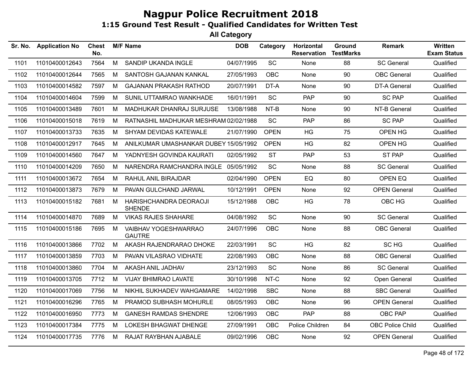| Sr. No. | <b>Application No</b> | <b>Chest</b><br>No. |   | <b>M/F Name</b>                         | <b>DOB</b> | Category    | Horizontal<br><b>Reservation</b> | Ground<br><b>TestMarks</b> | <b>Remark</b>           | Written<br><b>Exam Status</b> |
|---------|-----------------------|---------------------|---|-----------------------------------------|------------|-------------|----------------------------------|----------------------------|-------------------------|-------------------------------|
| 1101    | 11010400012643        | 7564                | M | SANDIP UKANDA INGLE                     | 04/07/1995 | <b>SC</b>   | None                             | 88                         | <b>SC General</b>       | Qualified                     |
| 1102    | 11010400012644        | 7565                | M | SANTOSH GAJANAN KANKAL                  | 27/05/1993 | OBC         | None                             | 90                         | <b>OBC</b> General      | Qualified                     |
| 1103    | 11010400014582        | 7597                | M | <b>GAJANAN PRAKASH RATHOD</b>           | 20/07/1991 | DT-A        | None                             | 90                         | DT-A General            | Qualified                     |
| 1104    | 11010400014604        | 7599                | M | SUNIL UTTAMRAO WANKHADE                 | 16/01/1991 | SC          | <b>PAP</b>                       | 90                         | <b>SC PAP</b>           | Qualified                     |
| 1105    | 11010400013489        | 7601                | M | MADHUKAR DHANRAJ SURJUSE                | 13/08/1988 | NT-B        | None                             | 90                         | NT-B General            | Qualified                     |
| 1106    | 11010400015018        | 7619                | М | RATNASHIL MADHUKAR MESHRAM 02/02/1988   |            | SC          | <b>PAP</b>                       | 86                         | <b>SC PAP</b>           | Qualified                     |
| 1107    | 11010400013733        | 7635                | M | SHYAM DEVIDAS KATEWALE                  | 21/07/1990 | <b>OPEN</b> | HG                               | 75                         | OPEN HG                 | Qualified                     |
| 1108    | 11010400012917        | 7645                | M | ANILKUMAR UMASHANKAR DUBEY 15/05/1992   |            | <b>OPEN</b> | HG                               | 82                         | OPEN HG                 | Qualified                     |
| 1109    | 11010400014560        | 7647                | M | YADNYESH GOVINDA KAURATI                | 02/05/1992 | <b>ST</b>   | <b>PAP</b>                       | 53                         | ST PAP                  | Qualified                     |
| 1110    | 11010400014209        | 7650                | M | NARENDRA RAMCHANDRA INGLE 05/05/1992    |            | SC          | None                             | 88                         | <b>SC General</b>       | Qualified                     |
| 1111    | 11010400013672        | 7654                | M | RAHUL ANIL BIRAJDAR                     | 02/04/1990 | <b>OPEN</b> | EQ                               | 80                         | OPEN EQ                 | Qualified                     |
| 1112    | 11010400013873        | 7679                | M | PAVAN GULCHAND JARWAL                   | 10/12/1991 | <b>OPEN</b> | None                             | 92                         | <b>OPEN General</b>     | Qualified                     |
| 1113    | 11010400015182        | 7681                | M | HARISHCHANDRA DEORAOJI<br><b>SHENDE</b> | 15/12/1988 | OBC         | HG                               | 78                         | OBC HG                  | Qualified                     |
| 1114    | 11010400014870        | 7689                | M | <b>VIKAS RAJES SHAHARE</b>              | 04/08/1992 | SC          | None                             | 90                         | <b>SC General</b>       | Qualified                     |
| 1115    | 11010400015186        | 7695                | M | VAIBHAV YOGESHWARRAO<br><b>GAUTRE</b>   | 24/07/1996 | <b>OBC</b>  | None                             | 88                         | <b>OBC</b> General      | Qualified                     |
| 1116    | 11010400013866        | 7702                | M | AKASH RAJENDRARAO DHOKE                 | 22/03/1991 | <b>SC</b>   | <b>HG</b>                        | 82                         | SC HG                   | Qualified                     |
| 1117    | 11010400013859        | 7703                | M | PAVAN VILASRAO VIDHATE                  | 22/08/1993 | OBC         | None                             | 88                         | <b>OBC</b> General      | Qualified                     |
| 1118    | 11010400013860        | 7704                | M | AKASH ANIL JADHAV                       | 23/12/1993 | SC          | None                             | 86                         | <b>SC General</b>       | Qualified                     |
| 1119    | 11010400013705        | 7712                | M | <b>VIJAY BHIMRAO LAVATE</b>             | 30/10/1998 | NT-C        | None                             | 92                         | Open General            | Qualified                     |
| 1120    | 11010400017069        | 7756                | M | NIKHIL SUKHADEV WAHGAMARE               | 14/02/1998 | <b>SBC</b>  | None                             | 88                         | <b>SBC General</b>      | Qualified                     |
| 1121    | 11010400016296        | 7765                | M | PRAMOD SUBHASH MOHURLE                  | 08/05/1993 | OBC         | None                             | 96                         | <b>OPEN General</b>     | Qualified                     |
| 1122    | 11010400016950        | 7773                | M | <b>GANESH RAMDAS SHENDRE</b>            | 12/06/1993 | OBC         | <b>PAP</b>                       | 88                         | OBC PAP                 | Qualified                     |
| 1123    | 11010400017384        | 7775                | M | LOKESH BHAGWAT DHENGE                   | 27/09/1991 | OBC         | Police Children                  | 84                         | <b>OBC Police Child</b> | Qualified                     |
| 1124    | 11010400017735        | 7776                | M | RAJAT RAYBHAN AJABALE                   | 09/02/1996 | OBC         | None                             | 92                         | <b>OPEN General</b>     | Qualified                     |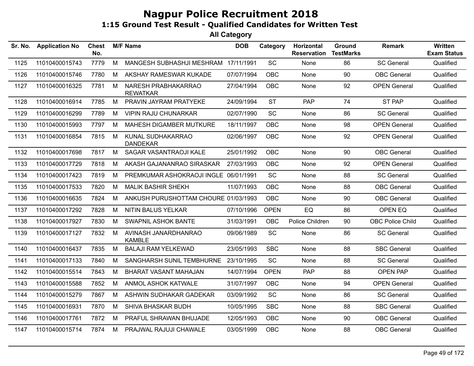| Sr. No. | <b>Application No</b> | <b>Chest</b><br>No. |   | <b>M/F Name</b>                        | <b>DOB</b> | Category    | Horizontal<br><b>Reservation</b> | Ground<br><b>TestMarks</b> | <b>Remark</b>           | <b>Written</b><br><b>Exam Status</b> |
|---------|-----------------------|---------------------|---|----------------------------------------|------------|-------------|----------------------------------|----------------------------|-------------------------|--------------------------------------|
| 1125    | 11010400015743        | 7779                | M | MANGESH SUBHASHJI MESHRAM 17/11/1991   |            | SC          | None                             | 86                         | <b>SC General</b>       | Qualified                            |
| 1126    | 11010400015746        | 7780                | м | AKSHAY RAMESWAR KUKADE                 | 07/07/1994 | <b>OBC</b>  | None                             | 90                         | <b>OBC</b> General      | Qualified                            |
| 1127    | 11010400016325        | 7781                | M | NARESH PRABHAKARRAO<br><b>REWATKAR</b> | 27/04/1994 | <b>OBC</b>  | None                             | 92                         | <b>OPEN General</b>     | Qualified                            |
| 1128    | 11010400016914        | 7785                | M | PRAVIN JAYRAM PRATYEKE                 | 24/09/1994 | <b>ST</b>   | PAP                              | 74                         | <b>ST PAP</b>           | Qualified                            |
| 1129    | 11010400016299        | 7789                | М | <b>VIPIN RAJU CHUNARKAR</b>            | 02/07/1990 | <b>SC</b>   | None                             | 86                         | <b>SC General</b>       | Qualified                            |
| 1130    | 11010400015993        | 7797                | М | MAHESH DIGAMBER MUTKURE                | 18/11/1997 | <b>OBC</b>  | None                             | 98                         | <b>OPEN General</b>     | Qualified                            |
| 1131    | 11010400016854        | 7815                | м | KUNAL SUDHAKARRAO<br><b>DANDEKAR</b>   | 02/06/1997 | <b>OBC</b>  | None                             | 92                         | <b>OPEN General</b>     | Qualified                            |
| 1132    | 11010400017698        | 7817                | M | SAGAR VASANTRAOJI KALE                 | 25/01/1992 | <b>OBC</b>  | None                             | 90                         | <b>OBC</b> General      | Qualified                            |
| 1133    | 11010400017729        | 7818                | м | AKASH GAJANANRAO SIRASKAR              | 27/03/1993 | <b>OBC</b>  | None                             | 92                         | <b>OPEN General</b>     | Qualified                            |
| 1134    | 11010400017423        | 7819                | М | PREMKUMAR ASHOKRAOJI INGLE 06/01/1991  |            | <b>SC</b>   | None                             | 88                         | <b>SC General</b>       | Qualified                            |
| 1135    | 11010400017533        | 7820                | М | <b>MALIK BASHIR SHEKH</b>              | 11/07/1993 | <b>OBC</b>  | None                             | 88                         | <b>OBC</b> General      | Qualified                            |
| 1136    | 11010400016635        | 7824                | М | ANKUSH PURUSHOTTAM CHOURE 01/03/1993   |            | <b>OBC</b>  | None                             | 90                         | <b>OBC</b> General      | Qualified                            |
| 1137    | 11010400017292        | 7828                | М | <b>NITIN BALUS YELKAR</b>              | 07/10/1996 | <b>OPEN</b> | EQ                               | 86                         | OPEN EQ                 | Qualified                            |
| 1138    | 11010400017927        | 7830                | м | <b>SWAPNIL ASHOK BANTE</b>             | 31/03/1991 | OBC         | Police Children                  | 90                         | <b>OBC Police Child</b> | Qualified                            |
| 1139    | 11010400017127        | 7832                | M | AVINASH JANARDHANRAO<br><b>KAMBLE</b>  | 09/06/1989 | <b>SC</b>   | None                             | 86                         | <b>SC General</b>       | Qualified                            |
| 1140    | 11010400016437        | 7835                | м | <b>BALAJI RAM YELKEWAD</b>             | 23/05/1993 | <b>SBC</b>  | None                             | 88                         | <b>SBC General</b>      | Qualified                            |
| 1141    | 11010400017133        | 7840                | м | SANGHARSH SUNIL TEMBHURNE              | 23/10/1995 | <b>SC</b>   | None                             | 88                         | <b>SC General</b>       | Qualified                            |
| 1142    | 11010400015514        | 7843                | М | BHARAT VASANT MAHAJAN                  | 14/07/1994 | <b>OPEN</b> | <b>PAP</b>                       | 88                         | <b>OPEN PAP</b>         | Qualified                            |
| 1143    | 11010400015588        | 7852                | M | <b>ANMOL ASHOK KATWALE</b>             | 31/07/1997 | <b>OBC</b>  | None                             | 94                         | <b>OPEN General</b>     | Qualified                            |
| 1144    | 11010400015279        | 7867                | M | ASHWIN SUDHAKAR GADEKAR                | 03/09/1992 | <b>SC</b>   | None                             | 86                         | <b>SC General</b>       | Qualified                            |
| 1145    | 11010400016931        | 7870                | M | SHIVA BHASKAR BUDH                     | 10/05/1995 | <b>SBC</b>  | None                             | 88                         | <b>SBC General</b>      | Qualified                            |
| 1146    | 11010400017761        | 7872                | м | PRAFUL SHRAWAN BHUJADE                 | 12/05/1993 | <b>OBC</b>  | None                             | 90                         | <b>OBC</b> General      | Qualified                            |
| 1147    | 11010400015714        | 7874                | M | PRAJWAL RAJUJI CHAWALE                 | 03/05/1999 | <b>OBC</b>  | None                             | 88                         | <b>OBC</b> General      | Qualified                            |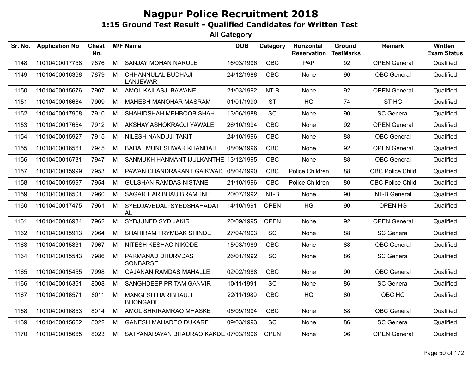| Sr. No. | <b>Application No</b> | <b>Chest</b><br>No. |   | <b>M/F Name</b>                              | <b>DOB</b> | Category    | Horizontal<br><b>Reservation</b> | Ground<br><b>TestMarks</b> | <b>Remark</b>           | Written<br><b>Exam Status</b> |
|---------|-----------------------|---------------------|---|----------------------------------------------|------------|-------------|----------------------------------|----------------------------|-------------------------|-------------------------------|
| 1148    | 11010400017758        | 7876                | M | SANJAY MOHAN NARULE                          | 16/03/1996 | <b>OBC</b>  | PAP                              | 92                         | <b>OPEN General</b>     | Qualified                     |
| 1149    | 11010400016368        | 7879                | M | CHHANNULAL BUDHAJI<br><b>LANJEWAR</b>        | 24/12/1988 | <b>OBC</b>  | None                             | 90                         | <b>OBC</b> General      | Qualified                     |
| 1150    | 11010400015676        | 7907                | М | AMOL KAILASJI BAWANE                         | 21/03/1992 | NT-B        | None                             | 92                         | <b>OPEN General</b>     | Qualified                     |
| 1151    | 11010400016684        | 7909                | M | MAHESH MANOHAR MASRAM                        | 01/01/1990 | <b>ST</b>   | HG                               | 74                         | ST <sub>HG</sub>        | Qualified                     |
| 1152    | 11010400017908        | 7910                | M | SHAHIDSHAH MEHBOOB SHAH                      | 13/06/1988 | SC          | None                             | 90                         | <b>SC General</b>       | Qualified                     |
| 1153    | 11010400017664        | 7912                | M | AKSHAY ASHOKRAOJI YAWALE                     | 26/10/1994 | OBC         | None                             | 92                         | <b>OPEN General</b>     | Qualified                     |
| 1154    | 11010400015927        | 7915                | M | NILESH NANDUJI TAKIT                         | 24/10/1996 | <b>OBC</b>  | None                             | 88                         | <b>OBC</b> General      | Qualified                     |
| 1155    | 11010400016561        | 7945                | M | <b>BADAL MUNESHWAR KHANDAIT</b>              | 08/09/1996 | <b>OBC</b>  | None                             | 92                         | <b>OPEN General</b>     | Qualified                     |
| 1156    | 11010400016731        | 7947                | М | SANMUKH HANMANT IJULKANTHE 13/12/1995        |            | <b>OBC</b>  | None                             | 88                         | <b>OBC</b> General      | Qualified                     |
| 1157    | 11010400015999        | 7953                | М | PAWAN CHANDRAKANT GAIKWAD 08/04/1990         |            | OBC         | Police Children                  | 88                         | <b>OBC Police Child</b> | Qualified                     |
| 1158    | 11010400015997        | 7954                | M | <b>GULSHAN RAMDAS NISTANE</b>                | 21/10/1996 | <b>OBC</b>  | Police Children                  | 80                         | <b>OBC Police Child</b> | Qualified                     |
| 1159    | 11010400016501        | 7960                | M | <b>SAGAR HARIBHAU BRAMHNE</b>                | 20/07/1992 | NT-B        | None                             | 90                         | NT-B General            | Qualified                     |
| 1160    | 11010400017475        | 7961                | M | SYEDJAVEDALI SYEDSHAHADAT<br><b>ALI</b>      | 14/10/1991 | <b>OPEN</b> | HG                               | 90                         | OPEN HG                 | Qualified                     |
| 1161    | 11010400016934        | 7962                | M | SYDJUNED SYD JAKIR                           | 20/09/1995 | <b>OPEN</b> | None                             | 92                         | <b>OPEN General</b>     | Qualified                     |
| 1162    | 11010400015913        | 7964                | M | SHAHIRAM TRYMBAK SHINDE                      | 27/04/1993 | SC          | None                             | 88                         | <b>SC General</b>       | Qualified                     |
| 1163    | 11010400015831        | 7967                | M | NITESH KESHAO NIKODE                         | 15/03/1989 | <b>OBC</b>  | None                             | 88                         | <b>OBC</b> General      | Qualified                     |
| 1164    | 11010400015543        | 7986                | M | PARMANAD DHURVDAS<br>SONBARSE                | 26/01/1992 | SC          | None                             | 86                         | <b>SC General</b>       | Qualified                     |
| 1165    | 11010400015455        | 7998                | M | <b>GAJANAN RAMDAS MAHALLE</b>                | 02/02/1988 | <b>OBC</b>  | None                             | 90                         | <b>OBC</b> General      | Qualified                     |
| 1166    | 11010400016361        | 8008                | М | SANGHDEEP PRITAM GANVIR                      | 10/11/1991 | SC          | None                             | 86                         | <b>SC General</b>       | Qualified                     |
| 1167    | 11010400016571        | 8011                | M | <b>MANGESH HARIBHAUJI</b><br><b>BHONGADE</b> | 22/11/1989 | <b>OBC</b>  | <b>HG</b>                        | 80                         | OBC HG                  | Qualified                     |
| 1168    | 11010400016853        | 8014                | M | AMOL SHRIRAMRAO MHASKE                       | 05/09/1994 | <b>OBC</b>  | None                             | 88                         | <b>OBC</b> General      | Qualified                     |
| 1169    | 11010400015662        | 8022                | М | <b>GANESH MAHADEO DUKARE</b>                 | 09/03/1993 | SC          | None                             | 86                         | <b>SC General</b>       | Qualified                     |
| 1170    | 11010400015665        | 8023                | М | SATYANARAYAN BHAURAO KAKDE 07/03/1996        |            | <b>OPEN</b> | None                             | 96                         | <b>OPEN General</b>     | Qualified                     |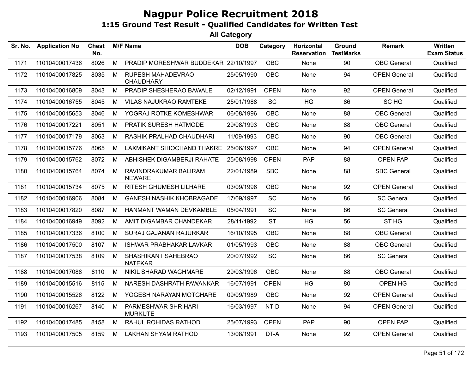| Sr. No. | <b>Application No</b> | <b>Chest</b><br>No. |   | <b>M/F Name</b>                        | <b>DOB</b> | Category    | Horizontal<br><b>Reservation</b> | Ground<br><b>TestMarks</b> | <b>Remark</b>       | Written<br><b>Exam Status</b> |
|---------|-----------------------|---------------------|---|----------------------------------------|------------|-------------|----------------------------------|----------------------------|---------------------|-------------------------------|
| 1171    | 11010400017436        | 8026                | M | PRADIP MORESHWAR BUDDEKAR 22/10/1997   |            | OBC         | None                             | 90                         | <b>OBC</b> General  | Qualified                     |
| 1172    | 11010400017825        | 8035                | M | RUPESH MAHADEVRAO<br><b>CHAUDHARY</b>  | 25/05/1990 | OBC         | None                             | 94                         | <b>OPEN General</b> | Qualified                     |
| 1173    | 11010400016809        | 8043                | M | PRADIP SHESHERAO BAWALE                | 02/12/1991 | <b>OPEN</b> | None                             | 92                         | <b>OPEN General</b> | Qualified                     |
| 1174    | 11010400016755        | 8045                | M | <b>VILAS NAJUKRAO RAMTEKE</b>          | 25/01/1988 | <b>SC</b>   | HG                               | 86                         | SC HG               | Qualified                     |
| 1175    | 11010400015653        | 8046                | M | YOGRAJ ROTKE KOMESHWAR                 | 06/08/1996 | <b>OBC</b>  | None                             | 88                         | <b>OBC</b> General  | Qualified                     |
| 1176    | 11010400017221        | 8051                | M | PRATIK SURESH HATMODE                  | 29/08/1993 | OBC         | None                             | 88                         | <b>OBC</b> General  | Qualified                     |
| 1177    | 11010400017179        | 8063                | M | RASHIK PRALHAD CHAUDHARI               | 11/09/1993 | <b>OBC</b>  | None                             | 90                         | <b>OBC</b> General  | Qualified                     |
| 1178    | 11010400015776        | 8065                | М | LAXMIKANT SHIOCHAND THAKRE             | 25/06/1997 | <b>OBC</b>  | None                             | 94                         | <b>OPEN General</b> | Qualified                     |
| 1179    | 11010400015762        | 8072                | M | ABHISHEK DIGAMBERJI RAHATE             | 25/08/1998 | <b>OPEN</b> | <b>PAP</b>                       | 88                         | <b>OPEN PAP</b>     | Qualified                     |
| 1180    | 11010400015764        | 8074                | M | RAVINDRAKUMAR BALIRAM<br><b>NEWARE</b> | 22/01/1989 | <b>SBC</b>  | None                             | 88                         | <b>SBC General</b>  | Qualified                     |
| 1181    | 11010400015734        | 8075                | M | <b>RITESH GHUMESH LILHARE</b>          | 03/09/1996 | <b>OBC</b>  | None                             | 92                         | <b>OPEN General</b> | Qualified                     |
| 1182    | 11010400016906        | 8084                | M | <b>GANESH NASHIK KHOBRAGADE</b>        | 17/09/1997 | SC          | None                             | 86                         | <b>SC General</b>   | Qualified                     |
| 1183    | 11010400017820        | 8087                | M | HANMANT WAMAN DEVKAMBLE                | 05/04/1991 | SC          | None                             | 86                         | <b>SC General</b>   | Qualified                     |
| 1184    | 11010400016949        | 8092                | M | AMIT DIGAMBAR CHANDEKAR                | 28/11/1992 | <b>ST</b>   | <b>HG</b>                        | 56                         | ST <sub>HG</sub>    | Qualified                     |
| 1185    | 11010400017336        | 8100                | M | SURAJ GAJANAN RAJURKAR                 | 16/10/1995 | <b>OBC</b>  | None                             | 88                         | <b>OBC</b> General  | Qualified                     |
| 1186    | 11010400017500        | 8107                | M | ISHWAR PRABHAKAR LAVKAR                | 01/05/1993 | <b>OBC</b>  | None                             | 88                         | <b>OBC</b> General  | Qualified                     |
| 1187    | 11010400017538        | 8109                | M | SHASHIKANT SAHEBRAO<br><b>NATEKAR</b>  | 20/07/1992 | SC          | None                             | 86                         | <b>SC General</b>   | Qualified                     |
| 1188    | 11010400017088        | 8110                | M | NIKIL SHARAD WAGHMARE                  | 29/03/1996 | <b>OBC</b>  | None                             | 88                         | <b>OBC</b> General  | Qualified                     |
| 1189    | 11010400015516        | 8115                | M | NARESH DASHRATH PAWANKAR               | 16/07/1991 | <b>OPEN</b> | HG                               | 80                         | <b>OPEN HG</b>      | Qualified                     |
| 1190    | 11010400015526        | 8122                | M | YOGESH NARAYAN MOTGHARE                | 09/09/1989 | <b>OBC</b>  | None                             | 92                         | <b>OPEN General</b> | Qualified                     |
| 1191    | 11010400016267        | 8140                | M | PARMESHWAR SHRIHARI<br><b>MURKUTE</b>  | 16/03/1997 | NT-D        | None                             | 94                         | <b>OPEN General</b> | Qualified                     |
| 1192    | 11010400017485        | 8158                | M | RAHUL ROHIDAS RATHOD                   | 25/07/1993 | <b>OPEN</b> | PAP                              | 90                         | OPEN PAP            | Qualified                     |
| 1193    | 11010400017505        | 8159                | M | <b>LAKHAN SHYAM RATHOD</b>             | 13/08/1991 | DT-A        | None                             | 92                         | <b>OPEN General</b> | Qualified                     |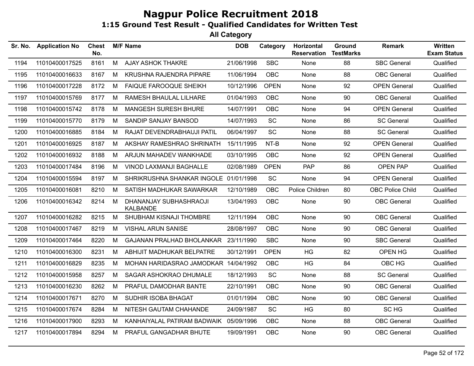| Sr. No. | <b>Application No</b> | <b>Chest</b><br>No. |   | <b>M/F Name</b>                           | <b>DOB</b> | Category    | Horizontal<br><b>Reservation</b> | Ground<br><b>TestMarks</b> | <b>Remark</b>           | Written<br><b>Exam Status</b> |
|---------|-----------------------|---------------------|---|-------------------------------------------|------------|-------------|----------------------------------|----------------------------|-------------------------|-------------------------------|
| 1194    | 11010400017525        | 8161                | M | AJAY ASHOK THAKRE                         | 21/06/1998 | <b>SBC</b>  | None                             | 88                         | <b>SBC General</b>      | Qualified                     |
| 1195    | 11010400016633        | 8167                | М | KRUSHNA RAJENDRA PIPARE                   | 11/06/1994 | <b>OBC</b>  | None                             | 88                         | <b>OBC</b> General      | Qualified                     |
| 1196    | 11010400017228        | 8172                | M | <b>FAIQUE FAROOQUE SHEIKH</b>             | 10/12/1996 | <b>OPEN</b> | None                             | 92                         | <b>OPEN General</b>     | Qualified                     |
| 1197    | 11010400015769        | 8177                | М | RAMESH BHAULAL LILHARE                    | 01/04/1993 | <b>OBC</b>  | None                             | 90                         | <b>OBC</b> General      | Qualified                     |
| 1198    | 11010400015742        | 8178                | M | MANGESH SURESH BHURE                      | 14/07/1991 | OBC         | None                             | 94                         | <b>OPEN General</b>     | Qualified                     |
| 1199    | 11010400015770        | 8179                | М | SANDIP SANJAY BANSOD                      | 14/07/1993 | SC          | None                             | 86                         | <b>SC General</b>       | Qualified                     |
| 1200    | 11010400016885        | 8184                | М | RAJAT DEVENDRABHAUJI PATIL                | 06/04/1997 | SC          | None                             | 88                         | <b>SC General</b>       | Qualified                     |
| 1201    | 11010400016925        | 8187                | М | AKSHAY RAMESHRAO SHRINATH                 | 15/11/1995 | NT-B        | <b>None</b>                      | 92                         | <b>OPEN General</b>     | Qualified                     |
| 1202    | 11010400016932        | 8188                | M | ARJUN MAHADEV WANKHADE                    | 03/10/1995 | <b>OBC</b>  | None                             | 92                         | <b>OPEN General</b>     | Qualified                     |
| 1203    | 11010400017484        | 8196                | M | VINOD LAXMANJI BAGHALLE                   | 02/08/1989 | <b>OPEN</b> | <b>PAP</b>                       | 86                         | <b>OPEN PAP</b>         | Qualified                     |
| 1204    | 11010400015594        | 8197                | М | SHRIKRUSHNA SHANKAR INGOLE 01/01/1998     |            | SC          | None                             | 94                         | <b>OPEN General</b>     | Qualified                     |
| 1205    | 11010400016081        | 8210                | М | SATISH MADHUKAR SAWARKAR                  | 12/10/1989 | OBC         | Police Children                  | 80                         | <b>OBC Police Child</b> | Qualified                     |
| 1206    | 11010400016342        | 8214                | м | DHANANJAY SUBHASHRAOJI<br><b>KALBANDE</b> | 13/04/1993 | <b>OBC</b>  | None                             | 90                         | <b>OBC</b> General      | Qualified                     |
| 1207    | 11010400016282        | 8215                | М | SHUBHAM KISNAJI THOMBRE                   | 12/11/1994 | <b>OBC</b>  | None                             | 90                         | OBC General             | Qualified                     |
| 1208    | 11010400017467        | 8219                | M | <b>VISHAL ARUN SANISE</b>                 | 28/08/1997 | <b>OBC</b>  | None                             | 90                         | <b>OBC</b> General      | Qualified                     |
| 1209    | 11010400017464        | 8220                | M | <b>GAJANAN PRALHAD BHOLANKAR</b>          | 23/11/1990 | <b>SBC</b>  | None                             | 90                         | <b>SBC General</b>      | Qualified                     |
| 1210    | 11010400016300        | 8231                | M | ABHIJIT MADHUKAR BELPATRE                 | 30/12/1991 | <b>OPEN</b> | HG                               | 82                         | OPEN HG                 | Qualified                     |
| 1211    | 11010400016829        | 8235                | м | MOHAN HARIDASRAO JAMODKAR 14/04/1992      |            | <b>OBC</b>  | <b>HG</b>                        | 84                         | OBC HG                  | Qualified                     |
| 1212    | 11010400015958        | 8257                | M | SAGAR ASHOKRAO DHUMALE                    | 18/12/1993 | SC          | None                             | 88                         | <b>SC General</b>       | Qualified                     |
| 1213    | 11010400016230        | 8262                | М | PRAFUL DAMODHAR BANTE                     | 22/10/1991 | <b>OBC</b>  | None                             | 90                         | <b>OBC</b> General      | Qualified                     |
| 1214    | 11010400017671        | 8270                | М | SUDHIR ISOBA BHAGAT                       | 01/01/1994 | OBC         | None                             | 90                         | <b>OBC</b> General      | Qualified                     |
| 1215    | 11010400017674        | 8284                | М | NITESH GAUTAM CHAHANDE                    | 24/09/1987 | SC          | <b>HG</b>                        | 80                         | SC HG                   | Qualified                     |
| 1216    | 11010400017900        | 8293                | M | KANHAIYALAL PATIRAM BADWAIK               | 05/09/1996 | OBC         | None                             | 88                         | <b>OBC</b> General      | Qualified                     |
| 1217    | 11010400017894        | 8294                | M | PRAFUL GANGADHAR BHUTE                    | 19/09/1991 | <b>OBC</b>  | None                             | 90                         | <b>OBC</b> General      | Qualified                     |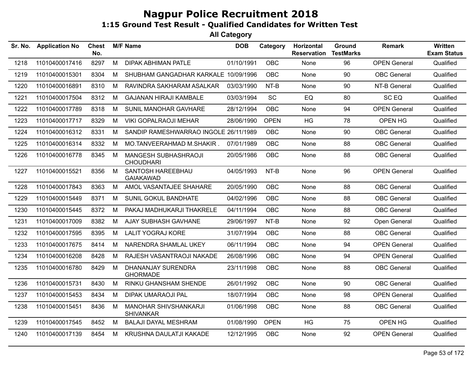| Sr. No. | <b>Application No</b> | <b>Chest</b><br>No. |   | <b>M/F Name</b>                           | <b>DOB</b> | Category    | Horizontal<br><b>Reservation</b> | Ground<br><b>TestMarks</b> | <b>Remark</b>       | <b>Written</b><br><b>Exam Status</b> |
|---------|-----------------------|---------------------|---|-------------------------------------------|------------|-------------|----------------------------------|----------------------------|---------------------|--------------------------------------|
| 1218    | 11010400017416        | 8297                | M | <b>DIPAK ABHIMAN PATLE</b>                | 01/10/1991 | <b>OBC</b>  | None                             | 96                         | <b>OPEN General</b> | Qualified                            |
| 1219    | 11010400015301        | 8304                | M | SHUBHAM GANGADHAR KARKALE 10/09/1996      |            | <b>OBC</b>  | None                             | 90                         | <b>OBC</b> General  | Qualified                            |
| 1220    | 11010400016891        | 8310                | M | RAVINDRA SAKHARAM ASALKAR                 | 03/03/1990 | NT-B        | None                             | 90                         | NT-B General        | Qualified                            |
| 1221    | 11010400017504        | 8312                | М | <b>GAJANAN HIRAJI KAMBALE</b>             | 03/03/1994 | <b>SC</b>   | EQ                               | 80                         | SC EQ               | Qualified                            |
| 1222    | 11010400017789        | 8318                | M | SUNIL MANOHAR GAVHARE                     | 28/12/1994 | <b>OBC</b>  | None                             | 94                         | <b>OPEN General</b> | Qualified                            |
| 1223    | 11010400017717        | 8329                | М | <b>VIKI GOPALRAOJI MEHAR</b>              | 28/06/1990 | <b>OPEN</b> | <b>HG</b>                        | 78                         | OPEN HG             | Qualified                            |
| 1224    | 11010400016312        | 8331                | M | SANDIP RAMESHWARRAO INGOLE 26/11/1989     |            | <b>OBC</b>  | None                             | 90                         | <b>OBC</b> General  | Qualified                            |
| 1225    | 11010400016314        | 8332                | M | MO.TANVEERAHMAD M.SHAKIR.                 | 07/01/1989 | <b>OBC</b>  | <b>None</b>                      | 88                         | <b>OBC</b> General  | Qualified                            |
| 1226    | 11010400016778        | 8345                | M | MANGESH SUBHASHRAOJI<br><b>CHOUDHARI</b>  | 20/05/1986 | <b>OBC</b>  | None                             | 88                         | <b>OBC</b> General  | Qualified                            |
| 1227    | 11010400015521        | 8356                | M | SANTOSH HAREEBHAU<br><b>GAIAKAWAD</b>     | 04/05/1993 | NT-B        | None                             | 96                         | <b>OPEN General</b> | Qualified                            |
| 1228    | 11010400017843        | 8363                | М | AMOL VASANTAJEE SHAHARE                   | 20/05/1990 | <b>OBC</b>  | None                             | 88                         | <b>OBC</b> General  | Qualified                            |
| 1229    | 11010400015449        | 8371                | M | SUNIL GOKUL BANDHATE                      | 04/02/1996 | <b>OBC</b>  | None                             | 88                         | <b>OBC</b> General  | Qualified                            |
| 1230    | 11010400015445        | 8372                | M | PAKAJ MADHUKARJI THAKRELE                 | 04/11/1994 | <b>OBC</b>  | None                             | 88                         | <b>OBC</b> General  | Qualified                            |
| 1231    | 11010400017009        | 8382                | M | AJAY SUBHASH GAVHANE                      | 29/06/1997 | NT-B        | None                             | 92                         | Open General        | Qualified                            |
| 1232    | 11010400017595        | 8395                | M | <b>LALIT YOGRAJ KORE</b>                  | 31/07/1994 | <b>OBC</b>  | None                             | 88                         | <b>OBC</b> General  | Qualified                            |
| 1233    | 11010400017675        | 8414                | M | NARENDRA SHAMLAL UKEY                     | 06/11/1994 | <b>OBC</b>  | None                             | 94                         | <b>OPEN General</b> | Qualified                            |
| 1234    | 11010400016208        | 8428                | М | RAJESH VASANTRAOJI NAKADE                 | 26/08/1996 | <b>OBC</b>  | None                             | 94                         | <b>OPEN General</b> | Qualified                            |
| 1235    | 11010400016780        | 8429                | M | DHANANJAY SURENDRA<br><b>GHORMADE</b>     | 23/11/1998 | <b>OBC</b>  | None                             | 88                         | <b>OBC</b> General  | Qualified                            |
| 1236    | 11010400015731        | 8430                | М | RINKU GHANSHAM SHENDE                     | 26/01/1992 | <b>OBC</b>  | None                             | 90                         | <b>OBC</b> General  | Qualified                            |
| 1237    | 11010400015453        | 8434                | M | <b>DIPAK UMARAOJI PAL</b>                 | 18/07/1994 | <b>OBC</b>  | None                             | 98                         | <b>OPEN General</b> | Qualified                            |
| 1238    | 11010400015451        | 8436                | M | MANOHAR SHIVSHANKARJI<br><b>SHIVANKAR</b> | 01/06/1998 | <b>OBC</b>  | None                             | 88                         | <b>OBC</b> General  | Qualified                            |
| 1239    | 11010400017545        | 8452                | M | <b>BALAJI DAYAL MESHRAM</b>               | 01/08/1990 | <b>OPEN</b> | <b>HG</b>                        | 75                         | OPEN HG             | Qualified                            |
| 1240    | 11010400017139        | 8454                | M | KRUSHNA DAULATJI KAKADE                   | 12/12/1995 | <b>OBC</b>  | None                             | 92                         | <b>OPEN General</b> | Qualified                            |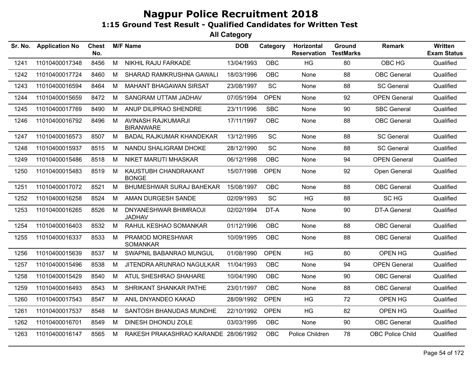| Sr. No. | <b>Application No</b> | <b>Chest</b><br>No. |   | <b>M/F Name</b>                        | <b>DOB</b> | Category    | Horizontal<br><b>Reservation</b> | Ground<br><b>TestMarks</b> | <b>Remark</b>           | Written<br><b>Exam Status</b> |
|---------|-----------------------|---------------------|---|----------------------------------------|------------|-------------|----------------------------------|----------------------------|-------------------------|-------------------------------|
| 1241    | 11010400017348        | 8456                | M | NIKHIL RAJU FARKADE                    | 13/04/1993 | <b>OBC</b>  | <b>HG</b>                        | 80                         | OBC HG                  | Qualified                     |
| 1242    | 11010400017724        | 8460                | М | SHARAD RAMKRUSHNA GAWALI               | 18/03/1996 | <b>OBC</b>  | None                             | 88                         | <b>OBC</b> General      | Qualified                     |
| 1243    | 11010400016594        | 8464                | M | <b>MAHANT BHAGAWAN SIRSAT</b>          | 23/08/1997 | SC          | None                             | 88                         | <b>SC General</b>       | Qualified                     |
| 1244    | 11010400015659        | 8472                | M | SANGRAM UTTAM JADHAV                   | 07/05/1994 | <b>OPEN</b> | None                             | 92                         | <b>OPEN General</b>     | Qualified                     |
| 1245    | 11010400017769        | 8490                | M | ANUP DILIPRAO SHENDRE                  | 23/11/1996 | <b>SBC</b>  | None                             | 90                         | <b>SBC General</b>      | Qualified                     |
| 1246    | 11010400016792        | 8496                | M | AVINASH RAJKUMARJI<br><b>BIRANWARE</b> | 17/11/1997 | <b>OBC</b>  | None                             | 88                         | <b>OBC</b> General      | Qualified                     |
| 1247    | 11010400016573        | 8507                | M | <b>BADAL RAJKUMAR KHANDEKAR</b>        | 13/12/1995 | SC          | None                             | 88                         | <b>SC General</b>       | Qualified                     |
| 1248    | 11010400015937        | 8515                | M | NANDU SHALIGRAM DHOKE                  | 28/12/1990 | SC          | None                             | 88                         | <b>SC General</b>       | Qualified                     |
| 1249    | 11010400015486        | 8518                | M | NIKET MARUTI MHASKAR                   | 06/12/1998 | <b>OBC</b>  | None                             | 94                         | <b>OPEN General</b>     | Qualified                     |
| 1250    | 11010400015483        | 8519                | M | KAUSTUBH CHANDRAKANT<br><b>BONGE</b>   | 15/07/1998 | <b>OPEN</b> | None                             | 92                         | Open General            | Qualified                     |
| 1251    | 11010400017072        | 8521                | M | BHUMESHWAR SURAJ BAHEKAR               | 15/08/1997 | <b>OBC</b>  | None                             | 88                         | <b>OBC</b> General      | Qualified                     |
| 1252    | 11010400016258        | 8524                | М | AMAN DURGESH SANDE                     | 02/09/1993 | SC          | HG                               | 88                         | SC HG                   | Qualified                     |
| 1253    | 11010400016265        | 8526                | М | DNYANESHWAR BHIMRAOJI<br><b>JADHAV</b> | 02/02/1994 | DT-A        | None                             | 90                         | <b>DT-A General</b>     | Qualified                     |
| 1254    | 11010400016403        | 8532                | М | RAHUL KESHAO SOMANKAR                  | 01/12/1996 | <b>OBC</b>  | None                             | 88                         | <b>OBC</b> General      | Qualified                     |
| 1255    | 11010400016337        | 8533                | M | PRAMOD MORESHWAR<br><b>SOMANKAR</b>    | 10/09/1995 | <b>OBC</b>  | None                             | 88                         | <b>OBC</b> General      | Qualified                     |
| 1256    | 11010400015639        | 8537                | М | SWAPNIL BABANRAO MUNGUL                | 01/08/1990 | <b>OPEN</b> | <b>HG</b>                        | 80                         | OPEN HG                 | Qualified                     |
| 1257    | 11010400015496        | 8538                | М | JITENDRA ARUNRAO NAGULKAR              | 11/04/1993 | <b>OBC</b>  | None                             | 94                         | <b>OPEN General</b>     | Qualified                     |
| 1258    | 11010400015429        | 8540                | M | ATUL SHESHRAO SHAHARE                  | 10/04/1990 | <b>OBC</b>  | None                             | 90                         | <b>OBC</b> General      | Qualified                     |
| 1259    | 11010400016493        | 8543                | M | SHRIKANT SHANKAR PATHE                 | 23/01/1997 | <b>OBC</b>  | None                             | 88                         | <b>OBC</b> General      | Qualified                     |
| 1260    | 11010400017543        | 8547                | M | ANIL DNYANDEO KAKAD                    | 28/09/1992 | <b>OPEN</b> | HG                               | 72                         | OPEN HG                 | Qualified                     |
| 1261    | 11010400017537        | 8548                | М | SANTOSH BHANUDAS MUNDHE                | 22/10/1992 | <b>OPEN</b> | HG                               | 82                         | OPEN HG                 | Qualified                     |
| 1262    | 11010400016701        | 8549                | M | DINESH DHONDU ZOLE                     | 03/03/1995 | <b>OBC</b>  | None                             | 90                         | <b>OBC</b> General      | Qualified                     |
| 1263    | 11010400016147        | 8565                | М | RAKESH PRAKASHRAO KARANDE 28/06/1992   |            | <b>OBC</b>  | Police Children                  | 78                         | <b>OBC Police Child</b> | Qualified                     |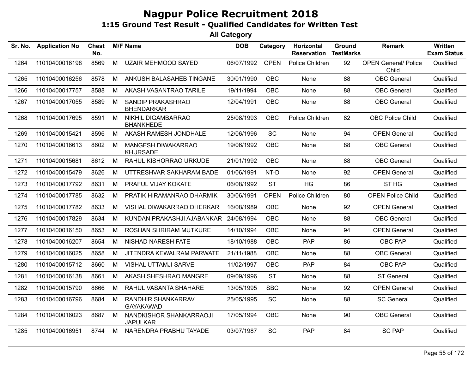| Sr. No. | <b>Application No</b> | Chest<br>No. |   | <b>M/F Name</b>                            | <b>DOB</b> | Category    | Horizontal<br><b>Reservation</b> | Ground<br><b>TestMarks</b> | Remark                               | Written<br><b>Exam Status</b> |
|---------|-----------------------|--------------|---|--------------------------------------------|------------|-------------|----------------------------------|----------------------------|--------------------------------------|-------------------------------|
| 1264    | 11010400016198        | 8569         | M | <b>UZAIR MEHMOOD SAYED</b>                 | 06/07/1992 | <b>OPEN</b> | Police Children                  | 92                         | <b>OPEN General/ Police</b><br>Child | Qualified                     |
| 1265    | 11010400016256        | 8578         | M | ANKUSH BALASAHEB TINGANE                   | 30/01/1990 | <b>OBC</b>  | None                             | 88                         | <b>OBC</b> General                   | Qualified                     |
| 1266    | 11010400017757        | 8588         | м | AKASH VASANTRAO TARILE                     | 19/11/1994 | OBC         | None                             | 88                         | <b>OBC</b> General                   | Qualified                     |
| 1267    | 11010400017055        | 8589         | M | SANDIP PRAKASHRAO<br><b>BHENDARKAR</b>     | 12/04/1991 | <b>OBC</b>  | None                             | 88                         | <b>OBC</b> General                   | Qualified                     |
| 1268    | 11010400017695        | 8591         | M | NIKHIL DIGAMBARRAO<br><b>BHANKHEDE</b>     | 25/08/1993 | <b>OBC</b>  | Police Children                  | 82                         | <b>OBC Police Child</b>              | Qualified                     |
| 1269    | 11010400015421        | 8596         | M | AKASH RAMESH JONDHALE                      | 12/06/1996 | <b>SC</b>   | None                             | 94                         | <b>OPEN General</b>                  | Qualified                     |
| 1270    | 11010400016613        | 8602         | м | MANGESH DIWAKARRAO<br><b>KHURSADE</b>      | 19/06/1992 | <b>OBC</b>  | None                             | 88                         | <b>OBC</b> General                   | Qualified                     |
| 1271    | 11010400015681        | 8612         | М | RAHUL KISHORRAO URKUDE                     | 21/01/1992 | <b>OBC</b>  | None                             | 88                         | <b>OBC</b> General                   | Qualified                     |
| 1272    | 11010400015479        | 8626         | м | UTTRESHVAR SAKHARAM BADE                   | 01/06/1991 | NT-D        | None                             | 92                         | <b>OPEN General</b>                  | Qualified                     |
| 1273    | 11010400017792        | 8631         | M | PRAFUL VIJAY KOKATE                        | 06/08/1992 | <b>ST</b>   | <b>HG</b>                        | 86                         | ST <sub>HG</sub>                     | Qualified                     |
| 1274    | 11010400017785        | 8632         | м | PRATIK HIRAMANRAO DHARMIK                  | 30/06/1991 | <b>OPEN</b> | Police Children                  | 80                         | <b>OPEN Police Child</b>             | Qualified                     |
| 1275    | 11010400017782        | 8633         | М | VISHAL DIWAKARRAO DHERKAR                  | 16/08/1989 | <b>OBC</b>  | None                             | 92                         | <b>OPEN General</b>                  | Qualified                     |
| 1276    | 11010400017829        | 8634         | м | KUNDAN PRAKASHJI AJABANKAR                 | 24/08/1994 | <b>OBC</b>  | None                             | 88                         | <b>OBC</b> General                   | Qualified                     |
| 1277    | 11010400016150        | 8653         | м | ROSHAN SHRIRAM MUTKURE                     | 14/10/1994 | <b>OBC</b>  | None                             | 94                         | <b>OPEN General</b>                  | Qualified                     |
| 1278    | 11010400016207        | 8654         | M | NISHAD NARESH FATE                         | 18/10/1988 | OBC         | PAP                              | 86                         | OBC PAP                              | Qualified                     |
| 1279    | 11010400016025        | 8658         | M | JITENDRA KEWALRAM PARWATE                  | 21/11/1988 | OBC         | None                             | 88                         | <b>OBC</b> General                   | Qualified                     |
| 1280    | 11010400015712        | 8660         | M | <b>VISHAL UTTAMJI SARVE</b>                | 11/02/1997 | <b>OBC</b>  | PAP                              | 84                         | OBC PAP                              | Qualified                     |
| 1281    | 11010400016138        | 8661         | M | AKASH SHESHRAO MANGRE                      | 09/09/1996 | <b>ST</b>   | None                             | 88                         | <b>ST General</b>                    | Qualified                     |
| 1282    | 11010400015790        | 8666         | М | RAHUL VASANTA SHAHARE                      | 13/05/1995 | <b>SBC</b>  | None                             | 92                         | <b>OPEN General</b>                  | Qualified                     |
| 1283    | 11010400016796        | 8684         | M | RANDHIR SHANKARRAV<br><b>GAYAKAWAD</b>     | 25/05/1995 | SC          | None                             | 88                         | <b>SC General</b>                    | Qualified                     |
| 1284    | 11010400016023        | 8687         | M | NANDKISHOR SHANKARRAOJI<br><b>JAPULKAR</b> | 17/05/1994 | OBC         | None                             | 90                         | <b>OBC</b> General                   | Qualified                     |
| 1285    | 11010400016951        | 8744         | M | NARENDRA PRABHU TAYADE                     | 03/07/1987 | SC          | PAP                              | 84                         | <b>SC PAP</b>                        | Qualified                     |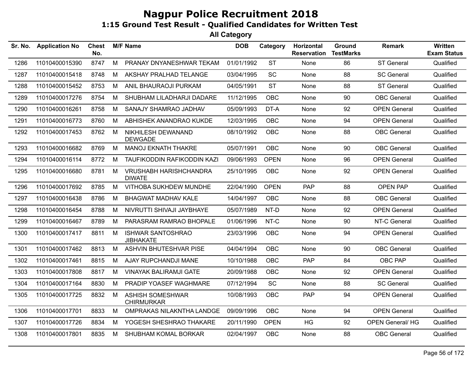| Sr. No. | <b>Application No</b> | <b>Chest</b><br>No. |   | <b>M/F Name</b>                                | <b>DOB</b> | Category    | Horizontal<br><b>Reservation</b> | <b>Ground</b><br><b>TestMarks</b> | Remark                 | <b>Written</b><br><b>Exam Status</b> |
|---------|-----------------------|---------------------|---|------------------------------------------------|------------|-------------|----------------------------------|-----------------------------------|------------------------|--------------------------------------|
| 1286    | 11010400015390        | 8747                | M | PRANAY DNYANESHWAR TEKAM                       | 01/01/1992 | <b>ST</b>   | None                             | 86                                | ST General             | Qualified                            |
| 1287    | 11010400015418        | 8748                | М | AKSHAY PRALHAD TELANGE                         | 03/04/1995 | <b>SC</b>   | None                             | 88                                | <b>SC General</b>      | Qualified                            |
| 1288    | 11010400015452        | 8753                | M | ANIL BHAURAOJI PURKAM                          | 04/05/1991 | <b>ST</b>   | None                             | 88                                | <b>ST General</b>      | Qualified                            |
| 1289    | 11010400017276        | 8754                | М | SHUBHAM LILADHARJI DADARE                      | 11/12/1995 | <b>OBC</b>  | None                             | 90                                | <b>OBC</b> General     | Qualified                            |
| 1290    | 11010400016261        | 8758                | M | SANAJY SHAMRAO JADHAV                          | 05/09/1993 | DT-A        | None                             | 92                                | <b>OPEN General</b>    | Qualified                            |
| 1291    | 11010400016773        | 8760                | M | ABHISHEK ANANDRAO KUKDE                        | 12/03/1995 | OBC         | None                             | 94                                | <b>OPEN General</b>    | Qualified                            |
| 1292    | 11010400017453        | 8762                | M | NIKHILESH DEWANAND<br><b>DEWGADE</b>           | 08/10/1992 | <b>OBC</b>  | None                             | 88                                | <b>OBC</b> General     | Qualified                            |
| 1293    | 11010400016682        | 8769                | M | <b>MANOJ EKNATH THAKRE</b>                     | 05/07/1991 | <b>OBC</b>  | None                             | 90                                | <b>OBC</b> General     | Qualified                            |
| 1294    | 11010400016114        | 8772                | M | TAUFIKODDIN RAFIKODDIN KAZI                    | 09/06/1993 | <b>OPEN</b> | None                             | 96                                | <b>OPEN General</b>    | Qualified                            |
| 1295    | 11010400016680        | 8781                | M | <b>VRUSHABH HARISHCHANDRA</b><br><b>DIWATE</b> | 25/10/1995 | <b>OBC</b>  | None                             | 92                                | <b>OPEN General</b>    | Qualified                            |
| 1296    | 11010400017692        | 8785                | М | VITHOBA SUKHDEW MUNDHE                         | 22/04/1990 | <b>OPEN</b> | <b>PAP</b>                       | 88                                | <b>OPEN PAP</b>        | Qualified                            |
| 1297    | 11010400016438        | 8786                | М | BHAGWAT MADHAV KALE                            | 14/04/1997 | <b>OBC</b>  | None                             | 88                                | <b>OBC</b> General     | Qualified                            |
| 1298    | 11010400016454        | 8788                | M | NIVRUTTI SHIVAJI JAYBHAYE                      | 05/07/1989 | NT-D        | None                             | 92                                | <b>OPEN General</b>    | Qualified                            |
| 1299    | 11010400016467        | 8789                | М | PARASRAM RAMRAO BHOPALE                        | 01/06/1996 | NT-C        | None                             | 90                                | NT-C General           | Qualified                            |
| 1300    | 11010400017417        | 8811                | M | <b>ISHWAR SANTOSHRAO</b><br><b>JIBHAKATE</b>   | 23/03/1996 | <b>OBC</b>  | None                             | 94                                | <b>OPEN General</b>    | Qualified                            |
| 1301    | 11010400017462        | 8813                | M | ASHVIN BHUTESHVAR PISE                         | 04/04/1994 | <b>OBC</b>  | None                             | 90                                | <b>OBC</b> General     | Qualified                            |
| 1302    | 11010400017461        | 8815                | M | AJAY RUPCHANDJI MANE                           | 10/10/1988 | <b>OBC</b>  | PAP                              | 84                                | OBC PAP                | Qualified                            |
| 1303    | 11010400017808        | 8817                | М | <b>VINAYAK BALIRAMJI GATE</b>                  | 20/09/1988 | <b>OBC</b>  | None                             | 92                                | <b>OPEN General</b>    | Qualified                            |
| 1304    | 11010400017164        | 8830                | M | PRADIP YOASEF WAGHMARE                         | 07/12/1994 | SC          | None                             | 88                                | <b>SC General</b>      | Qualified                            |
| 1305    | 11010400017725        | 8832                | M | <b>ASHISH SOMESHWAR</b><br><b>CHIRMURKAR</b>   | 10/08/1993 | <b>OBC</b>  | <b>PAP</b>                       | 94                                | <b>OPEN General</b>    | Qualified                            |
| 1306    | 11010400017701        | 8833                | M | OMPRAKAS NILAKNTHA LANDGE                      | 09/09/1996 | <b>OBC</b>  | None                             | 94                                | <b>OPEN General</b>    | Qualified                            |
| 1307    | 11010400017726        | 8834                | M | YOGESH SHESHRAO THAKARE                        | 20/11/1990 | <b>OPEN</b> | HG                               | 92                                | <b>OPEN General/HG</b> | Qualified                            |
| 1308    | 11010400017801        | 8835                | M | SHUBHAM KOMAL BORKAR                           | 02/04/1997 | <b>OBC</b>  | None                             | 88                                | <b>OBC</b> General     | Qualified                            |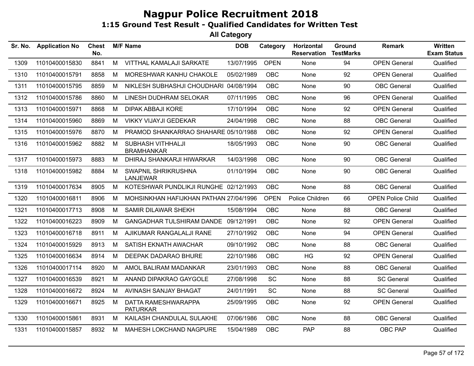| Sr. No. | <b>Application No</b> | <b>Chest</b><br>No. |   | <b>M/F Name</b>                        | <b>DOB</b> | Category    | Horizontal<br><b>Reservation</b> | Ground<br><b>TestMarks</b> | <b>Remark</b>            | <b>Written</b><br><b>Exam Status</b> |
|---------|-----------------------|---------------------|---|----------------------------------------|------------|-------------|----------------------------------|----------------------------|--------------------------|--------------------------------------|
| 1309    | 11010400015830        | 8841                | M | VITTHAL KAMALAJI SARKATE               | 13/07/1995 | <b>OPEN</b> | None                             | 94                         | <b>OPEN General</b>      | Qualified                            |
| 1310    | 11010400015791        | 8858                | М | MORESHWAR KANHU CHAKOLE                | 05/02/1989 | <b>OBC</b>  | None                             | 92                         | <b>OPEN General</b>      | Qualified                            |
| 1311    | 11010400015795        | 8859                | M | NIKLESH SUBHASHJI CHOUDHARI 04/08/1994 |            | <b>OBC</b>  | None                             | 90                         | <b>OBC</b> General       | Qualified                            |
| 1312    | 11010400015786        | 8860                | М | LINESH DUDHRAM SELOKAR                 | 07/11/1995 | OBC         | None                             | 96                         | <b>OPEN General</b>      | Qualified                            |
| 1313    | 11010400015971        | 8868                | M | <b>DIPAK ABBAJI KORE</b>               | 17/10/1994 | <b>OBC</b>  | None                             | 92                         | <b>OPEN General</b>      | Qualified                            |
| 1314    | 11010400015960        | 8869                | M | <b>VIKKY VIJAYJI GEDEKAR</b>           | 24/04/1998 | <b>OBC</b>  | None                             | 88                         | <b>OBC</b> General       | Qualified                            |
| 1315    | 11010400015976        | 8870                | M | PRAMOD SHANKARRAO SHAHARE 05/10/1988   |            | <b>OBC</b>  | None                             | 92                         | <b>OPEN General</b>      | Qualified                            |
| 1316    | 11010400015962        | 8882                | M | SUBHASH VITHHALJI<br><b>BRAMHANKAR</b> | 18/05/1993 | <b>OBC</b>  | None                             | 90                         | <b>OBC</b> General       | Qualified                            |
| 1317    | 11010400015973        | 8883                | M | DHIRAJ SHANKARJI HIWARKAR              | 14/03/1998 | <b>OBC</b>  | None                             | 90                         | <b>OBC</b> General       | Qualified                            |
| 1318    | 11010400015982        | 8884                | M | SWAPNIL SHRIKRUSHNA<br><b>LANJEWAR</b> | 01/10/1994 | <b>OBC</b>  | None                             | 90                         | <b>OBC</b> General       | Qualified                            |
| 1319    | 11010400017634        | 8905                | M | KOTESHWAR PUNDLIKJI RUNGHE 02/12/1993  |            | <b>OBC</b>  | None                             | 88                         | <b>OBC</b> General       | Qualified                            |
| 1320    | 11010400016811        | 8906                | м | MOHSINKHAN HAFIJKHAN PATHAN 27/04/1996 |            | <b>OPEN</b> | Police Children                  | 66                         | <b>OPEN Police Child</b> | Qualified                            |
| 1321    | 11010400017713        | 8908                | М | SAMIR DILAWAR SHEKH                    | 15/08/1994 | <b>OBC</b>  | None                             | 88                         | <b>OBC</b> General       | Qualified                            |
| 1322    | 11010400016223        | 8909                | М | GANGADHAR TULSHIRAM DANDE 09/12/1991   |            | <b>OBC</b>  | None                             | 92                         | <b>OPEN General</b>      | Qualified                            |
| 1323    | 11010400016718        | 8911                | М | AJIKUMAR RANGALALJI RANE               | 27/10/1992 | <b>OBC</b>  | None                             | 94                         | <b>OPEN General</b>      | Qualified                            |
| 1324    | 11010400015929        | 8913                | М | SATISH EKNATH AWACHAR                  | 09/10/1992 | <b>OBC</b>  | None                             | 88                         | <b>OBC</b> General       | Qualified                            |
| 1325    | 11010400016634        | 8914                | М | DEEPAK DADARAO BHURE                   | 22/10/1986 | <b>OBC</b>  | <b>HG</b>                        | 92                         | <b>OPEN General</b>      | Qualified                            |
| 1326    | 11010400017114        | 8920                | M | AMOL BALIRAM MADANKAR                  | 23/01/1993 | <b>OBC</b>  | None                             | 88                         | <b>OBC</b> General       | Qualified                            |
| 1327    | 11010400016539        | 8921                | M | ANAND DIPAKRAO GAYGOLE                 | 27/08/1998 | SC          | None                             | 88                         | <b>SC General</b>        | Qualified                            |
| 1328    | 11010400016672        | 8924                | М | AVINASH SANJAY BHAGAT                  | 24/01/1991 | <b>SC</b>   | None                             | 88                         | <b>SC General</b>        | Qualified                            |
| 1329    | 11010400016671        | 8925                | М | DATTA RAMESHWARAPPA<br><b>PATURKAR</b> | 25/09/1995 | <b>OBC</b>  | None                             | 92                         | <b>OPEN General</b>      | Qualified                            |
| 1330    | 11010400015861        | 8931                | M | KAILASH CHANDULAL SULAKHE              | 07/06/1986 | <b>OBC</b>  | None                             | 88                         | <b>OBC</b> General       | Qualified                            |
| 1331    | 11010400015857        | 8932                | M | MAHESH LOKCHAND NAGPURE                | 15/04/1989 | <b>OBC</b>  | <b>PAP</b>                       | 88                         | OBC PAP                  | Qualified                            |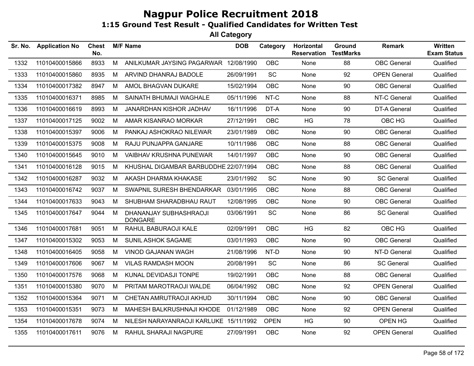| Sr. No. | <b>Application No</b> | <b>Chest</b><br>No. |   | <b>M/F Name</b>                          | <b>DOB</b> | Category    | Horizontal<br><b>Reservation</b> | Ground<br><b>TestMarks</b> | <b>Remark</b>       | Written<br><b>Exam Status</b> |
|---------|-----------------------|---------------------|---|------------------------------------------|------------|-------------|----------------------------------|----------------------------|---------------------|-------------------------------|
| 1332    | 11010400015866        | 8933                | M | ANILKUMAR JAYSING PAGARWAR 12/08/1990    |            | <b>OBC</b>  | None                             | 88                         | <b>OBC</b> General  | Qualified                     |
| 1333    | 11010400015860        | 8935                | M | ARVIND DHANRAJ BADOLE                    | 26/09/1991 | SC          | None                             | 92                         | <b>OPEN General</b> | Qualified                     |
| 1334    | 11010400017382        | 8947                | M | AMOL BHAGVAN DUKARE                      | 15/02/1994 | <b>OBC</b>  | None                             | 90                         | <b>OBC</b> General  | Qualified                     |
| 1335    | 11010400016371        | 8985                | M | SAINATH BHUMAJI WAGHALE                  | 05/11/1996 | NT-C        | None                             | 88                         | NT-C General        | Qualified                     |
| 1336    | 11010400016619        | 8993                | M | JANARDHAN KISHOR JADHAV                  | 16/11/1996 | DT-A        | None                             | 90                         | <b>DT-A General</b> | Qualified                     |
| 1337    | 11010400017125        | 9002                | M | AMAR KISANRAO MORKAR                     | 27/12/1991 | <b>OBC</b>  | <b>HG</b>                        | 78                         | OBC HG              | Qualified                     |
| 1338    | 11010400015397        | 9006                | M | PANKAJ ASHOKRAO NILEWAR                  | 23/01/1989 | <b>OBC</b>  | None                             | 90                         | <b>OBC</b> General  | Qualified                     |
| 1339    | 11010400015375        | 9008                | M | RAJU PUNJAPPA GANJARE                    | 10/11/1986 | <b>OBC</b>  | None                             | 88                         | <b>OBC</b> General  | Qualified                     |
| 1340    | 11010400015645        | 9010                | M | <b>VAIBHAV KRUSHNA PUNEWAR</b>           | 14/01/1997 | <b>OBC</b>  | None                             | 90                         | <b>OBC</b> General  | Qualified                     |
| 1341    | 11010400016128        | 9015                | М | KHUSHAL DIGAMBAR BARBUDDHE 22/07/1994    |            | <b>OBC</b>  | None                             | 88                         | <b>OBC</b> General  | Qualified                     |
| 1342    | 11010400016287        | 9032                | М | AKASH DHARMA KHAKASE                     | 23/01/1992 | SC          | None                             | 90                         | <b>SC General</b>   | Qualified                     |
| 1343    | 11010400016742        | 9037                | M | SWAPNIL SURESH BHENDARKAR                | 03/01/1995 | <b>OBC</b>  | None                             | 88                         | <b>OBC</b> General  | Qualified                     |
| 1344    | 11010400017633        | 9043                | M | SHUBHAM SHARADBHAU RAUT                  | 12/08/1995 | <b>OBC</b>  | None                             | 90                         | <b>OBC</b> General  | Qualified                     |
| 1345    | 11010400017647        | 9044                | M | DHANANJAY SUBHASHRAOJI<br><b>DONGARE</b> | 03/06/1991 | SC          | None                             | 86                         | <b>SC General</b>   | Qualified                     |
| 1346    | 11010400017681        | 9051                | M | RAHUL BABURAOJI KALE                     | 02/09/1991 | <b>OBC</b>  | HG                               | 82                         | OBC HG              | Qualified                     |
| 1347    | 11010400015302        | 9053                | M | <b>SUNIL ASHOK SAGAME</b>                | 03/01/1993 | <b>OBC</b>  | None                             | 90                         | <b>OBC</b> General  | Qualified                     |
| 1348    | 11010400016405        | 9058                | M | <b>VINOD GAJANAN WAGH</b>                | 21/08/1996 | NT-D        | None                             | 90                         | NT-D General        | Qualified                     |
| 1349    | 11010400017606        | 9067                | M | <b>VILAS RAMDASH MOON</b>                | 20/08/1991 | <b>SC</b>   | None                             | 86                         | <b>SC General</b>   | Qualified                     |
| 1350    | 11010400017576        | 9068                | M | KUNAL DEVIDASJI TONPE                    | 19/02/1991 | <b>OBC</b>  | None                             | 88                         | <b>OBC</b> General  | Qualified                     |
| 1351    | 11010400015380        | 9070                | M | PRITAM MAROTRAOJI WALDE                  | 06/04/1992 | <b>OBC</b>  | None                             | 92                         | <b>OPEN General</b> | Qualified                     |
| 1352    | 11010400015364        | 9071                | М | CHETAN AMRUTRAOJI AKHUD                  | 30/11/1994 | <b>OBC</b>  | None                             | 90                         | <b>OBC</b> General  | Qualified                     |
| 1353    | 11010400015351        | 9073                | М | MAHESH BALKRUSHNAJI KHODE                | 01/12/1989 | <b>OBC</b>  | None                             | 92                         | <b>OPEN General</b> | Qualified                     |
| 1354    | 11010400017678        | 9074                | М | NILESH NARAYANRAOJI KARLUKE 15/11/1992   |            | <b>OPEN</b> | HG                               | 90                         | OPEN HG             | Qualified                     |
| 1355    | 11010400017611        | 9076                | M | RAHUL SHARAJI NAGPURE                    | 27/09/1991 | <b>OBC</b>  | None                             | 92                         | <b>OPEN General</b> | Qualified                     |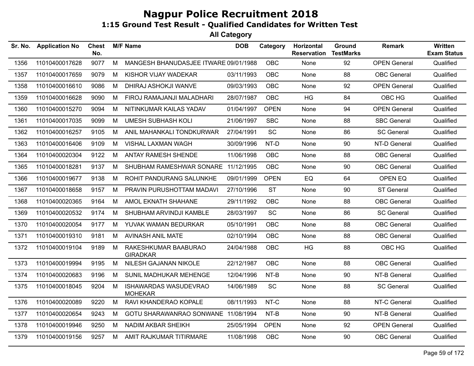| Sr. No. | <b>Application No</b> | <b>Chest</b><br>No. |   | <b>M/F Name</b>                         | <b>DOB</b> | Category    | Horizontal<br><b>Reservation</b> | Ground<br><b>TestMarks</b> | <b>Remark</b>       | Written<br><b>Exam Status</b> |
|---------|-----------------------|---------------------|---|-----------------------------------------|------------|-------------|----------------------------------|----------------------------|---------------------|-------------------------------|
| 1356    | 11010400017628        | 9077                | M | MANGESH BHANUDASJEE ITWARE 09/01/1988   |            | OBC         | None                             | 92                         | <b>OPEN General</b> | Qualified                     |
| 1357    | 11010400017659        | 9079                | M | KISHOR VIJAY WADEKAR                    | 03/11/1993 | OBC         | None                             | 88                         | <b>OBC</b> General  | Qualified                     |
| 1358    | 11010400016610        | 9086                | M | DHIRAJ ASHOKJI WANVE                    | 09/03/1993 | <b>OBC</b>  | None                             | 92                         | <b>OPEN General</b> | Qualified                     |
| 1359    | 11010400016628        | 9090                | М | FIROJ RAMAJANJI MALADHARI               | 28/07/1987 | <b>OBC</b>  | HG                               | 84                         | OBC HG              | Qualified                     |
| 1360    | 11010400015270        | 9094                | M | NITINKUMAR KAILAS YADAV                 | 01/04/1997 | <b>OPEN</b> | None                             | 94                         | <b>OPEN General</b> | Qualified                     |
| 1361    | 11010400017035        | 9099                | М | <b>UMESH SUBHASH KOLI</b>               | 21/06/1997 | <b>SBC</b>  | None                             | 88                         | <b>SBC General</b>  | Qualified                     |
| 1362    | 11010400016257        | 9105                | M | ANIL MAHANKALI TONDKURWAR               | 27/04/1991 | SC          | None                             | 86                         | <b>SC General</b>   | Qualified                     |
| 1363    | 11010400016406        | 9109                | M | VISHAL LAXMAN WAGH                      | 30/09/1996 | NT-D        | None                             | 90                         | NT-D General        | Qualified                     |
| 1364    | 11010400020304        | 9122                | М | ANTAY RAMESH SHENDE                     | 11/06/1998 | OBC         | None                             | 88                         | <b>OBC</b> General  | Qualified                     |
| 1365    | 11010400018281        | 9137                | M | SHUBHAM RAMESHWAR SONARE 11/12/1995     |            | OBC         | None                             | 90                         | <b>OBC</b> General  | Qualified                     |
| 1366    | 11010400019677        | 9138                | M | ROHIT PANDURANG SALUNKHE                | 09/01/1999 | <b>OPEN</b> | EQ                               | 64                         | OPEN EQ             | Qualified                     |
| 1367    | 11010400018658        | 9157                | М | PRAVIN PURUSHOTTAM MADAVI               | 27/10/1996 | <b>ST</b>   | None                             | 90                         | <b>ST General</b>   | Qualified                     |
| 1368    | 11010400020365        | 9164                | M | AMOL EKNATH SHAHANE                     | 29/11/1992 | OBC         | None                             | 88                         | <b>OBC</b> General  | Qualified                     |
| 1369    | 11010400020532        | 9174                | M | SHUBHAM ARVINDJI KAMBLE                 | 28/03/1997 | SC          | None                             | 86                         | <b>SC General</b>   | Qualified                     |
| 1370    | 11010400020054        | 9177                | M | YUVAK WAMAN BEDURKAR                    | 05/10/1991 | <b>OBC</b>  | None                             | 88                         | <b>OBC</b> General  | Qualified                     |
| 1371    | 11010400019310        | 9181                | М | AVINASH ANIL MATE                       | 02/10/1994 | OBC         | None                             | 88                         | <b>OBC</b> General  | Qualified                     |
| 1372    | 11010400019104        | 9189                | M | RAKESHKUMAR BAABURAO<br><b>GIRADKAR</b> | 24/04/1988 | <b>OBC</b>  | HG                               | 88                         | OBC HG              | Qualified                     |
| 1373    | 11010400019994        | 9195                | M | NILESH GAJANAN NIKOLE                   | 22/12/1987 | <b>OBC</b>  | None                             | 88                         | <b>OBC</b> General  | Qualified                     |
| 1374    | 11010400020683        | 9196                | М | SUNIL MADHUKAR MEHENGE                  | 12/04/1996 | NT-B        | None                             | 90                         | NT-B General        | Qualified                     |
| 1375    | 11010400018045        | 9204                | M | ISHAWARDAS WASUDEVRAO<br><b>MOHEKAR</b> | 14/06/1989 | SC          | None                             | 88                         | <b>SC General</b>   | Qualified                     |
| 1376    | 11010400020089        | 9220                | M | RAVI KHANDERAO KOPALE                   | 08/11/1993 | NT-C        | None                             | 88                         | NT-C General        | Qualified                     |
| 1377    | 11010400020654        | 9243                | М | GOTU SHARAWANRAO SONWANE 11/08/1994     |            | NT-B        | None                             | 90                         | NT-B General        | Qualified                     |
| 1378    | 11010400019946        | 9250                | М | <b>NADIM AKBAR SHEIKH</b>               | 25/05/1994 | <b>OPEN</b> | None                             | 92                         | <b>OPEN General</b> | Qualified                     |
| 1379    | 11010400019156        | 9257                | M | AMIT RAJKUMAR TITIRMARE                 | 11/08/1998 | <b>OBC</b>  | None                             | 90                         | <b>OBC</b> General  | Qualified                     |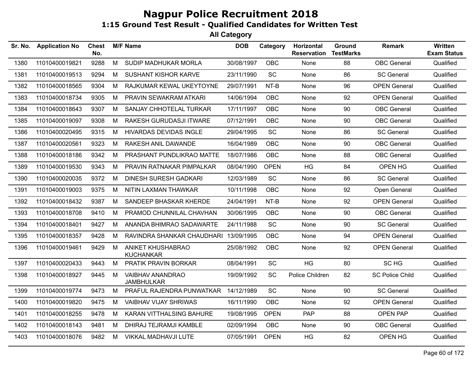| Sr. No. | <b>Application No</b> | <b>Chest</b><br>No. |   | <b>M/F Name</b>                              | <b>DOB</b> | Category    | Horizontal<br><b>Reservation</b> | Ground<br><b>TestMarks</b> | <b>Remark</b>          | Written<br><b>Exam Status</b> |
|---------|-----------------------|---------------------|---|----------------------------------------------|------------|-------------|----------------------------------|----------------------------|------------------------|-------------------------------|
| 1380    | 11010400019821        | 9288                | M | SUDIP MADHUKAR MORLA                         | 30/08/1997 | OBC         | None                             | 88                         | <b>OBC</b> General     | Qualified                     |
| 1381    | 11010400019513        | 9294                | M | <b>SUSHANT KISHOR KARVE</b>                  | 23/11/1990 | SC          | None                             | 86                         | <b>SC General</b>      | Qualified                     |
| 1382    | 11010400018565        | 9304                | M | RAJKUMAR KEWAL UKEYTOYNE                     | 29/07/1991 | NT-B        | None                             | 96                         | <b>OPEN General</b>    | Qualified                     |
| 1383    | 11010400018734        | 9305                | M | PRAVIN SEWAKRAM ATKARI                       | 14/06/1994 | OBC         | None                             | 92                         | <b>OPEN General</b>    | Qualified                     |
| 1384    | 11010400018643        | 9307                | M | SANJAY CHHOTELAL TURKAR                      | 17/11/1997 | OBC         | None                             | 90                         | <b>OBC</b> General     | Qualified                     |
| 1385    | 11010400019097        | 9308                | M | RAKESH GURUDASJI ITWARE                      | 07/12/1991 | OBC         | None                             | 90                         | <b>OBC</b> General     | Qualified                     |
| 1386    | 11010400020495        | 9315                | M | <b>HIVARDAS DEVIDAS INGLE</b>                | 29/04/1995 | SC          | None                             | 86                         | <b>SC General</b>      | Qualified                     |
| 1387    | 11010400020561        | 9323                | M | RAKESH ANIL DAWANDE                          | 16/04/1989 | OBC         | None                             | 90                         | <b>OBC</b> General     | Qualified                     |
| 1388    | 11010400018186        | 9342                | M | PRASHANT PUNDLIKRAO MATTE                    | 18/07/1986 | <b>OBC</b>  | None                             | 88                         | <b>OBC</b> General     | Qualified                     |
| 1389    | 11010400019530        | 9343                | M | PRAVIN RATNAKAR PIMPALKAR                    | 08/04/1990 | <b>OPEN</b> | HG                               | 84                         | OPEN HG                | Qualified                     |
| 1390    | 11010400020035        | 9372                | M | <b>DINESH SURESH GADKARI</b>                 | 12/03/1989 | SC          | None                             | 86                         | <b>SC General</b>      | Qualified                     |
| 1391    | 11010400019003        | 9375                | M | NITIN LAXMAN THAWKAR                         | 10/11/1998 | <b>OBC</b>  | None                             | 92                         | Open General           | Qualified                     |
| 1392    | 11010400018432        | 9387                | M | SANDEEP BHASKAR KHERDE                       | 24/04/1991 | NT-B        | None                             | 92                         | <b>OPEN General</b>    | Qualified                     |
| 1393    | 11010400018708        | 9410                | M | PRAMOD CHUNNILAL CHAVHAN                     | 30/06/1995 | <b>OBC</b>  | None                             | 90                         | <b>OBC</b> General     | Qualified                     |
| 1394    | 11010400018401        | 9427                | M | ANANDA BHIMRAO SADAWARTE                     | 24/11/1988 | SC          | None                             | 90                         | SC General             | Qualified                     |
| 1395    | 11010400018357        | 9428                | M | RAVINDRA SHANKAR CHAUDHARI 13/09/1995        |            | <b>OBC</b>  | None                             | 94                         | <b>OPEN General</b>    | Qualified                     |
| 1396    | 11010400019461        | 9429                | M | ANIKET KHUSHABRAO<br><b>KUCHANKAR</b>        | 25/08/1992 | OBC         | None                             | 92                         | <b>OPEN General</b>    | Qualified                     |
| 1397    | 11010400020433        | 9443                | M | PRATIK PRAVIN BORKAR                         | 08/04/1991 | SC          | <b>HG</b>                        | 80                         | SC <sub>HG</sub>       | Qualified                     |
| 1398    | 11010400018927        | 9445                | M | <b>VAIBHAV ANANDRAO</b><br><b>JAMBHULKAR</b> | 19/09/1992 | <b>SC</b>   | Police Children                  | 82                         | <b>SC Police Child</b> | Qualified                     |
| 1399    | 11010400019774        | 9473                | M | PRAFUL RAJENDRA PUNWATKAR                    | 14/12/1989 | SC          | None                             | 90                         | <b>SC General</b>      | Qualified                     |
| 1400    | 11010400019820        | 9475                | M | <b>VAIBHAV VIJAY SHRIWAS</b>                 | 16/11/1990 | OBC         | None                             | 92                         | <b>OPEN General</b>    | Qualified                     |
| 1401    | 11010400018255        | 9478                | M | KARAN VITTHALSING BAHURE                     | 19/08/1995 | <b>OPEN</b> | <b>PAP</b>                       | 88                         | <b>OPEN PAP</b>        | Qualified                     |
| 1402    | 11010400018143        | 9481                | M | DHIRAJ TEJRAMJI KAMBLE                       | 02/09/1994 | OBC         | None                             | 90                         | <b>OBC</b> General     | Qualified                     |
| 1403    | 11010400018076        | 9482                | M | VIKKAL MADHAVJI LUTE                         | 07/05/1991 | <b>OPEN</b> | HG                               | 82                         | OPEN HG                | Qualified                     |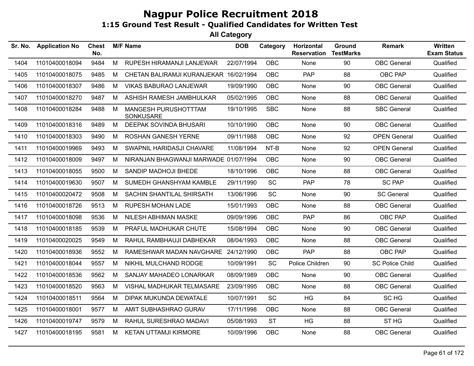| Sr. No. | <b>Application No</b> | <b>Chest</b><br>No. |   | <b>M/F Name</b>                        | <b>DOB</b> | Category   | Horizontal<br><b>Reservation</b> | Ground<br><b>TestMarks</b> | Remark                 | Written<br><b>Exam Status</b> |
|---------|-----------------------|---------------------|---|----------------------------------------|------------|------------|----------------------------------|----------------------------|------------------------|-------------------------------|
| 1404    | 11010400018094        | 9484                | M | RUPESH HIRAMANJI LANJEWAR              | 22/07/1994 | <b>OBC</b> | None                             | 90                         | <b>OBC</b> General     | Qualified                     |
| 1405    | 11010400018075        | 9485                | М | CHETAN BALIRAMJI KURANJEKAR 16/02/1994 |            | <b>OBC</b> | PAP                              | 88                         | OBC PAP                | Qualified                     |
| 1406    | 11010400018307        | 9486                | М | <b>VIKAS BABURAO LANJEWAR</b>          | 19/09/1990 | <b>OBC</b> | None                             | 90                         | <b>OBC</b> General     | Qualified                     |
| 1407    | 11010400018270        | 9487                | M | ASHISH RAMESH JAMBHULKAR               | 05/02/1995 | <b>OBC</b> | None                             | 88                         | <b>OBC</b> General     | Qualified                     |
| 1408    | 11010400018284        | 9488                | M | MANGESH PURUSHOTTTAM<br>SONKUSARE      | 19/10/1995 | <b>SBC</b> | None                             | 88                         | <b>SBC General</b>     | Qualified                     |
| 1409    | 11010400018316        | 9489                | M | <b>DEEPAK SOVINDA BHUSARI</b>          | 10/10/1990 | <b>OBC</b> | None                             | 90                         | <b>OBC</b> General     | Qualified                     |
| 1410    | 11010400018303        | 9490                | М | <b>ROSHAN GANESH YERNE</b>             | 09/11/1988 | <b>OBC</b> | None                             | 92                         | <b>OPEN General</b>    | Qualified                     |
| 1411    | 11010400019969        | 9493                | М | SWAPNIL HARIDASJI CHAVARE              | 11/08/1994 | NT-B       | None                             | 92                         | <b>OPEN General</b>    | Qualified                     |
| 1412    | 11010400018009        | 9497                | м | NIRANJAN BHAGWANJI MARWADE 01/07/1994  |            | <b>OBC</b> | None                             | 90                         | <b>OBC</b> General     | Qualified                     |
| 1413    | 11010400018055        | 9500                | M | SANDIP MADHOJI BHEDE                   | 18/10/1996 | <b>OBC</b> | None                             | 88                         | <b>OBC</b> General     | Qualified                     |
| 1414    | 11010400019630        | 9507                | M | SUMEDH GHANSHYAM KAMBLE                | 29/11/1990 | SC         | <b>PAP</b>                       | 78                         | <b>SC PAP</b>          | Qualified                     |
| 1415    | 11010400020472        | 9508                | M | SACHIN SHANTILAL SHIRSATH              | 13/06/1996 | SC         | None                             | 90                         | <b>SC General</b>      | Qualified                     |
| 1416    | 11010400018726        | 9513                | М | <b>RUPESH MOHAN LADE</b>               | 15/01/1993 | <b>OBC</b> | None                             | 88                         | <b>OBC</b> General     | Qualified                     |
| 1417    | 11010400018098        | 9536                | М | NILESH ABHIMAN MASKE                   | 09/09/1996 | <b>OBC</b> | <b>PAP</b>                       | 86                         | OBC PAP                | Qualified                     |
| 1418    | 11010400018185        | 9539                | M | PRAFUL MADHUKAR CHUTE                  | 15/08/1994 | <b>OBC</b> | None                             | 90                         | <b>OBC</b> General     | Qualified                     |
| 1419    | 11010400020025        | 9549                | M | RAHUL RAMBHAUJI DABHEKAR               | 08/04/1993 | <b>OBC</b> | None                             | 88                         | <b>OBC</b> General     | Qualified                     |
| 1420    | 11010400018936        | 9552                | М | RAMESHWAR MADAN NAVGHARE 24/12/1990    |            | <b>OBC</b> | <b>PAP</b>                       | 88                         | OBC PAP                | Qualified                     |
| 1421    | 11010400018044        | 9557                | М | NIKHIL MULCHAND RODGE                  | 10/09/1991 | SC         | Police Children                  | 90                         | <b>SC Police Child</b> | Qualified                     |
| 1422    | 11010400018536        | 9562                | М | SANJAY MAHADEO LONARKAR                | 08/09/1989 | <b>OBC</b> | None                             | 90                         | <b>OBC</b> General     | Qualified                     |
| 1423    | 11010400018520        | 9563                | M | VISHAL MADHUKAR TELMASARE              | 23/09/1995 | OBC        | None                             | 88                         | <b>OBC</b> General     | Qualified                     |
| 1424    | 11010400018511        | 9564                | M | DIPAK MUKUNDA DEWATALE                 | 10/07/1991 | SC         | HG                               | 84                         | SC HG                  | Qualified                     |
| 1425    | 11010400018001        | 9577                | M | AMIT SUBHASHRAO GURAV                  | 17/11/1998 | <b>OBC</b> | None                             | 88                         | <b>OBC</b> General     | Qualified                     |
| 1426    | 11010400019747        | 9579                | M | RAHUL SURESHRAO MADAVI                 | 05/08/1993 | <b>ST</b>  | HG                               | 88                         | ST <sub>HG</sub>       | Qualified                     |
| 1427    | 11010400018195        | 9581                | М | <b>KETAN UTTAMJI KIRMORE</b>           | 10/09/1996 | OBC        | None                             | 88                         | <b>OBC</b> General     | Qualified                     |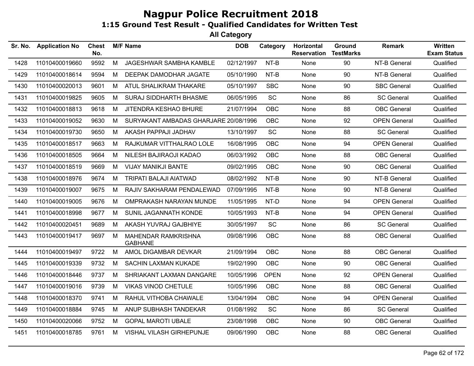| Sr. No. | <b>Application No</b> | <b>Chest</b><br>No. |   | <b>M/F Name</b>                       | <b>DOB</b> | Category    | Horizontal<br><b>Reservation</b> | Ground<br><b>TestMarks</b> | <b>Remark</b>       | <b>Written</b><br><b>Exam Status</b> |
|---------|-----------------------|---------------------|---|---------------------------------------|------------|-------------|----------------------------------|----------------------------|---------------------|--------------------------------------|
| 1428    | 11010400019660        | 9592                | M | JAGESHWAR SAMBHA KAMBLE               | 02/12/1997 | NT-B        | None                             | 90                         | NT-B General        | Qualified                            |
| 1429    | 11010400018614        | 9594                | M | DEEPAK DAMODHAR JAGATE                | 05/10/1990 | NT-B        | None                             | 90                         | NT-B General        | Qualified                            |
| 1430    | 11010400020013        | 9601                | M | ATUL SHALIKRAM THAKARE                | 05/10/1997 | <b>SBC</b>  | None                             | 90                         | <b>SBC General</b>  | Qualified                            |
| 1431    | 11010400019825        | 9605                | M | <b>SURAJ SIDDHARTH BHASME</b>         | 06/05/1995 | <b>SC</b>   | None                             | 86                         | <b>SC General</b>   | Qualified                            |
| 1432    | 11010400018813        | 9618                | M | JITENDRA KESHAO BHURE                 | 21/07/1994 | <b>OBC</b>  | None                             | 88                         | <b>OBC</b> General  | Qualified                            |
| 1433    | 11010400019052        | 9630                | M | SURYAKANT AMBADAS GHARJARE 20/08/1996 |            | OBC         | None                             | 92                         | <b>OPEN General</b> | Qualified                            |
| 1434    | 11010400019730        | 9650                | M | AKASH PAPPAJI JADHAV                  | 13/10/1997 | SC          | None                             | 88                         | <b>SC General</b>   | Qualified                            |
| 1435    | 11010400018517        | 9663                | M | RAJKUMAR VITTHALRAO LOLE              | 16/08/1995 | OBC         | None                             | 94                         | <b>OPEN General</b> | Qualified                            |
| 1436    | 11010400018505        | 9664                | M | NILESH BAJIRAOJI KADAO                | 06/03/1992 | OBC         | None                             | 88                         | <b>OBC</b> General  | Qualified                            |
| 1437    | 11010400018519        | 9669                | M | VIJAY MANIKJI BANTE                   | 09/02/1995 | <b>OBC</b>  | None                             | 90                         | <b>OBC</b> General  | Qualified                            |
| 1438    | 11010400018976        | 9674                | M | TRIPATI BALAJI AIATWAD                | 08/02/1992 | NT-B        | None                             | 90                         | NT-B General        | Qualified                            |
| 1439    | 11010400019007        | 9675                | M | RAJIV SAKHARAM PENDALEWAD             | 07/09/1995 | NT-B        | None                             | 90                         | NT-B General        | Qualified                            |
| 1440    | 11010400019005        | 9676                | M | OMPRAKASH NARAYAN MUNDE               | 11/05/1995 | NT-D        | None                             | 94                         | <b>OPEN General</b> | Qualified                            |
| 1441    | 11010400018998        | 9677                | M | SUNIL JAGANNATH KONDE                 | 10/05/1993 | NT-B        | None                             | 94                         | <b>OPEN General</b> | Qualified                            |
| 1442    | 11010400020451        | 9689                | M | AKASH YUVRAJ GAJBHIYE                 | 30/05/1997 | SC          | None                             | 86                         | <b>SC General</b>   | Qualified                            |
| 1443    | 11010400019417        | 9697                | M | MAHENDAR RAMKRISHNA<br><b>GABHANE</b> | 09/08/1996 | OBC         | None                             | 88                         | <b>OBC</b> General  | Qualified                            |
| 1444    | 11010400019497        | 9722                | M | AMOL DIGAMBAR DEVKAR                  | 21/09/1994 | OBC         | None                             | 88                         | <b>OBC</b> General  | Qualified                            |
| 1445    | 11010400019339        | 9732                | M | <b>SACHIN LAXMAN KUKADE</b>           | 19/02/1990 | OBC         | None                             | 90                         | <b>OBC</b> General  | Qualified                            |
| 1446    | 11010400018446        | 9737                | M | SHRIAKANT LAXMAN DANGARE              | 10/05/1996 | <b>OPEN</b> | None                             | 92                         | <b>OPEN General</b> | Qualified                            |
| 1447    | 11010400019016        | 9739                | M | <b>VIKAS VINOD CHETULE</b>            | 10/05/1996 | <b>OBC</b>  | None                             | 88                         | <b>OBC</b> General  | Qualified                            |
| 1448    | 11010400018370        | 9741                | M | RAHUL VITHOBA CHAWALE                 | 13/04/1994 | <b>OBC</b>  | None                             | 94                         | <b>OPEN General</b> | Qualified                            |
| 1449    | 11010400018884        | 9745                | M | ANUP SUBHASH TANDEKAR                 | 01/08/1992 | SC          | None                             | 86                         | <b>SC General</b>   | Qualified                            |
| 1450    | 11010400020066        | 9752                | M | <b>GOPAL MAROTI UBALE</b>             | 23/08/1998 | OBC         | None                             | 90                         | <b>OBC</b> General  | Qualified                            |
| 1451    | 11010400018785        | 9761                | M | <b>VISHAL VILASH GIRHEPUNJE</b>       | 09/06/1990 | OBC         | None                             | 88                         | <b>OBC</b> General  | Qualified                            |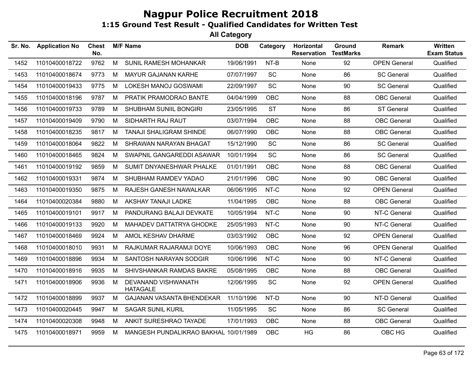| Sr. No. | <b>Application No</b> | <b>Chest</b><br>No. |   | <b>M/F Name</b>                        | <b>DOB</b> | Category   | Horizontal<br><b>Reservation</b> | Ground<br><b>TestMarks</b> | <b>Remark</b>       | Written<br><b>Exam Status</b> |
|---------|-----------------------|---------------------|---|----------------------------------------|------------|------------|----------------------------------|----------------------------|---------------------|-------------------------------|
| 1452    | 11010400018722        | 9762                | M | SUNIL RAMESH MOHANKAR                  | 19/06/1991 | NT-B       | None                             | 92                         | <b>OPEN General</b> | Qualified                     |
| 1453    | 11010400018674        | 9773                | М | <b>MAYUR GAJANAN KARHE</b>             | 07/07/1997 | SC         | None                             | 86                         | <b>SC General</b>   | Qualified                     |
| 1454    | 11010400019433        | 9775                | M | <b>LOKESH MANOJ GOSWAMI</b>            | 22/09/1997 | SC         | None                             | 90                         | <b>SC General</b>   | Qualified                     |
| 1455    | 11010400018196        | 9787                | M | PRATIK PRAMODRAO BANTE                 | 04/04/1999 | OBC        | None                             | 88                         | <b>OBC</b> General  | Qualified                     |
| 1456    | 11010400019733        | 9789                | M | SHUBHAM SUNIIL BONGIRI                 | 23/05/1995 | <b>ST</b>  | None                             | 86                         | <b>ST General</b>   | Qualified                     |
| 1457    | 11010400019409        | 9790                | M | SIDHARTH RAJ RAUT                      | 03/07/1994 | OBC        | None                             | 88                         | <b>OBC</b> General  | Qualified                     |
| 1458    | 11010400018235        | 9817                | М | <b>TANAJI SHALIGRAM SHINDE</b>         | 06/07/1990 | OBC        | None                             | 88                         | <b>OBC</b> General  | Qualified                     |
| 1459    | 11010400018064        | 9822                | М | SHRAWAN NARAYAN BHAGAT                 | 15/12/1990 | SC         | None                             | 86                         | <b>SC General</b>   | Qualified                     |
| 1460    | 11010400018465        | 9824                | M | SWAPNIL GANGAREDDI ASAWAR              | 10/01/1994 | SC         | None                             | 86                         | <b>SC General</b>   | Qualified                     |
| 1461    | 11010400019192        | 9859                | М | SUMIT DNYANESHWAR PHALKE               | 01/01/1991 | OBC        | None                             | 88                         | <b>OBC</b> General  | Qualified                     |
| 1462    | 11010400019331        | 9874                | M | SHUBHAM RAMDEV YADAO                   | 21/01/1996 | <b>OBC</b> | None                             | 90                         | <b>OBC</b> General  | Qualified                     |
| 1463    | 11010400019350        | 9875                | М | RAJESH GANESH NAWALKAR                 | 06/06/1995 | NT-C       | None                             | 92                         | <b>OPEN General</b> | Qualified                     |
| 1464    | 11010400020384        | 9880                | M | AKSHAY TANAJI LADKE                    | 11/04/1995 | <b>OBC</b> | None                             | 88                         | <b>OBC</b> General  | Qualified                     |
| 1465    | 11010400019101        | 9917                | M | PANDURANG BALAJI DEVKATE               | 10/05/1994 | NT-C       | None                             | 90                         | NT-C General        | Qualified                     |
| 1466    | 11010400019133        | 9920                | М | MAHADEV DATTATRYA GHODKE               | 25/05/1993 | NT-C       | None                             | 90                         | NT-C General        | Qualified                     |
| 1467    | 11010400018469        | 9924                | M | AMOL KESHAV DHARME                     | 03/03/1992 | <b>OBC</b> | None                             | 92                         | <b>OPEN General</b> | Qualified                     |
| 1468    | 11010400018010        | 9931                | М | RAJKUMAR RAJARAMJI DOYE                | 10/06/1993 | <b>OBC</b> | None                             | 96                         | <b>OPEN General</b> | Qualified                     |
| 1469    | 11010400018896        | 9934                | M | SANTOSH NARAYAN SODGIR                 | 10/06/1996 | NT-C       | None                             | 90                         | NT-C General        | Qualified                     |
| 1470    | 11010400018916        | 9935                | М | SHIVSHANKAR RAMDAS BAKRE               | 05/08/1995 | <b>OBC</b> | None                             | 88                         | <b>OBC</b> General  | Qualified                     |
| 1471    | 11010400018906        | 9936                | M | DEVANAND VISHWANATH<br><b>HATAGALE</b> | 12/06/1995 | SC         | None                             | 92                         | <b>OPEN General</b> | Qualified                     |
| 1472    | 11010400018899        | 9937                | M | GAJANAN VASANTA BHENDEKAR              | 11/10/1996 | NT-D       | None                             | 90                         | NT-D General        | Qualified                     |
| 1473    | 11010400020445        | 9947                | M | <b>SAGAR SUNIL KURIL</b>               | 11/05/1995 | SC         | None                             | 86                         | <b>SC General</b>   | Qualified                     |
| 1474    | 11010400020308        | 9948                | M | ANKIT SURESHRAO TAYADE                 | 17/01/1993 | <b>OBC</b> | None                             | 88                         | <b>OBC</b> General  | Qualified                     |
| 1475    | 11010400018971        | 9959                | M | MANGESH PUNDALIKRAO BAKHAL 10/01/1989  |            | <b>OBC</b> | HG                               | 86                         | OBC HG              | Qualified                     |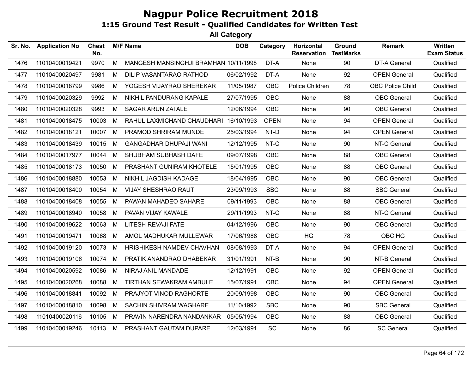| Sr. No. | <b>Application No</b> | <b>Chest</b><br>No. |   | <b>M/F Name</b>                       | <b>DOB</b> | Category    | Horizontal<br><b>Reservation</b> | Ground<br><b>TestMarks</b> | <b>Remark</b>           | <b>Written</b><br><b>Exam Status</b> |
|---------|-----------------------|---------------------|---|---------------------------------------|------------|-------------|----------------------------------|----------------------------|-------------------------|--------------------------------------|
| 1476    | 11010400019421        | 9970                | M | MANGESH MANSINGHJI BRAMHAN 10/11/1998 |            | DT-A        | None                             | 90                         | <b>DT-A General</b>     | Qualified                            |
| 1477    | 11010400020497        | 9981                | М | DILIP VASANTARAO RATHOD               | 06/02/1992 | DT-A        | None                             | 92                         | <b>OPEN General</b>     | Qualified                            |
| 1478    | 11010400018799        | 9986                | M | YOGESH VIJAYRAO SHEREKAR              | 11/05/1987 | OBC         | Police Children                  | 78                         | <b>OBC Police Child</b> | Qualified                            |
| 1479    | 11010400020329        | 9992                | M | NIKHIL PANDURANG KAPALE               | 27/07/1995 | <b>OBC</b>  | None                             | 88                         | <b>OBC</b> General      | Qualified                            |
| 1480    | 11010400020328        | 9993                | M | <b>SAGAR ARUN ZATALE</b>              | 12/06/1994 | OBC         | None                             | 90                         | <b>OBC</b> General      | Qualified                            |
| 1481    | 11010400018475        | 10003               | М | RAHUL LAXMICHAND CHAUDHARI            | 16/10/1993 | <b>OPEN</b> | None                             | 94                         | <b>OPEN General</b>     | Qualified                            |
| 1482    | 11010400018121        | 10007               | М | PRAMOD SHRIRAM MUNDE                  | 25/03/1994 | NT-D        | None                             | 94                         | <b>OPEN General</b>     | Qualified                            |
| 1483    | 11010400018439        | 10015               | M | <b>GANGADHAR DHUPAJI WANI</b>         | 12/12/1995 | NT-C        | None                             | 90                         | NT-C General            | Qualified                            |
| 1484    | 11010400017977        | 10044               | М | SHUBHAM SUBHASH DAFE                  | 09/07/1998 | OBC         | None                             | 88                         | <b>OBC</b> General      | Qualified                            |
| 1485    | 11010400018173        | 10050               | M | PRASHANT GUNIRAM KHOTELE              | 15/01/1995 | <b>OBC</b>  | None                             | 88                         | <b>OBC</b> General      | Qualified                            |
| 1486    | 11010400018880        | 10053               | M | NIKHIL JAGDISH KADAGE                 | 18/04/1995 | <b>OBC</b>  | None                             | 90                         | <b>OBC</b> General      | Qualified                            |
| 1487    | 11010400018400        | 10054               | M | <b>VIJAY SHESHRAO RAUT</b>            | 23/09/1993 | <b>SBC</b>  | None                             | 88                         | <b>SBC General</b>      | Qualified                            |
| 1488    | 11010400018408        | 10055               | M | PAWAN MAHADEO SAHARE                  | 09/11/1993 | OBC         | None                             | 88                         | <b>OBC</b> General      | Qualified                            |
| 1489    | 11010400018940        | 10058               | М | PAVAN VIJAY KAWALE                    | 29/11/1993 | NT-C        | None                             | 88                         | NT-C General            | Qualified                            |
| 1490    | 11010400019622        | 10063               | М | LITESH REVAJI FATE                    | 04/12/1996 | <b>OBC</b>  | None                             | 90                         | <b>OBC</b> General      | Qualified                            |
| 1491    | 11010400019471        | 10068               | M | AMOL MADHUKAR MULLEWAR                | 17/06/1988 | <b>OBC</b>  | HG                               | 78                         | OBC HG                  | Qualified                            |
| 1492    | 11010400019120        | 10073               | M | HRISHIKESH NAMDEV CHAVHAN             | 08/08/1993 | DT-A        | None                             | 94                         | <b>OPEN General</b>     | Qualified                            |
| 1493    | 11010400019106        | 10074               | М | PRATIK ANANDRAO DHABEKAR              | 31/01/1991 | NT-B        | None                             | 90                         | NT-B General            | Qualified                            |
| 1494    | 11010400020592        | 10086               | M | NIRAJ ANIL MANDADE                    | 12/12/1991 | <b>OBC</b>  | None                             | 92                         | <b>OPEN General</b>     | Qualified                            |
| 1495    | 11010400020268        | 10088               | М | TIRTHAN SEWAKRAM AMBULE               | 15/07/1991 | OBC         | None                             | 94                         | <b>OPEN General</b>     | Qualified                            |
| 1496    | 11010400018841        | 10092               | М | PRAJYOT VINOD RAGHORTE                | 20/09/1998 | OBC         | None                             | 90                         | <b>OBC</b> General      | Qualified                            |
| 1497    | 11010400018810        | 10098               | M | SACHIN SHIVRAM WAGHARE                | 11/10/1992 | <b>SBC</b>  | None                             | 90                         | <b>SBC General</b>      | Qualified                            |
| 1498    | 11010400020116        | 10105               | М | PRAVIN NARENDRA NANDANKAR             | 05/05/1994 | <b>OBC</b>  | None                             | 88                         | <b>OBC</b> General      | Qualified                            |
| 1499    | 11010400019246        | 10113 M             |   | PRASHANT GAUTAM DUPARE                | 12/03/1991 | <b>SC</b>   | None                             | 86                         | <b>SC General</b>       | Qualified                            |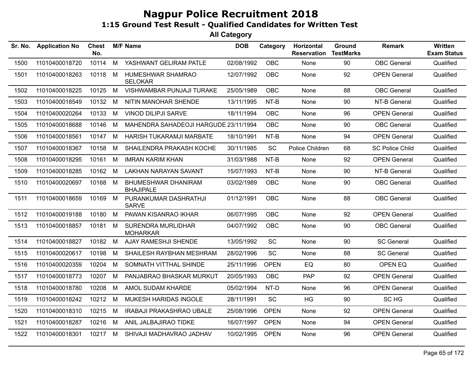| Sr. No. | <b>Application No</b> | <b>Chest</b><br>No. |   | <b>M/F Name</b>                                | <b>DOB</b> | Category    | Horizontal<br><b>Reservation</b> | Ground<br><b>TestMarks</b> | <b>Remark</b>          | Written<br><b>Exam Status</b> |
|---------|-----------------------|---------------------|---|------------------------------------------------|------------|-------------|----------------------------------|----------------------------|------------------------|-------------------------------|
| 1500    | 11010400018720        | 10114               | M | YASHWANT GELIRAM PATLE                         | 02/08/1992 | <b>OBC</b>  | None                             | 90                         | <b>OBC</b> General     | Qualified                     |
| 1501    | 11010400018263        | 10118               | M | HUMESHWAR SHAMRAO<br><b>SELOKAR</b>            | 12/07/1992 | <b>OBC</b>  | None                             | 92                         | <b>OPEN General</b>    | Qualified                     |
| 1502    | 11010400018225        | 10125               | M | VISHWAMBAR PUNJAJI TURAKE                      | 25/05/1989 | <b>OBC</b>  | None                             | 88                         | <b>OBC</b> General     | Qualified                     |
| 1503    | 11010400018549        | 10132               | M | NITIN MANOHAR SHENDE                           | 13/11/1995 | NT-B        | None                             | 90                         | NT-B General           | Qualified                     |
| 1504    | 11010400020264        | 10133               | M | <b>VINOD DILIPJI SARVE</b>                     | 18/11/1994 | <b>OBC</b>  | None                             | 96                         | <b>OPEN General</b>    | Qualified                     |
| 1505    | 11010400018688        | 10146               | M | MAHENDRA SAHADEOJI HARGUDE 23/11/1994          |            | <b>OBC</b>  | None                             | 90                         | <b>OBC</b> General     | Qualified                     |
| 1506    | 11010400018561        | 10147 M             |   | HARISH TUKARAMJI MARBATE                       | 18/10/1991 | NT-B        | None                             | 94                         | <b>OPEN General</b>    | Qualified                     |
| 1507    | 11010400018367        | 10158               | M | SHAILENDRA PRAKASH KOCHE                       | 30/11/1985 | <b>SC</b>   | Police Children                  | 68                         | <b>SC Police Child</b> | Qualified                     |
| 1508    | 11010400018295        | 10161               | M | <b>IMRAN KARIM KHAN</b>                        | 31/03/1988 | NT-B        | None                             | 92                         | <b>OPEN General</b>    | Qualified                     |
| 1509    | 11010400018285        | 10162               | M | <b>LAKHAN NARAYAN SAVANT</b>                   | 15/07/1993 | NT-B        | None                             | 90                         | NT-B General           | Qualified                     |
| 1510    | 11010400020697        | 10168 M             |   | <b>BHUMESHWAR DHANIRAM</b><br><b>BHAJIPALE</b> | 03/02/1989 | <b>OBC</b>  | None                             | 90                         | <b>OBC</b> General     | Qualified                     |
| 1511    | 11010400018659        | 10169 M             |   | PURANKUMAR DASHRATHJI<br><b>SARVE</b>          | 01/12/1991 | <b>OBC</b>  | None                             | 88                         | <b>OBC</b> General     | Qualified                     |
| 1512    | 11010400019188        | 10180               | M | PAWAN KISANRAO IKHAR                           | 06/07/1995 | <b>OBC</b>  | None                             | 92                         | <b>OPEN General</b>    | Qualified                     |
| 1513    | 11010400018857        | 10181               | M | SURENDRA MURLIDHAR<br><b>MOHARKAR</b>          | 04/07/1992 | <b>OBC</b>  | None                             | 90                         | <b>OBC</b> General     | Qualified                     |
| 1514    | 11010400018827        | 10182 M             |   | AJAY RAMESHJI SHENDE                           | 13/05/1992 | <b>SC</b>   | None                             | 90                         | <b>SC General</b>      | Qualified                     |
| 1515    | 11010400020617        | 10198               | M | SHAILESH RAYBHAN MESHRAM                       | 28/02/1996 | <b>SC</b>   | None                             | 88                         | <b>SC General</b>      | Qualified                     |
| 1516    | 11010400020359        | 10204               | M | SOMNATH VITTHAL SHINDE                         | 25/11/1996 | <b>OPEN</b> | EQ                               | 80                         | OPEN EQ                | Qualified                     |
| 1517    | 11010400018773        | 10207               | M | PANJABRAO BHASKAR MURKUT                       | 20/05/1993 | <b>OBC</b>  | PAP                              | 92                         | <b>OPEN General</b>    | Qualified                     |
| 1518    | 11010400018780        | 10208               | M | AMOL SUDAM KHARDE                              | 05/02/1994 | NT-D        | None                             | 96                         | <b>OPEN General</b>    | Qualified                     |
| 1519    | 11010400018242        | 10212               | M | MUKESH HARIDAS INGOLE                          | 28/11/1991 | <b>SC</b>   | HG                               | 90                         | SC HG                  | Qualified                     |
| 1520    | 11010400018310        | 10215               | M | <b>IRABAJI PRAKASHRAO UBALE</b>                | 25/08/1996 | <b>OPEN</b> | None                             | 92                         | <b>OPEN General</b>    | Qualified                     |
| 1521    | 11010400018287        | 10216               | M | ANIL JALBAJIRAO TIDKE                          | 16/07/1997 | <b>OPEN</b> | None                             | 94                         | <b>OPEN General</b>    | Qualified                     |
| 1522    | 11010400018301        | 10217 M             |   | SHIVAJI MADHAVRAO JADHAV                       | 10/02/1995 | <b>OPEN</b> | None                             | 96                         | <b>OPEN General</b>    | Qualified                     |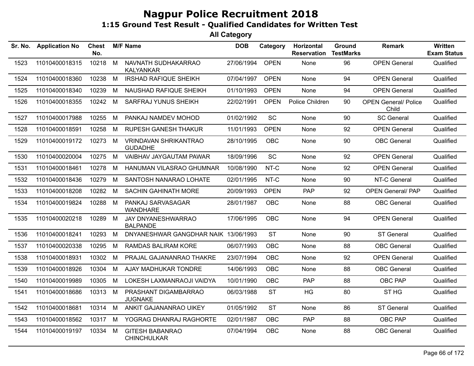| Sr. No. | <b>Application No</b> | <b>Chest</b><br>No. |   | <b>M/F Name</b>                                | <b>DOB</b> | Category    | <b>Horizontal</b><br><b>Reservation</b> | Ground<br><b>TestMarks</b> | <b>Remark</b>                        | <b>Written</b><br><b>Exam Status</b> |
|---------|-----------------------|---------------------|---|------------------------------------------------|------------|-------------|-----------------------------------------|----------------------------|--------------------------------------|--------------------------------------|
| 1523    | 11010400018315        | 10218               | M | NAVNATH SUDHAKARRAO<br>KALYANKAR               | 27/06/1994 | <b>OPEN</b> | <b>None</b>                             | 96                         | <b>OPEN General</b>                  | Qualified                            |
| 1524    | 11010400018360        | 10238               | M | <b>IRSHAD RAFIQUE SHEIKH</b>                   | 07/04/1997 | <b>OPEN</b> | <b>None</b>                             | 94                         | <b>OPEN General</b>                  | Qualified                            |
| 1525    | 11010400018340        | 10239               | M | NAUSHAD RAFIQUE SHEIKH                         | 01/10/1993 | <b>OPEN</b> | None                                    | 94                         | <b>OPEN General</b>                  | Qualified                            |
| 1526    | 11010400018355        | 10242 M             |   | SARFRAJ YUNUS SHEIKH                           | 22/02/1991 | <b>OPEN</b> | Police Children                         | 90                         | <b>OPEN General/ Police</b><br>Child | Qualified                            |
| 1527    | 11010400017988        | 10255               | M | PANKAJ NAMDEV MOHOD                            | 01/02/1992 | <b>SC</b>   | None                                    | 90                         | <b>SC General</b>                    | Qualified                            |
| 1528    | 11010400018591        | 10258               | M | <b>RUPESH GANESH THAKUR</b>                    | 11/01/1993 | <b>OPEN</b> | None                                    | 92                         | <b>OPEN General</b>                  | Qualified                            |
| 1529    | 11010400019172        | 10273               | M | <b>VRINDAVAN SHRIKANTRAO</b><br><b>GUDADHE</b> | 28/10/1995 | <b>OBC</b>  | <b>None</b>                             | 90                         | <b>OBC</b> General                   | Qualified                            |
| 1530    | 11010400020004        | 10275               | M | VAIBHAV JAYGAUTAM PAWAR                        | 18/09/1996 | SC          | None                                    | 92                         | <b>OPEN General</b>                  | Qualified                            |
| 1531    | 11010400018461        | 10278               | M | HANUMAN VILASRAO GHUMNAR                       | 10/08/1990 | NT-C        | None                                    | 92                         | <b>OPEN General</b>                  | Qualified                            |
| 1532    | 11010400018436        | 10279               | M | SANTOSH NANARAO LOHATE                         | 02/01/1995 | NT-C        | None                                    | 90                         | NT-C General                         | Qualified                            |
| 1533    | 11010400018208        | 10282               | M | <b>SACHIN GAHINATH MORE</b>                    | 20/09/1993 | <b>OPEN</b> | <b>PAP</b>                              | 92                         | <b>OPEN General/ PAP</b>             | Qualified                            |
| 1534    | 11010400019824        | 10288               | M | PANKAJ SARVASAGAR<br><b>WANDHARE</b>           | 28/01/1987 | <b>OBC</b>  | None                                    | 88                         | <b>OBC</b> General                   | Qualified                            |
| 1535    | 11010400020218        | 10289               | M | JAY DNYANESHWARRAO<br><b>BALPANDE</b>          | 17/06/1995 | <b>OBC</b>  | None                                    | 94                         | <b>OPEN General</b>                  | Qualified                            |
| 1536    | 11010400018241        | 10293               | M | DNYANESHWAR GANGDHAR NAIK 13/06/1993           |            | <b>ST</b>   | None                                    | 90                         | <b>ST General</b>                    | Qualified                            |
| 1537    | 11010400020338        | 10295               | M | RAMDAS BALIRAM KORE                            | 06/07/1993 | <b>OBC</b>  | None                                    | 88                         | <b>OBC</b> General                   | Qualified                            |
| 1538    | 11010400018931        | 10302               | M | PRAJAL GAJANANRAO THAKRE                       | 23/07/1994 | <b>OBC</b>  | None                                    | 92                         | <b>OPEN General</b>                  | Qualified                            |
| 1539    | 11010400018926        | 10304               | M | AJAY MADHUKAR TONDRE                           | 14/06/1993 | <b>OBC</b>  | None                                    | 88                         | <b>OBC</b> General                   | Qualified                            |
| 1540    | 11010400019989        | 10305               | M | LOKESH LAXMANRAOJI VAIDYA                      | 10/01/1990 | <b>OBC</b>  | <b>PAP</b>                              | 88                         | OBC PAP                              | Qualified                            |
| 1541    | 11010400018686        | 10313 M             |   | PRASHANT DIGAMBARRAO<br><b>JUGNAKE</b>         | 06/03/1988 | <b>ST</b>   | HG                                      | 80                         | ST <sub>HG</sub>                     | Qualified                            |
| 1542    | 11010400018681        | 10314               | M | ANKIT GAJANANRAO UIKEY                         | 01/05/1992 | <b>ST</b>   | None                                    | 86                         | <b>ST General</b>                    | Qualified                            |
| 1543    | 11010400018562        | 10317               | M | YOGRAG DHANRAJ RAGHORTE                        | 02/01/1987 | <b>OBC</b>  | <b>PAP</b>                              | 88                         | OBC PAP                              | Qualified                            |
| 1544    | 11010400019197        | 10334               | M | <b>GITESH BABANRAO</b><br><b>CHINCHULKAR</b>   | 07/04/1994 | <b>OBC</b>  | None                                    | 88                         | <b>OBC</b> General                   | Qualified                            |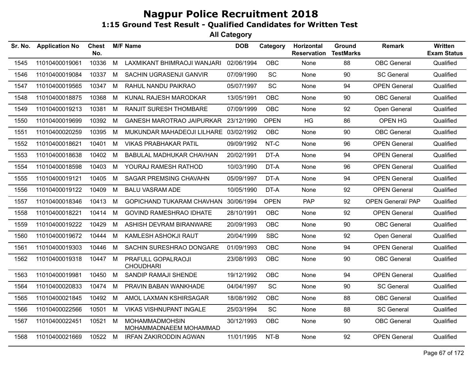| Sr. No. | <b>Application No</b> | <b>Chest</b><br>No. |   | <b>M/F Name</b>                                 | <b>DOB</b> | Category    | Horizontal<br><b>Reservation</b> | Ground<br><b>TestMarks</b> | Remark                   | Written<br><b>Exam Status</b> |
|---------|-----------------------|---------------------|---|-------------------------------------------------|------------|-------------|----------------------------------|----------------------------|--------------------------|-------------------------------|
| 1545    | 11010400019061        | 10336               | M | LAXMIKANT BHIMRAOJI WANJARI                     | 02/06/1994 | <b>OBC</b>  | None                             | 88                         | <b>OBC</b> General       | Qualified                     |
| 1546    | 11010400019084        | 10337               | M | SACHIN UGRASENJI GANVIR                         | 07/09/1990 | <b>SC</b>   | None                             | 90                         | <b>SC General</b>        | Qualified                     |
| 1547    | 11010400019565        | 10347               | М | RAHUL NANDU PAIKRAO                             | 05/07/1997 | SC          | None                             | 94                         | <b>OPEN General</b>      | Qualified                     |
| 1548    | 11010400018875        | 10368               | М | KUNAL RAJESH MARODKAR                           | 13/05/1991 | OBC         | None                             | 90                         | <b>OBC</b> General       | Qualified                     |
| 1549    | 11010400019213        | 10381               | M | RANJIT SURESH THOMBARE                          | 07/09/1999 | <b>OBC</b>  | None                             | 92                         | Open General             | Qualified                     |
| 1550    | 11010400019699        | 10392               | М | <b>GANESH MAROTRAO JAIPURKAR</b>                | 23/12/1990 | <b>OPEN</b> | HG                               | 86                         | OPEN HG                  | Qualified                     |
| 1551    | 11010400020259        | 10395               | М | MUKUNDAR MAHADEOJI LILHARE 03/02/1992           |            | <b>OBC</b>  | None                             | 90                         | <b>OBC</b> General       | Qualified                     |
| 1552    | 11010400018621        | 10401               | М | <b>VIKAS PRABHAKAR PATIL</b>                    | 09/09/1992 | NT-C        | None                             | 96                         | <b>OPEN General</b>      | Qualified                     |
| 1553    | 11010400018638        | 10402               | М | <b>BABULAL MADHUKAR CHAVHAN</b>                 | 20/02/1991 | DT-A        | None                             | 94                         | <b>OPEN General</b>      | Qualified                     |
| 1554    | 11010400018598        | 10403               | M | YOURAJ RAMESH RATHOD                            | 10/03/1990 | DT-A        | None                             | 96                         | <b>OPEN General</b>      | Qualified                     |
| 1555    | 11010400019121        | 10405               | M | <b>SAGAR PREMSING CHAVAHN</b>                   | 05/09/1997 | DT-A        | None                             | 94                         | <b>OPEN General</b>      | Qualified                     |
| 1556    | 11010400019122        | 10409               | М | <b>BALU VASRAM ADE</b>                          | 10/05/1990 | DT-A        | None                             | 92                         | <b>OPEN General</b>      | Qualified                     |
| 1557    | 11010400018346        | 10413               | М | <b>GOPICHAND TUKARAM CHAVHAN</b>                | 30/06/1994 | <b>OPEN</b> | <b>PAP</b>                       | 92                         | <b>OPEN General/ PAP</b> | Qualified                     |
| 1558    | 11010400018221        | 10414               | M | <b>GOVIND RAMESHRAO IDHATE</b>                  | 28/10/1991 | <b>OBC</b>  | None                             | 92                         | <b>OPEN General</b>      | Qualified                     |
| 1559    | 11010400019222        | 10429               | M | ASHISH DEVRAM BIRANWARE                         | 20/09/1993 | OBC         | None                             | 90                         | <b>OBC</b> General       | Qualified                     |
| 1560    | 11010400019672        | 10444               | М | KAMLESH ASHOKJI RAUT                            | 20/04/1999 | <b>SBC</b>  | None                             | 92                         | Open General             | Qualified                     |
| 1561    | 11010400019303        | 10446               | М | SACHIN SURESHRAO DONGARE                        | 01/09/1993 | <b>OBC</b>  | None                             | 94                         | <b>OPEN General</b>      | Qualified                     |
| 1562    | 11010400019318        | 10447               | M | PRAFULL GOPALRAOJI<br><b>CHOUDHARI</b>          | 23/08/1993 | <b>OBC</b>  | None                             | 90                         | <b>OBC</b> General       | Qualified                     |
| 1563    | 11010400019981        | 10450               | M | SANDIP RAMAJI SHENDE                            | 19/12/1992 | <b>OBC</b>  | None                             | 94                         | <b>OPEN General</b>      | Qualified                     |
| 1564    | 11010400020833        | 10474               | М | PRAVIN BABAN WANKHADE                           | 04/04/1997 | SC          | None                             | 90                         | <b>SC General</b>        | Qualified                     |
| 1565    | 11010400021845        | 10492               | М | AMOL LAXMAN KSHIRSAGAR                          | 18/08/1992 | OBC         | None                             | 88                         | <b>OBC</b> General       | Qualified                     |
| 1566    | 11010400022566        | 10501               | M | <b>VIKAS VISHNUPANT INGALE</b>                  | 25/03/1994 | SC          | None                             | 88                         | <b>SC General</b>        | Qualified                     |
| 1567    | 11010400022451        | 10521               | M | <b>MOHAMMADMOHSIN</b><br>MOHAMMADNAEEM MOHAMMAD | 30/12/1993 | OBC         | None                             | 90                         | <b>OBC</b> General       | Qualified                     |
| 1568    | 11010400021669        | 10522 M             |   | <b>IRFAN ZAKIRODDIN AGWAN</b>                   | 11/01/1995 | NT-B        | None                             | 92                         | <b>OPEN General</b>      | Qualified                     |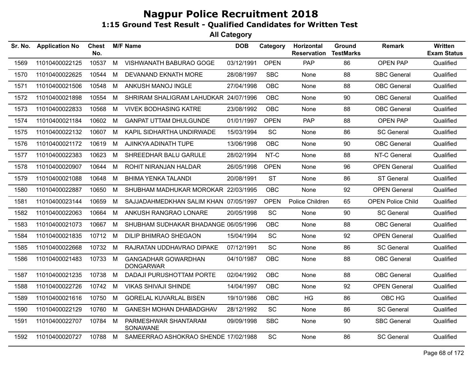| Sr. No. | <b>Application No</b> | <b>Chest</b><br>No. |   | <b>M/F Name</b>                                | <b>DOB</b> | Category    | Horizontal<br><b>Reservation</b> | Ground<br><b>TestMarks</b> | <b>Remark</b>            | Written<br><b>Exam Status</b> |
|---------|-----------------------|---------------------|---|------------------------------------------------|------------|-------------|----------------------------------|----------------------------|--------------------------|-------------------------------|
| 1569    | 11010400022125        | 10537               | M | VISHWANATH BABURAO GOGE                        | 03/12/1991 | <b>OPEN</b> | PAP                              | 86                         | <b>OPEN PAP</b>          | Qualified                     |
| 1570    | 11010400022625        | 10544               | M | DEVANAND EKNATH MORE                           | 28/08/1997 | <b>SBC</b>  | None                             | 88                         | <b>SBC General</b>       | Qualified                     |
| 1571    | 11010400021506        | 10548               | M | ANKUSH MANOJ INGLE                             | 27/04/1998 | <b>OBC</b>  | None                             | 88                         | <b>OBC</b> General       | Qualified                     |
| 1572    | 11010400021898        | 10554               | M | SHRIRAM SHALIGRAM LAHUDKAR 24/07/1996          |            | <b>OBC</b>  | None                             | 90                         | <b>OBC</b> General       | Qualified                     |
| 1573    | 11010400022833        | 10568               | M | <b>VIVEK BODHASING KATRE</b>                   | 23/08/1992 | <b>OBC</b>  | None                             | 88                         | <b>OBC</b> General       | Qualified                     |
| 1574    | 11010400021184        | 10602               | M | <b>GANPAT UTTAM DHULGUNDE</b>                  | 01/01/1997 | <b>OPEN</b> | <b>PAP</b>                       | 88                         | OPEN PAP                 | Qualified                     |
| 1575    | 11010400022132        | 10607               | M | KAPIL SIDHARTHA UNDIRWADE                      | 15/03/1994 | SC          | None                             | 86                         | <b>SC General</b>        | Qualified                     |
| 1576    | 11010400021172        | 10619               | M | AJINKYA ADINATH TUPE                           | 13/06/1998 | <b>OBC</b>  | None                             | 90                         | <b>OBC</b> General       | Qualified                     |
| 1577    | 11010400022383        | 10623               | M | SHREEDHAR BALU GARULE                          | 28/02/1994 | NT-C        | None                             | 88                         | NT-C General             | Qualified                     |
| 1578    | 11010400020907        | 10644               | M | ROHIT NIRANJAN HALDAR                          | 26/05/1998 | <b>OPEN</b> | None                             | 96                         | <b>OPEN General</b>      | Qualified                     |
| 1579    | 11010400021088        | 10648               | M | <b>BHIMA YENKA TALANDI</b>                     | 20/08/1991 | <b>ST</b>   | None                             | 86                         | ST General               | Qualified                     |
| 1580    | 11010400022887        | 10650               | M | SHUBHAM MADHUKAR MOROKAR 22/03/1995            |            | <b>OBC</b>  | <b>None</b>                      | 92                         | <b>OPEN General</b>      | Qualified                     |
| 1581    | 11010400023144        | 10659               | M | SAJJADAHMEDKHAN SALIM KHAN 07/05/1997          |            | <b>OPEN</b> | Police Children                  | 65                         | <b>OPEN Police Child</b> | Qualified                     |
| 1582    | 11010400022063        | 10664               | M | ANKUSH RANGRAO LONARE                          | 20/05/1998 | SC          | None                             | 90                         | <b>SC General</b>        | Qualified                     |
| 1583    | 11010400021073        | 10667               | M | SHUBHAM SUDHAKAR BHADANGE 06/05/1996           |            | OBC         | None                             | 88                         | <b>OBC</b> General       | Qualified                     |
| 1584    | 11010400021835        | 10712 M             |   | <b>DILIP BHIMRAO SHEGAON</b>                   | 15/04/1994 | SC          | None                             | 92                         | <b>OPEN General</b>      | Qualified                     |
| 1585    | 11010400022668        | 10732               | M | RAJRATAN UDDHAVRAO DIPAKE                      | 07/12/1991 | SC          | None                             | 86                         | <b>SC General</b>        | Qualified                     |
| 1586    | 11010400021483        | 10733               | M | <b>GANGADHAR GOWARDHAN</b><br><b>DONGARWAR</b> | 04/10/1987 | <b>OBC</b>  | None                             | 88                         | <b>OBC</b> General       | Qualified                     |
| 1587    | 11010400021235        | 10738               | M | <b>DADAJI PURUSHOTTAM PORTE</b>                | 02/04/1992 | <b>OBC</b>  | None                             | 88                         | <b>OBC</b> General       | Qualified                     |
| 1588    | 11010400022726        | 10742               | M | <b>VIKAS SHIVAJI SHINDE</b>                    | 14/04/1997 | <b>OBC</b>  | None                             | 92                         | <b>OPEN General</b>      | Qualified                     |
| 1589    | 11010400021616        | 10750               | M | <b>GORELAL KUVARLAL BISEN</b>                  | 19/10/1986 | <b>OBC</b>  | HG                               | 86                         | OBC HG                   | Qualified                     |
| 1590    | 11010400022129        | 10760               | M | <b>GANESH MOHAN DHABADGHAV</b>                 | 28/12/1992 | SC          | None                             | 86                         | <b>SC General</b>        | Qualified                     |
| 1591    | 11010400022707        | 10784 M             |   | PARMESHWAR SHANTARAM<br>SONAWANE               | 09/09/1998 | <b>SBC</b>  | None                             | 90                         | <b>SBC General</b>       | Qualified                     |
| 1592    | 11010400020727        | 10788               | M | SAMEERRAO ASHOKRAO SHENDE 17/02/1988           |            | SC          | None                             | 86                         | <b>SC General</b>        | Qualified                     |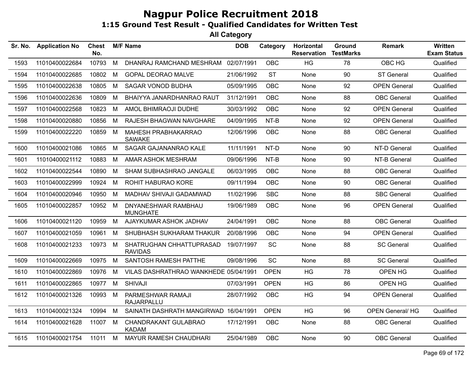| Sr. No. | <b>Application No</b> | <b>Chest</b><br>No. |   | <b>M/F Name</b>                            | <b>DOB</b> | Category    | Horizontal<br><b>Reservation</b> | <b>Ground</b><br><b>TestMarks</b> | <b>Remark</b>          | <b>Written</b><br><b>Exam Status</b> |
|---------|-----------------------|---------------------|---|--------------------------------------------|------------|-------------|----------------------------------|-----------------------------------|------------------------|--------------------------------------|
| 1593    | 11010400022684        | 10793               | M | DHANRAJ RAMCHAND MESHRAM                   | 02/07/1991 | <b>OBC</b>  | <b>HG</b>                        | 78                                | OBC HG                 | Qualified                            |
| 1594    | 11010400022685        | 10802               | М | <b>GOPAL DEORAO MALVE</b>                  | 21/06/1992 | <b>ST</b>   | None                             | 90                                | <b>ST General</b>      | Qualified                            |
| 1595    | 11010400022638        | 10805               | M | <b>SAGAR VONOD BUDHA</b>                   | 05/09/1995 | <b>OBC</b>  | None                             | 92                                | <b>OPEN General</b>    | Qualified                            |
| 1596    | 11010400022636        | 10809               | М | BHAIYYA JANARDHANRAO RAUT                  | 31/12/1991 | <b>OBC</b>  | <b>None</b>                      | 88                                | <b>OBC</b> General     | Qualified                            |
| 1597    | 11010400022568        | 10823               | M | AMOL BHIMRAOJI DUDHE                       | 30/03/1992 | <b>OBC</b>  | None                             | 92                                | <b>OPEN General</b>    | Qualified                            |
| 1598    | 11010400020880        | 10856               | М | RAJESH BHAGWAN NAVGHARE                    | 04/09/1995 | NT-B        | None                             | 92                                | <b>OPEN General</b>    | Qualified                            |
| 1599    | 11010400022220        | 10859               | M | MAHESH PRABHAKARRAO<br><b>SAWAKE</b>       | 12/06/1996 | <b>OBC</b>  | None                             | 88                                | <b>OBC</b> General     | Qualified                            |
| 1600    | 11010400021086        | 10865               | M | SAGAR GAJANANRAO KALE                      | 11/11/1991 | NT-D        | None                             | 90                                | NT-D General           | Qualified                            |
| 1601    | 11010400021112        | 10883               | М | AMAR ASHOK MESHRAM                         | 09/06/1996 | NT-B        | None                             | 90                                | NT-B General           | Qualified                            |
| 1602    | 11010400022544        | 10890               | M | SHAM SUBHASHRAO JANGALE                    | 06/03/1995 | <b>OBC</b>  | None                             | 88                                | <b>OBC</b> General     | Qualified                            |
| 1603    | 11010400022999        | 10924               | M | ROHIT HABURAO KORE                         | 09/11/1994 | <b>OBC</b>  | None                             | 90                                | <b>OBC</b> General     | Qualified                            |
| 1604    | 11010400020946        | 10950               | M | MADHAV SHIVAJI GADAMWAD                    | 11/02/1996 | <b>SBC</b>  | None                             | 88                                | <b>SBC General</b>     | Qualified                            |
| 1605    | 11010400022857        | 10952 M             |   | DNYANESHWAR RAMBHAU<br><b>MUNGHATE</b>     | 19/06/1989 | OBC         | None                             | 96                                | <b>OPEN General</b>    | Qualified                            |
| 1606    | 11010400021120        | 10959               | M | AJAYKUMAR ASHOK JADHAV                     | 24/04/1991 | <b>OBC</b>  | None                             | 88                                | <b>OBC</b> General     | Qualified                            |
| 1607    | 11010400021059        | 10961               | M | SHUBHASH SUKHARAM THAKUR                   | 20/08/1996 | <b>OBC</b>  | None                             | 94                                | <b>OPEN General</b>    | Qualified                            |
| 1608    | 11010400021233        | 10973               | M | SHATRUGHAN CHHATTUPRASAD<br><b>RAVIDAS</b> | 19/07/1997 | SC          | None                             | 88                                | <b>SC General</b>      | Qualified                            |
| 1609    | 11010400022669        | 10975               | M | SANTOSH RAMESH PATTHE                      | 09/08/1996 | <b>SC</b>   | None                             | 88                                | <b>SC General</b>      | Qualified                            |
| 1610    | 11010400022869        | 10976               | М | VILAS DASHRATHRAO WANKHEDE 05/04/1991      |            | <b>OPEN</b> | HG                               | 78                                | OPEN HG                | Qualified                            |
| 1611    | 11010400022865        | 10977               | M | <b>SHIVAJI</b>                             | 07/03/1991 | <b>OPEN</b> | HG                               | 86                                | OPEN HG                | Qualified                            |
| 1612    | 11010400021326        | 10993               | M | PARMESHWAR RAMAJI<br><b>RAJARPALLU</b>     | 28/07/1992 | <b>OBC</b>  | HG                               | 94                                | <b>OPEN General</b>    | Qualified                            |
| 1613    | 11010400021324        | 10994               | M | SAINATH DASHRATH MANGIRWAD 16/04/1991      |            | <b>OPEN</b> | HG                               | 96                                | <b>OPEN General/HG</b> | Qualified                            |
| 1614    | 11010400021628        | 11007               | M | CHANDRAKANT GULABRAO<br><b>KADAM</b>       | 17/12/1991 | <b>OBC</b>  | None                             | 88                                | <b>OBC</b> General     | Qualified                            |
| 1615    | 11010400021754        | 11011               | M | <b>MAYUR RAMESH CHAUDHARI</b>              | 25/04/1989 | <b>OBC</b>  | None                             | 90                                | <b>OBC</b> General     | Qualified                            |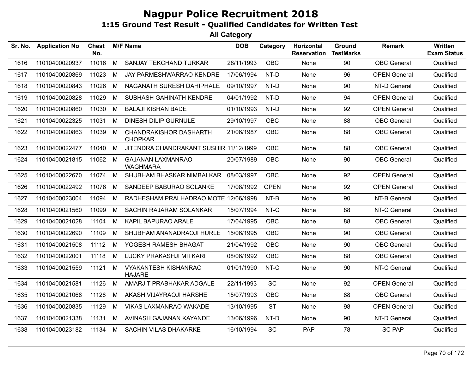| Sr. No. | <b>Application No</b> | <b>Chest</b><br>No. |   | <b>M/F Name</b>                                 | <b>DOB</b> | Category    | Horizontal<br><b>Reservation</b> | Ground<br><b>TestMarks</b> | <b>Remark</b>       | Written<br><b>Exam Status</b> |
|---------|-----------------------|---------------------|---|-------------------------------------------------|------------|-------------|----------------------------------|----------------------------|---------------------|-------------------------------|
| 1616    | 11010400020937        | 11016               | M | SANJAY TEKCHAND TURKAR                          | 28/11/1993 | <b>OBC</b>  | None                             | 90                         | <b>OBC</b> General  | Qualified                     |
| 1617    | 11010400020869        | 11023               | M | JAY PARMESHWARRAO KENDRE                        | 17/06/1994 | NT-D        | None                             | 96                         | <b>OPEN General</b> | Qualified                     |
| 1618    | 11010400020843        | 11026               | M | NAGANATH SURESH DAHIPHALE                       | 09/10/1997 | NT-D        | None                             | 90                         | NT-D General        | Qualified                     |
| 1619    | 11010400020828        | 11029               | M | SUBHASH GAHINATH KENDRE                         | 04/01/1992 | NT-D        | None                             | 94                         | <b>OPEN General</b> | Qualified                     |
| 1620    | 11010400020860        | 11030               | M | <b>BALAJI KISHAN BADE</b>                       | 01/10/1993 | NT-D        | None                             | 92                         | <b>OPEN General</b> | Qualified                     |
| 1621    | 11010400022325        | 11031               | M | <b>DINESH DILIP GURNULE</b>                     | 29/10/1997 | <b>OBC</b>  | None                             | 88                         | <b>OBC</b> General  | Qualified                     |
| 1622    | 11010400020863        | 11039               | M | <b>CHANDRAKISHOR DASHARTH</b><br><b>CHOPKAR</b> | 21/06/1987 | OBC         | None                             | 88                         | <b>OBC</b> General  | Qualified                     |
| 1623    | 11010400022477        | 11040               | M | JITENDRA CHANDRAKANT SUSHIR 11/12/1999          |            | <b>OBC</b>  | None                             | 88                         | <b>OBC</b> General  | Qualified                     |
| 1624    | 11010400021815        | 11062 M             |   | <b>GAJANAN LAXMANRAO</b><br><b>WAGHMARA</b>     | 20/07/1989 | OBC         | None                             | 90                         | <b>OBC</b> General  | Qualified                     |
| 1625    | 11010400022670        | 11074               | M | SHUBHAM BHASKAR NIMBALKAR                       | 08/03/1997 | <b>OBC</b>  | None                             | 92                         | <b>OPEN General</b> | Qualified                     |
| 1626    | 11010400022492        | 11076               | M | SANDEEP BABURAO SOLANKE                         | 17/08/1992 | <b>OPEN</b> | None                             | 92                         | <b>OPEN General</b> | Qualified                     |
| 1627    | 11010400023004        | 11094               | M | RADHESHAM PRALHADRAO MOTE 12/06/1998            |            | NT-B        | None                             | 90                         | NT-B General        | Qualified                     |
| 1628    | 11010400021560        | 11099               | M | SACHIN RAJARAM SOLANKAR                         | 15/07/1994 | NT-C        | None                             | 88                         | NT-C General        | Qualified                     |
| 1629    | 11010400021028        | 11104               | M | KAPIL BAPURAO ARALE                             | 17/04/1995 | <b>OBC</b>  | None                             | 88                         | <b>OBC</b> General  | Qualified                     |
| 1630    | 11010400022690        | 11109               | M | SHUBHAM ANANADRAOJI HURLE                       | 15/06/1995 | <b>OBC</b>  | None                             | 90                         | <b>OBC</b> General  | Qualified                     |
| 1631    | 11010400021508        | 11112               | M | YOGESH RAMESH BHAGAT                            | 21/04/1992 | <b>OBC</b>  | None                             | 90                         | <b>OBC</b> General  | Qualified                     |
| 1632    | 11010400022001        | 11118               | M | LUCKY PRAKASHJI MITKARI                         | 08/06/1992 | <b>OBC</b>  | None                             | 88                         | <b>OBC</b> General  | Qualified                     |
| 1633    | 11010400021559        | 11121               | M | <b>VYAKANTESH KISHANRAO</b><br><b>HAJARE</b>    | 01/01/1990 | NT-C        | None                             | 90                         | NT-C General        | Qualified                     |
| 1634    | 11010400021581        | 11126               | M | AMARJIT PRABHAKAR ADGALE                        | 22/11/1993 | SC          | None                             | 92                         | <b>OPEN General</b> | Qualified                     |
| 1635    | 11010400021068        | 11128               | M | AKASH VIJAYRAOJI HARSHE                         | 15/07/1993 | <b>OBC</b>  | None                             | 88                         | OBC General         | Qualified                     |
| 1636    | 11010400020835        | 11129               | М | VIKAS LAXMANRAO WAKADE                          | 13/10/1995 | <b>ST</b>   | None                             | 98                         | <b>OPEN General</b> | Qualified                     |
| 1637    | 11010400021338        | 11131               | M | AVINASH GAJANAN KAYANDE                         | 13/06/1996 | NT-D        | None                             | 90                         | NT-D General        | Qualified                     |
| 1638    | 11010400023182        | 11134               | M | <b>SACHIN VILAS DHAKARKE</b>                    | 16/10/1994 | SC          | PAP                              | 78                         | <b>SC PAP</b>       | Qualified                     |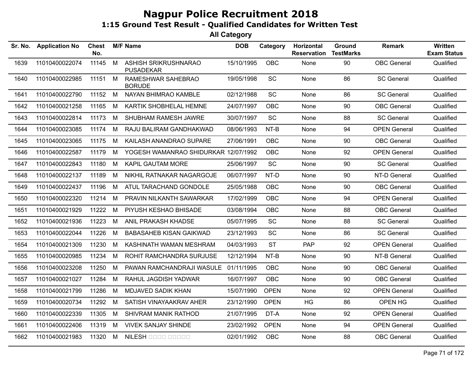| Sr. No. | <b>Application No</b> | <b>Chest</b><br>No. |   | <b>M/F Name</b>                          | <b>DOB</b> | Category    | Horizontal<br><b>Reservation</b> | Ground<br><b>TestMarks</b> | <b>Remark</b>       | Written<br><b>Exam Status</b> |
|---------|-----------------------|---------------------|---|------------------------------------------|------------|-------------|----------------------------------|----------------------------|---------------------|-------------------------------|
| 1639    | 11010400022074        | 11145               | M | ASHISH SRIKRUSHNARAO<br><b>PUSADEKAR</b> | 15/10/1995 | OBC         | None                             | 90                         | <b>OBC</b> General  | Qualified                     |
| 1640    | 11010400022985        | 11151               | M | RAMESHWAR SAHEBRAO<br>BORUDE             | 19/05/1998 | SC          | None                             | 86                         | <b>SC General</b>   | Qualified                     |
| 1641    | 11010400022790        | 11152               | M | NAYAN BHIMRAO KAMBLE                     | 02/12/1988 | <b>SC</b>   | None                             | 86                         | <b>SC General</b>   | Qualified                     |
| 1642    | 11010400021258        | 11165               | M | KARTIK SHOBHELAL HEMNE                   | 24/07/1997 | <b>OBC</b>  | None                             | 90                         | <b>OBC</b> General  | Qualified                     |
| 1643    | 11010400022814        | 11173               | M | SHUBHAM RAMESH JAWRE                     | 30/07/1997 | SC          | None                             | 88                         | <b>SC General</b>   | Qualified                     |
| 1644    | 11010400023085        | 11174               | M | RAJU BALIRAM GANDHAKWAD                  | 08/06/1993 | NT-B        | None                             | 94                         | <b>OPEN General</b> | Qualified                     |
| 1645    | 11010400023065        | 11175               | M | KAILASH ANANDRAO SUPARE                  | 27/06/1991 | <b>OBC</b>  | None                             | 90                         | <b>OBC</b> General  | Qualified                     |
| 1646    | 11010400022587        | 11179               | M | YOGESH WAMANRAO SHIDURKAR 12/07/1992     |            | OBC         | None                             | 92                         | <b>OPEN General</b> | Qualified                     |
| 1647    | 11010400022843        | 11180               | M | <b>KAPIL GAUTAM MORE</b>                 | 25/06/1997 | SC          | None                             | 90                         | <b>SC General</b>   | Qualified                     |
| 1648    | 11010400022137        | 11189               | M | NIKHIL RATNAKAR NAGARGOJE                | 06/07/1997 | NT-D        | None                             | 90                         | NT-D General        | Qualified                     |
| 1649    | 11010400022437        | 11196               | M | ATUL TARACHAND GONDOLE                   | 25/05/1988 | OBC         | None                             | 90                         | <b>OBC</b> General  | Qualified                     |
| 1650    | 11010400022320        | 11214               | M | PRAVIN NILKANTH SAWARKAR                 | 17/02/1999 | <b>OBC</b>  | None                             | 94                         | <b>OPEN General</b> | Qualified                     |
| 1651    | 11010400021929        | 11222               | M | PIYUSH KESHAO BHISADE                    | 03/08/1994 | OBC         | None                             | 88                         | <b>OBC</b> General  | Qualified                     |
| 1652    | 11010400021936        | 11223               | M | ANIL PRAKASH KHADSE                      | 05/07/1995 | SC          | None                             | 88                         | <b>SC General</b>   | Qualified                     |
| 1653    | 11010400022044        | 11226               | M | <b>BABASAHEB KISAN GAIKWAD</b>           | 23/12/1993 | SC          | None                             | 86                         | <b>SC General</b>   | Qualified                     |
| 1654    | 11010400021309        | 11230               | M | KASHINATH WAMAN MESHRAM                  | 04/03/1993 | <b>ST</b>   | <b>PAP</b>                       | 92                         | <b>OPEN General</b> | Qualified                     |
| 1655    | 11010400020985        | 11234               | M | ROHIT RAMCHANDRA SURJUSE                 | 12/12/1994 | NT-B        | None                             | 90                         | NT-B General        | Qualified                     |
| 1656    | 11010400023208        | 11250               | M | PAWAN RAMCHANDRAJI WASULE                | 01/11/1995 | OBC         | None                             | 90                         | <b>OBC</b> General  | Qualified                     |
| 1657    | 11010400021027        | 11284               | M | RAHUL JAGDISH YADWAR                     | 16/07/1997 | OBC         | None                             | 90                         | <b>OBC</b> General  | Qualified                     |
| 1658    | 11010400021799        | 11286               | M | MDJAVED SADIK KHAN                       | 15/07/1990 | <b>OPEN</b> | None                             | 92                         | <b>OPEN General</b> | Qualified                     |
| 1659    | 11010400020734        | 11292               | M | SATISH VINAYAAKRAV AHER                  | 23/12/1990 | <b>OPEN</b> | HG                               | 86                         | OPEN HG             | Qualified                     |
| 1660    | 11010400022339        | 11305               | M | SHIVRAM MANIK RATHOD                     | 21/07/1995 | DT-A        | None                             | 92                         | <b>OPEN General</b> | Qualified                     |
| 1661    | 11010400022406        | 11319               | M | <b>VIVEK SANJAY SHINDE</b>               | 23/02/1992 | <b>OPEN</b> | None                             | 94                         | <b>OPEN General</b> | Qualified                     |
| 1662    | 11010400021983        | 11320               | M | NILESH OOOO OOOOO                        | 02/01/1992 | OBC         | None                             | 88                         | <b>OBC</b> General  | Qualified                     |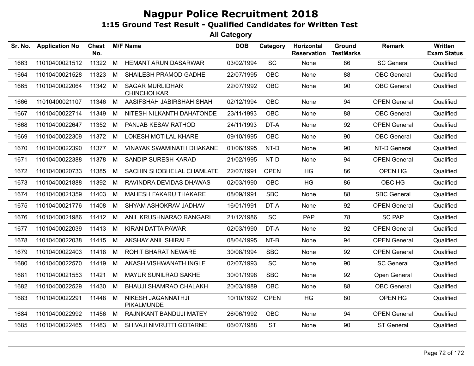| <b>Application No</b> | <b>Chest</b><br>No. |   |                                              | <b>DOB</b>      | Category    | Horizontal<br><b>Reservation</b> | Ground<br><b>TestMarks</b> | <b>Remark</b>       | Written<br><b>Exam Status</b> |
|-----------------------|---------------------|---|----------------------------------------------|-----------------|-------------|----------------------------------|----------------------------|---------------------|-------------------------------|
| 11010400021512        | 11322               | M | <b>HEMANT ARUN DASARWAR</b>                  | 03/02/1994      | SC          | None                             | 86                         | <b>SC General</b>   | Qualified                     |
| 11010400021528        | 11323               | M | SHAILESH PRAMOD GADHE                        | 22/07/1995      | <b>OBC</b>  | None                             | 88                         | <b>OBC</b> General  | Qualified                     |
| 11010400022064        | 11342               | M | <b>SAGAR MURLIDHAR</b><br><b>CHINCHOLKAR</b> | 22/07/1992      | <b>OBC</b>  | None                             | 90                         | <b>OBC</b> General  | Qualified                     |
| 11010400021107        | 11346               | M | AASIFSHAH JABIRSHAH SHAH                     | 02/12/1994      | <b>OBC</b>  | None                             | 94                         | <b>OPEN General</b> | Qualified                     |
| 11010400022714        | 11349               | M | NITESH NILKANTH DAHATONDE                    | 23/11/1993      | <b>OBC</b>  | None                             | 88                         | <b>OBC</b> General  | Qualified                     |
| 11010400022647        | 11352               | M | PANJAB KESAV RATHOD                          | 24/11/1993      | DT-A        | None                             | 92                         | <b>OPEN General</b> | Qualified                     |
| 11010400022309        | 11372               | M | <b>LOKESH MOTILAL KHARE</b>                  | 09/10/1995      | <b>OBC</b>  | None                             | 90                         | <b>OBC</b> General  | Qualified                     |
| 11010400022390        | 11377               | M | VINAYAK SWAMINATH DHAKANE                    | 01/06/1995      | NT-D        | None                             | 90                         | NT-D General        | Qualified                     |
| 11010400022388        | 11378               | M | SANDIP SURESH KARAD                          | 21/02/1995      | NT-D        | None                             | 94                         | <b>OPEN General</b> | Qualified                     |
| 11010400020733        | 11385               | M | SACHIN SHOBHELAL CHAMLATE                    | 22/07/1991      | <b>OPEN</b> | HG                               | 86                         | OPEN HG             | Qualified                     |
| 11010400021888        | 11392               | M | RAVINDRA DEVIDAS DHAWAS                      | 02/03/1990      | OBC         | HG                               | 86                         | OBC HG              | Qualified                     |
| 11010400021359        | 11403               | M | MAHESH FAKARU THAKARE                        | 08/09/1991      | <b>SBC</b>  | None                             | 88                         | <b>SBC General</b>  | Qualified                     |
| 11010400021776        | 11408               | M | SHYAM ASHOKRAV JADHAV                        | 16/01/1991      | DT-A        | None                             | 92                         | <b>OPEN General</b> | Qualified                     |
| 11010400021986        | 11412               | M | ANIL KRUSHNARAO RANGARI                      | 21/12/1986      | SC          | <b>PAP</b>                       | 78                         | <b>SC PAP</b>       | Qualified                     |
| 11010400022039        | 11413               | M | KIRAN DATTA PAWAR                            | 02/03/1990      | DT-A        | None                             | 92                         | <b>OPEN General</b> | Qualified                     |
| 11010400022038        | 11415               | M | <b>AKSHAY ANIL SHIRALE</b>                   | 08/04/1995      | NT-B        | None                             | 94                         | <b>OPEN General</b> | Qualified                     |
| 11010400022403        | 11418               | M | <b>ROHIT BHARAT NEWARE</b>                   | 30/08/1994      | <b>SBC</b>  | None                             | 92                         | <b>OPEN General</b> | Qualified                     |
| 11010400022570        | 11419               | M | AKASH VISHWANATH INGLE                       | 02/07/1993      | SC          | None                             | 90                         | <b>SC General</b>   | Qualified                     |
| 11010400021553        | 11421               | M | MAYUR SUNILRAO SAKHE                         | 30/01/1998      | <b>SBC</b>  | None                             | 92                         | Open General        | Qualified                     |
| 11010400022529        | 11430               | M | <b>BHAUJI SHAMRAO CHALAKH</b>                | 20/03/1989      | OBC         | None                             | 88                         | <b>OBC</b> General  | Qualified                     |
| 11010400022291        | 11448               | M | NIKESH JAGANNATHJI<br>PIKALMUNDE             | 10/10/1992      | <b>OPEN</b> | HG                               | 80                         | OPEN HG             | Qualified                     |
| 11010400022992        | 11456               | M | RAJNIKANT BANDUJI MATEY                      | 26/06/1992      | OBC         | None                             | 94                         | <b>OPEN General</b> | Qualified                     |
| 11010400022465        | 11483               | M | SHIVAJI NIVRUTTI GOTARNE                     | 06/07/1988      | <b>ST</b>   | None                             | 90                         | <b>ST General</b>   | Qualified                     |
|                       |                     |   |                                              | <b>M/F Name</b> |             |                                  |                            |                     |                               |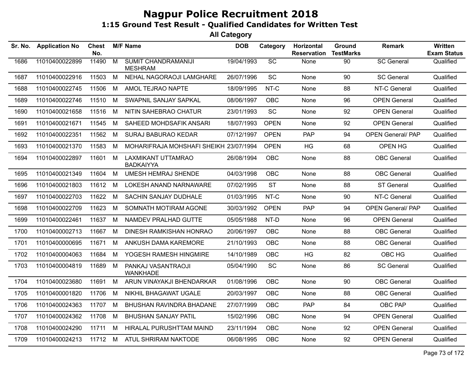| Sr. No. | <b>Application No</b> | <b>Chest</b><br>No. |                | <b>M/F Name</b>                              | <b>DOB</b> | Category        | Horizontal<br><b>Reservation</b> | Ground<br><b>TestMarks</b> | <b>Remark</b>            | Written<br><b>Exam Status</b> |
|---------|-----------------------|---------------------|----------------|----------------------------------------------|------------|-----------------|----------------------------------|----------------------------|--------------------------|-------------------------------|
| 1686    | 11010400022899        | 11490               | $\overline{M}$ | <b>SUMIT CHANDRAMANIJI</b><br><b>MESHRAM</b> | 19/04/1993 | $\overline{SC}$ | <b>None</b>                      | 90                         | <b>SC General</b>        | Qualified                     |
| 1687    | 11010400022916        | 11503               | M              | NEHAL NAGORAOJI LAMGHARE                     | 26/07/1996 | SC              | None                             | 90                         | <b>SC General</b>        | Qualified                     |
| 1688    | 11010400022745        | 11506               | M              | AMOL TEJRAO NAPTE                            | 18/09/1995 | NT-C            | None                             | 88                         | NT-C General             | Qualified                     |
| 1689    | 11010400022746        | 11510               | M              | SWAPNIL SANJAY SAPKAL                        | 08/06/1997 | <b>OBC</b>      | None                             | 96                         | <b>OPEN General</b>      | Qualified                     |
| 1690    | 11010400021658        | 11516               | М              | NITIN SAHEBRAO CHATUR                        | 23/01/1993 | <b>SC</b>       | None                             | 92                         | <b>OPEN General</b>      | Qualified                     |
| 1691    | 11010400021671        | 11545               | М              | SAHEED MOHDSAFIK ANSARI                      | 18/07/1993 | <b>OPEN</b>     | None                             | 92                         | <b>OPEN General</b>      | Qualified                     |
| 1692    | 11010400022351        | 11562               | M              | SURAJ BABURAO KEDAR                          | 07/12/1997 | <b>OPEN</b>     | <b>PAP</b>                       | 94                         | <b>OPEN General/ PAP</b> | Qualified                     |
| 1693    | 11010400021370        | 11583               | М              | MOHARIFRAJA MOHSHAFI SHEIKH 23/07/1994       |            | <b>OPEN</b>     | <b>HG</b>                        | 68                         | OPEN HG                  | Qualified                     |
| 1694    | 11010400022897        | 11601               | M              | LAXMIKANT UTTAMRAO<br><b>BADKAIYYA</b>       | 26/08/1994 | <b>OBC</b>      | None                             | 88                         | <b>OBC</b> General       | Qualified                     |
| 1695    | 11010400021349        | 11604               | M              | <b>UMESH HEMRAJ SHENDE</b>                   | 04/03/1998 | <b>OBC</b>      | None                             | 88                         | <b>OBC</b> General       | Qualified                     |
| 1696    | 11010400021803        | 11612               | М              | LOKESH ANAND NARNAWARE                       | 07/02/1995 | <b>ST</b>       | None                             | 88                         | <b>ST General</b>        | Qualified                     |
| 1697    | 11010400022703        | 11622               | M              | SACHIN SANJAY DUDHALE                        | 01/03/1995 | NT-C            | None                             | 90                         | NT-C General             | Qualified                     |
| 1698    | 11010400022709        | 11623               | M              | SOMNATH MOTIRAM AGONE                        | 30/03/1992 | <b>OPEN</b>     | <b>PAP</b>                       | 94                         | <b>OPEN General/ PAP</b> | Qualified                     |
| 1699    | 11010400022461        | 11637               | M              | NAMDEV PRALHAD GUTTE                         | 05/05/1988 | NT-D            | None                             | 96                         | <b>OPEN General</b>      | Qualified                     |
| 1700    | 11010400002713        | 11667               | M              | DINESH RAMKISHAN HONRAO                      | 20/06/1997 | <b>OBC</b>      | None                             | 88                         | <b>OBC</b> General       | Qualified                     |
| 1701    | 11010400000695        | 11671               | M              | ANKUSH DAMA KAREMORE                         | 21/10/1993 | OBC             | None                             | 88                         | <b>OBC</b> General       | Qualified                     |
| 1702    | 11010400004063        | 11684               | M              | YOGESH RAMESH HINGMIRE                       | 14/10/1989 | <b>OBC</b>      | HG                               | 82                         | OBC HG                   | Qualified                     |
| 1703    | 11010400004819        | 11689               | M              | PANKAJ VASANTRAOJI<br><b>WANKHADE</b>        | 05/04/1990 | <b>SC</b>       | None                             | 86                         | <b>SC General</b>        | Qualified                     |
| 1704    | 11010400023680        | 11691               | M              | ARUN VINAYAKJI BHENDARKAR                    | 01/08/1996 | <b>OBC</b>      | None                             | 90                         | <b>OBC</b> General       | Qualified                     |
| 1705    | 11010400001820        | 11706               | M              | NIKHIL BHAGAWAT UGALE                        | 20/03/1997 | <b>OBC</b>      | None                             | 88                         | <b>OBC</b> General       | Qualified                     |
| 1706    | 11010400024363        | 11707               | M              | BHUSHAN RAVINDRA BHADANE                     | 27/07/1999 | <b>OBC</b>      | <b>PAP</b>                       | 84                         | OBC PAP                  | Qualified                     |
| 1707    | 11010400024362        | 11708               | М              | <b>BHUSHAN SANJAY PATIL</b>                  | 15/02/1996 | <b>OBC</b>      | None                             | 94                         | <b>OPEN General</b>      | Qualified                     |
| 1708    | 11010400024290        | 11711               | M              | HIRALAL PURUSHTTAM MAIND                     | 23/11/1994 | <b>OBC</b>      | None                             | 92                         | <b>OPEN General</b>      | Qualified                     |
| 1709    | 11010400024213        | 11712 M             |                | ATUL SHRIRAM NAKTODE                         | 06/08/1995 | <b>OBC</b>      | None                             | 92                         | <b>OPEN General</b>      | Qualified                     |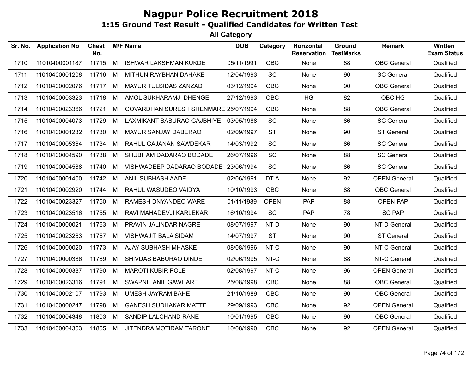| Sr. No. | <b>Application No</b> | <b>Chest</b><br>No. |   | <b>M/F Name</b>                      | <b>DOB</b> | Category    | Horizontal<br><b>Reservation</b> | Ground<br><b>TestMarks</b> | <b>Remark</b>       | Written<br><b>Exam Status</b> |
|---------|-----------------------|---------------------|---|--------------------------------------|------------|-------------|----------------------------------|----------------------------|---------------------|-------------------------------|
| 1710    | 11010400001187        | 11715               | M | <b>ISHWAR LAKSHMAN KUKDE</b>         | 05/11/1991 | OBC         | None                             | 88                         | <b>OBC</b> General  | Qualified                     |
| 1711    | 11010400001208        | 11716               | M | MITHUN RAYBHAN DAHAKE                | 12/04/1993 | SC          | None                             | 90                         | <b>SC General</b>   | Qualified                     |
| 1712    | 11010400002076        | 11717               | M | MAYUR TULSIDAS ZANZAD                | 03/12/1994 | <b>OBC</b>  | None                             | 90                         | <b>OBC</b> General  | Qualified                     |
| 1713    | 11010400003323        | 11718               | M | AMOL SUKHARAMJI DHENGE               | 27/12/1993 | <b>OBC</b>  | HG                               | 82                         | OBC HG              | Qualified                     |
| 1714    | 11010400023366        | 11721               | M | GOVARDHAN SURESH SHENMARE 25/07/1994 |            | <b>OBC</b>  | None                             | 88                         | <b>OBC</b> General  | Qualified                     |
| 1715    | 11010400004073        | 11729               | M | LAXMIKANT BABURAO GAJBHIYE           | 03/05/1988 | SC          | None                             | 86                         | <b>SC General</b>   | Qualified                     |
| 1716    | 11010400001232        | 11730               | M | MAYUR SANJAY DABERAO                 | 02/09/1997 | <b>ST</b>   | None                             | 90                         | <b>ST General</b>   | Qualified                     |
| 1717    | 11010400005364        | 11734               | M | RAHUL GAJANAN SAWDEKAR               | 14/03/1992 | SC          | None                             | 86                         | <b>SC General</b>   | Qualified                     |
| 1718    | 11010400004590        | 11738               | M | SHUBHAM DADARAO BODADE               | 26/07/1996 | SC          | None                             | 88                         | <b>SC General</b>   | Qualified                     |
| 1719    | 11010400004588        | 11740               | M | VISHWADEEP DADARAO BODADE 23/06/1994 |            | SC          | None                             | 86                         | <b>SC General</b>   | Qualified                     |
| 1720    | 11010400001400        | 11742               | M | ANIL SUBHASH AADE                    | 02/06/1991 | DT-A        | None                             | 92                         | <b>OPEN General</b> | Qualified                     |
| 1721    | 11010400002920        | 11744               | M | RAHUL WASUDEO VAIDYA                 | 10/10/1993 | <b>OBC</b>  | None                             | 88                         | <b>OBC</b> General  | Qualified                     |
| 1722    | 11010400023327        | 11750               | M | RAMESH DNYANDEO WARE                 | 01/11/1989 | <b>OPEN</b> | PAP                              | 88                         | <b>OPEN PAP</b>     | Qualified                     |
| 1723    | 11010400023516        | 11755               | M | RAVI MAHADEVJI KARLEKAR              | 16/10/1994 | SC          | <b>PAP</b>                       | 78                         | <b>SC PAP</b>       | Qualified                     |
| 1724    | 11010400000021        | 11763               | M | PRAVIN JALINDAR NAGRE                | 08/07/1997 | NT-D        | None                             | 90                         | NT-D General        | Qualified                     |
| 1725    | 11010400023263        | 11767               | M | VISHWAJIT BALA SIDAM                 | 14/07/1997 | <b>ST</b>   | None                             | 90                         | <b>ST General</b>   | Qualified                     |
| 1726    | 11010400000020        | 11773               | M | AJAY SUBHASH MHASKE                  | 08/08/1996 | NT-C        | None                             | 90                         | NT-C General        | Qualified                     |
| 1727    | 11010400000386        | 11789               | M | SHIVDAS BABURAO DINDE                | 02/06/1995 | NT-C        | None                             | 88                         | NT-C General        | Qualified                     |
| 1728    | 11010400000387        | 11790               | M | <b>MAROTI KUBIR POLE</b>             | 02/08/1997 | NT-C        | None                             | 96                         | <b>OPEN General</b> | Qualified                     |
| 1729    | 11010400023316        | 11791               | M | SWAPNIL ANIL GAWHARE                 | 25/08/1998 | <b>OBC</b>  | None                             | 88                         | <b>OBC</b> General  | Qualified                     |
| 1730    | 11010400002107        | 11793               | M | <b>UMESH JAYRAM BAHE</b>             | 21/10/1989 | <b>OBC</b>  | None                             | 90                         | <b>OBC</b> General  | Qualified                     |
| 1731    | 11010400000247        | 11798               | M | <b>GANESH SUDHAKAR MATTE</b>         | 29/09/1993 | <b>OBC</b>  | None                             | 92                         | <b>OPEN General</b> | Qualified                     |
| 1732    | 11010400004348        | 11803               | M | SANDIP LALCHAND RANE                 | 10/01/1995 | <b>OBC</b>  | None                             | 90                         | <b>OBC</b> General  | Qualified                     |
| 1733    | 11010400004353        | 11805 M             |   | JITENDRA MOTIRAM TARONE              | 10/08/1990 | <b>OBC</b>  | None                             | 92                         | <b>OPEN General</b> | Qualified                     |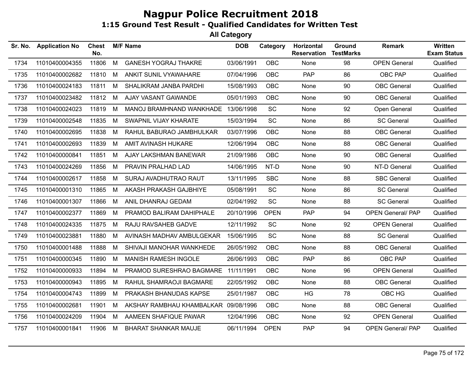| Sr. No. | <b>Application No</b> | <b>Chest</b><br>No. |   | <b>M/F Name</b>                      | <b>DOB</b> | Category    | Horizontal<br><b>Reservation</b> | Ground<br><b>TestMarks</b> | <b>Remark</b>            | Written<br><b>Exam Status</b> |
|---------|-----------------------|---------------------|---|--------------------------------------|------------|-------------|----------------------------------|----------------------------|--------------------------|-------------------------------|
| 1734    | 11010400004355        | 11806               | M | <b>GANESH YOGRAJ THAKRE</b>          | 03/06/1991 | <b>OBC</b>  | None                             | 98                         | <b>OPEN General</b>      | Qualified                     |
| 1735    | 11010400002682        | 11810               | M | ANKIT SUNIL VYAWAHARE                | 07/04/1996 | OBC         | PAP                              | 86                         | OBC PAP                  | Qualified                     |
| 1736    | 11010400024183        | 11811               | M | SHALIKRAM JANBA PARDHI               | 15/08/1993 | OBC         | None                             | 90                         | <b>OBC</b> General       | Qualified                     |
| 1737    | 11010400023482        | 11812               | M | AJAY VASANT GAWANDE                  | 05/01/1993 | <b>OBC</b>  | None                             | 90                         | <b>OBC</b> General       | Qualified                     |
| 1738    | 11010400024023        | 11819               | М | MANOJ BRAMHNAND WANKHADE 13/06/1998  |            | <b>SC</b>   | None                             | 92                         | Open General             | Qualified                     |
| 1739    | 11010400002548        | 11835               | M | SWAPNIL VIJAY KHARATE                | 15/03/1994 | <b>SC</b>   | None                             | 86                         | <b>SC General</b>        | Qualified                     |
| 1740    | 11010400002695        | 11838               | М | RAHUL BABURAO JAMBHULKAR             | 03/07/1996 | OBC         | None                             | 88                         | <b>OBC</b> General       | Qualified                     |
| 1741    | 11010400002693        | 11839               | M | AMIT AVINASH HUKARE                  | 12/06/1994 | <b>OBC</b>  | None                             | 88                         | <b>OBC</b> General       | Qualified                     |
| 1742    | 11010400000841        | 11851               | M | AJAY LAKSHMAN BANEWAR                | 21/09/1986 | <b>OBC</b>  | None                             | 90                         | <b>OBC</b> General       | Qualified                     |
| 1743    | 11010400024269        | 11856               | M | PRAVIN PRALHAD LAD                   | 14/06/1995 | NT-D        | None                             | 90                         | NT-D General             | Qualified                     |
| 1744    | 11010400002617        | 11858               | M | SURAJ AVADHUTRAO RAUT                | 13/11/1995 | <b>SBC</b>  | None                             | 88                         | <b>SBC General</b>       | Qualified                     |
| 1745    | 11010400001310        | 11865               | M | AKASH PRAKASH GAJBHIYE               | 05/08/1991 | SC          | None                             | 86                         | <b>SC General</b>        | Qualified                     |
| 1746    | 11010400001307        | 11866               | M | ANIL DHANRAJ GEDAM                   | 02/04/1992 | <b>SC</b>   | None                             | 88                         | <b>SC General</b>        | Qualified                     |
| 1747    | 11010400002377        | 11869               | М | PRAMOD BALIRAM DAHIPHALE             | 20/10/1996 | <b>OPEN</b> | <b>PAP</b>                       | 94                         | <b>OPEN General/ PAP</b> | Qualified                     |
| 1748    | 11010400024335        | 11875               | M | RAJU RAVSAHEB GADVE                  | 12/11/1992 | SC          | None                             | 92                         | <b>OPEN General</b>      | Qualified                     |
| 1749    | 11010400023881        | 11880               | M | AVINASH MADHAV AMBULGEKAR            | 15/06/1995 | <b>SC</b>   | None                             | 88                         | <b>SC General</b>        | Qualified                     |
| 1750    | 11010400001488        | 11888               | м | SHIVAJI MANOHAR WANKHEDE             | 26/05/1992 | <b>OBC</b>  | None                             | 88                         | <b>OBC</b> General       | Qualified                     |
| 1751    | 11010400000345        | 11890               | М | <b>MANISH RAMESH INGOLE</b>          | 26/06/1993 | <b>OBC</b>  | <b>PAP</b>                       | 86                         | OBC PAP                  | Qualified                     |
| 1752    | 11010400000933        | 11894               | М | PRAMOD SURESHRAO BAGMARE             | 11/11/1991 | <b>OBC</b>  | None                             | 96                         | <b>OPEN General</b>      | Qualified                     |
| 1753    | 11010400000943        | 11895               | М | RAHUL SHAMRAOJI BAGMARE              | 22/05/1992 | <b>OBC</b>  | None                             | 88                         | <b>OBC</b> General       | Qualified                     |
| 1754    | 11010400004743        | 11899               | M | PRAKASH BHANUDAS KAPSE               | 25/01/1987 | <b>OBC</b>  | HG                               | 78                         | OBC HG                   | Qualified                     |
| 1755    | 11010400002681        | 11901               | M | AKSHAY RAMBHAU KHAMBALKAR 09/08/1996 |            | <b>OBC</b>  | None                             | 88                         | <b>OBC</b> General       | Qualified                     |
| 1756    | 11010400024209        | 11904               | M | AAMEEN SHAFIQUE PAWAR                | 12/04/1996 | <b>OBC</b>  | None                             | 92                         | <b>OPEN General</b>      | Qualified                     |
| 1757    | 11010400001841        | 11906               | М | <b>BHARAT SHANKAR MAUJE</b>          | 06/11/1994 | <b>OPEN</b> | PAP                              | 94                         | <b>OPEN General/PAP</b>  | Qualified                     |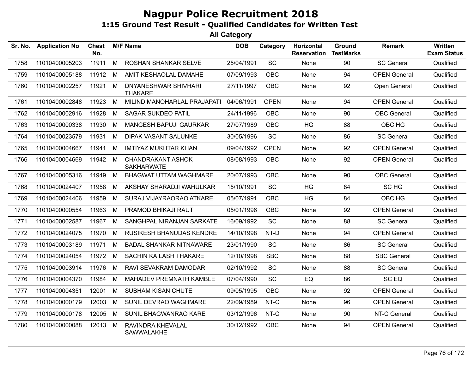| Sr. No. | <b>Application No</b> | Chest<br>No. |   | <b>M/F Name</b>                               | <b>DOB</b> | Category    | Horizontal<br><b>Reservation</b> | Ground<br><b>TestMarks</b> | <b>Remark</b>       | Written<br><b>Exam Status</b> |
|---------|-----------------------|--------------|---|-----------------------------------------------|------------|-------------|----------------------------------|----------------------------|---------------------|-------------------------------|
| 1758    | 11010400005203        | 11911        | M | ROSHAN SHANKAR SELVE                          | 25/04/1991 | SC          | None                             | 90                         | <b>SC General</b>   | Qualified                     |
| 1759    | 11010400005188        | 11912        | М | AMIT KESHAOLAL DAMAHE                         | 07/09/1993 | <b>OBC</b>  | None                             | 94                         | <b>OPEN General</b> | Qualified                     |
| 1760    | 11010400002257        | 11921        | M | DNYANESHWAR SHIVHARI<br><b>THAKARE</b>        | 27/11/1997 | <b>OBC</b>  | None                             | 92                         | Open General        | Qualified                     |
| 1761    | 11010400002848        | 11923        | M | MILIND MANOHARLAL PRAJAPATI                   | 04/06/1991 | <b>OPEN</b> | None                             | 94                         | <b>OPEN General</b> | Qualified                     |
| 1762    | 11010400002916        | 11928        | М | <b>SAGAR SUKDEO PATIL</b>                     | 24/11/1996 | <b>OBC</b>  | None                             | 90                         | <b>OBC</b> General  | Qualified                     |
| 1763    | 11010400000338        | 11930        | M | MANGESH BAPUJI GAURKAR                        | 27/07/1989 | <b>OBC</b>  | <b>HG</b>                        | 88                         | OBC HG              | Qualified                     |
| 1764    | 11010400023579        | 11931        | М | DIPAK VASANT SALUNKE                          | 30/05/1996 | SC          | None                             | 86                         | <b>SC General</b>   | Qualified                     |
| 1765    | 11010400004667        | 11941        | M | <b>IMTIYAZ MUKHTAR KHAN</b>                   | 09/04/1992 | <b>OPEN</b> | None                             | 92                         | <b>OPEN General</b> | Qualified                     |
| 1766    | 11010400004669        | 11942        | M | <b>CHANDRAKANT ASHOK</b><br><b>SAKHARWATE</b> | 08/08/1993 | <b>OBC</b>  | None                             | 92                         | <b>OPEN General</b> | Qualified                     |
| 1767    | 11010400005316        | 11949        | М | <b>BHAGWAT UTTAM WAGHMARE</b>                 | 20/07/1993 | <b>OBC</b>  | None                             | 90                         | <b>OBC</b> General  | Qualified                     |
| 1768    | 11010400024407        | 11958        | М | AKSHAY SHARADJI WAHULKAR                      | 15/10/1991 | <b>SC</b>   | HG                               | 84                         | SC HG               | Qualified                     |
| 1769    | 11010400024406        | 11959        | M | SURAJ VIJAYRAORAO ATKARE                      | 05/07/1991 | <b>OBC</b>  | <b>HG</b>                        | 84                         | OBC HG              | Qualified                     |
| 1770    | 11010400000554        | 11963        | M | PRAMOD BHIKAJI RAUT                           | 05/01/1996 | <b>OBC</b>  | None                             | 92                         | <b>OPEN General</b> | Qualified                     |
| 1771    | 11010400002587        | 11967        | M | SANGHPAL NIRANJAN SARKATE                     | 16/09/1992 | <b>SC</b>   | None                             | 88                         | <b>SC General</b>   | Qualified                     |
| 1772    | 11010400024075        | 11970        | M | RUSIKESH BHANUDAS KENDRE                      | 14/10/1998 | NT-D        | None                             | 94                         | <b>OPEN General</b> | Qualified                     |
| 1773    | 11010400003189        | 11971        | М | <b>BADAL SHANKAR NITNAWARE</b>                | 23/01/1990 | <b>SC</b>   | None                             | 86                         | <b>SC General</b>   | Qualified                     |
| 1774    | 11010400024054        | 11972        | М | SACHIN KAILASH THAKARE                        | 12/10/1998 | <b>SBC</b>  | None                             | 88                         | <b>SBC General</b>  | Qualified                     |
| 1775    | 11010400003914        | 11976        | М | RAVI SEVAKRAM DAMODAR                         | 02/10/1992 | <b>SC</b>   | None                             | 88                         | <b>SC General</b>   | Qualified                     |
| 1776    | 11010400004370        | 11984        | М | MAHADEV PREMNATH KAMBLE                       | 07/04/1990 | <b>SC</b>   | EQ                               | 86                         | SC <sub>EQ</sub>    | Qualified                     |
| 1777    | 11010400004351        | 12001        | M | <b>SUBHAM KISAN CHUTE</b>                     | 09/05/1995 | <b>OBC</b>  | None                             | 92                         | <b>OPEN General</b> | Qualified                     |
| 1778    | 11010400000179        | 12003        | М | SUNIL DEVRAO WAGHMARE                         | 22/09/1989 | NT-C        | None                             | 96                         | <b>OPEN General</b> | Qualified                     |
| 1779    | 11010400000178        | 12005        | M | SUNIL BHAGWANRAO KARE                         | 03/12/1996 | NT-C        | None                             | 90                         | NT-C General        | Qualified                     |
| 1780    | 11010400000088        | 12013        | M | RAVINDRA KHEVALAL<br>SAWWALAKHE               | 30/12/1992 | <b>OBC</b>  | None                             | 94                         | <b>OPEN General</b> | Qualified                     |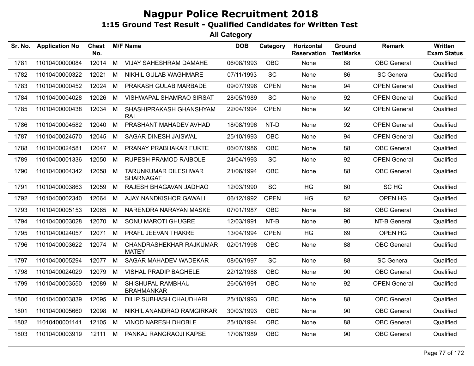| Sr. No. | <b>Application No</b> | <b>Chest</b><br>No. |   | <b>M/F Name</b>                                 | <b>DOB</b> | Category    | Horizontal<br><b>Reservation</b> | Ground<br><b>TestMarks</b> | <b>Remark</b>       | <b>Written</b><br><b>Exam Status</b> |
|---------|-----------------------|---------------------|---|-------------------------------------------------|------------|-------------|----------------------------------|----------------------------|---------------------|--------------------------------------|
| 1781    | 11010400000084        | 12014               | M | VIJAY SAHESHRAM DAMAHE                          | 06/08/1993 | OBC         | None                             | 88                         | <b>OBC</b> General  | Qualified                            |
| 1782    | 11010400000322        | 12021               | M | NIKHIL GULAB WAGHMARE                           | 07/11/1993 | SC          | None                             | 86                         | <b>SC General</b>   | Qualified                            |
| 1783    | 11010400000452        | 12024               | M | PRAKASH GULAB MARBADE                           | 09/07/1996 | <b>OPEN</b> | None                             | 94                         | <b>OPEN General</b> | Qualified                            |
| 1784    | 11010400004028        | 12026               | M | VISHWAPAL SHAMRAO SIRSAT                        | 28/05/1989 | SC          | None                             | 92                         | <b>OPEN General</b> | Qualified                            |
| 1785    | 11010400000438        | 12034               | M | SHASHIPRAKASH GHANSHYAM<br><b>RAI</b>           | 22/04/1994 | <b>OPEN</b> | None                             | 92                         | <b>OPEN General</b> | Qualified                            |
| 1786    | 11010400004582        | 12040               | M | PRASHANT MAHADEV AVHAD                          | 18/08/1996 | NT-D        | None                             | 92                         | <b>OPEN General</b> | Qualified                            |
| 1787    | 11010400024570        | 12045               | M | SAGAR DINESH JAISWAL                            | 25/10/1993 | OBC         | None                             | 94                         | <b>OPEN General</b> | Qualified                            |
| 1788    | 11010400024581        | 12047               | M | PRANAY PRABHAKAR FUKTE                          | 06/07/1986 | <b>OBC</b>  | None                             | 88                         | <b>OBC</b> General  | Qualified                            |
| 1789    | 11010400001336        | 12050               | M | RUPESH PRAMOD RAIBOLE                           | 24/04/1993 | SC          | None                             | 92                         | <b>OPEN General</b> | Qualified                            |
| 1790    | 11010400004342        | 12058               | M | <b>TARUNKUMAR DILESHWAR</b><br><b>SHARNAGAT</b> | 21/06/1994 | <b>OBC</b>  | None                             | 88                         | <b>OBC</b> General  | Qualified                            |
| 1791    | 11010400003863        | 12059               | M | RAJESH BHAGAVAN JADHAO                          | 12/03/1990 | SC          | HG                               | 80                         | SC HG               | Qualified                            |
| 1792    | 11010400002340        | 12064               | M | AJAY NANDKISHOR GAWALI                          | 06/12/1992 | <b>OPEN</b> | HG                               | 82                         | OPEN HG             | Qualified                            |
| 1793    | 11010400005153        | 12065               | M | NARENDRA NARAYAN MASKE                          | 07/01/1987 | <b>OBC</b>  | None                             | 88                         | <b>OBC</b> General  | Qualified                            |
| 1794    | 11010400003028        | 12070               | M | SONU MAROTI GHUGRE                              | 12/03/1991 | NT-B        | None                             | 90                         | NT-B General        | Qualified                            |
| 1795    | 11010400024057        | 12071               | M | PRAFL JEEVAN THAKRE                             | 13/04/1994 | <b>OPEN</b> | <b>HG</b>                        | 69                         | OPEN HG             | Qualified                            |
| 1796    | 11010400003622        | 12074               | M | CHANDRASHEKHAR RAJKUMAR<br><b>MATEY</b>         | 02/01/1998 | OBC         | None                             | 88                         | <b>OBC</b> General  | Qualified                            |
| 1797    | 11010400005294        | 12077               | M | SAGAR MAHADEV WADEKAR                           | 08/06/1997 | SC          | None                             | 88                         | <b>SC General</b>   | Qualified                            |
| 1798    | 11010400024029        | 12079               | M | <b>VISHAL PRADIP BAGHELE</b>                    | 22/12/1988 | <b>OBC</b>  | None                             | 90                         | <b>OBC</b> General  | Qualified                            |
| 1799    | 11010400003550        | 12089               | M | SHISHUPAL RAMBHAU<br><b>BRAHMANKAR</b>          | 26/06/1991 | <b>OBC</b>  | None                             | 92                         | <b>OPEN General</b> | Qualified                            |
| 1800    | 11010400003839        | 12095               | M | <b>DILIP SUBHASH CHAUDHARI</b>                  | 25/10/1993 | <b>OBC</b>  | None                             | 88                         | <b>OBC</b> General  | Qualified                            |
| 1801    | 11010400005660        | 12098               | M | NIKHIL ANANDRAO RAMGIRKAR                       | 30/03/1993 | <b>OBC</b>  | None                             | 90                         | <b>OBC</b> General  | Qualified                            |
| 1802    | 11010400001141        | 12105               | M | <b>VINOD NARESH DHOBLE</b>                      | 25/10/1994 | <b>OBC</b>  | None                             | 88                         | <b>OBC</b> General  | Qualified                            |
| 1803    | 11010400003919        | 12111               | M | PANKAJ RANGRAOJI KAPSE                          | 17/08/1989 | <b>OBC</b>  | <b>None</b>                      | 90                         | <b>OBC</b> General  | Qualified                            |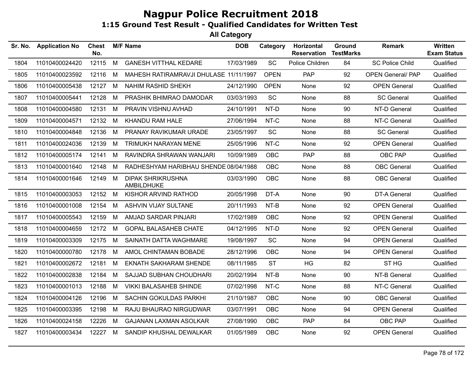| Sr. No. | <b>Application No</b> | <b>Chest</b><br>No. |   | <b>M/F Name</b>                        | <b>DOB</b> | Category    | Horizontal<br><b>Reservation</b> | Ground<br><b>TestMarks</b> | <b>Remark</b>            | <b>Written</b><br><b>Exam Status</b> |
|---------|-----------------------|---------------------|---|----------------------------------------|------------|-------------|----------------------------------|----------------------------|--------------------------|--------------------------------------|
| 1804    | 11010400024420        | 12115               | M | <b>GANESH VITTHAL KEDARE</b>           | 17/03/1989 | SC          | Police Children                  | 84                         | <b>SC Police Child</b>   | Qualified                            |
| 1805    | 11010400023592        | 12116               | M | MAHESH RATIRAMRAVJI DHULASE 11/11/1997 |            | <b>OPEN</b> | <b>PAP</b>                       | 92                         | <b>OPEN General/ PAP</b> | Qualified                            |
| 1806    | 11010400005438        | 12127               | M | NAHIM RASHID SHEKH                     | 24/12/1990 | <b>OPEN</b> | None                             | 92                         | <b>OPEN General</b>      | Qualified                            |
| 1807    | 11010400005441        | 12128               | M | PRASHIK BHIMRAO DAMODAR                | 03/03/1993 | SC          | None                             | 88                         | <b>SC General</b>        | Qualified                            |
| 1808    | 11010400004580        | 12131 M             |   | PRAVIN VISHNU AVHAD                    | 24/10/1991 | NT-D        | None                             | 90                         | NT-D General             | Qualified                            |
| 1809    | 11010400004571        | 12132               | M | KHANDU RAM HALE                        | 27/06/1994 | NT-C        | None                             | 88                         | NT-C General             | Qualified                            |
| 1810    | 11010400004848        | 12136               | M | PRANAY RAVIKUMAR URADE                 | 23/05/1997 | <b>SC</b>   | None                             | 88                         | <b>SC General</b>        | Qualified                            |
| 1811    | 11010400024036        | 12139               | M | TRIMUKH NARAYAN MENE                   | 25/05/1996 | NT-C        | None                             | 92                         | <b>OPEN General</b>      | Qualified                            |
| 1812    | 11010400005174        | 12141               | M | RAVINDRA SHRAWAN WANJARI               | 10/09/1989 | <b>OBC</b>  | <b>PAP</b>                       | 88                         | OBC PAP                  | Qualified                            |
| 1813    | 11010400001640        | 12148               | М | RADHESHYAM HARIBHAU SHENDE 08/04/1988  |            | <b>OBC</b>  | None                             | 88                         | <b>OBC</b> General       | Qualified                            |
| 1814    | 11010400001646        | 12149 M             |   | <b>DIPAK SHRIKRUSHNA</b><br>AMBILDHUKE | 03/03/1990 | <b>OBC</b>  | None                             | 88                         | <b>OBC</b> General       | Qualified                            |
| 1815    | 11010400003053        | 12152               | M | KISHOR ARVIND RATHOD                   | 20/05/1998 | DT-A        | None                             | 90                         | <b>DT-A General</b>      | Qualified                            |
| 1816    | 11010400001008        | 12154               | M | <b>ASHVIN VIJAY SULTANE</b>            | 20/11/1993 | NT-B        | None                             | 92                         | <b>OPEN General</b>      | Qualified                            |
| 1817    | 11010400005543        | 12159               | M | AMJAD SARDAR PINJARI                   | 17/02/1989 | <b>OBC</b>  | None                             | 92                         | <b>OPEN General</b>      | Qualified                            |
| 1818    | 11010400004659        | 12172 M             |   | <b>GOPAL BALASAHEB CHATE</b>           | 04/12/1995 | NT-D        | None                             | 92                         | <b>OPEN General</b>      | Qualified                            |
| 1819    | 11010400003309        | 12175 M             |   | SAINATH DATTA WAGHMARE                 | 19/08/1997 | <b>SC</b>   | None                             | 94                         | <b>OPEN General</b>      | Qualified                            |
| 1820    | 11010400000780        | 12178               | M | AMOL CHINTAMAN BOBADE                  | 28/12/1996 | <b>OBC</b>  | None                             | 94                         | <b>OPEN General</b>      | Qualified                            |
| 1821    | 11010400002672        | 12181               | M | <b>EKNATH SAKHARAM SHENDE</b>          | 08/11/1985 | <b>ST</b>   | HG                               | 82                         | ST <sub>HG</sub>         | Qualified                            |
| 1822    | 11010400002838        | 12184               | M | SAJJAD SUBHAN CHOUDHARI                | 20/02/1994 | NT-B        | None                             | 90                         | NT-B General             | Qualified                            |
| 1823    | 11010400001013        | 12188               | M | <b>VIKKI BALASAHEB SHINDE</b>          | 07/02/1998 | NT-C        | None                             | 88                         | NT-C General             | Qualified                            |
| 1824    | 11010400004126        | 12196               | M | SACHIN GOKULDAS PARKHI                 | 21/10/1987 | <b>OBC</b>  | None                             | 90                         | <b>OBC</b> General       | Qualified                            |
| 1825    | 11010400003395        | 12198               | М | RAJU BHAURAO NIRGUDWAR                 | 03/07/1991 | <b>OBC</b>  | None                             | 94                         | <b>OPEN General</b>      | Qualified                            |
| 1826    | 11010400024158        | 12226               | M | <b>GAJANAN LAXMAN ASOLKAR</b>          | 27/08/1990 | <b>OBC</b>  | <b>PAP</b>                       | 84                         | OBC PAP                  | Qualified                            |
| 1827    | 11010400003434        | 12227               | M | SANDIP KHUSHAL DEWALKAR                | 01/05/1989 | <b>OBC</b>  | None                             | 92                         | <b>OPEN General</b>      | Qualified                            |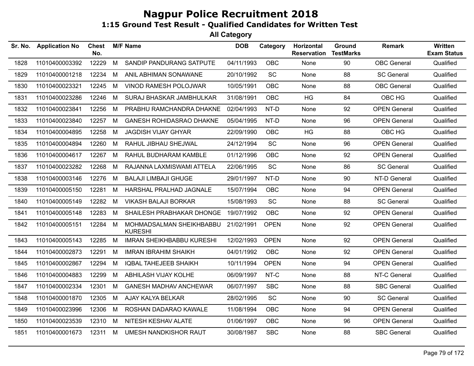| Sr. No. | <b>Application No</b> | <b>Chest</b><br>No. |   | <b>M/F Name</b>                            | <b>DOB</b> | Category    | Horizontal<br><b>Reservation</b> | Ground<br><b>TestMarks</b> | <b>Remark</b>       | Written<br><b>Exam Status</b> |
|---------|-----------------------|---------------------|---|--------------------------------------------|------------|-------------|----------------------------------|----------------------------|---------------------|-------------------------------|
| 1828    | 11010400003392        | 12229               | M | SANDIP PANDURANG SATPUTE                   | 04/11/1993 | OBC         | None                             | 90                         | <b>OBC</b> General  | Qualified                     |
| 1829    | 11010400001218        | 12234               | M | ANIL ABHIMAN SONAWANE                      | 20/10/1992 | SC          | None                             | 88                         | <b>SC General</b>   | Qualified                     |
| 1830    | 11010400023321        | 12245               | M | VINOD RAMESH POLOJWAR                      | 10/05/1991 | <b>OBC</b>  | None                             | 88                         | <b>OBC</b> General  | Qualified                     |
| 1831    | 11010400023286        | 12246               | М | SURAJ BHASKAR JAMBHULKAR                   | 31/08/1991 | <b>OBC</b>  | HG                               | 84                         | OBC HG              | Qualified                     |
| 1832    | 11010400023841        | 12256               | M | PRABHU RAMCHANDRA DHAKNE                   | 02/04/1993 | NT-D        | None                             | 92                         | <b>OPEN General</b> | Qualified                     |
| 1833    | 11010400023840        | 12257               | M | <b>GANESH ROHIDASRAO DHAKNE</b>            | 05/04/1995 | NT-D        | None                             | 96                         | <b>OPEN General</b> | Qualified                     |
| 1834    | 11010400004895        | 12258               | M | <b>JAGDISH VIJAY GHYAR</b>                 | 22/09/1990 | OBC         | HG                               | 88                         | OBC HG              | Qualified                     |
| 1835    | 11010400004894        | 12260               | M | RAHUL JIBHAU SHEJWAL                       | 24/12/1994 | SC          | None                             | 96                         | <b>OPEN General</b> | Qualified                     |
| 1836    | 11010400004617        | 12267               | М | RAHUL BUDHARAM KAMBLE                      | 01/12/1996 | <b>OBC</b>  | None                             | 92                         | <b>OPEN General</b> | Qualified                     |
| 1837    | 11010400023282        | 12268               | M | RAJANNA LAXMISWAMI ATTELA                  | 22/06/1995 | SC          | None                             | 86                         | <b>SC General</b>   | Qualified                     |
| 1838    | 11010400003146        | 12276               | M | <b>BALAJI LIMBAJI GHUGE</b>                | 29/01/1997 | NT-D        | None                             | 90                         | NT-D General        | Qualified                     |
| 1839    | 11010400005150        | 12281               | M | HARSHAL PRALHAD JAGNALE                    | 15/07/1994 | OBC         | None                             | 94                         | <b>OPEN General</b> | Qualified                     |
| 1840    | 11010400005149        | 12282               | M | <b>VIKASH BALAJI BORKAR</b>                | 15/08/1993 | <b>SC</b>   | None                             | 88                         | <b>SC General</b>   | Qualified                     |
| 1841    | 11010400005148        | 12283               | M | SHAILESH PRABHAKAR DHONGE                  | 19/07/1992 | OBC         | None                             | 92                         | <b>OPEN General</b> | Qualified                     |
| 1842    | 11010400005151        | 12284               | M | MOHMADSALMAN SHEIKHBABBU<br><b>KURESHI</b> | 21/02/1991 | <b>OPEN</b> | None                             | 92                         | <b>OPEN General</b> | Qualified                     |
| 1843    | 11010400005143        | 12285               | M | <b>IMRAN SHEIKHBABBU KURESHI</b>           | 12/02/1993 | <b>OPEN</b> | None                             | 92                         | <b>OPEN General</b> | Qualified                     |
| 1844    | 11010400002873        | 12291               | M | <b>IMRAN IBRAHIM SHAIKH</b>                | 04/01/1992 | OBC         | None                             | 92                         | <b>OPEN General</b> | Qualified                     |
| 1845    | 11010400002867        | 12294               | M | <b>IQBAL TAHEJEEB SHAIKH</b>               | 10/11/1994 | <b>OPEN</b> | None                             | 94                         | <b>OPEN General</b> | Qualified                     |
| 1846    | 11010400004883        | 12299               | M | ABHILASH VIJAY KOLHE                       | 06/09/1997 | NT-C        | None                             | 88                         | NT-C General        | Qualified                     |
| 1847    | 11010400002334        | 12301               | M | <b>GANESH MADHAV ANCHEWAR</b>              | 06/07/1997 | <b>SBC</b>  | None                             | 88                         | <b>SBC General</b>  | Qualified                     |
| 1848    | 11010400001870        | 12305               | M | AJAY KALYA BELKAR                          | 28/02/1995 | SC          | None                             | 90                         | <b>SC General</b>   | Qualified                     |
| 1849    | 11010400023996        | 12306               | M | ROSHAN DADARAO KAWALE                      | 11/08/1994 | <b>OBC</b>  | None                             | 94                         | <b>OPEN General</b> | Qualified                     |
| 1850    | 11010400023539        | 12310               | M | NITESH KESHAV ALATE                        | 01/06/1997 | OBC         | None                             | 96                         | <b>OPEN General</b> | Qualified                     |
| 1851    | 11010400001673        | 12311               | M | UMESH NANDKISHOR RAUT                      | 30/08/1987 | <b>SBC</b>  | None                             | 88                         | <b>SBC General</b>  | Qualified                     |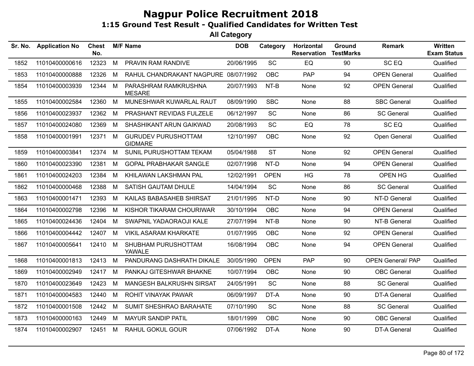| Sr. No. | <b>Application No</b> | <b>Chest</b><br>No. |   | <b>M/F Name</b>                              | <b>DOB</b> | Category    | Horizontal<br><b>Reservation</b> | Ground<br><b>TestMarks</b> | <b>Remark</b>            | <b>Written</b><br><b>Exam Status</b> |
|---------|-----------------------|---------------------|---|----------------------------------------------|------------|-------------|----------------------------------|----------------------------|--------------------------|--------------------------------------|
| 1852    | 11010400000616        | 12323               | M | PRAVIN RAM RANDIVE                           | 20/06/1995 | SC          | EQ                               | 90                         | SC <sub>EQ</sub>         | Qualified                            |
| 1853    | 11010400000888        | 12326               | M | RAHUL CHANDRAKANT NAGPURE 08/07/1992         |            | <b>OBC</b>  | <b>PAP</b>                       | 94                         | <b>OPEN General</b>      | Qualified                            |
| 1854    | 11010400003939        | 12344               | M | PARASHRAM RAMKRUSHNA<br><b>MESARE</b>        | 20/07/1993 | NT-B        | None                             | 92                         | <b>OPEN General</b>      | Qualified                            |
| 1855    | 11010400002584        | 12360               | M | MUNESHWAR KUWARLAL RAUT                      | 08/09/1990 | <b>SBC</b>  | None                             | 88                         | <b>SBC General</b>       | Qualified                            |
| 1856    | 11010400023937        | 12362               | M | PRASHANT REVIDAS FULZELE                     | 06/12/1997 | SC          | None                             | 86                         | <b>SC General</b>        | Qualified                            |
| 1857    | 11010400024080        | 12369               | M | SHASHIKANT ARUN GAIKWAD                      | 20/08/1993 | SC          | EQ                               | 78                         | SC EQ                    | Qualified                            |
| 1858    | 11010400001991        | 12371               | M | <b>GURUDEV PURUSHOTTAM</b><br><b>GIDMARE</b> | 12/10/1997 | <b>OBC</b>  | None                             | 92                         | Open General             | Qualified                            |
| 1859    | 11010400003841        | 12374               | M | SUNIL PURUSHOTTAM TEKAM                      | 05/04/1988 | <b>ST</b>   | None                             | 92                         | <b>OPEN General</b>      | Qualified                            |
| 1860    | 11010400023390        | 12381               | M | <b>GOPAL PRABHAKAR SANGLE</b>                | 02/07/1998 | NT-D        | None                             | 94                         | <b>OPEN General</b>      | Qualified                            |
| 1861    | 11010400024203        | 12384               | M | KHILAWAN LAKSHMAN PAL                        | 12/02/1991 | <b>OPEN</b> | <b>HG</b>                        | 78                         | OPEN HG                  | Qualified                            |
| 1862    | 11010400000468        | 12388               | M | SATISH GAUTAM DHULE                          | 14/04/1994 | SC          | None                             | 86                         | <b>SC General</b>        | Qualified                            |
| 1863    | 11010400001471        | 12393               | M | KAILAS BABASAHEB SHIRSAT                     | 21/01/1995 | NT-D        | None                             | 90                         | NT-D General             | Qualified                            |
| 1864    | 11010400002798        | 12396               | M | KISHOR TIKARAM CHOURIWAR                     | 30/10/1994 | <b>OBC</b>  | None                             | 94                         | <b>OPEN General</b>      | Qualified                            |
| 1865    | 11010400024436        | 12404               | M | SWAPNIL YADAORAOJI KALE                      | 27/07/1994 | NT-B        | None                             | 90                         | NT-B General             | Qualified                            |
| 1866    | 11010400004442        | 12407               | M | <b>VIKIL ASARAM KHARKATE</b>                 | 01/07/1995 | <b>OBC</b>  | None                             | 92                         | <b>OPEN General</b>      | Qualified                            |
| 1867    | 11010400005641        | 12410               | M | SHUBHAM PURUSHOTTAM<br>YAWALE                | 16/08/1994 | <b>OBC</b>  | None                             | 94                         | <b>OPEN General</b>      | Qualified                            |
| 1868    | 11010400001813        | 12413               | M | PANDURANG DASHRATH DIKALE                    | 30/05/1990 | <b>OPEN</b> | <b>PAP</b>                       | 90                         | <b>OPEN General/ PAP</b> | Qualified                            |
| 1869    | 11010400002949        | 12417               | M | PANKAJ GITESHWAR BHAKNE                      | 10/07/1994 | <b>OBC</b>  | None                             | 90                         | <b>OBC</b> General       | Qualified                            |
| 1870    | 11010400023649        | 12423               | M | <b>MANGESH BALKRUSHN SIRSAT</b>              | 24/05/1991 | SC          | None                             | 88                         | <b>SC General</b>        | Qualified                            |
| 1871    | 11010400004583        | 12440               | M | ROHIT VINAYAK PAWAR                          | 06/09/1997 | DT-A        | None                             | 90                         | DT-A General             | Qualified                            |
| 1872    | 11010400001508        | 12442               | M | SUMIT SHESHRAO BARAHATE                      | 07/10/1990 | SC          | None                             | 88                         | <b>SC General</b>        | Qualified                            |
| 1873    | 11010400000163        | 12449               | M | <b>MAYUR SANDIP PATIL</b>                    | 18/01/1999 | OBC         | None                             | 90                         | <b>OBC</b> General       | Qualified                            |
| 1874    | 11010400002907        | 12451               | M | <b>RAHUL GOKUL GOUR</b>                      | 07/06/1992 | DT-A        | None                             | 90                         | <b>DT-A General</b>      | Qualified                            |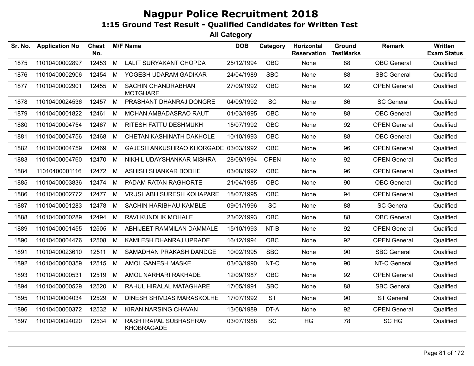| Sr. No. | <b>Application No</b> | <b>Chest</b><br>No. |   | <b>M/F Name</b>                            | <b>DOB</b> | Category    | Horizontal<br><b>Reservation</b> | Ground<br><b>TestMarks</b> | <b>Remark</b>       | Written<br><b>Exam Status</b> |
|---------|-----------------------|---------------------|---|--------------------------------------------|------------|-------------|----------------------------------|----------------------------|---------------------|-------------------------------|
| 1875    | 11010400002897        | 12453               | M | <b>LALIT SURYAKANT CHOPDA</b>              | 25/12/1994 | OBC         | None                             | 88                         | <b>OBC</b> General  | Qualified                     |
| 1876    | 11010400002906        | 12454               | M | YOGESH UDARAM GADIKAR                      | 24/04/1989 | <b>SBC</b>  | None                             | 88                         | <b>SBC General</b>  | Qualified                     |
| 1877    | 11010400002901        | 12455               | M | SACHIN CHANDRABHAN<br><b>MOTGHARE</b>      | 27/09/1992 | OBC         | None                             | 92                         | <b>OPEN General</b> | Qualified                     |
| 1878    | 11010400024536        | 12457               | M | PRASHANT DHANRAJ DONGRE                    | 04/09/1992 | SC          | None                             | 86                         | <b>SC General</b>   | Qualified                     |
| 1879    | 11010400001822        | 12461               | M | MOHAN AMBADASRAO RAUT                      | 01/03/1995 | <b>OBC</b>  | None                             | 88                         | <b>OBC</b> General  | Qualified                     |
| 1880    | 11010400004754        | 12467               | M | RITESH FATTU DESHMUKH                      | 15/07/1992 | OBC         | None                             | 92                         | <b>OPEN General</b> | Qualified                     |
| 1881    | 11010400004756        | 12468               | M | <b>CHETAN KASHINATH DAKHOLE</b>            | 10/10/1993 | <b>OBC</b>  | None                             | 88                         | <b>OBC</b> General  | Qualified                     |
| 1882    | 11010400004759        | 12469               | M | GAJESH ANKUSHRAO KHORGADE 03/03/1992       |            | OBC         | None                             | 96                         | <b>OPEN General</b> | Qualified                     |
| 1883    | 11010400004760        | 12470               | M | NIKHIL UDAYSHANKAR MISHRA                  | 28/09/1994 | <b>OPEN</b> | None                             | 92                         | <b>OPEN General</b> | Qualified                     |
| 1884    | 11010400001116        | 12472               | M | ASHISH SHANKAR BODHE                       | 03/08/1992 | <b>OBC</b>  | None                             | 96                         | <b>OPEN General</b> | Qualified                     |
| 1885    | 11010400003836        | 12474               | M | PADAM RATAN RAGHORTE                       | 21/04/1985 | <b>OBC</b>  | None                             | 90                         | <b>OBC</b> General  | Qualified                     |
| 1886    | 11010400002772        | 12477               | M | <b>VRUSHABH SURESH KOHAPARE</b>            | 18/07/1995 | OBC         | None                             | 94                         | <b>OPEN General</b> | Qualified                     |
| 1887    | 11010400001283        | 12478               | M | SACHIN HARIBHAU KAMBLE                     | 09/01/1996 | SC          | None                             | 88                         | <b>SC General</b>   | Qualified                     |
| 1888    | 11010400000289        | 12494               | M | RAVI KUNDLIK MOHALE                        | 23/02/1993 | <b>OBC</b>  | None                             | 88                         | <b>OBC</b> General  | Qualified                     |
| 1889    | 11010400001455        | 12505               | M | ABHIJEET RAMMILAN DAMMALE                  | 15/10/1993 | NT-B        | None                             | 92                         | <b>OPEN General</b> | Qualified                     |
| 1890    | 11010400004476        | 12508               | M | KAMLESH DHANRAJ UPRADE                     | 16/12/1994 | <b>OBC</b>  | None                             | 92                         | <b>OPEN General</b> | Qualified                     |
| 1891    | 11010400023610        | 12511               | M | SAMADHAN PRAKASH DANDGE                    | 10/02/1995 | <b>SBC</b>  | None                             | 90                         | <b>SBC General</b>  | Qualified                     |
| 1892    | 11010400000359        | 12515               | M | AMOL GANESH MASKE                          | 03/03/1990 | NT-C        | None                             | 90                         | NT-C General        | Qualified                     |
| 1893    | 11010400000531        | 12519               | M | AMOL NARHARI RAKHADE                       | 12/09/1987 | OBC         | None                             | 92                         | <b>OPEN General</b> | Qualified                     |
| 1894    | 11010400000529        | 12520               | M | RAHUL HIRALAL MATAGHARE                    | 17/05/1991 | <b>SBC</b>  | None                             | 88                         | <b>SBC General</b>  | Qualified                     |
| 1895    | 11010400004034        | 12529               | M | DINESH SHIVDAS MARASKOLHE                  | 17/07/1992 | <b>ST</b>   | None                             | 90                         | <b>ST General</b>   | Qualified                     |
| 1896    | 11010400000372        | 12532               | M | KIRAN NARSING CHAVAN                       | 13/08/1989 | DT-A        | None                             | 92                         | <b>OPEN General</b> | Qualified                     |
| 1897    | 11010400024020        | 12534               | M | RASHTRAPAL SUBHASHRAV<br><b>KHOBRAGADE</b> | 03/07/1988 | <b>SC</b>   | HG                               | 78                         | SC HG               | Qualified                     |
|         |                       |                     |   |                                            |            |             |                                  |                            |                     |                               |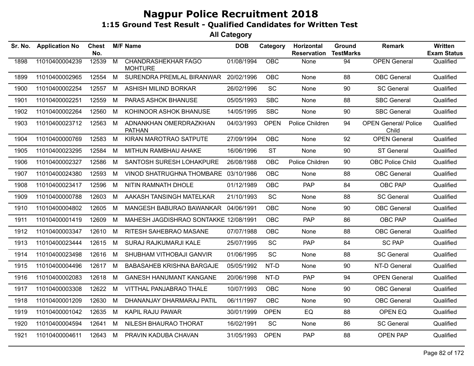| Sr. No. | <b>Application No</b> | Chest<br>No. |                | <b>M/F Name</b>                              | <b>DOB</b> | Category    | Horizontal<br><b>Reservation</b> | Ground<br><b>TestMarks</b> | <b>Remark</b>                        | Written<br><b>Exam Status</b> |
|---------|-----------------------|--------------|----------------|----------------------------------------------|------------|-------------|----------------------------------|----------------------------|--------------------------------------|-------------------------------|
| 1898    | 11010400004239        | 12539        | $\overline{M}$ | <b>CHANDRASHEKHAR FAGO</b><br><b>MOHTURE</b> | 01/08/1994 | OBC         | None                             | 94                         | <b>OPEN General</b>                  | Qualified                     |
| 1899    | 11010400002965        | 12554        | M              | SURENDRA PREMLAL BIRANWAR                    | 20/02/1996 | <b>OBC</b>  | None                             | 88                         | <b>OBC</b> General                   | Qualified                     |
| 1900    | 11010400002254        | 12557        | M              | ASHISH MILIND BORKAR                         | 26/02/1996 | SC          | None                             | 90                         | <b>SC General</b>                    | Qualified                     |
| 1901    | 11010400002251        | 12559        | M              | PARAS ASHOK BHANUSE                          | 05/05/1993 | <b>SBC</b>  | <b>None</b>                      | 88                         | <b>SBC General</b>                   | Qualified                     |
| 1902    | 11010400002264        | 12560        | M              | KOHINOOR ASHOK BHANUSE                       | 14/05/1995 | <b>SBC</b>  | None                             | 90                         | <b>SBC General</b>                   | Qualified                     |
| 1903    | 11010400023712        | 12563        | M              | ADNANKHAN OMERDRAZKHAN<br><b>PATHAN</b>      | 04/03/1993 | <b>OPEN</b> | Police Children                  | 94                         | <b>OPEN General/ Police</b><br>Child | Qualified                     |
| 1904    | 11010400000769        | 12583        | M              | KIRAN MAROTRAO SATPUTE                       | 27/09/1994 | <b>OBC</b>  | None                             | 92                         | <b>OPEN General</b>                  | Qualified                     |
| 1905    | 11010400023295        | 12584        | M              | MITHUN RAMBHAU AHAKE                         | 16/06/1996 | <b>ST</b>   | None                             | 90                         | <b>ST General</b>                    | Qualified                     |
| 1906    | 11010400002327        | 12586        | M              | SANTOSH SURESH LOHAKPURE                     | 26/08/1988 | <b>OBC</b>  | Police Children                  | 90                         | <b>OBC Police Child</b>              | Qualified                     |
| 1907    | 11010400024380        | 12593        | M              | VINOD SHATRUGHNA THOMBARE 03/10/1986         |            | OBC         | None                             | 88                         | <b>OBC</b> General                   | Qualified                     |
| 1908    | 11010400023417        | 12596        | M              | NITIN RAMNATH DHOLE                          | 01/12/1989 | <b>OBC</b>  | <b>PAP</b>                       | 84                         | OBC PAP                              | Qualified                     |
| 1909    | 11010400000788        | 12603        | M              | AAKASH TANSINGH MATELKAR                     | 21/10/1993 | SC          | None                             | 88                         | <b>SC General</b>                    | Qualified                     |
| 1910    | 11010400004802        | 12605        | M              | MANGESH BABURAO BAWANKAR                     | 04/06/1991 | <b>OBC</b>  | None                             | 90                         | <b>OBC</b> General                   | Qualified                     |
| 1911    | 11010400001419        | 12609        | M              | MAHESH JAGDISHRAO SONTAKKE 12/08/1991        |            | <b>OBC</b>  | <b>PAP</b>                       | 86                         | OBC PAP                              | Qualified                     |
| 1912    | 11010400003347        | 12610        | M              | RITESH SAHEBRAO MASANE                       | 07/07/1988 | OBC         | None                             | 88                         | <b>OBC</b> General                   | Qualified                     |
| 1913    | 11010400023444        | 12615        | M              | SURAJ RAJKUMARJI KALE                        | 25/07/1995 | SC          | <b>PAP</b>                       | 84                         | <b>SC PAP</b>                        | Qualified                     |
| 1914    | 11010400023498        | 12616        | M              | SHUBHAM VITHOBAJI GANVIR                     | 01/06/1995 | SC          | None                             | 88                         | <b>SC General</b>                    | Qualified                     |
| 1915    | 11010400004496        | 12617        | M              | <b>BABASAHEB KRISHNA BARGAJE</b>             | 05/05/1992 | NT-D        | None                             | 90                         | NT-D General                         | Qualified                     |
| 1916    | 11010400002083        | 12618        | M              | <b>GANESH HANUMANT KANGANE</b>               | 20/06/1998 | NT-D        | <b>PAP</b>                       | 94                         | <b>OPEN General</b>                  | Qualified                     |
| 1917    | 11010400003308        | 12622        | M              | VITTHAL PANJABRAO THALE                      | 10/07/1993 | <b>OBC</b>  | None                             | 90                         | <b>OBC</b> General                   | Qualified                     |
| 1918    | 11010400001209        | 12630        | M              | DHANANJAY DHARMARAJ PATIL                    | 06/11/1997 | OBC         | None                             | 90                         | <b>OBC</b> General                   | Qualified                     |
| 1919    | 11010400001042        | 12635        | M              | KAPIL RAJU PAWAR                             | 30/01/1999 | <b>OPEN</b> | EQ                               | 88                         | OPEN EQ                              | Qualified                     |
| 1920    | 11010400004594        | 12641        | M              | NILESH BHAURAO THORAT                        | 16/02/1991 | SC          | None                             | 86                         | <b>SC General</b>                    | Qualified                     |
| 1921    | 11010400004611        | 12643        | M              | PRAVIN KADUBA CHAVAN                         | 31/05/1993 | <b>OPEN</b> | <b>PAP</b>                       | 88                         | <b>OPEN PAP</b>                      | Qualified                     |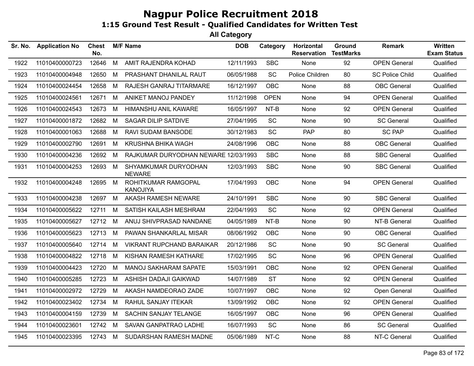| <b>Application No</b> | <b>Chest</b><br>No. |     |                                                   | <b>DOB</b>      | Category                             | Horizontal<br><b>Reservation</b>       | Ground<br><b>TestMarks</b> | <b>Remark</b>          | Written<br><b>Exam Status</b> |
|-----------------------|---------------------|-----|---------------------------------------------------|-----------------|--------------------------------------|----------------------------------------|----------------------------|------------------------|-------------------------------|
| 11010400000723        | 12646               | M   | AMIT RAJENDRA KOHAD                               | 12/11/1993      | <b>SBC</b>                           | None                                   | 92                         | <b>OPEN General</b>    | Qualified                     |
| 11010400004948        | 12650               | M   | PRASHANT DHANILAL RAUT                            | 06/05/1988      | <b>SC</b>                            | Police Children                        | 80                         | <b>SC Police Child</b> | Qualified                     |
| 11010400024454        | 12658               | M   | <b>RAJESH GANRAJ TITARMARE</b>                    | 16/12/1997      | <b>OBC</b>                           | <b>None</b>                            | 88                         | <b>OBC</b> General     | Qualified                     |
| 11010400024561        | 12671               | M   | ANIKET MANOJ PANDEY                               |                 | <b>OPEN</b>                          | None                                   | 94                         | <b>OPEN General</b>    | Qualified                     |
| 11010400024543        | 12673               | M   | HIMANSHU ANIL KAWARE                              | 16/05/1997      | NT-B                                 | None                                   | 92                         | <b>OPEN General</b>    | Qualified                     |
| 11010400001872        | 12682               | M   | <b>SAGAR DILIP SATDIVE</b>                        | 27/04/1995      | SC                                   | None                                   | 90                         | <b>SC General</b>      | Qualified                     |
| 11010400001063        | 12688               | M   | RAVI SUDAM BANSODE                                | 30/12/1983      | SC                                   | <b>PAP</b>                             | 80                         | <b>SC PAP</b>          | Qualified                     |
| 11010400002790        | 12691               | M   | <b>KRUSHNA BHIKA WAGH</b>                         | 24/08/1996      | <b>OBC</b>                           | None                                   | 88                         | <b>OBC</b> General     | Qualified                     |
| 11010400004236        | 12692               | M   |                                                   |                 | <b>SBC</b>                           | None                                   | 88                         | <b>SBC General</b>     | Qualified                     |
| 11010400004253        |                     |     | SHYAMKUMAR DURYODHAN<br><b>NEWARE</b>             | 12/03/1993      | <b>SBC</b>                           | None                                   | 90                         | <b>SBC General</b>     | Qualified                     |
| 11010400004248        |                     |     | ROHITKUMAR RAMGOPAL<br><b>KANOJIYA</b>            |                 | <b>OBC</b>                           | None                                   | 94                         | <b>OPEN General</b>    | Qualified                     |
| 11010400004238        | 12697               | M   | AKASH RAMESH NEWARE                               | 24/10/1991      | <b>SBC</b>                           | None                                   | 90                         | <b>SBC General</b>     | Qualified                     |
| 11010400005622        | 12711               | M   | SATISH KAILASH MESHRAM                            | 22/04/1993      | SC                                   | None                                   | 92                         | <b>OPEN General</b>    | Qualified                     |
| 11010400005627        | 12712               | M   | ANUJ SHIVPRASAD NANDANE                           | 04/05/1989      | NT-B                                 | None                                   | 90                         | NT-B General           | Qualified                     |
| 11010400005623        | 12713               | M   | PAWAN SHANKARLAL MISAR                            | 08/06/1992      | <b>OBC</b>                           | None                                   | 90                         | <b>OBC</b> General     | Qualified                     |
| 11010400005640        |                     | - M | <b>VIKRANT RUPCHAND BARAIKAR</b>                  | 20/12/1986      | SC                                   | None                                   | 90                         | <b>SC General</b>      | Qualified                     |
| 11010400004822        | 12718               | M   | KISHAN RAMESH KATHARE                             | 17/02/1995      | SC                                   | None                                   | 96                         | <b>OPEN General</b>    | Qualified                     |
| 11010400004423        | 12720               | M   | <b>MANOJ SAKHARAM SAPATE</b>                      | 15/03/1991      | <b>OBC</b>                           | None                                   | 92                         | <b>OPEN General</b>    | Qualified                     |
| 11010400005285        | 12723               | M   | ASHISH DADAJI GAIKWAD                             | 14/07/1989      | <b>ST</b>                            | None                                   | 92                         | <b>OPEN General</b>    | Qualified                     |
| 11010400002972        | 12729               | M   | AKASH NAMDEORAO ZADE                              | 10/07/1997      | <b>OBC</b>                           | None                                   | 92                         | Open General           | Qualified                     |
| 11010400023402        | 12734               | M   | RAHUL SANJAY ITEKAR                               | 13/09/1992      | <b>OBC</b>                           | None                                   | 92                         | <b>OPEN General</b>    | Qualified                     |
| 11010400004159        | 12739               | M   | SACHIN SANJAY TELANGE                             | 16/05/1997      | OBC                                  | None                                   | 96                         | <b>OPEN General</b>    | Qualified                     |
| 11010400023601        |                     |     | SAVAN GANPATRAO LADHE                             | 16/07/1993      | SC                                   | None                                   | 86                         | <b>SC General</b>      | Qualified                     |
| 11010400023395        |                     |     | SUDARSHAN RAMESH MADNE                            |                 | NT-C                                 | None                                   | 88                         | NT-C General           | Qualified                     |
|                       |                     |     | 12693 M<br>12695 M<br>12714<br>12742 M<br>12743 M | <b>M/F Name</b> | RAJKUMAR DURYODHAN NEWARE 12/03/1993 | 11/12/1998<br>17/04/1993<br>05/06/1989 |                            |                        |                               |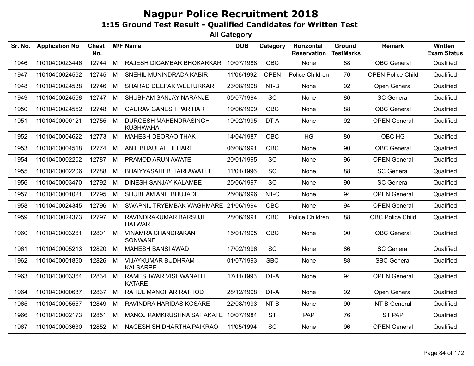| Sr. No. | <b>Application No</b> | <b>Chest</b><br>No. |             | <b>M/F Name</b>                          | <b>DOB</b> | Category    | Horizontal<br><b>Reservation</b> | <b>Ground</b><br><b>TestMarks</b> | <b>Remark</b>            | <b>Written</b><br><b>Exam Status</b> |
|---------|-----------------------|---------------------|-------------|------------------------------------------|------------|-------------|----------------------------------|-----------------------------------|--------------------------|--------------------------------------|
| 1946    | 11010400023446        | 12744               | M           | RAJESH DIGAMBAR BHOKARKAR                | 10/07/1988 | <b>OBC</b>  | None                             | 88                                | <b>OBC</b> General       | Qualified                            |
| 1947    | 11010400024562        | 12745               | M           | SNEHIL MUNINDRADA KABIR                  | 11/06/1992 | <b>OPEN</b> | Police Children                  | 70                                | <b>OPEN Police Child</b> | Qualified                            |
| 1948    | 11010400024538        | 12746               | M           | SHARAD DEEPAK WELTURKAR                  | 23/08/1998 | NT-B        | None                             | 92                                | Open General             | Qualified                            |
| 1949    | 11010400024558        | 12747               | M           | SHUBHAM SANJAY NARANJE                   | 05/07/1994 | SC          | None                             | 86                                | <b>SC General</b>        | Qualified                            |
| 1950    | 11010400024552        | 12748               | M           | <b>GAURAV GANESH PARIHAR</b>             | 19/06/1999 | <b>OBC</b>  | None                             | 88                                | <b>OBC</b> General       | Qualified                            |
| 1951    | 11010400000121        | 12755               | $M_{\odot}$ | DURGESH MAHENDRASINGH<br><b>KUSHWAHA</b> | 19/02/1995 | DT-A        | None                             | 92                                | <b>OPEN General</b>      | Qualified                            |
| 1952    | 11010400004622        | 12773               | M           | MAHESH DEORAO THAK                       | 14/04/1987 | <b>OBC</b>  | HG                               | 80                                | OBC HG                   | Qualified                            |
| 1953    | 11010400004518        | 12774               | M           | ANIL BHAULAL LILHARE                     | 06/08/1991 | OBC         | None                             | 90                                | <b>OBC</b> General       | Qualified                            |
| 1954    | 11010400002202        | 12787               | M           | PRAMOD ARUN AWATE                        | 20/01/1995 | SC          | None                             | 96                                | <b>OPEN General</b>      | Qualified                            |
| 1955    | 11010400002206        | 12788               | M           | BHAIYYASAHEB HARI AWATHE                 | 11/01/1996 | SC          | None                             | 88                                | <b>SC General</b>        | Qualified                            |
| 1956    | 11010400003470        | 12792               | M           | <b>DINESH SANJAY KALAMBE</b>             | 25/06/1997 | <b>SC</b>   | None                             | 90                                | <b>SC General</b>        | Qualified                            |
| 1957    | 11010400001021        | 12795               | M           | SHUBHAM ANIL BHUJADE                     | 25/08/1996 | NT-C        | None                             | 94                                | <b>OPEN General</b>      | Qualified                            |
| 1958    | 11010400024345        | 12796               | - M         | SWAPNIL TRYEMBAK WAGHMARE 21/06/1994     |            | <b>OBC</b>  | None                             | 94                                | <b>OPEN General</b>      | Qualified                            |
| 1959    | 11010400024373        | 12797 M             |             | RAVINDRAKUMAR BARSUJI<br><b>HATWAR</b>   | 28/06/1991 | OBC         | Police Children                  | 88                                | OBC Police Child         | Qualified                            |
| 1960    | 11010400003261        | 12801 M             |             | <b>VINAMRA CHANDRAKANT</b><br>SONWANE    | 15/01/1995 | <b>OBC</b>  | None                             | 90                                | <b>OBC</b> General       | Qualified                            |
| 1961    | 11010400005213        | 12820               | M           | <b>MAHESH BANSI AWAD</b>                 | 17/02/1996 | <b>SC</b>   | None                             | 86                                | <b>SC General</b>        | Qualified                            |
| 1962    | 11010400001860        | 12826               | M           | VIJAYKUMAR BUDHRAM<br><b>KALSARPE</b>    | 01/07/1993 | <b>SBC</b>  | None                             | 88                                | <b>SBC General</b>       | Qualified                            |
| 1963    | 11010400003364        | 12834               | M           | RAMESHWAR VISHWANATH<br><b>KATARE</b>    | 17/11/1993 | DT-A        | None                             | 94                                | <b>OPEN General</b>      | Qualified                            |
| 1964    | 11010400000687        | 12837               | M           | RAHUL MANOHAR RATHOD                     | 28/12/1998 | DT-A        | None                             | 92                                | Open General             | Qualified                            |
| 1965    | 11010400005557        | 12849               | м           | RAVINDRA HARIDAS KOSARE                  | 22/08/1993 | $NT-B$      | None                             | 90                                | NT-B General             | Qualified                            |
| 1966    | 11010400002173        | 12851               | M           | MANOJ RAMKRUSHNA SAHAKATE                | 10/07/1984 | <b>ST</b>   | PAP                              | 76                                | <b>ST PAP</b>            | Qualified                            |
| 1967    | 11010400003630        | 12852 M             |             | NAGESH SHIDHARTHA PAIKRAO                | 11/05/1994 | <b>SC</b>   | None                             | 96                                | <b>OPEN General</b>      | Qualified                            |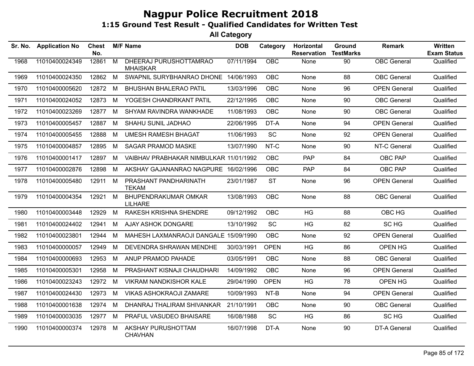| Sr. No. | <b>Application No</b> | Chest<br>No. |                | <b>M/F Name</b>                           | <b>DOB</b> | Category    | Horizontal<br><b>Reservation</b> | Ground<br><b>TestMarks</b> | <b>Remark</b>       | Written<br><b>Exam Status</b> |
|---------|-----------------------|--------------|----------------|-------------------------------------------|------------|-------------|----------------------------------|----------------------------|---------------------|-------------------------------|
| 1968    | 11010400024349        | 12861        | $\overline{M}$ | DHEERAJ PURUSHOTTAMRAO<br><b>MHAISKAR</b> | 07/11/1994 | OBC         | None                             | 90                         | <b>OBC</b> General  | Qualified                     |
| 1969    | 11010400024350        | 12862        | M              | SWAPNIL SURYBHANRAO DHONE 14/06/1993      |            | <b>OBC</b>  | None                             | 88                         | <b>OBC</b> General  | Qualified                     |
| 1970    | 11010400005620        | 12872        | M              | <b>BHUSHAN BHALERAO PATIL</b>             | 13/03/1996 | <b>OBC</b>  | None                             | 96                         | <b>OPEN General</b> | Qualified                     |
| 1971    | 11010400024052        | 12873        | M              | YOGESH CHANDRKANT PATIL                   | 22/12/1995 | <b>OBC</b>  | None                             | 90                         | <b>OBC</b> General  | Qualified                     |
| 1972    | 11010400023269        | 12877        | M              | SHYAM RAVINDRA WANKHADE                   | 11/08/1993 | <b>OBC</b>  | None                             | 90                         | <b>OBC</b> General  | Qualified                     |
| 1973    | 11010400005457        | 12887        | M              | SHAHU SUNIL JADHAO                        | 22/06/1995 | DT-A        | None                             | 94                         | <b>OPEN General</b> | Qualified                     |
| 1974    | 11010400005455        | 12888        | M              | <b>UMESH RAMESH BHAGAT</b>                | 11/06/1993 | SC          | None                             | 92                         | <b>OPEN General</b> | Qualified                     |
| 1975    | 11010400004857        | 12895        | M              | <b>SAGAR PRAMOD MASKE</b>                 | 13/07/1990 | NT-C        | None                             | 90                         | NT-C General        | Qualified                     |
| 1976    | 11010400001417        | 12897        | M              | VAIBHAV PRABHAKAR NIMBULKAR 11/01/1992    |            | <b>OBC</b>  | <b>PAP</b>                       | 84                         | OBC PAP             | Qualified                     |
| 1977    | 11010400002876        | 12898        | M              | AKSHAY GAJANANRAO NAGPURE 16/02/1996      |            | <b>OBC</b>  | <b>PAP</b>                       | 84                         | OBC PAP             | Qualified                     |
| 1978    | 11010400005480        | 12911        | M              | PRASHANT PANDHARINATH<br><b>TEKAM</b>     | 23/01/1987 | <b>ST</b>   | None                             | 96                         | <b>OPEN General</b> | Qualified                     |
| 1979    | 11010400004354        | 12921        | M              | BHUPENDRAKUMAR OMKAR<br><b>LILHARE</b>    | 13/08/1993 | <b>OBC</b>  | None                             | 88                         | <b>OBC</b> General  | Qualified                     |
| 1980    | 11010400003448        | 12929        | M              | RAKESH KRISHNA SHENDRE                    | 09/12/1992 | <b>OBC</b>  | HG                               | 88                         | OBC HG              | Qualified                     |
| 1981    | 11010400024402        | 12941        | M              | AJAY ASHOK DONGARE                        | 13/10/1992 | <b>SC</b>   | <b>HG</b>                        | 82                         | SC HG               | Qualified                     |
| 1982    | 11010400023801        | 12944        | M              | MAHESH LAXMANRAOJI DANGALE 15/09/1990     |            | OBC.        | None                             | 92                         | <b>OPEN General</b> | Qualified                     |
| 1983    | 11010400000057        | 12949        | M              | DEVENDRA SHRAWAN MENDHE                   | 30/03/1991 | <b>OPEN</b> | <b>HG</b>                        | 86                         | OPEN HG             | Qualified                     |
| 1984    | 11010400000693        | 12953        | M              | ANUP PRAMOD PAHADE                        | 03/05/1991 | <b>OBC</b>  | None                             | 88                         | <b>OBC</b> General  | Qualified                     |
| 1985    | 11010400005301        | 12958        | M              | PRASHANT KISNAJI CHAUDHARI                | 14/09/1992 | <b>OBC</b>  | None                             | 96                         | <b>OPEN General</b> | Qualified                     |
| 1986    | 11010400023243        | 12972        | M              | <b>VIKRAM NANDKISHOR KALE</b>             | 29/04/1990 | <b>OPEN</b> | <b>HG</b>                        | 78                         | OPEN HG             | Qualified                     |
| 1987    | 11010400024430        | 12973        | M              | <b>VIKAS ASHOKRAOJI ZAMARE</b>            | 10/09/1993 | NT-B        | None                             | 94                         | <b>OPEN General</b> | Qualified                     |
| 1988    | 11010400001638        | 12974        | M              | DHANRAJ THALIRAM SHIVANKAR                | 21/10/1991 | <b>OBC</b>  | None                             | 90                         | <b>OBC</b> General  | Qualified                     |
| 1989    | 11010400003035        | 12977        | M              | PRAFUL VASUDEO BHAISARE                   | 16/08/1988 | <b>SC</b>   | HG                               | 86                         | SC HG               | Qualified                     |
| 1990    | 11010400000374        | 12978        | M              | AKSHAY PURUSHOTTAM<br><b>CHAVHAN</b>      | 16/07/1998 | DT-A        | None                             | 90                         | DT-A General        | Qualified                     |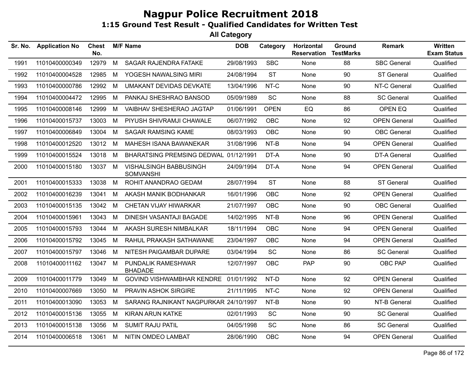| Sr. No. | <b>Application No</b> | <b>Chest</b><br>No. |     | <b>M/F Name</b>                            | <b>DOB</b> | Category    | Horizontal<br><b>Reservation</b> | Ground<br><b>TestMarks</b> | Remark              | Written<br><b>Exam Status</b> |
|---------|-----------------------|---------------------|-----|--------------------------------------------|------------|-------------|----------------------------------|----------------------------|---------------------|-------------------------------|
| 1991    | 11010400000349        | 12979               | M   | <b>SAGAR RAJENDRA FATAKE</b>               | 29/08/1993 | <b>SBC</b>  | None                             | 88                         | <b>SBC General</b>  | Qualified                     |
| 1992    | 11010400004528        | 12985               | M   | YOGESH NAWALSING MIRI                      | 24/08/1994 | <b>ST</b>   | None                             | 90                         | <b>ST General</b>   | Qualified                     |
| 1993    | 11010400000786        | 12992               | M   | <b>UMAKANT DEVIDAS DEVKATE</b>             | 13/04/1996 | NT-C        | None                             | 90                         | NT-C General        | Qualified                     |
| 1994    | 11010400004472        | 12995               | M   | PANKAJ SHESHRAO BANSOD                     | 05/09/1989 | <b>SC</b>   | None                             | 88                         | <b>SC General</b>   | Qualified                     |
| 1995    | 11010400008146        | 12999               | M   | VAIBHAV SHESHERAO JAGTAP                   | 01/06/1991 | <b>OPEN</b> | EQ                               | 86                         | OPEN EQ             | Qualified                     |
| 1996    | 11010400015737        | 13003               | M   | PIYUSH SHIVRAMJI CHAWALE                   | 06/07/1992 | <b>OBC</b>  | None                             | 92                         | <b>OPEN General</b> | Qualified                     |
| 1997    | 11010400006849        | 13004               | M   | <b>SAGAR RAMSING KAME</b>                  | 08/03/1993 | <b>OBC</b>  | None                             | 90                         | <b>OBC</b> General  | Qualified                     |
| 1998    | 11010400012520        | 13012 M             |     | MAHESH ISANA BAWANEKAR                     | 31/08/1996 | NT-B        | None                             | 94                         | <b>OPEN General</b> | Qualified                     |
| 1999    | 11010400015524        | 13018               | M   | BHARATSING PREMSING DEDWAL 01/12/1991      |            | DT-A        | None                             | 90                         | <b>DT-A General</b> | Qualified                     |
| 2000    | 11010400015180        | 13037               | - M | VISHALSINGH BABBUSINGH<br><b>SOMVANSHI</b> | 24/09/1994 | DT-A        | None                             | 94                         | <b>OPEN General</b> | Qualified                     |
| 2001    | 11010400015333        | 13038               | M   | ROHIT ANANDRAO GEDAM                       | 28/07/1994 | <b>ST</b>   | None                             | 88                         | <b>ST General</b>   | Qualified                     |
| 2002    | 11010400016239        | 13041               | M   | AKASH MANIK BODHANKAR                      | 16/01/1996 | <b>OBC</b>  | None                             | 92                         | <b>OPEN General</b> | Qualified                     |
| 2003    | 11010400015135        | 13042               | M   | CHETAN VIJAY HIWARKAR                      | 21/07/1997 | <b>OBC</b>  | None                             | 90                         | <b>OBC</b> General  | Qualified                     |
| 2004    | 11010400015961        | 13043               | M   | DINESH VASANTAJI BAGADE                    | 14/02/1995 | NT-B        | None                             | 96                         | <b>OPEN General</b> | Qualified                     |
| 2005    | 11010400015793        | 13044               | M   | AKASH SURESH NIMBALKAR                     | 18/11/1994 | OBC         | None                             | 94                         | <b>OPEN General</b> | Qualified                     |
| 2006    | 11010400015792        | 13045               | M   | RAHUL PRAKASH SATHAWANE                    | 23/04/1997 | <b>OBC</b>  | None                             | 94                         | <b>OPEN General</b> | Qualified                     |
| 2007    | 11010400015797        | 13046               | M   | NITESH PAIGAMBAR DUPARE                    | 03/04/1994 | <b>SC</b>   | None                             | 86                         | <b>SC General</b>   | Qualified                     |
| 2008    | 11010400011162        | 13047 M             |     | PUNDALIK RAMESHWAR<br><b>BHADADE</b>       | 12/07/1997 | <b>OBC</b>  | <b>PAP</b>                       | 90                         | OBC PAP             | Qualified                     |
| 2009    | 11010400011779        | 13049               | M   | GOVIND VISHWAMBHAR KENDRE 01/01/1992       |            | NT-D        | None                             | 92                         | <b>OPEN General</b> | Qualified                     |
| 2010    | 11010400007669        | 13050               | M   | PRAVIN ASHOK SIRGIRE                       | 21/11/1995 | NT-C        | None                             | 92                         | <b>OPEN General</b> | Qualified                     |
| 2011    | 11010400013090        | 13053               | M   | SARANG RAJNIKANT NAGPURKAR 24/10/1997      |            | NT-B        | None                             | 90                         | NT-B General        | Qualified                     |
| 2012    | 11010400015136        | 13055               | M   | <b>KIRAN ARUN KATKE</b>                    | 02/01/1993 | SC          | None                             | 90                         | <b>SC General</b>   | Qualified                     |
| 2013    | 11010400015138        | 13056               | M   | <b>SUMIT RAJU PATIL</b>                    | 04/05/1998 | SC          | None                             | 86                         | <b>SC General</b>   | Qualified                     |
| 2014    | 11010400006518        | 13061               | M   | NITIN OMDEO LAMBAT                         | 28/06/1990 | OBC         | None                             | 94                         | <b>OPEN General</b> | Qualified                     |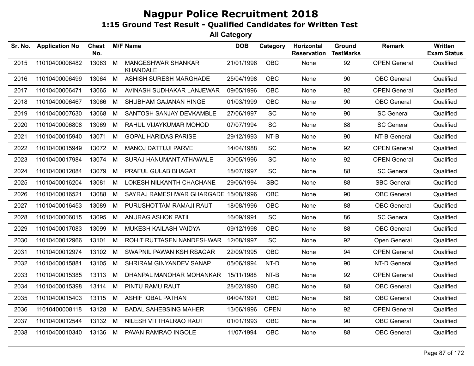| Sr. No. | <b>Application No</b> | <b>Chest</b><br>No. |   | <b>M/F Name</b>                              | <b>DOB</b> | Category    | Horizontal<br><b>Reservation</b> | Ground<br><b>TestMarks</b> | <b>Remark</b>       | Written<br><b>Exam Status</b> |
|---------|-----------------------|---------------------|---|----------------------------------------------|------------|-------------|----------------------------------|----------------------------|---------------------|-------------------------------|
| 2015    | 11010400006482        | 13063               | M | <b>MANGESHWAR SHANKAR</b><br><b>KHANDALE</b> | 21/01/1996 | OBC         | None                             | 92                         | <b>OPEN General</b> | Qualified                     |
| 2016    | 11010400006499        | 13064               | M | ASHISH SURESH MARGHADE                       | 25/04/1998 | OBC         | None                             | 90                         | <b>OBC</b> General  | Qualified                     |
| 2017    | 11010400006471        | 13065               | M | AVINASH SUDHAKAR LANJEWAR                    | 09/05/1996 | OBC         | None                             | 92                         | <b>OPEN General</b> | Qualified                     |
| 2018    | 11010400006467        | 13066               | M | SHUBHAM GAJANAN HINGE                        | 01/03/1999 | OBC         | None                             | 90                         | <b>OBC</b> General  | Qualified                     |
| 2019    | 11010400007630        | 13068               | M | SANTOSH SANJAY DEVKAMBLE                     | 27/06/1997 | <b>SC</b>   | None                             | 90                         | <b>SC General</b>   | Qualified                     |
| 2020    | 11010400006808        | 13069               | M | RAHUL VIJAYKUMAR MOHOD                       | 07/07/1994 | SC          | None                             | 88                         | <b>SC General</b>   | Qualified                     |
| 2021    | 11010400015940        | 13071               | M | <b>GOPAL HARIDAS PARISE</b>                  | 29/12/1993 | $NT-B$      | None                             | 90                         | NT-B General        | Qualified                     |
| 2022    | 11010400015949        | 13072               | M | <b>MANOJ DATTUJI PARVE</b>                   | 14/04/1988 | SC          | None                             | 92                         | <b>OPEN General</b> | Qualified                     |
| 2023    | 11010400017984        | 13074               | M | SURAJ HANUMANT ATHAWALE                      | 30/05/1996 | <b>SC</b>   | None                             | 92                         | <b>OPEN General</b> | Qualified                     |
| 2024    | 11010400012084        | 13079               | M | PRAFUL GULAB BHAGAT                          | 18/07/1997 | SC          | None                             | 88                         | <b>SC General</b>   | Qualified                     |
| 2025    | 11010400016204        | 13081               | M | LOKESH NILKANTH CHACHANE                     | 29/06/1994 | <b>SBC</b>  | None                             | 88                         | <b>SBC General</b>  | Qualified                     |
| 2026    | 11010400016521        | 13088               | M | SAYRAJ RAMESHWAR GHARGADE 15/08/1996         |            | OBC         | None                             | 90                         | <b>OBC</b> General  | Qualified                     |
| 2027    | 11010400016453        | 13089               | M | PURUSHOTTAM RAMAJI RAUT                      | 18/08/1996 | OBC         | None                             | 88                         | <b>OBC</b> General  | Qualified                     |
| 2028    | 11010400006015        | 13095               | M | ANURAG ASHOK PATIL                           | 16/09/1991 | SC          | None                             | 86                         | <b>SC General</b>   | Qualified                     |
| 2029    | 11010400017083        | 13099               | M | MUKESH KAILASH VAIDYA                        | 09/12/1998 | <b>OBC</b>  | None                             | 88                         | <b>OBC</b> General  | Qualified                     |
| 2030    | 11010400012966        | 13101               | M | ROHIT RUTTASEN NANDESHWAR                    | 12/08/1997 | <b>SC</b>   | None                             | 92                         | Open General        | Qualified                     |
| 2031    | 11010400012974        | 13102               | M | SWAPNIL PAWAN KSHIRSAGAR                     | 22/09/1995 | <b>OBC</b>  | None                             | 94                         | <b>OPEN General</b> | Qualified                     |
| 2032    | 11010400015881        | 13105               | M | SHRIRAM GINYANDEV SANAP                      | 05/06/1994 | NT-D        | None                             | 90                         | NT-D General        | Qualified                     |
| 2033    | 11010400015385        | 13113               | M | DHANPAL MANOHAR MOHANKAR                     | 15/11/1988 | NT-B        | None                             | 92                         | <b>OPEN General</b> | Qualified                     |
| 2034    | 11010400015398        | 13114               | M | PINTU RAMU RAUT                              | 28/02/1990 | <b>OBC</b>  | None                             | 88                         | <b>OBC</b> General  | Qualified                     |
| 2035    | 11010400015403        | 13115               | M | <b>ASHIF IQBAL PATHAN</b>                    | 04/04/1991 | <b>OBC</b>  | None                             | 88                         | <b>OBC</b> General  | Qualified                     |
| 2036    | 11010400008118        | 13128               | M | <b>BADAL SAHEBSING MAHER</b>                 | 13/06/1996 | <b>OPEN</b> | None                             | 92                         | <b>OPEN General</b> | Qualified                     |
| 2037    | 11010400012544        | 13132 M             |   | NILESH VITTHALRAO RAUT                       | 01/01/1993 | <b>OBC</b>  | None                             | 90                         | <b>OBC</b> General  | Qualified                     |
| 2038    | 11010400010340        | 13136 M             |   | PAVAN RAMRAO INGOLE                          | 11/07/1994 | <b>OBC</b>  | None                             | 88                         | <b>OBC</b> General  | Qualified                     |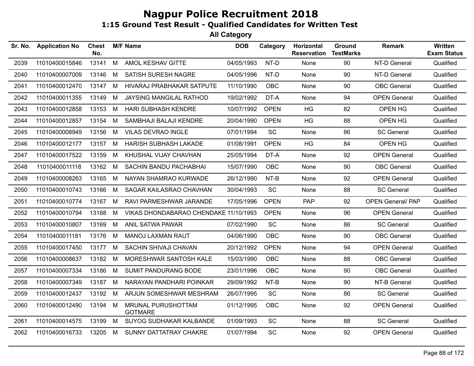| Sr. No. | <b>Application No</b> | <b>Chest</b><br>No. |   | <b>M/F Name</b>                       | <b>DOB</b> | Category    | Horizontal<br><b>Reservation</b> | Ground<br><b>TestMarks</b> | <b>Remark</b>            | Written<br><b>Exam Status</b> |
|---------|-----------------------|---------------------|---|---------------------------------------|------------|-------------|----------------------------------|----------------------------|--------------------------|-------------------------------|
| 2039    | 11010400015846        | 13141               | M | AMOL KESHAV GITTE                     | 04/05/1993 | NT-D        | None                             | 90                         | NT-D General             | Qualified                     |
| 2040    | 11010400007009        | 13146               | M | SATISH SURESH NAGRE                   | 04/05/1996 | NT-D        | None                             | 90                         | NT-D General             | Qualified                     |
| 2041    | 11010400012470        | 13147               | М | HIVARAJ PRABHAKAR SATPUTE             | 11/10/1990 | <b>OBC</b>  | None                             | 90                         | <b>OBC</b> General       | Qualified                     |
| 2042    | 11010400011355        | 13149               | M | JAYSING MANGILAL RATHOD               | 19/02/1992 | DT-A        | None                             | 94                         | <b>OPEN General</b>      | Qualified                     |
| 2043    | 11010400012858        | 13153               | M | <b>HARI SUBHASH KENDRE</b>            | 10/07/1992 | <b>OPEN</b> | <b>HG</b>                        | 82                         | OPEN HG                  | Qualified                     |
| 2044    | 11010400012857        | 13154               | M | SAMBHAJI BALAJI KENDRE                | 20/04/1990 | <b>OPEN</b> | HG                               | 88                         | OPEN HG                  | Qualified                     |
| 2045    | 11010400008949        | 13156               | M | <b>VILAS DEVRAO INGLE</b>             | 07/01/1994 | SC          | None                             | 86                         | <b>SC General</b>        | Qualified                     |
| 2046    | 11010400012177        | 13157               | M | <b>HARISH SUBHASH LAKADE</b>          | 01/08/1991 | <b>OPEN</b> | <b>HG</b>                        | 84                         | OPEN HG                  | Qualified                     |
| 2047    | 11010400017522        | 13159               | M | KHUSHAL VIJAY CHAVHAN                 | 25/05/1994 | DT-A        | None                             | 92                         | <b>OPEN General</b>      | Qualified                     |
| 2048    | 11010400011118        | 13162               | M | SACHIN BANDU PACHABHAI                | 15/07/1990 | <b>OBC</b>  | None                             | 90                         | <b>OBC</b> General       | Qualified                     |
| 2049    | 11010400008263        | 13165               | M | NAYAN SHAMRAO KURWADE                 | 26/12/1990 | NT-B        | None                             | 92                         | <b>OPEN General</b>      | Qualified                     |
| 2050    | 11010400010743        | 13166               | M | SAGAR KAILASRAO CHAVHAN               | 30/04/1993 | SC          | None                             | 88                         | <b>SC General</b>        | Qualified                     |
| 2051    | 11010400010774        | 13167               | M | RAVI PARMESHWAR JARANDE               | 17/05/1996 | <b>OPEN</b> | <b>PAP</b>                       | 92                         | <b>OPEN General/ PAP</b> | Qualified                     |
| 2052    | 11010400010794        | 13168               | M | VIKAS DHONDABARAO CHENDAKE 11/10/1993 |            | <b>OPEN</b> | None                             | 96                         | <b>OPEN General</b>      | Qualified                     |
| 2053    | 11010400010807        | 13169               | M | ANIL SATWA PAWAR                      | 07/02/1990 | SC          | None                             | 86                         | <b>SC General</b>        | Qualified                     |
| 2054    | 11010400011181        | 13176               | M | <b>MANOJ LAXMAN RAUT</b>              | 04/06/1990 | <b>OBC</b>  | None                             | 90                         | <b>OBC</b> General       | Qualified                     |
| 2055    | 11010400017450        | 13177               | M | SACHIN SHIVAJI CHAVAN                 | 20/12/1992 | <b>OPEN</b> | None                             | 94                         | <b>OPEN General</b>      | Qualified                     |
| 2056    | 11010400008637        | 13182               | M | MORESHWAR SANTOSH KALE                | 15/03/1990 | <b>OBC</b>  | None                             | 88                         | <b>OBC</b> General       | Qualified                     |
| 2057    | 11010400007334        | 13186               | M | <b>SUMIT PANDURANG BODE</b>           | 23/01/1996 | <b>OBC</b>  | None                             | 90                         | <b>OBC</b> General       | Qualified                     |
| 2058    | 11010400007349        | 13187 M             |   | NARAYAN PANDHARI POINKAR              | 29/09/1992 | NT-B        | None                             | 90                         | NT-B General             | Qualified                     |
| 2059    | 11010400012437        | 13192               | M | ARJUN SOMESHWAR MESHRAM               | 26/07/1995 | SC          | None                             | 86                         | <b>SC General</b>        | Qualified                     |
| 2060    | 11010400012490        | 13194               | M | MRUNAL PURUSHOTTAM<br><b>GOTMARE</b>  | 01/12/1995 | <b>OBC</b>  | None                             | 92                         | <b>OPEN General</b>      | Qualified                     |
| 2061    | 11010400014575        | 13199               | M | SUYOG SUDHAKAR KALBANDE               | 01/09/1993 | SC          | None                             | 88                         | <b>SC General</b>        | Qualified                     |
| 2062    | 11010400016733        | 13205               | M | SUNNY DATTATRAY CHAKRE                | 01/07/1994 | <b>SC</b>   | None                             | 92                         | <b>OPEN General</b>      | Qualified                     |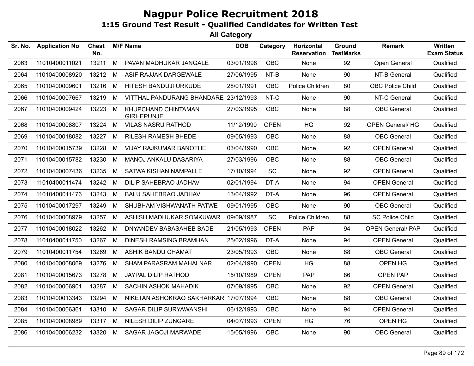| Sr. No. | <b>Application No</b> | <b>Chest</b><br>No. |   | <b>M/F Name</b>                          | <b>DOB</b> | Category    | Horizontal<br><b>Reservation</b> | Ground<br><b>TestMarks</b> | Remark                   | Written<br><b>Exam Status</b> |
|---------|-----------------------|---------------------|---|------------------------------------------|------------|-------------|----------------------------------|----------------------------|--------------------------|-------------------------------|
| 2063    | 11010400011021        | 13211               | M | PAVAN MADHUKAR JANGALE                   | 03/01/1998 | <b>OBC</b>  | None                             | 92                         | Open General             | Qualified                     |
| 2064    | 11010400008920        | 13212               | М | ASIF RAJJAK DARGEWALE                    | 27/06/1995 | NT-B        | None                             | 90                         | NT-B General             | Qualified                     |
| 2065    | 11010400009601        | 13216               | M | HITESH BANDUJI URKUDE                    | 28/01/1991 | <b>OBC</b>  | Police Children                  | 80                         | <b>OBC Police Child</b>  | Qualified                     |
| 2066    | 11010400007667        | 13219               | М | VITTHAL PANDURANG BHANDARE 23/12/1993    |            | NT-C        | None                             | 90                         | NT-C General             | Qualified                     |
| 2067    | 11010400009424        | 13223               | M | KHUPCHAND CHINTAMAN<br><b>GIRHEPUNJE</b> | 27/03/1995 | <b>OBC</b>  | None                             | 88                         | <b>OBC</b> General       | Qualified                     |
| 2068    | 11010400008807        | 13224               | M | <b>VILAS NASRU RATHOD</b>                | 11/12/1990 | <b>OPEN</b> | <b>HG</b>                        | 92                         | <b>OPEN General/ HG</b>  | Qualified                     |
| 2069    | 11010400018082        | 13227               | M | <b>RILESH RAMESH BHEDE</b>               | 09/05/1993 | <b>OBC</b>  | None                             | 88                         | <b>OBC</b> General       | Qualified                     |
| 2070    | 11010400015739        | 13228               | M | <b>VIJAY RAJKUMAR BANOTHE</b>            | 03/04/1990 | <b>OBC</b>  | None                             | 92                         | <b>OPEN General</b>      | Qualified                     |
| 2071    | 11010400015782        | 13230               | M | MANOJ ANKALU DASARIYA                    | 27/03/1996 | <b>OBC</b>  | None                             | 88                         | <b>OBC</b> General       | Qualified                     |
| 2072    | 11010400007436        | 13235               | М | SATWA KISHAN NAMPALLE                    | 17/10/1994 | <b>SC</b>   | None                             | 92                         | <b>OPEN General</b>      | Qualified                     |
| 2073    | 11010400011474        | 13242               | M | DILIP SAHEBRAO JADHAV                    | 02/01/1994 | DT-A        | None                             | 94                         | <b>OPEN General</b>      | Qualified                     |
| 2074    | 11010400011476        | 13243               | M | <b>BALU SAHEBRAO JADHAV</b>              | 13/04/1992 | DT-A        | None                             | 96                         | <b>OPEN General</b>      | Qualified                     |
| 2075    | 11010400017297        | 13249               | M | SHUBHAM VISHWANATH PATWE                 | 09/01/1995 | <b>OBC</b>  | None                             | 90                         | <b>OBC</b> General       | Qualified                     |
| 2076    | 11010400008979        | 13257               | M | ASHISH MADHUKAR SOMKUWAR                 | 09/09/1987 | SC          | Police Children                  | 88                         | <b>SC Police Child</b>   | Qualified                     |
| 2077    | 11010400018022        | 13262               | М | DNYANDEV BABASAHEB BADE                  | 21/05/1993 | <b>OPEN</b> | <b>PAP</b>                       | 94                         | <b>OPEN General/ PAP</b> | Qualified                     |
| 2078    | 11010400011750        | 13267               | M | <b>DINESH RAMSING BRAMHAN</b>            | 25/02/1996 | DT-A        | None                             | 94                         | <b>OPEN General</b>      | Qualified                     |
| 2079    | 11010400011754        | 13269               | M | <b>ASHIK BANDU CHAMAT</b>                | 23/05/1993 | <b>OBC</b>  | None                             | 88                         | <b>OBC</b> General       | Qualified                     |
| 2080    | 11010400008069        | 13276               | М | <b>SHAM PARASRAM MAHALNAR</b>            | 02/04/1990 | <b>OPEN</b> | HG                               | 88                         | OPEN HG                  | Qualified                     |
| 2081    | 11010400015673        | 13278               | M | JAYPAL DILIP RATHOD                      | 15/10/1989 | <b>OPEN</b> | <b>PAP</b>                       | 86                         | <b>OPEN PAP</b>          | Qualified                     |
| 2082    | 11010400006901        | 13287               | M | <b>SACHIN ASHOK MAHADIK</b>              | 07/09/1995 | <b>OBC</b>  | None                             | 92                         | <b>OPEN General</b>      | Qualified                     |
| 2083    | 11010400013343        | 13294               | М | NIKETAN ASHOKRAO SAKHARKAR 17/07/1994    |            | <b>OBC</b>  | None                             | 88                         | <b>OBC</b> General       | Qualified                     |
| 2084    | 11010400006361        | 13310               | M | SAGAR DILIP SURYAWANSHI                  | 06/12/1993 | OBC         | None                             | 94                         | <b>OPEN General</b>      | Qualified                     |
| 2085    | 11010400008989        | 13317               | М | NILESH DILIP ZUNGARE                     | 04/07/1993 | <b>OPEN</b> | HG                               | 76                         | OPEN HG                  | Qualified                     |
| 2086    | 11010400006232        | 13320               | M | SAGAR JAGOJI MARWADE                     | 15/05/1996 | <b>OBC</b>  | None                             | 90                         | <b>OBC</b> General       | Qualified                     |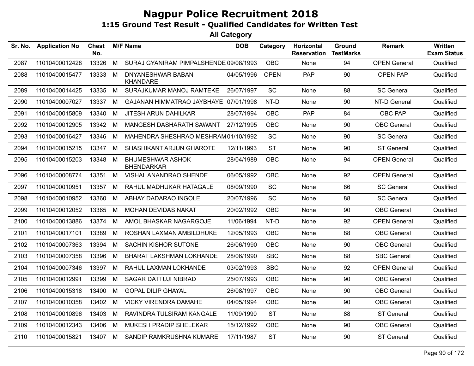| Sr. No. | <b>Application No</b> | <b>Chest</b><br>No. |   | <b>M/F Name</b>                              | <b>DOB</b> | Category    | Horizontal<br><b>Reservation</b> | <b>Ground</b><br><b>TestMarks</b> | <b>Remark</b>       | Written<br><b>Exam Status</b> |
|---------|-----------------------|---------------------|---|----------------------------------------------|------------|-------------|----------------------------------|-----------------------------------|---------------------|-------------------------------|
| 2087    | 11010400012428        | 13326               | M | SURAJ GYANIRAM PIMPALSHENDE 09/08/1993       |            | <b>OBC</b>  | None                             | 94                                | <b>OPEN General</b> | Qualified                     |
| 2088    | 11010400015477        | 13333               | M | DNYANESHWAR BABAN<br><b>KHANDARE</b>         | 04/05/1996 | <b>OPEN</b> | PAP                              | 90                                | <b>OPEN PAP</b>     | Qualified                     |
| 2089    | 11010400014425        | 13335               | M | SURAJKUMAR MANOJ RAMTEKE                     | 26/07/1997 | <b>SC</b>   | None                             | 88                                | <b>SC General</b>   | Qualified                     |
| 2090    | 11010400007027        | 13337               | M | GAJANAN HIMMATRAO JAYBHAYE 07/01/1998        |            | NT-D        | None                             | 90                                | NT-D General        | Qualified                     |
| 2091    | 11010400015809        | 13340               | M | <b>JITESH ARUN DAHILKAR</b>                  | 28/07/1994 | OBC         | PAP                              | 84                                | OBC PAP             | Qualified                     |
| 2092    | 11010400012905        | 13342               | M | MANGESH DASHARATH SAWANT                     | 27/12/1995 | OBC         | None                             | 90                                | <b>OBC</b> General  | Qualified                     |
| 2093    | 11010400016427        | 13346               | M | MAHENDRA SHESHRAO MESHRAM 01/10/1992         |            | SC          | None                             | 90                                | <b>SC General</b>   | Qualified                     |
| 2094    | 11010400015215        | 13347               | M | SHASHIKANT ARJUN GHAROTE                     | 12/11/1993 | <b>ST</b>   | None                             | 90                                | <b>ST General</b>   | Qualified                     |
| 2095    | 11010400015203        | 13348               | M | <b>BHUMESHWAR ASHOK</b><br><b>BHENDARKAR</b> | 28/04/1989 | <b>OBC</b>  | None                             | 94                                | <b>OPEN General</b> | Qualified                     |
| 2096    | 11010400008774        | 13351 M             |   | VISHAL ANANDRAO SHENDE                       | 06/05/1992 | OBC         | None                             | 92                                | <b>OPEN General</b> | Qualified                     |
| 2097    | 11010400010951        | 13357               | M | RAHUL MADHUKAR HATAGALE                      | 08/09/1990 | SC          | None                             | 86                                | <b>SC General</b>   | Qualified                     |
| 2098    | 11010400010952        | 13360               | M | ABHAY DADARAO INGOLE                         | 20/07/1996 | SC          | None                             | 88                                | <b>SC General</b>   | Qualified                     |
| 2099    | 11010400012052        | 13365               | M | MOHAN DEVIDAS NAKAT                          | 20/02/1992 | <b>OBC</b>  | None                             | 90                                | <b>OBC</b> General  | Qualified                     |
| 2100    | 11010400013886        | 13374               | M | AMOL BHASKAR NAGARGOJE                       | 11/06/1994 | NT-D        | None                             | 92                                | <b>OPEN General</b> | Qualified                     |
| 2101    | 11010400017101        | 13389               | M | ROSHAN LAXMAN AMBILDHUKE                     | 12/05/1993 | <b>OBC</b>  | None                             | 88                                | <b>OBC</b> General  | Qualified                     |
| 2102    | 11010400007363        | 13394               | M | <b>SACHIN KISHOR SUTONE</b>                  | 26/06/1990 | <b>OBC</b>  | None                             | 90                                | <b>OBC</b> General  | Qualified                     |
| 2103    | 11010400007358        | 13396               | M | <b>BHARAT LAKSHMAN LOKHANDE</b>              | 28/06/1990 | <b>SBC</b>  | None                             | 88                                | <b>SBC General</b>  | Qualified                     |
| 2104    | 11010400007346        | 13397               | M | RAHUL LAXMAN LOKHANDE                        | 03/02/1993 | <b>SBC</b>  | None                             | 92                                | <b>OPEN General</b> | Qualified                     |
| 2105    | 11010400012991        | 13399               | M | SAGAR DATTUJI NIBRAD                         | 25/07/1993 | <b>OBC</b>  | None                             | 90                                | <b>OBC</b> General  | Qualified                     |
| 2106    | 11010400015318        | 13400               | M | <b>GOPAL DILIP GHAYAL</b>                    | 26/08/1997 | <b>OBC</b>  | None                             | 90                                | <b>OBC</b> General  | Qualified                     |
| 2107    | 11010400010358        | 13402               | M | <b>VICKY VIRENDRA DAMAHE</b>                 | 04/05/1994 | <b>OBC</b>  | None                             | 90                                | <b>OBC</b> General  | Qualified                     |
| 2108    | 11010400010896        | 13403               | M | RAVINDRA TULSIRAM KANGALE                    | 11/09/1990 | <b>ST</b>   | None                             | 88                                | <b>ST General</b>   | Qualified                     |
| 2109    | 11010400012343        | 13406               | M | MUKESH PRADIP SHELEKAR                       | 15/12/1992 | <b>OBC</b>  | None                             | 90                                | <b>OBC</b> General  | Qualified                     |
| 2110    | 11010400015821        | 13407 M             |   | SANDIP RAMKRUSHNA KUMARE                     | 17/11/1987 | <b>ST</b>   | None                             | 90                                | <b>ST General</b>   | Qualified                     |
|         |                       |                     |   |                                              |            |             |                                  |                                   |                     |                               |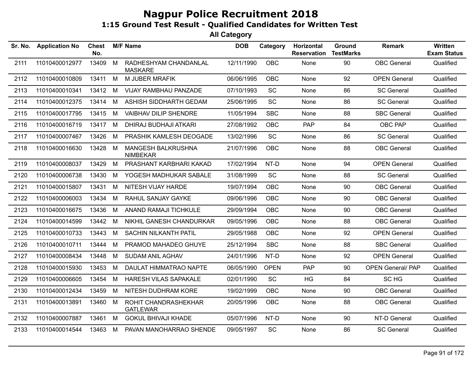| Sr. No. | <b>Application No</b> | Chest<br>No. |   | <b>M/F Name</b>                         | <b>DOB</b> | Category    | Horizontal<br><b>Reservation</b> | <b>Ground</b><br><b>TestMarks</b> | <b>Remark</b>            | <b>Written</b><br><b>Exam Status</b> |
|---------|-----------------------|--------------|---|-----------------------------------------|------------|-------------|----------------------------------|-----------------------------------|--------------------------|--------------------------------------|
| 2111    | 11010400012977        | 13409        | M | RADHESHYAM CHANDANLAL<br><b>MASKARE</b> | 12/11/1990 | <b>OBC</b>  | None                             | 90                                | <b>OBC</b> General       | Qualified                            |
| 2112    | 11010400010809        | 13411        | M | M JUBER MRAFIK                          | 06/06/1995 | <b>OBC</b>  | None                             | 92                                | <b>OPEN General</b>      | Qualified                            |
| 2113    | 11010400010341        | 13412        | M | VIJAY RAMBHAU PANZADE                   | 07/10/1993 | SC          | None                             | 86                                | <b>SC General</b>        | Qualified                            |
| 2114    | 11010400012375        | 13414        | M | ASHISH SIDDHARTH GEDAM                  | 25/06/1995 | SC          | None                             | 86                                | <b>SC General</b>        | Qualified                            |
| 2115    | 11010400017795        | 13415        | M | <b>VAIBHAV DILIP SHENDRE</b>            | 11/05/1994 | <b>SBC</b>  | None                             | 88                                | <b>SBC General</b>       | Qualified                            |
| 2116    | 11010400016719        | 13417        | M | DHIRAJ BUDHAJI ATKARI                   | 27/08/1992 | <b>OBC</b>  | <b>PAP</b>                       | 84                                | OBC PAP                  | Qualified                            |
| 2117    | 11010400007467        | 13426        | M | PRASHIK KAMLESH DEOGADE                 | 13/02/1996 | <b>SC</b>   | None                             | 86                                | <b>SC General</b>        | Qualified                            |
| 2118    | 11010400016630        | 13428        | M | MANGESH BALKRUSHNA<br><b>NIMBEKAR</b>   | 21/07/1996 | <b>OBC</b>  | None                             | 88                                | <b>OBC</b> General       | Qualified                            |
| 2119    | 11010400008037        | 13429        | M | PRASHANT KARBHARI KAKAD                 | 17/02/1994 | NT-D        | None                             | 94                                | <b>OPEN General</b>      | Qualified                            |
| 2120    | 11010400006738        | 13430        | M | YOGESH MADHUKAR SABALE                  | 31/08/1999 | <b>SC</b>   | None                             | 88                                | <b>SC General</b>        | Qualified                            |
| 2121    | 11010400015807        | 13431        | M | NITESH VIJAY HARDE                      | 19/07/1994 | <b>OBC</b>  | None                             | 90                                | <b>OBC</b> General       | Qualified                            |
| 2122    | 11010400006003        | 13434        | M | RAHUL SANJAY GAYKE                      | 09/06/1996 | <b>OBC</b>  | None                             | 90                                | <b>OBC</b> General       | Qualified                            |
| 2123    | 11010400016675        | 13436        | M | ANAND RAMAJI TICHKULE                   | 29/09/1994 | <b>OBC</b>  | None                             | 90                                | <b>OBC</b> General       | Qualified                            |
| 2124    | 11010400014599        | 13442        | M | NIKHIL GANESH CHANDURKAR                | 09/05/1996 | <b>OBC</b>  | None                             | 88                                | <b>OBC</b> General       | Qualified                            |
| 2125    | 11010400010733        | 13443        | M | SACHIN NILKANTH PATIL                   | 29/05/1988 | <b>OBC</b>  | None                             | 92                                | <b>OPEN General</b>      | Qualified                            |
| 2126    | 11010400010711        | 13444        | M | PRAMOD MAHADEO GHUYE                    | 25/12/1994 | <b>SBC</b>  | None                             | 88                                | <b>SBC General</b>       | Qualified                            |
| 2127    | 11010400008434        | 13448        | M | <b>SUDAM ANIL AGHAV</b>                 | 24/01/1996 | NT-D        | None                             | 92                                | <b>OPEN General</b>      | Qualified                            |
| 2128    | 11010400015930        | 13453        | M | DAULAT HIMMATRAO NAPTE                  | 06/05/1990 | <b>OPEN</b> | <b>PAP</b>                       | 90                                | <b>OPEN General/ PAP</b> | Qualified                            |
| 2129    | 11010400006605        | 13454        | M | HARESH VILAS SAPAKALE                   | 02/01/1990 | <b>SC</b>   | HG                               | 84                                | SC HG                    | Qualified                            |
| 2130    | 11010400012434        | 13459        | M | NITESH DUDHRAM KORE                     | 19/02/1999 | <b>OBC</b>  | None                             | 90                                | <b>OBC</b> General       | Qualified                            |
| 2131    | 11010400013891        | 13460        | M | ROHIT CHANDRASHEKHAR<br><b>GATLEWAR</b> | 20/05/1996 | <b>OBC</b>  | None                             | 88                                | <b>OBC</b> General       | Qualified                            |
| 2132    | 11010400007887        | 13461        | M | <b>GOKUL BHIVAJI KHADE</b>              | 05/07/1996 | NT-D        | None                             | 90                                | NT-D General             | Qualified                            |
| 2133    | 11010400014544        | 13463        | M | PAVAN MANOHARRAO SHENDE                 | 09/05/1997 | SC          | None                             | 86                                | <b>SC General</b>        | Qualified                            |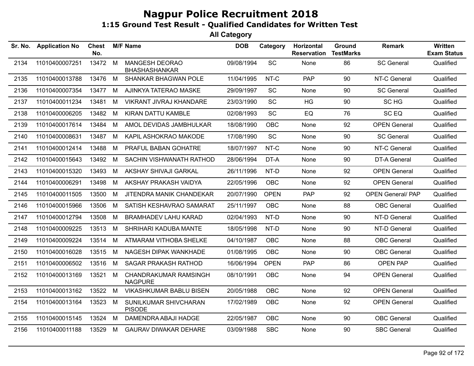| Sr. No. | <b>Application No</b> | <b>Chest</b><br>No. |     | <b>M/F Name</b>                         | <b>DOB</b> | Category    | Horizontal<br><b>Reservation</b> | Ground<br><b>TestMarks</b> | <b>Remark</b>            | <b>Written</b><br><b>Exam Status</b> |
|---------|-----------------------|---------------------|-----|-----------------------------------------|------------|-------------|----------------------------------|----------------------------|--------------------------|--------------------------------------|
| 2134    | 11010400007251        | 13472 M             |     | MANGESH DEORAO<br><b>BHASHASHANKAR</b>  | 09/08/1994 | SC          | None                             | 86                         | <b>SC General</b>        | Qualified                            |
| 2135    | 11010400013788        | 13476               | M   | <b>SHANKAR BHAGWAN POLE</b>             | 11/04/1995 | NT-C        | <b>PAP</b>                       | 90                         | NT-C General             | Qualified                            |
| 2136    | 11010400007354        | 13477               | M   | AJINKYA TATERAO MASKE                   | 29/09/1997 | <b>SC</b>   | None                             | 90                         | <b>SC General</b>        | Qualified                            |
| 2137    | 11010400011234        | 13481               | M   | VIKRANT JIVRAJ KHANDARE                 | 23/03/1990 | SC          | <b>HG</b>                        | 90                         | SC HG                    | Qualified                            |
| 2138    | 11010400006205        | 13482               | M   | <b>KIRAN DATTU KAMBLE</b>               | 02/08/1993 | SC          | EQ                               | 76                         | SC EQ                    | Qualified                            |
| 2139    | 11010400017614        | 13484               | M   | AMOL DEVIDAS JAMBHULKAR                 | 18/08/1990 | <b>OBC</b>  | None                             | 92                         | <b>OPEN General</b>      | Qualified                            |
| 2140    | 11010400008631        | 13487               | M   | KAPIL ASHOKRAO MAKODE                   | 17/08/1990 | <b>SC</b>   | None                             | 90                         | <b>SC General</b>        | Qualified                            |
| 2141    | 11010400012414        | 13488               | M   | PRAFUL BABAN GOHATRE                    | 18/07/1997 | NT-C        | None                             | 90                         | NT-C General             | Qualified                            |
| 2142    | 11010400015643        | 13492               | M   | SACHIN VISHWANATH RATHOD                | 28/06/1994 | DT-A        | None                             | 90                         | DT-A General             | Qualified                            |
| 2143    | 11010400015320        | 13493               | M   | AKSHAY SHIVAJI GARKAL                   | 26/11/1996 | NT-D        | None                             | 92                         | <b>OPEN General</b>      | Qualified                            |
| 2144    | 11010400006291        | 13498               | M   | AKSHAY PRAKASH VAIDYA                   | 22/05/1996 | <b>OBC</b>  | None                             | 92                         | <b>OPEN General</b>      | Qualified                            |
| 2145    | 11010400011505        | 13500               | M   | JITENDRA MANIK CHANDEKAR                | 20/07/1990 | <b>OPEN</b> | <b>PAP</b>                       | 92                         | <b>OPEN General/ PAP</b> | Qualified                            |
| 2146    | 11010400015966        | 13506               | M   | SATISH KESHAVRAO SAMARAT                | 25/11/1997 | <b>OBC</b>  | None                             | 88                         | <b>OBC</b> General       | Qualified                            |
| 2147    | 11010400012794        | 13508               | M   | <b>BRAMHADEV LAHU KARAD</b>             | 02/04/1993 | NT-D        | None                             | 90                         | NT-D General             | Qualified                            |
| 2148    | 11010400009225        | 13513               | M   | SHRIHARI KADUBA MANTE                   | 18/05/1998 | NT-D        | None                             | 90                         | NT-D General             | Qualified                            |
| 2149    | 11010400009224        | 13514               | M   | ATMARAM VITHOBA SHELKE                  | 04/10/1987 | <b>OBC</b>  | None                             | 88                         | <b>OBC</b> General       | Qualified                            |
| 2150    | 11010400016028        | 13515               | M   | NAGESH DIPAK WANKHADE                   | 01/08/1995 | <b>OBC</b>  | None                             | 90                         | <b>OBC</b> General       | Qualified                            |
| 2151    | 11010400006502        | 13516               | M   | <b>SAGAR PRAKASH RATHOD</b>             | 16/06/1994 | <b>OPEN</b> | <b>PAP</b>                       | 86                         | <b>OPEN PAP</b>          | Qualified                            |
| 2152    | 11010400013169        | 13521               | M   | CHANDRAKUMAR RAMSINGH<br><b>NAGPURE</b> | 08/10/1991 | OBC         | None                             | 94                         | <b>OPEN General</b>      | Qualified                            |
| 2153    | 11010400013162        | 13522               | - M | <b>VIKASHKUMAR BABLU BISEN</b>          | 20/05/1988 | <b>OBC</b>  | None                             | 92                         | <b>OPEN General</b>      | Qualified                            |
| 2154    | 11010400013164        | 13523               | M   | SUNILKUMAR SHIVCHARAN<br><b>PISODE</b>  | 17/02/1989 | <b>OBC</b>  | None                             | 92                         | <b>OPEN General</b>      | Qualified                            |
| 2155    | 11010400015145        | 13524               | M   | DAMENDRA ABAJI HADGE                    | 22/05/1987 | <b>OBC</b>  | None                             | 90                         | <b>OBC</b> General       | Qualified                            |
| 2156    | 11010400011188        | 13529               | M   | <b>GAURAV DIWAKAR DEHARE</b>            | 03/09/1988 | <b>SBC</b>  | None                             | 90                         | <b>SBC General</b>       | Qualified                            |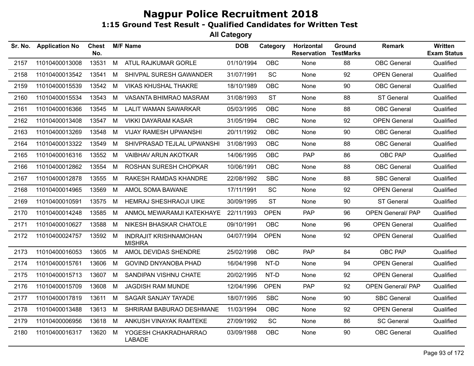| Sr. No. | <b>Application No</b> | Chest<br>No. |   | <b>M/F Name</b>                               | <b>DOB</b> | Category    | Horizontal<br><b>Reservation</b> | Ground<br><b>TestMarks</b> | Remark                   | <b>Written</b><br><b>Exam Status</b> |
|---------|-----------------------|--------------|---|-----------------------------------------------|------------|-------------|----------------------------------|----------------------------|--------------------------|--------------------------------------|
| 2157    | 11010400013008        | 13531        | M | ATUL RAJKUMAR GORLE                           | 01/10/1994 | <b>OBC</b>  | None                             | 88                         | <b>OBC</b> General       | Qualified                            |
| 2158    | 11010400013542        | 13541        | M | SHIVPAL SURESH GAWANDER                       | 31/07/1991 | <b>SC</b>   | None                             | 92                         | <b>OPEN General</b>      | Qualified                            |
| 2159    | 11010400015539        | 13542        | M | <b>VIKAS KHUSHAL THAKRE</b>                   | 18/10/1989 | OBC         | None                             | 90                         | <b>OBC</b> General       | Qualified                            |
| 2160    | 11010400015534        | 13543        | M | VASANTA BHIMRAO MASRAM                        | 31/08/1993 | <b>ST</b>   | None                             | 88                         | <b>ST General</b>        | Qualified                            |
| 2161    | 11010400016366        | 13545        | M | <b>LALIT WAMAN SAWARKAR</b>                   | 05/03/1995 | <b>OBC</b>  | None                             | 88                         | <b>OBC</b> General       | Qualified                            |
| 2162    | 11010400013408        | 13547        | M | <b>VIKKI DAYARAM KASAR</b>                    | 31/05/1994 | <b>OBC</b>  | None                             | 92                         | <b>OPEN General</b>      | Qualified                            |
| 2163    | 11010400013269        | 13548        | M | <b>VIJAY RAMESH UPWANSHI</b>                  | 20/11/1992 | <b>OBC</b>  | None                             | 90                         | <b>OBC</b> General       | Qualified                            |
| 2164    | 11010400013322        | 13549        | М | SHIVPRASAD TEJLAL UPWANSHI                    | 31/08/1993 | <b>OBC</b>  | None                             | 88                         | <b>OBC</b> General       | Qualified                            |
| 2165    | 11010400016316        | 13552        | M | <b>VAIBHAV ARUN AKOTKAR</b>                   | 14/06/1995 | OBC         | <b>PAP</b>                       | 86                         | OBC PAP                  | Qualified                            |
| 2166    | 11010400012862        | 13554        | M | ROSHAN SURESH CHOPKAR                         | 10/06/1991 | OBC         | None                             | 88                         | <b>OBC</b> General       | Qualified                            |
| 2167    | 11010400012878        | 13555        | M | RAKESH RAMDAS KHANDRE                         | 22/08/1992 | <b>SBC</b>  | None                             | 88                         | <b>SBC General</b>       | Qualified                            |
| 2168    | 11010400014965        | 13569        | M | AMOL SOMA BAWANE                              | 17/11/1991 | SC          | <b>None</b>                      | 92                         | <b>OPEN General</b>      | Qualified                            |
| 2169    | 11010400010591        | 13575        | M | <b>HEMRAJ SHESHRAOJI UIKE</b>                 | 30/09/1995 | <b>ST</b>   | None                             | 90                         | <b>ST General</b>        | Qualified                            |
| 2170    | 11010400014248        | 13585        | M | ANMOL MEWARAMJI KATEKHAYE                     | 22/11/1993 | <b>OPEN</b> | <b>PAP</b>                       | 96                         | <b>OPEN General/ PAP</b> | Qualified                            |
| 2171    | 11010400010627        | 13588        | M | NIKESH BHASKAR CHATOLE                        | 09/10/1991 | OBC         | None                             | 96                         | <b>OPEN General</b>      | Qualified                            |
| 2172    | 11010400024757        | 13592 M      |   | <b>INDRAJIT KRISHNAMOHAN</b><br><b>MISHRA</b> | 04/07/1994 | <b>OPEN</b> | None                             | 92                         | <b>OPEN General</b>      | Qualified                            |
| 2173    | 11010400016053        | 13605        | M | AMOL DEVIDAS SHENDRE                          | 25/02/1998 | OBC         | <b>PAP</b>                       | 84                         | OBC PAP                  | Qualified                            |
| 2174    | 11010400015761        | 13606        | M | <b>GOVIND DNYANOBA PHAD</b>                   | 16/04/1998 | NT-D        | None                             | 94                         | <b>OPEN General</b>      | Qualified                            |
| 2175    | 11010400015713        | 13607        | M | SANDIPAN VISHNU CHATE                         | 20/02/1995 | NT-D        | None                             | 92                         | <b>OPEN General</b>      | Qualified                            |
| 2176    | 11010400015709        | 13608        | M | <b>JAGDISH RAM MUNDE</b>                      | 12/04/1996 | <b>OPEN</b> | <b>PAP</b>                       | 92                         | OPEN General/ PAP        | Qualified                            |
| 2177    | 11010400017819        | 13611        | M | <b>SAGAR SANJAY TAYADE</b>                    | 18/07/1995 | <b>SBC</b>  | None                             | 90                         | <b>SBC General</b>       | Qualified                            |
| 2178    | 11010400013488        | 13613        | M | SHRIRAM BABURAO DESHMANE                      | 11/03/1994 | <b>OBC</b>  | None                             | 92                         | <b>OPEN General</b>      | Qualified                            |
| 2179    | 11010400006956        | 13618        | M | ANKUSH VINAYAK RAMTEKE                        | 27/09/1992 | SC          | None                             | 86                         | <b>SC General</b>        | Qualified                            |
| 2180    | 11010400016317        | 13620        | М | YOGESH CHAKRADHARRAO<br><b>LABADE</b>         | 03/09/1988 | OBC         | None                             | 90                         | <b>OBC</b> General       | Qualified                            |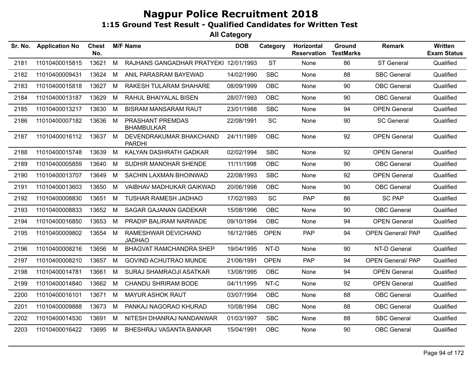| Sr. No. | <b>Application No</b> | <b>Chest</b><br>No. |   | <b>M/F Name</b>                          | <b>DOB</b> | Category    | Horizontal<br><b>Reservation</b> | Ground<br><b>TestMarks</b> | <b>Remark</b>            | <b>Written</b><br><b>Exam Status</b> |
|---------|-----------------------|---------------------|---|------------------------------------------|------------|-------------|----------------------------------|----------------------------|--------------------------|--------------------------------------|
| 2181    | 11010400015815        | 13621               | M | RAJHANS GANGADHAR PRATYEKI 12/01/1993    |            | <b>ST</b>   | None                             | 86                         | <b>ST General</b>        | Qualified                            |
| 2182    | 11010400009431        | 13624               | М | ANIL PARASRAM BAYEWAD                    | 14/02/1990 | <b>SBC</b>  | None                             | 88                         | <b>SBC General</b>       | Qualified                            |
| 2183    | 11010400015818        | 13627               | M | RAKESH TULARAM SHAHARE                   | 08/09/1999 | OBC         | None                             | 90                         | <b>OBC</b> General       | Qualified                            |
| 2184    | 11010400013187        | 13629               | М | RAHUL BHAIYALAL BISEN                    | 28/07/1993 | <b>OBC</b>  | None                             | 90                         | <b>OBC</b> General       | Qualified                            |
| 2185    | 11010400013217        | 13630               | M | <b>BISRAM MANSARAM RAUT</b>              | 23/01/1988 | <b>SBC</b>  | None                             | 94                         | <b>OPEN General</b>      | Qualified                            |
| 2186    | 11010400007182        | 13636               | M | PRASHANT PREMDAS<br><b>BHAMBULKAR</b>    | 22/08/1991 | <b>SC</b>   | None                             | 90                         | <b>SC General</b>        | Qualified                            |
| 2187    | 11010400016112        | 13637               | M | DEVENDRAKUMAR BHAKCHAND<br><b>PARDHI</b> | 24/11/1989 | <b>OBC</b>  | None                             | 92                         | <b>OPEN General</b>      | Qualified                            |
| 2188    | 11010400015748        | 13639               | М | KALYAN DASHRATH GADKAR                   | 02/02/1994 | <b>SBC</b>  | None                             | 92                         | <b>OPEN General</b>      | Qualified                            |
| 2189    | 11010400005859        | 13640               | M | SUDHIR MANOHAR SHENDE                    | 11/11/1998 | <b>OBC</b>  | None                             | 90                         | <b>OBC</b> General       | Qualified                            |
| 2190    | 11010400013707        | 13649               | M | SACHIN LAXMAN BHOINWAD                   | 22/08/1993 | <b>SBC</b>  | None                             | 92                         | <b>OPEN General</b>      | Qualified                            |
| 2191    | 11010400013603        | 13650               | М | VAIBHAV MADHUKAR GAIKWAD                 | 20/06/1998 | OBC         | None                             | 90                         | <b>OBC</b> General       | Qualified                            |
| 2192    | 11010400008830        | 13651               | M | <b>TUSHAR RAMESH JADHAO</b>              | 17/02/1993 | <b>SC</b>   | <b>PAP</b>                       | 86                         | <b>SC PAP</b>            | Qualified                            |
| 2193    | 11010400008833        | 13652               | M | SAGAR GAJANAN GADEKAR                    | 15/08/1996 | <b>OBC</b>  | None                             | 90                         | <b>OBC</b> General       | Qualified                            |
| 2194    | 11010400016850        | 13653               | М | PRADIP BALIRAM NARWADE                   | 09/10/1994 | <b>OBC</b>  | None                             | 94                         | <b>OPEN General</b>      | Qualified                            |
| 2195    | 11010400009802        | 13654               | M | RAMESHWAR DEVICHAND<br><b>JADHAO</b>     | 16/12/1985 | <b>OPEN</b> | PAP                              | 94                         | <b>OPEN General/ PAP</b> | Qualified                            |
| 2196    | 11010400008216        | 13656               | М | <b>BHAGVAT RAMCHANDRA SHEP</b>           | 19/04/1995 | NT-D        | None                             | 90                         | NT-D General             | Qualified                            |
| 2197    | 11010400008210        | 13657               | М | <b>GOVIND ACHUTRAO MUNDE</b>             | 21/06/1991 | <b>OPEN</b> | <b>PAP</b>                       | 94                         | <b>OPEN General/ PAP</b> | Qualified                            |
| 2198    | 11010400014781        | 13661               | M | <b>SURAJ SHAMRAOJI ASATKAR</b>           | 13/08/1995 | <b>OBC</b>  | None                             | 94                         | <b>OPEN General</b>      | Qualified                            |
| 2199    | 11010400014840        | 13662               | М | CHANDU SHRIRAM BODE                      | 04/11/1995 | NT-C        | None                             | 92                         | <b>OPEN General</b>      | Qualified                            |
| 2200    | 11010400016101        | 13671               | М | <b>MAYUR ASHOK RAUT</b>                  | 03/07/1994 | <b>OBC</b>  | None                             | 88                         | <b>OBC</b> General       | Qualified                            |
| 2201    | 11010400009888        | 13673               | М | PANKAJ NAGORAO KHURAD                    | 10/08/1994 | <b>OBC</b>  | None                             | 88                         | <b>OBC</b> General       | Qualified                            |
| 2202    | 11010400014530        | 13691               | М | NITESH DHANRAJ NANDANWAR                 | 01/03/1997 | <b>SBC</b>  | None                             | 88                         | <b>SBC General</b>       | Qualified                            |
| 2203    | 11010400016422        | 13695               | M | BHESHRAJ VASANTA BANKAR                  | 15/04/1991 | <b>OBC</b>  | None                             | 90                         | <b>OBC</b> General       | Qualified                            |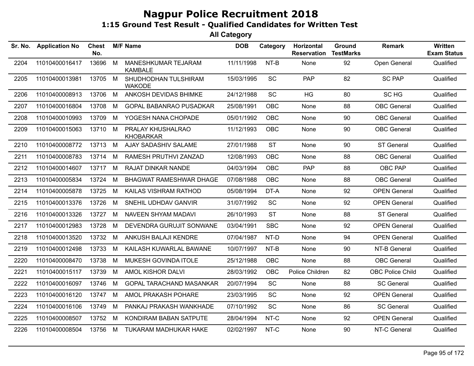| Sr. No. | <b>Application No</b> | <b>Chest</b><br>No. |   | <b>M/F Name</b>                       | <b>DOB</b> | Category   | Horizontal<br><b>Reservation</b> | <b>Ground</b><br><b>TestMarks</b> | <b>Remark</b>           | <b>Written</b><br><b>Exam Status</b> |
|---------|-----------------------|---------------------|---|---------------------------------------|------------|------------|----------------------------------|-----------------------------------|-------------------------|--------------------------------------|
| 2204    | 11010400016417        | 13696               | M | MANESHKUMAR TEJARAM<br><b>KAMBALE</b> | 11/11/1998 | NT-B       | None                             | 92                                | Open General            | Qualified                            |
| 2205    | 11010400013981        | 13705 M             |   | SHUDHODHAN TULSHIRAM<br><b>WAKODE</b> | 15/03/1995 | SC         | <b>PAP</b>                       | 82                                | <b>SC PAP</b>           | Qualified                            |
| 2206    | 11010400008913        | 13706               | M | ANKOSH DEVIDAS BHIMKE                 | 24/12/1988 | SC         | HG                               | 80                                | SC HG                   | Qualified                            |
| 2207    | 11010400016804        | 13708               | M | <b>GOPAL BABANRAO PUSADKAR</b>        | 25/08/1991 | <b>OBC</b> | None                             | 88                                | <b>OBC</b> General      | Qualified                            |
| 2208    | 11010400010993        | 13709               | M | YOGESH NANA CHOPADE                   | 05/01/1992 | <b>OBC</b> | None                             | 90                                | <b>OBC</b> General      | Qualified                            |
| 2209    | 11010400015063        | 13710               | M | PRALAY KHUSHALRAO<br><b>KHOBARKAR</b> | 11/12/1993 | <b>OBC</b> | None                             | 90                                | <b>OBC</b> General      | Qualified                            |
| 2210    | 11010400008772        | 13713               | M | AJAY SADASHIV SALAME                  | 27/01/1988 | <b>ST</b>  | None                             | 90                                | <b>ST General</b>       | Qualified                            |
| 2211    | 11010400008783        | 13714               | M | RAMESH PRUTHVI ZANZAD                 | 12/08/1993 | <b>OBC</b> | None                             | 88                                | <b>OBC</b> General      | Qualified                            |
| 2212    | 11010400014607        | 13717 M             |   | <b>RAJAT DINKAR NANDE</b>             | 04/03/1994 | <b>OBC</b> | <b>PAP</b>                       | 88                                | OBC PAP                 | Qualified                            |
| 2213    | 11010400005834        | 13724               | М | BHAGWAT RAMESHWAR DHAGE               | 07/08/1988 | <b>OBC</b> | None                             | 88                                | <b>OBC</b> General      | Qualified                            |
| 2214    | 11010400005878        | 13725               | М | KAILAS VISHRAM RATHOD                 | 05/08/1994 | DT-A       | None                             | 92                                | <b>OPEN General</b>     | Qualified                            |
| 2215    | 11010400013376        | 13726               | M | SNEHIL UDHDAV GANVIR                  | 31/07/1992 | SC         | None                             | 92                                | <b>OPEN General</b>     | Qualified                            |
| 2216    | 11010400013326        | 13727               | M | NAVEEN SHYAM MADAVI                   | 26/10/1993 | <b>ST</b>  | None                             | 88                                | <b>ST General</b>       | Qualified                            |
| 2217    | 11010400012983        | 13728               | М | DEVENDRA GURUJIT SONWANE              | 03/04/1991 | <b>SBC</b> | None                             | 92                                | <b>OPEN General</b>     | Qualified                            |
| 2218    | 11010400013520        | 13732               | M | ANKUSH BALAJI KENDRE                  | 07/04/1987 | NT-D       | None                             | 94                                | <b>OPEN General</b>     | Qualified                            |
| 2219    | 11010400012498        | 13733               | M | KAILASH KUWARLAL BAWANE               | 10/07/1997 | NT-B       | None                             | 90                                | NT-B General            | Qualified                            |
| 2220    | 11010400008470        | 13738               | M | MUKESH GOVINDA ITOLE                  | 25/12/1988 | <b>OBC</b> | None                             | 88                                | <b>OBC</b> General      | Qualified                            |
| 2221    | 11010400015117        | 13739               | M | AMOL KISHOR DALVI                     | 28/03/1992 | OBC        | Police Children                  | 82                                | <b>OBC Police Child</b> | Qualified                            |
| 2222    | 11010400016097        | 13746               | М | GOPAL TARACHAND MASANKAR              | 20/07/1994 | SC         | None                             | 88                                | <b>SC General</b>       | Qualified                            |
| 2223    | 11010400016120        | 13747               | M | AMOL PRAKASH POHARE                   | 23/03/1995 | <b>SC</b>  | None                             | 92                                | <b>OPEN General</b>     | Qualified                            |
| 2224    | 11010400016106        | 13749               | M | PANKAJ PRAKASH WANKHADE               | 07/10/1992 | <b>SC</b>  | None                             | 86                                | <b>SC General</b>       | Qualified                            |
| 2225    | 11010400008507        | 13752               | М | KONDIRAM BABAN SATPUTE                | 28/04/1994 | NT-C       | None                             | 92                                | <b>OPEN General</b>     | Qualified                            |
| 2226    | 11010400008504        | 13756               | M | TUKARAM MADHUKAR HAKE                 | 02/02/1997 | NT-C       | None                             | 90                                | NT-C General            | Qualified                            |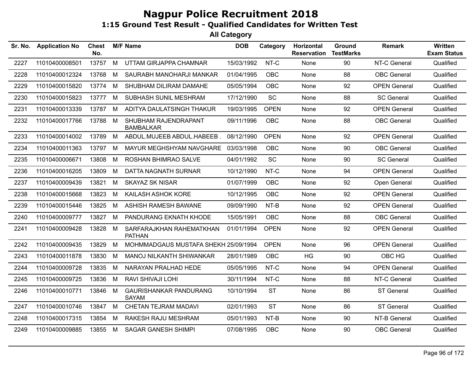| Sr. No. | <b>Application No</b> | <b>Chest</b><br>No. |   | <b>M/F Name</b>                           | <b>DOB</b> | Category    | Horizontal<br><b>Reservation</b> | Ground<br><b>TestMarks</b> | <b>Remark</b>       | <b>Written</b><br><b>Exam Status</b> |
|---------|-----------------------|---------------------|---|-------------------------------------------|------------|-------------|----------------------------------|----------------------------|---------------------|--------------------------------------|
| 2227    | 11010400008501        | 13757               | M | UTTAM GIRJAPPA CHAMNAR                    | 15/03/1992 | NT-C        | None                             | 90                         | NT-C General        | Qualified                            |
| 2228    | 11010400012324        | 13768               | M | SAURABH MANOHARJI MANKAR                  | 01/04/1995 | OBC         | None                             | 88                         | <b>OBC</b> General  | Qualified                            |
| 2229    | 11010400015820        | 13774               | M | SHUBHAM DILIRAM DAMAHE                    | 05/05/1994 | OBC         | None                             | 92                         | <b>OPEN General</b> | Qualified                            |
| 2230    | 11010400015823        | 13777               | M | SUBHASH SUNIL MESHRAM                     | 17/12/1990 | <b>SC</b>   | None                             | 88                         | <b>SC General</b>   | Qualified                            |
| 2231    | 11010400013339        | 13787               | M | ADITYA DAULATSINGH THAKUR                 | 19/03/1995 | <b>OPEN</b> | None                             | 92                         | <b>OPEN General</b> | Qualified                            |
| 2232    | 11010400017766        | 13788               | M | SHUBHAM RAJENDRAPANT<br><b>BAMBALKAR</b>  | 09/11/1996 | OBC         | None                             | 88                         | <b>OBC</b> General  | Qualified                            |
| 2233    | 11010400014002        | 13789               | M | ABDUL.MUJEEB ABDUL.HABEEB.                | 08/12/1990 | <b>OPEN</b> | None                             | 92                         | <b>OPEN General</b> | Qualified                            |
| 2234    | 11010400011363        | 13797               | м | MAYUR MEGHSHYAM NAVGHARE                  | 03/03/1998 | <b>OBC</b>  | None                             | 90                         | <b>OBC</b> General  | Qualified                            |
| 2235    | 11010400006671        | 13808               | M | ROSHAN BHIMRAO SALVE                      | 04/01/1992 | SC          | None                             | 90                         | <b>SC General</b>   | Qualified                            |
| 2236    | 11010400016205        | 13809               | М | DATTA NAGNATH SURNAR                      | 10/12/1990 | NT-C        | None                             | 94                         | <b>OPEN General</b> | Qualified                            |
| 2237    | 11010400009439        | 13821               | M | SKAYAZ SK NISAR                           | 01/07/1999 | <b>OBC</b>  | None                             | 92                         | Open General        | Qualified                            |
| 2238    | 11010400015668        | 13823               | M | KAILASH ASHOK KORE                        | 10/12/1995 | <b>OBC</b>  | None                             | 92                         | <b>OPEN General</b> | Qualified                            |
| 2239    | 11010400015446        | 13825               | м | ASHISH RAMESH BAWANE                      | 09/09/1990 | NT-B        | None                             | 92                         | <b>OPEN General</b> | Qualified                            |
| 2240    | 11010400009777        | 13827               | м | PANDURANG EKNATH KHODE                    | 15/05/1991 | <b>OBC</b>  | None                             | 88                         | <b>OBC</b> General  | Qualified                            |
| 2241    | 11010400009428        | 13828               | М | SARFARAJKHAN RAHEMATKHAN<br><b>PATHAN</b> | 01/01/1994 | <b>OPEN</b> | None                             | 92                         | <b>OPEN General</b> | Qualified                            |
| 2242    | 11010400009435        | 13829               | M | MOHMMADGAUS MUSTAFA SHEKH 25/09/1994      |            | <b>OPEN</b> | None                             | 96                         | <b>OPEN General</b> | Qualified                            |
| 2243    | 11010400011878        | 13830               | М | MANOJ NILKANTH SHIWANKAR                  | 28/01/1989 | <b>OBC</b>  | HG                               | 90                         | OBC HG              | Qualified                            |
| 2244    | 11010400009728        | 13835               | M | NARAYAN PRALHAD HEDE                      | 05/05/1995 | NT-C        | None                             | 94                         | <b>OPEN General</b> | Qualified                            |
| 2245    | 11010400009725        | 13836               | M | RAVI SHIVAJI LOHI                         | 30/11/1994 | NT-C        | None                             | 88                         | NT-C General        | Qualified                            |
| 2246    | 11010400010771        | 13846               | М | GAURISHANKAR PANDURANG<br><b>SAYAM</b>    | 10/10/1994 | <b>ST</b>   | None                             | 86                         | ST General          | Qualified                            |
| 2247    | 11010400010746        | 13847               | M | CHETAN TEJRAM MADAVI                      | 02/01/1993 | <b>ST</b>   | None                             | 86                         | <b>ST General</b>   | Qualified                            |
| 2248    | 11010400017315        | 13854               | M | RAKESH RAJU MESHRAM                       | 05/01/1993 | NT-B        | None                             | 90                         | NT-B General        | Qualified                            |
| 2249    | 11010400009885        | 13855               | M | <b>SAGAR GANESH SHIMPI</b>                | 07/08/1995 | OBC         | None                             | 90                         | <b>OBC</b> General  | Qualified                            |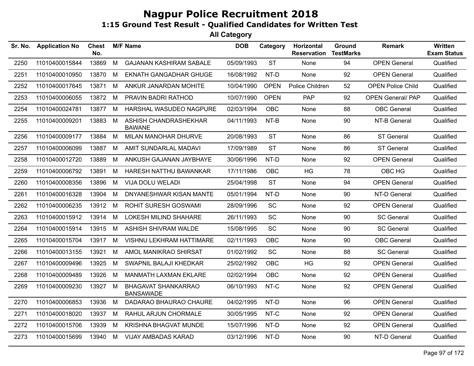| Sr. No. | <b>Application No</b> | <b>Chest</b><br>No. |   | <b>M/F Name</b>                                | <b>DOB</b> | Category    | Horizontal<br><b>Reservation</b> | <b>Ground</b><br><b>TestMarks</b> | <b>Remark</b>            | <b>Written</b><br><b>Exam Status</b> |
|---------|-----------------------|---------------------|---|------------------------------------------------|------------|-------------|----------------------------------|-----------------------------------|--------------------------|--------------------------------------|
| 2250    | 11010400015844        | 13869               | M | <b>GAJANAN KASHIRAM SABALE</b>                 | 05/09/1993 | <b>ST</b>   | None                             | 94                                | <b>OPEN General</b>      | Qualified                            |
| 2251    | 11010400010950        | 13870               | М | <b>EKNATH GANGADHAR GHUGE</b>                  | 16/08/1992 | NT-D        | None                             | 92                                | <b>OPEN General</b>      | Qualified                            |
| 2252    | 11010400017645        | 13871               | М | ANKUR JANARDAN MOHITE                          | 10/04/1990 | <b>OPEN</b> | Police Children                  | 52                                | <b>OPEN Police Child</b> | Qualified                            |
| 2253    | 11010400006055        | 13872               | M | PRAVIN BADRI RATHOD                            | 10/07/1990 | <b>OPEN</b> | <b>PAP</b>                       | 92                                | <b>OPEN General/ PAP</b> | Qualified                            |
| 2254    | 11010400024781        | 13877               | M | HARSHAL WASUDEO NAGPURE                        | 02/03/1994 | OBC         | None                             | 88                                | <b>OBC</b> General       | Qualified                            |
| 2255    | 11010400009201        | 13883               | M | ASHISH CHANDRASHEKHAR<br><b>BAWANE</b>         | 04/11/1993 | NT-B        | None                             | 90                                | NT-B General             | Qualified                            |
| 2256    | 11010400009177        | 13884               | M | MILAN MANOHAR DHURVE                           | 20/08/1993 | <b>ST</b>   | None                             | 86                                | ST General               | Qualified                            |
| 2257    | 11010400006099        | 13887               | M | AMIT SUNDARLAL MADAVI                          | 17/09/1989 | <b>ST</b>   | None                             | 86                                | <b>ST General</b>        | Qualified                            |
| 2258    | 11010400012720        | 13889               | M | ANKUSH GAJANAN JAYBHAYE                        | 30/06/1996 | NT-D        | None                             | 92                                | <b>OPEN General</b>      | Qualified                            |
| 2259    | 11010400006792        | 13891               | M | HARESH NATTHU BAWANKAR                         | 17/11/1986 | OBC         | <b>HG</b>                        | 78                                | OBC HG                   | Qualified                            |
| 2260    | 11010400008356        | 13896               | М | VIJA DOLU WELADI                               | 25/04/1998 | <b>ST</b>   | None                             | 94                                | <b>OPEN General</b>      | Qualified                            |
| 2261    | 11010400016328        | 13904               | м | DNYANESHWAR KISAN MANTE                        | 05/01/1994 | NT-D        | None                             | 90                                | NT-D General             | Qualified                            |
| 2262    | 11010400006235        | 13912               | М | <b>ROHIT SURESH GOSWAMI</b>                    | 28/09/1996 | <b>SC</b>   | None                             | 92                                | <b>OPEN General</b>      | Qualified                            |
| 2263    | 11010400015912        | 13914               | м | LOKESH MILIND SHAHARE                          | 26/11/1993 | SC          | None                             | 90                                | <b>SC General</b>        | Qualified                            |
| 2264    | 11010400015914        | 13915               | M | ASHISH SHIVRAM WALDE                           | 15/08/1995 | <b>SC</b>   | None                             | 90                                | <b>SC General</b>        | Qualified                            |
| 2265    | 11010400015704        | 13917               | M | VISHNU LEKHRAM HATTIMARE                       | 02/11/1993 | OBC         | None                             | 90                                | <b>OBC</b> General       | Qualified                            |
| 2266    | 11010400013155        | 13921               | M | AMOL MANIKRAO SHIRSAT                          | 01/02/1992 | SC          | None                             | 88                                | <b>SC General</b>        | Qualified                            |
| 2267    | 11010400009496        | 13925               | M | SWAPNIL BALAJI KHEDKAR                         | 25/02/1992 | <b>OBC</b>  | HG                               | 92                                | <b>OPEN General</b>      | Qualified                            |
| 2268    | 11010400009489        | 13926               | м | MANMATH LAXMAN EKLARE                          | 02/02/1994 | <b>OBC</b>  | None                             | 92                                | <b>OPEN General</b>      | Qualified                            |
| 2269    | 11010400009230        | 13927               | M | <b>BHAGAVAT SHANKARRAO</b><br><b>BANSAWADE</b> | 06/10/1993 | NT-C        | None                             | 92                                | <b>OPEN General</b>      | Qualified                            |
| 2270    | 11010400006853        | 13936               | M | DADARAO BHAURAO CHAURE                         | 04/02/1995 | NT-D        | None                             | 96                                | <b>OPEN General</b>      | Qualified                            |
| 2271    | 11010400018020        | 13937               | М | RAHUL ARJUN CHORMALE                           | 30/05/1995 | NT-C        | None                             | 92                                | <b>OPEN General</b>      | Qualified                            |
| 2272    | 11010400015706        | 13939               | M | KRISHNA BHAGVAT MUNDE                          | 15/07/1996 | NT-D        | None                             | 92                                | <b>OPEN General</b>      | Qualified                            |
| 2273    | 11010400015699        | 13940               | M | <b>VIJAY AMBADAS KARAD</b>                     | 03/12/1996 | NT-D        | None                             | 90                                | NT-D General             | Qualified                            |
|         |                       |                     |   |                                                |            |             |                                  |                                   |                          |                                      |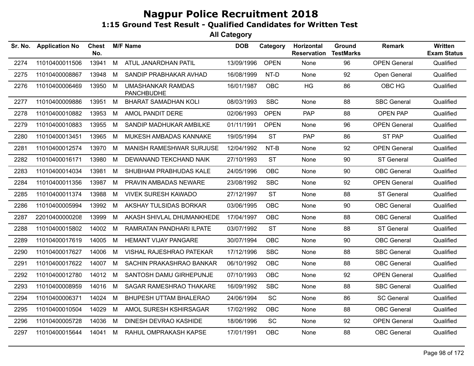| Sr. No. | <b>Application No</b> | <b>Chest</b><br>No. |   | <b>M/F Name</b>                               | <b>DOB</b> | Category    | Horizontal<br><b>Reservation</b> | Ground<br><b>TestMarks</b> | <b>Remark</b>       | Written<br><b>Exam Status</b> |
|---------|-----------------------|---------------------|---|-----------------------------------------------|------------|-------------|----------------------------------|----------------------------|---------------------|-------------------------------|
| 2274    | 11010400011506        | 13941               | M | ATUL JANARDHAN PATIL                          | 13/09/1996 | <b>OPEN</b> | None                             | 96                         | <b>OPEN General</b> | Qualified                     |
| 2275    | 11010400008867        | 13948               | M | SANDIP PRABHAKAR AVHAD                        | 16/08/1999 | NT-D        | None                             | 92                         | Open General        | Qualified                     |
| 2276    | 11010400006469        | 13950 M             |   | <b>UMASHANKAR RAMDAS</b><br><b>PANCHBUDHE</b> | 16/01/1987 | OBC         | HG                               | 86                         | OBC HG              | Qualified                     |
| 2277    | 11010400009886        | 13951 M             |   | <b>BHARAT SAMADHAN KOLI</b>                   | 08/03/1993 | <b>SBC</b>  | None                             | 88                         | <b>SBC General</b>  | Qualified                     |
| 2278    | 11010400010882        | 13953               | M | AMOL PANDIT DERE                              | 02/06/1993 | <b>OPEN</b> | <b>PAP</b>                       | 88                         | <b>OPEN PAP</b>     | Qualified                     |
| 2279    | 11010400010883        | 13955               | M | SANDIP MADHUKAR AMBILKE                       | 01/11/1991 | <b>OPEN</b> | None                             | 96                         | <b>OPEN General</b> | Qualified                     |
| 2280    | 11010400013451        | 13965               | M | MUKESH AMBADAS KANNAKE                        | 19/05/1994 | <b>ST</b>   | PAP                              | 86                         | <b>ST PAP</b>       | Qualified                     |
| 2281    | 11010400012574        | 13970               | M | MANISH RAMESHWAR SURJUSE                      | 12/04/1992 | $NT-B$      | None                             | 92                         | <b>OPEN General</b> | Qualified                     |
| 2282    | 11010400016171        | 13980               | M | DEWANAND TEKCHAND NAIK                        | 27/10/1993 | <b>ST</b>   | None                             | 90                         | <b>ST General</b>   | Qualified                     |
| 2283    | 11010400014034        | 13981               | M | SHUBHAM PRABHUDAS KALE                        | 24/05/1996 | <b>OBC</b>  | None                             | 90                         | <b>OBC</b> General  | Qualified                     |
| 2284    | 11010400011356        | 13987               | M | PRAVIN AMBADAS NEWARE                         | 23/08/1992 | <b>SBC</b>  | None                             | 92                         | <b>OPEN General</b> | Qualified                     |
| 2285    | 11010400011374        | 13988               | M | <b>VIVEK SURESH KAWADO</b>                    | 27/12/1997 | <b>ST</b>   | None                             | 88                         | <b>ST General</b>   | Qualified                     |
| 2286    | 11010400005994        | 13992               | M | AKSHAY TULSIDAS BORKAR                        | 03/06/1995 | <b>OBC</b>  | None                             | 90                         | <b>OBC</b> General  | Qualified                     |
| 2287    | 22010400000208        | 13999               | M | AKASH SHIVLAL DHUMANKHEDE                     | 17/04/1997 | <b>OBC</b>  | None                             | 88                         | <b>OBC</b> General  | Qualified                     |
| 2288    | 11010400015802        | 14002               | M | RAMRATAN PANDHARI ILPATE                      | 03/07/1992 | <b>ST</b>   | None                             | 88                         | <b>ST General</b>   | Qualified                     |
| 2289    | 11010400017619        | 14005               | M | HEMANT VIJAY PANGARE                          | 30/07/1994 | <b>OBC</b>  | None                             | 90                         | <b>OBC</b> General  | Qualified                     |
| 2290    | 11010400017627        | 14006               | M | VISHAL RAJESHRAO PATEKAR                      | 17/12/1996 | <b>SBC</b>  | None                             | 88                         | <b>SBC General</b>  | Qualified                     |
| 2291    | 11010400017622        | 14007               | M | SACHIN PRAKASHRAO BANKAR                      | 06/10/1992 | <b>OBC</b>  | None                             | 88                         | <b>OBC</b> General  | Qualified                     |
| 2292    | 11010400012780        | 14012               | M | SANTOSH DAMU GIRHEPUNJE                       | 07/10/1993 | <b>OBC</b>  | None                             | 92                         | <b>OPEN General</b> | Qualified                     |
| 2293    | 11010400008959        | 14016               | M | SAGAR RAMESHRAO THAKARE                       | 16/09/1992 | <b>SBC</b>  | None                             | 88                         | <b>SBC General</b>  | Qualified                     |
| 2294    | 11010400006371        | 14024               | M | <b>BHUPESH UTTAM BHALERAO</b>                 | 24/06/1994 | SC          | None                             | 86                         | <b>SC General</b>   | Qualified                     |
| 2295    | 11010400010504        | 14029               | M | AMOL SURESH KSHIRSAGAR                        | 17/02/1992 | <b>OBC</b>  | None                             | 88                         | <b>OBC</b> General  | Qualified                     |
| 2296    | 11010400005728        | 14036               | M | DINESH DEVRAO KASHIDE                         | 18/06/1996 | SC          | None                             | 92                         | <b>OPEN General</b> | Qualified                     |
| 2297    | 11010400015644        | 14041 M             |   | RAHUL OMPRAKASH KAPSE                         | 17/01/1991 | OBC         | None                             | 88                         | <b>OBC</b> General  | Qualified                     |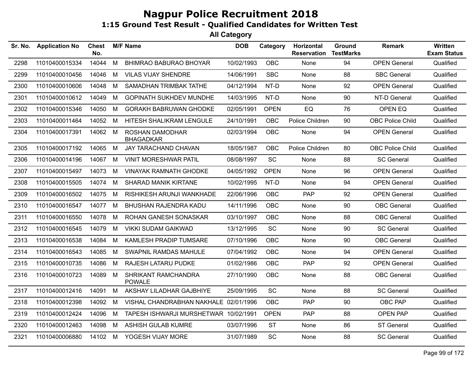| <b>Application No</b> | Chest<br>No. |   |                                      | <b>DOB</b>      | Category                                                                       | Horizontal<br><b>Reservation</b>                                   | Ground | <b>Remark</b>           | Written<br><b>Exam Status</b> |
|-----------------------|--------------|---|--------------------------------------|-----------------|--------------------------------------------------------------------------------|--------------------------------------------------------------------|--------|-------------------------|-------------------------------|
| 11010400015334        | 14044        | M | <b>BHIMRAO BABURAO BHOYAR</b>        | 10/02/1993      | <b>OBC</b>                                                                     | None                                                               | 94     | <b>OPEN General</b>     | Qualified                     |
| 11010400010456        | 14046        | M | <b>VILAS VIJAY SHENDRE</b>           | 14/06/1991      | <b>SBC</b>                                                                     | None                                                               | 88     | <b>SBC General</b>      | Qualified                     |
| 11010400010606        | 14048        | M | SAMADHAN TRIMBAK TATHE               | 04/12/1994      | NT-D                                                                           | None                                                               | 92     | <b>OPEN General</b>     | Qualified                     |
| 11010400010612        | 14049        | M | <b>GOPINATH SUKHDEV MUNDHE</b>       |                 | NT-D                                                                           | None                                                               | 90     | NT-D General            | Qualified                     |
| 11010400015346        | 14050        | M | <b>GORAKH BABRUWAN GHODKE</b>        | 02/05/1991      | <b>OPEN</b>                                                                    | EQ                                                                 | 76     | OPEN EQ                 | Qualified                     |
| 11010400011464        | 14052        | M | HITESH SHALIKRAM LENGULE             | 24/10/1991      | <b>OBC</b>                                                                     | Police Children                                                    | 90     | <b>OBC Police Child</b> | Qualified                     |
| 11010400017391        |              |   | ROSHAN DAMODHAR<br><b>BHAGADKAR</b>  |                 | <b>OBC</b>                                                                     | None                                                               | 94     | <b>OPEN General</b>     | Qualified                     |
| 11010400017192        | 14065        | M | JAY TARACHAND CHAVAN                 | 18/05/1987      | OBC                                                                            | Police Children                                                    | 80     | <b>OBC Police Child</b> | Qualified                     |
| 11010400014196        | 14067        | M | <b>VINIT MORESHWAR PATIL</b>         | 08/08/1997      | SC                                                                             | None                                                               | 88     | <b>SC General</b>       | Qualified                     |
| 11010400015497        | 14073        | M | <b>VINAYAK RAMNATH GHODKE</b>        |                 | <b>OPEN</b>                                                                    | None                                                               | 96     | <b>OPEN General</b>     | Qualified                     |
| 11010400015505        | 14074        | M | <b>SHARAD MANIK KIRTANE</b>          |                 | NT-D                                                                           | None                                                               | 94     | <b>OPEN General</b>     | Qualified                     |
| 11010400016502        | 14075        | M | RISHIKESH ARUNJI WANKHADE            | 22/06/1996      | <b>OBC</b>                                                                     | <b>PAP</b>                                                         | 92     | <b>OPEN General</b>     | Qualified                     |
| 11010400016547        | 14077        | M | BHUSHAN RAJENDRA KADU                | 14/11/1996      | <b>OBC</b>                                                                     | None                                                               | 90     | <b>OBC</b> General      | Qualified                     |
| 11010400016550        | 14078        | M | ROHAN GANESH SONASKAR                | 03/10/1997      | <b>OBC</b>                                                                     | None                                                               | 88     | <b>OBC</b> General      | Qualified                     |
| 11010400016545        | 14079        | M | <b>VIKKI SUDAM GAIKWAD</b>           | 13/12/1995      | <b>SC</b>                                                                      | None                                                               | 90     | <b>SC General</b>       | Qualified                     |
| 11010400016538        | 14084        | M | KAMLESH PRADIP TUMSARE               | 07/10/1996      | <b>OBC</b>                                                                     | None                                                               | 90     | <b>OBC</b> General      | Qualified                     |
| 11010400016543        | 14085        | M | <b>SWAPNIL RAMDAS MAHULE</b>         |                 | <b>OBC</b>                                                                     | None                                                               | 94     | <b>OPEN General</b>     | Qualified                     |
| 11010400010735        | 14086        | M | RAJESH LATARU PUDKE                  | 01/02/1986      | <b>OBC</b>                                                                     | <b>PAP</b>                                                         | 92     | <b>OPEN General</b>     | Qualified                     |
| 11010400010723        | 14089        | M | SHRIKANT RAMCHANDRA<br><b>POWALE</b> | 27/10/1990      | <b>OBC</b>                                                                     | None                                                               | 88     | <b>OBC</b> General      | Qualified                     |
| 11010400012416        | 14091        | M | AKSHAY LILADHAR GAJBHIYE             | 25/09/1995      | SC                                                                             | None                                                               | 88     | <b>SC General</b>       | Qualified                     |
| 11010400012398        | 14092        | M |                                      |                 | <b>OBC</b>                                                                     | <b>PAP</b>                                                         | 90     | OBC PAP                 | Qualified                     |
| 11010400012424        | 14096        | M |                                      |                 | <b>OPEN</b>                                                                    | <b>PAP</b>                                                         | 88     | OPEN PAP                | Qualified                     |
| 11010400012463        | 14098        | M | <b>ASHISH GULAB KUMRE</b>            | 03/07/1996      | <b>ST</b>                                                                      | None                                                               | 86     | <b>ST General</b>       | Qualified                     |
| 11010400006880        |              |   | YOGESH VIJAY MORE                    | 31/07/1989      | SC                                                                             | None                                                               | 88     | <b>SC General</b>       | Qualified                     |
|                       |              |   | 14062 M<br>14102 M                   | <b>M/F Name</b> | VISHAL CHANDRABHAN NAKHALE 02/01/1996<br>TAPESH ISHWARJI MURSHETWAR 10/02/1991 | 14/03/1995<br>02/03/1994<br>04/05/1992<br>10/02/1995<br>07/04/1992 |        | <b>TestMarks</b>        |                               |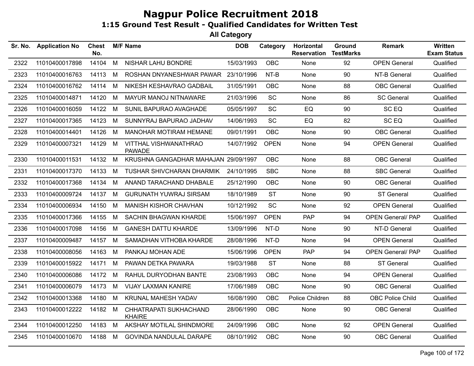| Sr. No. | <b>Application No</b> | <b>Chest</b><br>No. |     | <b>M/F Name</b>                         | <b>DOB</b> | Category    | Horizontal<br><b>Reservation</b> | <b>Ground</b><br><b>TestMarks</b> | <b>Remark</b>            | Written<br><b>Exam Status</b> |
|---------|-----------------------|---------------------|-----|-----------------------------------------|------------|-------------|----------------------------------|-----------------------------------|--------------------------|-------------------------------|
| 2322    | 11010400017898        | 14104               | M   | NISHAR LAHU BONDRE                      | 15/03/1993 | OBC         | None                             | 92                                | <b>OPEN General</b>      | Qualified                     |
| 2323    | 11010400016763        | 14113               | M   | ROSHAN DNYANESHWAR PAWAR                | 23/10/1996 | NT-B        | None                             | 90                                | NT-B General             | Qualified                     |
| 2324    | 11010400016762        | 14114               | M   | NIKESH KESHAVRAO GADBAIL                | 31/05/1991 | <b>OBC</b>  | None                             | 88                                | <b>OBC</b> General       | Qualified                     |
| 2325    | 11010400014871        | 14120               | M   | MAYUR MANOJ NITNAWARE                   | 21/03/1996 | <b>SC</b>   | None                             | 86                                | <b>SC General</b>        | Qualified                     |
| 2326    | 11010400016059        | 14122               | - M | SUNIL BAPURAO AVAGHADE                  | 05/05/1997 | SC          | EQ                               | 90                                | SC EQ                    | Qualified                     |
| 2327    | 11010400017365        | 14123               | M   | SUNNYRAJ BAPURAO JADHAV                 | 14/06/1993 | SC          | EQ                               | 82                                | SC EQ                    | Qualified                     |
| 2328    | 11010400014401        | 14126               | M   | <b>MANOHAR MOTIRAM HEMANE</b>           | 09/01/1991 | <b>OBC</b>  | None                             | 90                                | <b>OBC</b> General       | Qualified                     |
| 2329    | 11010400007321        | 14129 M             |     | VITTHAL VISHWANATHRAO<br><b>PAWADE</b>  | 14/07/1992 | <b>OPEN</b> | None                             | 94                                | <b>OPEN General</b>      | Qualified                     |
| 2330    | 11010400011531        | 14132 M             |     | KRUSHNA GANGADHAR MAHAJAN 29/09/1997    |            | OBC         | None                             | 88                                | <b>OBC</b> General       | Qualified                     |
| 2331    | 11010400017370        | 14133 M             |     | TUSHAR SHIVCHARAN DHARMIK               | 24/10/1995 | <b>SBC</b>  | None                             | 88                                | <b>SBC General</b>       | Qualified                     |
| 2332    | 11010400017368        | 14134               | M   | ANAND TARACHAND DHABALE                 | 25/12/1990 | OBC         | None                             | 90                                | <b>OBC</b> General       | Qualified                     |
| 2333    | 11010400009724        | 14137               | M   | <b>GURUNATH YUWRAJ SIRSAM</b>           | 18/10/1989 | <b>ST</b>   | None                             | 90                                | <b>ST General</b>        | Qualified                     |
| 2334    | 11010400006934        | 14150               | M   | <b>MANISH KISHOR CHAVHAN</b>            | 10/12/1992 | SC          | None                             | 92                                | <b>OPEN General</b>      | Qualified                     |
| 2335    | 11010400017366        | 14155               | M   | SACHIN BHAGWAN KHARDE                   | 15/06/1997 | <b>OPEN</b> | <b>PAP</b>                       | 94                                | <b>OPEN General/ PAP</b> | Qualified                     |
| 2336    | 11010400017098        | 14156               | M   | <b>GANESH DATTU KHARDE</b>              | 13/09/1996 | NT-D        | None                             | 90                                | NT-D General             | Qualified                     |
| 2337    | 11010400009487        | 14157 M             |     | SAMADHAN VITHOBA KHARDE                 | 28/08/1996 | NT-D        | None                             | 94                                | <b>OPEN General</b>      | Qualified                     |
| 2338    | 11010400008056        | 14163 M             |     | PANKAJ MOHAN ADE                        | 15/06/1996 | <b>OPEN</b> | PAP                              | 94                                | <b>OPEN General/ PAP</b> | Qualified                     |
| 2339    | 11010400015922        | 14171               | M   | PAWAN DETKA PAWARA                      | 19/03/1988 | <b>ST</b>   | None                             | 88                                | <b>ST General</b>        | Qualified                     |
| 2340    | 11010400006086        | 14172               | M   | RAHUL DURYODHAN BANTE                   | 23/08/1993 | <b>OBC</b>  | None                             | 94                                | <b>OPEN General</b>      | Qualified                     |
| 2341    | 11010400006079        | 14173               | M   | <b>VIJAY LAXMAN KANIRE</b>              | 17/06/1989 | OBC         | None                             | 90                                | OBC General              | Qualified                     |
| 2342    | 11010400013368        | 14180 M             |     | KRUNAL MAHESH YADAV                     | 16/08/1990 | OBC         | Police Children                  | 88                                | <b>OBC Police Child</b>  | Qualified                     |
| 2343    | 11010400012222        | 14182 M             |     | CHHATRAPATI SUKHACHAND<br><b>KHAIRE</b> | 28/06/1990 | <b>OBC</b>  | None                             | 90                                | <b>OBC</b> General       | Qualified                     |
| 2344    | 11010400012250        | 14183 M             |     | AKSHAY MOTILAL SHINDMORE                | 24/09/1996 | OBC         | None                             | 92                                | <b>OPEN General</b>      | Qualified                     |
| 2345    | 11010400010670        | 14188 M             |     | GOVINDA NANDULAL DARAPE                 | 08/10/1992 | OBC         | None                             | 90                                | <b>OBC</b> General       | Qualified                     |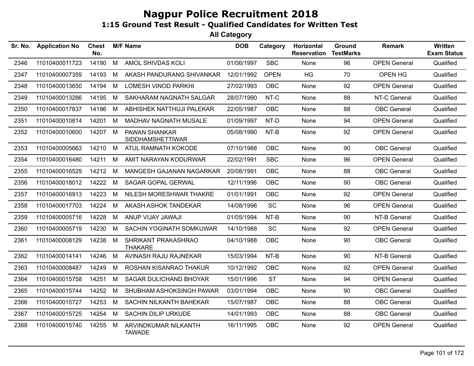| Sr. No. | <b>Application No</b> | <b>Chest</b><br>No. |   | <b>M/F Name</b>                                 | <b>DOB</b> | Category    | Horizontal<br><b>Reservation</b> | Ground<br><b>TestMarks</b> | <b>Remark</b>       | <b>Written</b><br><b>Exam Status</b> |
|---------|-----------------------|---------------------|---|-------------------------------------------------|------------|-------------|----------------------------------|----------------------------|---------------------|--------------------------------------|
| 2346    | 11010400011723        | 14190               | M | AMOL SHIVDAS KOLI                               | 01/06/1997 | <b>SBC</b>  | None                             | 96                         | <b>OPEN General</b> | Qualified                            |
| 2347    | 11010400007359        | 14193               | M | AKASH PANDURANG SHIVANKAR                       | 12/01/1992 | <b>OPEN</b> | <b>HG</b>                        | 70                         | OPEN HG             | Qualified                            |
| 2348    | 11010400013650        | 14194               | М | <b>LOMESH VINOD PARKHI</b>                      | 27/02/1993 | <b>OBC</b>  | None                             | 92                         | <b>OPEN General</b> | Qualified                            |
| 2349    | 11010400013286        | 14195               | М | SAKHARAM NAGNATH SALGAR                         | 28/07/1990 | NT-C        | None                             | 88                         | NT-C General        | Qualified                            |
| 2350    | 11010400017837        | 14196               | M | ABHISHEK NATTHUJI PALEKAR                       | 22/05/1987 | OBC         | None                             | 88                         | <b>OBC General</b>  | Qualified                            |
| 2351    | 11010400010814        | 14201               | М | MADHAV NAGNATH MUSALE                           | 01/09/1997 | NT-D        | None                             | 94                         | <b>OPEN General</b> | Qualified                            |
| 2352    | 11010400010600        | 14207               | M | <b>PAWAN SHANKAR</b><br><b>SIDDHAMSHETTIWAR</b> | 05/08/1990 | NT-B        | None                             | 92                         | <b>OPEN General</b> | Qualified                            |
| 2353    | 11010400005663        | 14210               | М | ATUL RAMNATH KOKODE                             | 07/10/1988 | OBC         | None                             | 90                         | <b>OBC</b> General  | Qualified                            |
| 2354    | 11010400016480        | 14211               | M | AMIT NARAYAN KODURWAR                           | 22/02/1991 | <b>SBC</b>  | None                             | 96                         | <b>OPEN General</b> | Qualified                            |
| 2355    | 11010400016529        | 14212               | м | MANGESH GAJANAN NAGARKAR                        | 20/08/1991 | <b>OBC</b>  | None                             | 88                         | <b>OBC</b> General  | Qualified                            |
| 2356    | 11010400018012        | 14222               | M | SAGAR GOPAL GERWAL                              | 12/11/1996 | <b>OBC</b>  | None                             | 90                         | <b>OBC</b> General  | Qualified                            |
| 2357    | 11010400016913        | 14223               | M | NILESH MORESHWAR THAKRE                         | 01/01/1991 | OBC         | None                             | 92                         | <b>OPEN General</b> | Qualified                            |
| 2358    | 11010400017703        | 14224               | M | AKASH ASHOK TANDEKAR                            | 14/08/1996 | <b>SC</b>   | None                             | 96                         | <b>OPEN General</b> | Qualified                            |
| 2359    | 11010400005716        | 14228               | M | ANUP VIJAY JAWAJI                               | 01/05/1994 | NT-B        | None                             | 90                         | NT-B General        | Qualified                            |
| 2360    | 11010400005719        | 14230               | M | SACHIN YOGINATH SOMKUWAR                        | 14/10/1988 | SC          | None                             | 92                         | <b>OPEN General</b> | Qualified                            |
| 2361    | 11010400008129        | 14238               | M | SHRIKANT PRAKASHRAO<br><b>THAKARE</b>           | 04/10/1988 | OBC         | None                             | 90                         | <b>OBC</b> General  | Qualified                            |
| 2362    | 11010400014141        | 14246               | M | AVINASH RAJU RAJNEKAR                           | 15/03/1994 | NT-B        | None                             | 90                         | NT-B General        | Qualified                            |
| 2363    | 11010400008487        | 14249               | м | ROSHAN KISANRAO THAKUR                          | 10/12/1992 | OBC         | None                             | 92                         | <b>OPEN General</b> | Qualified                            |
| 2364    | 11010400015758        | 14251               | M | SAGAR DULICHAND BHOYAR                          | 15/01/1996 | <b>ST</b>   | None                             | 94                         | <b>OPEN General</b> | Qualified                            |
| 2365    | 11010400015744        | 14252               | м | SHUBHAM ASHOKSINGH PAWAR                        | 03/01/1994 | <b>OBC</b>  | None                             | 90                         | <b>OBC</b> General  | Qualified                            |
| 2366    | 11010400015727        | 14253               | M | SACHIN NILKANTH BAHEKAR                         | 15/07/1987 | OBC         | None                             | 88                         | <b>OBC</b> General  | Qualified                            |
| 2367    | 11010400015725        | 14254               | M | SACHIN DILIP URKUDE                             | 14/01/1993 | OBC         | None                             | 88                         | <b>OBC</b> General  | Qualified                            |
| 2368    | 11010400015740        | 14255               | M | ARVINDKUMAR NILKANTH<br><b>TAWADE</b>           | 16/11/1995 | OBC         | None                             | 92                         | <b>OPEN General</b> | Qualified                            |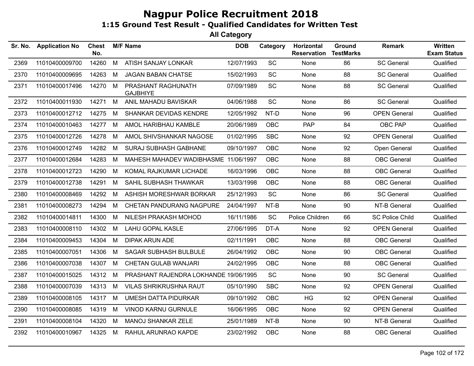| Sr. No. | <b>Application No</b> | <b>Chest</b><br>No. |   | <b>M/F Name</b>                       | <b>DOB</b> | Category   | Horizontal<br><b>Reservation</b> | Ground<br><b>TestMarks</b> | Remark                 | <b>Written</b><br><b>Exam Status</b> |
|---------|-----------------------|---------------------|---|---------------------------------------|------------|------------|----------------------------------|----------------------------|------------------------|--------------------------------------|
| 2369    | 11010400009700        | 14260               | M | ATISH SANJAY LONKAR                   | 12/07/1993 | SC         | None                             | 86                         | <b>SC General</b>      | Qualified                            |
| 2370    | 11010400009695        | 14263               | M | <b>JAGAN BABAN CHATSE</b>             | 15/02/1993 | <b>SC</b>  | None                             | 88                         | <b>SC General</b>      | Qualified                            |
| 2371    | 11010400017496        | 14270               | M | PRASHANT RAGHUNATH<br><b>GAJBHIYE</b> | 07/09/1989 | <b>SC</b>  | None                             | 88                         | <b>SC General</b>      | Qualified                            |
| 2372    | 11010400011930        | 14271               | M | ANIL MAHADU BAVISKAR                  | 04/06/1988 | <b>SC</b>  | None                             | 86                         | <b>SC General</b>      | Qualified                            |
| 2373    | 11010400012712        | 14275               | M | SHANKAR DEVIDAS KENDRE                | 12/05/1992 | NT-D       | None                             | 96                         | <b>OPEN General</b>    | Qualified                            |
| 2374    | 11010400010463        | 14277               | M | AMOL HARIBHAU KAMBLE                  | 20/06/1989 | <b>OBC</b> | <b>PAP</b>                       | 84                         | OBC PAP                | Qualified                            |
| 2375    | 11010400012726        | 14278               | M | AMOL SHIVSHANKAR NAGOSE               | 01/02/1995 | <b>SBC</b> | None                             | 92                         | <b>OPEN General</b>    | Qualified                            |
| 2376    | 11010400012749        | 14282               | M | <b>SURAJ SUBHASH GABHANE</b>          | 09/10/1997 | OBC        | None                             | 92                         | Open General           | Qualified                            |
| 2377    | 11010400012684        | 14283               | М | MAHESH MAHADEV WADIBHASME 11/06/1997  |            | <b>OBC</b> | None                             | 88                         | <b>OBC</b> General     | Qualified                            |
| 2378    | 11010400012723        | 14290               | M | KOMAL RAJKUMAR LICHADE                | 16/03/1996 | OBC        | None                             | 88                         | <b>OBC</b> General     | Qualified                            |
| 2379    | 11010400012738        | 14291               | М | SAHIL SUBHASH THAWKAR                 | 13/03/1998 | <b>OBC</b> | None                             | 88                         | <b>OBC</b> General     | Qualified                            |
| 2380    | 11010400008469        | 14292               | M | ASHISH MORESHWAR BORKAR               | 25/12/1993 | <b>SC</b>  | None                             | 86                         | <b>SC General</b>      | Qualified                            |
| 2381    | 11010400008273        | 14294               | М | CHETAN PANDURANG NAGPURE              | 24/04/1997 | NT-B       | None                             | 90                         | NT-B General           | Qualified                            |
| 2382    | 11010400014811        | 14300               | М | NILESH PRAKASH MOHOD                  | 16/11/1986 | <b>SC</b>  | Police Children                  | 66                         | <b>SC Police Child</b> | Qualified                            |
| 2383    | 11010400008110        | 14302               | M | <b>LAHU GOPAL KASLE</b>               | 27/06/1995 | DT-A       | None                             | 92                         | <b>OPEN General</b>    | Qualified                            |
| 2384    | 11010400009453        | 14304               | М | <b>DIPAK ARUN ADE</b>                 | 02/11/1991 | <b>OBC</b> | None                             | 88                         | <b>OBC</b> General     | Qualified                            |
| 2385    | 11010400007051        | 14306               | M | <b>SAGAR SUBHASH BULBULE</b>          | 26/04/1992 | <b>OBC</b> | None                             | 90                         | <b>OBC</b> General     | Qualified                            |
| 2386    | 11010400007038        | 14307               | M | <b>CHETAN GULAB WANJARI</b>           | 24/02/1995 | OBC        | None                             | 88                         | <b>OBC</b> General     | Qualified                            |
| 2387    | 11010400015025        | 14312               | M | PRASHANT RAJENDRA LOKHANDE 19/06/1995 |            | <b>SC</b>  | None                             | 90                         | <b>SC General</b>      | Qualified                            |
| 2388    | 11010400007039        | 14313               | М | <b>VILAS SHRIKRUSHNA RAUT</b>         | 05/10/1990 | <b>SBC</b> | None                             | 92                         | <b>OPEN General</b>    | Qualified                            |
| 2389    | 11010400008105        | 14317               | M | UMESH DATTA PIDURKAR                  | 09/10/1992 | <b>OBC</b> | HG                               | 92                         | <b>OPEN General</b>    | Qualified                            |
| 2390    | 11010400008085        | 14319               | М | VINOD KARNU GURNULE                   | 16/06/1995 | <b>OBC</b> | None                             | 92                         | <b>OPEN General</b>    | Qualified                            |
| 2391    | 11010400008104        | 14320               | М | <b>MANOJ SHANKAR ZELE</b>             | 25/01/1989 | NT-B       | None                             | 90                         | NT-B General           | Qualified                            |
| 2392    | 11010400010967        | 14325               | M | RAHUL ARUNRAO KAPDE                   | 23/02/1992 | <b>OBC</b> | None                             | 88                         | <b>OBC</b> General     | Qualified                            |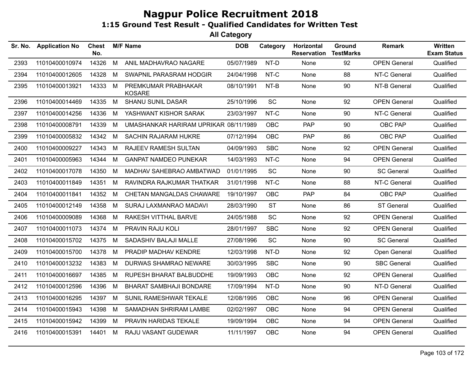| Sr. No. | <b>Application No</b> | Chest<br>No. |   | <b>M/F Name</b>                       | <b>DOB</b> | Category   | Horizontal<br><b>Reservation</b> | Ground<br><b>TestMarks</b> | <b>Remark</b>       | Written<br><b>Exam Status</b> |
|---------|-----------------------|--------------|---|---------------------------------------|------------|------------|----------------------------------|----------------------------|---------------------|-------------------------------|
| 2393    | 11010400010974        | 14326        | M | ANIL MADHAVRAO NAGARE                 | 05/07/1989 | NT-D       | None                             | 92                         | <b>OPEN General</b> | Qualified                     |
| 2394    | 11010400012605        | 14328        | M | SWAPNIL PARASRAM HODGIR               | 24/04/1998 | NT-C       | None                             | 88                         | NT-C General        | Qualified                     |
| 2395    | 11010400013921        | 14333        | M | PREMKUMAR PRABHAKAR<br><b>KOSARE</b>  | 08/10/1991 | NT-B       | None                             | 90                         | NT-B General        | Qualified                     |
| 2396    | 11010400014469        | 14335        | M | <b>SHANU SUNIL DASAR</b>              | 25/10/1996 | SC         | None                             | 92                         | <b>OPEN General</b> | Qualified                     |
| 2397    | 11010400014256        | 14336        | М | YASHWANT KISHOR SARAK                 | 23/03/1997 | NT-C       | None                             | 90                         | NT-C General        | Qualified                     |
| 2398    | 11010400008791        | 14339        | М | UMASHANKAR HARIRAM UPRIKAR 08/11/1989 |            | <b>OBC</b> | <b>PAP</b>                       | 90                         | OBC PAP             | Qualified                     |
| 2399    | 11010400005832        | 14342        | M | <b>SACHIN RAJARAM HUKRE</b>           | 07/12/1994 | <b>OBC</b> | <b>PAP</b>                       | 86                         | OBC PAP             | Qualified                     |
| 2400    | 11010400009227        | 14343        | М | RAJEEV RAMESH SULTAN                  | 04/09/1993 | <b>SBC</b> | None                             | 92                         | <b>OPEN General</b> | Qualified                     |
| 2401    | 11010400005963        | 14344        | М | <b>GANPAT NAMDEO PUNEKAR</b>          | 14/03/1993 | NT-C       | None                             | 94                         | <b>OPEN General</b> | Qualified                     |
| 2402    | 11010400017078        | 14350        | М | MADHAV SAHEBRAO AMBATWAD              | 01/01/1995 | <b>SC</b>  | None                             | 90                         | <b>SC General</b>   | Qualified                     |
| 2403    | 11010400011849        | 14351        | М | RAVINDRA RAJKUMAR THATKAR             | 31/01/1998 | NT-C       | None                             | 88                         | NT-C General        | Qualified                     |
| 2404    | 11010400011841        | 14352        | М | CHETAN MANGALDAS CHAWARE              | 19/10/1997 | <b>OBC</b> | PAP                              | 84                         | <b>OBC PAP</b>      | Qualified                     |
| 2405    | 11010400012149        | 14358        | M | SURAJ LAXMANRAO MADAVI                | 28/03/1990 | <b>ST</b>  | None                             | 86                         | ST General          | Qualified                     |
| 2406    | 11010400009089        | 14368        | M | RAKESH VITTHAL BARVE                  | 24/05/1988 | <b>SC</b>  | None                             | 92                         | <b>OPEN General</b> | Qualified                     |
| 2407    | 11010400011073        | 14374        | M | PRAVIN RAJU KOLI                      | 28/01/1997 | <b>SBC</b> | None                             | 92                         | <b>OPEN General</b> | Qualified                     |
| 2408    | 11010400015702        | 14375        | M | SADASHIV BALAJI MALLE                 | 27/08/1996 | SC         | None                             | 90                         | <b>SC General</b>   | Qualified                     |
| 2409    | 11010400015700        | 14378        | М | PRADIP MADHAV KENDRE                  | 12/03/1998 | NT-D       | None                             | 92                         | Open General        | Qualified                     |
| 2410    | 11010400013232        | 14383        | М | DURWAS SHAMRAO NEWARE                 | 30/03/1995 | <b>SBC</b> | None                             | 90                         | <b>SBC General</b>  | Qualified                     |
| 2411    | 11010400016697        | 14385        | М | RUPESH BHARAT BALBUDDHE               | 19/09/1993 | <b>OBC</b> | None                             | 92                         | <b>OPEN General</b> | Qualified                     |
| 2412    | 11010400012596        | 14396        | М | <b>BHARAT SAMBHAJI BONDARE</b>        | 17/09/1994 | NT-D       | None                             | 90                         | NT-D General        | Qualified                     |
| 2413    | 11010400016295        | 14397        | M | SUNIL RAMESHWAR TEKALE                | 12/08/1995 | <b>OBC</b> | None                             | 96                         | <b>OPEN General</b> | Qualified                     |
| 2414    | 11010400015943        | 14398        | M | SAMADHAN SHRIRAM LAMBE                | 02/02/1997 | <b>OBC</b> | None                             | 94                         | <b>OPEN General</b> | Qualified                     |
| 2415    | 11010400015942        | 14399        | М | PRAVIN HARIDAS TEKALE                 | 19/09/1994 | <b>OBC</b> | None                             | 94                         | <b>OPEN General</b> | Qualified                     |
| 2416    | 11010400015391        | 14401        | М | RAJU VASANT GUDEWAR                   | 11/11/1997 | <b>OBC</b> | None                             | 94                         | <b>OPEN General</b> | Qualified                     |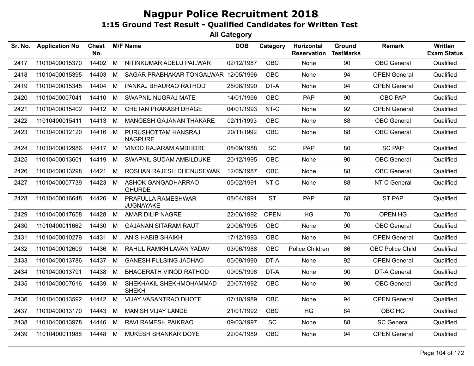| Sr. No. | <b>Application No</b> | <b>Chest</b><br>No. |   | <b>M/F Name</b>                         | <b>DOB</b> | Category    | Horizontal<br><b>Reservation</b> | Ground<br><b>TestMarks</b> | <b>Remark</b>           | <b>Written</b><br><b>Exam Status</b> |
|---------|-----------------------|---------------------|---|-----------------------------------------|------------|-------------|----------------------------------|----------------------------|-------------------------|--------------------------------------|
| 2417    | 11010400015370        | 14402               | M | NITINKUMAR ADELU PAILWAR                | 02/12/1987 | <b>OBC</b>  | None                             | 90                         | <b>OBC</b> General      | Qualified                            |
| 2418    | 11010400015395        | 14403               | M | SAGAR PRABHAKAR TONGALWAR               | 12/05/1996 | <b>OBC</b>  | None                             | 94                         | <b>OPEN General</b>     | Qualified                            |
| 2419    | 11010400015345        | 14404               | M | PANKAJ BHAURAO RATHOD                   | 25/06/1990 | DT-A        | None                             | 94                         | <b>OPEN General</b>     | Qualified                            |
| 2420    | 11010400007041        | 14410 M             |   | SWAPNIL NUGRAJ MATE                     | 14/01/1996 | <b>OBC</b>  | PAP.                             | 90                         | OBC PAP                 | Qualified                            |
| 2421    | 11010400015402        | 14412 M             |   | CHETAN PRAKASH DHAGE                    | 04/01/1993 | NT-C        | None                             | 92                         | <b>OPEN General</b>     | Qualified                            |
| 2422    | 11010400015411        | 14413               | M | MANGESH GAJANAN THAKARE                 | 02/11/1993 | OBC         | None                             | 88                         | <b>OBC</b> General      | Qualified                            |
| 2423    | 11010400012120        | 14416 M             |   | PURUSHOTTAM HANSRAJ<br><b>NAGPURE</b>   | 20/11/1992 | OBC         | None                             | 88                         | <b>OBC</b> General      | Qualified                            |
| 2424    | 11010400012986        | 14417               | M | VINOD RAJARAM AMBHORE                   | 08/09/1988 | <b>SC</b>   | PAP                              | 80                         | <b>SC PAP</b>           | Qualified                            |
| 2425    | 11010400013601        | 14419               | M | SWAPNIL SUDAM AMBILDUKE                 | 20/12/1995 | <b>OBC</b>  | None                             | 90                         | <b>OBC</b> General      | Qualified                            |
| 2426    | 11010400013298        | 14421               | M | ROSHAN RAJESH DHENUSEWAK                | 12/05/1987 | <b>OBC</b>  | None                             | 88                         | <b>OBC</b> General      | Qualified                            |
| 2427    | 11010400007739        | 14423 M             |   | ASHOK GANGADHARRAO<br><b>GHURDE</b>     | 05/02/1991 | NT-C        | None                             | 88                         | NT-C General            | Qualified                            |
| 2428    | 11010400016648        | 14426               | M | PRAFULLA RAMESHWAR<br><b>JUGNAYAKE</b>  | 08/04/1991 | <b>ST</b>   | <b>PAP</b>                       | 68                         | ST PAP                  | Qualified                            |
| 2429    | 11010400017658        | 14428               | M | AMAR DILIP NAGRE                        | 22/06/1992 | <b>OPEN</b> | HG                               | 70                         | OPEN HG                 | Qualified                            |
| 2430    | 11010400011662        | 14430               | M | <b>GAJANAN SITARAM RAUT</b>             | 20/06/1995 | <b>OBC</b>  | None                             | 90                         | <b>OBC</b> General      | Qualified                            |
| 2431    | 11010400010279        | 14431               | M | ANIS HABIB SHAIKH                       | 17/12/1993 | <b>OBC</b>  | None                             | 94                         | <b>OPEN General</b>     | Qualified                            |
| 2432    | 11010400012609        | 14436               | M | RAHUL RAMKHILAVAN YADAV                 | 03/06/1988 | <b>OBC</b>  | Police Children                  | 86                         | <b>OBC Police Child</b> | Qualified                            |
| 2433    | 11010400013786        | 14437               | M | <b>GANESH FULSING JADHAO</b>            | 05/09/1990 | DT-A        | None                             | 92                         | <b>OPEN General</b>     | Qualified                            |
| 2434    | 11010400013791        | 14438               | M | <b>BHAGERATH VINOD RATHOD</b>           | 09/05/1996 | DT-A        | None                             | 90                         | <b>DT-A General</b>     | Qualified                            |
| 2435    | 11010400007616        | 14439               | M | SHEKHAKIL SHEKHMOHAMMAD<br><b>SHEKH</b> | 20/07/1992 | <b>OBC</b>  | None                             | 90                         | <b>OBC</b> General      | Qualified                            |
| 2436    | 11010400013592        | 14442               | M | VIJAY VASANTRAO DHOTE                   | 07/10/1989 | OBC         | None                             | 94                         | <b>OPEN General</b>     | Qualified                            |
| 2437    | 11010400013170        | 14443               | M | MANISH VIJAY LANDE                      | 21/01/1992 | <b>OBC</b>  | HG                               | 84                         | OBC HG                  | Qualified                            |
| 2438    | 11010400013978        | 14446               | M | RAVI RAMESH PAIKRAO                     | 09/03/1997 | SC          | None                             | 88                         | <b>SC General</b>       | Qualified                            |
| 2439    | 11010400011988        | 14448               | M | MUKESH SHANKAR DOYE                     | 22/04/1989 | <b>OBC</b>  | None                             | 94                         | <b>OPEN General</b>     | Qualified                            |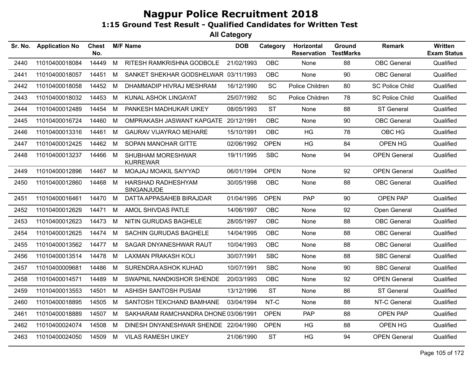| Sr. No. | <b>Application No</b> | <b>Chest</b><br>No. |   | <b>M/F Name</b>                      | <b>DOB</b> | Category    | Horizontal<br><b>Reservation</b> | Ground<br><b>TestMarks</b> | <b>Remark</b>          | Written<br><b>Exam Status</b> |
|---------|-----------------------|---------------------|---|--------------------------------------|------------|-------------|----------------------------------|----------------------------|------------------------|-------------------------------|
| 2440    | 11010400018084        | 14449               | M | RITESH RAMKRISHNA GODBOLE            | 21/02/1993 | <b>OBC</b>  | None                             | 88                         | <b>OBC</b> General     | Qualified                     |
| 2441    | 11010400018057        | 14451               | М | SANKET SHEKHAR GODSHELWAR 03/11/1993 |            | <b>OBC</b>  | None                             | 90                         | <b>OBC</b> General     | Qualified                     |
| 2442    | 11010400018058        | 14452               | M | DHAMMADIP HIVRAJ MESHRAM             | 16/12/1990 | SC          | Police Children                  | 80                         | <b>SC Police Child</b> | Qualified                     |
| 2443    | 11010400018032        | 14453               | M | KUNAL ASHOK LINGAYAT                 | 25/07/1992 | SC          | Police Children                  | 78                         | <b>SC Police Child</b> | Qualified                     |
| 2444    | 11010400012489        | 14454               | М | PANKESH MADHUKAR UIKEY               | 08/05/1993 | <b>ST</b>   | None                             | 88                         | ST General             | Qualified                     |
| 2445    | 11010400016724        | 14460               | М | OMPRAKASH JASWANT KAPGATE 20/12/1991 |            | <b>OBC</b>  | None                             | 90                         | <b>OBC</b> General     | Qualified                     |
| 2446    | 11010400013316        | 14461               | М | <b>GAURAV VIJAYRAO MEHARE</b>        | 15/10/1991 | <b>OBC</b>  | HG                               | 78                         | OBC HG                 | Qualified                     |
| 2447    | 11010400012425        | 14462               | M | SOPAN MANOHAR GITTE                  | 02/06/1992 | <b>OPEN</b> | HG                               | 84                         | OPEN HG                | Qualified                     |
| 2448    | 11010400013237        | 14466               | M | SHUBHAM MORESHWAR<br><b>KURREWAR</b> | 19/11/1995 | <b>SBC</b>  | None                             | 94                         | <b>OPEN General</b>    | Qualified                     |
| 2449    | 11010400012896        | 14467               | M | MOAJAJ MOAKIL SAIYYAD                | 06/01/1994 | <b>OPEN</b> | None                             | 92                         | <b>OPEN General</b>    | Qualified                     |
| 2450    | 11010400012860        | 14468               | M | HARSHAD RADHESHYAM<br>SINGANJUDE     | 30/05/1998 | <b>OBC</b>  | None                             | 88                         | <b>OBC</b> General     | Qualified                     |
| 2451    | 11010400016461        | 14470               | M | DATTA APPASAHEB BIRAJDAR             | 01/04/1995 | <b>OPEN</b> | <b>PAP</b>                       | 90                         | <b>OPEN PAP</b>        | Qualified                     |
| 2452    | 11010400012629        | 14471               | M | AMOL SHIVDAS PATLE                   | 14/06/1997 | <b>OBC</b>  | None                             | 92                         | Open General           | Qualified                     |
| 2453    | 11010400012623        | 14473               | M | NITIN GURUDAS BAGHELE                | 28/05/1997 | <b>OBC</b>  | None                             | 88                         | <b>OBC</b> General     | Qualified                     |
| 2454    | 11010400012625        | 14474               | M | SACHIN GURUDAS BAGHELE               | 14/04/1995 | OBC         | None                             | 88                         | <b>OBC</b> General     | Qualified                     |
| 2455    | 11010400013562        | 14477               | M | SAGAR DNYANESHWAR RAUT               | 10/04/1993 | <b>OBC</b>  | None                             | 88                         | <b>OBC</b> General     | Qualified                     |
| 2456    | 11010400013514        | 14478               | M | <b>LAXMAN PRAKASH KOLI</b>           | 30/07/1991 | <b>SBC</b>  | None                             | 88                         | <b>SBC General</b>     | Qualified                     |
| 2457    | 11010400009681        | 14486               | M | SURENDRA ASHOK KUHAD                 | 10/07/1991 | <b>SBC</b>  | None                             | 90                         | <b>SBC General</b>     | Qualified                     |
| 2458    | 11010400014571        | 14489               | М | SWAPNIL NANDKISHOR SHENDE            | 20/03/1993 | <b>OBC</b>  | None                             | 92                         | <b>OPEN General</b>    | Qualified                     |
| 2459    | 11010400013553        | 14501               | M | ASHISH SANTOSH PUSAM                 | 13/12/1996 | <b>ST</b>   | None                             | 86                         | ST General             | Qualified                     |
| 2460    | 11010400018895        | 14505               | M | SANTOSH TEKCHAND BAMHANE             | 03/04/1994 | NT-C        | None                             | 88                         | NT-C General           | Qualified                     |
| 2461    | 11010400018889        | 14507               | М | SAKHARAM RAMCHANDRA DHONE 03/06/1991 |            | <b>OPEN</b> | <b>PAP</b>                       | 88                         | <b>OPEN PAP</b>        | Qualified                     |
| 2462    | 11010400024074        | 14508               | М | DINESH DNYANESHWAR SHENDE 22/04/1990 |            | <b>OPEN</b> | HG                               | 88                         | OPEN HG                | Qualified                     |
| 2463    | 11010400024050        | 14509               | M | <b>VILAS RAMESH UIKEY</b>            | 21/06/1990 | <b>ST</b>   | HG                               | 94                         | <b>OPEN General</b>    | Qualified                     |
|         |                       |                     |   |                                      |            |             |                                  |                            |                        |                               |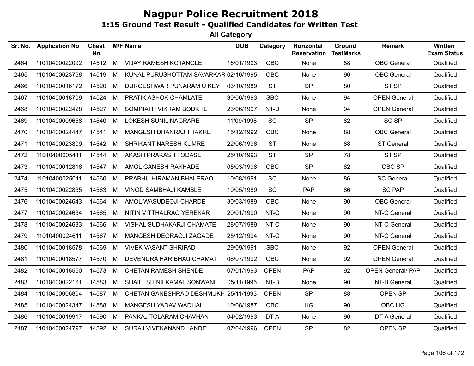| Sr. No. | <b>Application No</b> | <b>Chest</b><br>No. |   | <b>M/F Name</b>                       | <b>DOB</b> | Category    | Horizontal<br><b>Reservation</b> | Ground<br><b>TestMarks</b> | <b>Remark</b>            | <b>Written</b><br><b>Exam Status</b> |
|---------|-----------------------|---------------------|---|---------------------------------------|------------|-------------|----------------------------------|----------------------------|--------------------------|--------------------------------------|
| 2464    | 11010400022092        | 14512               | M | <b>VIJAY RAMESH KOTANGLE</b>          | 16/01/1993 | OBC         | None                             | 88                         | <b>OBC</b> General       | Qualified                            |
| 2465    | 11010400023768        | 14519               | М | KUNAL PURUSHOTTAM SAVARKAR 02/10/1995 |            | <b>OBC</b>  | None                             | 90                         | <b>OBC</b> General       | Qualified                            |
| 2466    | 11010400016172        | 14520               | M | DURGESHWAR PUNARAM UIKEY              | 03/10/1989 | <b>ST</b>   | <b>SP</b>                        | 80                         | ST <sub>SP</sub>         | Qualified                            |
| 2467    | 11010400018709        | 14524               | M | PRATIK ASHOK CHAMLATE                 | 30/06/1993 | <b>SBC</b>  | None                             | 94                         | <b>OPEN General</b>      | Qualified                            |
| 2468    | 11010400022428        | 14527               | M | SOMINATH VIKRAM BODKHE                | 23/06/1997 | NT-D        | None                             | 94                         | <b>OPEN General</b>      | Qualified                            |
| 2469    | 11010400009658        | 14540               | M | <b>LOKESH SUNIL NAGRARE</b>           | 11/09/1998 | <b>SC</b>   | <b>SP</b>                        | 82                         | <b>SC SP</b>             | Qualified                            |
| 2470    | 11010400024447        | 14541               | M | MANGESH DHANRAJ THAKRE                | 15/12/1992 | OBC         | None                             | 88                         | <b>OBC</b> General       | Qualified                            |
| 2471    | 11010400023809        | 14542               | М | <b>SHRIKANT NARESH KUMRE</b>          | 22/06/1996 | <b>ST</b>   | None                             | 88                         | <b>ST General</b>        | Qualified                            |
| 2472    | 11010400005411        | 14544               | M | AKASH PRAKASH TODASE                  | 25/10/1993 | <b>ST</b>   | <b>SP</b>                        | 78                         | ST <sub>SP</sub>         | Qualified                            |
| 2473    | 11010400012816        | 14547               | M | AMOL GANESH RAKHADE                   | 05/03/1998 | <b>OBC</b>  | <b>SP</b>                        | 82                         | OBC SP                   | Qualified                            |
| 2474    | 11010400025011        | 14560               | M | PRABHU HIRAMAN BHALERAO               | 10/08/1991 | SC          | None                             | 86                         | <b>SC General</b>        | Qualified                            |
| 2475    | 11010400022835        | 14563               | M | <b>VINOD SAMBHAJI KAMBLE</b>          | 10/05/1989 | SC          | <b>PAP</b>                       | 86                         | <b>SC PAP</b>            | Qualified                            |
| 2476    | 11010400024643        | 14564               | M | AMOL WASUDEOJI CHARDE                 | 30/03/1989 | OBC         | None                             | 90                         | <b>OBC</b> General       | Qualified                            |
| 2477    | 11010400024634        | 14565               | M | NITIN VITTHALRAO YEREKAR              | 20/01/1990 | NT-C        | None                             | 90                         | NT-C General             | Qualified                            |
| 2478    | 11010400024633        | 14566               | M | VISHAL SUDHAKARJI CHAMATE             | 28/07/1989 | NT-C        | None                             | 90                         | NT-C General             | Qualified                            |
| 2479    | 11010400024611        | 14567               | м | MANGESH DEORAOJI ZAGADE               | 25/12/1994 | NT-C        | None                             | 90                         | NT-C General             | Qualified                            |
| 2480    | 11010400018578        | 14569               | M | <b>VIVEK VASANT SHRIPAD</b>           | 29/09/1991 | <b>SBC</b>  | None                             | 92                         | <b>OPEN General</b>      | Qualified                            |
| 2481    | 11010400018577        | 14570               | M | DEVENDRA HARIBHAU CHAMAT              | 06/07/1992 | OBC         | None                             | 92                         | <b>OPEN General</b>      | Qualified                            |
| 2482    | 11010400018550        | 14573               | м | <b>CHETAN RAMESH SHENDE</b>           | 07/01/1993 | <b>OPEN</b> | <b>PAP</b>                       | 92                         | <b>OPEN General/ PAP</b> | Qualified                            |
| 2483    | 11010400022161        | 14583               | M | SHAILESH NILKAMAL SONWANE             | 05/11/1995 | NT-B        | None                             | 90                         | NT-B General             | Qualified                            |
| 2484    | 11010400006804        | 14587               | M | CHETAN GANESHRAO DESHMUKH 25/11/1993  |            | <b>OPEN</b> | <b>SP</b>                        | 88                         | OPEN SP                  | Qualified                            |
| 2485    | 11010400024347        | 14588               | M | MANGESH YADAV WADHAI                  | 10/08/1987 | <b>OBC</b>  | HG                               | 90                         | OBC HG                   | Qualified                            |
| 2486    | 11010400019917        | 14590               | M | PANKAJ TOLARAM CHAVHAN                | 04/02/1993 | DT-A        | None                             | 90                         | DT-A General             | Qualified                            |
| 2487    | 11010400024797        | 14592               | M | SURAJ VIVEKANAND LANDE                | 07/04/1996 | <b>OPEN</b> | <b>SP</b>                        | 82                         | OPEN SP                  | Qualified                            |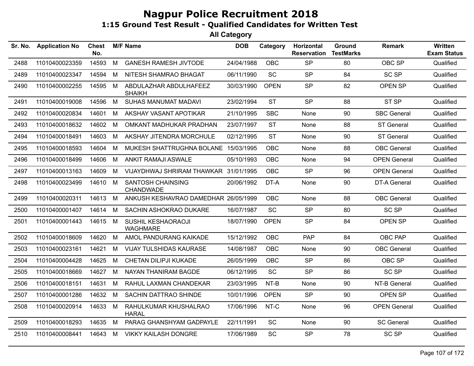| Sr. No. | <b>Application No</b> | <b>Chest</b><br>No. |   | <b>M/F Name</b>                         | <b>DOB</b> | Category    | Horizontal<br><b>Reservation</b> | Ground<br><b>TestMarks</b> | <b>Remark</b>       | Written<br><b>Exam Status</b> |
|---------|-----------------------|---------------------|---|-----------------------------------------|------------|-------------|----------------------------------|----------------------------|---------------------|-------------------------------|
| 2488    | 11010400023359        | 14593               | M | <b>GANESH RAMESH JIVTODE</b>            | 24/04/1988 | OBC         | <b>SP</b>                        | 80                         | OBC SP              | Qualified                     |
| 2489    | 11010400023347        | 14594               | M | NITESH SHAMRAO BHAGAT                   | 06/11/1990 | SC          | <b>SP</b>                        | 84                         | <b>SC SP</b>        | Qualified                     |
| 2490    | 11010400002255        | 14595               | M | ABDULAZHAR ABDULHAFEEZ<br><b>SHAIKH</b> | 30/03/1990 | <b>OPEN</b> | <b>SP</b>                        | 82                         | OPEN SP             | Qualified                     |
| 2491    | 11010400019008        | 14596               | M | SUHAS MANUMAT MADAVI                    | 23/02/1994 | <b>ST</b>   | <b>SP</b>                        | 88                         | ST <sub>SP</sub>    | Qualified                     |
| 2492    | 11010400020834        | 14601               | M | AKSHAY VASANT APOTIKAR                  | 21/10/1995 | <b>SBC</b>  | None                             | 90                         | <b>SBC General</b>  | Qualified                     |
| 2493    | 11010400018632        | 14602               | М | OMKANT MADHUKAR PRADHAN                 | 23/07/1997 | <b>ST</b>   | None                             | 88                         | <b>ST General</b>   | Qualified                     |
| 2494    | 11010400018491        | 14603               | M | AKSHAY JITENDRA MORCHULE                | 02/12/1995 | <b>ST</b>   | None                             | 90                         | <b>ST General</b>   | Qualified                     |
| 2495    | 11010400018593        | 14604               | М | MUKESH SHATTRUGHNA BOLANE 15/03/1995    |            | <b>OBC</b>  | None                             | 88                         | <b>OBC</b> General  | Qualified                     |
| 2496    | 11010400018499        | 14606               | M | ANKIT RAMAJI ASWALE                     | 05/10/1993 | OBC         | None                             | 94                         | <b>OPEN General</b> | Qualified                     |
| 2497    | 11010400013163        | 14609               | М | VIJAYDHWAJ SHRIRAM THAWKAR 31/01/1995   |            | OBC         | <b>SP</b>                        | 96                         | <b>OPEN General</b> | Qualified                     |
| 2498    | 11010400023499        | 14610               | M | <b>SANTOSH CHAINSING</b><br>CHANDWADE   | 20/06/1992 | DT-A        | None                             | 90                         | <b>DT-A General</b> | Qualified                     |
| 2499    | 11010400020311        | 14613               | M | ANKUSH KESHAVRAO DAMEDHAR 26/05/1999    |            | <b>OBC</b>  | None                             | 88                         | <b>OBC</b> General  | Qualified                     |
| 2500    | 11010400001407        | 14614               | M | SACHIN ASHOKRAO DUKARE                  | 16/07/1987 | SC          | <b>SP</b>                        | 80                         | <b>SC SP</b>        | Qualified                     |
| 2501    | 11010400001443        | 14615 M             |   | SUSHIL KESHAORAOJI<br><b>WAGHMARE</b>   | 18/07/1990 | <b>OPEN</b> | <b>SP</b>                        | 84                         | <b>OPEN SP</b>      | Qualified                     |
| 2502    | 11010400018609        | 14620               | M | AMOL PANDURANG KAIKADE                  | 15/12/1992 | <b>OBC</b>  | PAP                              | 84                         | OBC PAP             | Qualified                     |
| 2503    | 11010400023161        | 14621               | М | <b>VIJAY TULSHIDAS KAURASE</b>          | 14/08/1987 | <b>OBC</b>  | None                             | 90                         | <b>OBC</b> General  | Qualified                     |
| 2504    | 11010400004428        | 14625               | M | CHETAN DILIPJI KUKADE                   | 26/05/1999 | <b>OBC</b>  | <b>SP</b>                        | 86                         | OBC SP              | Qualified                     |
| 2505    | 11010400018669        | 14627               | M | NAYAN THANIRAM BAGDE                    | 06/12/1995 | SC          | <b>SP</b>                        | 86                         | <b>SC SP</b>        | Qualified                     |
| 2506    | 11010400018151        | 14631               | M | RAHUL LAXMAN CHANDEKAR                  | 23/03/1995 | NT-B        | None                             | 90                         | NT-B General        | Qualified                     |
| 2507    | 11010400001286        | 14632               | M | SACHIN DATTRAO SHINDE                   | 10/01/1996 | <b>OPEN</b> | <b>SP</b>                        | 90                         | OPEN SP             | Qualified                     |
| 2508    | 11010400020914        | 14633 M             |   | RAHULKUMAR KHUSHALRAO<br><b>HARAL</b>   | 17/06/1996 | NT-C        | None                             | 96                         | <b>OPEN General</b> | Qualified                     |
| 2509    | 11010400018293        | 14635               | M | PARAG GHANSHYAM GADPAYLE                | 22/11/1991 | <b>SC</b>   | None                             | 90                         | <b>SC General</b>   | Qualified                     |
| 2510    | 11010400008441        | 14643               | M | <b>VIKKY KAILASH DONGRE</b>             | 17/06/1989 | <b>SC</b>   | <b>SP</b>                        | 78                         | <b>SC SP</b>        | Qualified                     |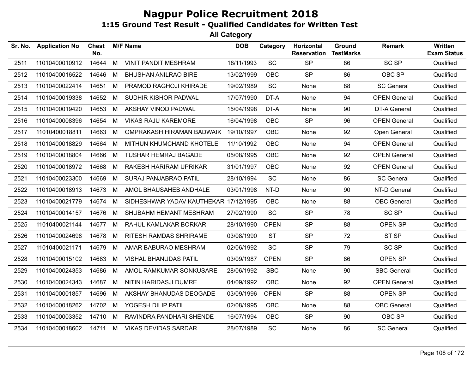| Sr. No. | <b>Application No</b> | <b>Chest</b><br>No. |   | <b>M/F Name</b>                       | <b>DOB</b> | Category    | Horizontal<br><b>Reservation</b> | Ground<br><b>TestMarks</b> | <b>Remark</b>       | Written<br><b>Exam Status</b> |
|---------|-----------------------|---------------------|---|---------------------------------------|------------|-------------|----------------------------------|----------------------------|---------------------|-------------------------------|
| 2511    | 11010400010912        | 14644               | M | <b>VINIT PANDIT MESHRAM</b>           | 18/11/1993 | SC          | <b>SP</b>                        | 86                         | <b>SC SP</b>        | Qualified                     |
| 2512    | 11010400016522        | 14646               | M | <b>BHUSHAN ANILRAO BIRE</b>           | 13/02/1999 | <b>OBC</b>  | <b>SP</b>                        | 86                         | OBC SP              | Qualified                     |
| 2513    | 11010400022414        | 14651               | M | PRAMOD RAGHOJI KHIRADE                | 19/02/1989 | SC          | None                             | 88                         | <b>SC General</b>   | Qualified                     |
| 2514    | 11010400019338        | 14652               | M | SUDHIR KISHOR PADWAL                  | 17/07/1990 | DT-A        | None                             | 94                         | <b>OPEN General</b> | Qualified                     |
| 2515    | 11010400019420        | 14653               | M | AKSHAY VINOD PADWAL                   | 15/04/1998 | DT-A        | None                             | 90                         | DT-A General        | Qualified                     |
| 2516    | 11010400008396        | 14654               | M | <b>VIKAS RAJU KAREMORE</b>            | 16/04/1998 | <b>OBC</b>  | <b>SP</b>                        | 96                         | <b>OPEN General</b> | Qualified                     |
| 2517    | 11010400018811        | 14663               | M | OMPRAKASH HIRAMAN BADWAIK             | 19/10/1997 | <b>OBC</b>  | None                             | 92                         | Open General        | Qualified                     |
| 2518    | 11010400018829        | 14664               | M | MITHUN KHUMCHAND KHOTELE              | 11/10/1992 | <b>OBC</b>  | None                             | 94                         | <b>OPEN General</b> | Qualified                     |
| 2519    | 11010400018804        | 14666               | M | <b>TUSHAR HEMRAJ BAGADE</b>           | 05/08/1995 | <b>OBC</b>  | None                             | 92                         | <b>OPEN General</b> | Qualified                     |
| 2520    | 11010400018972        | 14668               | M | RAKESH HARIRAM UPRIKAR                | 31/01/1997 | <b>OBC</b>  | None                             | 92                         | <b>OPEN General</b> | Qualified                     |
| 2521    | 11010400023300        | 14669               | M | SURAJ PANJABRAO PATIL                 | 28/10/1994 | <b>SC</b>   | None                             | 86                         | <b>SC General</b>   | Qualified                     |
| 2522    | 11010400018913        | 14673               | M | AMOL BHAUSAHEB ANDHALE                | 03/01/1998 | NT-D        | None                             | 90                         | NT-D General        | Qualified                     |
| 2523    | 11010400021779        | 14674               | M | SIDHESHWAR YADAV KAUTHEKAR 17/12/1995 |            | <b>OBC</b>  | None                             | 88                         | <b>OBC</b> General  | Qualified                     |
| 2524    | 11010400014157        | 14676               | M | SHUBAHM HEMANT MESHRAM                | 27/02/1990 | SC          | <b>SP</b>                        | 78                         | SC SP               | Qualified                     |
| 2525    | 11010400021144        | 14677               | M | RAHUL KAMLAKAR BORKAR                 | 28/10/1990 | <b>OPEN</b> | <b>SP</b>                        | 88                         | <b>OPEN SP</b>      | Qualified                     |
| 2526    | 11010400024698        | 14678               | M | <b>RITESH RAMDAS SHRIRAME</b>         | 03/08/1990 | <b>ST</b>   | <b>SP</b>                        | 72                         | ST SP               | Qualified                     |
| 2527    | 11010400021171        | 14679               | M | AMAR BABURAO MESHRAM                  | 02/06/1992 | <b>SC</b>   | <b>SP</b>                        | 79                         | <b>SC SP</b>        | Qualified                     |
| 2528    | 11010400015102        | 14683               | M | <b>VISHAL BHANUDAS PATIL</b>          | 03/09/1987 | <b>OPEN</b> | <b>SP</b>                        | 86                         | OPEN SP             | Qualified                     |
| 2529    | 11010400024353        | 14686               | M | AMOL RAMKUMAR SONKUSARE               | 28/06/1992 | <b>SBC</b>  | None                             | 90                         | <b>SBC General</b>  | Qualified                     |
| 2530    | 11010400024343        | 14687               | M | NITIN HARIDASJI DUMRE                 | 04/09/1992 | <b>OBC</b>  | None                             | 92                         | <b>OPEN General</b> | Qualified                     |
| 2531    | 11010400001857        | 14696               | M | AKSHAY BHANUDAS DEOGADE               | 03/09/1996 | <b>OPEN</b> | <b>SP</b>                        | 88                         | OPEN SP             | Qualified                     |
| 2532    | 11010400018262        | 14702               | M | YOGESH DILIP PATIL                    | 02/08/1995 | <b>OBC</b>  | None                             | 88                         | <b>OBC</b> General  | Qualified                     |
| 2533    | 11010400003352        | 14710               | M | RAVINDRA PANDHARI SHENDE              | 16/07/1994 | <b>OBC</b>  | <b>SP</b>                        | 90                         | OBC SP              | Qualified                     |
| 2534    | 11010400018602        | 14711 M             |   | <b>VIKAS DEVIDAS SARDAR</b>           | 28/07/1989 | <b>SC</b>   | None                             | 86                         | <b>SC General</b>   | Qualified                     |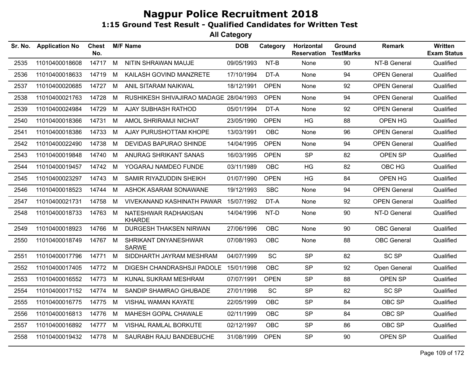| Sr. No. | <b>Application No</b> | <b>Chest</b><br>No. |   | <b>M/F Name</b>                        | <b>DOB</b> | Category    | Horizontal<br><b>Reservation</b> | Ground<br><b>TestMarks</b> | <b>Remark</b>       | Written<br><b>Exam Status</b> |
|---------|-----------------------|---------------------|---|----------------------------------------|------------|-------------|----------------------------------|----------------------------|---------------------|-------------------------------|
| 2535    | 11010400018608        | 14717               | M | NITIN SHRAWAN MAUJE                    | 09/05/1993 | NT-B        | None                             | 90                         | NT-B General        | Qualified                     |
| 2536    | 11010400018633        | 14719               | M | KAILASH GOVIND MANZRETE                | 17/10/1994 | DT-A        | None                             | 94                         | <b>OPEN General</b> | Qualified                     |
| 2537    | 11010400020685        | 14727               | M | ANIL SITARAM NAIKWAL                   | 18/12/1991 | <b>OPEN</b> | <b>None</b>                      | 92                         | <b>OPEN General</b> | Qualified                     |
| 2538    | 11010400021763        | 14728               | M | RUSHIKESH SHIVAJIRAO MADAGE 28/04/1993 |            | <b>OPEN</b> | None                             | 94                         | <b>OPEN General</b> | Qualified                     |
| 2539    | 11010400024984        | 14729               | M | AJAY SUBHASH RATHOD                    | 05/01/1994 | DT-A        | <b>None</b>                      | 92                         | <b>OPEN General</b> | Qualified                     |
| 2540    | 11010400018366        | 14731               | M | AMOL SHRIRAMJI NICHAT                  | 23/05/1990 | <b>OPEN</b> | HG                               | 88                         | OPEN HG             | Qualified                     |
| 2541    | 11010400018386        | 14733               | M | AJAY PURUSHOTTAM KHOPE                 | 13/03/1991 | <b>OBC</b>  | None                             | 96                         | <b>OPEN General</b> | Qualified                     |
| 2542    | 11010400022490        | 14738               | M | <b>DEVIDAS BAPURAO SHINDE</b>          | 14/04/1995 | <b>OPEN</b> | None                             | 94                         | <b>OPEN General</b> | Qualified                     |
| 2543    | 11010400019848        | 14740               | M | ANURAG SHRIKANT SANAS                  | 16/03/1995 | <b>OPEN</b> | <b>SP</b>                        | 82                         | OPEN SP             | Qualified                     |
| 2544    | 11010400019457        | 14742 M             |   | YOGARAJ NAMDEO FUNDE                   | 03/11/1989 | <b>OBC</b>  | HG                               | 82                         | OBC HG              | Qualified                     |
| 2545    | 11010400023297        | 14743               | M | SAMIR RIYAZUDDIN SHEIKH                | 01/07/1990 | <b>OPEN</b> | <b>HG</b>                        | 84                         | OPEN HG             | Qualified                     |
| 2546    | 11010400018523        | 14744               | M | ASHOK ASARAM SONAWANE                  | 19/12/1993 | <b>SBC</b>  | None                             | 94                         | <b>OPEN General</b> | Qualified                     |
| 2547    | 11010400021731        | 14758               | M | <b>VIVEKANAND KASHINATH PAWAR</b>      | 15/07/1992 | DT-A        | None                             | 92                         | <b>OPEN General</b> | Qualified                     |
| 2548    | 11010400018733        | 14763               | M | NATESHWAR RADHAKISAN<br><b>KHARDE</b>  | 14/04/1996 | NT-D        | None                             | 90                         | NT-D General        | Qualified                     |
| 2549    | 11010400018923        | 14766               | M | DURGESH THAKSEN NIRWAN                 | 27/06/1996 | <b>OBC</b>  | None                             | 90                         | <b>OBC</b> General  | Qualified                     |
| 2550    | 11010400018749        | 14767 M             |   | SHRIKANT DNYANESHWAR<br><b>SARWE</b>   | 07/08/1993 | <b>OBC</b>  | None                             | 88                         | <b>OBC</b> General  | Qualified                     |
| 2551    | 11010400017796        | 14771               | M | SIDDHARTH JAYRAM MESHRAM               | 04/07/1999 | <b>SC</b>   | <b>SP</b>                        | 82                         | <b>SC SP</b>        | Qualified                     |
| 2552    | 11010400017405        | 14772 M             |   | DIGESH CHANDRASHSJI PADOLE             | 15/01/1998 | <b>OBC</b>  | <b>SP</b>                        | 92                         | Open General        | Qualified                     |
| 2553    | 11010400016552        | 14773               | M | KUNAL SUKRAM MESHRAM                   | 07/07/1991 | <b>OPEN</b> | <b>SP</b>                        | 88                         | OPEN SP             | Qualified                     |
| 2554    | 11010400017152        | 14774               | M | SANDIP SHAMRAO GHUBADE                 | 27/01/1998 | SC          | <b>SP</b>                        | 82                         | <b>SC SP</b>        | Qualified                     |
| 2555    | 11010400016775        | 14775               | M | <b>VISHAL WAMAN KAYATE</b>             | 22/05/1999 | <b>OBC</b>  | <b>SP</b>                        | 84                         | OBC SP              | Qualified                     |
| 2556    | 11010400016813        | 14776               | M | MAHESH GOPAL CHAWALE                   | 02/11/1999 | <b>OBC</b>  | <b>SP</b>                        | 84                         | OBC SP              | Qualified                     |
| 2557    | 11010400016892        | 14777 M             |   | VISHAL RAMLAL BORKUTE                  | 02/12/1997 | <b>OBC</b>  | <b>SP</b>                        | 86                         | OBC SP              | Qualified                     |
| 2558    | 11010400019432        | 14778 M             |   | SAURABH RAJU BANDEBUCHE                | 31/08/1999 | <b>OPEN</b> | <b>SP</b>                        | 90                         | OPEN SP             | Qualified                     |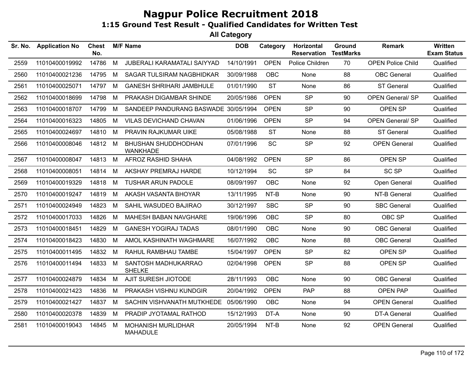| Sr. No. | <b>Application No</b> | Chest<br>No. |   | <b>M/F Name</b>                               | <b>DOB</b> | Category    | Horizontal<br><b>Reservation</b> | <b>Ground</b><br><b>TestMarks</b> | <b>Remark</b>            | <b>Written</b><br><b>Exam Status</b> |
|---------|-----------------------|--------------|---|-----------------------------------------------|------------|-------------|----------------------------------|-----------------------------------|--------------------------|--------------------------------------|
| 2559    | 11010400019992        | 14786        | M | JUBERALI KARAMATALI SAIYYAD                   | 14/10/1991 | <b>OPEN</b> | Police Children                  | 70                                | <b>OPEN Police Child</b> | Qualified                            |
| 2560    | 11010400021236        | 14795        | М | <b>SAGAR TULSIRAM NAGBHIDKAR</b>              | 30/09/1988 | <b>OBC</b>  | None                             | 88                                | <b>OBC</b> General       | Qualified                            |
| 2561    | 11010400025071        | 14797        | М | <b>GANESH SHRIHARI JAMBHULE</b>               | 01/01/1990 | <b>ST</b>   | None                             | 86                                | <b>ST General</b>        | Qualified                            |
| 2562    | 11010400018699        | 14798        | М | PRAKASH DIGAMBAR SHINDE                       | 20/05/1986 | <b>OPEN</b> | <b>SP</b>                        | 90                                | <b>OPEN General/ SP</b>  | Qualified                            |
| 2563    | 11010400018707        | 14799        | М | SANDEEP PANDURANG BASWADE 30/05/1994          |            | <b>OPEN</b> | <b>SP</b>                        | 90                                | OPEN SP                  | Qualified                            |
| 2564    | 11010400016323        | 14805        | М | VILAS DEVICHAND CHAVAN                        | 01/06/1996 | <b>OPEN</b> | <b>SP</b>                        | 94                                | <b>OPEN General/ SP</b>  | Qualified                            |
| 2565    | 11010400024697        | 14810        | M | PRAVIN RAJKUMAR UIKE                          | 05/08/1988 | <b>ST</b>   | None                             | 88                                | <b>ST General</b>        | Qualified                            |
| 2566    | 11010400008046        | 14812        | M | <b>BHUSHAN SHUDDHODHAN</b><br><b>WANKHADE</b> | 07/01/1996 | SC          | <b>SP</b>                        | 92                                | <b>OPEN General</b>      | Qualified                            |
| 2567    | 11010400008047        | 14813        | M | AFROZ RASHID SHAHA                            | 04/08/1992 | <b>OPEN</b> | <b>SP</b>                        | 86                                | OPEN SP                  | Qualified                            |
| 2568    | 11010400008051        | 14814        | M | AKSHAY PREMRAJ HARDE                          | 10/12/1994 | SC          | <b>SP</b>                        | 84                                | <b>SC SP</b>             | Qualified                            |
| 2569    | 11010400019329        | 14818        | M | <b>TUSHAR ARUN PADOLE</b>                     | 08/09/1997 | <b>OBC</b>  | None                             | 92                                | Open General             | Qualified                            |
| 2570    | 11010400019247        | 14819        | M | AKASH VASANTA BHOYAR                          | 13/11/1995 | NT-B        | None                             | 90                                | NT-B General             | Qualified                            |
| 2571    | 11010400024949        | 14823        | M | SAHIL WASUDEO BAJIRAO                         | 30/12/1997 | <b>SBC</b>  | <b>SP</b>                        | 90                                | <b>SBC General</b>       | Qualified                            |
| 2572    | 11010400017033        | 14826        | M | <b>MAHESH BABAN NAVGHARE</b>                  | 19/06/1996 | OBC         | <b>SP</b>                        | 80                                | OBC SP                   | Qualified                            |
| 2573    | 11010400018451        | 14829        | М | <b>GANESH YOGIRAJ TADAS</b>                   | 08/01/1990 | OBC         | None                             | 90                                | OBC General              | Qualified                            |
| 2574    | 11010400018423        | 14830        | М | AMOL KASHINATH WAGHMARE                       | 16/07/1992 | <b>OBC</b>  | None                             | 88                                | <b>OBC</b> General       | Qualified                            |
| 2575    | 11010400011495        | 14832        | M | RAHUL RAMBHAU TAMBE                           | 15/04/1997 | <b>OPEN</b> | <b>SP</b>                        | 82                                | <b>OPEN SP</b>           | Qualified                            |
| 2576    | 11010400011494        | 14833        | M | SANTOSH MADHUKARRAO<br><b>SHELKE</b>          | 02/04/1998 | <b>OPEN</b> | <b>SP</b>                        | 88                                | OPEN SP                  | Qualified                            |
| 2577    | 11010400024879        | 14834        | M | AJIT SURESH JIOTODE                           | 28/11/1993 | <b>OBC</b>  | None                             | 90                                | <b>OBC</b> General       | Qualified                            |
| 2578    | 11010400021423        | 14836        | м | PRAKASH VISHNU KUNDGIR                        | 20/04/1992 | <b>OPEN</b> | PAP                              | 88                                | <b>OPEN PAP</b>          | Qualified                            |
| 2579    | 11010400021427        | 14837        | M | SACHIN VISHVANATH MUTKHEDE                    | 05/06/1990 | <b>OBC</b>  | None                             | 94                                | <b>OPEN General</b>      | Qualified                            |
| 2580    | 11010400020378        | 14839        | M | PRADIP JYOTAMAL RATHOD                        | 15/12/1993 | DT-A        | None                             | 90                                | <b>DT-A General</b>      | Qualified                            |
| 2581    | 11010400019043        | 14845        | м | <b>MOHANISH MURLIDHAR</b><br><b>MAHADULE</b>  | 20/05/1994 | NT-B        | None                             | 92                                | <b>OPEN General</b>      | Qualified                            |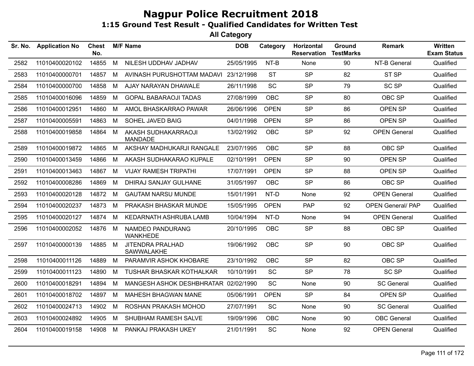| Sr. No. | <b>Application No</b> | <b>Chest</b><br>No. |   | <b>M/F Name</b>                       | <b>DOB</b> | Category    | Horizontal<br><b>Reservation</b> | Ground<br><b>TestMarks</b> | <b>Remark</b>            | Written<br><b>Exam Status</b> |
|---------|-----------------------|---------------------|---|---------------------------------------|------------|-------------|----------------------------------|----------------------------|--------------------------|-------------------------------|
| 2582    | 11010400020102        | 14855               | M | NILESH UDDHAV JADHAV                  | 25/05/1995 | $NT-B$      | None                             | 90                         | NT-B General             | Qualified                     |
| 2583    | 11010400000701        | 14857               | M | AVINASH PURUSHOTTAM MADAVI            | 23/12/1998 | <b>ST</b>   | <b>SP</b>                        | 82                         | ST <sub>SP</sub>         | Qualified                     |
| 2584    | 11010400000700        | 14858               | M | AJAY NARAYAN DHAWALE                  | 26/11/1998 | <b>SC</b>   | <b>SP</b>                        | 79                         | <b>SC SP</b>             | Qualified                     |
| 2585    | 11010400016096        | 14859               | M | <b>GOPAL BABARAOJI TADAS</b>          | 27/08/1999 | <b>OBC</b>  | <b>SP</b>                        | 80                         | OBC SP                   | Qualified                     |
| 2586    | 11010400012951        | 14860               | M | AMOL BHASKARRAO PAWAR                 | 26/06/1996 | <b>OPEN</b> | <b>SP</b>                        | 86                         | OPEN SP                  | Qualified                     |
| 2587    | 11010400005591        | 14863               | M | SOHEL JAVED BAIG                      | 04/01/1998 | <b>OPEN</b> | <b>SP</b>                        | 86                         | OPEN SP                  | Qualified                     |
| 2588    | 11010400019858        | 14864               | M | AKASH SUDHAKARRAOJI<br><b>MANDADE</b> | 13/02/1992 | OBC         | <b>SP</b>                        | 92                         | <b>OPEN General</b>      | Qualified                     |
| 2589    | 11010400019872        | 14865               | M | AKSHAY MADHUKARJI RANGALE             | 23/07/1995 | <b>OBC</b>  | <b>SP</b>                        | 88                         | OBC SP                   | Qualified                     |
| 2590    | 11010400013459        | 14866               | M | AKASH SUDHAKARAO KUPALE               | 02/10/1991 | <b>OPEN</b> | <b>SP</b>                        | 90                         | OPEN SP                  | Qualified                     |
| 2591    | 11010400013463        | 14867               | M | <b>VIJAY RAMESH TRIPATHI</b>          | 17/07/1991 | <b>OPEN</b> | <b>SP</b>                        | 88                         | OPEN SP                  | Qualified                     |
| 2592    | 11010400008286        | 14869               | M | DHIRAJ SANJAY GULHANE                 | 31/05/1997 | <b>OBC</b>  | <b>SP</b>                        | 86                         | OBC SP                   | Qualified                     |
| 2593    | 11010400020128        | 14872               | M | <b>GAUTAM NARSU MUNDE</b>             | 15/01/1991 | NT-D        | None                             | 92                         | <b>OPEN General</b>      | Qualified                     |
| 2594    | 11010400020237        | 14873               | M | PRAKASH BHASKAR MUNDE                 | 15/05/1995 | <b>OPEN</b> | PAP                              | 92                         | <b>OPEN General/ PAP</b> | Qualified                     |
| 2595    | 11010400020127        | 14874               | M | KEDARNATH ASHRUBA LAMB                | 10/04/1994 | NT-D        | None                             | 94                         | <b>OPEN General</b>      | Qualified                     |
| 2596    | 11010400002052        | 14876               | M | NAMDEO PANDURANG<br><b>WANKHEDE</b>   | 20/10/1995 | <b>OBC</b>  | <b>SP</b>                        | 88                         | OBC SP                   | Qualified                     |
| 2597    | 11010400000139        | 14885               | M | <b>JITENDRA PRALHAD</b><br>SAWWALAKHE | 19/06/1992 | <b>OBC</b>  | <b>SP</b>                        | 90                         | OBC SP                   | Qualified                     |
| 2598    | 11010400011126        | 14889               | M | PARAMVIR ASHOK KHOBARE                | 23/10/1992 | <b>OBC</b>  | <b>SP</b>                        | 82                         | OBC SP                   | Qualified                     |
| 2599    | 11010400011123        | 14890               | M | <b>TUSHAR BHASKAR KOTHALKAR</b>       | 10/10/1991 | <b>SC</b>   | <b>SP</b>                        | 78                         | <b>SC SP</b>             | Qualified                     |
| 2600    | 11010400018291        | 14894               | M | MANGESH ASHOK DESHBHRATAR 02/02/1990  |            | SC          | None                             | 90                         | <b>SC General</b>        | Qualified                     |
| 2601    | 11010400018702        | 14897               | M | MAHESH BHAGWAN MANE                   | 05/06/1991 | <b>OPEN</b> | <b>SP</b>                        | 84                         | OPEN SP                  | Qualified                     |
| 2602    | 11010400024713        | 14902               | M | ROSHAN PRAKASH MOHOD                  | 27/07/1991 | <b>SC</b>   | None                             | 90                         | <b>SC General</b>        | Qualified                     |
| 2603    | 11010400024892        | 14905               | M | SHUBHAM RAMESH SALVE                  | 19/09/1996 | <b>OBC</b>  | None                             | 90                         | <b>OBC</b> General       | Qualified                     |
| 2604    | 11010400019158        | 14908 M             |   | PANKAJ PRAKASH UKEY                   | 21/01/1991 | SC          | None                             | 92                         | <b>OPEN General</b>      | Qualified                     |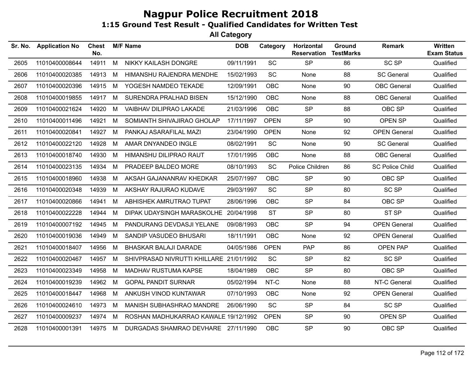| Sr. No. | <b>Application No</b> | <b>Chest</b><br>No. |   | <b>M/F Name</b>                         | <b>DOB</b> | Category    | Horizontal<br><b>Reservation</b> | Ground<br><b>TestMarks</b> | <b>Remark</b>          | Written<br><b>Exam Status</b> |
|---------|-----------------------|---------------------|---|-----------------------------------------|------------|-------------|----------------------------------|----------------------------|------------------------|-------------------------------|
| 2605    | 11010400008644        | 14911               | M | NIKKY KAILASH DONGRE                    | 09/11/1991 | SC          | <b>SP</b>                        | 86                         | <b>SC SP</b>           | Qualified                     |
| 2606    | 11010400020385        | 14913               | M | HIMANSHU RAJENDRA MENDHE                | 15/02/1993 | SC          | None                             | 88                         | <b>SC General</b>      | Qualified                     |
| 2607    | 11010400020396        | 14915               | M | YOGESH NAMDEO TEKADE                    | 12/09/1991 | <b>OBC</b>  | None                             | 90                         | <b>OBC</b> General     | Qualified                     |
| 2608    | 11010400019855        | 14917               | M | SURENDRA PRALHAD BISEN                  | 15/12/1990 | <b>OBC</b>  | None                             | 88                         | <b>OBC</b> General     | Qualified                     |
| 2609    | 11010400021624        | 14920               | M | VAIBHAV DILIPRAO LAKADE                 | 21/03/1996 | OBC         | <b>SP</b>                        | 88                         | OBC SP                 | Qualified                     |
| 2610    | 11010400011496        | 14921               | M | SOMIANTH SHIVAJIRAO GHOLAP              | 17/11/1997 | <b>OPEN</b> | <b>SP</b>                        | 90                         | OPEN SP                | Qualified                     |
| 2611    | 11010400020841        | 14927               | M | PANKAJ ASARAFILAL MAZI                  | 23/04/1990 | <b>OPEN</b> | None                             | 92                         | <b>OPEN General</b>    | Qualified                     |
| 2612    | 11010400022120        | 14928               | M | AMAR DNYANDEO INGLE                     | 08/02/1991 | SC          | None                             | 90                         | <b>SC General</b>      | Qualified                     |
| 2613    | 11010400018740        | 14930               | M | HIMANSHU DILIPRAO RAUT                  | 17/01/1995 | OBC         | None                             | 88                         | <b>OBC</b> General     | Qualified                     |
| 2614    | 11010400023135        | 14934               | M | PRADEEP BALDEO MORE                     | 08/10/1993 | SC          | Police Children                  | 86                         | <b>SC Police Child</b> | Qualified                     |
| 2615    | 11010400018960        | 14938               | M | AKSAH GAJANANRAV KHEDKAR                | 25/07/1997 | <b>OBC</b>  | <b>SP</b>                        | 90                         | OBC SP                 | Qualified                     |
| 2616    | 11010400020348        | 14939               | M | AKSHAY RAJURAO KUDAVE                   | 29/03/1997 | SC          | <b>SP</b>                        | 80                         | <b>SC SP</b>           | Qualified                     |
| 2617    | 11010400020866        | 14941               | M | ABHISHEK AMRUTRAO TUPAT                 | 28/06/1996 | <b>OBC</b>  | <b>SP</b>                        | 84                         | OBC SP                 | Qualified                     |
| 2618    | 11010400022228        | 14944               | M | DIPAK UDAYSINGH MARASKOLHE 20/04/1998   |            | <b>ST</b>   | <b>SP</b>                        | 80                         | ST SP                  | Qualified                     |
| 2619    | 11010400007192        | 14945               | M | PANDURANG DEVDASJI YELANE               | 09/08/1993 | <b>OBC</b>  | <b>SP</b>                        | 94                         | <b>OPEN General</b>    | Qualified                     |
| 2620    | 11010400019036        | 14949               | M | SANDIP VASUDEO BHUSARI                  | 18/11/1991 | <b>OBC</b>  | None                             | 92                         | <b>OPEN General</b>    | Qualified                     |
| 2621    | 11010400018407        | 14956               | M | BHASKAR BALAJI DARADE                   | 04/05/1986 | <b>OPEN</b> | <b>PAP</b>                       | 86                         | <b>OPEN PAP</b>        | Qualified                     |
| 2622    | 11010400020467        | 14957               | M | SHIVPRASAD NIVRUTTI KHILLARE 21/01/1992 |            | <b>SC</b>   | <b>SP</b>                        | 82                         | <b>SC SP</b>           | Qualified                     |
| 2623    | 11010400023349        | 14958               | M | MADHAV RUSTUMA KAPSE                    | 18/04/1989 | <b>OBC</b>  | <b>SP</b>                        | 80                         | OBC SP                 | Qualified                     |
| 2624    | 11010400019239        | 14962               | M | <b>GOPAL PANDIT SURNAR</b>              | 05/02/1994 | NT-C        | None                             | 88                         | NT-C General           | Qualified                     |
| 2625    | 11010400018447        | 14968               | M | ANKUSH VINOD KUNTAWAR                   | 07/10/1993 | <b>OBC</b>  | None                             | 92                         | <b>OPEN General</b>    | Qualified                     |
| 2626    | 11010400024610        | 14973               | M | MANISH SUBHASHRAO MANDRE                | 26/06/1990 | SC          | <b>SP</b>                        | 84                         | <b>SC SP</b>           | Qualified                     |
| 2627    | 11010400009237        | 14974               | M | ROSHAN MADHUKARRAO KAWALE 19/12/1992    |            | <b>OPEN</b> | <b>SP</b>                        | 90                         | OPEN SP                | Qualified                     |
| 2628    | 11010400001391        | 14975 M             |   | DURGADAS SHAMRAO DEVHARE 27/11/1990     |            | <b>OBC</b>  | <b>SP</b>                        | 90                         | OBC SP                 | Qualified                     |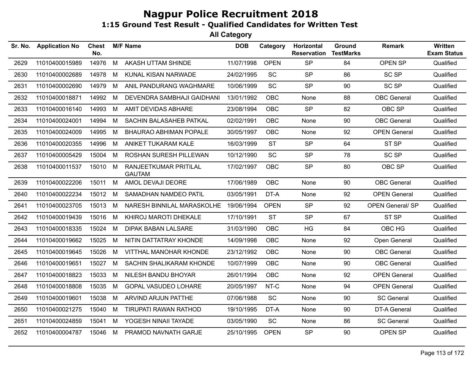| Sr. No. | <b>Application No</b> | Chest<br>No. |   | <b>M/F Name</b>                        | <b>DOB</b> | Category    | Horizontal<br><b>Reservation</b> | Ground<br><b>TestMarks</b> | <b>Remark</b>           | Written<br><b>Exam Status</b> |
|---------|-----------------------|--------------|---|----------------------------------------|------------|-------------|----------------------------------|----------------------------|-------------------------|-------------------------------|
| 2629    | 11010400015989        | 14976        | M | AKASH UTTAM SHINDE                     | 11/07/1998 | <b>OPEN</b> | <b>SP</b>                        | 84                         | <b>OPEN SP</b>          | Qualified                     |
| 2630    | 11010400002689        | 14978        | М | KUNAL KISAN NARWADE                    | 24/02/1995 | SC          | <b>SP</b>                        | 86                         | <b>SC SP</b>            | Qualified                     |
| 2631    | 11010400002690        | 14979        | M | ANIL PANDURANG WAGHMARE                | 10/06/1999 | <b>SC</b>   | <b>SP</b>                        | 90                         | <b>SC SP</b>            | Qualified                     |
| 2632    | 11010400018871        | 14992        | М | DEVENDRA SAMBHAJI GAIDHANI             | 13/01/1992 | <b>OBC</b>  | None                             | 88                         | <b>OBC</b> General      | Qualified                     |
| 2633    | 11010400016140        | 14993        | М | AMIT DEVIDAS ABHARE                    | 23/08/1994 | <b>OBC</b>  | <b>SP</b>                        | 82                         | OBC SP                  | Qualified                     |
| 2634    | 11010400024001        | 14994        | M | SACHIN BALASAHEB PATKAL                | 02/02/1991 | OBC         | None                             | 90                         | <b>OBC</b> General      | Qualified                     |
| 2635    | 11010400024009        | 14995        | M | <b>BHAURAO ABHIMAN POPALE</b>          | 30/05/1997 | <b>OBC</b>  | None                             | 92                         | <b>OPEN General</b>     | Qualified                     |
| 2636    | 11010400020355        | 14996        | M | ANIKET TUKARAM KALE                    | 16/03/1999 | <b>ST</b>   | <b>SP</b>                        | 64                         | ST <sub>SP</sub>        | Qualified                     |
| 2637    | 11010400005429        | 15004        | М | ROSHAN SURESH PILLEWAN                 | 10/12/1990 | SC          | <b>SP</b>                        | 78                         | SC SP                   | Qualified                     |
| 2638    | 11010400011537        | 15010        | М | RANJEETKUMAR PRITILAL<br><b>GAUTAM</b> | 17/02/1997 | <b>OBC</b>  | <b>SP</b>                        | 80                         | OBC SP                  | Qualified                     |
| 2639    | 11010400022206        | 15011        | M | AMOL DEVAJI DEORE                      | 17/06/1989 | <b>OBC</b>  | None                             | 90                         | <b>OBC</b> General      | Qualified                     |
| 2640    | 11010400022234        | 15012        | М | SAMADHAN NAMDEO PATIL                  | 03/05/1991 | DT-A        | None                             | 92                         | <b>OPEN General</b>     | Qualified                     |
| 2641    | 11010400023705        | 15013        | M | NARESH BINNILAL MARASKOLHE             | 19/06/1994 | <b>OPEN</b> | <b>SP</b>                        | 92                         | <b>OPEN General/ SP</b> | Qualified                     |
| 2642    | 11010400019439        | 15016        | M | KHIROJ MAROTI DHEKALE                  | 17/10/1991 | <b>ST</b>   | <b>SP</b>                        | 67                         | ST <sub>SP</sub>        | Qualified                     |
| 2643    | 11010400018335        | 15024        | М | <b>DIPAK BABAN LALSARE</b>             | 31/03/1990 | <b>OBC</b>  | HG                               | 84                         | OBC HG                  | Qualified                     |
| 2644    | 11010400019662        | 15025        | М | NITIN DATTATRAY KHONDE                 | 14/09/1998 | <b>OBC</b>  | None                             | 92                         | Open General            | Qualified                     |
| 2645    | 11010400019645        | 15026        | M | VITTHAL MANOHAR KHONDE                 | 23/12/1992 | <b>OBC</b>  | None                             | 90                         | <b>OBC</b> General      | Qualified                     |
| 2646    | 11010400019651        | 15027        | M | SACHIN SHALIKARAM KHONDE               | 10/07/1999 | <b>OBC</b>  | None                             | 90                         | <b>OBC</b> General      | Qualified                     |
| 2647    | 11010400018823        | 15033        | M | NILESH BANDU BHOYAR                    | 26/01/1994 | <b>OBC</b>  | None                             | 92                         | <b>OPEN General</b>     | Qualified                     |
| 2648    | 11010400018808        | 15035        | М | <b>GOPAL VASUDEO LOHARE</b>            | 20/05/1997 | NT-C        | None                             | 94                         | <b>OPEN General</b>     | Qualified                     |
| 2649    | 11010400019601        | 15038        | M | ARVIND ARJUN PATTHE                    | 07/06/1988 | SC          | None                             | 90                         | <b>SC General</b>       | Qualified                     |
| 2650    | 11010400021275        | 15040        | M | TIRUPATI RAWAN RATHOD                  | 19/10/1995 | DT-A        | None                             | 90                         | DT-A General            | Qualified                     |
| 2651    | 11010400024859        | 15041        | M | YOGESH NINAII TAYADE                   | 03/05/1990 | SC          | None                             | 86                         | <b>SC General</b>       | Qualified                     |
| 2652    | 11010400004787        | 15046        | M | PRAMOD NAVNATH GARJE                   | 25/10/1995 | <b>OPEN</b> | <b>SP</b>                        | 90                         | OPEN SP                 | Qualified                     |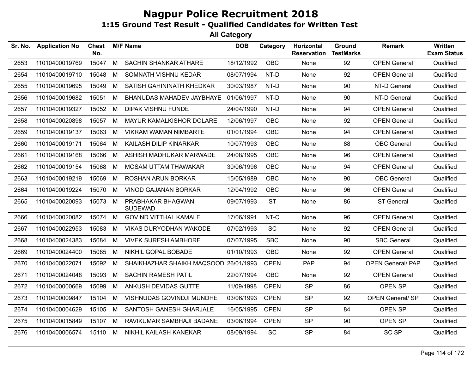| Sr. No. | <b>Application No</b> | Chest<br>No. |   | <b>M/F Name</b>                       | <b>DOB</b> | Category    | Horizontal<br><b>Reservation</b> | Ground<br><b>TestMarks</b> | <b>Remark</b>            | Written<br><b>Exam Status</b> |
|---------|-----------------------|--------------|---|---------------------------------------|------------|-------------|----------------------------------|----------------------------|--------------------------|-------------------------------|
| 2653    | 11010400019769        | 15047        | M | <b>SACHIN SHANKAR ATHARE</b>          | 18/12/1992 | <b>OBC</b>  | None                             | 92                         | <b>OPEN General</b>      | Qualified                     |
| 2654    | 11010400019710        | 15048        | М | SOMNATH VISHNU KEDAR                  | 08/07/1994 | NT-D        | None                             | 92                         | <b>OPEN General</b>      | Qualified                     |
| 2655    | 11010400019695        | 15049        | M | SATISH GAHININATH KHEDKAR             | 30/03/1987 | NT-D        | None                             | 90                         | NT-D General             | Qualified                     |
| 2656    | 11010400019682        | 15051        | М | BHANUDAS MAHADEV JAYBHAYE             | 01/06/1997 | NT-D        | None                             | 90                         | NT-D General             | Qualified                     |
| 2657    | 11010400019327        | 15052        | М | <b>DIPAK VISHNU FUNDE</b>             | 24/04/1990 | NT-D        | None                             | 94                         | <b>OPEN General</b>      | Qualified                     |
| 2658    | 11010400020898        | 15057        | M | MAYUR KAMALKISHOR DOLARE              | 12/06/1997 | <b>OBC</b>  | None                             | 92                         | <b>OPEN General</b>      | Qualified                     |
| 2659    | 11010400019137        | 15063        | M | <b>VIKRAM WAMAN NIMBARTE</b>          | 01/01/1994 | <b>OBC</b>  | None                             | 94                         | <b>OPEN General</b>      | Qualified                     |
| 2660    | 11010400019171        | 15064        | М | KAILASH DILIP KINARKAR                | 10/07/1993 | <b>OBC</b>  | None                             | 88                         | <b>OBC</b> General       | Qualified                     |
| 2661    | 11010400019168        | 15066        | M | ASHISH MADHUKAR MARWADE               | 24/08/1995 | <b>OBC</b>  | None                             | 96                         | <b>OPEN General</b>      | Qualified                     |
| 2662    | 11010400019154        | 15068        | М | MOSAM UTTAM THAWAKAR                  | 30/06/1996 | <b>OBC</b>  | None                             | 94                         | <b>OPEN General</b>      | Qualified                     |
| 2663    | 11010400019219        | 15069        | M | ROSHAN ARUN BORKAR                    | 15/05/1989 | OBC         | None                             | 90                         | <b>OBC</b> General       | Qualified                     |
| 2664    | 11010400019224        | 15070        | М | <b>VINOD GAJANAN BORKAR</b>           | 12/04/1992 | <b>OBC</b>  | None                             | 96                         | <b>OPEN General</b>      | Qualified                     |
| 2665    | 11010400020093        | 15073        | M | PRABHAKAR BHAGWAN<br><b>SUDEWAD</b>   | 09/07/1993 | <b>ST</b>   | None                             | 86                         | <b>ST General</b>        | Qualified                     |
| 2666    | 11010400020082        | 15074        | M | <b>GOVIND VITTHAL KAMALE</b>          | 17/06/1991 | NT-C        | None                             | 96                         | <b>OPEN General</b>      | Qualified                     |
| 2667    | 11010400022953        | 15083        | М | <b>VIKAS DURYODHAN WAKODE</b>         | 07/02/1993 | <b>SC</b>   | None                             | 92                         | <b>OPEN General</b>      | Qualified                     |
| 2668    | 11010400024383        | 15084        | M | <b>VIVEK SURESH AMBHORE</b>           | 07/07/1995 | <b>SBC</b>  | None                             | 90                         | <b>SBC General</b>       | Qualified                     |
| 2669    | 11010400024400        | 15085        | М | NIKHIL GOPAL BOBADE                   | 01/10/1993 | <b>OBC</b>  | None                             | 92                         | <b>OPEN General</b>      | Qualified                     |
| 2670    | 11010400022071        | 15092        | М | SHAIKHAZHAR SHAIKH MAQSOOD 26/01/1993 |            | <b>OPEN</b> | <b>PAP</b>                       | 94                         | <b>OPEN General/ PAP</b> | Qualified                     |
| 2671    | 11010400024048        | 15093        | M | <b>SACHIN RAMESH PATIL</b>            | 22/07/1994 | <b>OBC</b>  | None                             | 92                         | <b>OPEN General</b>      | Qualified                     |
| 2672    | 11010400000669        | 15099        | M | ANKUSH DEVIDAS GUTTE                  | 11/09/1998 | <b>OPEN</b> | <b>SP</b>                        | 86                         | OPEN SP                  | Qualified                     |
| 2673    | 11010400009847        | 15104        | М | VISHNUDAS GOVINDJI MUNDHE             | 03/06/1993 | <b>OPEN</b> | <b>SP</b>                        | 92                         | OPEN General/SP          | Qualified                     |
| 2674    | 11010400004629        | 15105        | M | SANTOSH GANESH GHARJALE               | 16/05/1995 | <b>OPEN</b> | <b>SP</b>                        | 84                         | OPEN SP                  | Qualified                     |
| 2675    | 11010400015849        | 15107        | М | RAVIKUMAR SAMBHAJI BADANE             | 03/06/1994 | <b>OPEN</b> | <b>SP</b>                        | 90                         | OPEN SP                  | Qualified                     |
| 2676    | 11010400006574        | 15110        | M | NIKHIL KAILASH KANEKAR                | 08/09/1994 | SC          | <b>SP</b>                        | 84                         | <b>SC SP</b>             | Qualified                     |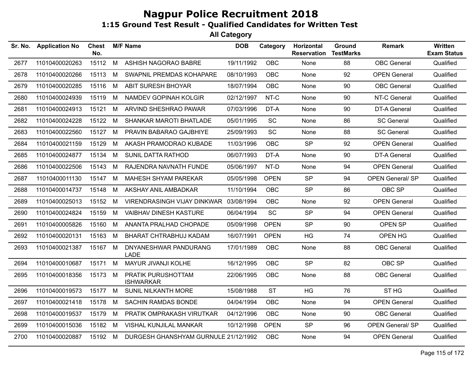| Sr. No. | <b>Application No</b> | <b>Chest</b><br>No. |   | <b>M/F Name</b>                        | <b>DOB</b> | Category    | Horizontal<br><b>Reservation</b> | Ground<br><b>TestMarks</b> | <b>Remark</b>           | Written<br><b>Exam Status</b> |
|---------|-----------------------|---------------------|---|----------------------------------------|------------|-------------|----------------------------------|----------------------------|-------------------------|-------------------------------|
| 2677    | 11010400020263        | 15112               | M | ASHISH NAGORAO BABRE                   | 19/11/1992 | OBC         | None                             | 88                         | <b>OBC</b> General      | Qualified                     |
| 2678    | 11010400020266        | 15113               | M | SWAPNIL PREMDAS KOHAPARE               | 08/10/1993 | OBC         | None                             | 92                         | <b>OPEN General</b>     | Qualified                     |
| 2679    | 11010400020285        | 15116               | M | <b>ABIT SURESH BHOYAR</b>              | 18/07/1994 | <b>OBC</b>  | None                             | 90                         | <b>OBC</b> General      | Qualified                     |
| 2680    | 11010400024939        | 15119               | M | <b>NAMDEV GOPINAH KOLGIR</b>           | 02/12/1997 | NT-C        | None                             | 90                         | NT-C General            | Qualified                     |
| 2681    | 11010400024913        | 15121               | M | ARVIND SHESHRAO PAWAR                  | 07/03/1996 | DT-A        | None                             | 90                         | DT-A General            | Qualified                     |
| 2682    | 11010400024228        | 15122               | M | SHANKAR MAROTI BHATLADE                | 05/01/1995 | <b>SC</b>   | None                             | 86                         | <b>SC General</b>       | Qualified                     |
| 2683    | 11010400022560        | 15127               | M | PRAVIN BABARAO GAJBHIYE                | 25/09/1993 | SC          | None                             | 88                         | <b>SC General</b>       | Qualified                     |
| 2684    | 11010400021159        | 15129               | M | AKASH PRAMODRAO KUBADE                 | 11/03/1996 | <b>OBC</b>  | <b>SP</b>                        | 92                         | <b>OPEN General</b>     | Qualified                     |
| 2685    | 11010400024877        | 15134               | M | <b>SUNIL DATTA RATHOD</b>              | 06/07/1993 | DT-A        | None                             | 90                         | <b>DT-A General</b>     | Qualified                     |
| 2686    | 11010400022506        | 15143               | M | RAJENDRA NAVNATH FUNDE                 | 05/06/1997 | NT-D        | None                             | 94                         | <b>OPEN General</b>     | Qualified                     |
| 2687    | 11010400011130        | 15147               | M | <b>MAHESH SHYAM PAREKAR</b>            | 05/05/1998 | <b>OPEN</b> | <b>SP</b>                        | 94                         | <b>OPEN General/ SP</b> | Qualified                     |
| 2688    | 11010400014737        | 15148               | M | AKSHAY ANIL AMBADKAR                   | 11/10/1994 | <b>OBC</b>  | <b>SP</b>                        | 86                         | OBC SP                  | Qualified                     |
| 2689    | 11010400025013        | 15152               | M | VIRENDRASINGH VIJAY DINKWAR            | 03/08/1994 | <b>OBC</b>  | None                             | 92                         | <b>OPEN General</b>     | Qualified                     |
| 2690    | 11010400024824        | 15159               | M | <b>VAIBHAV DINESH KASTURE</b>          | 06/04/1994 | SC          | <b>SP</b>                        | 94                         | <b>OPEN General</b>     | Qualified                     |
| 2691    | 11010400005826        | 15160               | M | ANANTA PRALHAD CHOPADE                 | 05/09/1998 | <b>OPEN</b> | <b>SP</b>                        | 90                         | OPEN SP                 | Qualified                     |
| 2692    | 11010400020131        | 15163               | M | BHARAT CHTRABHUJ KADAM                 | 16/07/1991 | <b>OPEN</b> | HG                               | 74                         | OPEN HG                 | Qualified                     |
| 2693    | 11010400021387        | 15167 M             |   | DNYANESHWAR PANDURANG<br><b>LADE</b>   | 17/01/1989 | <b>OBC</b>  | None                             | 88                         | <b>OBC</b> General      | Qualified                     |
| 2694    | 11010400010687        | 15171               | M | MAYUR JIVANJI KOLHE                    | 16/12/1995 | <b>OBC</b>  | <b>SP</b>                        | 82                         | OBC SP                  | Qualified                     |
| 2695    | 11010400018356        | 15173               | M | PRATIK PURUSHOTTAM<br><b>ISHWARKAR</b> | 22/06/1995 | <b>OBC</b>  | <b>None</b>                      | 88                         | <b>OBC</b> General      | Qualified                     |
| 2696    | 11010400019573        | 15177 M             |   | <b>SUNIL NILKANTH MORE</b>             | 15/08/1988 | <b>ST</b>   | <b>HG</b>                        | 76                         | ST <sub>HG</sub>        | Qualified                     |
| 2697    | 11010400021418        | 15178               | M | <b>SACHIN RAMDAS BONDE</b>             | 04/04/1994 | <b>OBC</b>  | None                             | 94                         | <b>OPEN General</b>     | Qualified                     |
| 2698    | 11010400019537        | 15179               | M | PRATIK OMPRAKASH VIRUTKAR              | 04/12/1996 | <b>OBC</b>  | None                             | 90                         | <b>OBC</b> General      | Qualified                     |
| 2699    | 11010400015036        | 15182               | M | VISHAL KUNJILAL MANKAR                 | 10/12/1998 | <b>OPEN</b> | <b>SP</b>                        | 96                         | <b>OPEN General/ SP</b> | Qualified                     |
| 2700    | 11010400020887        | 15192 M             |   | DURGESH GHANSHYAM GURNULE 21/12/1992   |            | <b>OBC</b>  | None                             | 94                         | <b>OPEN General</b>     | Qualified                     |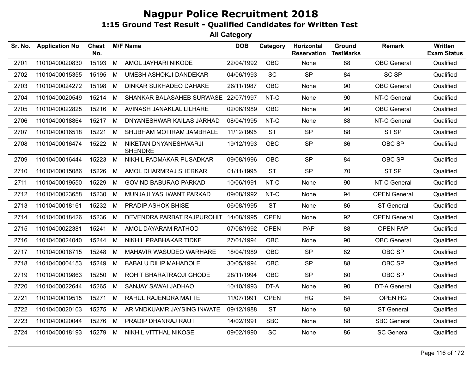| Sr. No. | <b>Application No</b> | Chest<br>No. |   | <b>M/F Name</b>                         | <b>DOB</b> | Category    | Horizontal<br><b>Reservation</b> | Ground<br><b>TestMarks</b> | <b>Remark</b>       | <b>Written</b><br><b>Exam Status</b> |
|---------|-----------------------|--------------|---|-----------------------------------------|------------|-------------|----------------------------------|----------------------------|---------------------|--------------------------------------|
| 2701    | 11010400020830        | 15193        | M | AMOL JAYHARI NIKODE                     | 22/04/1992 | <b>OBC</b>  | None                             | 88                         | <b>OBC</b> General  | Qualified                            |
| 2702    | 11010400015355        | 15195        | М | <b>UMESH ASHOKJI DANDEKAR</b>           | 04/06/1993 | <b>SC</b>   | <b>SP</b>                        | 84                         | <b>SC SP</b>        | Qualified                            |
| 2703    | 11010400024272        | 15198        | M | <b>DINKAR SUKHADEO DAHAKE</b>           | 26/11/1987 | <b>OBC</b>  | None                             | 90                         | <b>OBC</b> General  | Qualified                            |
| 2704    | 11010400020549        | 15214        | М | SHANKAR BALASAHEB SURWASE 22/07/1997    |            | NT-C        | None                             | 90                         | NT-C General        | Qualified                            |
| 2705    | 11010400022825        | 15216        | M | AVINASH JANAKLAL LILHARE                | 02/06/1989 | <b>OBC</b>  | None                             | 90                         | <b>OBC</b> General  | Qualified                            |
| 2706    | 11010400018864        | 15217 M      |   | DNYANESHWAR KAILAS JARHAD               | 08/04/1995 | NT-C        | None                             | 88                         | NT-C General        | Qualified                            |
| 2707    | 11010400016518        | 15221        | M | SHUBHAM MOTIRAM JAMBHALE                | 11/12/1995 | <b>ST</b>   | <b>SP</b>                        | 88                         | ST SP               | Qualified                            |
| 2708    | 11010400016474        | 15222 M      |   | NIKETAN DNYANESHWARJI<br><b>SHENDRE</b> | 19/12/1993 | <b>OBC</b>  | <b>SP</b>                        | 86                         | OBC SP              | Qualified                            |
| 2709    | 11010400016444        | 15223        | M | NIKHIL PADMAKAR PUSADKAR                | 09/08/1996 | <b>OBC</b>  | <b>SP</b>                        | 84                         | OBC SP              | Qualified                            |
| 2710    | 11010400015086        | 15226        | M | AMOL DHARMRAJ SHERKAR                   | 01/11/1995 | <b>ST</b>   | <b>SP</b>                        | 70                         | ST <sub>SP</sub>    | Qualified                            |
| 2711    | 11010400019550        | 15229        | M | <b>GOVIND BABURAO PARKAD</b>            | 10/06/1991 | NT-C        | None                             | 90                         | NT-C General        | Qualified                            |
| 2712    | 11010400023658        | 15230        | М | MUNJAJI YASHWANT PARKAD                 | 09/08/1992 | NT-C        | None                             | 94                         | <b>OPEN General</b> | Qualified                            |
| 2713    | 11010400018161        | 15232        | М | PRADIP ASHOK BHISE                      | 06/08/1995 | <b>ST</b>   | None                             | 86                         | <b>ST General</b>   | Qualified                            |
| 2714    | 11010400018426        | 15236        | М | DEVENDRA PARBAT RAJPUROHIT              | 14/08/1995 | <b>OPEN</b> | None                             | 92                         | <b>OPEN General</b> | Qualified                            |
| 2715    | 11010400022381        | 15241        | M | AMOL DAYARAM RATHOD                     | 07/08/1992 | <b>OPEN</b> | <b>PAP</b>                       | 88                         | <b>OPEN PAP</b>     | Qualified                            |
| 2716    | 11010400024040        | 15244        | M | NIKHIL PRABHAKAR TIDKE                  | 27/01/1994 | <b>OBC</b>  | None                             | 90                         | <b>OBC</b> General  | Qualified                            |
| 2717    | 11010400018715        | 15248        | М | MAHAVIR WASUDEO WARHARE                 | 18/04/1989 | <b>OBC</b>  | <b>SP</b>                        | 82                         | OBC SP              | Qualified                            |
| 2718    | 11010400004153        | 15249        | М | <b>BABALU DILIP MAHADOLE</b>            | 30/05/1994 | <b>OBC</b>  | <b>SP</b>                        | 88                         | OBC SP              | Qualified                            |
| 2719    | 11010400019863        | 15250        | М | ROHIT BHARATRAOJI GHODE                 | 28/11/1994 | <b>OBC</b>  | <b>SP</b>                        | 80                         | OBC SP              | Qualified                            |
| 2720    | 11010400022644        | 15265        | М | SANJAY SAWAI JADHAO                     | 10/10/1993 | DT-A        | None                             | 90                         | <b>DT-A General</b> | Qualified                            |
| 2721    | 11010400019515        | 15271        | M | RAHUL RAJENDRA MATTE                    | 11/07/1991 | <b>OPEN</b> | HG                               | 84                         | OPEN HG             | Qualified                            |
| 2722    | 11010400020103        | 15275        | М | ARIVNDKUAMR JAYSING INWATE              | 09/12/1988 | <b>ST</b>   | None                             | 88                         | <b>ST General</b>   | Qualified                            |
| 2723    | 11010400020044        | 15276        | M | PRADIP DHANRAJ RAUT                     | 14/02/1991 | <b>SBC</b>  | None                             | 88                         | <b>SBC General</b>  | Qualified                            |
| 2724    | 11010400018193        | 15279        | M | NIKHIL VITTHAL NIKOSE                   | 09/02/1990 | <b>SC</b>   | None                             | 86                         | <b>SC General</b>   | Qualified                            |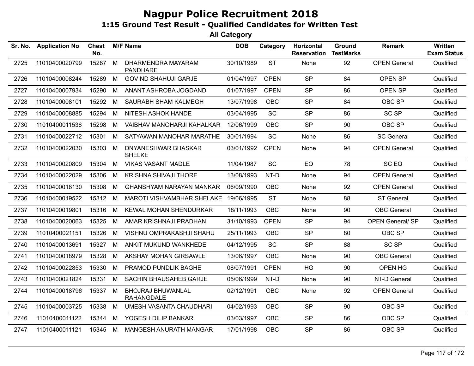| Sr. No. | <b>Application No</b> | <b>Chest</b><br>No. |   | <b>M/F Name</b>                               | <b>DOB</b> | Category    | Horizontal<br><b>Reservation</b> | Ground<br><b>TestMarks</b> | <b>Remark</b>           | <b>Written</b><br><b>Exam Status</b> |
|---------|-----------------------|---------------------|---|-----------------------------------------------|------------|-------------|----------------------------------|----------------------------|-------------------------|--------------------------------------|
| 2725    | 11010400020799        | 15287               | M | DHARMENDRA MAYARAM<br><b>PANDHARE</b>         | 30/10/1989 | <b>ST</b>   | None                             | 92                         | <b>OPEN General</b>     | Qualified                            |
| 2726    | 11010400008244        | 15289               | M | <b>GOVIND SHAHUJI GARJE</b>                   | 01/04/1997 | <b>OPEN</b> | <b>SP</b>                        | 84                         | OPEN SP                 | Qualified                            |
| 2727    | 11010400007934        | 15290               | M | ANANT ASHROBA JOGDAND                         | 01/07/1997 | <b>OPEN</b> | <b>SP</b>                        | 86                         | OPEN SP                 | Qualified                            |
| 2728    | 11010400008101        | 15292               | M | SAURABH SHAM KALMEGH                          | 13/07/1998 | <b>OBC</b>  | <b>SP</b>                        | 84                         | OBC SP                  | Qualified                            |
| 2729    | 11010400008885        | 15294               | M | NITESH ASHOK HANDE                            | 03/04/1995 | SC          | <b>SP</b>                        | 86                         | <b>SC SP</b>            | Qualified                            |
| 2730    | 11010400011536        | 15298               | M | VAIBHAV MANOHARJI KAHALKAR                    | 12/06/1999 | <b>OBC</b>  | <b>SP</b>                        | 90                         | OBC SP                  | Qualified                            |
| 2731    | 11010400022712        | 15301               | M | SATYAWAN MANOHAR MARATHE                      | 30/01/1994 | SC          | None                             | 86                         | <b>SC General</b>       | Qualified                            |
| 2732    | 11010400022030        | 15303               | M | DNYANESHWAR BHASKAR<br><b>SHELKE</b>          | 03/01/1992 | <b>OPEN</b> | None                             | 94                         | <b>OPEN General</b>     | Qualified                            |
| 2733    | 11010400020809        | 15304               | М | <b>VIKAS VASANT MADLE</b>                     | 11/04/1987 | SC          | EQ                               | 78                         | SC <sub>EQ</sub>        | Qualified                            |
| 2734    | 11010400022029        | 15306               | M | <b>KRISHNA SHIVAJI THORE</b>                  | 13/08/1993 | NT-D        | None                             | 94                         | <b>OPEN General</b>     | Qualified                            |
| 2735    | 11010400018130        | 15308               | M | <b>GHANSHYAM NARAYAN MANKAR</b>               | 06/09/1990 | <b>OBC</b>  | None                             | 92                         | <b>OPEN General</b>     | Qualified                            |
| 2736    | 11010400019522        | 15312 M             |   | MAROTI VISHVAMBHAR SHELAKE                    | 19/06/1995 | <b>ST</b>   | None                             | 88                         | ST General              | Qualified                            |
| 2737    | 11010400019801        | 15316               | M | <b>KEWAL MOHAN SHENDURKAR</b>                 | 18/11/1993 | <b>OBC</b>  | None                             | 90                         | <b>OBC</b> General      | Qualified                            |
| 2738    | 11010400020063        | 15325               | M | AMAR KRISHNAJI PRADHAN                        | 31/10/1993 | <b>OPEN</b> | <b>SP</b>                        | 94                         | <b>OPEN General/ SP</b> | Qualified                            |
| 2739    | 11010400021151        | 15326               | M | VISHNU OMPRAKASHJI SHAHU                      | 25/11/1993 | <b>OBC</b>  | <b>SP</b>                        | 80                         | OBC SP                  | Qualified                            |
| 2740    | 11010400013691        | 15327               | M | ANKIT MUKUND WANKHEDE                         | 04/12/1995 | <b>SC</b>   | <b>SP</b>                        | 88                         | <b>SC SP</b>            | Qualified                            |
| 2741    | 11010400018979        | 15328               | M | AKSHAY MOHAN GIRSAWLE                         | 13/06/1997 | <b>OBC</b>  | None                             | 90                         | <b>OBC</b> General      | Qualified                            |
| 2742    | 11010400022853        | 15330               | M | PRAMOD PUNDLIK BAGHE                          | 08/07/1991 | <b>OPEN</b> | <b>HG</b>                        | 90                         | OPEN HG                 | Qualified                            |
| 2743    | 11010400021824        | 15331               | M | SACHIN BHAUSAHEB GARJE                        | 05/06/1999 | NT-D        | None                             | 90                         | NT-D General            | Qualified                            |
| 2744    | 11010400018796        | 15337               | M | <b>BHOJRAJ BHUWANLAL</b><br><b>RAHANGDALE</b> | 02/12/1991 | <b>OBC</b>  | None                             | 92                         | <b>OPEN General</b>     | Qualified                            |
| 2745    | 11010400003725        | 15338               | М | UMESH VASANTA CHAUDHARI                       | 04/02/1993 | <b>OBC</b>  | <b>SP</b>                        | 90                         | OBC SP                  | Qualified                            |
| 2746    | 11010400011122        | 15344               | M | YOGESH DILIP BANKAR                           | 03/03/1997 | <b>OBC</b>  | <b>SP</b>                        | 86                         | OBC SP                  | Qualified                            |
| 2747    | 11010400011121        | 15345               | M | MANGESH ANURATH MANGAR                        | 17/01/1998 | <b>OBC</b>  | <b>SP</b>                        | 86                         | OBC SP                  | Qualified                            |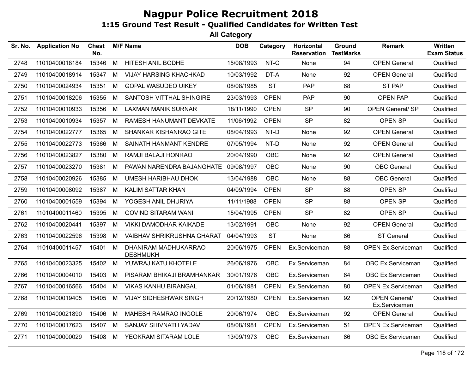| Sr. No. | <b>Application No</b> | <b>Chest</b><br>No. |   | <b>M/F Name</b>                         | <b>DOB</b> | Category    | Horizontal<br><b>Reservation</b> | Ground<br><b>TestMarks</b> | <b>Remark</b>                         | Written<br><b>Exam Status</b> |
|---------|-----------------------|---------------------|---|-----------------------------------------|------------|-------------|----------------------------------|----------------------------|---------------------------------------|-------------------------------|
| 2748    | 11010400018184        | 15346               | M | <b>HITESH ANIL BODHE</b>                | 15/08/1993 | NT-C        | None                             | 94                         | <b>OPEN General</b>                   | Qualified                     |
| 2749    | 11010400018914        | 15347               | M | <b>VIJAY HARSING KHACHKAD</b>           | 10/03/1992 | DT-A        | None                             | 92                         | <b>OPEN General</b>                   | Qualified                     |
| 2750    | 11010400024934        | 15351               | M | <b>GOPAL WASUDEO UIKEY</b>              | 08/08/1985 | <b>ST</b>   | <b>PAP</b>                       | 68                         | <b>ST PAP</b>                         | Qualified                     |
| 2751    | 11010400018206        | 15355               | M | SANTOSH VITTHAL SHINGIRE                | 23/03/1993 | <b>OPEN</b> | <b>PAP</b>                       | 90                         | <b>OPEN PAP</b>                       | Qualified                     |
| 2752    | 11010400010933        | 15356               | M | LAXMAN MANIK SURNAR                     | 18/11/1990 | <b>OPEN</b> | <b>SP</b>                        | 90                         | <b>OPEN General/ SP</b>               | Qualified                     |
| 2753    | 11010400010934        | 15357               | M | RAMESH HANUMANT DEVKATE                 | 11/06/1992 | <b>OPEN</b> | <b>SP</b>                        | 82                         | OPEN SP                               | Qualified                     |
| 2754    | 11010400022777        | 15365               | M | SHANKAR KISHANRAO GITE                  | 08/04/1993 | NT-D        | None                             | 92                         | <b>OPEN General</b>                   | Qualified                     |
| 2755    | 11010400022773        | 15366               | M | SAINATH HANMANT KENDRE                  | 07/05/1994 | NT-D        | None                             | 92                         | <b>OPEN General</b>                   | Qualified                     |
| 2756    | 11010400023827        | 15380               | M | RAMJI BALAJI HONRAO                     | 20/04/1990 | OBC         | None                             | 92                         | <b>OPEN General</b>                   | Qualified                     |
| 2757    | 11010400023270        | 15381               | M | PAWAN NARENDRA BAJANGHATE 09/08/1997    |            | OBC         | None                             | 90                         | <b>OBC</b> General                    | Qualified                     |
| 2758    | 11010400020926        | 15385               | M | <b>UMESH HARIBHAU DHOK</b>              | 13/04/1988 | <b>OBC</b>  | None                             | 88                         | <b>OBC</b> General                    | Qualified                     |
| 2759    | 11010400008092        | 15387               | M | KALIM SATTAR KHAN                       | 04/09/1994 | <b>OPEN</b> | <b>SP</b>                        | 88                         | OPEN SP                               | Qualified                     |
| 2760    | 11010400001559        | 15394               | M | YOGESH ANIL DHURIYA                     | 11/11/1988 | <b>OPEN</b> | <b>SP</b>                        | 88                         | OPEN SP                               | Qualified                     |
| 2761    | 11010400011460        | 15395               | M | <b>GOVIND SITARAM WANI</b>              | 15/04/1995 | <b>OPEN</b> | <b>SP</b>                        | 82                         | OPEN SP                               | Qualified                     |
| 2762    | 11010400020441        | 15397               | M | <b>VIKKI DAMODHAR KAIKADE</b>           | 13/02/1991 | OBC         | None                             | 92                         | <b>OPEN General</b>                   | Qualified                     |
| 2763    | 11010400022596        | 15398               | M | VAIBHAV SHRIKRUSHNA GHARAT              | 04/04/1993 | <b>ST</b>   | None                             | 86                         | <b>ST General</b>                     | Qualified                     |
| 2764    | 11010400011457        | 15401               | M | DHANIRAM MADHUKARRAO<br><b>DESHMUKH</b> | 20/06/1975 | <b>OPEN</b> | Ex.Serviceman                    | 88                         | <b>OPEN Ex.Serviceman</b>             | Qualified                     |
| 2765    | 11010400023325        | 15402               | M | YUWRAJ KATU KHOTELE                     | 26/06/1976 | <b>OBC</b>  | Ex.Serviceman                    | 84                         | OBC Ex.Serviceman                     | Qualified                     |
| 2766    | 11010400004010        | 15403               | M | PISARAM BHIKAJI BRAMHANKAR              | 30/01/1976 | OBC         | Ex.Serviceman                    | 64                         | OBC Ex.Serviceman                     | Qualified                     |
| 2767    | 11010400016566        | 15404               | M | <b>VIKAS KANHU BIRANGAL</b>             | 01/06/1981 | <b>OPEN</b> | Ex.Serviceman                    | 80                         | <b>OPEN Ex.Serviceman</b>             | Qualified                     |
| 2768    | 11010400019405        | 15405               | M | <b>VIJAY SIDHESHWAR SINGH</b>           | 20/12/1980 | <b>OPEN</b> | Ex.Serviceman                    | 92                         | <b>OPEN General/</b><br>Ex.Servicemen | Qualified                     |
| 2769    | 11010400021890        | 15406               | M | MAHESH RAMRAO INGOLE                    | 20/06/1974 | <b>OBC</b>  | Ex.Serviceman                    | 92                         | <b>OPEN General</b>                   | Qualified                     |
| 2770    | 11010400017623        | 15407               | M | SANJAY SHIVNATH YADAV                   | 08/08/1981 | <b>OPEN</b> | Ex.Serviceman                    | 51                         | <b>OPEN Ex.Serviceman</b>             | Qualified                     |
| 2771    | 11010400000029        | 15408               | M | YEOKRAM SITARAM LOLE                    | 13/09/1973 | <b>OBC</b>  | Ex.Serviceman                    | 86                         | OBC Ex.Servicemen                     | Qualified                     |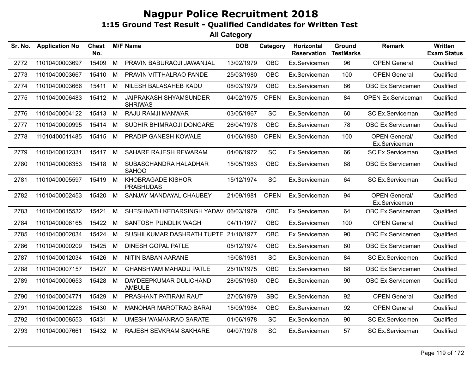| Sr. No. | <b>Application No</b> | <b>Chest</b><br>No. |   | <b>M/F Name</b>                          | <b>DOB</b> | Category    | Horizontal<br><b>Reservation</b> | <b>Ground</b><br><b>TestMarks</b> | Remark                                | <b>Written</b><br><b>Exam Status</b> |
|---------|-----------------------|---------------------|---|------------------------------------------|------------|-------------|----------------------------------|-----------------------------------|---------------------------------------|--------------------------------------|
| 2772    | 11010400003697        | 15409               | M | PRAVIN BABURAOJI JAWANJAL                | 13/02/1979 | <b>OBC</b>  | Ex.Serviceman                    | 96                                | <b>OPEN General</b>                   | Qualified                            |
| 2773    | 11010400003667        | 15410               | M | PRAVIN VITTHALRAO PANDE                  | 25/03/1980 | OBC         | Ex.Serviceman                    | 100                               | <b>OPEN General</b>                   | Qualified                            |
| 2774    | 11010400003666        | 15411               | M | NILESH BALASAHEB KADU                    | 08/03/1979 | OBC         | Ex.Serviceman                    | 86                                | OBC Ex.Servicemen                     | Qualified                            |
| 2775    | 11010400006483        | 15412 M             |   | JAIPRAKASH SHYAMSUNDER<br><b>SHRIWAS</b> | 04/02/1975 | <b>OPEN</b> | Ex.Serviceman                    | 84                                | <b>OPEN Ex.Serviceman</b>             | Qualified                            |
| 2776    | 11010400004122        | 15413 M             |   | RAJU RAMJI MANWAR                        | 03/05/1967 | <b>SC</b>   | Ex.Serviceman                    | 60                                | SC Ex.Serviceman                      | Qualified                            |
| 2777    | 11010400000995        | 15414               | M | SUDHIR BHIMRAOJI DONGARE                 | 26/04/1978 | <b>OBC</b>  | Ex.Serviceman                    | 78                                | OBC Ex.Serviceman                     | Qualified                            |
| 2778    | 11010400011485        | 15415               | M | PRADIP GANESH KOWALE                     | 01/06/1980 | <b>OPEN</b> | Ex.Serviceman                    | 100                               | <b>OPEN General/</b><br>Ex.Servicemen | Qualified                            |
| 2779    | 11010400012331        | 15417 M             |   | SAHARE RAJESH REWARAM                    | 04/06/1972 | SC          | Ex.Serviceman                    | 66                                | SC Ex.Serviceman                      | Qualified                            |
| 2780    | 11010400006353        | 15418 M             |   | SUBASCHANDRA HALADHAR<br><b>SAHOO</b>    | 15/05/1983 | OBC         | Ex.Serviceman                    | 88                                | OBC Ex.Servicemen                     | Qualified                            |
| 2781    | 11010400005597        | 15419 M             |   | KHOBRAGADE KISHOR<br><b>PRABHUDAS</b>    | 15/12/1974 | <b>SC</b>   | Ex.Serviceman                    | 64                                | SC Ex.Serviceman                      | Qualified                            |
| 2782    | 11010400002453        | 15420               | M | SANJAY MANDAYAL CHAUBEY                  | 21/09/1981 | <b>OPEN</b> | Ex.Serviceman                    | 94                                | <b>OPEN General/</b><br>Ex.Servicemen | Qualified                            |
| 2783    | 11010400015532        | 15421               | M | SHESHNATH KEDARSINGH YADAV 06/03/1979    |            | <b>OBC</b>  | Ex.Serviceman                    | 64                                | OBC Ex.Serviceman                     | Qualified                            |
| 2784    | 11010400006165        | 15422               | M | SANTOSH PUNDLIK WAGH                     | 04/11/1977 | OBC         | Ex.Serviceman                    | 100                               | <b>OPEN General</b>                   | Qualified                            |
| 2785    | 11010400002034        | 15424               | M | SUSHILKUMAR DASHRATH TUPTE 21/10/1977    |            | <b>OBC</b>  | Ex.Serviceman                    | 90                                | OBC Ex.Servicemen                     | Qualified                            |
| 2786    | 11010400000209        | 15425               | M | <b>DINESH GOPAL PATLE</b>                | 05/12/1974 | <b>OBC</b>  | Ex.Serviceman                    | 80                                | OBC Ex.Serviceman                     | Qualified                            |
| 2787    | 11010400012034        | 15426               | M | <b>NITIN BABAN AARANE</b>                | 16/08/1981 | SC          | Ex.Serviceman                    | 84                                | SC Ex.Servicemen                      | Qualified                            |
| 2788    | 11010400007157        | 15427               | M | <b>GHANSHYAM MAHADU PATLE</b>            | 25/10/1975 | <b>OBC</b>  | Ex.Serviceman                    | 88                                | OBC Ex.Servicemen                     | Qualified                            |
| 2789    | 11010400000653        | 15428               | M | DAYDEEPKUMAR DULICHAND<br><b>AMBULE</b>  | 28/05/1980 | <b>OBC</b>  | Ex.Serviceman                    | 90                                | OBC Ex.Servicemen                     | Qualified                            |
| 2790    | 11010400004771        | 15429               | M | PRASHANT PATIRAM RAUT                    | 27/05/1979 | <b>SBC</b>  | Ex.Serviceman                    | 92                                | <b>OPEN General</b>                   | Qualified                            |
| 2791    | 11010400012228        | 15430               | M | <b>MANOHAR MAROTRAO BARAI</b>            | 15/09/1984 | <b>OBC</b>  | Ex.Serviceman                    | 92                                | <b>OPEN General</b>                   | Qualified                            |
| 2792    | 11010400008553        | 15431               | M | <b>UMESH WAMANRAO SARATE</b>             | 01/06/1978 | SC          | Ex.Serviceman                    | 90                                | SC Ex.Servicemen                      | Qualified                            |
| 2793    | 11010400007661        | 15432 M             |   | RAJESH SEVKRAM SAKHARE                   | 04/07/1976 | SC          | Ex.Serviceman                    | 57                                | SC Ex.Serviceman                      | Qualified                            |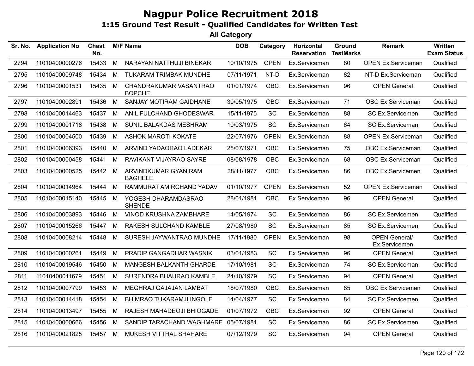| Sr. No. | <b>Application No</b> | <b>Chest</b><br>No. |   | <b>M/F Name</b>                         | <b>DOB</b> | Category    | Horizontal<br><b>Reservation</b> | Ground<br><b>TestMarks</b> | <b>Remark</b>                         | Written<br><b>Exam Status</b> |
|---------|-----------------------|---------------------|---|-----------------------------------------|------------|-------------|----------------------------------|----------------------------|---------------------------------------|-------------------------------|
| 2794    | 11010400000276        | 15433               | M | NARAYAN NATTHUJI BINEKAR                | 10/10/1975 | <b>OPEN</b> | Ex.Serviceman                    | 80                         | <b>OPEN Ex.Serviceman</b>             | Qualified                     |
| 2795    | 11010400009748        | 15434               | М | TUKARAM TRIMBAK MUNDHE                  | 07/11/1971 | NT-D        | Ex.Serviceman                    | 82                         | NT-D Ex.Serviceman                    | Qualified                     |
| 2796    | 11010400001531        | 15435               | M | CHANDRAKUMAR VASANTRAO<br><b>BOPCHE</b> | 01/01/1974 | OBC         | Ex.Serviceman                    | 96                         | <b>OPEN General</b>                   | Qualified                     |
| 2797    | 11010400002891        | 15436               | M | SANJAY MOTIRAM GAIDHANE                 | 30/05/1975 | <b>OBC</b>  | Ex.Serviceman                    | 71                         | OBC Ex.Serviceman                     | Qualified                     |
| 2798    | 11010400014463        | 15437               | M | ANIL FULCHAND GHODESWAR                 | 15/11/1975 | SC          | Ex.Serviceman                    | 88                         | SC Ex.Servicemen                      | Qualified                     |
| 2799    | 11010400001718        | 15438               | M | SUNIL BALAKDAS MESHRAM                  | 10/03/1975 | SC          | Ex.Serviceman                    | 64                         | SC Ex.Serviceman                      | Qualified                     |
| 2800    | 11010400004500        | 15439               | M | <b>ASHOK MAROTI KOKATE</b>              | 22/07/1976 | <b>OPEN</b> | Ex.Serviceman                    | 88                         | <b>OPEN Ex.Serviceman</b>             | Qualified                     |
| 2801    | 11010400006393        | 15440               | M | ARVIND YADAORAO LADEKAR                 | 28/07/1971 | OBC         | Ex.Serviceman                    | 75                         | OBC Ex.Serviceman                     | Qualified                     |
| 2802    | 11010400000458        | 15441               | M | RAVIKANT VIJAYRAO SAYRE                 | 08/08/1978 | OBC         | Ex.Serviceman                    | 68                         | OBC Ex.Serviceman                     | Qualified                     |
| 2803    | 11010400000525        | 15442               | M | ARVINDKUMAR GYANIRAM<br><b>BAGHELE</b>  | 28/11/1977 | OBC         | Ex.Serviceman                    | 86                         | OBC Ex.Servicemen                     | Qualified                     |
| 2804    | 11010400014964        | 15444               | M | RAMMURAT AMIRCHAND YADAV                | 01/10/1977 | <b>OPEN</b> | Ex.Serviceman                    | 52                         | <b>OPEN Ex.Serviceman</b>             | Qualified                     |
| 2805    | 11010400015140        | 15445               | M | YOGESH DHARAMDASRAO<br><b>SHENDE</b>    | 28/01/1981 | OBC         | Ex.Serviceman                    | 96                         | <b>OPEN General</b>                   | Qualified                     |
| 2806    | 11010400003893        | 15446               | M | VINOD KRUSHNA ZAMBHARE                  | 14/05/1974 | SC          | Ex.Serviceman                    | 86                         | SC Ex.Servicemen                      | Qualified                     |
| 2807    | 11010400015266        | 15447               | М | RAKESH SULCHAND KAMBLE                  | 27/08/1980 | SC          | Ex.Serviceman                    | 85                         | <b>SC Ex.Servicemen</b>               | Qualified                     |
| 2808    | 11010400008214        | 15448               | М | SURESH JAYWANTRAO MUNDHE                | 17/11/1980 | <b>OPEN</b> | Ex.Serviceman                    | 98                         | <b>OPEN General/</b><br>Ex.Servicemen | Qualified                     |
| 2809    | 11010400000261        | 15449               | M | PRADIP GANGADHAR WASNIK                 | 03/01/1983 | SC          | Ex.Serviceman                    | 96                         | <b>OPEN General</b>                   | Qualified                     |
| 2810    | 11010400019546        | 15450               | M | MANGESH BALKANTH GHARDE                 | 17/10/1981 | <b>SC</b>   | Ex.Serviceman                    | 74                         | SC Ex.Serviceman                      | Qualified                     |
| 2811    | 11010400011679        | 15451               | M | SURENDRA BHAURAO KAMBLE                 | 24/10/1979 | SC          | Ex.Serviceman                    | 94                         | <b>OPEN General</b>                   | Qualified                     |
| 2812    | 11010400007799        | 15453               | M | MEGHRAJ GAJAJAN LAMBAT                  | 18/07/1980 | <b>OBC</b>  | Ex.Serviceman                    | 85                         | OBC Ex.Serviceman                     | Qualified                     |
| 2813    | 11010400014418        | 15454               | M | <b>BHIMRAO TUKARAMJI INGOLE</b>         | 14/04/1977 | SC          | Ex.Serviceman                    | 84                         | <b>SC Ex.Servicemen</b>               | Qualified                     |
| 2814    | 11010400013497        | 15455               | M | RAJESH MAHADEOJI BHIOGADE               | 01/07/1972 | <b>OBC</b>  | Ex.Serviceman                    | 92                         | <b>OPEN General</b>                   | Qualified                     |
| 2815    | 11010400000666        | 15456               | M | SANDIP TARACHAND WAGHMARE 05/07/1981    |            | SC          | Ex.Serviceman                    | 86                         | SC Ex.Servicemen                      | Qualified                     |
| 2816    | 11010400021825        | 15457 M             |   | MUKESH VITTHAL SHAHARE                  | 07/12/1979 | <b>SC</b>   | Ex.Serviceman                    | 94                         | <b>OPEN General</b>                   | Qualified                     |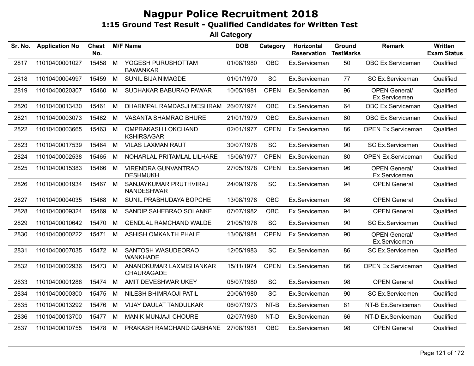| Sr. No. | <b>Application No</b> | <b>Chest</b><br>No. |   | <b>M/F Name</b>                                | <b>DOB</b> | Category    | Horizontal<br><b>Reservation</b> | Ground<br><b>TestMarks</b> | Remark                                | <b>Written</b><br><b>Exam Status</b> |
|---------|-----------------------|---------------------|---|------------------------------------------------|------------|-------------|----------------------------------|----------------------------|---------------------------------------|--------------------------------------|
| 2817    | 11010400001027        | 15458               | M | YOGESH PURUSHOTTAM<br><b>BAWANKAR</b>          | 01/08/1980 | <b>OBC</b>  | Ex.Serviceman                    | 50                         | OBC Ex.Serviceman                     | Qualified                            |
| 2818    | 11010400004997        | 15459               | M | <b>SUNIL BIJA NIMAGDE</b>                      | 01/01/1970 | SC          | Ex.Serviceman                    | 77                         | SC Ex.Serviceman                      | Qualified                            |
| 2819    | 11010400020307        | 15460               | М | SUDHAKAR BABURAO PAWAR                         | 10/05/1981 | <b>OPEN</b> | Ex.Serviceman                    | 96                         | <b>OPEN General/</b><br>Ex.Servicemen | Qualified                            |
| 2820    | 11010400013430        | 15461               | М | DHARMPAL RAMDASJI MESHRAM                      | 26/07/1974 | <b>OBC</b>  | Ex.Serviceman                    | 64                         | OBC Ex.Serviceman                     | Qualified                            |
| 2821    | 11010400003073        | 15462               | М | <b>VASANTA SHAMRAO BHURE</b>                   | 21/01/1979 | <b>OBC</b>  | Ex.Serviceman                    | 80                         | OBC Ex.Serviceman                     | Qualified                            |
| 2822    | 11010400003665        | 15463               | M | <b>OMPRAKASH LOKCHAND</b><br><b>KSHIRSAGAR</b> | 02/01/1977 | <b>OPEN</b> | Ex.Serviceman                    | 86                         | <b>OPEN Ex.Serviceman</b>             | Qualified                            |
| 2823    | 11010400017539        | 15464               | М | <b>VILAS LAXMAN RAUT</b>                       | 30/07/1978 | SC          | Ex.Serviceman                    | 90                         | SC Ex.Servicemen                      | Qualified                            |
| 2824    | 11010400002538        | 15465               | М | NOHARLAL PRITAMLAL LILHARE                     | 15/06/1977 | <b>OPEN</b> | Ex.Serviceman                    | 80                         | <b>OPEN Ex.Serviceman</b>             | Qualified                            |
| 2825    | 11010400015383        | 15466               | M | VIRENDRA GUNVANTRAO<br><b>DESHMUKH</b>         | 27/05/1978 | <b>OPEN</b> | Ex.Serviceman                    | 96                         | <b>OPEN General/</b><br>Ex.Servicemen | Qualified                            |
| 2826    | 11010400001934        | 15467 M             |   | SANJAYKUMAR PRUTHVIRAJ<br>NANDESHWAR           | 24/09/1976 | SC          | Ex.Serviceman                    | 94                         | <b>OPEN General</b>                   | Qualified                            |
| 2827    | 11010400004035        | 15468               | М | SUNIL PRABHUDAYA BOPCHE                        | 13/08/1978 | <b>OBC</b>  | Ex.Serviceman                    | 98                         | <b>OPEN General</b>                   | Qualified                            |
| 2828    | 11010400009324        | 15469               | м | SANDIP SAHEBRAO SOLANKE                        | 07/07/1982 | <b>OBC</b>  | Ex.Serviceman                    | 94                         | <b>OPEN General</b>                   | Qualified                            |
| 2829    | 11010400010642        | 15470               | M | <b>GENDLAL RAMCHAND WALDE</b>                  | 21/05/1976 | SC          | Ex.Serviceman                    | 90                         | <b>SC Ex.Servicemen</b>               | Qualified                            |
| 2830    | 11010400000222        | 15471               | M | ASHISH OMKANTH PHALE                           | 13/06/1981 | <b>OPEN</b> | Ex.Serviceman                    | 90                         | <b>OPEN General/</b><br>Ex.Servicemen | Qualified                            |
| 2831    | 11010400007035        | 15472 M             |   | SANTOSH WASUDEORAO<br><b>WANKHADE</b>          | 12/05/1983 | <b>SC</b>   | Ex.Serviceman                    | 86                         | <b>SC Ex.Servicemen</b>               | Qualified                            |
| 2832    | 11010400002936        | 15473               | M | ANANDKUMAR LAXMISHANKAR<br>CHAURAGADE          | 15/11/1974 | <b>OPEN</b> | Ex.Serviceman                    | 86                         | <b>OPEN Ex.Serviceman</b>             | Qualified                            |
| 2833    | 11010400001288        | 15474               | M | AMIT DEVESHWAR UKEY                            | 05/07/1980 | SC          | Ex.Serviceman                    | 98                         | <b>OPEN General</b>                   | Qualified                            |
| 2834    | 11010400000300        | 15475               | М | <b>NILESH BHIMRAOJI PATIL</b>                  | 20/06/1980 | SC          | Ex.Serviceman                    | 90                         | <b>SC Ex.Servicemen</b>               | Qualified                            |
| 2835    | 11010400013292        | 15476               | M | VIJAY DAULAT TANDULKAR                         | 06/07/1973 | NT-B        | Ex.Serviceman                    | 81                         | NT-B Ex.Serviceman                    | Qualified                            |
| 2836    | 11010400013700        | 15477               | M | <b>MANIK MUNJAJI CHOURE</b>                    | 02/07/1980 | NT-D        | Ex.Serviceman                    | 66                         | NT-D Ex.Serviceman                    | Qualified                            |
| 2837    | 11010400010755        | 15478               | M | PRAKASH RAMCHAND GABHANE                       | 27/08/1981 | OBC         | Ex.Serviceman                    | 98                         | <b>OPEN General</b>                   | Qualified                            |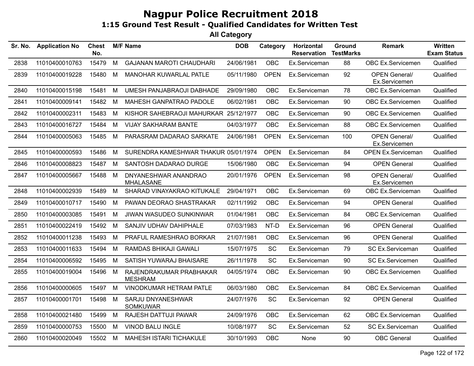| Sr. No. | <b>Application No</b> | <b>Chest</b><br>No. |   | <b>M/F Name</b>                           | <b>DOB</b> | Category    | <b>Horizontal</b><br><b>Reservation</b> | Ground<br><b>TestMarks</b> | Remark                                | <b>Written</b><br><b>Exam Status</b> |
|---------|-----------------------|---------------------|---|-------------------------------------------|------------|-------------|-----------------------------------------|----------------------------|---------------------------------------|--------------------------------------|
| 2838    | 11010400010763        | 15479               | M | <b>GAJANAN MAROTI CHAUDHARI</b>           | 24/06/1981 | <b>OBC</b>  | Ex.Serviceman                           | 88                         | OBC Ex.Servicemen                     | Qualified                            |
| 2839    | 11010400019228        | 15480               | M | <b>MANOHAR KUWARLAL PATLE</b>             | 05/11/1980 | <b>OPEN</b> | Ex.Serviceman                           | 92                         | <b>OPEN General/</b><br>Ex.Servicemen | Qualified                            |
| 2840    | 11010400015198        | 15481               | M | UMESH PANJABRAOJI DABHADE                 | 29/09/1980 | <b>OBC</b>  | Ex.Serviceman                           | 78                         | OBC Ex.Serviceman                     | Qualified                            |
| 2841    | 11010400009141        | 15482               | М | <b>MAHESH GANPATRAO PADOLE</b>            | 06/02/1981 | OBC         | Ex.Serviceman                           | 90                         | OBC Ex.Servicemen                     | Qualified                            |
| 2842    | 11010400002311        | 15483               | М | KISHOR SAHEBRAOJI MAHURKAR 25/12/1977     |            | OBC         | Ex.Serviceman                           | 90                         | OBC Ex.Servicemen                     | Qualified                            |
| 2843    | 11010400016727        | 15484               | M | <b>VIJAY SAKHARAM BANTE</b>               | 04/03/1977 | OBC         | Ex.Serviceman                           | 88                         | OBC Ex.Servicemen                     | Qualified                            |
| 2844    | 11010400005063        | 15485               | М | PARASRAM DADARAO SARKATE                  | 24/06/1981 | <b>OPEN</b> | Ex.Serviceman                           | 100                        | <b>OPEN General/</b><br>Ex.Servicemen | Qualified                            |
| 2845    | 11010400000593        | 15486               | M | SURENDRA KAMESHWAR THAKUR 05/01/1974      |            | <b>OPEN</b> | Ex.Serviceman                           | 84                         | <b>OPEN Ex.Serviceman</b>             | Qualified                            |
| 2846    | 11010400008823        | 15487               | M | SANTOSH DADARAO DURGE                     | 15/06/1980 | OBC         | Ex.Serviceman                           | 94                         | <b>OPEN General</b>                   | Qualified                            |
| 2847    | 11010400005667        | 15488               | M | DNYANESHWAR ANANDRAO<br><b>MHALASANE</b>  | 20/01/1976 | <b>OPEN</b> | Ex.Serviceman                           | 98                         | <b>OPEN General/</b><br>Ex.Servicemen | Qualified                            |
| 2848    | 11010400002939        | 15489               | M | SHARAD VINAYAKRAO KITUKALE                | 29/04/1971 | <b>OBC</b>  | Ex.Serviceman                           | 69                         | OBC Ex.Serviceman                     | Qualified                            |
| 2849    | 11010400010717        | 15490               | М | PAWAN DEORAO SHASTRAKAR                   | 02/11/1992 | OBC         | Ex.Serviceman                           | 94                         | <b>OPEN General</b>                   | Qualified                            |
| 2850    | 11010400003085        | 15491               | M | JIWAN WASUDEO SUNKINWAR                   | 01/04/1981 | OBC         | Ex.Serviceman                           | 84                         | OBC Ex.Serviceman                     | Qualified                            |
| 2851    | 11010400022419        | 15492               | M | SANJIV UDHAV DAHIPHALE                    | 07/03/1983 | NT-D        | Ex.Serviceman                           | 96                         | <b>OPEN General</b>                   | Qualified                            |
| 2852    | 11010400011238        | 15493               | M | PRAFUL RAMESHRAO BORKAR                   | 21/07/1981 | <b>OBC</b>  | Ex.Serviceman                           | 96                         | <b>OPEN General</b>                   | Qualified                            |
| 2853    | 11010400011633        | 15494               | М | RAMDAS BHIKAJI GAWALI                     | 15/07/1975 | SC          | Ex.Serviceman                           | 79                         | SC Ex.Serviceman                      | Qualified                            |
| 2854    | 11010400006592        | 15495               | М | SATISH YUWARAJ BHAISARE                   | 26/11/1978 | <b>SC</b>   | Ex.Serviceman                           | 90                         | SC Ex.Servicemen                      | Qualified                            |
| 2855    | 11010400019004        | 15496               | М | RAJENDRAKUMAR PRABHAKAR<br><b>MESHRAM</b> | 04/05/1974 | <b>OBC</b>  | Ex.Serviceman                           | 90                         | <b>OBC Ex.Servicemen</b>              | Qualified                            |
| 2856    | 11010400000605        | 15497               | M | VINODKUMAR HETRAM PATLE                   | 06/03/1980 | OBC         | Ex.Serviceman                           | 84                         | OBC Ex.Serviceman                     | Qualified                            |
| 2857    | 11010400001701        | 15498               | M | SARJU DNYANESHWAR<br><b>SOMKUWAR</b>      | 24/07/1976 | SC          | Ex.Serviceman                           | 92                         | <b>OPEN General</b>                   | Qualified                            |
| 2858    | 11010400021480        | 15499               | М | <b>RAJESH DATTUJI PAWAR</b>               | 24/09/1976 | <b>OBC</b>  | Ex.Serviceman                           | 62                         | OBC Ex.Serviceman                     | Qualified                            |
| 2859    | 11010400000753        | 15500               | M | VINOD BALU INGLE                          | 10/08/1977 | SC          | Ex.Serviceman                           | 52                         | SC Ex.Serviceman                      | Qualified                            |
| 2860    | 11010400020049        | 15502               | M | MAHESH ISTARI TICHAKULE                   | 30/10/1993 | <b>OBC</b>  | None                                    | 90                         | <b>OBC</b> General                    | Qualified                            |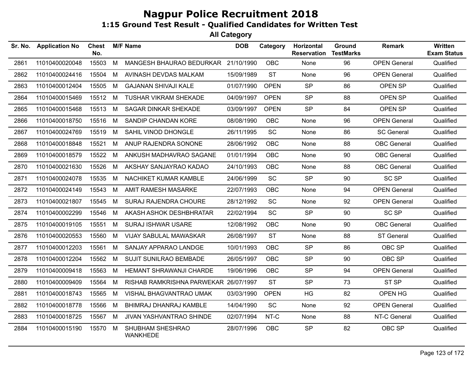| Sr. No. | <b>Application No</b> | <b>Chest</b><br>No. |   | <b>M/F Name</b>                     | <b>DOB</b> | Category    | Horizontal<br><b>Reservation</b> | <b>Ground</b><br><b>TestMarks</b> | <b>Remark</b>       | <b>Written</b><br><b>Exam Status</b> |
|---------|-----------------------|---------------------|---|-------------------------------------|------------|-------------|----------------------------------|-----------------------------------|---------------------|--------------------------------------|
| 2861    | 11010400020048        | 15503               | M | MANGESH BHAURAO BEDURKAR 21/10/1990 |            | <b>OBC</b>  | None                             | 96                                | <b>OPEN General</b> | Qualified                            |
| 2862    | 11010400024416        | 15504               | M | AVINASH DEVDAS MALKAM               | 15/09/1989 | <b>ST</b>   | None                             | 96                                | <b>OPEN General</b> | Qualified                            |
| 2863    | 11010400012404        | 15505               | M | <b>GAJANAN SHIVAJI KALE</b>         | 01/07/1990 | <b>OPEN</b> | <b>SP</b>                        | 86                                | OPEN SP             | Qualified                            |
| 2864    | 11010400015469        | 15512               | M | <b>TUSHAR VIKRAM SHEKADE</b>        | 04/09/1997 | <b>OPEN</b> | <b>SP</b>                        | 88                                | OPEN SP             | Qualified                            |
| 2865    | 11010400015468        | 15513 M             |   | <b>SAGAR DINKAR SHEKADE</b>         | 03/09/1997 | <b>OPEN</b> | <b>SP</b>                        | 84                                | OPEN SP             | Qualified                            |
| 2866    | 11010400018750        | 15516 M             |   | SANDIP CHANDAN KORE                 | 08/08/1990 | <b>OBC</b>  | None                             | 96                                | <b>OPEN General</b> | Qualified                            |
| 2867    | 11010400024769        | 15519               | M | SAHIL VINOD DHONGLE                 | 26/11/1995 | <b>SC</b>   | None                             | 86                                | <b>SC General</b>   | Qualified                            |
| 2868    | 11010400018848        | 15521               | M | ANUP RAJENDRA SONONE                | 28/06/1992 | <b>OBC</b>  | None                             | 88                                | <b>OBC</b> General  | Qualified                            |
| 2869    | 11010400018579        | 15522               | M | ANKUSH MADHAVRAO SAGANE             | 01/01/1994 | <b>OBC</b>  | None                             | 90                                | <b>OBC</b> General  | Qualified                            |
| 2870    | 11010400021630        | 15526               | M | AKSHAY SANJAYRAO KADAO              | 24/10/1993 | <b>OBC</b>  | None                             | 88                                | <b>OBC</b> General  | Qualified                            |
| 2871    | 11010400024078        | 15535               | M | NACHIKET KUMAR KAMBLE               | 24/06/1999 | <b>SC</b>   | <b>SP</b>                        | 90                                | <b>SC SP</b>        | Qualified                            |
| 2872    | 11010400024149        | 15543               | M | AMIT RAMESH MASARKE                 | 22/07/1993 | <b>OBC</b>  | None                             | 94                                | <b>OPEN General</b> | Qualified                            |
| 2873    | 11010400021807        | 15545               | M | SURAJ RAJENDRA CHOURE               | 28/12/1992 | <b>SC</b>   | None                             | 92                                | <b>OPEN General</b> | Qualified                            |
| 2874    | 11010400002299        | 15546               | M | AKASH ASHOK DESHBHRATAR             | 22/02/1994 | SC          | <b>SP</b>                        | 90                                | <b>SC SP</b>        | Qualified                            |
| 2875    | 11010400019105        | 15551               | M | <b>SURAJ ISHWAR USARE</b>           | 12/08/1992 | <b>OBC</b>  | None                             | 90                                | <b>OBC</b> General  | Qualified                            |
| 2876    | 11010400020553        | 15560               | M | <b>VIJAY SABULAL MAWASKAR</b>       | 26/08/1997 | <b>ST</b>   | None                             | 88                                | <b>ST General</b>   | Qualified                            |
| 2877    | 11010400012203        | 15561               | M | SANJAY APPARAO LANDGE               | 10/01/1993 | <b>OBC</b>  | <b>SP</b>                        | 86                                | OBC SP              | Qualified                            |
| 2878    | 11010400012204        | 15562               | M | <b>SUJIT SUNILRAO BEMBADE</b>       | 26/05/1997 | <b>OBC</b>  | <b>SP</b>                        | 90                                | OBC SP              | Qualified                            |
| 2879    | 11010400009418        | 15563               | M | HEMANT SHRAWANJI CHARDE             | 19/06/1996 | <b>OBC</b>  | <b>SP</b>                        | 94                                | <b>OPEN General</b> | Qualified                            |
| 2880    | 11010400009409        | 15564               | M | RISHAB RAMKRISHNA PARWEKAR          | 26/07/1997 | <b>ST</b>   | <b>SP</b>                        | 73                                | ST <sub>SP</sub>    | Qualified                            |
| 2881    | 11010400018743        | 15565               | M | VISHAL BHAGVANTRAO UMAK             | 03/03/1990 | <b>OPEN</b> | <b>HG</b>                        | 82                                | OPEN HG             | Qualified                            |
| 2882    | 11010400018778        | 15566               | M | BHIMRAJ DHANRAJ KAMBLE              | 14/04/1990 | <b>SC</b>   | None                             | 92                                | <b>OPEN General</b> | Qualified                            |
| 2883    | 11010400018725        | 15567 M             |   | JIVAN YASHVANTRAO SHINDE            | 02/07/1994 | NT-C        | None                             | 88                                | NT-C General        | Qualified                            |
| 2884    | 11010400015190        | 15570               | M | SHUBHAM SHESHRAO<br><b>WANKHEDE</b> | 28/07/1996 | <b>OBC</b>  | <b>SP</b>                        | 82                                | OBC SP              | Qualified                            |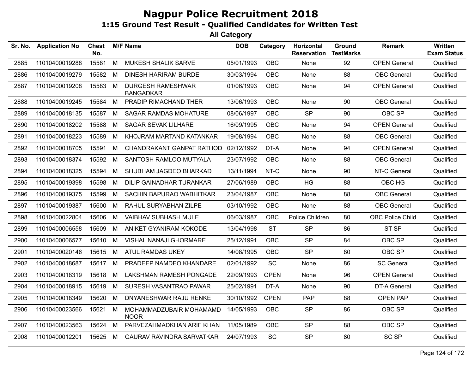| Sr. No. | <b>Application No</b> | <b>Chest</b><br>No. |   | <b>M/F Name</b>                              | <b>DOB</b> | Category    | Horizontal<br><b>Reservation</b> | Ground<br><b>TestMarks</b> | <b>Remark</b>       | Written<br><b>Exam Status</b> |
|---------|-----------------------|---------------------|---|----------------------------------------------|------------|-------------|----------------------------------|----------------------------|---------------------|-------------------------------|
| 2885    | 11010400019288        | 15581               | M | MUKESH SHALIK SARVE                          | 05/01/1993 | OBC         | None                             | 92                         | <b>OPEN General</b> | Qualified                     |
| 2886    | 11010400019279        | 15582               | М | <b>DINESH HARIRAM BURDE</b>                  | 30/03/1994 | <b>OBC</b>  | None                             | 88                         | <b>OBC</b> General  | Qualified                     |
| 2887    | 11010400019208        | 15583               | M | <b>DURGESH RAMESHWAR</b><br><b>BANGADKAR</b> | 01/06/1993 | OBC         | None                             | 94                         | <b>OPEN General</b> | Qualified                     |
| 2888    | 11010400019245        | 15584               | M | PRADIP RIMACHAND THER                        | 13/06/1993 | <b>OBC</b>  | None                             | 90                         | <b>OBC</b> General  | Qualified                     |
| 2889    | 11010400018135        | 15587               | M | <b>SAGAR RAMDAS MOHATURE</b>                 | 08/06/1997 | <b>OBC</b>  | <b>SP</b>                        | 90                         | OBC SP              | Qualified                     |
| 2890    | 11010400018202        | 15588               | М | <b>SAGAR SEVAK LILHARE</b>                   | 16/09/1995 | <b>OBC</b>  | None                             | 94                         | <b>OPEN General</b> | Qualified                     |
| 2891    | 11010400018223        | 15589               | м | KHOJRAM MARTAND KATANKAR                     | 19/08/1994 | <b>OBC</b>  | None                             | 88                         | <b>OBC</b> General  | Qualified                     |
| 2892    | 11010400018705        | 15591               | М | CHANDRAKANT GANPAT RATHOD                    | 02/12/1992 | DT-A        | None                             | 94                         | <b>OPEN General</b> | Qualified                     |
| 2893    | 11010400018374        | 15592               | M | SANTOSH RAMLOO MUTYALA                       | 23/07/1992 | <b>OBC</b>  | None                             | 88                         | <b>OBC</b> General  | Qualified                     |
| 2894    | 11010400018325        | 15594               | М | SHUBHAM JAGDEO BHARKAD                       | 13/11/1994 | NT-C        | None                             | 90                         | NT-C General        | Qualified                     |
| 2895    | 11010400019398        | 15598               | М | DILIP GAINADHAR TURANKAR                     | 27/06/1989 | <b>OBC</b>  | <b>HG</b>                        | 88                         | OBC HG              | Qualified                     |
| 2896    | 11010400019375        | 15599               | М | SACHIN BAPURAO WABHITKAR                     | 23/04/1987 | <b>OBC</b>  | <b>None</b>                      | 88                         | <b>OBC</b> General  | Qualified                     |
| 2897    | 11010400019387        | 15600               | М | RAHUL SURYABHAN ZILPE                        | 03/10/1992 | <b>OBC</b>  | None                             | 88                         | <b>OBC</b> General  | Qualified                     |
| 2898    | 11010400022804        | 15606               | М | <b>VAIBHAV SUBHASH MULE</b>                  | 06/03/1987 | <b>OBC</b>  | Police Children                  | 80                         | OBC Police Child    | Qualified                     |
| 2899    | 11010400006558        | 15609               | M | ANIKET GYANIRAM KOKODE                       | 13/04/1998 | <b>ST</b>   | <b>SP</b>                        | 86                         | ST <sub>SP</sub>    | Qualified                     |
| 2900    | 11010400006577        | 15610               | М | VISHAL NANAJI GHORMARE                       | 25/12/1991 | <b>OBC</b>  | <b>SP</b>                        | 84                         | OBC SP              | Qualified                     |
| 2901    | 11010400020146        | 15615               | M | <b>ATUL RAMDAS UKEY</b>                      | 14/08/1995 | <b>OBC</b>  | <b>SP</b>                        | 80                         | OBC SP              | Qualified                     |
| 2902    | 11010400018687        | 15617               | M | PRADEEP NAMDEO KHANDARE                      | 02/01/1992 | SC          | None                             | 86                         | <b>SC General</b>   | Qualified                     |
| 2903    | 11010400018319        | 15618               | М | LAKSHMAN RAMESH PONGADE                      | 22/09/1993 | <b>OPEN</b> | None                             | 96                         | <b>OPEN General</b> | Qualified                     |
| 2904    | 11010400018915        | 15619               | M | SURESH VASANTRAO PAWAR                       | 25/02/1991 | DT-A        | None                             | 90                         | <b>DT-A General</b> | Qualified                     |
| 2905    | 11010400018349        | 15620               | M | DNYANESHWAR RAJU RENKE                       | 30/10/1992 | <b>OPEN</b> | PAP                              | 88                         | <b>OPEN PAP</b>     | Qualified                     |
| 2906    | 11010400023566        | 15621               | М | MOHAMMADZUBAIR MOHAMAMD<br><b>NOOR</b>       | 14/05/1993 | <b>OBC</b>  | <b>SP</b>                        | 86                         | OBC SP              | Qualified                     |
| 2907    | 11010400023563        | 15624               | M | PARVEZAHMADKHAN ARIF KHAN                    | 11/05/1989 | <b>OBC</b>  | <b>SP</b>                        | 88                         | OBC SP              | Qualified                     |
| 2908    | 11010400012201        | 15625               | M | GAURAV RAVINDRA SARVATKAR                    | 24/07/1993 | SC          | <b>SP</b>                        | 80                         | <b>SC SP</b>        | Qualified                     |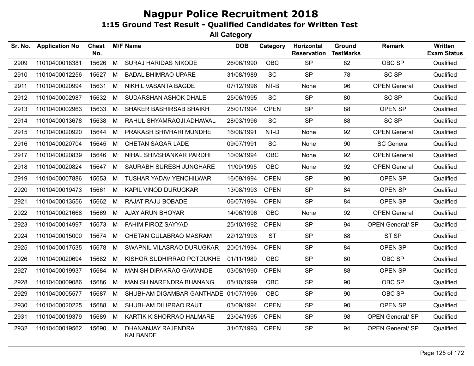| Sr. No. | <b>Application No</b> | <b>Chest</b><br>No. |   | <b>M/F Name</b>                       | <b>DOB</b> | Category    | Horizontal<br><b>Reservation</b> | <b>Ground</b><br><b>TestMarks</b> | <b>Remark</b>           | Written<br><b>Exam Status</b> |
|---------|-----------------------|---------------------|---|---------------------------------------|------------|-------------|----------------------------------|-----------------------------------|-------------------------|-------------------------------|
| 2909    | 11010400018381        | 15626               | M | <b>SURAJ HARIDAS NIKODE</b>           | 26/06/1990 | <b>OBC</b>  | <b>SP</b>                        | 82                                | OBC SP                  | Qualified                     |
| 2910    | 11010400012256        | 15627               | M | <b>BADAL BHIMRAO UPARE</b>            | 31/08/1989 | SC          | <b>SP</b>                        | 78                                | <b>SC SP</b>            | Qualified                     |
| 2911    | 11010400020994        | 15631               | M | NIKHIL VASANTA BAGDE                  | 07/12/1996 | $NT-B$      | None                             | 96                                | <b>OPEN General</b>     | Qualified                     |
| 2912    | 11010400002987        | 15632               | M | SUDARSHAN ASHOK DHALE                 | 25/06/1995 | <b>SC</b>   | <b>SP</b>                        | 80                                | <b>SC SP</b>            | Qualified                     |
| 2913    | 11010400002963        | 15633               | M | SHAKER BASHIRSAB SHAIKH               | 25/01/1994 | <b>OPEN</b> | <b>SP</b>                        | 88                                | OPEN SP                 | Qualified                     |
| 2914    | 11010400013678        | 15638               | M | RAHUL SHYAMRAOJI ADHAWAL              | 28/03/1996 | <b>SC</b>   | <b>SP</b>                        | 88                                | <b>SC SP</b>            | Qualified                     |
| 2915    | 11010400020920        | 15644               | M | PRAKASH SHIVHARI MUNDHE               | 16/08/1991 | NT-D        | None                             | 92                                | <b>OPEN General</b>     | Qualified                     |
| 2916    | 11010400020704        | 15645               | M | CHETAN SAGAR LADE                     | 09/07/1991 | <b>SC</b>   | None                             | 90                                | <b>SC General</b>       | Qualified                     |
| 2917    | 11010400020839        | 15646               | M | NIHAL SHIVSHANKAR PARDHI              | 10/09/1994 | <b>OBC</b>  | None                             | 92                                | <b>OPEN General</b>     | Qualified                     |
| 2918    | 11010400020824        | 15647               | M | SAURABH SURESH JUNGHARE               | 11/09/1995 | <b>OBC</b>  | None                             | 92                                | <b>OPEN General</b>     | Qualified                     |
| 2919    | 11010400007886        | 15653               | M | <b>TUSHAR YADAV YENCHILWAR</b>        | 16/09/1994 | <b>OPEN</b> | <b>SP</b>                        | 90                                | OPEN SP                 | Qualified                     |
| 2920    | 11010400019473        | 15661               | M | KAPIL VINOD DURUGKAR                  | 13/08/1993 | <b>OPEN</b> | <b>SP</b>                        | 84                                | OPEN SP                 | Qualified                     |
| 2921    | 11010400013556        | 15662               | M | RAJAT RAJU BOBADE                     | 06/07/1994 | <b>OPEN</b> | <b>SP</b>                        | 84                                | OPEN SP                 | Qualified                     |
| 2922    | 11010400021668        | 15669               | M | AJAY ARUN BHOYAR                      | 14/06/1996 | <b>OBC</b>  | None                             | 92                                | <b>OPEN General</b>     | Qualified                     |
| 2923    | 11010400014997        | 15673               | M | FAHIM FIROZ SAYYAD                    | 25/10/1992 | <b>OPEN</b> | <b>SP</b>                        | 94                                | <b>OPEN General/ SP</b> | Qualified                     |
| 2924    | 11010400015000        | 15674               | M | CHETAN GULABRAO MASRAM                | 22/12/1993 | <b>ST</b>   | <b>SP</b>                        | 88                                | ST <sub>SP</sub>        | Qualified                     |
| 2925    | 11010400017535        | 15678               | M | SWAPNIL VILASRAO DURUGKAR             | 20/01/1994 | <b>OPEN</b> | <b>SP</b>                        | 84                                | OPEN SP                 | Qualified                     |
| 2926    | 11010400020694        | 15682               | M | KISHOR SUDHIRRAO POTDUKHE             | 01/11/1989 | <b>OBC</b>  | <b>SP</b>                        | 80                                | OBC SP                  | Qualified                     |
| 2927    | 11010400019937        | 15684               | M | MANISH DIPAKRAO GAWANDE               | 03/08/1990 | <b>OPEN</b> | <b>SP</b>                        | 88                                | OPEN SP                 | Qualified                     |
| 2928    | 11010400009086        | 15686               | M | MANISH NARENDRA BHANANG               | 05/10/1999 | <b>OBC</b>  | <b>SP</b>                        | 90                                | OBC SP                  | Qualified                     |
| 2929    | 11010400005577        | 15687               | M | SHUBHAM DIGAMBAR GANTHADE 01/07/1996  |            | <b>OBC</b>  | <b>SP</b>                        | 90                                | OBC SP                  | Qualified                     |
| 2930    | 11010400020225        | 15688               | M | SHUBHAM DILIPRAO RAUT                 | 03/09/1994 | <b>OPEN</b> | <b>SP</b>                        | 90                                | OPEN SP                 | Qualified                     |
| 2931    | 11010400019379        | 15689               | M | KARTIK KISHORRAO HALMARE              | 23/04/1995 | <b>OPEN</b> | <b>SP</b>                        | 98                                | <b>OPEN General/ SP</b> | Qualified                     |
| 2932    | 11010400019562        | 15690               | M | DHANANJAY RAJENDRA<br><b>KALBANDE</b> | 31/07/1993 | <b>OPEN</b> | <b>SP</b>                        | 94                                | <b>OPEN General/ SP</b> | Qualified                     |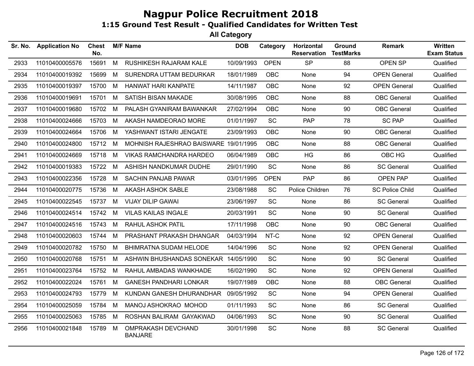| Sr. No. | <b>Application No</b> | <b>Chest</b><br>No. |   | <b>M/F Name</b>                       | <b>DOB</b> | Category    | Horizontal<br><b>Reservation</b> | <b>Ground</b><br><b>TestMarks</b> | <b>Remark</b>          | <b>Written</b><br><b>Exam Status</b> |
|---------|-----------------------|---------------------|---|---------------------------------------|------------|-------------|----------------------------------|-----------------------------------|------------------------|--------------------------------------|
| 2933    | 11010400005576        | 15691               | M | RUSHIKESH RAJARAM KALE                | 10/09/1993 | <b>OPEN</b> | <b>SP</b>                        | 88                                | OPEN SP                | Qualified                            |
| 2934    | 11010400019392        | 15699               | M | SURENDRA UTTAM BEDURKAR               | 18/01/1989 | <b>OBC</b>  | None                             | 94                                | <b>OPEN General</b>    | Qualified                            |
| 2935    | 11010400019397        | 15700               | M | HANWAT HARI KANPATE                   | 14/11/1987 | OBC         | None                             | 92                                | <b>OPEN General</b>    | Qualified                            |
| 2936    | 11010400019691        | 15701               | M | SATISH BISAN MAKADE                   | 30/08/1995 | <b>OBC</b>  | None                             | 88                                | <b>OBC</b> General     | Qualified                            |
| 2937    | 11010400019680        | 15702               | M | PALASH GYANIRAM BAWANKAR              | 27/02/1994 | <b>OBC</b>  | None                             | 90                                | <b>OBC</b> General     | Qualified                            |
| 2938    | 11010400024666        | 15703               | M | AKASH NAMDEORAO MORE                  | 01/01/1997 | <b>SC</b>   | <b>PAP</b>                       | 78                                | <b>SC PAP</b>          | Qualified                            |
| 2939    | 11010400024664        | 15706               | M | YASHWANT ISTARI JENGATE               | 23/09/1993 | <b>OBC</b>  | None                             | 90                                | <b>OBC</b> General     | Qualified                            |
| 2940    | 11010400024800        | 15712               | M | MOHNISH RAJESHRAO BAISWARE 19/01/1995 |            | <b>OBC</b>  | None                             | 88                                | <b>OBC</b> General     | Qualified                            |
| 2941    | 11010400024669        | 15718               | M | <b>VIKAS RAMCHANDRA HARDEO</b>        | 06/04/1989 | <b>OBC</b>  | HG                               | 86                                | OBC HG                 | Qualified                            |
| 2942    | 11010400019383        | 15722               | M | ASHISH NANDKUMAR DUDHE                | 29/01/1990 | <b>SC</b>   | None                             | 86                                | <b>SC General</b>      | Qualified                            |
| 2943    | 11010400022356        | 15728               | M | <b>SACHIN PANJAB PAWAR</b>            | 03/01/1995 | <b>OPEN</b> | <b>PAP</b>                       | 86                                | <b>OPEN PAP</b>        | Qualified                            |
| 2944    | 11010400020775        | 15736               | M | AKASH ASHOK SABLE                     | 23/08/1988 | <b>SC</b>   | Police Children                  | 76                                | <b>SC Police Child</b> | Qualified                            |
| 2945    | 11010400022545        | 15737 M             |   | <b>VIJAY DILIP GAWAI</b>              | 23/06/1997 | <b>SC</b>   | None                             | 86                                | <b>SC General</b>      | Qualified                            |
| 2946    | 11010400024514        | 15742               | M | <b>VILAS KAILAS INGALE</b>            | 20/03/1991 | SC          | None                             | 90                                | <b>SC General</b>      | Qualified                            |
| 2947    | 11010400024516        | 15743               | M | <b>RAHUL ASHOK PATIL</b>              | 17/11/1998 | <b>OBC</b>  | None                             | 90                                | <b>OBC</b> General     | Qualified                            |
| 2948    | 11010400020603        | 15744               | M | PRASHANT PRAKASH DHANGAR              | 04/03/1994 | NT-C        | None                             | 92                                | <b>OPEN General</b>    | Qualified                            |
| 2949    | 11010400020782        | 15750               | M | BHIMRATNA SUDAM HELODE                | 14/04/1996 | SC          | None                             | 92                                | <b>OPEN General</b>    | Qualified                            |
| 2950    | 11010400020768        | 15751               | M | ASHWIN BHUSHANDAS SONEKAR 14/05/1990  |            | <b>SC</b>   | None                             | 90                                | <b>SC General</b>      | Qualified                            |
| 2951    | 11010400023764        | 15752               | M | RAHUL AMBADAS WANKHADE                | 16/02/1990 | <b>SC</b>   | None                             | 92                                | <b>OPEN General</b>    | Qualified                            |
| 2952    | 11010400022024        | 15761               | M | <b>GANESH PANDHARI LONKAR</b>         | 19/07/1989 | <b>OBC</b>  | None                             | 88                                | <b>OBC</b> General     | Qualified                            |
| 2953    | 11010400024793        | 15779               | M | KUNDAN GANESH DHURANDHAR              | 09/05/1992 | <b>SC</b>   | None                             | 94                                | <b>OPEN General</b>    | Qualified                            |
| 2954    | 11010400025059        | 15784               | M | MANOJ ASHOKRAO MOHOD                  | 01/11/1993 | SC          | None                             | 86                                | <b>SC General</b>      | Qualified                            |
| 2955    | 11010400025063        | 15785 M             |   | ROSHAN BALIRAM GAYAKWAD               | 04/06/1993 | SC          | None                             | 90                                | <b>SC General</b>      | Qualified                            |
| 2956    | 11010400021848        | 15789               | M | OMPRAKASH DEVCHAND<br><b>BANJARE</b>  | 30/01/1998 | <b>SC</b>   | None                             | 88                                | <b>SC General</b>      | Qualified                            |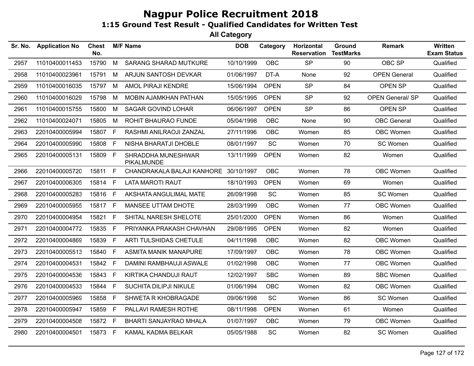| Sr. No. | <b>Application No</b> | <b>Chest</b><br>No. |    | <b>M/F Name</b>                  | <b>DOB</b> | Category    | Horizontal<br><b>Reservation</b> | Ground<br><b>TestMarks</b> | <b>Remark</b>           | Written<br><b>Exam Status</b> |
|---------|-----------------------|---------------------|----|----------------------------------|------------|-------------|----------------------------------|----------------------------|-------------------------|-------------------------------|
| 2957    | 11010400011453        | 15790               | M  | <b>SARANG SHARAD MUTKURE</b>     | 10/10/1999 | <b>OBC</b>  | <b>SP</b>                        | 90                         | OBC SP                  | Qualified                     |
| 2958    | 11010400023961        | 15791               | M  | ARJUN SANTOSH DEVKAR             | 01/06/1997 | DT-A        | None                             | 92                         | <b>OPEN General</b>     | Qualified                     |
| 2959    | 11010400016035        | 15797               | M  | AMOL PIRAJI KENDRE               | 15/06/1994 | <b>OPEN</b> | <b>SP</b>                        | 84                         | OPEN SP                 | Qualified                     |
| 2960    | 11010400016029        | 15798               | М  | <b>MOBIN AJAMKHAN PATHAN</b>     | 15/05/1995 | <b>OPEN</b> | <b>SP</b>                        | 92                         | <b>OPEN General/ SP</b> | Qualified                     |
| 2961    | 11010400015755        | 15800               | M  | <b>SAGAR GOVIND LOHAR</b>        | 06/06/1997 | <b>OPEN</b> | <b>SP</b>                        | 86                         | OPEN SP                 | Qualified                     |
| 2962    | 11010400024071        | 15805               | М  | ROHIT BHAURAO FUNDE              | 05/04/1998 | <b>OBC</b>  | None                             | 90                         | <b>OBC</b> General      | Qualified                     |
| 2963    | 22010400005994        | 15807               | E  | RASHMI ANILRAOJI ZANZAL          | 27/11/1996 | <b>OBC</b>  | Women                            | 85                         | OBC Women               | Qualified                     |
| 2964    | 22010400005990        | 15808               | F. | NISHA BHARATJI DHOBLE            | 08/01/1997 | <b>SC</b>   | Women                            | 70                         | SC Women                | Qualified                     |
| 2965    | 22010400005131        | 15809               | F. | SHRADDHA MUNESHWAR<br>PIKALMUNDE | 13/11/1999 | <b>OPEN</b> | Women                            | 82                         | Women                   | Qualified                     |
| 2966    | 22010400005720        | 15811               | F  | CHANDRAKALA BALAJI KANHORE       | 30/10/1997 | <b>OBC</b>  | Women                            | 78                         | OBC Women               | Qualified                     |
| 2967    | 22010400006305        | 15814               | F  | <b>LATA MAROTI RAUT</b>          | 18/10/1993 | <b>OPEN</b> | Women                            | 69                         | Women                   | Qualified                     |
| 2968    | 22010400005283        | 15816               | F. | AKSHATA ANGULIMAL MATE           | 26/09/1998 | SC          | Women                            | 85                         | SC Women                | Qualified                     |
| 2969    | 22010400005955        | 15817               | F  | MANSEE UTTAM DHOTE               | 28/03/1999 | <b>OBC</b>  | Women                            | 77                         | <b>OBC Women</b>        | Qualified                     |
| 2970    | 22010400004954        | 15821               | F. | SHITAL NARESH SHELOTE            | 25/01/2000 | <b>OPEN</b> | Women                            | 86                         | Women                   | Qualified                     |
| 2971    | 22010400004772        | 15835               | F  | PRIYANKA PRAKASH CHAVHAN         | 29/08/1995 | <b>OPEN</b> | Women                            | 82                         | Women                   | Qualified                     |
| 2972    | 22010400004869        | 15839               | F. | ARTI TULSHIDAS CHETULE           | 04/11/1998 | <b>OBC</b>  | Women                            | 82                         | OBC Women               | Qualified                     |
| 2973    | 22010400005513        | 15840               | F. | ASMITA MANIK MANAPURE            | 17/09/1997 | OBC         | Women                            | 78                         | OBC Women               | Qualified                     |
| 2974    | 22010400004531        | 15842               | F. | DAMINI RAMBHAUJI ASWALE          | 01/02/1998 | <b>OBC</b>  | Women                            | 77                         | OBC Women               | Qualified                     |
| 2975    | 22010400004536        | 15843               | F. | KIRTIKA CHANDUJI RAUT            | 12/02/1997 | <b>SBC</b>  | Women                            | 89                         | <b>SBC Women</b>        | Qualified                     |
| 2976    | 22010400004533        | 15844               | F  | SUCHITA DILIPJI NIKULE           | 01/06/1994 | <b>OBC</b>  | Women                            | 82                         | OBC Women               | Qualified                     |
| 2977    | 22010400005969        | 15858               | F. | SHWETA R KHOBRAGADE              | 09/06/1998 | <b>SC</b>   | Women                            | 86                         | SC Women                | Qualified                     |
| 2978    | 22010400005947        | 15859               | F  | PALLAVI RAMESH ROTHE             | 08/11/1998 | <b>OPEN</b> | Women                            | 61                         | Women                   | Qualified                     |
| 2979    | 22010400004508        | 15872 F             |    | BHARTI SANJAYRAO MHALA           | 01/07/1997 | OBC         | Women                            | 79                         | <b>OBC Women</b>        | Qualified                     |
| 2980    | 22010400004501        | 15873 F             |    | KAMAL KADMA BELKAR               | 05/05/1988 | SC          | Women                            | 82                         | SC Women                | Qualified                     |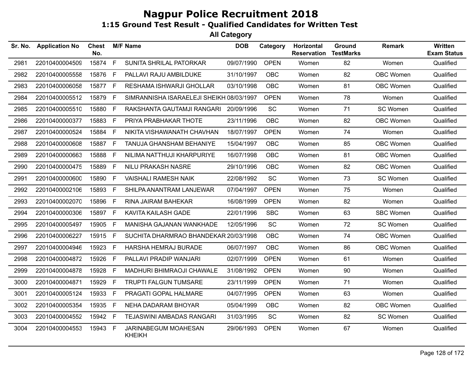| Sr. No. | <b>Application No</b> | <b>Chest</b><br>No. |             | <b>M/F Name</b>                          | <b>DOB</b> | Category    | Horizontal<br><b>Reservation</b> | Ground<br><b>TestMarks</b> | <b>Remark</b>    | <b>Written</b><br><b>Exam Status</b> |
|---------|-----------------------|---------------------|-------------|------------------------------------------|------------|-------------|----------------------------------|----------------------------|------------------|--------------------------------------|
| 2981    | 22010400004509        | 15874               | F           | SUNITA SHRILAL PATORKAR                  | 09/07/1990 | <b>OPEN</b> | Women                            | 82                         | Women            | Qualified                            |
| 2982    | 22010400005558        | 15876               | F.          | PALLAVI RAJU AMBILDUKE                   | 31/10/1997 | <b>OBC</b>  | Women                            | 82                         | OBC Women        | Qualified                            |
| 2983    | 22010400006058        | 15877 F             |             | RESHAMA ISHWARJI GHOLLAR                 | 03/10/1998 | <b>OBC</b>  | Women                            | 81                         | OBC Women        | Qualified                            |
| 2984    | 22010400005512        | 15879               | F.          | SIMRANNISHA ISARAELEJI SHEIKH 08/03/1997 |            | <b>OPEN</b> | Women                            | 78                         | Women            | Qualified                            |
| 2985    | 22010400005510        | 15880               | F.          | RAKSHANTA GAUTAMJI RANGARI 20/09/1996    |            | <b>SC</b>   | Women                            | 71                         | SC Women         | Qualified                            |
| 2986    | 22010400000377        | 15883               | F.          | PRIYA PRABHAKAR THOTE                    | 23/11/1996 | <b>OBC</b>  | Women                            | 82                         | OBC Women        | Qualified                            |
| 2987    | 22010400000524        | 15884               | F.          | NIKITA VISHAWANATH CHAVHAN               | 18/07/1997 | <b>OPEN</b> | Women                            | 74                         | Women            | Qualified                            |
| 2988    | 22010400000608        | 15887               | $\mathsf F$ | TANUJA GHANSHAM BEHANIYE                 | 15/04/1997 | <b>OBC</b>  | Women                            | 85                         | <b>OBC Women</b> | Qualified                            |
| 2989    | 22010400000663        | 15888               | F           | NILIMA NATTHUJI KHARPURIYE               | 16/07/1998 | OBC         | Women                            | 81                         | OBC Women        | Qualified                            |
| 2990    | 22010400000475        | 15889               | F.          | <b>NILU PRAKASH NASRE</b>                | 29/10/1996 | <b>OBC</b>  | Women                            | 82                         | OBC Women        | Qualified                            |
| 2991    | 22010400000600        | 15890               | F.          | <b>VAISHALI RAMESH NAIK</b>              | 22/08/1992 | <b>SC</b>   | Women                            | 73                         | SC Women         | Qualified                            |
| 2992    | 22010400002106        | 15893               | F           | SHILPA ANANTRAM LANJEWAR                 | 07/04/1997 | <b>OPEN</b> | Women                            | 75                         | Women            | Qualified                            |
| 2993    | 22010400002070        | 15896               | F.          | RINA JAIRAM BAHEKAR                      | 16/08/1999 | <b>OPEN</b> | Women                            | 82                         | Women            | Qualified                            |
| 2994    | 22010400000306        | 15897               | F.          | KAVITA KAILASH GADE                      | 22/01/1996 | <b>SBC</b>  | Women                            | 63                         | <b>SBC Women</b> | Qualified                            |
| 2995    | 22010400005497        | 15905               | F.          | MANISHA GAJANAN WANKHADE                 | 12/05/1996 | <b>SC</b>   | Women                            | 72                         | SC Women         | Qualified                            |
| 2996    | 22010400006227        | 15915 F             |             | SUCHITA DHARMRAO BHANDEKAR 20/03/1998    |            | <b>OBC</b>  | Women                            | 74                         | OBC Women        | Qualified                            |
| 2997    | 22010400004946        | 15923               | F.          | HARSHA HEMRAJ BURADE                     | 06/07/1997 | OBC         | Women                            | 86                         | OBC Women        | Qualified                            |
| 2998    | 22010400004872        | 15926               | F.          | PALLAVI PRADIP WANJARI                   | 02/07/1999 | <b>OPEN</b> | Women                            | 61                         | Women            | Qualified                            |
| 2999    | 22010400004878        | 15928               | F           | MADHURI BHIMRAOJI CHAWALE                | 31/08/1992 | <b>OPEN</b> | Women                            | 90                         | Women            | Qualified                            |
| 3000    | 22010400004871        | 15929               | F.          | <b>TRUPTI FALGUN TUMSARE</b>             | 23/11/1999 | <b>OPEN</b> | Women                            | 71                         | Women            | Qualified                            |
| 3001    | 22010400005124        | 15933               | F           | PRAGATI GOPAL HALMARE                    | 04/07/1995 | <b>OPEN</b> | Women                            | 63                         | Women            | Qualified                            |
| 3002    | 22010400005354        | 15935               | F.          | NEHA DADARAM BHOYAR                      | 05/04/1999 | <b>OBC</b>  | Women                            | 82                         | OBC Women        | Qualified                            |
| 3003    | 22010400004552        | 15942 F             |             | TEJASWINI AMBADAS RANGARI                | 31/03/1995 | SC          | Women                            | 82                         | SC Women         | Qualified                            |
| 3004    | 22010400004553        | 15943               | F           | JARINABEGUM MOAHESAN<br><b>KHEIKH</b>    | 29/06/1993 | <b>OPEN</b> | Women                            | 67                         | Women            | Qualified                            |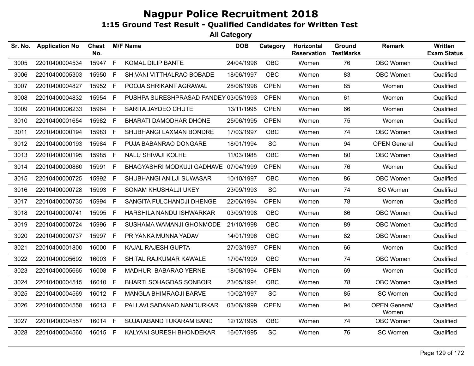| Sr. No. | <b>Application No</b> | <b>Chest</b><br>No. |    | <b>M/F Name</b>                       | <b>DOB</b> | Category    | Horizontal<br><b>Reservation</b> | Ground<br><b>TestMarks</b> | <b>Remark</b>                 | Written<br><b>Exam Status</b> |
|---------|-----------------------|---------------------|----|---------------------------------------|------------|-------------|----------------------------------|----------------------------|-------------------------------|-------------------------------|
| 3005    | 22010400004534        | 15947               | F  | KOMAL DILIP BANTE                     | 24/04/1996 | OBC         | Women                            | 76                         | OBC Women                     | Qualified                     |
| 3006    | 22010400005303        | 15950               | F. | SHIVANI VITTHALRAO BOBADE             | 18/06/1997 | <b>OBC</b>  | Women                            | 83                         | OBC Women                     | Qualified                     |
| 3007    | 22010400004827        | 15952 F             |    | POOJA SHRIKANT AGRAWAL                | 28/06/1998 | <b>OPEN</b> | Women                            | 85                         | Women                         | Qualified                     |
| 3008    | 22010400004832        | 15954               | F. | PUSHPA SURESHPRASAD PANDEY 03/05/1993 |            | <b>OPEN</b> | Women                            | 61                         | Women                         | Qualified                     |
| 3009    | 22010400006233        | 15964               | F  | SARITA JAYDEO CHUTE                   | 13/11/1995 | <b>OPEN</b> | Women                            | 66                         | Women                         | Qualified                     |
| 3010    | 22010400001654        | 15982               | F  | BHARATI DAMODHAR DHONE                | 25/06/1995 | <b>OPEN</b> | Women                            | 75                         | Women                         | Qualified                     |
| 3011    | 22010400000194        | 15983               | F. | SHUBHANGI LAXMAN BONDRE               | 17/03/1997 | <b>OBC</b>  | Women                            | 74                         | OBC Women                     | Qualified                     |
| 3012    | 22010400000193        | 15984               | F. | PUJA BABANRAO DONGARE                 | 18/01/1994 | <b>SC</b>   | Women                            | 94                         | <b>OPEN General</b>           | Qualified                     |
| 3013    | 22010400000195        | 15985               | F. | NALU SHIVAJI KOLHE                    | 11/03/1988 | <b>OBC</b>  | Women                            | 80                         | OBC Women                     | Qualified                     |
| 3014    | 22010400000860        | 15991               | F. | BHAGYASHRI MODKUJI GADHAVE 07/04/1999 |            | <b>OPEN</b> | Women                            | 76                         | Women                         | Qualified                     |
| 3015    | 22010400000725        | 15992 F             |    | SHUBHANGI ANILJI SUWASAR              | 10/10/1997 | <b>OBC</b>  | Women                            | 86                         | OBC Women                     | Qualified                     |
| 3016    | 22010400000728        | 15993               | F  | SONAM KHUSHALJI UKEY                  | 23/09/1993 | <b>SC</b>   | Women                            | 74                         | SC Women                      | Qualified                     |
| 3017    | 22010400000735        | 15994               | F. | SANGITA FULCHANDJI DHENGE             | 22/06/1994 | <b>OPEN</b> | Women                            | 78                         | Women                         | Qualified                     |
| 3018    | 22010400000741        | 15995               | F  | HARSHILA NANDU ISHWARKAR              | 03/09/1998 | OBC         | Women                            | 86                         | <b>OBC Women</b>              | Qualified                     |
| 3019    | 22010400000724        | 15996               | F. | SUSHAMA WAMANJI GHONMODE              | 21/10/1998 | <b>OBC</b>  | Women                            | 89                         | OBC Women                     | Qualified                     |
| 3020    | 22010400000737        | 15997 F             |    | PRIYANKA MUNNA YADAV                  | 14/01/1996 | <b>OBC</b>  | Women                            | 82                         | OBC Women                     | Qualified                     |
| 3021    | 22010400001800        | 16000               | F. | KAJAL RAJESH GUPTA                    | 27/03/1997 | <b>OPEN</b> | Women                            | 66                         | Women                         | Qualified                     |
| 3022    | 22010400005692        | 16003               | F  | SHITAL RAJKUMAR KAWALE                | 17/04/1999 | <b>OBC</b>  | Women                            | 74                         | OBC Women                     | Qualified                     |
| 3023    | 22010400005665        | 16008               | F. | MADHURI BABARAO YERNE                 | 18/08/1994 | <b>OPEN</b> | Women                            | 69                         | Women                         | Qualified                     |
| 3024    | 22010400004515        | 16010 F             |    | <b>BHARTI SOHAGDAS SONBOIR</b>        | 23/05/1994 | <b>OBC</b>  | Women                            | 78                         | OBC Women                     | Qualified                     |
| 3025    | 22010400004569        | 16012               | F  | MANGLA BHIMRAOJI BARVE                | 10/02/1997 | SC          | Women                            | 85                         | SC Women                      | Qualified                     |
| 3026    | 22010400004558        | 16013 F             |    | PALLAVI SADANAD NANDURKAR             | 03/06/1999 | <b>OPEN</b> | Women                            | 94                         | <b>OPEN General/</b><br>Women | Qualified                     |
| 3027    | 22010400004557        | 16014 F             |    | SUJATABAND TUKARAM BAND               | 12/12/1995 | OBC         | Women                            | 74                         | OBC Women                     | Qualified                     |
| 3028    | 22010400004560        | 16015 F             |    | KALYANI SURESH BHONDEKAR              | 16/07/1995 | <b>SC</b>   | Women                            | 76                         | SC Women                      | Qualified                     |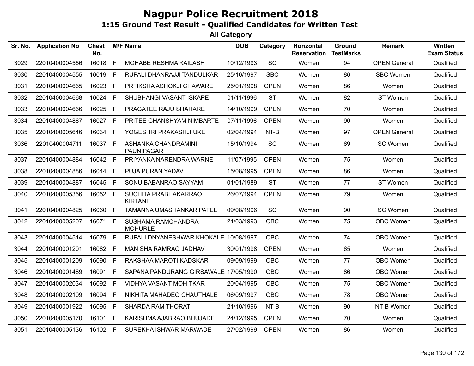| Sr. No. | <b>Application No</b> | <b>Chest</b><br>No. |              | <b>M/F Name</b>                          | <b>DOB</b> | Category    | Horizontal<br><b>Reservation</b> | <b>Ground</b><br><b>TestMarks</b> | <b>Remark</b>       | <b>Written</b><br><b>Exam Status</b> |
|---------|-----------------------|---------------------|--------------|------------------------------------------|------------|-------------|----------------------------------|-----------------------------------|---------------------|--------------------------------------|
| 3029    | 22010400004556        | 16018               | $\mathsf{F}$ | MOHABE RESHMA KAILASH                    | 10/12/1993 | SC          | Women                            | 94                                | <b>OPEN General</b> | Qualified                            |
| 3030    | 22010400004555        | 16019 F             |              | RUPALI DHANRAJJI TANDULKAR               | 25/10/1997 | <b>SBC</b>  | Women                            | 86                                | <b>SBC Women</b>    | Qualified                            |
| 3031    | 22010400004665        | 16023 F             |              | PRTIKSHA ASHOKJI CHAWARE                 | 25/01/1998 | <b>OPEN</b> | Women                            | 86                                | Women               | Qualified                            |
| 3032    | 22010400004668        | 16024               | F            | SHUBHANGI VASANT ISKAPE                  | 01/11/1996 | <b>ST</b>   | Women                            | 82                                | ST Women            | Qualified                            |
| 3033    | 22010400004666        | 16025 F             |              | PRAGATEE RAJU SHAHARE                    | 14/10/1999 | <b>OPEN</b> | Women                            | 70                                | Women               | Qualified                            |
| 3034    | 22010400004867        | 16027 F             |              | PRITEE GHANSHYAM NIMBARTE                | 07/11/1996 | <b>OPEN</b> | Women                            | 90                                | Women               | Qualified                            |
| 3035    | 22010400005646        | 16034               | F            | YOGESHRI PRAKASHJI UKE                   | 02/04/1994 | NT-B        | Women                            | 97                                | <b>OPEN General</b> | Qualified                            |
| 3036    | 22010400004711        | 16037 F             |              | ASHANKA CHANDRAMINI<br><b>PAUNIPAGAR</b> | 15/10/1994 | SC          | Women                            | 69                                | SC Women            | Qualified                            |
| 3037    | 22010400004884        | 16042 F             |              | PRIYANKA NARENDRA WARNE                  | 11/07/1995 | <b>OPEN</b> | Women                            | 75                                | Women               | Qualified                            |
| 3038    | 22010400004886        | 16044 F             |              | PUJA PURAN YADAV                         | 15/08/1995 | <b>OPEN</b> | Women                            | 86                                | Women               | Qualified                            |
| 3039    | 22010400004887        | 16045 F             |              | SONU BABANRAO SAYYAM                     | 01/01/1989 | <b>ST</b>   | Women                            | 77                                | ST Women            | Qualified                            |
| 3040    | 22010400005356        | 16052 F             |              | SUCHITA PRABHAKARRAO<br><b>KIRTANE</b>   | 26/07/1994 | <b>OPEN</b> | Women                            | 79                                | Women               | Qualified                            |
| 3041    | 22010400004825        | 16060 F             |              | TAMANNA UMASHANKAR PATEL                 | 09/08/1996 | <b>SC</b>   | Women                            | 90                                | SC Women            | Qualified                            |
| 3042    | 22010400005207        | 16071 F             |              | SUSHAMA RAMCHANDRA<br><b>MOHURLE</b>     | 21/03/1993 | OBC         | Women                            | 75                                | OBC Women           | Qualified                            |
| 3043    | 22010400004514        | 16079               | -F           | RUPALI DNYANESHWAR KHOKALE 10/08/1997    |            | <b>OBC</b>  | Women                            | 74                                | OBC Women           | Qualified                            |
| 3044    | 22010400001201        | 16082 F             |              | MANISHA RAMRAO JADHAV                    | 30/01/1998 | <b>OPEN</b> | Women                            | 65                                | Women               | Qualified                            |
| 3045    | 22010400001209        | 16090 F             |              | RAKSHAA MAROTI KADSKAR                   | 09/09/1999 | OBC         | Women                            | 77                                | OBC Women           | Qualified                            |
| 3046    | 22010400001489        | 16091 F             |              | SAPANA PANDURANG GIRSAWALE 17/05/1990    |            | <b>OBC</b>  | Women                            | 86                                | OBC Women           | Qualified                            |
| 3047    | 22010400002034        | 16092 F             |              | <b>VIDHYA VASANT MOHITKAR</b>            | 20/04/1995 | <b>OBC</b>  | Women                            | 75                                | OBC Women           | Qualified                            |
| 3048    | 22010400002109        | 16094 F             |              | NIKHITA MAHADEO CHAUTHALE                | 06/09/1997 | OBC         | Women                            | 78                                | OBC Women           | Qualified                            |
| 3049    | 22010400001922        | 16095 F             |              | SHARDA RAM THORAT                        | 21/10/1996 | NT-B        | Women                            | 90                                | NT-B Women          | Qualified                            |
| 3050    | 22010400005170        | 16101 F             |              | KARISHMA AJABRAO BHUJADE                 | 24/12/1995 | <b>OPEN</b> | Women                            | 70                                | Women               | Qualified                            |
| 3051    | 22010400005136        | 16102 F             |              | SUREKHA ISHWAR MARWADE                   | 27/02/1999 | <b>OPEN</b> | Women                            | 86                                | Women               | Qualified                            |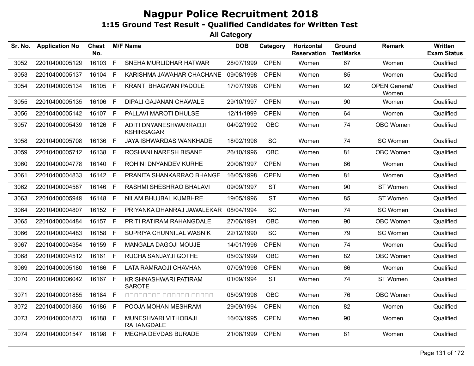| Sr. No. | <b>Application No</b> | Chest<br>No. |    | <b>M/F Name</b>                             | <b>DOB</b> | Category    | Horizontal<br><b>Reservation</b> | Ground<br><b>TestMarks</b> | <b>Remark</b>                 | <b>Written</b><br><b>Exam Status</b> |
|---------|-----------------------|--------------|----|---------------------------------------------|------------|-------------|----------------------------------|----------------------------|-------------------------------|--------------------------------------|
| 3052    | 22010400005129        | 16103        | F  | SNEHA MURLIDHAR HATWAR                      | 28/07/1999 | <b>OPEN</b> | Women                            | 67                         | Women                         | Qualified                            |
| 3053    | 22010400005137        | 16104        | F  | KARISHMA JAWAHAR CHACHANE                   | 09/08/1998 | <b>OPEN</b> | Women                            | 85                         | Women                         | Qualified                            |
| 3054    | 22010400005134        | 16105        | F  | <b>KRANTI BHAGWAN PADOLE</b>                | 17/07/1998 | <b>OPEN</b> | Women                            | 92                         | <b>OPEN General/</b><br>Women | Qualified                            |
| 3055    | 22010400005135        | 16106        | F  | <b>DIPALI GAJANAN CHAWALE</b>               | 29/10/1997 | <b>OPEN</b> | Women                            | 90                         | Women                         | Qualified                            |
| 3056    | 22010400005142        | 16107 F      |    | PALLAVI MAROTI DHULSE                       | 12/11/1999 | <b>OPEN</b> | Women                            | 64                         | Women                         | Qualified                            |
| 3057    | 22010400005439        | 16126 F      |    | ADITI DNYANESHWARRAOJI<br><b>KSHIRSAGAR</b> | 04/02/1992 | <b>OBC</b>  | Women                            | 74                         | OBC Women                     | Qualified                            |
| 3058    | 22010400005708        | 16136        | F  | <b>JAYA ISHWARDAS WANKHADE</b>              | 18/02/1996 | <b>SC</b>   | Women                            | 74                         | SC Women                      | Qualified                            |
| 3059    | 22010400005712        | 16138        | F  | ROSHANI NARESH BISANE                       | 26/10/1996 | <b>OBC</b>  | Women                            | 81                         | OBC Women                     | Qualified                            |
| 3060    | 22010400004778        | 16140        | F  | ROHINI DNYANDEV KURHE                       | 20/06/1997 | <b>OPEN</b> | Women                            | 86                         | Women                         | Qualified                            |
| 3061    | 22010400004833        | 16142        | F  | PRANITA SHANKARRAO BHANGE                   | 16/05/1998 | <b>OPEN</b> | Women                            | 81                         | Women                         | Qualified                            |
| 3062    | 22010400004587        | 16146        | F  | RASHMI SHESHRAO BHALAVI                     | 09/09/1997 | <b>ST</b>   | Women                            | 90                         | ST Women                      | Qualified                            |
| 3063    | 22010400005949        | 16148        | F  | NILAM BHUJBAL KUMBHRE                       | 19/05/1996 | <b>ST</b>   | Women                            | 85                         | ST Women                      | Qualified                            |
| 3064    | 22010400004807        | 16152        | F  | PRIYANKA DHANRAJ JAWALEKAR                  | 08/04/1994 | <b>SC</b>   | Women                            | 74                         | SC Women                      | Qualified                            |
| 3065    | 22010400004484        | 16157        | F  | PRITI RATIRAM RAHANGDALE                    | 27/06/1991 | <b>OBC</b>  | Women                            | 90                         | OBC Women                     | Qualified                            |
| 3066    | 22010400004483        | 16158        | F. | SUPRIYA CHUNNILAL WASNIK                    | 22/12/1990 | <b>SC</b>   | Women                            | 79                         | SC Women                      | Qualified                            |
| 3067    | 22010400004354        | 16159        | F. | MANGALA DAGOJI MOUJE                        | 14/01/1996 | <b>OPEN</b> | Women                            | 74                         | Women                         | Qualified                            |
| 3068    | 22010400004512        | 16161        | F. | RUCHA SANJAYJI GOTHE                        | 05/03/1999 | <b>OBC</b>  | Women                            | 82                         | OBC Women                     | Qualified                            |
| 3069    | 22010400005180        | 16166        | F. | LATA RAMRAOJI CHAVHAN                       | 07/09/1996 | <b>OPEN</b> | Women                            | 66                         | Women                         | Qualified                            |
| 3070    | 22010400006042        | 16167 F      |    | KRISHNASHWARI PATIRAM<br><b>SAROTE</b>      | 01/09/1994 | <b>ST</b>   | Women                            | 74                         | ST Women                      | Qualified                            |
| 3071    | 22010400001855        | 16184 F      |    | 00000000 000000 00000                       | 05/09/1996 | <b>OBC</b>  | Women                            | 76                         | OBC Women                     | Qualified                            |
| 3072    | 22010400001866        | 16186        | F. | POOJA MOHAN MESHRAM                         | 29/09/1994 | <b>OPEN</b> | Women                            | 82                         | Women                         | Qualified                            |
| 3073    | 22010400001873        | 16188        | E  | MUNESHVARI VITHOBAJI<br><b>RAHANGDALE</b>   | 16/03/1995 | <b>OPEN</b> | Women                            | 90                         | Women                         | Qualified                            |
| 3074    | 22010400001547        | 16198 F      |    | <b>MEGHA DEVDAS BURADE</b>                  | 21/08/1999 | <b>OPEN</b> | Women                            | 81                         | Women                         | Qualified                            |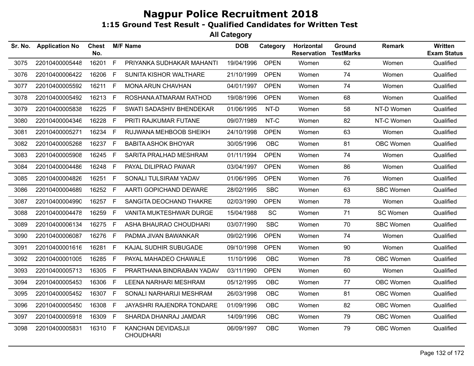| Sr. No. | <b>Application No</b> | Chest<br>No. |     | <b>M/F Name</b>                        | <b>DOB</b> | Category    | Horizontal<br><b>Reservation</b> | <b>Ground</b><br><b>TestMarks</b> | <b>Remark</b>    | <b>Written</b><br><b>Exam Status</b> |
|---------|-----------------------|--------------|-----|----------------------------------------|------------|-------------|----------------------------------|-----------------------------------|------------------|--------------------------------------|
| 3075    | 22010400005448        | 16201        | F   | PRIYANKA SUDHAKAR MAHANTI              | 19/04/1996 | <b>OPEN</b> | Women                            | 62                                | Women            | Qualified                            |
| 3076    | 22010400006422        | 16206 F      |     | SUNITA KISHOR WALTHARE                 | 21/10/1999 | <b>OPEN</b> | Women                            | 74                                | Women            | Qualified                            |
| 3077    | 22010400005592        | 16211 F      |     | MONA ARUN CHAVHAN                      | 04/01/1997 | <b>OPEN</b> | Women                            | 74                                | Women            | Qualified                            |
| 3078    | 22010400005492        | 16213 F      |     | ROSHANA ATMARAM RATHOD                 | 19/08/1996 | <b>OPEN</b> | Women                            | 68                                | Women            | Qualified                            |
| 3079    | 22010400005838        | 16225 F      |     | SWATI SADASHIV BHENDEKAR               | 01/06/1995 | NT-D        | Women                            | 58                                | NT-D Women       | Qualified                            |
| 3080    | 22010400004346        | 16228        | E   | PRITI RAJKUMAR FUTANE                  | 09/07/1989 | NT-C        | Women                            | 82                                | NT-C Women       | Qualified                            |
| 3081    | 22010400005271        | 16234 F      |     | RUJWANA MEHBOOB SHEIKH                 | 24/10/1998 | <b>OPEN</b> | Women                            | 63                                | Women            | Qualified                            |
| 3082    | 22010400005268        | 16237 F      |     | <b>BABITA ASHOK BHOYAR</b>             | 30/05/1996 | <b>OBC</b>  | Women                            | 81                                | OBC Women        | Qualified                            |
| 3083    | 22010400005908        | 16245 F      |     | SARITA PRALHAD MESHRAM                 | 01/11/1994 | <b>OPEN</b> | Women                            | 74                                | Women            | Qualified                            |
| 3084    | 22010400004486        | 16248 F      |     | PAYAL DILIPRAO PAWAR                   | 03/04/1997 | <b>OPEN</b> | Women                            | 86                                | Women            | Qualified                            |
| 3085    | 22010400004826        | 16251 F      |     | SONALI TULSIRAM YADAV                  | 01/06/1995 | <b>OPEN</b> | Women                            | 76                                | Women            | Qualified                            |
| 3086    | 22010400004689        | 16252 F      |     | AARTI GOPICHAND DEWARE                 | 28/02/1995 | <b>SBC</b>  | Women                            | 63                                | <b>SBC Women</b> | Qualified                            |
| 3087    | 22010400004990        | 16257 F      |     | SANGITA DEOCHAND THAKRE                | 02/03/1990 | <b>OPEN</b> | Women                            | 78                                | Women            | Qualified                            |
| 3088    | 22010400004478        | 16259        | F.  | VANITA MUKTESHWAR DURGE                | 15/04/1988 | <b>SC</b>   | Women                            | 71                                | SC Women         | Qualified                            |
| 3089    | 22010400006134        | 16275        | E   | ASHA BHAURAO CHOUDHARI                 | 03/07/1990 | <b>SBC</b>  | Women                            | 70                                | <b>SBC Women</b> | Qualified                            |
| 3090    | 22010400006087        | 16276 F      |     | PADMA JIVAN BAWANKAR                   | 09/02/1996 | <b>OPEN</b> | Women                            | 74                                | Women            | Qualified                            |
| 3091    | 22010400001616        | 16281 F      |     | KAJAL SUDHIR SUBUGADE                  | 09/10/1998 | <b>OPEN</b> | Women                            | 90                                | Women            | Qualified                            |
| 3092    | 22010400001005        | 16285 F      |     | PAYAL MAHADEO CHAWALE                  | 11/10/1996 | <b>OBC</b>  | Women                            | 78                                | OBC Women        | Qualified                            |
| 3093    | 22010400005713        | 16305 F      |     | PRARTHANA BINDRABAN YADAV              | 03/11/1990 | <b>OPEN</b> | Women                            | 60                                | Women            | Qualified                            |
| 3094    | 22010400005453        | 16306        | - F | LEENA NARHARI MESHRAM                  | 05/12/1995 | <b>OBC</b>  | Women                            | 77                                | OBC Women        | Qualified                            |
| 3095    | 22010400005452        | 16307 F      |     | SONALI NARHARIJI MESHRAM               | 26/03/1998 | <b>OBC</b>  | Women                            | 81                                | OBC Women        | Qualified                            |
| 3096    | 22010400005450        | 16308 F      |     | JAYASHRI RAJENDRA TONDARE              | 01/09/1996 | <b>OBC</b>  | Women                            | 82                                | OBC Women        | Qualified                            |
| 3097    | 22010400005918        | 16309 F      |     | SHARDA DHANRAJ JAMDAR                  | 14/09/1996 | OBC         | Women                            | 79                                | OBC Women        | Qualified                            |
| 3098    | 22010400005831        | 16310 F      |     | KANCHAN DEVIDASJJI<br><b>CHOUDHARI</b> | 06/09/1997 | OBC         | Women                            | 79                                | OBC Women        | Qualified                            |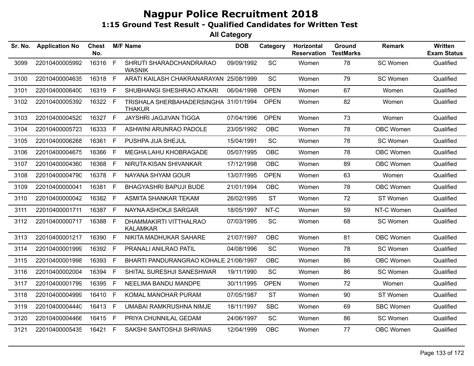| Sr. No. | <b>Application No</b> | <b>Chest</b><br>No. |    | <b>M/F Name</b>                                        | <b>DOB</b> | Category    | Horizontal<br><b>Reservation</b> | Ground<br><b>TestMarks</b> | <b>Remark</b>    | <b>Written</b><br><b>Exam Status</b> |
|---------|-----------------------|---------------------|----|--------------------------------------------------------|------------|-------------|----------------------------------|----------------------------|------------------|--------------------------------------|
| 3099    | 22010400005992        | 16316               | F  | SHRUTI SHARADCHANDRARAO<br><b>WASNIK</b>               | 09/09/1992 | <b>SC</b>   | Women                            | 78                         | SC Women         | Qualified                            |
| 3100    | 22010400004635        | 16318 F             |    | ARATI KAILASH CHAKRANARAYAN 25/08/1999                 |            | SC          | Women                            | 79                         | SC Women         | Qualified                            |
| 3101    | 22010400006400        | 16319 F             |    | SHUBHANGI SHESHRAO ATKARI                              | 06/04/1998 | <b>OPEN</b> | Women                            | 67                         | Women            | Qualified                            |
| 3102    | 22010400005392        | 16322 F             |    | TRISHALA SHERBAHADERSINGHA 31/01/1994<br><b>THAKUR</b> |            | <b>OPEN</b> | Women                            | 82                         | Women            | Qualified                            |
| 3103    | 22010400004520        | 16327 F             |    | JAYSHRI JAGJIVAN TIGGA                                 | 07/04/1996 | <b>OPEN</b> | Women                            | 73                         | Women            | Qualified                            |
| 3104    | 22010400005723        | 16333 F             |    | ASHWINI ARUNRAO PADOLE                                 | 23/05/1992 | <b>OBC</b>  | Women                            | 78                         | <b>OBC Women</b> | Qualified                            |
| 3105    | 22010400006268        | 16361               | F  | PUSHPA JIJA SHEJUL                                     | 15/04/1991 | <b>SC</b>   | Women                            | 78                         | SC Women         | Qualified                            |
| 3106    | 22010400004675        | 16366               | -F | MEGHA LAHU KHOBRAGADE                                  | 05/07/1995 | <b>OBC</b>  | Women                            | 78                         | <b>OBC Women</b> | Qualified                            |
| 3107    | 22010400004360        | 16368 F             |    | NIRUTA KISAN SHIVANKAR                                 | 17/12/1998 | <b>OBC</b>  | Women                            | 89                         | OBC Women        | Qualified                            |
| 3108    | 22010400004790        | 16378 F             |    | NAYANA SHYAM GOUR                                      | 13/07/1995 | <b>OPEN</b> | Women                            | 63                         | Women            | Qualified                            |
| 3109    | 22010400000041        | 16381 F             |    | <b>BHAGYASHRI BAPUJI BUDE</b>                          | 21/01/1994 | <b>OBC</b>  | Women                            | 78                         | <b>OBC Women</b> | Qualified                            |
| 3110    | 22010400000042        | 16382 F             |    | ASMITA SHANKAR TEKAM                                   | 26/02/1995 | <b>ST</b>   | Women                            | 72                         | ST Women         | Qualified                            |
| 3111    | 22010400001711        | 16387 F             |    | NAYNA ASHOKJI SARGAR                                   | 18/05/1997 | NT-C        | Women                            | 59                         | NT-C Women       | Qualified                            |
| 3112    | 22010400000717        | 16388               | F  | DHAMMAKIRTI VITTHALRAO<br><b>KALAMKAR</b>              | 07/03/1995 | SC          | Women                            | 68                         | SC Women         | Qualified                            |
| 3113    | 22010400001217        | 16390               | E  | NIKITA MADHUKAR SAHARE                                 | 21/07/1997 | <b>OBC</b>  | Women                            | 81                         | <b>OBC Women</b> | Qualified                            |
| 3114    | 22010400001999        | 16392 F             |    | PRANALI ANILRAO PATIL                                  | 04/08/1996 | SC          | Women                            | 78                         | SC Women         | Qualified                            |
| 3115    | 22010400001998        | 16393               | F. | BHARTI PANDURANGRAO KOHALE 21/06/1997                  |            | OBC         | Women                            | 86                         | <b>OBC Women</b> | Qualified                            |
| 3116    | 22010400002004        | 16394 F             |    | SHITAL SURESHJI SANESHWAR                              | 19/11/1990 | SC          | Women                            | 86                         | SC Women         | Qualified                            |
| 3117    | 22010400001799        | 16395 F             |    | NEELIMA BANDU MANDPE                                   | 30/11/1995 | <b>OPEN</b> | Women                            | 72                         | Women            | Qualified                            |
| 3118    | 22010400004999        | 16410 F             |    | KOMAL MANOHAR PURAM                                    | 07/05/1987 | <b>ST</b>   | Women                            | 90                         | ST Women         | Qualified                            |
| 3119    | 22010400004440        | 16413 F             |    | UMABAI RAMKRUSHNA NIMJE                                | 18/11/1997 | <b>SBC</b>  | Women                            | 69                         | <b>SBC Women</b> | Qualified                            |
| 3120    | 22010400004466        | 16415 F             |    | PRIYA CHUNNILAL GEDAM                                  | 24/06/1997 | SC          | Women                            | 86                         | SC Women         | Qualified                            |
| 3121    | 22010400005435        | 16421 F             |    | SAKSHI SANTOSHJI SHRIWAS                               | 12/04/1999 | <b>OBC</b>  | Women                            | 77                         | <b>OBC Women</b> | Qualified                            |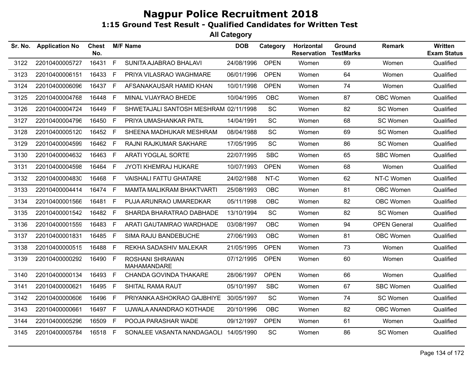| Sr. No. | <b>Application No</b> | Chest<br>No. |    | <b>M/F Name</b>                       | <b>DOB</b> | Category    | Horizontal<br><b>Reservation</b> | Ground<br><b>TestMarks</b> | <b>Remark</b>       | <b>Written</b><br><b>Exam Status</b> |
|---------|-----------------------|--------------|----|---------------------------------------|------------|-------------|----------------------------------|----------------------------|---------------------|--------------------------------------|
| 3122    | 22010400005727        | 16431        | F  | SUNITA AJABRAO BHALAVI                | 24/08/1996 | <b>OPEN</b> | Women                            | 69                         | Women               | Qualified                            |
| 3123    | 22010400006151        | 16433        | F  | PRIYA VILASRAO WAGHMARE               | 06/01/1996 | <b>OPEN</b> | Women                            | 64                         | Women               | Qualified                            |
| 3124    | 22010400006096        | 16437        | F. | AFSANAKAUSAR HAMID KHAN               | 10/01/1998 | <b>OPEN</b> | Women                            | 74                         | Women               | Qualified                            |
| 3125    | 22010400004768        | 16448        | E  | MINAL VIJAYRAO BHEDE                  | 10/04/1995 | OBC.        | Women                            | 87                         | <b>OBC Women</b>    | Qualified                            |
| 3126    | 22010400004724        | 16449        | F. | SHWETAJALI SANTOSH MESHRAM 02/11/1998 |            | <b>SC</b>   | Women                            | 82                         | SC Women            | Qualified                            |
| 3127    | 22010400004796        | 16450        | F. | PRIYA UMASHANKAR PATIL                | 14/04/1991 | <b>SC</b>   | Women                            | 68                         | SC Women            | Qualified                            |
| 3128    | 22010400005120        | 16452        | F. | SHEENA MADHUKAR MESHRAM               | 08/04/1988 | <b>SC</b>   | Women                            | 69                         | SC Women            | Qualified                            |
| 3129    | 22010400004599        | 16462        | F  | RAJNI RAJKUMAR SAKHARE                | 17/05/1995 | <b>SC</b>   | Women                            | 86                         | SC Women            | Qualified                            |
| 3130    | 22010400004632        | 16463        | F. | <b>ARATI YOGLAL SORTE</b>             | 22/07/1995 | <b>SBC</b>  | Women                            | 65                         | <b>SBC Women</b>    | Qualified                            |
| 3131    | 22010400004598        | 16464        | F  | JYOTI KHEMRAJ HUKARE                  | 10/07/1993 | <b>OPEN</b> | Women                            | 68                         | Women               | Qualified                            |
| 3132    | 22010400004830        | 16468        | F. | <b>VAISHALI FATTU GHATARE</b>         | 24/02/1988 | NT-C        | Women                            | 62                         | NT-C Women          | Qualified                            |
| 3133    | 22010400004414        | 16474        | F  | <b>MAMTA MALIKRAM BHAKTVARTI</b>      | 25/08/1993 | <b>OBC</b>  | Women                            | 81                         | OBC Women           | Qualified                            |
| 3134    | 22010400001566        | 16481        | F. | PUJA ARUNRAO UMAREDKAR                | 05/11/1998 | <b>OBC</b>  | Women                            | 82                         | <b>OBC Women</b>    | Qualified                            |
| 3135    | 22010400001542        | 16482        | F  | SHARDA BHARATRAO DABHADE              | 13/10/1994 | <b>SC</b>   | Women                            | 82                         | SC Women            | Qualified                            |
| 3136    | 22010400001559        | 16483        | F. | ARATI GAUTAMRAO WARDHADE              | 03/08/1997 | <b>OBC</b>  | Women                            | 94                         | <b>OPEN General</b> | Qualified                            |
| 3137    | 22010400001831        | 16485        | F  | SIMA RAJU BANDEBUCHE                  | 27/06/1993 | <b>OBC</b>  | Women                            | 81                         | OBC Women           | Qualified                            |
| 3138    | 22010400000515        | 16488        | F. | REKHA SADASHIV MALEKAR                | 21/05/1995 | <b>OPEN</b> | Women                            | 73                         | Women               | Qualified                            |
| 3139    | 22010400000292        | 16490        | F. | ROSHANI SHRAWAN<br>MAHAMANDARE        | 07/12/1995 | <b>OPEN</b> | Women                            | 60                         | Women               | Qualified                            |
| 3140    | 22010400000134        | 16493        | F. | CHANDA GOVINDA THAKARE                | 28/06/1997 | <b>OPEN</b> | Women                            | 66                         | Women               | Qualified                            |
| 3141    | 22010400000621        | 16495        | F. | SHITAL RAMA RAUT                      | 05/10/1997 | <b>SBC</b>  | Women                            | 67                         | <b>SBC Women</b>    | Qualified                            |
| 3142    | 22010400000606        | 16496        | F. | PRIYANKA ASHOKRAO GAJBHIYE            | 30/05/1997 | SC          | Women                            | 74                         | SC Women            | Qualified                            |
| 3143    | 22010400000661        | 16497        | F. | UJWALA ANANDRAO KOTHADE               | 20/10/1996 | <b>OBC</b>  | Women                            | 82                         | <b>OBC Women</b>    | Qualified                            |
| 3144    | 22010400005296        | 16509        | F. | POOJA PARASHAR WADE                   | 09/12/1997 | <b>OPEN</b> | Women                            | 61                         | Women               | Qualified                            |
| 3145    | 22010400005784        | 16518 F      |    | SONALEE VASANTA NANDAGAOLI            | 14/05/1990 | <b>SC</b>   | Women                            | 86                         | SC Women            | Qualified                            |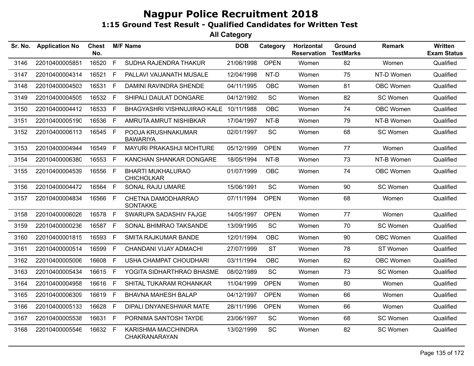| Sr. No. | <b>Application No</b> | <b>Chest</b><br>No. |              | <b>M/F Name</b>                               | <b>DOB</b> | Category    | Horizontal<br><b>Reservation</b> | Ground<br><b>TestMarks</b> | <b>Remark</b>    | Written<br><b>Exam Status</b> |
|---------|-----------------------|---------------------|--------------|-----------------------------------------------|------------|-------------|----------------------------------|----------------------------|------------------|-------------------------------|
| 3146    | 22010400005851        | 16520               | F            | SUDHA RAJENDRA THAKUR                         | 21/06/1998 | <b>OPEN</b> | Women                            | 82                         | Women            | Qualified                     |
| 3147    | 22010400004314        | 16521               | $\mathsf{F}$ | PALLAVI VAIJANATH MUSALE                      | 12/04/1998 | NT-D        | Women                            | 75                         | NT-D Women       | Qualified                     |
| 3148    | 22010400004503        | 16531               | F.           | DAMINI RAVINDRA SHENDE                        | 04/11/1995 | <b>OBC</b>  | Women                            | 81                         | OBC Women        | Qualified                     |
| 3149    | 22010400004505        | 16532 F             |              | SHIPALI DAULAT DONGARE                        | 04/12/1992 | <b>SC</b>   | Women                            | 82                         | SC Women         | Qualified                     |
| 3150    | 22010400004412        | 16533 F             |              | BHAGYASHRI VISHNUJIRAO KALE 10/11/1988        |            | <b>OBC</b>  | Women                            | 74                         | OBC Women        | Qualified                     |
| 3151    | 22010400005190        | 16536               | $\mathsf{F}$ | AMRUTA AMRUT NISHIBKAR                        | 17/04/1997 | NT-B        | Women                            | 79                         | NT-B Women       | Qualified                     |
| 3152    | 22010400006113        | 16545 F             |              | POOJA KRUSHNAKUMAR<br><b>BAWARIYA</b>         | 02/01/1997 | SC          | Women                            | 68                         | <b>SC Women</b>  | Qualified                     |
| 3153    | 22010400004944        | 16549               | F            | MAYURI PRAKASHJI MOHTURE                      | 05/12/1999 | <b>OPEN</b> | Women                            | 77                         | Women            | Qualified                     |
| 3154    | 22010400006380        | 16553 F             |              | KANCHAN SHANKAR DONGARE                       | 18/05/1994 | NT-B        | Women                            | 73                         | NT-B Women       | Qualified                     |
| 3155    | 22010400004539        | 16556               | F            | <b>BHARTI MUKHALURAO</b><br><b>CHICHOLKAR</b> | 01/07/1999 | <b>OBC</b>  | Women                            | 74                         | <b>OBC Women</b> | Qualified                     |
| 3156    | 22010400004472        | 16564               | F            | SONAL RAJU UMARE                              | 15/06/1991 | SC          | Women                            | 90                         | SC Women         | Qualified                     |
| 3157    | 22010400004834        | 16566 F             |              | CHETNA DAMODHARRAO<br><b>SONTAKKE</b>         | 07/11/1994 | <b>OPEN</b> | Women                            | 68                         | Women            | Qualified                     |
| 3158    | 22010400006026        | 16578 F             |              | SWARUPA SADASHIV FAJGE                        | 14/05/1997 | <b>OPEN</b> | Women                            | 77                         | Women            | Qualified                     |
| 3159    | 22010400000236        | 16587               | F            | SONAL BHIMRAO TAKSANDE                        | 13/09/1995 | SC          | Women                            | 70                         | SC Women         | Qualified                     |
| 3160    | 22010400001815        | 16593               | F            | <b>SMITA RAJKUMAR BANDE</b>                   | 12/01/1994 | <b>OBC</b>  | Women                            | 90                         | OBC Women        | Qualified                     |
| 3161    | 22010400000514        | 16599               | F            | CHANDANI VIJAY ADMACHI                        | 27/07/1999 | <b>ST</b>   | Women                            | 78                         | ST Women         | Qualified                     |
| 3162    | 22010400005006        | 16608               | F            | USHA CHAMPAT CHOUDHARI                        | 03/11/1994 | <b>OBC</b>  | Women                            | 82                         | <b>OBC Women</b> | Qualified                     |
| 3163    | 22010400005434        | 16615               | F            | YOGITA SIDHARTHRAO BHASME                     | 08/02/1989 | SC          | Women                            | 73                         | SC Women         | Qualified                     |
| 3164    | 22010400004958        | 16616               | F            | SHITAL TUKARAM ROHANKAR                       | 11/04/1999 | <b>OPEN</b> | Women                            | 80                         | Women            | Qualified                     |
| 3165    | 22010400006309        | 16619 F             |              | <b>BHAVNA MAHESH BALAP</b>                    | 04/12/1997 | <b>OPEN</b> | Women                            | 66                         | Women            | Qualified                     |
| 3166    | 22010400005133        | 16628               | - F          | DIPALI DNYANESHWAR MATE                       | 28/11/1996 | <b>OPEN</b> | Women                            | 66                         | Women            | Qualified                     |
| 3167    | 22010400005538        | 16631               | F            | PORNIMA SANTOSH TAYDE                         | 23/06/1997 | SC          | Women                            | 68                         | SC Women         | Qualified                     |
| 3168    | 22010400005546        | 16632               | F            | KARISHMA MACCHINDRA<br>CHAKRANARAYAN          | 13/02/1999 | <b>SC</b>   | Women                            | 82                         | SC Women         | Qualified                     |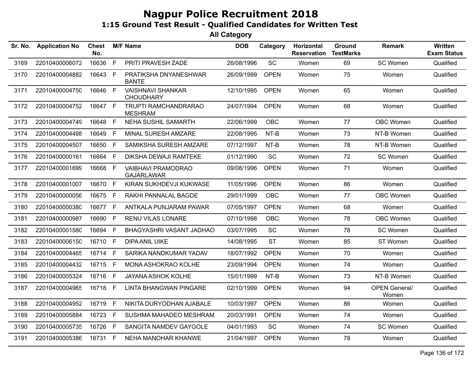| Sr. No. | <b>Application No</b> | <b>Chest</b><br>No. |              | <b>M/F Name</b>                              | <b>DOB</b> | Category    | Horizontal<br><b>Reservation</b> | Ground<br><b>TestMarks</b> | <b>Remark</b>                 | <b>Written</b><br><b>Exam Status</b> |
|---------|-----------------------|---------------------|--------------|----------------------------------------------|------------|-------------|----------------------------------|----------------------------|-------------------------------|--------------------------------------|
| 3169    | 22010400006072        | 16636               | F            | PRITI PRAVESH ZADE                           | 26/08/1996 | SC          | Women                            | 69                         | SC Women                      | Qualified                            |
| 3170    | 22010400004882        | 16643               | E            | PRATIKSHA DNYANESHWAR<br><b>BANTE</b>        | 26/09/1999 | <b>OPEN</b> | Women                            | 75                         | Women                         | Qualified                            |
| 3171    | 22010400004750        | 16646               | F            | <b>VAISHNAVI SHANKAR</b><br><b>CHOUDHARY</b> | 12/10/1995 | <b>OPEN</b> | Women                            | 65                         | Women                         | Qualified                            |
| 3172    | 22010400004752        | 16647 F             |              | TRUPTI RAMCHANDRARAO<br><b>MESHRAM</b>       | 24/07/1994 | <b>OPEN</b> | Women                            | 68                         | Women                         | Qualified                            |
| 3173    | 22010400004749        | 16648               | F            | <b>NEHA SUSHIL SAMARTH</b>                   | 22/06/1999 | <b>OBC</b>  | Women                            | 77                         | OBC Women                     | Qualified                            |
| 3174    | 22010400004498        | 16649               | E            | MINAL SURESH AMZARE                          | 22/08/1995 | NT-B        | Women                            | 73                         | NT-B Women                    | Qualified                            |
| 3175    | 22010400004507        | 16650               | $\mathsf F$  | SAMIKSHA SURESH AMZARE                       | 07/12/1997 | NT-B        | Women                            | 78                         | NT-B Women                    | Qualified                            |
| 3176    | 22010400000161        | 16664               | F            | <b>DIKSHA DEWAJI RAMTEKE</b>                 | 01/12/1990 | <b>SC</b>   | Women                            | 72                         | SC Women                      | Qualified                            |
| 3177    | 22010400001699        | 16668               | E            | VAIBHAVI PRAMODRAO<br><b>GAJARLAWAR</b>      | 09/08/1996 | <b>OPEN</b> | Women                            | 71                         | Women                         | Qualified                            |
| 3178    | 22010400001007        | 16670               | $\mathsf{F}$ | KIRAN SUKHDEVJI KUKWASE                      | 11/05/1996 | <b>OPEN</b> | Women                            | 86                         | Women                         | Qualified                            |
| 3179    | 22010400000056        | 16675               | -F           | RAKHI PANNALAL BAGDE                         | 29/01/1999 | <b>OBC</b>  | Women                            | 77                         | OBC Women                     | Qualified                            |
| 3180    | 22010400000380        | 16677               | F.           | ANTKALA PUNJARAM PAWAR                       | 07/05/1997 | <b>OPEN</b> | Women                            | 68                         | Women                         | Qualified                            |
| 3181    | 22010400000987        | 16690               | $\mathsf{F}$ | RENU VILAS LONARE                            | 07/10/1998 | OBC         | Women                            | 78                         | OBC Women                     | Qualified                            |
| 3182    | 22010400001580        | 16694               | $\mathsf{F}$ | BHAGYASHRI VASANT JADHAO                     | 03/07/1995 | SC          | Women                            | 78                         | SC Women                      | Qualified                            |
| 3183    | 22010400006150        | 16710               | E            | <b>DIPA ANIL UIKE</b>                        | 14/08/1995 | <b>ST</b>   | Women                            | 85                         | ST Women                      | Qualified                            |
| 3184    | 22010400004465        | 16714 F             |              | SARIKA NANDKUMAR YADAV                       | 18/07/1992 | <b>OPEN</b> | Women                            | 70                         | Women                         | Qualified                            |
| 3185    | 22010400004432        | 16715 F             |              | MONA ASHOKRAO KOLHE                          | 23/09/1994 | <b>OPEN</b> | Women                            | 74                         | Women                         | Qualified                            |
| 3186    | 22010400005324        | 16716               | $\mathsf F$  | JAYANA ASHOK KOLHE                           | 15/01/1999 | NT-B        | Women                            | 73                         | NT-B Women                    | Qualified                            |
| 3187    | 22010400004965        | 16718 F             |              | LINTA BHANGWAN PINGARE                       | 02/10/1999 | <b>OPEN</b> | Women                            | 94                         | <b>OPEN General/</b><br>Women | Qualified                            |
| 3188    | 22010400004952        | 16719 F             |              | NIKITA DURYODHAN AJABALE                     | 10/03/1997 | <b>OPEN</b> | Women                            | 86                         | Women                         | Qualified                            |
| 3189    | 22010400005884        | 16723               | F            | SUSHMA MAHADEO MESHRAM                       | 20/03/1991 | <b>OPEN</b> | Women                            | 74                         | Women                         | Qualified                            |
| 3190    | 22010400005735        | 16726               | -F           | SANGITA NAMDEV GAYGOLE                       | 04/01/1993 | SC          | Women                            | 74                         | SC Women                      | Qualified                            |
| 3191    | 22010400005386        | 16731 F             |              | NEHA MANOHAR KHANWE                          | 21/04/1997 | <b>OPEN</b> | Women                            | 78                         | Women                         | Qualified                            |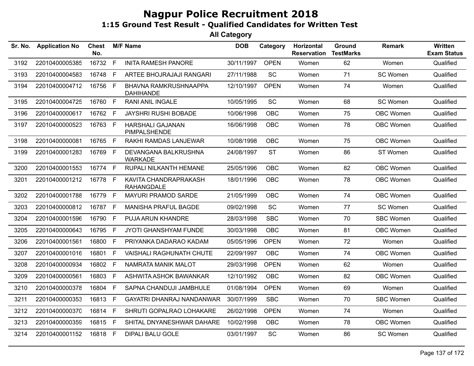| Sr. No. | <b>Application No</b> | <b>Chest</b><br>No. |              | <b>M/F Name</b>                            | <b>DOB</b> | Category    | Horizontal<br><b>Reservation</b> | <b>Ground</b><br><b>TestMarks</b> | <b>Remark</b>    | <b>Written</b><br><b>Exam Status</b> |
|---------|-----------------------|---------------------|--------------|--------------------------------------------|------------|-------------|----------------------------------|-----------------------------------|------------------|--------------------------------------|
| 3192    | 22010400005385        | 16732 F             |              | <b>INITA RAMESH PANORE</b>                 | 30/11/1997 | <b>OPEN</b> | Women                            | 62                                | Women            | Qualified                            |
| 3193    | 22010400004583        | 16748               | F            | ARTEE BHOJRAJAJI RANGARI                   | 27/11/1988 | <b>SC</b>   | Women                            | 71                                | SC Women         | Qualified                            |
| 3194    | 22010400004712        | 16756 F             |              | BHAVNA RAMKRUSHNAAPPA<br><b>DAHIHANDE</b>  | 12/10/1997 | <b>OPEN</b> | Women                            | 74                                | Women            | Qualified                            |
| 3195    | 22010400004725        | 16760 F             |              | <b>RANI ANIL INGALE</b>                    | 10/05/1995 | <b>SC</b>   | Women                            | 68                                | SC Women         | Qualified                            |
| 3196    | 22010400000617        | 16762 F             |              | <b>JAYSHRI RUSHI BOBADE</b>                | 10/06/1998 | <b>OBC</b>  | Women                            | 75                                | OBC Women        | Qualified                            |
| 3197    | 22010400000523        | 16763 F             |              | <b>HARSHALI GAJANAN</b><br>PIMPALSHENDE    | 16/06/1998 | <b>OBC</b>  | Women                            | 78                                | OBC Women        | Qualified                            |
| 3198    | 22010400000081        | 16765 F             |              | RAKHI RAMDAS LANJEWAR                      | 10/08/1998 | OBC         | Women                            | 75                                | OBC Women        | Qualified                            |
| 3199    | 22010400001283        | 16769 F             |              | DEVANGANA BALKRUSHNA<br><b>WARKADE</b>     | 24/08/1997 | <b>ST</b>   | Women                            | 86                                | ST Women         | Qualified                            |
| 3200    | 22010400001553        | 16774 F             |              | RUPALI NILKANTH HEMANE                     | 25/05/1996 | <b>OBC</b>  | Women                            | 82                                | OBC Women        | Qualified                            |
| 3201    | 22010400001212        | 16778 F             |              | KAVITA CHANDRAPRAKASH<br><b>RAHANGDALE</b> | 18/01/1996 | <b>OBC</b>  | Women                            | 78                                | OBC Women        | Qualified                            |
| 3202    | 22010400001788        | 16779 F             |              | MAYURI PRAMOD SARDE                        | 21/05/1999 | <b>OBC</b>  | Women                            | 74                                | OBC Women        | Qualified                            |
| 3203    | 22010400000812        | 16787               | F            | <b>MANISHA PRAFUL BAGDE</b>                | 09/02/1998 | <b>SC</b>   | Women                            | 77                                | SC Women         | Qualified                            |
| 3204    | 22010400001596        | 16790 F             |              | <b>PUJA ARUN KHANDRE</b>                   | 28/03/1998 | <b>SBC</b>  | Women                            | 70                                | <b>SBC Women</b> | Qualified                            |
| 3205    | 22010400000643        | 16795               | F            | <b>JYOTI GHANSHYAM FUNDE</b>               | 30/03/1998 | <b>OBC</b>  | Women                            | 81                                | OBC Women        | Qualified                            |
| 3206    | 22010400001561        | 16800 F             |              | PRIYANKA DADARAO KADAM                     | 05/05/1996 | <b>OPEN</b> | Women                            | 72                                | Women            | Qualified                            |
| 3207    | 22010400001016        | 16801 F             |              | <b>VAISHALI RAGHUNATH CHUTE</b>            | 22/09/1997 | <b>OBC</b>  | Women                            | 74                                | OBC Women        | Qualified                            |
| 3208    | 22010400000934        | 16802               | $\mathsf{F}$ | NAMRATA MANIK MALOT                        | 29/03/1998 | <b>OPEN</b> | Women                            | 62                                | Women            | Qualified                            |
| 3209    | 22010400000561        | 16803               | F.           | ASHWITA ASHOK BAWANKAR                     | 12/10/1992 | <b>OBC</b>  | Women                            | 82                                | OBC Women        | Qualified                            |
| 3210    | 22010400000378        | 16804               | $\mathsf{F}$ | SAPNA CHANDUJI JAMBHULE                    | 01/08/1994 | <b>OPEN</b> | Women                            | 69                                | Women            | Qualified                            |
| 3211    | 22010400000353        | 16813 F             |              | <b>GAYATRI DHANRAJ NANDANWAR</b>           | 30/07/1999 | <b>SBC</b>  | Women                            | 70                                | <b>SBC Women</b> | Qualified                            |
| 3212    | 22010400000370        | 16814               | F            | SHRUTI GOPALRAO LOHAKARE                   | 26/02/1998 | <b>OPEN</b> | Women                            | 74                                | Women            | Qualified                            |
| 3213    | 22010400000359        | 16815 F             |              | SHITAL DNYANESHWAR DAHARE                  | 10/02/1998 | <b>OBC</b>  | Women                            | 78                                | OBC Women        | Qualified                            |
| 3214    | 22010400001152        | 16818 F             |              | <b>DIPALI BALU GOLE</b>                    | 03/01/1997 | <b>SC</b>   | Women                            | 86                                | SC Women         | Qualified                            |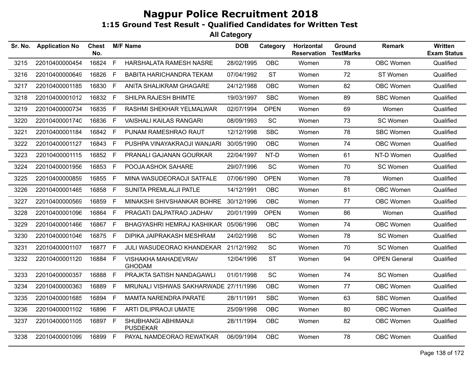| Sr. No. | <b>Application No</b> | <b>Chest</b><br>No. |    | <b>M/F Name</b>                        | <b>DOB</b> | Category    | Horizontal<br><b>Reservation</b> | Ground<br><b>TestMarks</b> | <b>Remark</b>       | Written<br><b>Exam Status</b> |
|---------|-----------------------|---------------------|----|----------------------------------------|------------|-------------|----------------------------------|----------------------------|---------------------|-------------------------------|
| 3215    | 22010400000454        | 16824               | F  | HARSHALATA RAMESH NASRE                | 28/02/1995 | <b>OBC</b>  | Women                            | 78                         | <b>OBC Women</b>    | Qualified                     |
| 3216    | 22010400000649        | 16826               | F. | <b>BABITA HARICHANDRA TEKAM</b>        | 07/04/1992 | <b>ST</b>   | Women                            | 72                         | ST Women            | Qualified                     |
| 3217    | 22010400001185        | 16830 F             |    | ANITA SHALIKRAM GHAGARE                | 24/12/1988 | <b>OBC</b>  | Women                            | 82                         | <b>OBC Women</b>    | Qualified                     |
| 3218    | 22010400001012        | 16832 F             |    | SHILPA RAJESH BHIMTE                   | 19/03/1997 | <b>SBC</b>  | Women                            | 89                         | <b>SBC Women</b>    | Qualified                     |
| 3219    | 22010400000734        | 16835               | F  | RASHMI SHEKHAR YELMALWAR               | 02/07/1994 | <b>OPEN</b> | Women                            | 69                         | Women               | Qualified                     |
| 3220    | 22010400001740        | 16836               | F  | <b>VAISHALI KAILAS RANGARI</b>         | 08/09/1993 | <b>SC</b>   | Women                            | 73                         | SC Women            | Qualified                     |
| 3221    | 22010400001184        | 16842 F             |    | PUNAM RAMESHRAO RAUT                   | 12/12/1998 | <b>SBC</b>  | Women                            | 78                         | <b>SBC Women</b>    | Qualified                     |
| 3222    | 22010400001127        | 16843               | E  | PUSHPA VINAYAKRAOJI WANJARI            | 30/05/1990 | <b>OBC</b>  | Women                            | 74                         | OBC Women           | Qualified                     |
| 3223    | 22010400001115        | 16852 F             |    | PRANALI GAJANAN GOURKAR                | 22/04/1997 | NT-D        | Women                            | 61                         | NT-D Women          | Qualified                     |
| 3224    | 22010400001956        | 16853 F             |    | POOJA ASHOK SAHARE                     | 29/07/1996 | SC          | Women                            | 70                         | SC Women            | Qualified                     |
| 3225    | 22010400000859        | 16855               | F. | MINA WASUDEORAOJI SATFALE              | 07/06/1990 | <b>OPEN</b> | Women                            | 78                         | Women               | Qualified                     |
| 3226    | 22010400001465        | 16858               | F  | SUNITA PREMLALJI PATLE                 | 14/12/1991 | <b>OBC</b>  | Women                            | 81                         | <b>OBC Women</b>    | Qualified                     |
| 3227    | 22010400000569        | 16859               | F  | MINAKSHI SHIVSHANKAR BOHRE             | 30/12/1996 | <b>OBC</b>  | Women                            | 77                         | <b>OBC Women</b>    | Qualified                     |
| 3228    | 22010400001096        | 16864               | F. | PRAGATI DALPATRAO JADHAV               | 20/01/1999 | <b>OPEN</b> | Women                            | 86                         | Women               | Qualified                     |
| 3229    | 22010400001466        | 16867 F             |    | BHAGYASHRI HEMRAJ KASHIKAR             | 05/06/1996 | <b>OBC</b>  | Women                            | 74                         | <b>OBC Women</b>    | Qualified                     |
| 3230    | 22010400001046        | 16875 F             |    | DIPIKA JAIPRAKASH MESHRAM              | 24/02/1998 | SC          | Women                            | 78                         | SC Women            | Qualified                     |
| 3231    | 22010400001107        | 16877 F             |    | JULI WASUDEORAO KHANDEKAR              | 21/12/1992 | SC          | Women                            | 70                         | SC Women            | Qualified                     |
| 3232    | 22010400001120        | 16884 F             |    | VISHAKHA MAHADEVRAV<br><b>GHODAM</b>   | 12/04/1996 | <b>ST</b>   | Women                            | 94                         | <b>OPEN General</b> | Qualified                     |
| 3233    | 22010400000357        | 16888               | F  | PRAJKTA SATISH NANDAGAWLI              | 01/01/1998 | SC          | Women                            | 74                         | SC Women            | Qualified                     |
| 3234    | 22010400000363        | 16889               | E  | MRUNALI VISHWAS SAKHARWADE 27/11/1996  |            | <b>OBC</b>  | Women                            | 77                         | <b>OBC Women</b>    | Qualified                     |
| 3235    | 22010400001685        | 16894 F             |    | <b>MAMTA NARENDRA PARATE</b>           | 28/11/1991 | <b>SBC</b>  | Women                            | 63                         | <b>SBC Women</b>    | Qualified                     |
| 3236    | 22010400001102        | 16896               | F  | ARTI DILIPRAOJI UMATE                  | 25/09/1998 | <b>OBC</b>  | Women                            | 80                         | OBC Women           | Qualified                     |
| 3237    | 22010400001105        | 16897 F             |    | SHUBHANGI ABHIMANJI<br><b>PUSDEKAR</b> | 28/11/1994 | <b>OBC</b>  | Women                            | 82                         | OBC Women           | Qualified                     |
| 3238    | 22010400001099        | 16899               | F  | PAYAL NAMDEORAO REWATKAR               | 06/09/1994 | <b>OBC</b>  | Women                            | 78                         | OBC Women           | Qualified                     |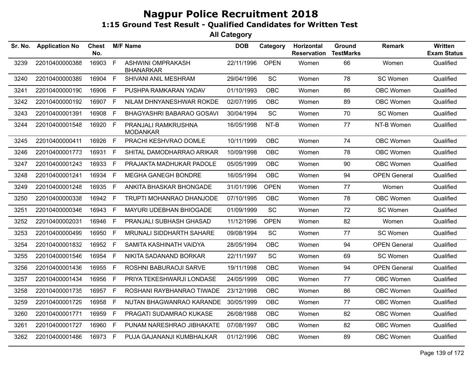| Sr. No. | <b>Application No</b> | <b>Chest</b><br>No. |              | <b>M/F Name</b>                        | <b>DOB</b> | Category    | Horizontal<br><b>Reservation</b> | Ground<br><b>TestMarks</b> | <b>Remark</b>       | Written<br><b>Exam Status</b> |
|---------|-----------------------|---------------------|--------------|----------------------------------------|------------|-------------|----------------------------------|----------------------------|---------------------|-------------------------------|
| 3239    | 22010400000388        | 16903               | $\mathsf{F}$ | ASHWINI OMPRAKASH<br><b>BHANARKAR</b>  | 22/11/1996 | <b>OPEN</b> | Women                            | 66                         | Women               | Qualified                     |
| 3240    | 22010400000389        | 16904               | $\mathsf{F}$ | SHIVANI ANIL MESHRAM                   | 29/04/1996 | SC          | Women                            | 78                         | SC Women            | Qualified                     |
| 3241    | 22010400000190        | 16906               | E            | PUSHPA RAMKARAN YADAV                  | 01/10/1993 | <b>OBC</b>  | Women                            | 86                         | OBC Women           | Qualified                     |
| 3242    | 22010400000192        | 16907               | - F          | NILAM DHNYANESHWAR ROKDE               | 02/07/1995 | OBC         | Women                            | 89                         | OBC Women           | Qualified                     |
| 3243    | 22010400001391        | 16908               | F            | BHAGYASHRI BABARAO GOSAVI              | 30/04/1994 | <b>SC</b>   | Women                            | 70                         | SC Women            | Qualified                     |
| 3244    | 22010400001548        | 16920               | -F           | PRANJALI RAMKRUSHNA<br><b>MODANKAR</b> | 16/05/1998 | NT-B        | Women                            | 77                         | NT-B Women          | Qualified                     |
| 3245    | 22010400000411        | 16926               | $\mathsf F$  | PRACHI KESHVRAO DOMLE                  | 10/11/1999 | OBC         | Women                            | 74                         | OBC Women           | Qualified                     |
| 3246    | 22010400001773        | 16931               | $\mathsf F$  | SHITAL DAMODHARRAO ARIKAR              | 10/09/1998 | OBC         | Women                            | 78                         | OBC Women           | Qualified                     |
| 3247    | 22010400001243        | 16933               | F            | PRAJAKTA MADHUKAR PADOLE               | 05/05/1999 | OBC         | Women                            | 90                         | OBC Women           | Qualified                     |
| 3248    | 22010400001241        | 16934 F             |              | <b>MEGHA GANEGH BONDRE</b>             | 16/05/1994 | OBC         | Women                            | 94                         | <b>OPEN General</b> | Qualified                     |
| 3249    | 22010400001248        | 16935               | $\mathsf F$  | ANKITA BHASKAR BHONGADE                | 31/01/1996 | <b>OPEN</b> | Women                            | 77                         | Women               | Qualified                     |
| 3250    | 22010400000338        | 16942 F             |              | <b>TRUPTI MOHANRAO DHANJODE</b>        | 07/10/1995 | OBC         | Women                            | 78                         | OBC Women           | Qualified                     |
| 3251    | 22010400000346        | 16943               | $\mathsf{F}$ | MAYURI UDEBHAN BHIOGADE                | 01/09/1999 | SC          | Women                            | 72                         | SC Women            | Qualified                     |
| 3252    | 22010400002031        | 16946               | $\mathsf{F}$ | PRANJALI SUBHASH GHASAD                | 11/12/1996 | <b>OPEN</b> | Women                            | 82                         | Women               | Qualified                     |
| 3253    | 22010400000499        | 16950               | E            | MRUNALI SIDDHARTH SAHARE               | 09/08/1994 | SC          | Women                            | 77                         | SC Women            | Qualified                     |
| 3254    | 22010400001832        | 16952               | $\mathsf F$  | SAMITA KASHINATH VAIDYA                | 28/05/1994 | <b>OBC</b>  | Women                            | 94                         | <b>OPEN General</b> | Qualified                     |
| 3255    | 22010400001546        | 16954               | F            | NIKITA SADANAND BORKAR                 | 22/11/1997 | SC          | Women                            | 69                         | SC Women            | Qualified                     |
| 3256    | 22010400001436        | 16955               | F            | ROSHNI BABURAOJI SARVE                 | 19/11/1998 | <b>OBC</b>  | Women                            | 94                         | <b>OPEN General</b> | Qualified                     |
| 3257    | 22010400001434        | 16956               | $\mathsf F$  | PRIYA TEKESHWARJI LONDASE              | 24/05/1999 | <b>OBC</b>  | Women                            | 77                         | OBC Women           | Qualified                     |
| 3258    | 22010400001735        | 16957               | $\mathsf{F}$ | ROSHANI RAYBHANRAO TIWADE              | 23/12/1998 | OBC         | Women                            | 86                         | OBC Women           | Qualified                     |
| 3259    | 22010400001729        | 16958               | F            | NUTAN BHAGWANRAO KARANDE               | 30/05/1999 | <b>OBC</b>  | Women                            | 77                         | OBC Women           | Qualified                     |
| 3260    | 22010400001771        | 16959               | F            | PRAGATI SUDAMRAO KUKASE                | 26/08/1988 | <b>OBC</b>  | Women                            | 82                         | OBC Women           | Qualified                     |
| 3261    | 22010400001727        | 16960               | E            | PUNAM NARESHRAO JIBHAKATE              | 07/08/1997 | <b>OBC</b>  | Women                            | 82                         | OBC Women           | Qualified                     |
| 3262    | 22010400001486        | 16973               | $\mathsf{F}$ | PUJA GAJANANJI KUMBHALKAR              | 01/12/1996 | OBC         | Women                            | 89                         | OBC Women           | Qualified                     |
|         |                       |                     |              |                                        |            |             |                                  |                            |                     |                               |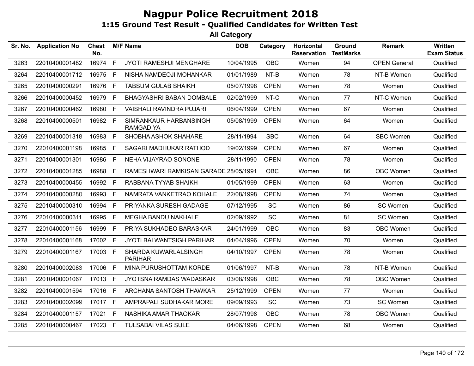| Sr. No. | <b>Application No</b> | <b>Chest</b><br>No. |              | <b>M/F Name</b>                            | <b>DOB</b> | Category    | Horizontal<br><b>Reservation</b> | <b>Ground</b><br><b>TestMarks</b> | <b>Remark</b>       | <b>Written</b><br><b>Exam Status</b> |
|---------|-----------------------|---------------------|--------------|--------------------------------------------|------------|-------------|----------------------------------|-----------------------------------|---------------------|--------------------------------------|
| 3263    | 22010400001482        | 16974               | F            | <b>JYOTI RAMESHJI MENGHARE</b>             | 10/04/1995 | <b>OBC</b>  | Women                            | 94                                | <b>OPEN General</b> | Qualified                            |
| 3264    | 22010400001712        | 16975 F             |              | NISHA NAMDEOJI MOHANKAR                    | 01/01/1989 | $NT-B$      | Women                            | 78                                | NT-B Women          | Qualified                            |
| 3265    | 22010400000291        | 16976               | F            | <b>TABSUM GULAB SHAIKH</b>                 | 05/07/1998 | <b>OPEN</b> | Women                            | 78                                | Women               | Qualified                            |
| 3266    | 22010400000452        | 16979               | F            | <b>BHAGYASHRI BABAN DOMBALE</b>            | 02/02/1999 | NT-C        | Women                            | 77                                | NT-C Women          | Qualified                            |
| 3267    | 22010400000462        | 16980               | $\mathsf{F}$ | VAISHALI RAVINDRA PUJARI                   | 06/04/1999 | <b>OPEN</b> | Women                            | 67                                | Women               | Qualified                            |
| 3268    | 22010400000501        | 16982 F             |              | SIMRANKAUR HARBANSINGH<br><b>RAMGADIYA</b> | 05/08/1999 | <b>OPEN</b> | Women                            | 64                                | Women               | Qualified                            |
| 3269    | 22010400001318        | 16983               | F            | SHOBHA ASHOK SHAHARE                       | 28/11/1994 | <b>SBC</b>  | Women                            | 64                                | <b>SBC Women</b>    | Qualified                            |
| 3270    | 22010400001198        | 16985               | F            | SAGARI MADHUKAR RATHOD                     | 19/02/1999 | <b>OPEN</b> | Women                            | 67                                | Women               | Qualified                            |
| 3271    | 22010400001301        | 16986               | $\mathsf{F}$ | NEHA VIJAYRAO SONONE                       | 28/11/1990 | <b>OPEN</b> | Women                            | 78                                | Women               | Qualified                            |
| 3272    | 22010400001285        | 16988               | F            | RAMESHWARI RAMKISAN GARADE 28/05/1991      |            | <b>OBC</b>  | Women                            | 86                                | OBC Women           | Qualified                            |
| 3273    | 22010400000455        | 16992 F             |              | RABBANA TYYAB SHAIKH                       | 01/05/1999 | <b>OPEN</b> | Women                            | 63                                | Women               | Qualified                            |
| 3274    | 22010400000280        | 16993 F             |              | NAMRATA VANKETRAO KOHALE                   | 22/08/1998 | <b>OPEN</b> | Women                            | 74                                | Women               | Qualified                            |
| 3275    | 22010400000310        | 16994               | -F           | PRIYANKA SURESH GADAGE                     | 07/12/1995 | <b>SC</b>   | Women                            | 86                                | SC Women            | Qualified                            |
| 3276    | 22010400000311        | 16995               | E            | <b>MEGHA BANDU NAKHALE</b>                 | 02/09/1992 | <b>SC</b>   | Women                            | 81                                | SC Women            | Qualified                            |
| 3277    | 22010400001156        | 16999               | F.           | PRIYA SUKHADEO BARASKAR                    | 24/01/1999 | <b>OBC</b>  | Women                            | 83                                | OBC Women           | Qualified                            |
| 3278    | 22010400001168        | 17002 F             |              | <b>JYOTI BALWANTSIGH PARIHAR</b>           | 04/04/1996 | <b>OPEN</b> | Women                            | 70                                | Women               | Qualified                            |
| 3279    | 22010400001167        | 17003 F             |              | SHARDA KUWARLALSINGH<br><b>PARIHAR</b>     | 04/10/1997 | <b>OPEN</b> | Women                            | 78                                | Women               | Qualified                            |
| 3280    | 22010400002083        | 17006               | F            | MINA PURUSHOTTAM KORDE                     | 01/06/1997 | NT-B        | Women                            | 78                                | NT-B Women          | Qualified                            |
| 3281    | 22010400001067        | 17013 F             |              | JYOTSNA RAMDAS WADASKAR                    | 03/08/1998 | <b>OBC</b>  | Women                            | 78                                | OBC Women           | Qualified                            |
| 3282    | 22010400001594        | 17016 F             |              | ARCHANA SANTOSH THAWKAR                    | 25/12/1999 | <b>OPEN</b> | Women                            | 77                                | Women               | Qualified                            |
| 3283    | 22010400002099        | 17017 F             |              | AMPRAPALI SUDHAKAR MORE                    | 09/09/1993 | <b>SC</b>   | Women                            | 73                                | SC Women            | Qualified                            |
| 3284    | 22010400001157        | 17021 F             |              | NASHIKA AMAR THAOKAR                       | 28/07/1998 | <b>OBC</b>  | Women                            | 78                                | OBC Women           | Qualified                            |
| 3285    | 22010400000467        | 17023 F             |              | <b>TULSABAI VILAS SULE</b>                 | 04/06/1998 | <b>OPEN</b> | Women                            | 68                                | Women               | Qualified                            |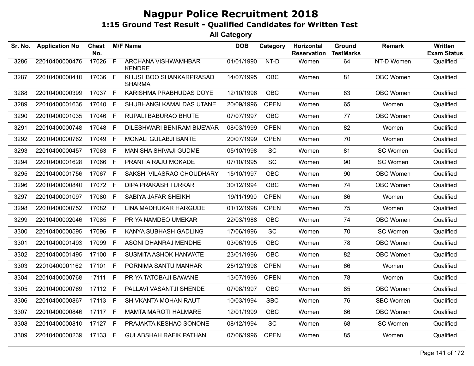| Sr. No. | <b>Application No</b> | <b>Chest</b><br>No. |                | <b>M/F Name</b>                             | <b>DOB</b> | Category    | Horizontal<br><b>Reservation</b> | Ground<br><b>TestMarks</b> | <b>Remark</b>    | Written<br><b>Exam Status</b> |
|---------|-----------------------|---------------------|----------------|---------------------------------------------|------------|-------------|----------------------------------|----------------------------|------------------|-------------------------------|
| 3286    | 22010400000476        | 17026               | $\overline{F}$ | <b>ARCHANA VISHWAMHBAR</b><br><b>KENDRE</b> | 01/01/1990 | $NT-D$      | Women                            | 64                         | NT-D Women       | Qualified                     |
| 3287    | 22010400000410        | 17036 F             |                | KHUSHBOO SHANKARPRASAD<br><b>SHARMA</b>     | 14/07/1995 | OBC         | Women                            | 81                         | OBC Women        | Qualified                     |
| 3288    | 22010400000399        | 17037 F             |                | KARISHMA PRABHUDAS DOYE                     | 12/10/1996 | <b>OBC</b>  | Women                            | 83                         | OBC Women        | Qualified                     |
| 3289    | 22010400001636        | 17040               | E              | SHUBHANGI KAMALDAS UTANE                    | 20/09/1996 | <b>OPEN</b> | Women                            | 65                         | Women            | Qualified                     |
| 3290    | 22010400001035        | 17046               | $\mathsf{F}$   | RUPALI BABURAO BHUTE                        | 07/07/1997 | <b>OBC</b>  | Women                            | 77                         | OBC Women        | Qualified                     |
| 3291    | 22010400000748        | 17048               | F              | DILESHWARI BENIRAM BIJEWAR                  | 08/03/1999 | <b>OPEN</b> | Women                            | 82                         | Women            | Qualified                     |
| 3292    | 22010400000762        | 17049               | F              | <b>MONALI GULABJI BANTE</b>                 | 20/07/1999 | <b>OPEN</b> | Women                            | 70                         | Women            | Qualified                     |
| 3293    | 22010400000457        | 17063 F             |                | MANISHA SHIVAJI GUDME                       | 05/10/1998 | <b>SC</b>   | Women                            | 81                         | SC Women         | Qualified                     |
| 3294    | 22010400001628        | 17066 F             |                | PRANITA RAJU MOKADE                         | 07/10/1995 | <b>SC</b>   | Women                            | 90                         | SC Women         | Qualified                     |
| 3295    | 22010400001756        | 17067 F             |                | SAKSHI VILASRAO CHOUDHARY                   | 15/10/1997 | <b>OBC</b>  | Women                            | 90                         | <b>OBC Women</b> | Qualified                     |
| 3296    | 22010400000840        | 17072 F             |                | <b>DIPA PRAKASH TURKAR</b>                  | 30/12/1994 | <b>OBC</b>  | Women                            | 74                         | OBC Women        | Qualified                     |
| 3297    | 22010400001097        | 17080               | F              | SABIYA JAFAR SHEIKH                         | 19/11/1990 | <b>OPEN</b> | Women                            | 86                         | Women            | Qualified                     |
| 3298    | 22010400000752        | 17082 F             |                | LINA MADHUKAR HARGUDE                       | 01/12/1998 | <b>OPEN</b> | Women                            | 75                         | Women            | Qualified                     |
| 3299    | 22010400002046        | 17085 F             |                | PRIYA NAMDEO UMEKAR                         | 22/03/1988 | <b>OBC</b>  | Women                            | 74                         | OBC Women        | Qualified                     |
| 3300    | 22010400000595        | 17096               | $\mathsf{F}$   | KANYA SUBHASH GADLING                       | 17/06/1996 | SC          | Women                            | 70                         | SC Women         | Qualified                     |
| 3301    | 22010400001493        | 17099               | F.             | ASONI DHANRAJ MENDHE                        | 03/06/1995 | <b>OBC</b>  | Women                            | 78                         | <b>OBC Women</b> | Qualified                     |
| 3302    | 22010400001495        | 17100               | F              | <b>SUSMITA ASHOK HANWATE</b>                | 23/01/1996 | <b>OBC</b>  | Women                            | 82                         | <b>OBC Women</b> | Qualified                     |
| 3303    | 22010400001162        | 17101               | F              | PORNIMA SANTU MANHAR                        | 25/12/1998 | <b>OPEN</b> | Women                            | 66                         | Women            | Qualified                     |
| 3304    | 22010400000768        | 17111               | F              | PRIYA TATOBAJI BAWANE                       | 13/07/1996 | <b>OPEN</b> | Women                            | 78                         | Women            | Qualified                     |
| 3305    | 22010400000769        | 17112               | F              | PALLAVI VASANTJI SHENDE                     | 07/08/1997 | <b>OBC</b>  | Women                            | 85                         | OBC Women        | Qualified                     |
| 3306    | 22010400000867        | 17113 F             |                | SHIVKANTA MOHAN RAUT                        | 10/03/1994 | <b>SBC</b>  | Women                            | 76                         | <b>SBC Women</b> | Qualified                     |
| 3307    | 22010400000846        | 17117 F             |                | <b>MAMTA MAROTI HALMARE</b>                 | 12/01/1999 | <b>OBC</b>  | Women                            | 86                         | <b>OBC Women</b> | Qualified                     |
| 3308    | 22010400000810        | 17127 F             |                | PRAJAKTA KESHAO SONONE                      | 08/12/1994 | <b>SC</b>   | Women                            | 68                         | SC Women         | Qualified                     |
| 3309    | 22010400000239        | 17133 F             |                | <b>GULABSHAH RAFIK PATHAN</b>               | 07/06/1996 | <b>OPEN</b> | Women                            | 85                         | Women            | Qualified                     |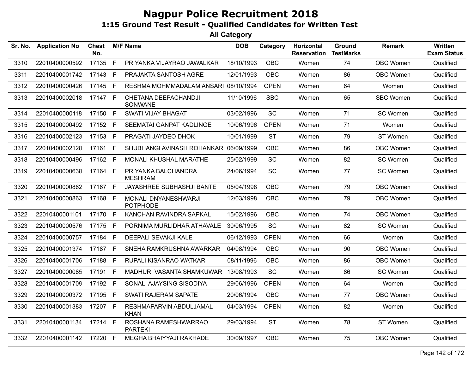| Sr. No. | <b>Application No</b> | Chest<br>No. |    | <b>M/F Name</b>                         | <b>DOB</b> | Category    | Horizontal<br><b>Reservation</b> | Ground<br><b>TestMarks</b> | Remark    | <b>Written</b><br><b>Exam Status</b> |
|---------|-----------------------|--------------|----|-----------------------------------------|------------|-------------|----------------------------------|----------------------------|-----------|--------------------------------------|
| 3310    | 22010400000592        | 17135        | F. | PRIYANKA VIJAYRAO JAWALKAR              | 18/10/1993 | <b>OBC</b>  | Women                            | 74                         | OBC Women | Qualified                            |
| 3311    | 22010400001742        | 17143        | E  | PRAJAKTA SANTOSH AGRE                   | 12/01/1993 | <b>OBC</b>  | Women                            | 86                         | OBC Women | Qualified                            |
| 3312    | 22010400000426        | 17145 F      |    | RESHMA MOHMMADALAM ANSARI 08/10/1994    |            | <b>OPEN</b> | Women                            | 64                         | Women     | Qualified                            |
| 3313    | 22010400002018        | 17147 F      |    | CHETANA DEEPACHANDJI<br>SONWANE         | 11/10/1996 | <b>SBC</b>  | Women                            | 65                         | SBC Women | Qualified                            |
| 3314    | 22010400000118        | 17150 F      |    | <b>SWATI VIJAY BHAGAT</b>               | 03/02/1996 | <b>SC</b>   | Women                            | 71                         | SC Women  | Qualified                            |
| 3315    | 22010400000492        | 17152        | F  | SEEMATAI GANPAT KADLINGE                | 10/06/1996 | <b>OPEN</b> | Women                            | 71                         | Women     | Qualified                            |
| 3316    | 22010400002123        | 17153        | F  | PRAGATI JAYDEO DHOK                     | 10/01/1999 | <b>ST</b>   | Women                            | 79                         | ST Women  | Qualified                            |
| 3317    | 22010400002128        | 17161 F      |    | SHUBHANGI AVINASH ROHANKAR 06/09/1999   |            | <b>OBC</b>  | Women                            | 86                         | OBC Women | Qualified                            |
| 3318    | 22010400000496        | 17162 F      |    | MONALI KHUSHAL MARATHE                  | 25/02/1999 | SC          | Women                            | 82                         | SC Women  | Qualified                            |
| 3319    | 22010400000638        | 17164 F      |    | PRIYANKA BALCHANDRA<br><b>MESHRAM</b>   | 24/06/1994 | <b>SC</b>   | Women                            | 77                         | SC Women  | Qualified                            |
| 3320    | 22010400000862        | 17167 F      |    | JAYASHREE SUBHASHJI BANTE               | 05/04/1998 | <b>OBC</b>  | Women                            | 79                         | OBC Women | Qualified                            |
| 3321    | 22010400000863        | 17168 F      |    | MONALI DNYANESHWARJI<br><b>POTPHODE</b> | 12/03/1998 | <b>OBC</b>  | Women                            | 79                         | OBC Women | Qualified                            |
| 3322    | 22010400001101        | 17170        | F  | KANCHAN RAVINDRA SAPKAL                 | 15/02/1996 | <b>OBC</b>  | Women                            | 74                         | OBC Women | Qualified                            |
| 3323    | 22010400000576        | 17175 F      |    | PORNIMA MURLIDHAR ATHAVALE              | 30/06/1995 | <b>SC</b>   | Women                            | 82                         | SC Women  | Qualified                            |
| 3324    | 22010400000757        | 17184 F      |    | DEEPALI SEVAKJI KALE                    | 06/12/1993 | <b>OPEN</b> | Women                            | 66                         | Women     | Qualified                            |
| 3325    | 22010400001374        | 17187 F      |    | SNEHA RAMKRUSHNA AWARKAR                | 04/08/1994 | OBC         | Women                            | 90                         | OBC Women | Qualified                            |
| 3326    | 22010400001706        | 17188        | F. | RUPALI KISANRAO WATKAR                  | 08/11/1996 | <b>OBC</b>  | Women                            | 86                         | OBC Women | Qualified                            |
| 3327    | 22010400000085        | 17191 F      |    | MADHURI VASANTA SHAMKUWAR               | 13/08/1993 | <b>SC</b>   | Women                            | 86                         | SC Women  | Qualified                            |
| 3328    | 22010400001709        | 17192 F      |    | SONALI AJAYSING SISODIYA                | 29/06/1996 | <b>OPEN</b> | Women                            | 64                         | Women     | Qualified                            |
| 3329    | 22010400000372        | 17195 F      |    | <b>SWATI RAJERAM SAPATE</b>             | 20/06/1994 | <b>OBC</b>  | Women                            | 77                         | OBC Women | Qualified                            |
| 3330    | 22010400001383        | 17207 F      |    | RESHMAPARVIN ABDULJAMAL<br><b>KHAN</b>  | 04/03/1994 | <b>OPEN</b> | Women                            | 82                         | Women     | Qualified                            |
| 3331    | 22010400001134        | 17214 F      |    | ROSHANA RAMESHWARRAO<br><b>PARTEKI</b>  | 29/03/1994 | <b>ST</b>   | Women                            | 78                         | ST Women  | Qualified                            |
| 3332    | 22010400001142        | 17220 F      |    | MEGHA BHAIYYAJI RAKHADE                 | 30/09/1997 | <b>OBC</b>  | Women                            | 75                         | OBC Women | Qualified                            |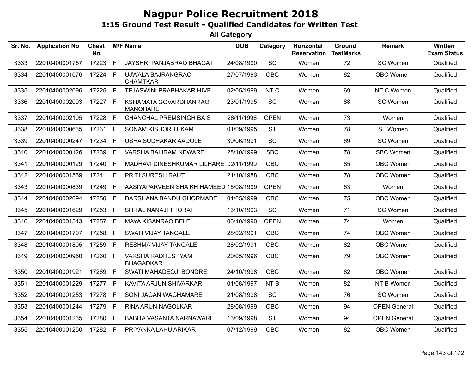| Sr. No. | <b>Application No</b> | <b>Chest</b><br>No. |    | <b>M/F Name</b>                          | <b>DOB</b> | Category    | Horizontal<br><b>Reservation</b> | Ground<br><b>TestMarks</b> | Remark              | Written<br><b>Exam Status</b> |
|---------|-----------------------|---------------------|----|------------------------------------------|------------|-------------|----------------------------------|----------------------------|---------------------|-------------------------------|
| 3333    | 22010400001757        | 17223               | F  | JAYSHRI PANJABRAO BHAGAT                 | 24/08/1990 | SC          | Women                            | 72                         | SC Women            | Qualified                     |
| 3334    | 22010400001076        | 17224               | F  | UJWALA BAJRANGRAO<br><b>CHAMTKAR</b>     | 27/07/1993 | <b>OBC</b>  | Women                            | 82                         | <b>OBC Women</b>    | Qualified                     |
| 3335    | 22010400002096        | 17225               | F. | TEJASWINI PRABHAKAR HIVE                 | 02/05/1999 | NT-C        | Women                            | 69                         | NT-C Women          | Qualified                     |
| 3336    | 22010400002093        | 17227 F             |    | KSHAMATA GOVARDHANRAO<br><b>MANOHARE</b> | 23/01/1995 | <b>SC</b>   | Women                            | 88                         | SC Women            | Qualified                     |
| 3337    | 22010400002105        | 17228               | F  | <b>CHANCHAL PREMSINGH BAIS</b>           | 26/11/1996 | <b>OPEN</b> | Women                            | 73                         | Women               | Qualified                     |
| 3338    | 22010400000635        | 17231               | F. | <b>SONAM KISHOR TEKAM</b>                | 01/09/1995 | <b>ST</b>   | Women                            | 78                         | ST Women            | Qualified                     |
| 3339    | 22010400000247        | 17234               | F  | USHA SUDHAKAR AADOLE                     | 30/06/1991 | <b>SC</b>   | Women                            | 69                         | SC Women            | Qualified                     |
| 3340    | 22010400000126        | 17239               | F. | VARSHA BALIRAM NEWARE                    | 28/10/1999 | <b>SBC</b>  | Women                            | 78                         | <b>SBC Women</b>    | Qualified                     |
| 3341    | 22010400000129        | 17240               | F  | MADHAVI DINESHKUMAR LILHARE 02/11/1999   |            | <b>OBC</b>  | Women                            | 85                         | OBC Women           | Qualified                     |
| 3342    | 22010400001569        | 17241               | F. | PRITI SURESH RAUT                        | 21/10/1988 | <b>OBC</b>  | Women                            | 78                         | <b>OBC Women</b>    | Qualified                     |
| 3343    | 22010400000839        | 17249               | E  | AASIYAPARVEEN SHAIKH HAMEED 15/08/1999   |            | <b>OPEN</b> | Women                            | 63                         | Women               | Qualified                     |
| 3344    | 22010400002094        | 17250               | F. | DARSHANA BANDU GHORMADE                  | 01/05/1999 | <b>OBC</b>  | Women                            | 75                         | OBC Women           | Qualified                     |
| 3345    | 22010400001629        | 17253               | F. | SHITAL NANAJI THORAT                     | 13/10/1993 | <b>SC</b>   | Women                            | 71                         | SC Women            | Qualified                     |
| 3346    | 22010400001543        | 17257               | F. | MAYA KISANRAO BELE                       | 06/10/1990 | <b>OPEN</b> | Women                            | 74                         | Women               | Qualified                     |
| 3347    | 22010400001797        | 17258               | F. | <b>SWATI VIJAY TANGALE</b>               | 28/02/1991 | <b>OBC</b>  | Women                            | 74                         | OBC Women           | Qualified                     |
| 3348    | 22010400001805        | 17259               | F. | <b>RESHMA VIJAY TANGALE</b>              | 28/02/1991 | <b>OBC</b>  | Women                            | 82                         | OBC Women           | Qualified                     |
| 3349    | 22010400000950        | 17260               | F  | VARSHA RADHESHYAM<br><b>BHAGADKAR</b>    | 20/05/1996 | <b>OBC</b>  | Women                            | 79                         | <b>OBC Women</b>    | Qualified                     |
| 3350    | 22010400001921        | 17269               | F  | SWATI MAHADEOJI BONDRE                   | 24/10/1998 | <b>OBC</b>  | Women                            | 82                         | OBC Women           | Qualified                     |
| 3351    | 22010400001229        | 17277               | F  | KAVITA ARJUN SHIVARKAR                   | 01/08/1997 | NT-B        | Women                            | 82                         | NT-B Women          | Qualified                     |
| 3352    | 22010400001253        | 17278               | F  | SONI JAGAN WAGHAMARE                     | 21/08/1998 | <b>SC</b>   | Women                            | 76                         | SC Women            | Qualified                     |
| 3353    | 22010400001244        | 17279               | F  | <b>RINA ARUN NAGOLKAR</b>                | 28/08/1999 | <b>OBC</b>  | Women                            | 94                         | <b>OPEN General</b> | Qualified                     |
| 3354    | 22010400001235        | 17280               | F  | <b>BABITA VASANTA NARNAWARE</b>          | 13/09/1998 | <b>ST</b>   | Women                            | 94                         | <b>OPEN General</b> | Qualified                     |
| 3355    | 22010400001250        | 17282 F             |    | PRIYANKA LAHU ARIKAR                     | 07/12/1999 | <b>OBC</b>  | Women                            | 82                         | OBC Women           | Qualified                     |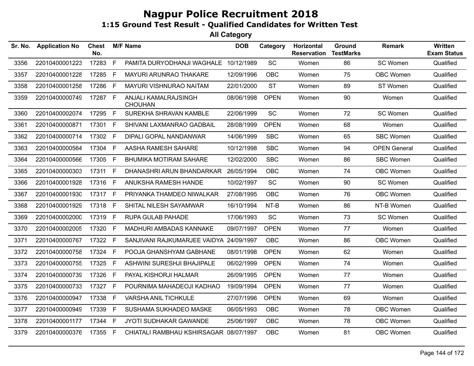| Sr. No. | <b>Application No</b> | <b>Chest</b><br>No. |              | <b>M/F Name</b>                        | <b>DOB</b> | Category    | Horizontal<br><b>Reservation</b> | Ground<br><b>TestMarks</b> | <b>Remark</b>       | Written<br><b>Exam Status</b> |
|---------|-----------------------|---------------------|--------------|----------------------------------------|------------|-------------|----------------------------------|----------------------------|---------------------|-------------------------------|
| 3356    | 22010400001223        | 17283               | F            | PAMITA DURYODHANJI WAGHALE             | 10/12/1989 | SC          | Women                            | 86                         | SC Women            | Qualified                     |
| 3357    | 22010400001228        | 17285               | $\mathsf{F}$ | MAYURI ARUNRAO THAKARE                 | 12/09/1996 | <b>OBC</b>  | Women                            | 75                         | OBC Women           | Qualified                     |
| 3358    | 22010400001258        | 17286               | F            | MAYURI VISHNURAO NAITAM                | 22/01/2000 | <b>ST</b>   | Women                            | 89                         | ST Women            | Qualified                     |
| 3359    | 22010400000749        | 17287 F             |              | ANJALI KAMALRAJSINGH<br><b>CHOUHAN</b> | 08/06/1998 | <b>OPEN</b> | Women                            | 90                         | Women               | Qualified                     |
| 3360    | 22010400002074        | 17295               | F            | SUREKHA SHRAVAN KAMBLE                 | 22/06/1999 | <b>SC</b>   | Women                            | 72                         | SC Women            | Qualified                     |
| 3361    | 22010400000871        | 17301 F             |              | SHIVANI LAXMANRAO GADBAIL              | 28/08/1999 | <b>OPEN</b> | Women                            | 68                         | Women               | Qualified                     |
| 3362    | 22010400000714        | 17302 F             |              | DIPALI GOPAL NANDANWAR                 | 14/06/1999 | <b>SBC</b>  | Women                            | 65                         | <b>SBC Women</b>    | Qualified                     |
| 3363    | 22010400000564        | 17304               | -F           | AASHA RAMESH SAHARE                    | 10/12/1998 | <b>SBC</b>  | Women                            | 94                         | <b>OPEN General</b> | Qualified                     |
| 3364    | 22010400000566        | 17305 F             |              | <b>BHUMIKA MOTIRAM SAHARE</b>          | 12/02/2000 | <b>SBC</b>  | Women                            | 86                         | <b>SBC Women</b>    | Qualified                     |
| 3365    | 22010400000303        | 17311 F             |              | DHANASHRI ARUN BHANDARKAR              | 26/05/1994 | <b>OBC</b>  | Women                            | 74                         | OBC Women           | Qualified                     |
| 3366    | 22010400001928        | 17316               | - F          | ANUKSHA RAMESH HANDE                   | 10/02/1997 | <b>SC</b>   | Women                            | 90                         | SC Women            | Qualified                     |
| 3367    | 22010400001930        | 17317 F             |              | PRIYANKA THAMDEO NIWALKAR              | 27/08/1995 | <b>OBC</b>  | Women                            | 76                         | OBC Women           | Qualified                     |
| 3368    | 22010400001929        | 17318 F             |              | SHITAL NILESH SAYAMWAR                 | 16/10/1994 | $NT-B$      | Women                            | 86                         | NT-B Women          | Qualified                     |
| 3369    | 22010400002000        | 17319 F             |              | RUPA GULAB PAHADE                      | 17/06/1993 | <b>SC</b>   | Women                            | 73                         | SC Women            | Qualified                     |
| 3370    | 22010400002005        | 17320 F             |              | MADHURI AMBADAS KANNAKE                | 09/07/1997 | <b>OPEN</b> | Women                            | 77                         | Women               | Qualified                     |
| 3371    | 22010400000767        | 17322 F             |              | SANJIVANI RAJKUMARJEE VAIDYA           | 24/09/1997 | <b>OBC</b>  | Women                            | 86                         | OBC Women           | Qualified                     |
| 3372    | 22010400000758        | 17324 F             |              | POOJA GHANSHYAM GABHANE                | 08/01/1998 | <b>OPEN</b> | Women                            | 62                         | Women               | Qualified                     |
| 3373    | 22010400000755        | 17325               | $-F$         | ASHWINI SURESHJI BHAJIPALE             | 06/02/1999 | <b>OPEN</b> | Women                            | 74                         | Women               | Qualified                     |
| 3374    | 22010400000739        | 17326 F             |              | PAYAL KISHORJI HALMAR                  | 26/09/1995 | <b>OPEN</b> | Women                            | 77                         | Women               | Qualified                     |
| 3375    | 22010400000733        | 17327 F             |              | POURNIMA MAHADEOJI KADHAO              | 19/09/1994 | <b>OPEN</b> | Women                            | 77                         | Women               | Qualified                     |
| 3376    | 22010400000947        | 17338               | E            | <b>VARSHA ANIL TICHKULE</b>            | 27/07/1996 | <b>OPEN</b> | Women                            | 69                         | Women               | Qualified                     |
| 3377    | 22010400000949        | 17339               | $\mathsf F$  | SUSHAMA SUKHADEO MASKE                 | 06/05/1993 | <b>OBC</b>  | Women                            | 78                         | OBC Women           | Qualified                     |
| 3378    | 22010400001177        | 17344               | F.           | JYOTI SUDHAKAR GAWANDE                 | 25/06/1997 | <b>OBC</b>  | Women                            | 78                         | OBC Women           | Qualified                     |
| 3379    | 22010400000376        | 17355 F             |              | CHIATALI RAMBHAU KSHIRSAGAR 08/07/1997 |            | <b>OBC</b>  | Women                            | 81                         | OBC Women           | Qualified                     |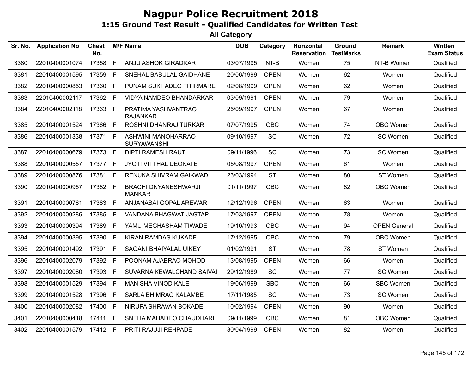| Sr. No. | <b>Application No</b> | <b>Chest</b><br>No. |              | <b>M/F Name</b>                        | <b>DOB</b> | Category    | Horizontal<br><b>Reservation</b> | Ground<br><b>TestMarks</b> | <b>Remark</b>       | <b>Written</b><br><b>Exam Status</b> |
|---------|-----------------------|---------------------|--------------|----------------------------------------|------------|-------------|----------------------------------|----------------------------|---------------------|--------------------------------------|
| 3380    | 22010400001074        | 17358               | $\mathsf{F}$ | ANJU ASHOK GIRADKAR                    | 03/07/1995 | NT-B        | Women                            | 75                         | NT-B Women          | Qualified                            |
| 3381    | 22010400001595        | 17359 F             |              | SNEHAL BABULAL GAIDHANE                | 20/06/1999 | <b>OPEN</b> | Women                            | 62                         | Women               | Qualified                            |
| 3382    | 22010400000853        | 17360 F             |              | PUNAM SUKHADEO TITIRMARE               | 02/08/1999 | <b>OPEN</b> | Women                            | 62                         | Women               | Qualified                            |
| 3383    | 22010400002117        | 17362 F             |              | <b>VIDYA NAMDEO BHANDARKAR</b>         | 03/09/1991 | <b>OPEN</b> | Women                            | 79                         | Women               | Qualified                            |
| 3384    | 22010400002118        | 17363 F             |              | PRATIMA YASHVANTRAO<br><b>RAJANKAR</b> | 25/09/1997 | <b>OPEN</b> | Women                            | 67                         | Women               | Qualified                            |
| 3385    | 22010400001524        | 17366 F             |              | ROSHNI DHANRAJ TURKAR                  | 07/07/1995 | <b>OBC</b>  | Women                            | 74                         | OBC Women           | Qualified                            |
| 3386    | 22010400001338        | 17371 F             |              | ASHWINI MANOHARRAO<br>SURYAWANSHI      | 09/10/1997 | SC          | Women                            | 72                         | SC Women            | Qualified                            |
| 3387    | 22010400000679        | 17373 F             |              | <b>DIPTI RAMESH RAUT</b>               | 09/11/1996 | <b>SC</b>   | Women                            | 73                         | SC Women            | Qualified                            |
| 3388    | 22010400000557        | 17377 F             |              | JYOTI VITTHAL DEOKATE                  | 05/08/1997 | <b>OPEN</b> | Women                            | 61                         | Women               | Qualified                            |
| 3389    | 22010400000876        | 17381 F             |              | RENUKA SHIVRAM GAIKWAD                 | 23/03/1994 | <b>ST</b>   | Women                            | 80                         | ST Women            | Qualified                            |
| 3390    | 22010400000957        | 17382 F             |              | BRACHI DNYANESHWARJI<br><b>MANKAR</b>  | 01/11/1997 | <b>OBC</b>  | Women                            | 82                         | OBC Women           | Qualified                            |
| 3391    | 22010400000761        | 17383 F             |              | ANJANABAI GOPAL AREWAR                 | 12/12/1996 | <b>OPEN</b> | Women                            | 63                         | Women               | Qualified                            |
| 3392    | 22010400000286        | 17385 F             |              | VANDANA BHAGWAT JAGTAP                 | 17/03/1997 | <b>OPEN</b> | Women                            | 78                         | Women               | Qualified                            |
| 3393    | 22010400000394        | 17389               | $\mathsf{F}$ | YAMU MEGHASHAM TIWADE                  | 19/10/1993 | <b>OBC</b>  | Women                            | 94                         | <b>OPEN General</b> | Qualified                            |
| 3394    | 22010400000395        | 17390               | F            | <b>KIRAN RAMDAS KUKADE</b>             | 17/12/1995 | <b>OBC</b>  | Women                            | 79                         | OBC Women           | Qualified                            |
| 3395    | 22010400001492        | 17391 F             |              | SAGANI BHAIYALAL UIKEY                 | 01/02/1991 | <b>ST</b>   | Women                            | 78                         | ST Women            | Qualified                            |
| 3396    | 22010400002079        | 17392 F             |              | POONAM AJABRAO MOHOD                   | 13/08/1995 | <b>OPEN</b> | Women                            | 66                         | Women               | Qualified                            |
| 3397    | 22010400002080        | 17393 F             |              | SUVARNA KEWALCHAND SAIVAI              | 29/12/1989 | <b>SC</b>   | Women                            | 77                         | SC Women            | Qualified                            |
| 3398    | 22010400001529        | 17394               | $\mathsf{F}$ | MANISHA VINOD KALE                     | 19/06/1999 | <b>SBC</b>  | Women                            | 66                         | <b>SBC Women</b>    | Qualified                            |
| 3399    | 22010400001528        | 17396               | $-F$         | <b>SARLA BHIMRAO KALAMBE</b>           | 17/11/1985 | <b>SC</b>   | Women                            | 73                         | SC Women            | Qualified                            |
| 3400    | 22010400002082        | 17400 F             |              | NIRUPA SHRAVAN BOKADE                  | 10/02/1994 | <b>OPEN</b> | Women                            | 90                         | Women               | Qualified                            |
| 3401    | 22010400000418        | 17411 F             |              | SNEHA MAHADEO CHAUDHARI                | 09/11/1999 | <b>OBC</b>  | Women                            | 81                         | OBC Women           | Qualified                            |
| 3402    | 22010400001579        | 17412 F             |              | PRITI RAJUJI REHPADE                   | 30/04/1999 | <b>OPEN</b> | Women                            | 82                         | Women               | Qualified                            |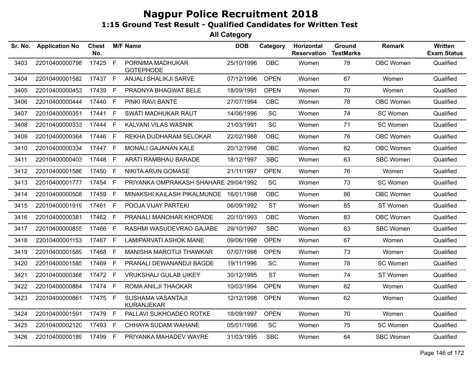| Sr. No. | <b>Application No</b> | <b>Chest</b><br>No. |     | <b>M/F Name</b>                        | <b>DOB</b> | Category    | Horizontal<br><b>Reservation</b> | Ground<br><b>TestMarks</b> | <b>Remark</b>    | Written<br><b>Exam Status</b> |
|---------|-----------------------|---------------------|-----|----------------------------------------|------------|-------------|----------------------------------|----------------------------|------------------|-------------------------------|
| 3403    | 22010400000798        | 17425 F             |     | PORNIMA MADHUKAR<br><b>GOTEPHODE</b>   | 25/10/1996 | OBC         | Women                            | 78                         | OBC Women        | Qualified                     |
| 3404    | 22010400001582        | 17437 F             |     | ANJALI SHALIKJI SARVE                  | 07/12/1996 | <b>OPEN</b> | Women                            | 67                         | Women            | Qualified                     |
| 3405    | 22010400000453        | 17439               | - F | PRADNYA BHAGWAT BELE                   | 18/09/1991 | <b>OPEN</b> | Women                            | 70                         | Women            | Qualified                     |
| 3406    | 22010400000444        | 17440 F             |     | PINKI RAVI BANTE                       | 27/07/1994 | <b>OBC</b>  | Women                            | 78                         | OBC Women        | Qualified                     |
| 3407    | 22010400000351        | 17441 F             |     | SWATI MADHUKAR RAUT                    | 14/06/1996 | SC          | Women                            | 74                         | SC Women         | Qualified                     |
| 3408    | 22010400000333        | 17444               | E   | KALYANI VILAS WASNIK                   | 21/03/1991 | SC          | Women                            | 71                         | SC Women         | Qualified                     |
| 3409    | 22010400000364        | 17446               | F   | REKHA DUDHARAM SELOKAR                 | 22/02/1988 | <b>OBC</b>  | Women                            | 76                         | <b>OBC Women</b> | Qualified                     |
| 3410    | 22010400000334        | 17447 F             |     | MONALI GAJANAN KALE                    | 20/12/1998 | <b>OBC</b>  | Women                            | 82                         | <b>OBC Women</b> | Qualified                     |
| 3411    | 22010400000403        | 17448               | F   | ARATI RAMBHAU BARADE                   | 18/12/1997 | <b>SBC</b>  | Women                            | 63                         | <b>SBC Women</b> | Qualified                     |
| 3412    | 22010400001586        | 17450 F             |     | NIKITA ARUN GOMASE                     | 21/11/1997 | <b>OPEN</b> | Women                            | 76                         | Women            | Qualified                     |
| 3413    | 22010400001777        | 17454 F             |     | PRIYANKA OMPRAKASH SHAHARE 29/04/1992  |            | SC          | Women                            | 73                         | SC Women         | Qualified                     |
| 3414    | 22010400000508        | 17459               | E   | MINAKSHI KAILASH PIKALMUNDE 16/01/1998 |            | <b>OBC</b>  | Women                            | 86                         | <b>OBC Women</b> | Qualified                     |
| 3415    | 22010400001919        | 17461 F             |     | POOJA VIJAY PARTEKI                    | 06/09/1992 | <b>ST</b>   | Women                            | 85                         | ST Women         | Qualified                     |
| 3416    | 22010400000381        | 17462 F             |     | PRANALI MANOHAR KHOPADE                | 20/10/1993 | <b>OBC</b>  | Women                            | 83                         | <b>OBC Women</b> | Qualified                     |
| 3417    | 22010400000855        | 17466               | F   | RASHMI WASUDEVRAO GAJABE               | 29/10/1997 | <b>SBC</b>  | Women                            | 63                         | <b>SBC Women</b> | Qualified                     |
| 3418    | 22010400001153        | 17467 F             |     | <b>LAMIPARVATI ASHOK MANE</b>          | 09/06/1998 | <b>OPEN</b> | Women                            | 67                         | Women            | Qualified                     |
| 3419    | 22010400001589        | 17468 F             |     | MANISHA MAROTIJI THAWKAR               | 07/07/1998 | <b>OPEN</b> | Women                            | 73                         | Women            | Qualified                     |
| 3420    | 22010400001585        | 17469               | -F  | PRANALI DEWANANDJI BAGDE               | 19/11/1996 | <b>SC</b>   | Women                            | 78                         | SC Women         | Qualified                     |
| 3421    | 22010400000368        | 17472 F             |     | <b>VRUKSHALI GULAB UIKEY</b>           | 30/12/1995 | <b>ST</b>   | Women                            | 74                         | ST Women         | Qualified                     |
| 3422    | 22010400000864        | 17474 F             |     | ROMA ANILJI THAOKAR                    | 10/03/1994 | <b>OPEN</b> | Women                            | 62                         | Women            | Qualified                     |
| 3423    | 22010400000861        | 17475 F             |     | SUSHAMA VASANTAJI<br><b>KURANJEKAR</b> | 12/12/1998 | <b>OPEN</b> | Women                            | 62                         | Women            | Qualified                     |
| 3424    | 22010400001591        | 17479 F             |     | PALLAVI SUKHOADEO ROTKE                | 18/09/1997 | <b>OPEN</b> | Women                            | 70                         | Women            | Qualified                     |
| 3425    | 22010400002120        | 17493 F             |     | CHHAYA SUDAM WAHANE                    | 05/01/1998 | <b>SC</b>   | Women                            | 75                         | SC Women         | Qualified                     |
| 3426    | 22010400000189        | 17499 F             |     | PRIYANKA MAHADEV WAYRE                 | 31/03/1995 | <b>SBC</b>  | Women                            | 64                         | <b>SBC Women</b> | Qualified                     |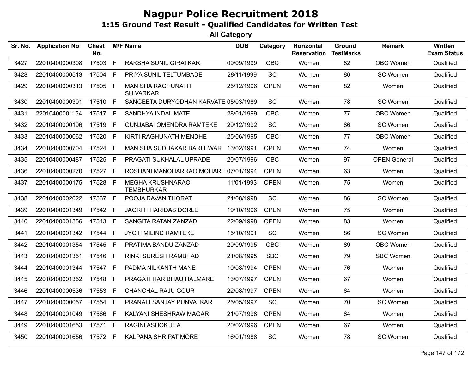| Sr. No. | <b>Application No</b> | <b>Chest</b><br>No. |              | <b>M/F Name</b>                              | <b>DOB</b> | Category    | Horizontal<br><b>Reservation</b> | Ground<br><b>TestMarks</b> | Remark              | Written<br><b>Exam Status</b> |
|---------|-----------------------|---------------------|--------------|----------------------------------------------|------------|-------------|----------------------------------|----------------------------|---------------------|-------------------------------|
| 3427    | 22010400000308        | 17503               | F            | RAKSHA SUNIL GIRATKAR                        | 09/09/1999 | <b>OBC</b>  | Women                            | 82                         | OBC Women           | Qualified                     |
| 3428    | 22010400000513        | 17504               | $\mathsf{F}$ | PRIYA SUNIL TELTUMBADE                       | 28/11/1999 | SC          | Women                            | 86                         | SC Women            | Qualified                     |
| 3429    | 22010400000313        | 17505 F             |              | MANISHA RAGHUNATH<br><b>SHIVARKAR</b>        | 25/12/1996 | <b>OPEN</b> | Women                            | 82                         | Women               | Qualified                     |
| 3430    | 22010400000301        | 17510 F             |              | SANGEETA DURYODHAN KARVATE 05/03/1989        |            | SC          | Women                            | 78                         | SC Women            | Qualified                     |
| 3431    | 22010400001164        | 17517 F             |              | SANDHYA INDAL MATE                           | 28/01/1999 | <b>OBC</b>  | Women                            | 77                         | <b>OBC Women</b>    | Qualified                     |
| 3432    | 22010400000196        | 17519 F             |              | <b>GUNJABAI OMENDRA RAMTEKE</b>              | 29/12/1992 | SC          | Women                            | 86                         | SC Women            | Qualified                     |
| 3433    | 22010400000062        | 17520               | F            | KIRTI RAGHUNATH MENDHE                       | 25/06/1995 | OBC         | Women                            | 77                         | <b>OBC Women</b>    | Qualified                     |
| 3434    | 22010400000704        | 17524 F             |              | MANISHA SUDHAKAR BARLEWAR                    | 13/02/1991 | <b>OPEN</b> | Women                            | 74                         | Women               | Qualified                     |
| 3435    | 22010400000487        | 17525 F             |              | PRAGATI SUKHALAL UPRADE                      | 20/07/1996 | OBC         | Women                            | 97                         | <b>OPEN General</b> | Qualified                     |
| 3436    | 22010400000270        | 17527 F             |              | ROSHANI MANOHARRAO MOHARE 07/01/1994         |            | <b>OPEN</b> | Women                            | 63                         | Women               | Qualified                     |
| 3437    | 22010400000175        | 17528 F             |              | <b>MEGHA KRUSHNARAO</b><br><b>TEMBHURKAR</b> | 11/01/1993 | <b>OPEN</b> | Women                            | 75                         | Women               | Qualified                     |
| 3438    | 22010400002022        | 17537 F             |              | POOJA RAVAN THORAT                           | 21/08/1998 | SC          | Women                            | 86                         | SC Women            | Qualified                     |
| 3439    | 22010400001349        | 17542 F             |              | <b>JAGRITI HARIDAS DORLE</b>                 | 19/10/1996 | <b>OPEN</b> | Women                            | 75                         | Women               | Qualified                     |
| 3440    | 22010400001356        | 17543 F             |              | <b>SANGITA RATAN ZANZAD</b>                  | 22/09/1998 | <b>OPEN</b> | Women                            | 83                         | Women               | Qualified                     |
| 3441    | 22010400001342        | 17544               | F            | JYOTI MILIND RAMTEKE                         | 15/10/1991 | <b>SC</b>   | Women                            | 86                         | SC Women            | Qualified                     |
| 3442    | 22010400001354        | 17545 F             |              | PRATIMA BANDU ZANZAD                         | 29/09/1995 | <b>OBC</b>  | Women                            | 89                         | <b>OBC Women</b>    | Qualified                     |
| 3443    | 22010400001351        | 17546 F             |              | <b>RINKI SURESH RAMBHAD</b>                  | 21/08/1995 | <b>SBC</b>  | Women                            | 79                         | <b>SBC Women</b>    | Qualified                     |
| 3444    | 22010400001344        | 17547 F             |              | PADMA NILKANTH MANE                          | 10/08/1994 | <b>OPEN</b> | Women                            | 76                         | Women               | Qualified                     |
| 3445    | 22010400001352        | 17548               | F            | PRAGATI HARIBHAU HALMARE                     | 13/07/1997 | <b>OPEN</b> | Women                            | 67                         | Women               | Qualified                     |
| 3446    | 22010400000536        | 17553 F             |              | <b>CHANCHAL RAJU GOUR</b>                    | 22/08/1997 | <b>OPEN</b> | Women                            | 64                         | Women               | Qualified                     |
| 3447    | 22010400000057        | 17554 F             |              | PRANALI SANJAY PUNVATKAR                     | 25/05/1997 | SC          | Women                            | 70                         | SC Women            | Qualified                     |
| 3448    | 22010400001049        | 17566               | F            | KALYANI SHESHRAW MAGAR                       | 21/07/1998 | <b>OPEN</b> | Women                            | 84                         | Women               | Qualified                     |
| 3449    | 22010400001653        | 17571 F             |              | RAGINI ASHOK JHA                             | 20/02/1996 | <b>OPEN</b> | Women                            | 67                         | Women               | Qualified                     |
| 3450    | 22010400001656        | 17572 F             |              | KALPANA SHRIPAT MORE                         | 16/01/1988 | SC          | Women                            | 78                         | SC Women            | Qualified                     |
|         |                       |                     |              |                                              |            |             |                                  |                            |                     |                               |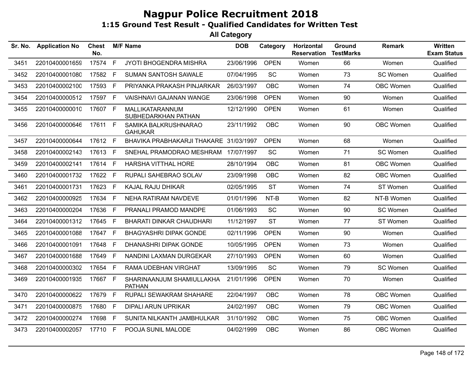| Sr. No. | <b>Application No</b> | <b>Chest</b><br>No. |              | <b>M/F Name</b>                            | <b>DOB</b> | Category    | Horizontal<br><b>Reservation</b> | Ground<br><b>TestMarks</b> | <b>Remark</b>    | <b>Written</b><br><b>Exam Status</b> |
|---------|-----------------------|---------------------|--------------|--------------------------------------------|------------|-------------|----------------------------------|----------------------------|------------------|--------------------------------------|
| 3451    | 22010400001659        | 17574               | F            | <b>JYOTI BHOGENDRA MISHRA</b>              | 23/06/1996 | <b>OPEN</b> | Women                            | 66                         | Women            | Qualified                            |
| 3452    | 22010400001080        | 17582               | $\mathsf{F}$ | SUMAN SANTOSH SAWALE                       | 07/04/1995 | <b>SC</b>   | Women                            | 73                         | SC Women         | Qualified                            |
| 3453    | 22010400002100        | 17593 F             |              | PRIYANKA PRAKASH PINJARKAR                 | 26/03/1997 | <b>OBC</b>  | Women                            | 74                         | <b>OBC Women</b> | Qualified                            |
| 3454    | 22010400000512        | 17597 F             |              | VAISHNAVI GAJANAN WANGE                    | 23/06/1998 | <b>OPEN</b> | Women                            | 90                         | Women            | Qualified                            |
| 3455    | 22010400000010        | 17607 F             |              | MALLIKATARANNUM<br>SUBHEDARKHAN PATHAN     | 12/12/1990 | <b>OPEN</b> | Women                            | 61                         | Women            | Qualified                            |
| 3456    | 22010400000646        | 17611 F             |              | SAMIKA BALKRUSHNARAO<br><b>GAHUKAR</b>     | 23/11/1992 | OBC         | Women                            | 90                         | <b>OBC Women</b> | Qualified                            |
| 3457    | 22010400000644        | 17612 F             |              | BHAVIKA PRABHAKARJI THAKARE 31/03/1997     |            | <b>OPEN</b> | Women                            | 68                         | Women            | Qualified                            |
| 3458    | 22010400002143        | 17613 F             |              | SNEHAL PRAMODRAO MESHRAM 17/07/1997        |            | SC          | Women                            | 71                         | SC Women         | Qualified                            |
| 3459    | 22010400002141        | 17614 F             |              | <b>HARSHA VITTHAL HORE</b>                 | 28/10/1994 | <b>OBC</b>  | Women                            | 81                         | <b>OBC Women</b> | Qualified                            |
| 3460    | 22010400001732        | 17622 F             |              | <b>RUPALI SAHEBRAO SOLAV</b>               | 23/09/1998 | <b>OBC</b>  | Women                            | 82                         | <b>OBC Women</b> | Qualified                            |
| 3461    | 22010400001731        | 17623 F             |              | <b>KAJAL RAJU DHIKAR</b>                   | 02/05/1995 | <b>ST</b>   | Women                            | 74                         | ST Women         | Qualified                            |
| 3462    | 22010400000925        | 17634 F             |              | NEHA RATIRAM NAVDEVE                       | 01/01/1996 | NT-B        | Women                            | 82                         | NT-B Women       | Qualified                            |
| 3463    | 22010400000204        | 17636 F             |              | PRANALI PRAMOD MANDPE                      | 01/06/1993 | SC          | Women                            | 90                         | SC Women         | Qualified                            |
| 3464    | 22010400001312        | 17645               | F            | <b>BHARATI DINKAR CHAUDHARI</b>            | 11/12/1997 | <b>ST</b>   | Women                            | 77                         | ST Women         | Qualified                            |
| 3465    | 22010400001088        | 17647 F             |              | <b>BHAGYASHRI DIPAK GONDE</b>              | 02/11/1996 | <b>OPEN</b> | Women                            | 90                         | Women            | Qualified                            |
| 3466    | 22010400001091        | 17648               | -F           | DHANASHRI DIPAK GONDE                      | 10/05/1995 | <b>OPEN</b> | Women                            | 73                         | Women            | Qualified                            |
| 3467    | 22010400001688        | 17649               | $\mathsf{F}$ | NANDINI LAXMAN DURGEKAR                    | 27/10/1993 | <b>OPEN</b> | Women                            | 60                         | Women            | Qualified                            |
| 3468    | 22010400000302        | 17654 F             |              | RAMA UDEBHAN VIRGHAT                       | 13/09/1995 | <b>SC</b>   | Women                            | 79                         | SC Women         | Qualified                            |
| 3469    | 22010400001935        | 17667 F             |              | SHARINAANJUM SHAMIULLAKHA<br><b>PATHAN</b> | 21/01/1996 | <b>OPEN</b> | Women                            | 70                         | Women            | Qualified                            |
| 3470    | 22010400000622        | 17679 F             |              | RUPALI SEWAKRAM SHAHARE                    | 22/04/1997 | <b>OBC</b>  | Women                            | 78                         | OBC Women        | Qualified                            |
| 3471    | 22010400000875        | 17680               | E            | <b>DIPALI ARUN UPRIKAR</b>                 | 24/02/1997 | <b>OBC</b>  | Women                            | 79                         | <b>OBC Women</b> | Qualified                            |
| 3472    | 22010400000274        | 17698               | F.           | SUNITA NILKANTH JAMBHULKAR                 | 31/10/1992 | <b>OBC</b>  | Women                            | 75                         | <b>OBC Women</b> | Qualified                            |
| 3473    | 22010400002057        | 17710 F             |              | POOJA SUNIL MALODE                         | 04/02/1999 | <b>OBC</b>  | Women                            | 86                         | <b>OBC Women</b> | Qualified                            |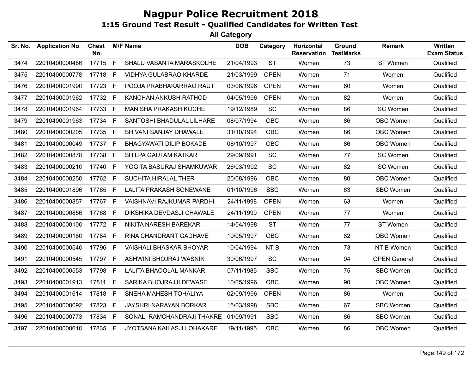| Sr. No. | <b>Application No</b> | <b>Chest</b><br>No. |              | <b>M/F Name</b>                  | <b>DOB</b> | Category    | Horizontal<br><b>Reservation</b> | Ground<br><b>TestMarks</b> | <b>Remark</b>       | <b>Written</b><br><b>Exam Status</b> |
|---------|-----------------------|---------------------|--------------|----------------------------------|------------|-------------|----------------------------------|----------------------------|---------------------|--------------------------------------|
| 3474    | 22010400000486        | 17715               | $\mathsf{F}$ | SHALU VASANTA MARASKOLHE         | 21/04/1993 | <b>ST</b>   | Women                            | 73                         | ST Women            | Qualified                            |
| 3475    | 22010400000778        | 17718 F             |              | VIDHYA GULABRAO KHARDE           | 21/03/1999 | <b>OPEN</b> | Women                            | 71                         | Women               | Qualified                            |
| 3476    | 22010400001990        | 17723 F             |              | POOJA PRABHAKARRAO RAUT          | 03/06/1996 | <b>OPEN</b> | Women                            | 60                         | Women               | Qualified                            |
| 3477    | 22010400001962        | 17732 F             |              | KANCHAN ANKUSH RATHOD            | 04/05/1996 | <b>OPEN</b> | Women                            | 82                         | Women               | Qualified                            |
| 3478    | 22010400001964        | 17733 F             |              | MANISHA PRAKASH KOCHE            | 19/12/1989 | SC          | Women                            | 86                         | SC Women            | Qualified                            |
| 3479    | 22010400001963        | 17734 F             |              | SANTOSHI BHADULAL LILHARE        | 08/07/1994 | OBC         | Women                            | 86                         | OBC Women           | Qualified                            |
| 3480    | 22010400000205        | 17735 F             |              | SHIVANI SANJAY DHAWALE           | 31/10/1994 | <b>OBC</b>  | Women                            | 86                         | OBC Women           | Qualified                            |
| 3481    | 22010400000049        | 17737 F             |              | BHAGYAWATI DILIP BOKADE          | 08/10/1997 | OBC         | Women                            | 86                         | OBC Women           | Qualified                            |
| 3482    | 22010400000878        | 17738               | $\mathsf{F}$ | SHILPA GAUTAM KATKAR             | 29/09/1991 | SC          | Women                            | 77                         | SC Women            | Qualified                            |
| 3483    | 22010400000210        | 17740 F             |              | YOGITA BASURAJ SHAMKUWAR         | 26/03/1992 | SC          | Women                            | 82                         | SC Women            | Qualified                            |
| 3484    | 22010400000250        | 17762 F             |              | SUCHITA HIRALAL THER             | 25/08/1996 | OBC         | Women                            | 80                         | OBC Women           | Qualified                            |
| 3485    | 22010400001896        | 17765 F             |              | <b>LALITA PRAKASH SONEWANE</b>   | 01/10/1996 | <b>SBC</b>  | Women                            | 63                         | <b>SBC Women</b>    | Qualified                            |
| 3486    | 22010400000857        | 17767 F             |              | <b>VAISHNAVI RAJKUMAR PARDHI</b> | 24/11/1998 | <b>OPEN</b> | Women                            | 63                         | Women               | Qualified                            |
| 3487    | 22010400000856        | 17768               | -F           | DIKSHIKA DEVDASJI CHAWALE        | 24/11/1999 | <b>OPEN</b> | Women                            | 77                         | Women               | Qualified                            |
| 3488    | 22010400000100        | 17772 F             |              | NIKITA NARESH BAREKAR            | 14/04/1998 | <b>ST</b>   | Women                            | 77                         | ST Women            | Qualified                            |
| 3489    | 22010400000180        | 17784               | -F           | RINA CHANDRANT GADHAVE           | 19/05/1997 | OBC         | Women                            | 82                         | OBC Women           | Qualified                            |
| 3490    | 22010400000540        | 17796 F             |              | <b>VAISHALI BHASKAR BHOYAR</b>   | 10/04/1994 | $NT-B$      | Women                            | 73                         | NT-B Women          | Qualified                            |
| 3491    | 22010400000545        | 17797 F             |              | ASHWINI BHOJRAJ WASNIK           | 30/06/1997 | SC          | Women                            | 94                         | <b>OPEN General</b> | Qualified                            |
| 3492    | 22010400000553        | 17798               | $\mathsf{F}$ | LALITA BHAOOLAL MANKAR           | 07/11/1985 | <b>SBC</b>  | Women                            | 75                         | <b>SBC Women</b>    | Qualified                            |
| 3493    | 22010400001913        | 17811 F             |              | SARIKA BHOJRAJJI DEWASE          | 10/05/1996 | <b>OBC</b>  | Women                            | 90                         | OBC Women           | Qualified                            |
| 3494    | 22010400001614        | 17818 F             |              | SNEHA MAHESH TOHALIYA            | 02/09/1996 | <b>OPEN</b> | Women                            | 86                         | Women               | Qualified                            |
| 3495    | 22010400000092        | 17823 F             |              | JAYSHRI NARAYAN BORKAR           | 15/03/1998 | <b>SBC</b>  | Women                            | 67                         | <b>SBC Women</b>    | Qualified                            |
| 3496    | 22010400000773        | 17834 F             |              | SONALI RAMCHANDRAJI THAKRE       | 01/09/1991 | <b>SBC</b>  | Women                            | 86                         | <b>SBC Women</b>    | Qualified                            |
| 3497    | 22010400000610        | 17835 F             |              | JYOTSANA KAILASJI LOHAKARE       | 19/11/1995 | OBC         | Women                            | 86                         | OBC Women           | Qualified                            |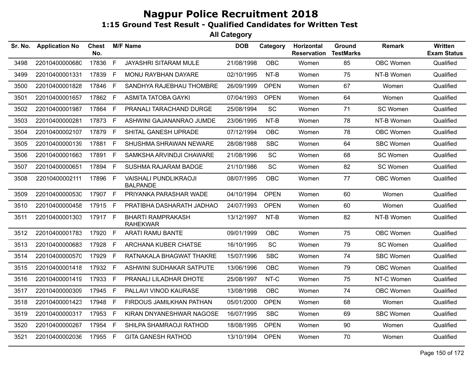| Sr. No. | <b>Application No</b> | <b>Chest</b><br>No. |              | <b>M/F Name</b>                                 | <b>DOB</b> | Category    | Horizontal<br><b>Reservation</b> | Ground<br><b>TestMarks</b> | <b>Remark</b>    | Written<br><b>Exam Status</b> |
|---------|-----------------------|---------------------|--------------|-------------------------------------------------|------------|-------------|----------------------------------|----------------------------|------------------|-------------------------------|
| 3498    | 22010400000680        | 17836               | F            | <b>JAYASHRI SITARAM MULE</b>                    | 21/08/1998 | <b>OBC</b>  | Women                            | 85                         | OBC Women        | Qualified                     |
| 3499    | 22010400001331        | 17839               | $\mathsf{F}$ | MONU RAYBHAN DAYARE                             | 02/10/1995 | NT-B        | Women                            | 75                         | NT-B Women       | Qualified                     |
| 3500    | 22010400001828        | 17846               | F            | SANDHYA RAJEBHAU THOMBRE                        | 26/09/1999 | <b>OPEN</b> | Women                            | 67                         | Women            | Qualified                     |
| 3501    | 22010400001657        | 17862 F             |              | <b>ASMITA TATOBA GAYKI</b>                      | 07/04/1993 | <b>OPEN</b> | Women                            | 64                         | Women            | Qualified                     |
| 3502    | 22010400001987        | 17864 F             |              | PRANALI TARACHAND DURGE                         | 25/08/1994 | <b>SC</b>   | Women                            | 71                         | SC Women         | Qualified                     |
| 3503    | 22010400000281        | 17873               | F            | ASHWINI GAJANANRAO JUMDE                        | 23/06/1995 | NT-B        | Women                            | 78                         | NT-B Women       | Qualified                     |
| 3504    | 22010400002107        | 17879 F             |              | SHITAL GANESH UPRADE                            | 07/12/1994 | OBC         | Women                            | 78                         | OBC Women        | Qualified                     |
| 3505    | 22010400000139        | 17881               | F            | SHUSHMA SHRAWAN NEWARE                          | 28/08/1988 | <b>SBC</b>  | Women                            | 64                         | <b>SBC Women</b> | Qualified                     |
| 3506    | 22010400001663        | 17891 F             |              | SAMKSHA ARVINDJI CHAWARE                        | 21/08/1996 | SC          | Women                            | 68                         | SC Women         | Qualified                     |
| 3507    | 22010400000651        | 17894 F             |              | SUSHMA RAJARAM BADGE                            | 21/10/1986 | SC          | Women                            | 82                         | SC Women         | Qualified                     |
| 3508    | 22010400002111        | 17896               | F            | <b>VAISHALI PUNDLIKRAOJI</b><br><b>BALPANDE</b> | 08/07/1995 | OBC         | Women                            | 77                         | OBC Women        | Qualified                     |
| 3509    | 22010400000530        | 17907 F             |              | PRIYANKA PARASHAR WADE                          | 04/10/1994 | <b>OPEN</b> | Women                            | 60                         | Women            | Qualified                     |
| 3510    | 22010400000458        | 17915 F             |              | PRATIBHA DASHARATH JADHAO                       | 24/07/1993 | <b>OPEN</b> | Women                            | 60                         | Women            | Qualified                     |
| 3511    | 22010400001303        | 17917 F             |              | <b>BHARTI RAMPRAKASH</b><br><b>RAHEKWAR</b>     | 13/12/1997 | NT-B        | Women                            | 82                         | NT-B Women       | Qualified                     |
| 3512    | 22010400001783        | 17920 F             |              | <b>ARATI RAMU BANTE</b>                         | 09/01/1999 | OBC         | Women                            | 75                         | <b>OBC Women</b> | Qualified                     |
| 3513    | 22010400000683        | 17928               | F            | ARCHANA KUBER CHATSE                            | 16/10/1995 | SC          | Women                            | 79                         | SC Women         | Qualified                     |
| 3514    | 22010400000570        | 17929               | $\mathsf{F}$ | RATNAKALA BHAGWAT THAKRE                        | 15/07/1996 | <b>SBC</b>  | Women                            | 74                         | <b>SBC Women</b> | Qualified                     |
| 3515    | 22010400001418        | 17932               | F            | ASHWINI SUDHAKAR SATPUTE                        | 13/06/1996 | OBC         | Women                            | 79                         | OBC Women        | Qualified                     |
| 3516    | 22010400001419        | 17933 F             |              | PRANALI LILADHAR DHOTE                          | 25/08/1997 | NT-C        | Women                            | 75                         | NT-C Women       | Qualified                     |
| 3517    | 22010400000309        | 17945               | F            | PALLAVI VINOD KAURASE                           | 13/08/1998 | <b>OBC</b>  | Women                            | 74                         | OBC Women        | Qualified                     |
| 3518    | 22010400001423        | 17948               | E            | FIRDOUS JAMILKHAN PATHAN                        | 05/01/2000 | <b>OPEN</b> | Women                            | 68                         | Women            | Qualified                     |
| 3519    | 22010400000317        | 17953 F             |              | KIRAN DNYANESHWAR NAGOSE                        | 16/07/1995 | <b>SBC</b>  | Women                            | 69                         | <b>SBC Women</b> | Qualified                     |
| 3520    | 22010400000267        | 17954 F             |              | SHILPA SHAMRAOJI RATHOD                         | 18/08/1995 | <b>OPEN</b> | Women                            | 90                         | Women            | Qualified                     |
| 3521    | 22010400002036        | 17955 F             |              | <b>GITA GANESH RATHOD</b>                       | 13/10/1994 | <b>OPEN</b> | Women                            | 70                         | Women            | Qualified                     |
|         |                       |                     |              |                                                 |            |             |                                  |                            |                  |                               |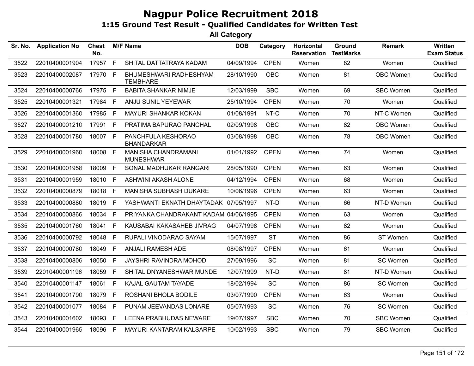| <b>Application No</b> | <b>Chest</b><br>No. |              |                                                                                                                                                                                | <b>DOB</b>      | Category                              | Horizontal<br><b>Reservation</b>                                                                                                                                                                                                                                                                                              | Ground<br><b>TestMarks</b> | Remark           | <b>Written</b><br><b>Exam Status</b> |
|-----------------------|---------------------|--------------|--------------------------------------------------------------------------------------------------------------------------------------------------------------------------------|-----------------|---------------------------------------|-------------------------------------------------------------------------------------------------------------------------------------------------------------------------------------------------------------------------------------------------------------------------------------------------------------------------------|----------------------------|------------------|--------------------------------------|
| 22010400001904        | 17957               |              | SHITAL DATTATRAYA KADAM                                                                                                                                                        |                 | <b>OPEN</b>                           | Women                                                                                                                                                                                                                                                                                                                         | 82                         | Women            | Qualified                            |
| 22010400002087        |                     |              | BHUMESHWARI RADHESHYAM<br><b>TEMBHARE</b>                                                                                                                                      |                 | <b>OBC</b>                            | Women                                                                                                                                                                                                                                                                                                                         | 81                         | OBC Women        | Qualified                            |
| 22010400000766        |                     |              | <b>BABITA SHANKAR NIMJE</b>                                                                                                                                                    |                 | <b>SBC</b>                            | Women                                                                                                                                                                                                                                                                                                                         | 69                         | SBC Women        | Qualified                            |
| 22010400001321        | 17984               | $\mathsf{F}$ | ANJU SUNIL YEYEWAR                                                                                                                                                             |                 | <b>OPEN</b>                           | Women                                                                                                                                                                                                                                                                                                                         | 70                         | Women            | Qualified                            |
| 22010400001360        | 17985               |              | <b>MAYURI SHANKAR KOKAN</b>                                                                                                                                                    | 01/08/1991      | NT-C                                  | Women                                                                                                                                                                                                                                                                                                                         | 70                         | NT-C Women       | Qualified                            |
| 22010400001210        |                     |              | PRATIMA BAPURAO PANCHAL                                                                                                                                                        |                 | <b>OBC</b>                            | Women                                                                                                                                                                                                                                                                                                                         | 82                         | OBC Women        | Qualified                            |
| 22010400001780        |                     |              | PANCHFULA KESHORAO<br><b>BHANDARKAR</b>                                                                                                                                        |                 | <b>OBC</b>                            | Women                                                                                                                                                                                                                                                                                                                         | 78                         | OBC Women        | Qualified                            |
| 22010400001960        |                     |              | <b>MANISHA CHANDRAMANI</b><br><b>MUNESHWAR</b>                                                                                                                                 |                 | <b>OPEN</b>                           | Women                                                                                                                                                                                                                                                                                                                         | 74                         | Women            | Qualified                            |
| 22010400001958        |                     |              | SONAL MADHUKAR RANGARI                                                                                                                                                         |                 | <b>OPEN</b>                           | Women                                                                                                                                                                                                                                                                                                                         | 63                         | Women            | Qualified                            |
| 22010400001959        |                     |              | ASHWINI AKASH ALONE                                                                                                                                                            |                 | <b>OPEN</b>                           | Women                                                                                                                                                                                                                                                                                                                         | 68                         | Women            | Qualified                            |
| 22010400000879        |                     |              | <b>MANISHA SUBHASH DUKARE</b>                                                                                                                                                  |                 | <b>OPEN</b>                           | Women                                                                                                                                                                                                                                                                                                                         | 63                         | Women            | Qualified                            |
| 22010400000880        |                     |              |                                                                                                                                                                                |                 | NT-D                                  | Women                                                                                                                                                                                                                                                                                                                         | 66                         | NT-D Women       | Qualified                            |
| 22010400000866        | 18034               |              |                                                                                                                                                                                |                 | <b>OPEN</b>                           | Women                                                                                                                                                                                                                                                                                                                         | 63                         | Women            | Qualified                            |
| 22010400001760        |                     |              | KAUSABAI KAKASAHEB JIVRAG                                                                                                                                                      |                 | <b>OPEN</b>                           | Women                                                                                                                                                                                                                                                                                                                         | 82                         | Women            | Qualified                            |
| 22010400000792        | 18048               | F            | RUPALI VINODARAO SAYAM                                                                                                                                                         |                 | <b>ST</b>                             | Women                                                                                                                                                                                                                                                                                                                         | 86                         | ST Women         | Qualified                            |
| 22010400000780        | 18049               |              | ANJALI RAMESH ADE                                                                                                                                                              |                 | <b>OPEN</b>                           | Women                                                                                                                                                                                                                                                                                                                         | 61                         | Women            | Qualified                            |
| 22010400000806        | 18050               | E            | JAYSHRI RAVINDRA MOHOD                                                                                                                                                         |                 | <b>SC</b>                             | Women                                                                                                                                                                                                                                                                                                                         | 81                         | SC Women         | Qualified                            |
| 22010400001196        |                     |              | SHITAL DNYANESHWAR MUNDE                                                                                                                                                       |                 | NT-D                                  | Women                                                                                                                                                                                                                                                                                                                         | 81                         | NT-D Women       | Qualified                            |
| 22010400001147        | 18061               |              | KAJAL GAUTAM TAYADE                                                                                                                                                            |                 | SC                                    | Women                                                                                                                                                                                                                                                                                                                         | 86                         | SC Women         | Qualified                            |
| 22010400001790        | 18079               |              | ROSHANI BHOLA BODILE                                                                                                                                                           |                 | <b>OPEN</b>                           | Women                                                                                                                                                                                                                                                                                                                         | 63                         | Women            | Qualified                            |
| 22010400001077        | 18084               | E            | PUNAM JEEVANDAS LONARE                                                                                                                                                         |                 | SC                                    | Women                                                                                                                                                                                                                                                                                                                         | 76                         | SC Women         | Qualified                            |
| 22010400001602        |                     |              | <b>LEENA PRABHUDAS NEWARE</b>                                                                                                                                                  |                 | <b>SBC</b>                            | Women                                                                                                                                                                                                                                                                                                                         | 70                         | <b>SBC Women</b> | Qualified                            |
| 22010400001965        | 18096               |              | MAYURI KANTARAM KALSARPE                                                                                                                                                       |                 | <b>SBC</b>                            | Women                                                                                                                                                                                                                                                                                                                         | 79                         | <b>SBC Women</b> | Qualified                            |
|                       |                     | 18041        | F<br>17970 F<br>17975 F<br>F<br>17991 F<br>18007 F<br>18008 F<br>18009 F<br>18010 F<br>F<br>18018<br>18019 F<br>F.<br>$\mathsf{F}$<br>F<br>18059 F<br>F<br>F<br>18093 F<br>- F | <b>M/F Name</b> | YASHWANTI EKNATH DHAYTADAK 07/05/1997 | 04/09/1994<br>28/10/1990<br>12/03/1999<br>25/10/1994<br>02/09/1998<br>03/08/1998<br>01/01/1992<br>28/05/1990<br>04/12/1994<br>10/06/1996<br>PRIYANKA CHANDRAKANT KADAM 04/06/1995<br>04/07/1998<br>15/07/1997<br>08/08/1997<br>27/09/1996<br>12/07/1999<br>18/02/1994<br>03/07/1990<br>05/07/1993<br>19/07/1997<br>10/02/1993 |                            |                  |                                      |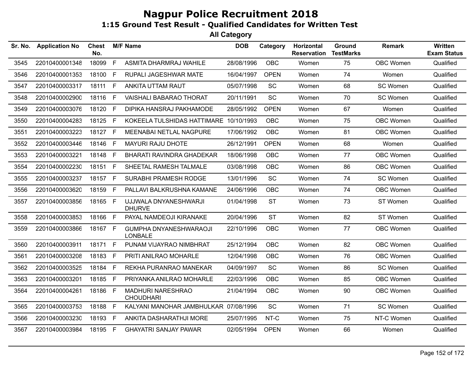| Sr. No. | <b>Application No</b> | Chest<br>No. |    | <b>M/F Name</b>                                 | <b>DOB</b> | Category    | Horizontal<br><b>Reservation</b> | Ground<br><b>TestMarks</b> | <b>Remark</b>    | Written<br><b>Exam Status</b> |
|---------|-----------------------|--------------|----|-------------------------------------------------|------------|-------------|----------------------------------|----------------------------|------------------|-------------------------------|
| 3545    | 22010400001348        | 18099        | F  | ASMITA DHARMRAJ WAHILE                          | 28/08/1996 | <b>OBC</b>  | Women                            | 75                         | OBC Women        | Qualified                     |
| 3546    | 22010400001353        | 18100        | F. | RUPALI JAGESHWAR MATE                           | 16/04/1997 | <b>OPEN</b> | Women                            | 74                         | Women            | Qualified                     |
| 3547    | 22010400003317        | 18111        | F. | ANKITA UTTAM RAUT                               | 05/07/1998 | SC          | Women                            | 68                         | SC Women         | Qualified                     |
| 3548    | 22010400002900        | 18116        | F. | <b>VAISHALI BABARAO THORAT</b>                  | 20/11/1991 | <b>SC</b>   | Women                            | 70                         | SC Women         | Qualified                     |
| 3549    | 22010400003076        | 18120        | F. | DIPIKA HANSRAJ PAKHAMODE                        | 28/05/1992 | <b>OPEN</b> | Women                            | 67                         | Women            | Qualified                     |
| 3550    | 22010400004283        | 18125 F      |    | KOKEELA TULSHIDAS HATTIMARE 10/10/1993          |            | <b>OBC</b>  | Women                            | 75                         | OBC Women        | Qualified                     |
| 3551    | 22010400003223        | 18127 F      |    | MEENABAI NETLAL NAGPURE                         | 17/06/1992 | <b>OBC</b>  | Women                            | 81                         | OBC Women        | Qualified                     |
| 3552    | 22010400003446        | 18146        | F. | <b>MAYURI RAJU DHOTE</b>                        | 26/12/1991 | <b>OPEN</b> | Women                            | 68                         | Women            | Qualified                     |
| 3553    | 22010400003221        | 18148        | F. | BHARATI RAVINDRA GHADEKAR                       | 18/06/1998 | <b>OBC</b>  | Women                            | 77                         | OBC Women        | Qualified                     |
| 3554    | 22010400002230        | 18151        | F. | SHEETAL RAMESH TALMALE                          | 03/08/1998 | <b>OBC</b>  | Women                            | 86                         | OBC Women        | Qualified                     |
| 3555    | 22010400003237        | 18157        | F. | SURABHI PRAMESH RODGE                           | 13/01/1996 | <b>SC</b>   | Women                            | 74                         | SC Women         | Qualified                     |
| 3556    | 22010400003620        | 18159        | F. | PALLAVI BALKRUSHNA KAMANE                       | 24/06/1996 | <b>OBC</b>  | Women                            | 74                         | OBC Women        | Qualified                     |
| 3557    | 22010400003856        | 18165 F      |    | UJJWALA DNYANESHWARJI<br><b>DHURVE</b>          | 01/04/1998 | <b>ST</b>   | Women                            | 73                         | ST Women         | Qualified                     |
| 3558    | 22010400003853        | 18166        | F  | PAYAL NAMDEOJI KIRANAKE                         | 20/04/1996 | <b>ST</b>   | Women                            | 82                         | ST Women         | Qualified                     |
| 3559    | 22010400003866        | 18167 F      |    | <b>GUMPHA DNYANESHWARAOJI</b><br><b>LONBALE</b> | 22/10/1996 | <b>OBC</b>  | Women                            | 77                         | OBC Women        | Qualified                     |
| 3560    | 22010400003911        | 18171        | F  | PUNAM VIJAYRAO NIMBHRAT                         | 25/12/1994 | <b>OBC</b>  | Women                            | 82                         | OBC Women        | Qualified                     |
| 3561    | 22010400003208        | 18183        | F  | PRITI ANILRAO MOHARLE                           | 12/04/1998 | <b>OBC</b>  | Women                            | 76                         | OBC Women        | Qualified                     |
| 3562    | 22010400003525        | 18184        | F. | REKHA PURANRAO MANEKAR                          | 04/09/1997 | <b>SC</b>   | Women                            | 86                         | SC Women         | Qualified                     |
| 3563    | 22010400003201        | 18185 F      |    | PRIYANKA ANILRAO MOHARLE                        | 22/03/1996 | <b>OBC</b>  | Women                            | 85                         | OBC Women        | Qualified                     |
| 3564    | 22010400004261        | 18186 F      |    | <b>MADHURI NARESHRAO</b><br><b>CHOUDHARI</b>    | 21/04/1994 | <b>OBC</b>  | Women                            | 90                         | <b>OBC Women</b> | Qualified                     |
| 3565    | 22010400003753        | 18188        | F  | KALYANI MANOHAR JAMBHULKAR 07/08/1996           |            | <b>SC</b>   | Women                            | 71                         | SC Women         | Qualified                     |
| 3566    | 22010400003230        | 18193 F      |    | ANKITA DASHARATHJI MORE                         | 25/07/1995 | NT-C        | Women                            | 75                         | NT-C Women       | Qualified                     |
| 3567    | 22010400003984        | 18195 F      |    | <b>GHAYATRI SANJAY PAWAR</b>                    | 02/05/1994 | <b>OPEN</b> | Women                            | 66                         | Women            | Qualified                     |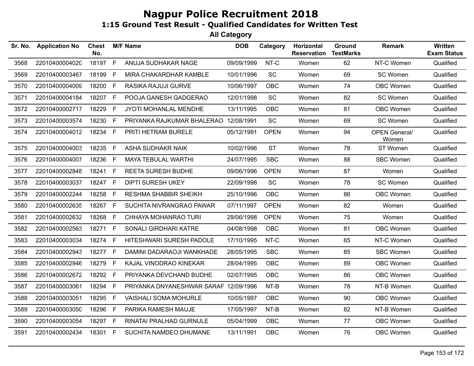| Sr. No. | <b>Application No</b> | <b>Chest</b><br>No. |    | <b>M/F Name</b>                       | <b>DOB</b> | Category    | Horizontal<br><b>Reservation</b> | Ground<br><b>TestMarks</b> | <b>Remark</b>                 | Written<br><b>Exam Status</b> |
|---------|-----------------------|---------------------|----|---------------------------------------|------------|-------------|----------------------------------|----------------------------|-------------------------------|-------------------------------|
| 3568    | 22010400004020        | 18197               | F  | ANUJA SUDHAKAR NAGE                   | 09/09/1999 | NT-C        | Women                            | 62                         | NT-C Women                    | Qualified                     |
| 3569    | 22010400003467        | 18199               | F  | MIRA CHAKARDHAR KAMBLE                | 10/01/1996 | <b>SC</b>   | Women                            | 69                         | SC Women                      | Qualified                     |
| 3570    | 22010400004009        | 18200               | F  | RASIKA RAJUJI GURVE                   | 10/06/1997 | <b>OBC</b>  | Women                            | 74                         | <b>OBC Women</b>              | Qualified                     |
| 3571    | 22010400004184        | 18207               | F. | POOJA GANESH GADGERAO                 | 12/01/1998 | <b>SC</b>   | Women                            | 82                         | SC Women                      | Qualified                     |
| 3572    | 22010400002717        | 18229               | F  | JYOTI MOHANLAL MENDHE                 | 13/11/1995 | <b>OBC</b>  | Women                            | 81                         | <b>OBC Women</b>              | Qualified                     |
| 3573    | 22010400003574        | 18230               | F. | PRIYANKA RAJKUMAR BHALERAO 12/08/1991 |            | SC          | Women                            | 69                         | SC Women                      | Qualified                     |
| 3574    | 22010400004012        | 18234               | F. | PRITI HETRAM BURELE                   | 05/12/1991 | <b>OPEN</b> | Women                            | 94                         | <b>OPEN General/</b><br>Women | Qualified                     |
| 3575    | 22010400004003        | 18235               | F  | ASHA SUDHAKR NAIK                     | 10/02/1996 | <b>ST</b>   | Women                            | 78                         | ST Women                      | Qualified                     |
| 3576    | 22010400004007        | 18236               | F. | <b>MAYA TEBULAL WARTHI</b>            | 24/07/1995 | <b>SBC</b>  | Women                            | 88                         | SBC Women                     | Qualified                     |
| 3577    | 22010400002848        | 18241               | F. | <b>REETA SURESH BUDHE</b>             | 09/06/1996 | <b>OPEN</b> | Women                            | 87                         | Women                         | Qualified                     |
| 3578    | 22010400003037        | 18247               | F  | <b>DIPTI SURESH UKEY</b>              | 22/09/1998 | <b>SC</b>   | Women                            | 78                         | SC Women                      | Qualified                     |
| 3579    | 22010400002244        | 18258               | F. | <b>RESHMA SHABBIR SHEIKH</b>          | 25/10/1996 | <b>OBC</b>  | Women                            | 86                         | OBC Women                     | Qualified                     |
| 3580    | 22010400002635        | 18267               | F  | SUCHITA NIVRANGRAO PAWAR              | 07/11/1997 | <b>OPEN</b> | Women                            | 82                         | Women                         | Qualified                     |
| 3581    | 22010400002632        | 18268               | F. | CHHAYA MOHANRAO TURI                  | 29/06/1998 | <b>OPEN</b> | Women                            | 75                         | Women                         | Qualified                     |
| 3582    | 22010400002563        | 18271               | F  | SONALI GIRDHARI KATRE                 | 04/08/1998 | OBC         | Women                            | 81                         | OBC Women                     | Qualified                     |
| 3583    | 22010400003034        | 18274               | F. | HITESHWARI SURESH PADOLE              | 17/10/1995 | NT-C        | Women                            | 65                         | NT-C Women                    | Qualified                     |
| 3584    | 22010400002943        | 18277               | F. | DAMINI DADARAOJI WANKHADE             | 28/05/1995 | <b>SBC</b>  | Women                            | 85                         | <b>SBC Women</b>              | Qualified                     |
| 3585    | 22010400002946        | 18279               | F. | KAJAL VINODRAO KINEKAR                | 28/04/1995 | <b>OBC</b>  | Women                            | 89                         | OBC Women                     | Qualified                     |
| 3586    | 22010400002672        | 18292               | F  | PRIYANKA DEVCHAND BUDHE               | 02/07/1995 | <b>OBC</b>  | Women                            | 86                         | OBC Women                     | Qualified                     |
| 3587    | 22010400003061        | 18294               | F. | PRIYANKA DNYANESHWAR SARAF 12/09/1996 |            | NT-B        | Women                            | 78                         | NT-B Women                    | Qualified                     |
| 3588    | 22010400003051        | 18295               | F  | <b>VAISHALI SOMA MOHURLE</b>          | 10/05/1997 | OBC         | Women                            | 90                         | OBC Women                     | Qualified                     |
| 3589    | 22010400003050        | 18296               | F  | PARIKA RAMESH MAUJE                   | 17/05/1997 | NT-B        | Women                            | 82                         | NT-B Women                    | Qualified                     |
| 3590    | 22010400003054        | 18297 F             |    | RINATAI PRALHAD GURNULE               | 05/04/1999 | OBC         | Women                            | 77                         | OBC Women                     | Qualified                     |
| 3591    | 22010400002434        | 18301 F             |    | SUCHITA NAMDEO DHUMANE                | 13/11/1991 | <b>OBC</b>  | Women                            | 76                         | OBC Women                     | Qualified                     |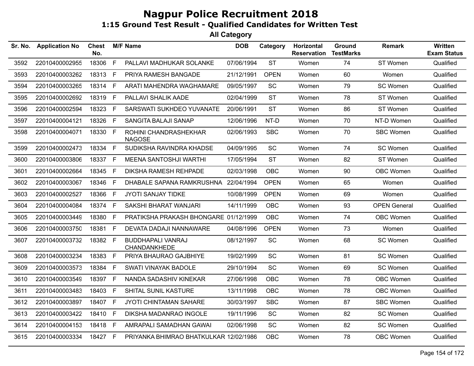| Sr. No. | <b>Application No</b> | <b>Chest</b><br>No. |    | <b>M/F Name</b>                          | <b>DOB</b> | Category    | Horizontal<br><b>Reservation</b> | Ground<br><b>TestMarks</b> | <b>Remark</b>       | Written<br><b>Exam Status</b> |
|---------|-----------------------|---------------------|----|------------------------------------------|------------|-------------|----------------------------------|----------------------------|---------------------|-------------------------------|
| 3592    | 22010400002955        | 18306               | F  | PALLAVI MADHUKAR SOLANKE                 | 07/06/1994 | <b>ST</b>   | Women                            | 74                         | ST Women            | Qualified                     |
| 3593    | 22010400003262        | 18313               | E  | PRIYA RAMESH BANGADE                     | 21/12/1991 | <b>OPEN</b> | Women                            | 60                         | Women               | Qualified                     |
| 3594    | 22010400003265        | 18314 F             |    | ARATI MAHENDRA WAGHAMARE                 | 09/05/1997 | SC          | Women                            | 79                         | SC Women            | Qualified                     |
| 3595    | 22010400002692        | 18319               | F. | PALLAVI SHALIK AADE                      | 02/04/1999 | <b>ST</b>   | Women                            | 78                         | ST Women            | Qualified                     |
| 3596    | 22010400002594        | 18323               | F. | SARSWATI SUKHDEO YUVANATE                | 20/06/1991 | <b>ST</b>   | Women                            | 86                         | ST Women            | Qualified                     |
| 3597    | 22010400004121        | 18326               | F  | SANGITA BALAJI SANAP                     | 12/06/1996 | NT-D        | Women                            | 70                         | NT-D Women          | Qualified                     |
| 3598    | 22010400004071        | 18330               | F  | ROHINI CHANDRASHEKHAR<br><b>NAGOSE</b>   | 02/06/1993 | <b>SBC</b>  | Women                            | 70                         | <b>SBC Women</b>    | Qualified                     |
| 3599    | 22010400002473        | 18334               | F  | SUDIKSHA RAVINDRA KHADSE                 | 04/09/1995 | <b>SC</b>   | Women                            | 74                         | SC Women            | Qualified                     |
| 3600    | 22010400003806        | 18337               | F. | MEENA SANTOSHJI WARTHI                   | 17/05/1994 | <b>ST</b>   | Women                            | 82                         | ST Women            | Qualified                     |
| 3601    | 22010400002664        | 18345 F             |    | DIKSHA RAMESH REHPADE                    | 02/03/1998 | <b>OBC</b>  | Women                            | 90                         | OBC Women           | Qualified                     |
| 3602    | 22010400003067        | 18346               | F. | DHABALE SAPANA RAMKRUSHNA 22/04/1994     |            | <b>OPEN</b> | Women                            | 65                         | Women               | Qualified                     |
| 3603    | 22010400002527        | 18366               | F. | JYOTI SANJAY TIDKE                       | 10/08/1999 | <b>OPEN</b> | Women                            | 69                         | Women               | Qualified                     |
| 3604    | 22010400004084        | 18374               | F  | SAKSHI BHARAT WANJARI                    | 14/11/1999 | <b>OBC</b>  | Women                            | 93                         | <b>OPEN General</b> | Qualified                     |
| 3605    | 22010400003449        | 18380               | F. | PRATIKSHA PRAKASH BHONGARE 01/12/1999    |            | <b>OBC</b>  | Women                            | 74                         | OBC Women           | Qualified                     |
| 3606    | 22010400003750        | 18381               | F. | DEVATA DADAJI NANNAWARE                  | 04/08/1996 | <b>OPEN</b> | Women                            | 73                         | Women               | Qualified                     |
| 3607    | 22010400003732        | 18382 F             |    | <b>BUDDHAPALI VANRAJ</b><br>CHANDANKHEDE | 08/12/1997 | <b>SC</b>   | Women                            | 68                         | SC Women            | Qualified                     |
| 3608    | 22010400003234        | 18383               | F  | PRIYA BHAURAO GAJBHIYE                   | 19/02/1999 | SC          | Women                            | 81                         | SC Women            | Qualified                     |
| 3609    | 22010400003573        | 18384               | F. | SWATI VINAYAK BADOLE                     | 29/10/1994 | SC          | Women                            | 69                         | SC Women            | Qualified                     |
| 3610    | 22010400003549        | 18397               | F  | NANDA SADASHIV KINEKAR                   | 27/06/1998 | <b>OBC</b>  | Women                            | 78                         | <b>OBC Women</b>    | Qualified                     |
| 3611    | 22010400003483        | 18403               | F. | SHITAL SUNIL KASTURE                     | 13/11/1998 | OBC         | Women                            | 78                         | OBC Women           | Qualified                     |
| 3612    | 22010400003897        | 18407 F             |    | JYOTI CHINTAMAN SAHARE                   | 30/03/1997 | <b>SBC</b>  | Women                            | 87                         | <b>SBC Women</b>    | Qualified                     |
| 3613    | 22010400003422        | 18410               | F  | DIKSHA MADANRAO INGOLE                   | 19/11/1996 | SC          | Women                            | 82                         | SC Women            | Qualified                     |
| 3614    | 22010400004153        | 18418 F             |    | AMRAPALI SAMADHAN GAWAI                  | 02/06/1998 | SC          | Women                            | 82                         | SC Women            | Qualified                     |
| 3615    | 22010400003334        | 18427 F             |    | PRIYANKA BHIMRAO BHATKULKAR 12/02/1986   |            | <b>OBC</b>  | Women                            | 78                         | OBC Women           | Qualified                     |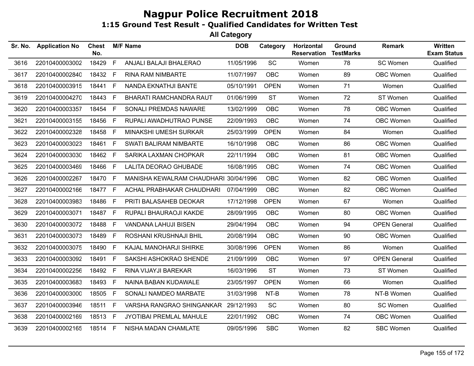| Sr. No. | <b>Application No</b> | <b>Chest</b><br>No. |    | <b>M/F Name</b>                       | <b>DOB</b> | Category    | Horizontal<br><b>Reservation</b> | Ground<br><b>TestMarks</b> | <b>Remark</b>       | <b>Written</b><br><b>Exam Status</b> |
|---------|-----------------------|---------------------|----|---------------------------------------|------------|-------------|----------------------------------|----------------------------|---------------------|--------------------------------------|
| 3616    | 22010400003002        | 18429               | F  | ANJALI BALAJI BHALERAO                | 11/05/1996 | SC          | Women                            | 78                         | SC Women            | Qualified                            |
| 3617    | 22010400002840        | 18432               | F. | <b>RINA RAM NIMBARTE</b>              | 11/07/1997 | <b>OBC</b>  | Women                            | 89                         | <b>OBC Women</b>    | Qualified                            |
| 3618    | 22010400003915        | 18441               | F. | NANDA EKNATHJI BANTE                  | 05/10/1991 | <b>OPEN</b> | Women                            | 71                         | Women               | Qualified                            |
| 3619    | 22010400004270        | 18443               | F. | <b>BHARATI RAMCHANDRA RAUT</b>        | 01/06/1999 | <b>ST</b>   | Women                            | 72                         | ST Women            | Qualified                            |
| 3620    | 22010400003357        | 18454               | F. | SONALI PREMDAS NAWARE                 | 13/02/1999 | <b>OBC</b>  | Women                            | 78                         | <b>OBC Women</b>    | Qualified                            |
| 3621    | 22010400003155        | 18456               | F. | RUPALI AWADHUTRAO PUNSE               | 22/09/1993 | OBC         | Women                            | 74                         | <b>OBC Women</b>    | Qualified                            |
| 3622    | 22010400002328        | 18458               | F  | MINAKSHI UMESH SURKAR                 | 25/03/1999 | <b>OPEN</b> | Women                            | 84                         | Women               | Qualified                            |
| 3623    | 22010400003023        | 18461               | F. | SWATI BALIRAM NIMBARTE                | 16/10/1998 | <b>OBC</b>  | Women                            | 86                         | <b>OBC Women</b>    | Qualified                            |
| 3624    | 22010400003030        | 18462 F             |    | SARIKA LAXMAN CHOPKAR                 | 22/11/1994 | <b>OBC</b>  | Women                            | 81                         | <b>OBC Women</b>    | Qualified                            |
| 3625    | 22010400003469        | 18466               | F  | <b>LALITA DEORAO GHUBADE</b>          | 16/08/1995 | <b>OBC</b>  | Women                            | 74                         | <b>OBC Women</b>    | Qualified                            |
| 3626    | 22010400002267        | 18470               | F. | MANISHA KEWALRAM CHAUDHARI 30/04/1996 |            | OBC         | Women                            | 82                         | <b>OBC Women</b>    | Qualified                            |
| 3627    | 22010400002166        | 18477 F             |    | ACHAL PRABHAKAR CHAUDHARI             | 07/04/1999 | <b>OBC</b>  | Women                            | 82                         | OBC Women           | Qualified                            |
| 3628    | 22010400003983        | 18486               | F. | PRITI BALASAHEB DEOKAR                | 17/12/1998 | <b>OPEN</b> | Women                            | 67                         | Women               | Qualified                            |
| 3629    | 22010400003071        | 18487               | F. | RUPALI BHAURAOJI KAKDE                | 28/09/1995 | <b>OBC</b>  | Women                            | 80                         | OBC Women           | Qualified                            |
| 3630    | 22010400003072        | 18488               | F. | VANDANA LAHUJI BISEN                  | 29/04/1994 | <b>OBC</b>  | Women                            | 94                         | <b>OPEN General</b> | Qualified                            |
| 3631    | 22010400003073        | 18489               | F. | ROSHANI KRUSHNAJI BHIL                | 20/08/1994 | <b>OBC</b>  | Women                            | 90                         | OBC Women           | Qualified                            |
| 3632    | 22010400003075        | 18490               | F. | KAJAL MANOHARJI SHIRKE                | 30/08/1996 | <b>OPEN</b> | Women                            | 86                         | Women               | Qualified                            |
| 3633    | 22010400003092        | 18491               | F. | SAKSHI ASHOKRAO SHENDE                | 21/09/1999 | <b>OBC</b>  | Women                            | 97                         | <b>OPEN General</b> | Qualified                            |
| 3634    | 22010400002256        | 18492               | F. | RINA VIJAYJI BAREKAR                  | 16/03/1996 | <b>ST</b>   | Women                            | 73                         | ST Women            | Qualified                            |
| 3635    | 22010400003683        | 18493               | F. | NAINA BABAN KUDAWALE                  | 23/05/1997 | <b>OPEN</b> | Women                            | 66                         | Women               | Qualified                            |
| 3636    | 22010400003000        | 18505               | F. | SONALI NAMDEO MARBATE                 | 31/03/1998 | NT-B        | Women                            | 78                         | NT-B Women          | Qualified                            |
| 3637    | 22010400003946        | 18511               | F  | VARSHA RANGRAO SHINGANKAR             | 29/12/1993 | <b>SC</b>   | Women                            | 80                         | SC Women            | Qualified                            |
| 3638    | 22010400002169        | 18513               | F. | JYOTIBAI PREMLAL MAHULE               | 22/01/1992 | <b>OBC</b>  | Women                            | 74                         | OBC Women           | Qualified                            |
| 3639    | 22010400002165        | 18514 F             |    | NISHA MADAN CHAMLATE                  | 09/05/1996 | <b>SBC</b>  | Women                            | 82                         | <b>SBC Women</b>    | Qualified                            |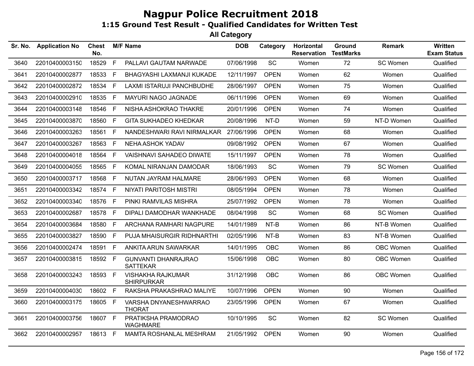| Sr. No. | <b>Application No</b> | <b>Chest</b><br>No. |              | <b>M/F Name</b>                               | <b>DOB</b> | Category    | Horizontal<br><b>Reservation</b> | Ground<br><b>TestMarks</b> | <b>Remark</b> | <b>Written</b><br><b>Exam Status</b> |
|---------|-----------------------|---------------------|--------------|-----------------------------------------------|------------|-------------|----------------------------------|----------------------------|---------------|--------------------------------------|
| 3640    | 22010400003150        | 18529               | F            | PALLAVI GAUTAM NARWADE                        | 07/06/1998 | SC          | Women                            | 72                         | SC Women      | Qualified                            |
| 3641    | 22010400002877        | 18533               | F            | BHAGYASHI LAXMANJI KUKADE                     | 12/11/1997 | <b>OPEN</b> | Women                            | 62                         | Women         | Qualified                            |
| 3642    | 22010400002872        | 18534               | E            | LAXMI ISTARUJI PANCHBUDHE                     | 28/06/1997 | <b>OPEN</b> | Women                            | 75                         | Women         | Qualified                            |
| 3643    | 22010400002910        | 18535 F             |              | MAYURI NAGO JAGNADE                           | 06/11/1996 | <b>OPEN</b> | Women                            | 69                         | Women         | Qualified                            |
| 3644    | 22010400003148        | 18546               | F            | NISHA ASHOKRAO THAKRE                         | 20/01/1996 | <b>OPEN</b> | Women                            | 74                         | Women         | Qualified                            |
| 3645    | 22010400003870        | 18560               | F.           | <b>GITA SUKHADEO KHEDKAR</b>                  | 20/08/1996 | NT-D        | Women                            | 59                         | NT-D Women    | Qualified                            |
| 3646    | 22010400003263        | 18561 F             |              | NANDESHWARI RAVI NIRMALKAR                    | 27/06/1996 | <b>OPEN</b> | Women                            | 68                         | Women         | Qualified                            |
| 3647    | 22010400003267        | 18563               | $\mathsf{F}$ | NEHA ASHOK YADAV                              | 09/08/1992 | <b>OPEN</b> | Women                            | 67                         | Women         | Qualified                            |
| 3648    | 22010400004018        | 18564               | F.           | <b>VAISHNAVI SAHADEO DIWATE</b>               | 15/11/1997 | <b>OPEN</b> | Women                            | 78                         | Women         | Qualified                            |
| 3649    | 22010400004055        | 18565               | F            | KOMAL NIRANJAN DAMODAR                        | 18/06/1993 | <b>SC</b>   | Women                            | 79                         | SC Women      | Qualified                            |
| 3650    | 22010400003717        | 18568 F             |              | NUTAN JAYRAM HALMARE                          | 28/06/1993 | <b>OPEN</b> | Women                            | 68                         | Women         | Qualified                            |
| 3651    | 22010400003342        | 18574               | -F           | <b>NIYATI PARITOSH MISTRI</b>                 | 08/05/1994 | <b>OPEN</b> | Women                            | 78                         | Women         | Qualified                            |
| 3652    | 22010400003340        | 18576               | F            | PINKI RAMVILAS MISHRA                         | 25/07/1992 | <b>OPEN</b> | Women                            | 78                         | Women         | Qualified                            |
| 3653    | 22010400002687        | 18578 F             |              | DIPALI DAMODHAR WANKHADE                      | 08/04/1998 | SC          | Women                            | 68                         | SC Women      | Qualified                            |
| 3654    | 22010400003684        | 18580 F             |              | ARCHANA RAMHARI NAGPURE                       | 14/01/1989 | $NT-B$      | Women                            | 86                         | NT-B Women    | Qualified                            |
| 3655    | 22010400003827        | 18590 F             |              | <b>PUJA MHAISURGIR RIDHNARTHI</b>             | 02/05/1996 | NT-B        | Women                            | 83                         | NT-B Women    | Qualified                            |
| 3656    | 22010400002474        | 18591               | - F          | ANKITA ARUN SAWARKAR                          | 14/01/1995 | <b>OBC</b>  | Women                            | 86                         | OBC Women     | Qualified                            |
| 3657    | 22010400003815        | 18592 F             |              | <b>GUNVANTI DHANRAJRAO</b><br><b>SATTEKAR</b> | 15/06/1998 | <b>OBC</b>  | Women                            | 80                         | OBC Women     | Qualified                            |
| 3658    | 22010400003243        | 18593 F             |              | <b>VISHAKHA RAJKUMAR</b><br><b>SHIRPURKAR</b> | 31/12/1998 | <b>OBC</b>  | Women                            | 86                         | OBC Women     | Qualified                            |
| 3659    | 22010400004030        | 18602 F             |              | RAKSHA PRAKASHRAO MALIYE                      | 10/07/1996 | <b>OPEN</b> | Women                            | 90                         | Women         | Qualified                            |
| 3660    | 22010400003175        | 18605 F             |              | VARSHA DNYANESHWARRAO<br><b>THORAT</b>        | 23/05/1996 | <b>OPEN</b> | Women                            | 67                         | Women         | Qualified                            |
| 3661    | 22010400003756        | 18607 F             |              | PRATIKSHA PRAMODRAO<br><b>WAGHMARE</b>        | 10/10/1995 | SC          | Women                            | 82                         | SC Women      | Qualified                            |
| 3662    | 22010400002957        | 18613 F             |              | <b>MAMTA ROSHANLAL MESHRAM</b>                | 21/05/1992 | <b>OPEN</b> | Women                            | 90                         | Women         | Qualified                            |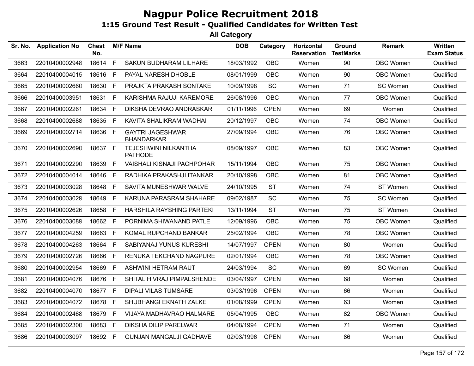| Sr. No. | <b>Application No</b> | <b>Chest</b><br>No. |     | <b>M/F Name</b>                              | <b>DOB</b> | Category    | Horizontal<br><b>Reservation</b> | Ground<br><b>TestMarks</b> | <b>Remark</b> | <b>Written</b><br><b>Exam Status</b> |
|---------|-----------------------|---------------------|-----|----------------------------------------------|------------|-------------|----------------------------------|----------------------------|---------------|--------------------------------------|
| 3663    | 22010400002948        | 18614               | F   | SAKUN BUDHARAM LILHARE                       | 18/03/1992 | OBC         | Women                            | 90                         | OBC Women     | Qualified                            |
| 3664    | 22010400004015        | 18616               | - F | PAYAL NARESH DHOBLE                          | 08/01/1999 | <b>OBC</b>  | Women                            | 90                         | OBC Women     | Qualified                            |
| 3665    | 22010400002660        | 18630 F             |     | PRAJKTA PRAKASH SONTAKE                      | 10/09/1998 | SC          | Women                            | 71                         | SC Women      | Qualified                            |
| 3666    | 22010400003951        | 18631 F             |     | KARISHMA RAJUJI KAREMORE                     | 26/08/1996 | OBC         | Women                            | 77                         | OBC Women     | Qualified                            |
| 3667    | 22010400002261        | 18634               | F   | DIKSHA DEVRAO ANDRASKAR                      | 01/11/1996 | <b>OPEN</b> | Women                            | 69                         | Women         | Qualified                            |
| 3668    | 22010400002688        | 18635 F             |     | KAVITA SHALIKRAM WADHAI                      | 20/12/1997 | <b>OBC</b>  | Women                            | 74                         | OBC Women     | Qualified                            |
| 3669    | 22010400002714        | 18636 F             |     | <b>GAYTRI JAGESHWAR</b><br><b>BHANDARKAR</b> | 27/09/1994 | <b>OBC</b>  | Women                            | 76                         | OBC Women     | Qualified                            |
| 3670    | 22010400002690        | 18637 F             |     | TEJESHWINI NILKANTHA<br><b>PATHODE</b>       | 08/09/1997 | <b>OBC</b>  | Women                            | 83                         | OBC Women     | Qualified                            |
| 3671    | 22010400002290        | 18639               | F   | <b>VAISHALI KISNAJI PACHPOHAR</b>            | 15/11/1994 | <b>OBC</b>  | Women                            | 75                         | OBC Women     | Qualified                            |
| 3672    | 22010400004014        | 18646               | F   | RADHIKA PRAKASHJI ITANKAR                    | 20/10/1998 | <b>OBC</b>  | Women                            | 81                         | OBC Women     | Qualified                            |
| 3673    | 22010400003028        | 18648               | -F  | SAVITA MUNESHWAR WALVE                       | 24/10/1995 | <b>ST</b>   | Women                            | 74                         | ST Women      | Qualified                            |
| 3674    | 22010400003029        | 18649 F             |     | KARUNA PARASRAM SHAHARE                      | 09/02/1987 | <b>SC</b>   | Women                            | 75                         | SC Women      | Qualified                            |
| 3675    | 22010400002626        | 18658               | E   | HARSHILA RAYSHING PARTEKI                    | 13/11/1994 | <b>ST</b>   | Women                            | 75                         | ST Women      | Qualified                            |
| 3676    | 22010400003089        | 18662 F             |     | PORNIMA SHIWANAND PATLE                      | 12/09/1996 | <b>OBC</b>  | Women                            | 75                         | OBC Women     | Qualified                            |
| 3677    | 22010400004259        | 18663 F             |     | KOMAL RUPCHAND BANKAR                        | 25/02/1994 | <b>OBC</b>  | Women                            | 78                         | OBC Women     | Qualified                            |
| 3678    | 22010400004263        | 18664               | F.  | SABIYANAJ YUNUS KURESHI                      | 14/07/1997 | <b>OPEN</b> | Women                            | 80                         | Women         | Qualified                            |
| 3679    | 22010400002726        | 18666 F             |     | RENUKA TEKCHAND NAGPURE                      | 02/01/1994 | <b>OBC</b>  | Women                            | 78                         | OBC Women     | Qualified                            |
| 3680    | 22010400002954        | 18669 F             |     | ASHWINI HETRAM RAUT                          | 24/03/1994 | SC          | Women                            | 69                         | SC Women      | Qualified                            |
| 3681    | 22010400004076        | 18676               | F   | SHITAL HIVRAJ PIMPALSHENDE                   | 03/04/1997 | <b>OPEN</b> | Women                            | 68                         | Women         | Qualified                            |
| 3682    | 22010400004070        | 18677 F             |     | <b>DIPALI VILAS TUMSARE</b>                  | 03/03/1996 | <b>OPEN</b> | Women                            | 66                         | Women         | Qualified                            |
| 3683    | 22010400004072        | 18678 F             |     | SHUBHANGI EKNATH ZALKE                       | 01/08/1999 | <b>OPEN</b> | Women                            | 63                         | Women         | Qualified                            |
| 3684    | 22010400002468        | 18679               | F   | VIJAYA MADHAVRAO HALMARE                     | 05/04/1995 | <b>OBC</b>  | Women                            | 82                         | OBC Women     | Qualified                            |
| 3685    | 22010400002300        | 18683 F             |     | <b>DIKSHA DILIP PARELWAR</b>                 | 04/08/1994 | <b>OPEN</b> | Women                            | 71                         | Women         | Qualified                            |
| 3686    | 22010400003097        | 18692 F             |     | <b>GUNJAN MANGALJI GADHAVE</b>               | 02/03/1996 | <b>OPEN</b> | Women                            | 86                         | Women         | Qualified                            |
|         |                       |                     |     |                                              |            |             |                                  |                            |               |                                      |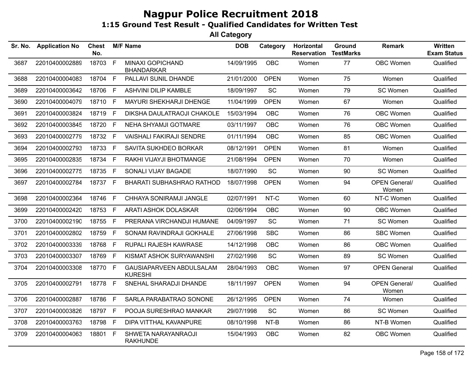| Sr. No. | <b>Application No</b> | <b>Chest</b><br>No. |              | <b>M/F Name</b>                            | <b>DOB</b> | Category    | Horizontal<br><b>Reservation</b> | Ground<br><b>TestMarks</b> | <b>Remark</b>                 | Written<br><b>Exam Status</b> |
|---------|-----------------------|---------------------|--------------|--------------------------------------------|------------|-------------|----------------------------------|----------------------------|-------------------------------|-------------------------------|
| 3687    | 22010400002889        | 18703               | F            | MINAXI GOPICHAND<br><b>BHANDARKAR</b>      | 14/09/1995 | <b>OBC</b>  | Women                            | 77                         | OBC Women                     | Qualified                     |
| 3688    | 22010400004083        | 18704               | $\mathsf F$  | PALLAVI SUNIL DHANDE                       | 21/01/2000 | <b>OPEN</b> | Women                            | 75                         | Women                         | Qualified                     |
| 3689    | 22010400003642        | 18706               | -F           | <b>ASHVINI DILIP KAMBLE</b>                | 18/09/1997 | <b>SC</b>   | Women                            | 79                         | SC Women                      | Qualified                     |
| 3690    | 22010400004079        | 18710 F             |              | MAYURI SHEKHARJI DHENGE                    | 11/04/1999 | <b>OPEN</b> | Women                            | 67                         | Women                         | Qualified                     |
| 3691    | 22010400003824        | 18719               | $\mathsf F$  | DIKSHA DAULATRAOJI CHAKOLE                 | 15/03/1994 | OBC         | Women                            | 76                         | OBC Women                     | Qualified                     |
| 3692    | 22010400003845        | 18720 F             |              | NEHA SHYAMJI GOTMARE                       | 03/11/1997 | <b>OBC</b>  | Women                            | 76                         | OBC Women                     | Qualified                     |
| 3693    | 22010400002779        | 18732 F             |              | <b>VAISHALI FAKIRAJI SENDRE</b>            | 01/11/1994 | <b>OBC</b>  | Women                            | 85                         | OBC Women                     | Qualified                     |
| 3694    | 22010400002793        | 18733               | $\mathsf{F}$ | SAVITA SUKHDEO BORKAR                      | 08/12/1991 | <b>OPEN</b> | Women                            | 81                         | Women                         | Qualified                     |
| 3695    | 22010400002835        | 18734 F             |              | RAKHI VIJAYJI BHOTMANGE                    | 21/08/1994 | <b>OPEN</b> | Women                            | 70                         | Women                         | Qualified                     |
| 3696    | 22010400002775        | 18735               | E            | SONALI VIJAY BAGADE                        | 18/07/1990 | SC          | Women                            | 90                         | SC Women                      | Qualified                     |
| 3697    | 22010400002784        | 18737 F             |              | BHARATI SUBHASHRAO RATHOD                  | 18/07/1998 | <b>OPEN</b> | Women                            | 94                         | <b>OPEN General/</b><br>Women | Qualified                     |
| 3698    | 22010400002364        | 18746 F             |              | CHHAYA SONIRAMJI JANGLE                    | 02/07/1991 | NT-C        | Women                            | 60                         | NT-C Women                    | Qualified                     |
| 3699    | 22010400002420        | 18753               | F            | ARATI ASHOK DOLASKAR                       | 02/06/1994 | <b>OBC</b>  | Women                            | 90                         | OBC Women                     | Qualified                     |
| 3700    | 22010400002190        | 18755 F             |              | PRERANA VIRCHANDJI HUMANE                  | 04/09/1997 | SC          | Women                            | 71                         | SC Women                      | Qualified                     |
| 3701    | 22010400002802        | 18759               | $\mathsf{F}$ | SONAM RAVINDRAJI GOKHALE                   | 27/06/1998 | <b>SBC</b>  | Women                            | 86                         | <b>SBC Women</b>              | Qualified                     |
| 3702    | 22010400003339        | 18768               | $\mathsf F$  | RUPALI RAJESH KAWRASE                      | 14/12/1998 | <b>OBC</b>  | Women                            | 86                         | OBC Women                     | Qualified                     |
| 3703    | 22010400003307        | 18769               | -F           | KISMAT ASHOK SURYAWANSHI                   | 27/02/1998 | SC          | Women                            | 89                         | SC Women                      | Qualified                     |
| 3704    | 22010400003308        | 18770 F             |              | GAUSIAPARVEEN ABDULSALAM<br><b>KURESHI</b> | 28/04/1993 | OBC         | Women                            | 97                         | <b>OPEN General</b>           | Qualified                     |
| 3705    | 22010400002791        | 18778 F             |              | SNEHAL SHARADJI DHANDE                     | 18/11/1997 | <b>OPEN</b> | Women                            | 94                         | <b>OPEN General/</b><br>Women | Qualified                     |
| 3706    | 22010400002887        | 18786               | $\mathsf{F}$ | SARLA PARABATRAO SONONE                    | 26/12/1995 | <b>OPEN</b> | Women                            | 74                         | Women                         | Qualified                     |
| 3707    | 22010400003826        | 18797 F             |              | POOJA SURESHRAO MANKAR                     | 29/07/1998 | SC          | Women                            | 86                         | SC Women                      | Qualified                     |
| 3708    | 22010400003763        | 18798               | -F           | DIPA VITTHAL KAVANPURE                     | 08/10/1998 | NT-B        | Women                            | 86                         | NT-B Women                    | Qualified                     |
| 3709    | 22010400004063        | 18801               | F            | SHWETA NARAYANRAOJI<br><b>RAKHUNDE</b>     | 15/04/1993 | <b>OBC</b>  | Women                            | 82                         | OBC Women                     | Qualified                     |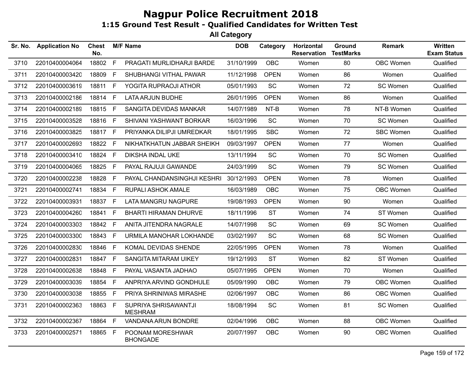| Sr. No. | <b>Application No</b> | <b>Chest</b><br>No. |              | <b>M/F Name</b>                        | <b>DOB</b> | Category    | <b>Horizontal</b><br><b>Reservation</b> | Ground<br><b>TestMarks</b> | <b>Remark</b>    | <b>Written</b><br><b>Exam Status</b> |
|---------|-----------------------|---------------------|--------------|----------------------------------------|------------|-------------|-----------------------------------------|----------------------------|------------------|--------------------------------------|
| 3710    | 22010400004064        | 18802               | F            | PRAGATI MURLIDHARJI BARDE              | 31/10/1999 | <b>OBC</b>  | Women                                   | 80                         | OBC Women        | Qualified                            |
| 3711    | 22010400003420        | 18809               | E            | SHUBHANGI VITHAL PAWAR                 | 11/12/1998 | <b>OPEN</b> | Women                                   | 86                         | Women            | Qualified                            |
| 3712    | 22010400003619        | 18811               | - F          | YOGITA RUPRAOJI ATHOR                  | 05/01/1993 | <b>SC</b>   | Women                                   | 72                         | SC Women         | Qualified                            |
| 3713    | 22010400002186        | 18814 F             |              | <b>LATA ARJUN BUDHE</b>                | 26/01/1995 | <b>OPEN</b> | Women                                   | 86                         | Women            | Qualified                            |
| 3714    | 22010400002189        | 18815 F             |              | SANGITA DEVIDAS MANKAR                 | 14/07/1989 | NT-B        | Women                                   | 78                         | NT-B Women       | Qualified                            |
| 3715    | 22010400003528        | 18816 F             |              | SHIVANI YASHWANT BORKAR                | 16/03/1996 | SC          | Women                                   | 70                         | SC Women         | Qualified                            |
| 3716    | 22010400003825        | 18817 F             |              | PRIYANKA DILIPJI UMREDKAR              | 18/01/1995 | <b>SBC</b>  | Women                                   | 72                         | <b>SBC Women</b> | Qualified                            |
| 3717    | 22010400002693        | 18822 F             |              | NIKHATKHATUN JABBAR SHEIKH             | 09/03/1997 | <b>OPEN</b> | Women                                   | 77                         | Women            | Qualified                            |
| 3718    | 22010400003410        | 18824 F             |              | <b>DIKSHA INDAL UKE</b>                | 13/11/1994 | SC          | Women                                   | 70                         | SC Women         | Qualified                            |
| 3719    | 22010400004065        | 18825               | F            | PAYAL RAJUJI GAWANDE                   | 24/03/1999 | <b>SC</b>   | Women                                   | 79                         | SC Women         | Qualified                            |
| 3720    | 22010400002238        | 18828               | E            | PAYAL CHANDANSINGHJI KESHRI            | 30/12/1993 | <b>OPEN</b> | Women                                   | 78                         | Women            | Qualified                            |
| 3721    | 22010400002741        | 18834 F             |              | RUPALI ASHOK AMALE                     | 16/03/1989 | <b>OBC</b>  | Women                                   | 75                         | OBC Women        | Qualified                            |
| 3722    | 22010400003931        | 18837 F             |              | <b>LATA MANGRU NAGPURE</b>             | 19/08/1993 | <b>OPEN</b> | Women                                   | 90                         | Women            | Qualified                            |
| 3723    | 22010400004260        | 18841               | $\mathsf{F}$ | <b>BHARTI HIRAMAN DHURVE</b>           | 18/11/1996 | <b>ST</b>   | Women                                   | 74                         | ST Women         | Qualified                            |
| 3724    | 22010400003303        | 18842 F             |              | ANITA JITENDRA NAGRALE                 | 14/07/1998 | SC          | Women                                   | 69                         | SC Women         | Qualified                            |
| 3725    | 22010400003300        | 18843               | E            | URMILA MANOHAR LOKHANDE                | 03/02/1997 | <b>SC</b>   | Women                                   | 68                         | SC Women         | Qualified                            |
| 3726    | 22010400002830        | 18846               | - F          | KOMAL DEVIDAS SHENDE                   | 22/05/1995 | <b>OPEN</b> | Women                                   | 78                         | Women            | Qualified                            |
| 3727    | 22010400002831        | 18847 F             |              | <b>SANGITA MITARAM UIKEY</b>           | 19/12/1993 | <b>ST</b>   | Women                                   | 82                         | ST Women         | Qualified                            |
| 3728    | 22010400002638        | 18848               | $\mathsf F$  | PAYAL VASANTA JADHAO                   | 05/07/1995 | <b>OPEN</b> | Women                                   | 70                         | Women            | Qualified                            |
| 3729    | 22010400003039        | 18854 F             |              | ANPRIYA ARVIND GONDHULE                | 05/09/1990 | <b>OBC</b>  | Women                                   | 79                         | <b>OBC Women</b> | Qualified                            |
| 3730    | 22010400003038        | 18855               | $\mathsf{F}$ | PRIYA SHRINIWAS MIRASHE                | 02/06/1997 | <b>OBC</b>  | Women                                   | 86                         | OBC Women        | Qualified                            |
| 3731    | 22010400002363        | 18863 F             |              | SUPRIYA SHRISAWANTJI<br><b>MESHRAM</b> | 18/08/1994 | <b>SC</b>   | Women                                   | 81                         | SC Women         | Qualified                            |
| 3732    | 22010400002367        | 18864               | F            | VANDANA ARUN BONDRE                    | 02/04/1996 | OBC.        | Women                                   | 88                         | OBC Women        | Qualified                            |
| 3733    | 22010400002571        | 18865               | E            | POONAM MORESHWAR<br><b>BHONGADE</b>    | 20/07/1997 | OBC         | Women                                   | 90                         | OBC Women        | Qualified                            |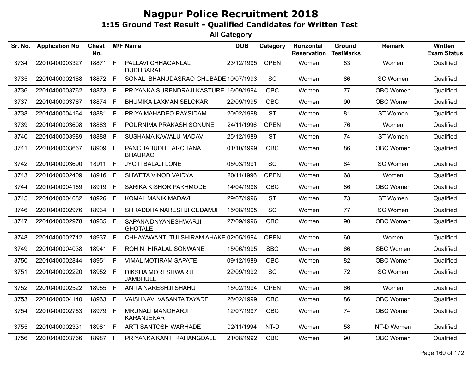| Sr. No. | <b>Application No</b> | Chest<br>No. |             | <b>M/F Name</b>                               | <b>DOB</b> | Category    | Horizontal<br><b>Reservation</b> | Ground<br><b>TestMarks</b> | <b>Remark</b>    | Written<br><b>Exam Status</b> |
|---------|-----------------------|--------------|-------------|-----------------------------------------------|------------|-------------|----------------------------------|----------------------------|------------------|-------------------------------|
| 3734    | 22010400003327        | 18871        | F           | PALLAVI CHHAGANLAL<br><b>DUDHBARAI</b>        | 23/12/1995 | <b>OPEN</b> | Women                            | 83                         | Women            | Qualified                     |
| 3735    | 22010400002188        | 18872 F      |             | SONALI BHANUDASRAO GHUBADE 10/07/1993         |            | SC          | Women                            | 86                         | SC Women         | Qualified                     |
| 3736    | 22010400003762        | 18873        | - F         | PRIYANKA SURENDRAJI KASTURE 16/09/1994        |            | <b>OBC</b>  | Women                            | 77                         | <b>OBC Women</b> | Qualified                     |
| 3737    | 22010400003767        | 18874 F      |             | <b>BHUMIKA LAXMAN SELOKAR</b>                 | 22/09/1995 | <b>OBC</b>  | Women                            | 90                         | OBC Women        | Qualified                     |
| 3738    | 22010400004164        | 18881        | $\mathsf F$ | PRIYA MAHADEO RAYSIDAM                        | 20/02/1998 | <b>ST</b>   | Women                            | 81                         | ST Women         | Qualified                     |
| 3739    | 22010400003608        | 18883        | F           | POURNIMA PRAKASH SONUNE                       | 24/11/1996 | <b>OPEN</b> | Women                            | 76                         | Women            | Qualified                     |
| 3740    | 22010400003989        | 18888        | F           | SUSHAMA KAWALU MADAVI                         | 25/12/1989 | <b>ST</b>   | Women                            | 74                         | ST Women         | Qualified                     |
| 3741    | 22010400003667        | 18909        | -F          | PANCHABUDHE ARCHANA<br><b>BHAURAO</b>         | 01/10/1999 | <b>OBC</b>  | Women                            | 86                         | <b>OBC Women</b> | Qualified                     |
| 3742    | 22010400003690        | 18911 F      |             | <b>JYOTI BALAJI LONE</b>                      | 05/03/1991 | <b>SC</b>   | Women                            | 84                         | SC Women         | Qualified                     |
| 3743    | 22010400002409        | 18916 F      |             | SHWETA VINOD VAIDYA                           | 20/11/1996 | <b>OPEN</b> | Women                            | 68                         | Women            | Qualified                     |
| 3744    | 22010400004169        | 18919        | F           | SARIKA KISHOR PAKHMODE                        | 14/04/1998 | OBC         | Women                            | 86                         | OBC Women        | Qualified                     |
| 3745    | 22010400004082        | 18926        | F           | KOMAL MANIK MADAVI                            | 29/07/1996 | <b>ST</b>   | Women                            | 73                         | ST Women         | Qualified                     |
| 3746    | 22010400002976        | 18934 F      |             | SHRADDHA NARESHJI GEDAMJI                     | 15/08/1995 | SC          | Women                            | 77                         | SC Women         | Qualified                     |
| 3747    | 22010400002978        | 18935 F      |             | SAPANA DNYANESHWARJI<br><b>GHOTALE</b>        | 27/09/1996 | <b>OBC</b>  | Women                            | 90                         | <b>OBC Women</b> | Qualified                     |
| 3748    | 22010400002712        | 18937 F      |             | CHHAYAWANTI TULSHIRAM AHAKE 02/05/1994        |            | <b>OPEN</b> | Women                            | 60                         | Women            | Qualified                     |
| 3749    | 22010400004038        | 18941        | -F          | ROHINI HIRALAL SONWANE                        | 15/06/1995 | <b>SBC</b>  | Women                            | 66                         | <b>SBC Women</b> | Qualified                     |
| 3750    | 22010400002844        | 18951        | $\mathsf F$ | <b>VIMAL MOTIRAM SAPATE</b>                   | 09/12/1989 | <b>OBC</b>  | Women                            | 82                         | <b>OBC Women</b> | Qualified                     |
| 3751    | 22010400002220        | 18952 F      |             | <b>DIKSHA MORESHWARJI</b><br><b>JAMBHULE</b>  | 22/09/1992 | SC          | Women                            | 72                         | <b>SC Women</b>  | Qualified                     |
| 3752    | 22010400002522        | 18955 F      |             | ANITA NARESHJI SHAHU                          | 15/02/1994 | <b>OPEN</b> | Women                            | 66                         | Women            | Qualified                     |
| 3753    | 22010400004140        | 18963        | F           | VAISHNAVI VASANTA TAYADE                      | 26/02/1999 | <b>OBC</b>  | Women                            | 86                         | <b>OBC Women</b> | Qualified                     |
| 3754    | 22010400002753        | 18979 F      |             | <b>MRUNALI MANOHARJI</b><br><b>KARANJEKAR</b> | 12/07/1997 | <b>OBC</b>  | Women                            | 74                         | <b>OBC Women</b> | Qualified                     |
| 3755    | 22010400002331        | 18981        | F           | ARTI SANTOSH WARHADE                          | 02/11/1994 | NT-D        | Women                            | 58                         | NT-D Women       | Qualified                     |
| 3756    | 22010400003766        | 18987 F      |             | PRIYANKA KANTI RAHANGDALE                     | 21/08/1992 | <b>OBC</b>  | Women                            | 90                         | OBC Women        | Qualified                     |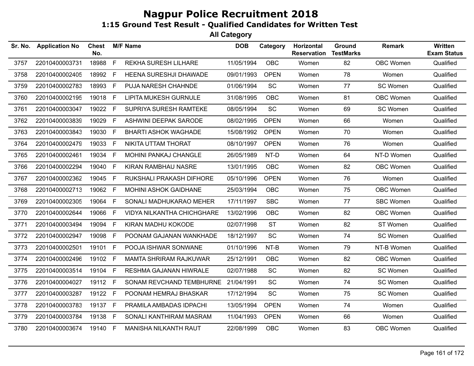| Sr. No. | <b>Application No</b> | <b>Chest</b><br>No. |    | <b>M/F Name</b>               | <b>DOB</b> | Category    | Horizontal<br><b>Reservation</b> | Ground<br><b>TestMarks</b> | <b>Remark</b>    | <b>Written</b><br><b>Exam Status</b> |
|---------|-----------------------|---------------------|----|-------------------------------|------------|-------------|----------------------------------|----------------------------|------------------|--------------------------------------|
| 3757    | 22010400003731        | 18988               | F  | REKHA SURESH LILHARE          | 11/05/1994 | <b>OBC</b>  | Women                            | 82                         | OBC Women        | Qualified                            |
| 3758    | 22010400002405        | 18992               | F. | HEENA SURESHJI DHAWADE        | 09/01/1993 | <b>OPEN</b> | Women                            | 78                         | Women            | Qualified                            |
| 3759    | 22010400002783        | 18993               | F  | PUJA NARESH CHAHNDE           | 01/06/1994 | SC          | Women                            | 77                         | SC Women         | Qualified                            |
| 3760    | 22010400002195        | 19018               | F. | <b>LIPITA MUKESH GURNULE</b>  | 31/08/1995 | <b>OBC</b>  | Women                            | 81                         | <b>OBC Women</b> | Qualified                            |
| 3761    | 22010400003047        | 19022               | F  | SUPRIYA SURESH RAMTEKE        | 08/05/1994 | <b>SC</b>   | Women                            | 69                         | SC Women         | Qualified                            |
| 3762    | 22010400003839        | 19029               | F. | ASHWINI DEEPAK SARODE         | 08/02/1995 | <b>OPEN</b> | Women                            | 66                         | Women            | Qualified                            |
| 3763    | 22010400003843        | 19030               | F  | <b>BHARTI ASHOK WAGHADE</b>   | 15/08/1992 | <b>OPEN</b> | Women                            | 70                         | Women            | Qualified                            |
| 3764    | 22010400002479        | 19033               | F  | NIKITA UTTAM THORAT           | 08/10/1997 | <b>OPEN</b> | Women                            | 76                         | Women            | Qualified                            |
| 3765    | 22010400002461        | 19034               | F  | MOHINI PANKAJ CHANGLE         | 26/05/1989 | NT-D        | Women                            | 64                         | NT-D Women       | Qualified                            |
| 3766    | 22010400002294        | 19040               | F. | <b>KIRAN RAMBHAU NASRE</b>    | 13/01/1995 | <b>OBC</b>  | Women                            | 82                         | <b>OBC Women</b> | Qualified                            |
| 3767    | 22010400002362        | 19045 F             |    | RUKSHALI PRAKASH DIFHORE      | 05/10/1996 | <b>OPEN</b> | Women                            | 76                         | Women            | Qualified                            |
| 3768    | 22010400002713        | 19062               | F. | <b>MOHINI ASHOK GAIDHANE</b>  | 25/03/1994 | <b>OBC</b>  | Women                            | 75                         | OBC Women        | Qualified                            |
| 3769    | 22010400002305        | 19064               | F. | SONALI MADHUKARAO MEHER       | 17/11/1997 | <b>SBC</b>  | Women                            | 77                         | <b>SBC Women</b> | Qualified                            |
| 3770    | 22010400002644        | 19066               | F. | VIDYA NILKANTHA CHICHGHARE    | 13/02/1996 | <b>OBC</b>  | Women                            | 82                         | OBC Women        | Qualified                            |
| 3771    | 22010400003494        | 19094               | F. | KIRAN MADHU KOKODE            | 02/07/1998 | <b>ST</b>   | Women                            | 82                         | ST Women         | Qualified                            |
| 3772    | 22010400002947        | 19098               | F. | POONAM GAJANAN WANKHADE       | 18/12/1997 | <b>SC</b>   | Women                            | 74                         | SC Women         | Qualified                            |
| 3773    | 22010400002501        | 19101               | F. | POOJA ISHWAR SONWANE          | 01/10/1996 | NT-B        | Women                            | 79                         | NT-B Women       | Qualified                            |
| 3774    | 22010400002496        | 19102               | F  | <b>MAMTA SHRIRAM RAJKUWAR</b> | 25/12/1991 | <b>OBC</b>  | Women                            | 82                         | <b>OBC Women</b> | Qualified                            |
| 3775    | 22010400003514        | 19104               | F. | RESHMA GAJANAN HIWRALE        | 02/07/1988 | <b>SC</b>   | Women                            | 82                         | SC Women         | Qualified                            |
| 3776    | 22010400004027        | 19112               | F. | SONAM REVCHAND TEMBHURNE      | 21/04/1991 | <b>SC</b>   | Women                            | 74                         | SC Women         | Qualified                            |
| 3777    | 22010400003287        | 19122               | F  | POONAM HEMRAJ BHASKAR         | 17/12/1994 | SC          | Women                            | 75                         | SC Women         | Qualified                            |
| 3778    | 22010400003783        | 19137               | F  | PRAMILA AMBADAS IDPACHI       | 13/05/1994 | <b>OPEN</b> | Women                            | 74                         | Women            | Qualified                            |
| 3779    | 22010400003784        | 19138 F             |    | SONALI KANTHIRAM MASRAM       | 11/04/1993 | <b>OPEN</b> | Women                            | 66                         | Women            | Qualified                            |
| 3780    | 22010400003674        | 19140 F             |    | MANISHA NILKANTH RAUT         | 22/08/1999 | <b>OBC</b>  | Women                            | 83                         | <b>OBC Women</b> | Qualified                            |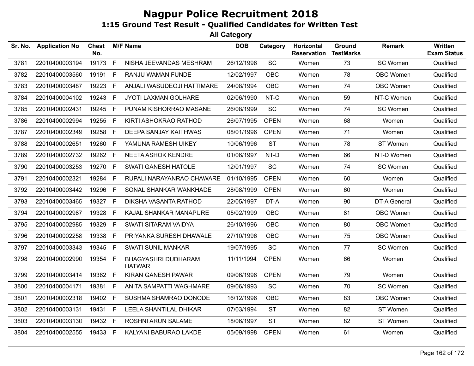| Sr. No. | <b>Application No</b> | <b>Chest</b><br>No. |    | <b>M/F Name</b>                      | <b>DOB</b> | Category    | Horizontal<br><b>Reservation</b> | Ground<br><b>TestMarks</b> | Remark              | Written<br><b>Exam Status</b> |
|---------|-----------------------|---------------------|----|--------------------------------------|------------|-------------|----------------------------------|----------------------------|---------------------|-------------------------------|
| 3781    | 22010400003194        | 19173               | F  | NISHA JEEVANDAS MESHRAM              | 26/12/1996 | SC          | Women                            | 73                         | SC Women            | Qualified                     |
| 3782    | 22010400003560        | 19191               | F. | RANJU WAMAN FUNDE                    | 12/02/1997 | <b>OBC</b>  | Women                            | 78                         | OBC Women           | Qualified                     |
| 3783    | 22010400003487        | 19223               | F  | ANJALI WASUDEOJI HATTIMARE           | 24/08/1994 | <b>OBC</b>  | Women                            | 74                         | OBC Women           | Qualified                     |
| 3784    | 22010400004102        | 19243               | F  | JYOTI LAXMAN GOLHARE                 | 02/06/1990 | NT-C        | Women                            | 59                         | NT-C Women          | Qualified                     |
| 3785    | 22010400002431        | 19245               | E  | PUNAM KISHORRAO MASANE               | 26/08/1999 | SC          | Women                            | 74                         | SC Women            | Qualified                     |
| 3786    | 22010400002994        | 19255               | F  | KIRTI ASHOKRAO RATHOD                | 26/07/1995 | <b>OPEN</b> | Women                            | 68                         | Women               | Qualified                     |
| 3787    | 22010400002349        | 19258               | F. | DEEPA SANJAY KAITHWAS                | 08/01/1996 | <b>OPEN</b> | Women                            | 71                         | Women               | Qualified                     |
| 3788    | 22010400002651        | 19260               | F. | YAMUNA RAMESH UIKEY                  | 10/06/1996 | <b>ST</b>   | Women                            | 78                         | ST Women            | Qualified                     |
| 3789    | 22010400002732        | 19262               | F. | <b>NEETA ASHOK KENDRE</b>            | 01/06/1997 | NT-D        | Women                            | 66                         | NT-D Women          | Qualified                     |
| 3790    | 22010400003253        | 19270               | F. | <b>SWATI GANESH HATOLE</b>           | 12/01/1997 | <b>SC</b>   | Women                            | 74                         | SC Women            | Qualified                     |
| 3791    | 22010400002321        | 19284               | F. | RUPALI NARAYANRAO CHAWARE            | 01/10/1995 | <b>OPEN</b> | Women                            | 60                         | Women               | Qualified                     |
| 3792    | 22010400003442        | 19296               | F  | SONAL SHANKAR WANKHADE               | 28/08/1999 | <b>OPEN</b> | Women                            | 60                         | Women               | Qualified                     |
| 3793    | 22010400003465        | 19327               | F  | DIKSHA VASANTA RATHOD                | 22/05/1997 | DT-A        | Women                            | 90                         | <b>DT-A General</b> | Qualified                     |
| 3794    | 22010400002987        | 19328               | E  | KAJAL SHANKAR MANAPURE               | 05/02/1999 | <b>OBC</b>  | Women                            | 81                         | OBC Women           | Qualified                     |
| 3795    | 22010400002985        | 19329               | F. | SWATI SITARAM VAIDYA                 | 26/10/1996 | <b>OBC</b>  | Women                            | 80                         | OBC Women           | Qualified                     |
| 3796    | 22010400002258        | 19338               | F  | PRIYANKA SURESH DHAWALE              | 27/10/1996 | <b>OBC</b>  | Women                            | 75                         | OBC Women           | Qualified                     |
| 3797    | 22010400003343        | 19345               | F. | <b>SWATI SUNIL MANKAR</b>            | 19/07/1995 | SC          | Women                            | 77                         | SC Women            | Qualified                     |
| 3798    | 22010400002990        | 19354 F             |    | BHAGYASHRI DUDHARAM<br><b>HATWAR</b> | 11/11/1994 | <b>OPEN</b> | Women                            | 66                         | Women               | Qualified                     |
| 3799    | 22010400003414        | 19362 F             |    | KIRAN GANESH PAWAR                   | 09/06/1996 | <b>OPEN</b> | Women                            | 79                         | Women               | Qualified                     |
| 3800    | 22010400004171        | 19381               | F. | ANITA SAMPATTI WAGHMARE              | 09/06/1993 | <b>SC</b>   | Women                            | 70                         | SC Women            | Qualified                     |
| 3801    | 22010400002318        | 19402               | F  | SUSHMA SHAMRAO DONODE                | 16/12/1996 | <b>OBC</b>  | Women                            | 83                         | <b>OBC Women</b>    | Qualified                     |
| 3802    | 22010400003131        | 19431               | F  | LEELA SHANTILAL DHIKAR               | 07/03/1994 | <b>ST</b>   | Women                            | 82                         | ST Women            | Qualified                     |
| 3803    | 22010400003130        | 19432 F             |    | ROSHNI ARUN SALAME                   | 18/06/1997 | <b>ST</b>   | Women                            | 82                         | ST Women            | Qualified                     |
| 3804    | 22010400002555        | 19433 F             |    | KALYANI BABURAO LAKDE                | 05/09/1998 | <b>OPEN</b> | Women                            | 61                         | Women               | Qualified                     |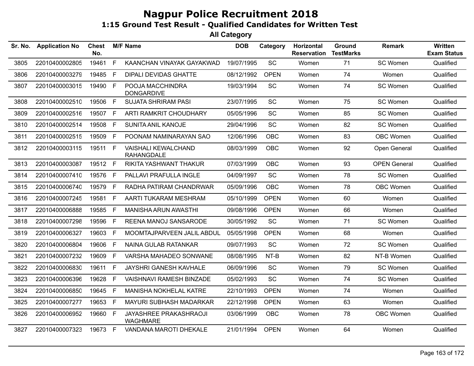| Sr. No. | <b>Application No</b> | Chest<br>No. |    | <b>M/F Name</b>                                  | <b>DOB</b> | Category    | Horizontal<br><b>Reservation</b> | Ground<br><b>TestMarks</b> | Remark              | <b>Written</b><br><b>Exam Status</b> |
|---------|-----------------------|--------------|----|--------------------------------------------------|------------|-------------|----------------------------------|----------------------------|---------------------|--------------------------------------|
| 3805    | 22010400002805        | 19461        | F  | KAANCHAN VINAYAK GAYAKWAD                        | 19/07/1995 | SC          | Women                            | 71                         | SC Women            | Qualified                            |
| 3806    | 22010400003279        | 19485        | F. | <b>DIPALI DEVIDAS GHATTE</b>                     | 08/12/1992 | <b>OPEN</b> | Women                            | 74                         | Women               | Qualified                            |
| 3807    | 22010400003015        | 19490        | F  | POOJA MACCHINDRA<br><b>DONGARDIVE</b>            | 19/03/1994 | SC          | Women                            | 74                         | SC Women            | Qualified                            |
| 3808    | 22010400002510        | 19506        | F  | <b>SUJATA SHRIRAM PASI</b>                       | 23/07/1995 | <b>SC</b>   | Women                            | 75                         | SC Women            | Qualified                            |
| 3809    | 22010400002516        | 19507        | F. | ARTI RAMKRIT CHOUDHARY                           | 05/05/1996 | SC          | Women                            | 85                         | SC Women            | Qualified                            |
| 3810    | 22010400002514        | 19508        | F  | SUNITA ANIL KANOJE                               | 29/04/1996 | <b>SC</b>   | Women                            | 82                         | SC Women            | Qualified                            |
| 3811    | 22010400002515        | 19509        | F. | POONAM NAMINARAYAN SAO                           | 12/06/1996 | <b>OBC</b>  | Women                            | 83                         | <b>OBC Women</b>    | Qualified                            |
| 3812    | 22010400003115        | 19511 F      |    | <b>VAISHALI KEWALCHAND</b><br><b>RAHANGDALE</b>  | 08/03/1999 | <b>OBC</b>  | Women                            | 92                         | Open General        | Qualified                            |
| 3813    | 22010400003087        | 19512 F      |    | RIKITA YASHWANT THAKUR                           | 07/03/1999 | <b>OBC</b>  | Women                            | 93                         | <b>OPEN General</b> | Qualified                            |
| 3814    | 22010400007410        | 19576        | F. | PALLAVI PRAFULLA INGLE                           | 04/09/1997 | <b>SC</b>   | Women                            | 78                         | SC Women            | Qualified                            |
| 3815    | 22010400006740        | 19579        | F. | RADHA PATIRAM CHANDRWAR                          | 05/09/1996 | <b>OBC</b>  | Women                            | 78                         | <b>OBC Women</b>    | Qualified                            |
| 3816    | 22010400007245        | 19581        | F. | AARTI TUKARAM MESHRAM                            | 05/10/1999 | <b>OPEN</b> | Women                            | 60                         | Women               | Qualified                            |
| 3817    | 22010400006888        | 19585        | F. | <b>MANISHA ARUN AWASTHI</b>                      | 09/08/1996 | <b>OPEN</b> | Women                            | 66                         | Women               | Qualified                            |
| 3818    | 22010400007298        | 19596        | F. | REENA MANOJ SANSARODE                            | 30/05/1992 | <b>SC</b>   | Women                            | 71                         | SC Women            | Qualified                            |
| 3819    | 22010400006327        | 19603        | F. | MOOMTAJPARVEEN JALIL ABDUL                       | 05/05/1998 | <b>OPEN</b> | Women                            | 68                         | Women               | Qualified                            |
| 3820    | 22010400006804        | 19606        | F  | NAINA GULAB RATANKAR                             | 09/07/1993 | SC          | Women                            | 72                         | SC Women            | Qualified                            |
| 3821    | 22010400007232        | 19609        | F. | VARSHA MAHADEO SONWANE                           | 08/08/1995 | NT-B        | Women                            | 82                         | NT-B Women          | Qualified                            |
| 3822    | 22010400006830        | 19611        | F  | JAYSHRI GANESH KAVHALE                           | 06/09/1996 | <b>SC</b>   | Women                            | 79                         | SC Women            | Qualified                            |
| 3823    | 22010400006396        | 19628        | F. | <b>VAISHNAVI RAMESH BINZADE</b>                  | 05/02/1993 | <b>SC</b>   | Women                            | 74                         | SC Women            | Qualified                            |
| 3824    | 22010400006850        | 19645        | F. | MANISHA NOKHELAL KATRE                           | 22/10/1993 | <b>OPEN</b> | Women                            | 74                         | Women               | Qualified                            |
| 3825    | 22010400007277        | 19653        | F. | MAYURI SUBHASH MADARKAR                          | 22/12/1998 | <b>OPEN</b> | Women                            | 63                         | Women               | Qualified                            |
| 3826    | 22010400006952        | 19660        | E  | <b>JAYASHREE PRAKASHRAOJI</b><br><b>WAGHMARE</b> | 03/06/1999 | <b>OBC</b>  | Women                            | 78                         | <b>OBC Women</b>    | Qualified                            |
| 3827    | 22010400007323        | 19673 F      |    | VANDANA MAROTI DHEKALE                           | 21/01/1994 | <b>OPEN</b> | Women                            | 64                         | Women               | Qualified                            |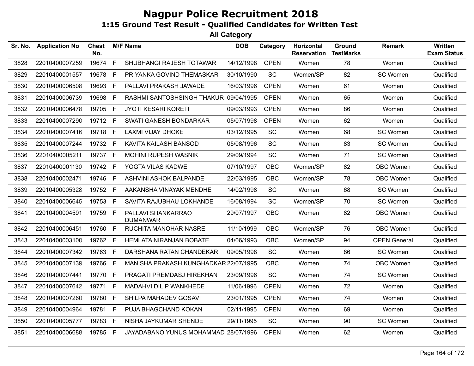| Sr. No. | <b>Application No</b> | <b>Chest</b><br>No. |    | <b>M/F Name</b>                       | <b>DOB</b> | Category    | Horizontal<br><b>Reservation</b> | Ground<br><b>TestMarks</b> | Remark              | <b>Written</b><br><b>Exam Status</b> |
|---------|-----------------------|---------------------|----|---------------------------------------|------------|-------------|----------------------------------|----------------------------|---------------------|--------------------------------------|
| 3828    | 22010400007259        | 19674               | F  | SHUBHANGI RAJESH TOTAWAR              | 14/12/1998 | <b>OPEN</b> | Women                            | 78                         | Women               | Qualified                            |
| 3829    | 22010400001557        | 19678 F             |    | PRIYANKA GOVIND THEMASKAR             | 30/10/1990 | <b>SC</b>   | Women/SP                         | 82                         | SC Women            | Qualified                            |
| 3830    | 22010400006508        | 19693 F             |    | PALLAVI PRAKASH JAWADE                | 16/03/1996 | <b>OPEN</b> | Women                            | 61                         | Women               | Qualified                            |
| 3831    | 22010400006739        | 19698               | F. | RASHMI SANTOSHSINGH THAKUR            | 09/04/1995 | <b>OPEN</b> | Women                            | 65                         | Women               | Qualified                            |
| 3832    | 22010400006478        | 19705               | F  | <b>JYOTI KESARI KORETI</b>            | 09/03/1993 | <b>OPEN</b> | Women                            | 86                         | Women               | Qualified                            |
| 3833    | 22010400007290        | 19712 F             |    | SWATI GANESH BONDARKAR                | 05/07/1998 | <b>OPEN</b> | Women                            | 62                         | Women               | Qualified                            |
| 3834    | 22010400007416        | 19718 F             |    | <b>LAXMI VIJAY DHOKE</b>              | 03/12/1995 | <b>SC</b>   | Women                            | 68                         | SC Women            | Qualified                            |
| 3835    | 22010400007244        | 19732               | -F | KAVITA KAILASH BANSOD                 | 05/08/1996 | <b>SC</b>   | Women                            | 83                         | SC Women            | Qualified                            |
| 3836    | 22010400005211        | 19737 F             |    | <b>MOHINI RUPESH WASNIK</b>           | 29/09/1994 | <b>SC</b>   | Women                            | 71                         | SC Women            | Qualified                            |
| 3837    | 22010400001130        | 19742               | F  | YOGTA VILAS KADWE                     | 07/10/1997 | OBC         | Women/SP                         | 82                         | OBC Women           | Qualified                            |
| 3838    | 22010400002471        | 19746 F             |    | ASHVINI ASHOK BALPANDE                | 22/03/1995 | <b>OBC</b>  | Women/SP                         | 78                         | OBC Women           | Qualified                            |
| 3839    | 22010400005328        | 19752 F             |    | AAKANSHA VINAYAK MENDHE               | 14/02/1998 | SC          | Women                            | 68                         | SC Women            | Qualified                            |
| 3840    | 22010400006645        | 19753 F             |    | SAVITA RAJUBHAU LOKHANDE              | 16/08/1994 | <b>SC</b>   | Women/SP                         | 70                         | SC Women            | Qualified                            |
| 3841    | 22010400004591        | 19759 F             |    | PALLAVI SHANKARRAO<br><b>DUMANWAR</b> | 29/07/1997 | <b>OBC</b>  | Women                            | 82                         | OBC Women           | Qualified                            |
| 3842    | 22010400006451        | 19760 F             |    | RUCHITA MANOHAR NASRE                 | 11/10/1999 | <b>OBC</b>  | Women/SP                         | 76                         | OBC Women           | Qualified                            |
| 3843    | 22010400003100        | 19762 F             |    | <b>HEMLATA NIRANJAN BOBATE</b>        | 04/06/1993 | OBC         | Women/SP                         | 94                         | <b>OPEN General</b> | Qualified                            |
| 3844    | 22010400007342        | 19763 F             |    | DARSHANA RATAN CHANDEKAR              | 09/05/1998 | SC          | Women                            | 86                         | SC Women            | Qualified                            |
| 3845    | 22010400007139        | 19766               | E  | MANISHA PRAKASH KUNGHADKAR 22/07/1995 |            | OBC         | Women                            | 74                         | OBC Women           | Qualified                            |
| 3846    | 22010400007441        | 19770 F             |    | PRAGATI PREMDASJ HIREKHAN             | 23/09/1996 | <b>SC</b>   | Women                            | 74                         | SC Women            | Qualified                            |
| 3847    | 22010400007642        | 19771               | F  | MADAHVI DILIP WANKHEDE                | 11/06/1996 | <b>OPEN</b> | Women                            | 72                         | Women               | Qualified                            |
| 3848    | 22010400007260        | 19780 F             |    | SHILPA MAHADEV GOSAVI                 | 23/01/1995 | <b>OPEN</b> | Women                            | 74                         | Women               | Qualified                            |
| 3849    | 22010400004964        | 19781               | F  | PUJA BHAGCHAND KOKAN                  | 02/11/1995 | <b>OPEN</b> | Women                            | 69                         | Women               | Qualified                            |
| 3850    | 22010400005777        | 19783 F             |    | NISHA JAYKUMAR SHENDE                 | 29/11/1995 | SC          | Women                            | 90                         | SC Women            | Qualified                            |
| 3851    | 22010400006688        | 19785 F             |    | JAYADABANO YUNUS MOHAMMAD 28/07/1996  |            | <b>OPEN</b> | Women                            | 62                         | Women               | Qualified                            |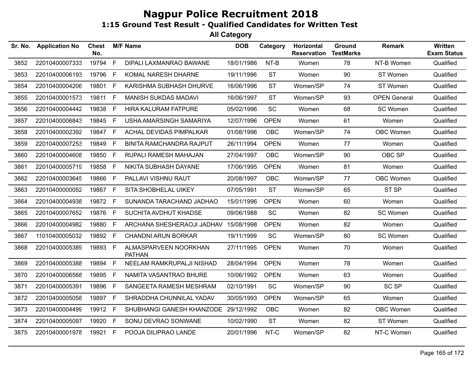| Sr. No. | <b>Application No</b> | <b>Chest</b><br>No. |    | <b>M/F Name</b>                        | <b>DOB</b> | Category    | Horizontal<br><b>Reservation</b> | Ground<br><b>TestMarks</b> | <b>Remark</b>       | <b>Written</b><br><b>Exam Status</b> |
|---------|-----------------------|---------------------|----|----------------------------------------|------------|-------------|----------------------------------|----------------------------|---------------------|--------------------------------------|
| 3852    | 22010400007333        | 19794               | F  | DIPALI LAXMANRAO BAWANE                | 18/01/1986 | $NT-B$      | Women                            | 78                         | NT-B Women          | Qualified                            |
| 3853    | 22010400006193        | 19796               | F. | KOMAL NARESH DHARNE                    | 19/11/1996 | <b>ST</b>   | Women                            | 90                         | ST Women            | Qualified                            |
| 3854    | 22010400004206        | 19801               | F. | KARISHMA SUBHASH DHURVE                | 16/06/1996 | <b>ST</b>   | Women/SP                         | 74                         | ST Women            | Qualified                            |
| 3855    | 22010400001573        | 19811               | F  | <b>MANISH SUKDAS MADAVI</b>            | 16/06/1997 | <b>ST</b>   | Women/SP                         | 93                         | <b>OPEN General</b> | Qualified                            |
| 3856    | 22010400004442        | 19838               | F. | <b>HIRA KALURAM FATPURE</b>            | 05/02/1996 | SC          | Women                            | 68                         | SC Women            | Qualified                            |
| 3857    | 22010400006843        | 19845               | F. | USHA AMARSINGH SAMARIYA                | 12/07/1996 | <b>OPEN</b> | Women                            | 61                         | Women               | Qualified                            |
| 3858    | 22010400002392        | 19847               | F. | ACHAL DEVIDAS PIMPALKAR                | 01/08/1996 | <b>OBC</b>  | Women/SP                         | 74                         | OBC Women           | Qualified                            |
| 3859    | 22010400007253        | 19849               | F  | <b>BINITA RAMCHANDRA RAJPUT</b>        | 26/11/1994 | <b>OPEN</b> | Women                            | 77                         | Women               | Qualified                            |
| 3860    | 22010400004608        | 19850               | F. | RUPALI RAMESH MAHAJAN                  | 27/04/1997 | <b>OBC</b>  | Women/SP                         | 90                         | OBC SP              | Qualified                            |
| 3861    | 22010400005719        | 19858               | F. | NIKITA SUBHASH DAYANE                  | 17/06/1995 | <b>OPEN</b> | Women                            | 81                         | Women               | Qualified                            |
| 3862    | 22010400003645        | 19866               | F. | PALLAVI VISHNU RAUT                    | 20/08/1997 | <b>OBC</b>  | Women/SP                         | 77                         | OBC Women           | Qualified                            |
| 3863    | 22010400000052        | 19867               | F. | SITA SHOBHELAL UIKEY                   | 07/05/1991 | <b>ST</b>   | Women/SP                         | 65                         | ST <sub>SP</sub>    | Qualified                            |
| 3864    | 22010400004938        | 19872 F             |    | SUNANDA TARACHAND JADHAO               | 15/01/1996 | <b>OPEN</b> | Women                            | 60                         | Women               | Qualified                            |
| 3865    | 22010400007652        | 19876               | F  | SUCHITA AVDHUT KHADSE                  | 09/06/1988 | <b>SC</b>   | Women                            | 82                         | SC Women            | Qualified                            |
| 3866    | 22010400004982        | 19880               | F. | ARCHANA SHESHERAOJI JADHAV             | 15/08/1998 | <b>OPEN</b> | Women                            | 82                         | Women               | Qualified                            |
| 3867    | 11010400005032        | 19892               | F. | CHANDNI ARUN BORKAR                    | 19/11/1999 | SC          | Women/SP                         | 80                         | SC Women            | Qualified                            |
| 3868    | 22010400005389        | 19893               | F. | ALMASPARVEEN NOORKHAN<br><b>PATHAN</b> | 27/11/1995 | <b>OPEN</b> | Women                            | 70                         | Women               | Qualified                            |
| 3869    | 22010400005388        | 19894               | F. | NEELAM RAMKRUPALJI NISHAD              | 28/04/1994 | <b>OPEN</b> | Women                            | 78                         | Women               | Qualified                            |
| 3870    | 22010400006568        | 19895               | F. | NAMITA VASANTRAO BHURE                 | 10/06/1992 | <b>OPEN</b> | Women                            | 63                         | Women               | Qualified                            |
| 3871    | 22010400005391        | 19896               | F. | SANGEETA RAMESH MESHRAM                | 02/10/1991 | SC          | Women/SP                         | 90                         | <b>SC SP</b>        | Qualified                            |
| 3872    | 22010400005058        | 19897 F             |    | SHRADDHA CHUNNILAL YADAV               | 30/05/1993 | <b>OPEN</b> | Women/SP                         | 65                         | Women               | Qualified                            |
| 3873    | 22010400004499        | 19912               | F. | SHUBHANGI GANESH KHANZODE              | 29/12/1992 | <b>OBC</b>  | Women                            | 82                         | <b>OBC Women</b>    | Qualified                            |
| 3874    | 22010400005097        | 19920               | F. | SONU DEVRAO SONWANE                    | 10/02/1990 | <b>ST</b>   | Women                            | 82                         | ST Women            | Qualified                            |
| 3875    | 22010400001978        | 19921               | F. | POOJA DILIPRAO LANDE                   | 20/01/1996 | NT-C        | Women/SP                         | 82                         | NT-C Women          | Qualified                            |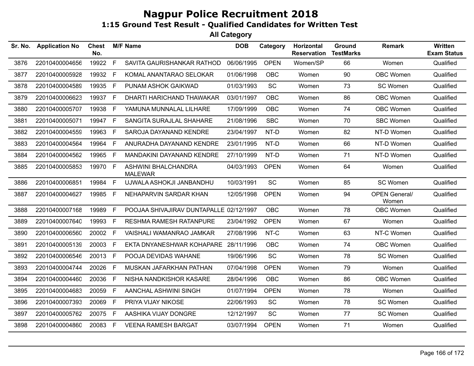| Sr. No. | <b>Application No</b> | <b>Chest</b><br>No. |              | <b>M/F Name</b>                         | <b>DOB</b> | Category    | Horizontal<br><b>Reservation</b> | Ground<br><b>TestMarks</b> | <b>Remark</b>                 | <b>Written</b><br><b>Exam Status</b> |
|---------|-----------------------|---------------------|--------------|-----------------------------------------|------------|-------------|----------------------------------|----------------------------|-------------------------------|--------------------------------------|
| 3876    | 22010400004656        | 19922               | F            | SAVITA GAURISHANKAR RATHOD              | 06/06/1995 | <b>OPEN</b> | Women/SP                         | 66                         | Women                         | Qualified                            |
| 3877    | 22010400005928        | 19932               | F            | KOMAL ANANTARAO SELOKAR                 | 01/06/1998 | <b>OBC</b>  | Women                            | 90                         | OBC Women                     | Qualified                            |
| 3878    | 22010400004589        | 19935               | F            | PUNAM ASHOK GAIKWAD                     | 01/03/1993 | SC          | Women                            | 73                         | SC Women                      | Qualified                            |
| 3879    | 22010400006623        | 19937 F             |              | DHARTI HARICHAND THAWAKAR               | 03/01/1997 | <b>OBC</b>  | Women                            | 86                         | <b>OBC Women</b>              | Qualified                            |
| 3880    | 22010400005707        | 19938               | $\mathsf{F}$ | YAMUNA MUNNALAL LILHARE                 | 17/09/1999 | <b>OBC</b>  | Women                            | 74                         | OBC Women                     | Qualified                            |
| 3881    | 22010400005071        | 19947 F             |              | SANGITA SURAJLAL SHAHARE                | 21/08/1996 | <b>SBC</b>  | Women                            | 70                         | <b>SBC Women</b>              | Qualified                            |
| 3882    | 22010400004559        | 19963               | F            | SAROJA DAYANAND KENDRE                  | 23/04/1997 | NT-D        | Women                            | 82                         | NT-D Women                    | Qualified                            |
| 3883    | 22010400004564        | 19964               | E            | ANURADHA DAYANAND KENDRE                | 23/01/1995 | NT-D        | Women                            | 66                         | NT-D Women                    | Qualified                            |
| 3884    | 22010400004562        | 19965               | F            | MANDAKINI DAYANAND KENDRE               | 27/10/1999 | NT-D        | Women                            | 71                         | NT-D Women                    | Qualified                            |
| 3885    | 22010400005853        | 19970 F             |              | ASHWINI BHALCHANDRA<br><b>MALEWAR</b>   | 04/03/1993 | <b>OPEN</b> | Women                            | 64                         | Women                         | Qualified                            |
| 3886    | 22010400006851        | 19984               | E            | UJWALA ASHOKJI JANBANDHU                | 10/03/1991 | SC          | Women                            | 85                         | SC Women                      | Qualified                            |
| 3887    | 22010400004627        | 19985               | $\mathsf{F}$ | NEHAPARVIN SARDAR KHAN                  | 12/05/1998 | <b>OPEN</b> | Women                            | 94                         | <b>OPEN General/</b><br>Women | Qualified                            |
| 3888    | 22010400007168        | 19989               | F            | POOJAA SHIVAJIRAV DUNTAPALLE 02/12/1997 |            | <b>OBC</b>  | Women                            | 78                         | OBC Women                     | Qualified                            |
| 3889    | 22010400007640        | 19993 F             |              | RESHMA RAMESH RATANPURE                 | 23/04/1992 | <b>OPEN</b> | Women                            | 67                         | Women                         | Qualified                            |
| 3890    | 22010400006560        | 20002 F             |              | VAISHALI WAMANRAO JAMKAR                | 27/08/1996 | NT-C        | Women                            | 63                         | NT-C Women                    | Qualified                            |
| 3891    | 22010400005139        | 20003 F             |              | EKTA DNYANESHWAR KOHAPARE               | 28/11/1996 | <b>OBC</b>  | Women                            | 74                         | OBC Women                     | Qualified                            |
| 3892    | 22010400006546        | 20013 F             |              | POOJA DEVIDAS WAHANE                    | 19/06/1996 | <b>SC</b>   | Women                            | 78                         | SC Women                      | Qualified                            |
| 3893    | 22010400004744        | 20026               | E            | MUSKAN JAFARKHAN PATHAN                 | 07/04/1998 | <b>OPEN</b> | Women                            | 79                         | Women                         | Qualified                            |
| 3894    | 22010400004460        | 20036               | F.           | NISHA NANDKISHOR KASARE                 | 28/04/1996 | <b>OBC</b>  | Women                            | 86                         | OBC Women                     | Qualified                            |
| 3895    | 22010400004683        | 20059 F             |              | AANCHAL ASHWINI SINGH                   | 01/07/1994 | <b>OPEN</b> | Women                            | 78                         | Women                         | Qualified                            |
| 3896    | 22010400007393        | 20069 F             |              | PRIYA VIJAY NIKOSE                      | 22/06/1993 | SC          | Women                            | 78                         | SC Women                      | Qualified                            |
| 3897    | 22010400005762        | 20075 F             |              | AASHIKA VIJAY DONGRE                    | 12/12/1997 | <b>SC</b>   | Women                            | 77                         | SC Women                      | Qualified                            |
| 3898    | 22010400004860        | 20083 F             |              | <b>VEENA RAMESH BARGAT</b>              | 03/07/1994 | <b>OPEN</b> | Women                            | 71                         | Women                         | Qualified                            |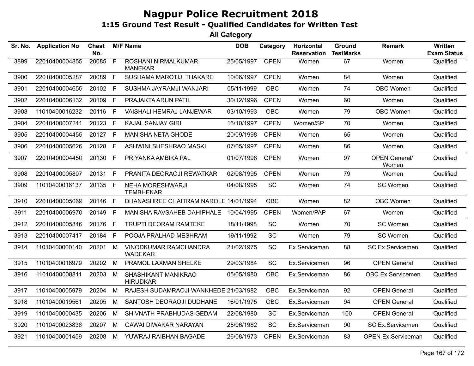| Sr. No. | <b>Application No</b> | Chest<br>No. |                | <b>M/F Name</b>                              | <b>DOB</b> | Category    | Horizontal<br><b>Reservation</b> | Ground<br><b>TestMarks</b> | <b>Remark</b>                 | Written<br><b>Exam Status</b> |
|---------|-----------------------|--------------|----------------|----------------------------------------------|------------|-------------|----------------------------------|----------------------------|-------------------------------|-------------------------------|
| 3899    | 22010400004855        | 20085        | $\overline{F}$ | <b>ROSHANI NIRMALKUMAR</b><br><b>MANEKAR</b> | 25/05/1997 | <b>OPEN</b> | Women                            | 67                         | Women                         | Qualified                     |
| 3900    | 22010400005287        | 20089        | F              | SUSHAMA MAROTIJI THAKARE                     | 10/06/1997 | <b>OPEN</b> | Women                            | 84                         | Women                         | Qualified                     |
| 3901    | 22010400004655        | 20102        | F.             | SUSHMA JAYRAMJI WANJARI                      | 05/11/1999 | <b>OBC</b>  | Women                            | 74                         | OBC Women                     | Qualified                     |
| 3902    | 22010400006132        | 20109        | F              | PRAJAKTA ARUN PATIL                          | 30/12/1996 | <b>OPEN</b> | Women                            | 60                         | Women                         | Qualified                     |
| 3903    | 11010400016232        | 20116        | F.             | VAISHALI HEMRAJ LANJEWAR                     | 03/10/1993 | OBC         | Women                            | 79                         | <b>OBC Women</b>              | Qualified                     |
| 3904    | 22010400007241        | 20123        | F              | <b>KAJAL SANJAY GIRI</b>                     | 16/10/1997 | <b>OPEN</b> | Women/SP                         | 70                         | Women                         | Qualified                     |
| 3905    | 22010400004455        | 20127 F      |                | <b>MANISHA NETA GHODE</b>                    | 20/09/1998 | <b>OPEN</b> | Women                            | 65                         | Women                         | Qualified                     |
| 3906    | 22010400005626        | 20128 F      |                | <b>ASHWINI SHESHRAO MASKI</b>                | 07/05/1997 | <b>OPEN</b> | Women                            | 86                         | Women                         | Qualified                     |
| 3907    | 22010400004450        | 20130        | F.             | PRIYANKA AMBIKA PAL                          | 01/07/1998 | <b>OPEN</b> | Women                            | 97                         | <b>OPEN General/</b><br>Women | Qualified                     |
| 3908    | 22010400005807        | 20131        | F              | PRANITA DEORAOJI REWATKAR                    | 02/08/1995 | <b>OPEN</b> | Women                            | 79                         | Women                         | Qualified                     |
| 3909    | 11010400016137        | 20135 F      |                | NEHA MORESHWARJI<br><b>TEMBHEKAR</b>         | 04/08/1995 | SC          | Women                            | 74                         | SC Women                      | Qualified                     |
| 3910    | 22010400005069        | 20146        | F              | DHANASHREE CHAITRAM NAROLE 14/01/1994        |            | <b>OBC</b>  | Women                            | 82                         | OBC Women                     | Qualified                     |
| 3911    | 22010400006970        | 20149        | F.             | MANISHA RAVSAHEB DAHIPHALE                   | 10/04/1995 | <b>OPEN</b> | Women/PAP                        | 67                         | Women                         | Qualified                     |
| 3912    | 22010400005846        | 20176        | F              | <b>TRUPTI DEORAM RAMTEKE</b>                 | 18/11/1998 | SC          | Women                            | 70                         | SC Women                      | Qualified                     |
| 3913    | 22010400007417        | 20184        | F.             | POOJA PRALHAD MESHRAM                        | 19/11/1992 | <b>SC</b>   | Women                            | 79                         | SC Women                      | Qualified                     |
| 3914    | 11010400000140        | 20201        | M              | VINODKUMAR RAMCHANDRA<br><b>WADEKAR</b>      | 21/02/1975 | <b>SC</b>   | Ex.Serviceman                    | 88                         | <b>SC Ex.Servicemen</b>       | Qualified                     |
| 3915    | 11010400016979        | 20202        | M              | PRAMOL LAXMAN SHELKE                         | 29/03/1984 | <b>SC</b>   | Ex.Serviceman                    | 96                         | <b>OPEN General</b>           | Qualified                     |
| 3916    | 11010400008811        | 20203        | M              | SHASHIKANT MANIKRAO<br><b>HIRUDKAR</b>       | 05/05/1980 | <b>OBC</b>  | Ex.Serviceman                    | 86                         | OBC Ex.Servicemen             | Qualified                     |
| 3917    | 11010400005979        | 20204        | M              | RAJESH SUDAMRAOJI WANKHEDE 21/03/1982        |            | <b>OBC</b>  | Ex.Serviceman                    | 92                         | <b>OPEN General</b>           | Qualified                     |
| 3918    | 11010400019561        | 20205        | M              | SANTOSH DEORAOJI DUDHANE                     | 16/01/1975 | OBC         | Ex.Serviceman                    | 94                         | <b>OPEN General</b>           | Qualified                     |
| 3919    | 11010400000435        | 20206        | М              | SHIVNATH PRABHUDAS GEDAM                     | 22/08/1980 | <b>SC</b>   | Ex.Serviceman                    | 100                        | <b>OPEN General</b>           | Qualified                     |
| 3920    | 11010400023836        | 20207        | M              | <b>GAWAI DIWAKAR NARAYAN</b>                 | 25/06/1982 | <b>SC</b>   | Ex.Serviceman                    | 90                         | SC Ex.Servicemen              | Qualified                     |
| 3921    | 11010400001459        | 20208        | M              | YUWRAJ RAIBHAN BAGADE                        | 26/08/1973 | <b>OPEN</b> | Ex.Serviceman                    | 83                         | <b>OPEN Ex.Serviceman</b>     | Qualified                     |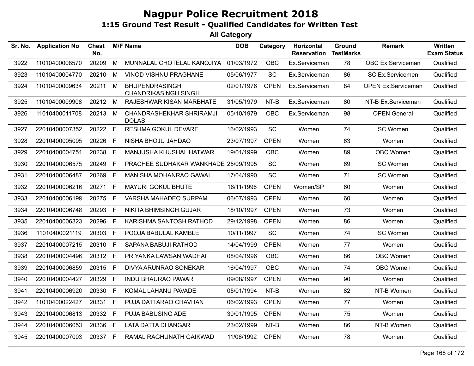| Sr. No. | <b>Application No</b> | Chest<br>No. |    | <b>M/F Name</b>                                      | <b>DOB</b> | Category    | <b>Horizontal</b><br><b>Reservation</b> | Ground<br><b>TestMarks</b> | <b>Remark</b>             | <b>Written</b><br><b>Exam Status</b> |
|---------|-----------------------|--------------|----|------------------------------------------------------|------------|-------------|-----------------------------------------|----------------------------|---------------------------|--------------------------------------|
| 3922    | 11010400008570        | 20209        | M  | MUNNALAL CHOTELAL KANOJIYA                           | 01/03/1972 | OBC         | Ex.Serviceman                           | 78                         | OBC Ex.Serviceman         | Qualified                            |
| 3923    | 11010400004770        | 20210        | М  | <b>VINOD VISHNU PRAGHANE</b>                         | 05/06/1977 | <b>SC</b>   | Ex.Serviceman                           | 86                         | <b>SC Ex.Servicemen</b>   | Qualified                            |
| 3924    | 11010400009634        | 20211 M      |    | <b>BHUPENDRASINGH</b><br><b>CHANDRIKASINGH SINGH</b> | 02/01/1976 | <b>OPEN</b> | Ex.Serviceman                           | 84                         | <b>OPEN Ex.Serviceman</b> | Qualified                            |
| 3925    | 11010400009908        | 20212 M      |    | RAJESHWAR KISAN MARBHATE                             | 31/05/1979 | $NT-B$      | Ex.Serviceman                           | 80                         | NT-B Ex.Serviceman        | Qualified                            |
| 3926    | 11010400011708        | 20213 M      |    | CHANDRASHEKHAR SHRIRAMJI<br><b>DOLAS</b>             | 05/10/1979 | OBC         | Ex.Serviceman                           | 98                         | <b>OPEN General</b>       | Qualified                            |
| 3927    | 22010400007352        | 20222 F      |    | <b>RESHMA GOKUL DEVARE</b>                           | 16/02/1993 | <b>SC</b>   | Women                                   | 74                         | SC Women                  | Qualified                            |
| 3928    | 22010400005095        | 20226        | F  | NISHA BHOJU JAHDAO                                   | 23/07/1997 | <b>OPEN</b> | Women                                   | 63                         | Women                     | Qualified                            |
| 3929    | 22010400004751        | 20238        | F  | MANJUSHA KHUSHAL HATWAR                              | 19/01/1999 | <b>OBC</b>  | Women                                   | 89                         | <b>OBC Women</b>          | Qualified                            |
| 3930    | 22010400006575        | 20249        | F. | PRACHEE SUDHAKAR WANKHADE 25/09/1995                 |            | <b>SC</b>   | Women                                   | 69                         | SC Women                  | Qualified                            |
| 3931    | 22010400006487        | 20269 F      |    | MANISHA MOHANRAO GAWAI                               | 17/04/1990 | SC          | Women                                   | 71                         | SC Women                  | Qualified                            |
| 3932    | 22010400006216        | 20271        | F. | <b>MAYURI GOKUL BHUTE</b>                            | 16/11/1996 | <b>OPEN</b> | Women/SP                                | 60                         | Women                     | Qualified                            |
| 3933    | 22010400006199        | 20275        | F. | VARSHA MAHADEO SURPAM                                | 06/07/1993 | <b>OPEN</b> | Women                                   | 60                         | Women                     | Qualified                            |
| 3934    | 22010400006748        | 20293        | F  | NIKITA BHIMSINGH GUJAR                               | 18/10/1997 | <b>OPEN</b> | Women                                   | 73                         | Women                     | Qualified                            |
| 3935    | 22010400006323        | 20296        | F. | KARISHMA SANTOSH RATHOD                              | 29/12/1998 | <b>OPEN</b> | Women                                   | 86                         | Women                     | Qualified                            |
| 3936    | 11010400021119        | 20303        | F  | POOJA BABULAL KAMBLE                                 | 10/11/1997 | <b>SC</b>   | Women                                   | 74                         | SC Women                  | Qualified                            |
| 3937    | 22010400007215        | 20310        | F  | SAPANA BABUJI RATHOD                                 | 14/04/1999 | <b>OPEN</b> | Women                                   | 77                         | Women                     | Qualified                            |
| 3938    | 22010400004496        | 20312 F      |    | PRIYANKA LAWSAN WADHAI                               | 08/04/1996 | <b>OBC</b>  | Women                                   | 86                         | OBC Women                 | Qualified                            |
| 3939    | 22010400006859        | 20315        | F  | DIVYA ARUNRAO SONEKAR                                | 16/04/1997 | <b>OBC</b>  | Women                                   | 74                         | OBC Women                 | Qualified                            |
| 3940    | 22010400004427        | 20329        | F. | <b>INDU BHAURAO PAWAR</b>                            | 09/08/1997 | <b>OPEN</b> | Women                                   | 90                         | Women                     | Qualified                            |
| 3941    | 22010400006920        | 20330        | F. | KOMAL LAHANU PAVADE                                  | 05/01/1994 | NT-B        | Women                                   | 82                         | NT-B Women                | Qualified                            |
| 3942    | 11010400022427        | 20331        | F  | PUJA DATTARAO CHAVHAN                                | 06/02/1993 | <b>OPEN</b> | Women                                   | 77                         | Women                     | Qualified                            |
| 3943    | 22010400006813        | 20332        | E  | PUJA BABUSING ADE                                    | 30/01/1995 | <b>OPEN</b> | Women                                   | 75                         | Women                     | Qualified                            |
| 3944    | 22010400006053        | 20336        | F. | <b>LATA DATTA DHANGAR</b>                            | 23/02/1999 | NT-B        | Women                                   | 86                         | NT-B Women                | Qualified                            |
| 3945    | 22010400007003        | 20337 F      |    | RAMAL RAGHUNATH GAIKWAD                              | 11/06/1992 | <b>OPEN</b> | Women                                   | 78                         | Women                     | Qualified                            |
|         |                       |              |    |                                                      |            |             |                                         |                            |                           |                                      |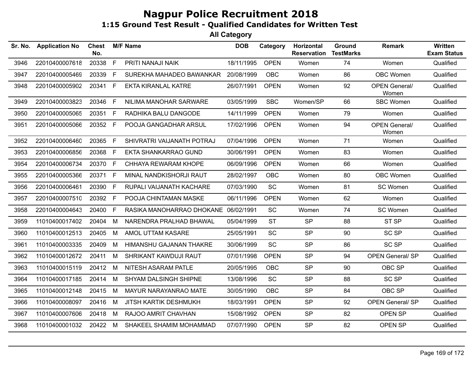| Sr. No. | <b>Application No</b> | Chest<br>No. |              | <b>M/F Name</b>                      | <b>DOB</b> | Category    | Horizontal<br><b>Reservation</b> | Ground<br><b>TestMarks</b> | <b>Remark</b>                 | Written<br><b>Exam Status</b> |
|---------|-----------------------|--------------|--------------|--------------------------------------|------------|-------------|----------------------------------|----------------------------|-------------------------------|-------------------------------|
| 3946    | 22010400007618        | 20338        | F            | PRITI NANAJI NAIK                    | 18/11/1995 | <b>OPEN</b> | Women                            | 74                         | Women                         | Qualified                     |
| 3947    | 22010400005469        | 20339        | F.           | SUREKHA MAHADEO BAWANKAR             | 20/08/1999 | <b>OBC</b>  | Women                            | 86                         | OBC Women                     | Qualified                     |
| 3948    | 22010400005902        | 20341 F      |              | <b>EKTA KIRANLAL KATRE</b>           | 26/07/1991 | <b>OPEN</b> | Women                            | 92                         | <b>OPEN General/</b><br>Women | Qualified                     |
| 3949    | 22010400003823        | 20346        | F            | NILIMA MANOHAR SARWARE               | 03/05/1999 | <b>SBC</b>  | Women/SP                         | 66                         | <b>SBC Women</b>              | Qualified                     |
| 3950    | 22010400005065        | 20351        | F            | RADHIKA BALU DANGODE                 | 14/11/1999 | <b>OPEN</b> | Women                            | 79                         | Women                         | Qualified                     |
| 3951    | 22010400005066        | 20352 F      |              | POOJA GANGADHAR ARSUL                | 17/02/1996 | <b>OPEN</b> | Women                            | 94                         | <b>OPEN General/</b><br>Women | Qualified                     |
| 3952    | 22010400006460        | 20365        | F            | SHIVRATRI VAIJANATH POTRAJ           | 07/04/1996 | <b>OPEN</b> | Women                            | 71                         | Women                         | Qualified                     |
| 3953    | 22010400006856        | 20368        | F            | EKTA SHANKARRAO GUND                 | 30/06/1991 | <b>OPEN</b> | Women                            | 83                         | Women                         | Qualified                     |
| 3954    | 22010400006734        | 20370        | E            | CHHAYA REWARAM KHOPE                 | 06/09/1996 | <b>OPEN</b> | Women                            | 66                         | Women                         | Qualified                     |
| 3955    | 22010400005366        | 20371 F      |              | MINAL NANDKISHORJI RAUT              | 28/02/1997 | <b>OBC</b>  | Women                            | 80                         | <b>OBC Women</b>              | Qualified                     |
| 3956    | 22010400006461        | 20390        | $\mathsf{F}$ | RUPALI VAIJANATH KACHARE             | 07/03/1990 | SC          | Women                            | 81                         | SC Women                      | Qualified                     |
| 3957    | 22010400007510        | 20392 F      |              | POOJA CHINTAMAN MASKE                | 06/11/1996 | <b>OPEN</b> | Women                            | 62                         | Women                         | Qualified                     |
| 3958    | 22010400004643        | 20400        | F            | RASIKA MANOHARRAO DHOKANE 06/02/1991 |            | SC          | Women                            | 74                         | SC Women                      | Qualified                     |
| 3959    | 11010400017402        | 20404        | M            | NARENDRA PRALHAD BHAWAL              | 05/04/1999 | <b>ST</b>   | <b>SP</b>                        | 88                         | ST SP                         | Qualified                     |
| 3960    | 11010400012513        | 20405        | M            | AMOL UTTAM KASARE                    | 25/05/1991 | SC          | <b>SP</b>                        | 90                         | <b>SC SP</b>                  | Qualified                     |
| 3961    | 11010400003335        | 20409        | M            | HIMANSHU GAJANAN THAKRE              | 30/06/1999 | SC          | <b>SP</b>                        | 86                         | SC SP                         | Qualified                     |
| 3962    | 11010400012672        | 20411        | M            | SHRIKANT KAWDUJI RAUT                | 07/01/1998 | <b>OPEN</b> | <b>SP</b>                        | 94                         | <b>OPEN General/ SP</b>       | Qualified                     |
| 3963    | 11010400015119        | 20412        | M            | NITESH ASARAM PATLE                  | 20/05/1995 | <b>OBC</b>  | <b>SP</b>                        | 90                         | OBC SP                        | Qualified                     |
| 3964    | 11010400017185        | 20414        | M            | <b>SHYAM DALSINGH SHIPNE</b>         | 13/08/1996 | SC          | <b>SP</b>                        | 88                         | SC SP                         | Qualified                     |
| 3965    | 11010400012148        | 20415 M      |              | MAYUR NARAYANRAO MATE                | 30/05/1990 | <b>OBC</b>  | <b>SP</b>                        | 84                         | OBC SP                        | Qualified                     |
| 3966    | 11010400008097        | 20416 M      |              | <b>JITSH KARTIK DESHMUKH</b>         | 18/03/1991 | <b>OPEN</b> | <b>SP</b>                        | 92                         | <b>OPEN General/ SP</b>       | Qualified                     |
| 3967    | 11010400007606        | 20418 M      |              | RAJOO AMRIT CHAVHAN                  | 15/08/1992 | <b>OPEN</b> | <b>SP</b>                        | 82                         | OPEN SP                       | Qualified                     |
| 3968    | 11010400001032        | 20422 M      |              | SHAKEEL SHAMIM MOHAMMAD              | 07/07/1990 | <b>OPEN</b> | <b>SP</b>                        | 82                         | OPEN SP                       | Qualified                     |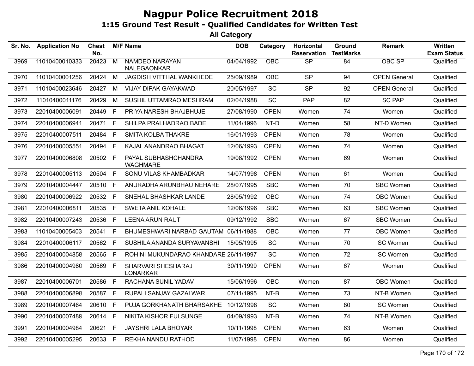| Sr. No. | <b>Application No</b> | Chest<br>No. |                | <b>M/F Name</b>                              | <b>DOB</b> | Category    | Horizontal<br><b>Reservation</b> | Ground<br><b>TestMarks</b> | Remark              | <b>Written</b><br><b>Exam Status</b> |
|---------|-----------------------|--------------|----------------|----------------------------------------------|------------|-------------|----------------------------------|----------------------------|---------------------|--------------------------------------|
| 3969    | 11010400010333        | 20423        | $\overline{M}$ | <b>NAMDEO NARAYAN</b><br>NALEGAONKAR         | 04/04/1992 | OBC         | $\overline{\text{SP}}$           | 84                         | <b>OBC SP</b>       | Qualified                            |
| 3970    | 11010400001256        | 20424        | M              | JAGDISH VITTHAL WANKHEDE                     | 25/09/1989 | <b>OBC</b>  | <b>SP</b>                        | 94                         | <b>OPEN General</b> | Qualified                            |
| 3971    | 11010400023646        | 20427        | M              | <b>VIJAY DIPAK GAYAKWAD</b>                  | 20/05/1997 | <b>SC</b>   | <b>SP</b>                        | 92                         | <b>OPEN General</b> | Qualified                            |
| 3972    | 11010400011176        | 20429        | М              | SUSHIL UTTAMRAO MESHRAM                      | 02/04/1988 | SC          | <b>PAP</b>                       | 82                         | <b>SC PAP</b>       | Qualified                            |
| 3973    | 22010400006091        | 20449        | F              | PRIYA NARESH BHAJBHUJE                       | 27/08/1990 | <b>OPEN</b> | Women                            | 74                         | Women               | Qualified                            |
| 3974    | 22010400006941        | 20471        | F.             | SHILPA PRALHADRAO BADE                       | 11/04/1996 | NT-D        | Women                            | 58                         | NT-D Women          | Qualified                            |
| 3975    | 22010400007511        | 20484        | F.             | <b>SMITA KOLBA THAKRE</b>                    | 16/01/1993 | <b>OPEN</b> | Women                            | 78                         | Women               | Qualified                            |
| 3976    | 22010400005551        | 20494        | F.             | KAJAL ANANDRAO BHAGAT                        | 12/06/1993 | <b>OPEN</b> | Women                            | 74                         | Women               | Qualified                            |
| 3977    | 22010400006808        | 20502 F      |                | PAYAL SUBHASHCHANDRA<br><b>WAGHMARE</b>      | 19/08/1992 | <b>OPEN</b> | Women                            | 69                         | Women               | Qualified                            |
| 3978    | 22010400005113        | 20504        | F              | SONU VILAS KHAMBADKAR                        | 14/07/1998 | <b>OPEN</b> | Women                            | 61                         | Women               | Qualified                            |
| 3979    | 22010400004447        | 20510        | F              | ANURADHA ARUNBHAU NEHARE                     | 28/07/1995 | <b>SBC</b>  | Women                            | 70                         | <b>SBC Women</b>    | Qualified                            |
| 3980    | 22010400006922        | 20532        | F              | SNEHAL BHASHKAR LANDE                        | 28/05/1992 | <b>OBC</b>  | Women                            | 74                         | OBC Women           | Qualified                            |
| 3981    | 22010400006811        | 20535 F      |                | <b>SWETA ANIL KOHALE</b>                     | 12/06/1996 | <b>SBC</b>  | Women                            | 63                         | <b>SBC Women</b>    | Qualified                            |
| 3982    | 22010400007243        | 20536        | F.             | <b>LEENA ARUN RAUT</b>                       | 09/12/1992 | <b>SBC</b>  | Women                            | 67                         | <b>SBC Women</b>    | Qualified                            |
| 3983    | 11010400005403        | 20541        | F.             | BHUMESHWARI NARBAD GAUTAM 06/11/1988         |            | OBC.        | Women                            | 77                         | OBC Women           | Qualified                            |
| 3984    | 22010400006117        | 20562        | F.             | SUSHILA ANANDA SURYAVANSHI                   | 15/05/1995 | SC          | Women                            | 70                         | SC Women            | Qualified                            |
| 3985    | 22010400004858        | 20565        | F              | ROHINI MUKUNDARAO KHANDARE 26/11/1997        |            | <b>SC</b>   | Women                            | 72                         | SC Women            | Qualified                            |
| 3986    | 22010400004980        | 20569 F      |                | <b>SHARVARI SHESHARAJ</b><br><b>LONARKAR</b> | 30/11/1999 | <b>OPEN</b> | Women                            | 67                         | Women               | Qualified                            |
| 3987    | 22010400006701        | 20586 F      |                | RACHANA SUNIL YADAV                          | 15/06/1996 | <b>OBC</b>  | Women                            | 87                         | OBC Women           | Qualified                            |
| 3988    | 22010400006898        | 20587        | F.             | RUPALI SANJAY GAZALWAR                       | 07/11/1995 | NT-B        | Women                            | 73                         | NT-B Women          | Qualified                            |
| 3989    | 22010400007464        | 20610        | F.             | PUJA GORKHANATH BHARSAKHE                    | 10/12/1998 | <b>SC</b>   | Women                            | 80                         | SC Women            | Qualified                            |
| 3990    | 22010400007489        | 20614        | F.             | NIKITA KISHOR FULSUNGE                       | 04/09/1993 | NT-B        | Women                            | 74                         | NT-B Women          | Qualified                            |
| 3991    | 22010400004984        | 20621        | F              | <b>JAYSHRI LALA BHOYAR</b>                   | 10/11/1998 | <b>OPEN</b> | Women                            | 63                         | Women               | Qualified                            |
| 3992    | 22010400005295        | 20633 F      |                | REKHA NANDU RATHOD                           | 11/07/1998 | <b>OPEN</b> | Women                            | 86                         | Women               | Qualified                            |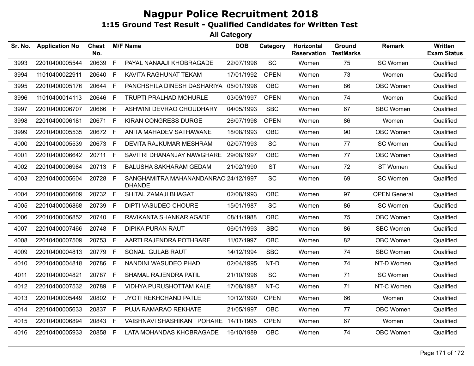| Sr. No. | <b>Application No</b> | <b>Chest</b><br>No. |             | <b>M/F Name</b>                                       | <b>DOB</b> | Category                     | Horizontal<br><b>Reservation</b> | Ground<br><b>TestMarks</b> | <b>Remark</b>       | Written<br><b>Exam Status</b> |
|---------|-----------------------|---------------------|-------------|-------------------------------------------------------|------------|------------------------------|----------------------------------|----------------------------|---------------------|-------------------------------|
| 3993    | 22010400005544        | 20639               | F           | PAYAL NANAAJI KHOBRAGADE                              | 22/07/1996 | $\operatorname{\textsf{SC}}$ | Women                            | 75                         | SC Women            | Qualified                     |
| 3994    | 11010400022911        | 20640               | F           | KAVITA RAGHUNAT TEKAM                                 | 17/01/1992 | <b>OPEN</b>                  | Women                            | 73                         | Women               | Qualified                     |
| 3995    | 22010400005176        | 20644               | F.          | PANCHSHILA DINESH DASHARIYA 05/01/1996                |            | <b>OBC</b>                   | Women                            | 86                         | OBC Women           | Qualified                     |
| 3996    | 11010400014113        | 20646               | F.          | <b>TRUPTI PRALHAD MOHURLE</b>                         | 03/09/1997 | <b>OPEN</b>                  | Women                            | 74                         | Women               | Qualified                     |
| 3997    | 22010400006707        | 20666               | F           | ASHWINI DEVRAO CHOUDHARY                              | 04/05/1993 | <b>SBC</b>                   | Women                            | 67                         | <b>SBC Women</b>    | Qualified                     |
| 3998    | 22010400006181        | 20671               | F           | <b>KIRAN CONGRESS DURGE</b>                           | 26/07/1998 | <b>OPEN</b>                  | Women                            | 86                         | Women               | Qualified                     |
| 3999    | 22010400005535        | 20672 F             |             | ANITA MAHADEV SATHAWANE                               | 18/08/1993 | <b>OBC</b>                   | Women                            | 90                         | OBC Women           | Qualified                     |
| 4000    | 22010400005539        | 20673               | F.          | DEVITA RAJKUMAR MESHRAM                               | 02/07/1993 | <b>SC</b>                    | Women                            | 77                         | SC Women            | Qualified                     |
| 4001    | 22010400006642        | 20711               | F.          | SAVITRI DHANANJAY NAWGHARE                            | 29/08/1997 | <b>OBC</b>                   | Women                            | 77                         | OBC Women           | Qualified                     |
| 4002    | 22010400006984        | 20713               | F           | BALUSHA SAKHARAM GEDAM                                | 21/02/1990 | <b>ST</b>                    | Women                            | 72                         | ST Women            | Qualified                     |
| 4003    | 22010400005604        | 20728 F             |             | SANGHAMITRA MAHANANDANRAO 24/12/1997<br><b>DHANDE</b> |            | <b>SC</b>                    | Women                            | 69                         | SC Women            | Qualified                     |
| 4004    | 22010400006609        | 20732 F             |             | SHITAL ZAMAJI BHAGAT                                  | 02/08/1993 | <b>OBC</b>                   | Women                            | 97                         | <b>OPEN General</b> | Qualified                     |
| 4005    | 22010400006868        | 20739               | F           | <b>DIPTI VASUDEO CHOURE</b>                           | 15/01/1987 | <b>SC</b>                    | Women                            | 86                         | SC Women            | Qualified                     |
| 4006    | 22010400006852        | 20740               | F.          | RAVIKANTA SHANKAR AGADE                               | 08/11/1988 | <b>OBC</b>                   | Women                            | 75                         | OBC Women           | Qualified                     |
| 4007    | 22010400007466        | 20748               | $\mathsf F$ | <b>DIPIKA PURAN RAUT</b>                              | 06/01/1993 | <b>SBC</b>                   | Women                            | 86                         | <b>SBC Women</b>    | Qualified                     |
| 4008    | 22010400007509        | 20753 F             |             | AARTI RAJENDRA POTHBARE                               | 11/07/1997 | <b>OBC</b>                   | Women                            | 82                         | OBC Women           | Qualified                     |
| 4009    | 22010400004813        | 20779               | F.          | SONALI GULAB RAUT                                     | 14/12/1994 | <b>SBC</b>                   | Women                            | 74                         | <b>SBC Women</b>    | Qualified                     |
| 4010    | 22010400004818        | 20786               | F.          | NANDINI WASUDEO PHAD                                  | 02/04/1995 | NT-D                         | Women                            | 74                         | NT-D Women          | Qualified                     |
| 4011    | 22010400004821        | 20787               | F.          | SHAMAL RAJENDRA PATIL                                 | 21/10/1996 | <b>SC</b>                    | Women                            | 71                         | SC Women            | Qualified                     |
| 4012    | 22010400007532        | 20789               | F.          | VIDHYA PURUSHOTTAM KALE                               | 17/08/1987 | NT-C                         | Women                            | 71                         | NT-C Women          | Qualified                     |
| 4013    | 22010400005449        | 20802 F             |             | JYOTI REKHCHAND PATLE                                 | 10/12/1990 | <b>OPEN</b>                  | Women                            | 66                         | Women               | Qualified                     |
| 4014    | 22010400005633        | 20837               | F.          | PUJA RAMARAO REKHATE                                  | 21/05/1997 | <b>OBC</b>                   | Women                            | 77                         | OBC Women           | Qualified                     |
| 4015    | 22010400006894        | 20843               | F.          | VAISHNAVI SHASHIKANT POHARE                           | 14/11/1995 | <b>OPEN</b>                  | Women                            | 67                         | Women               | Qualified                     |
| 4016    | 22010400005933        | 20858 F             |             | LATA MOHANDAS KHOBRAGADE                              | 16/10/1989 | <b>OBC</b>                   | Women                            | 74                         | OBC Women           | Qualified                     |